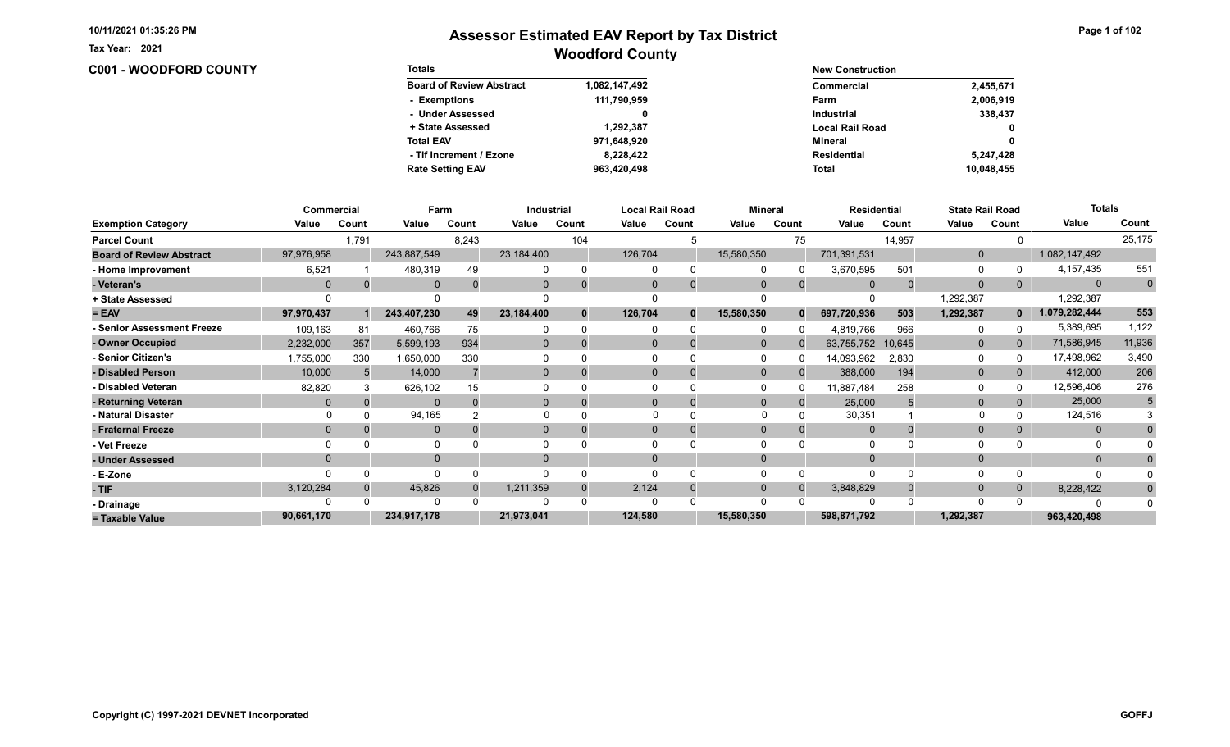Tax Year: 2021

| <b>C001 - WOODFORD COUNTY</b> | <b>Totals</b>                   |               | <b>New Construction</b> |              |  |  |  |
|-------------------------------|---------------------------------|---------------|-------------------------|--------------|--|--|--|
|                               | <b>Board of Review Abstract</b> | 1,082,147,492 | <b>Commercial</b>       | 2,455,671    |  |  |  |
|                               | - Exemptions                    | 111,790,959   | Farm                    | 2,006,919    |  |  |  |
|                               | - Under Assessed                |               | <b>Industrial</b>       | 338,437      |  |  |  |
|                               | + State Assessed                | 1,292,387     | <b>Local Rail Road</b>  | $\mathbf 0$  |  |  |  |
|                               | <b>Total EAV</b>                | 971,648,920   | Mineral                 | $\mathbf{0}$ |  |  |  |
|                               | - Tif Increment / Ezone         | 8,228,422     | <b>Residential</b>      | 5,247,428    |  |  |  |
|                               | <b>Rate Setting EAV</b>         | 963,420,498   | Total                   | 10,048,455   |  |  |  |

|                                 |            | Commercial |              | Farm  |                | Industrial |          | Local Rail Road | <b>Mineral</b> |                | <b>Residential</b> |        | <b>State Rail Road</b> |              | <b>Totals</b> |             |
|---------------------------------|------------|------------|--------------|-------|----------------|------------|----------|-----------------|----------------|----------------|--------------------|--------|------------------------|--------------|---------------|-------------|
| <b>Exemption Category</b>       | Value      | Count      | Value        | Count | Value          | Count      | Value    | Count           | Value          | Count          | Value              | Count  | Value                  | Count        | Value         | Count       |
| <b>Parcel Count</b>             |            | 1,791      |              | 8,243 |                | 104        |          |                 |                | 75             |                    | 14,957 |                        |              |               | 25,175      |
| <b>Board of Review Abstract</b> | 97,976,958 |            | 243,887,549  |       | 23,184,400     |            | 126,704  |                 | 15,580,350     |                | 701,391,531        |        | $\mathbf{0}$           |              | 1,082,147,492 |             |
| - Home Improvement              | 6,521      |            | 480,319      | 49    |                | $\Omega$   |          | $\Omega$        |                |                | 3,670,595          | 501    | $\Omega$               |              | 4, 157, 435   | 551         |
| - Veteran's                     | $\Omega$   |            | $\mathbf{0}$ |       | 0              | $\Omega$   |          | $\mathbf 0$     | $\Omega$       | $\overline{0}$ | $\Omega$           |        | $\mathbf 0$            |              | $\mathbf{0}$  | $\mathbf 0$ |
| + State Assessed                |            |            |              |       |                |            |          |                 |                |                |                    |        | 1,292,387              |              | 1,292,387     |             |
| $= EAV$                         | 97,970,437 |            | 243,407,230  | 49    | 23,184,400     | $\bf{0}$   | 126,704  | $\mathbf{0}$    | 15,580,350     | $\bf{0}$       | 697,720,936        | 503    | 1,292,387              | $\mathbf{0}$ | 1,079,282,444 | 553         |
| <b>Senior Assessment Freeze</b> | 109,163    | 81         | 460,766      | 75    |                | $\Omega$   |          |                 |                |                | 4,819,766          | 966    | 0                      |              | 5,389,695     | 1,122       |
| - Owner Occupied                | 2,232,000  | 357        | 5,599,193    | 934   | $\overline{0}$ | $\Omega$   |          | $\Omega$        | $\Omega$       |                | 63,755,752         | 10,645 | $\overline{0}$         | 0            | 71,586,945    | 11,936      |
| - Senior Citizen's              | 1,755,000  | 330        | 1,650,000    | 330   |                |            |          |                 |                |                | 14,093,962         | 2,830  | 0                      |              | 17,498,962    | 3,490       |
| - Disabled Person               | 10,000     |            | 14,000       |       | $\overline{0}$ |            |          |                 | $\Omega$       |                | 388,000            | 194    | $\mathbf{0}$           |              | 412,000       | 206         |
| - Disabled Veteran              | 82,820     |            | 626,102      | 15    |                |            |          |                 |                |                | 11,887,484         | 258    | $\Omega$               |              | 12,596,406    | 276         |
| - Returning Veteran             | $\Omega$   |            | $\Omega$     |       | $\overline{0}$ | $\Omega$   |          | 0               | $\Omega$       | $\Omega$       | 25,000             |        | $\mathbf 0$            |              | 25,000        | 5           |
| - Natural Disaster              |            |            | 94,165       |       |                |            | $\Omega$ |                 |                |                | 30,351             |        |                        |              | 124,516       |             |
| - Fraternal Freeze              | $\Omega$   |            | $\mathbf{0}$ |       | 0              |            |          |                 |                |                | $\Omega$           |        | $\mathbf{0}$           |              | $\mathbf{0}$  |             |
| - Vet Freeze                    |            |            | 0            |       |                |            |          |                 |                |                | $\Omega$           |        | 0                      |              | 0             |             |
| - Under Assessed                |            |            | $\Omega$     |       | $\Omega$       |            |          |                 |                |                |                    |        | $\Omega$               |              | $\mathbf{0}$  |             |
| - E-Zone                        |            |            | $\Omega$     |       |                |            |          |                 |                |                |                    |        | $\Omega$               |              | O             |             |
| - TIF                           | 3,120,284  |            | 45,826       |       | 1,211,359      | $\Omega$   | 2,124    | $\Omega$        | $\Omega$       |                | 3,848,829          |        | $\mathbf{0}$           |              | 8,228,422     | $\bf{0}$    |
| - Drainage                      |            |            | $\Omega$     |       |                |            |          |                 |                |                | $\Omega$           |        | $\Omega$               |              |               |             |
| = Taxable Value                 | 90,661,170 |            | 234,917,178  |       | 21,973,041     |            | 124,580  |                 | 15,580,350     |                | 598,871,792        |        | 1,292,387              |              | 963,420,498   |             |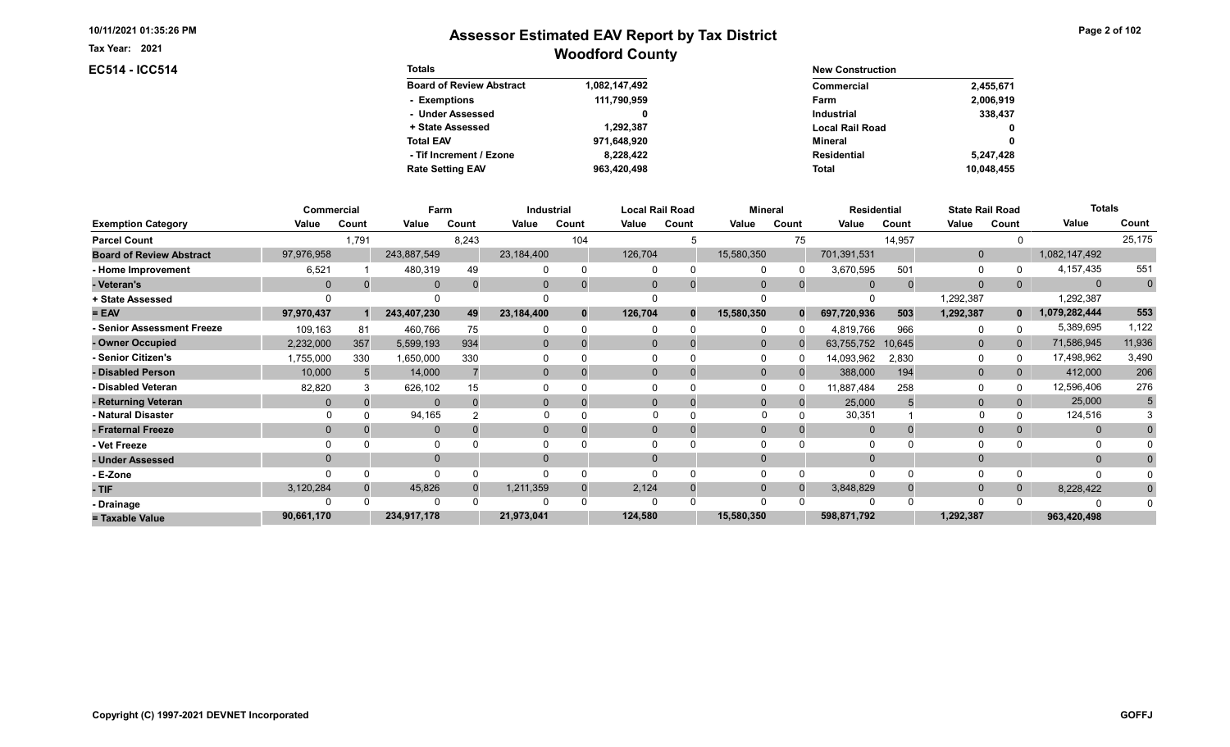Tax Year: 2021

## EC514 - ICC514

| Page 2 of 102 |  |  |  |  |
|---------------|--|--|--|--|
|---------------|--|--|--|--|

| <b>Totals</b>                   |               | <b>New Construction</b> |              |
|---------------------------------|---------------|-------------------------|--------------|
| <b>Board of Review Abstract</b> | 1,082,147,492 | Commercial              | 2,455,671    |
| - Exemptions                    | 111,790,959   | Farm                    | 2,006,919    |
| - Under Assessed                |               | <b>Industrial</b>       | 338,437      |
| + State Assessed                | 1.292.387     | <b>Local Rail Road</b>  | $\mathbf{0}$ |
| <b>Total EAV</b>                | 971,648,920   | Mineral                 | 0            |
| - Tif Increment / Ezone         | 8.228.422     | <b>Residential</b>      | 5,247,428    |
| <b>Rate Setting EAV</b>         | 963,420,498   | <b>Total</b>            | 10.048.455   |

|                                 | Commercial     |       | Farm         |       |                | Industrial |         | Local Rail Road | <b>Mineral</b> |                | <b>Residential</b> |        | <b>State Rail Road</b> |                | <b>Totals</b>  |             |
|---------------------------------|----------------|-------|--------------|-------|----------------|------------|---------|-----------------|----------------|----------------|--------------------|--------|------------------------|----------------|----------------|-------------|
| <b>Exemption Category</b>       | Value          | Count | Value        | Count | Value          | Count      | Value   | Count           | Value          | Count          | Value              | Count  | Value                  | Count          | Value          | Count       |
| <b>Parcel Count</b>             |                | 1,791 |              | 8,243 |                | 104        |         |                 |                | 75             |                    | 14,957 |                        |                |                | 25,175      |
| <b>Board of Review Abstract</b> | 97,976,958     |       | 243,887,549  |       | 23,184,400     |            | 126,704 |                 | 15,580,350     |                | 701,391,531        |        | $\mathbf{0}$           |                | 1,082,147,492  |             |
| - Home Improvement              | 6,521          |       | 480,319      | 49    |                | $\Omega$   |         | 0               |                |                | 3,670,595          | 501    | 0                      |                | 4,157,435      | 551         |
| - Veteran's                     | $\Omega$       |       | $\mathbf{0}$ |       | $\mathbf{0}$   | $\Omega$   |         | $\mathbf 0$     | $\Omega$       | $\overline{0}$ | $\Omega$           |        | $\Omega$               | 0              | $\overline{0}$ | $\mathbf 0$ |
| + State Assessed                |                |       |              |       |                |            |         |                 |                |                |                    |        | 1,292,387              |                | 1,292,387      |             |
| $= EAV$                         | 97,970,437     |       | 243,407,230  | 49    | 23,184,400     | $\bf{0}$   | 126,704 | $\mathbf{0}$    | 15,580,350     | $\bf{0}$       | 697,720,936        | 503    | 1,292,387              | $\mathbf{0}$   | 1,079,282,444  | 553         |
| <b>Senior Assessment Freeze</b> | 109,163        | 81    | 460,766      | 75    |                | $\Omega$   |         | ∩               |                |                | 4,819,766          | 966    | 0                      |                | 5,389,695      | 1,122       |
| - Owner Occupied                | 2,232,000      | 357   | 5,599,193    | 934   | $\overline{0}$ | $\Omega$   |         | $\Omega$        | $\Omega$       |                | 63,755,752         | 10,645 | $\mathbf{0}$           | $\overline{0}$ | 71,586,945     | 11,936      |
| <b>Senior Citizen's</b>         | 1,755,000      | 330   | 1,650,000    | 330   |                |            |         |                 |                |                | 14,093,962         | 2,830  | 0                      |                | 17,498,962     | 3,490       |
| - Disabled Person               | 10,000         |       | 14,000       |       | $\overline{0}$ |            |         | 0               | $\Omega$       |                | 388,000            | 194    | $\mathbf{0}$           |                | 412,000        | 206         |
| - Disabled Veteran              | 82,820         |       | 626,102      | 15    |                |            |         |                 |                |                | 11,887,484         | 258    | $\Omega$               |                | 12,596,406     | 276         |
| - Returning Veteran             | $\Omega$       |       | $\Omega$     |       | $\Omega$       | $\Omega$   |         | $\Omega$        | $\Omega$       | $\Omega$       | 25,000             |        | $\mathbf{0}$           |                | 25,000         | 5           |
| - Natural Disaster              |                |       | 94,165       |       |                |            |         |                 |                |                | 30,351             |        |                        |                | 124,516        |             |
| - Fraternal Freeze              | $\overline{0}$ |       | $\mathbf{0}$ |       | $\overline{0}$ |            |         |                 | $\Omega$       | 0              | $\overline{0}$     |        | $\mathbf 0$            |                | $\mathbf{0}$   |             |
| - Vet Freeze                    |                |       | 0            |       |                |            |         |                 |                |                | $\Omega$           |        | $\Omega$               |                | 0              |             |
| - Under Assessed                | $\Omega$       |       | $\mathbf{0}$ |       | $\Omega$       |            |         |                 |                |                |                    |        | $\Omega$               |                | $\Omega$       |             |
| - E-Zone                        |                |       | $\Omega$     |       |                |            |         |                 |                |                | $\Omega$           |        | $\Omega$               |                |                |             |
| - TIF                           | 3,120,284      |       | 45,826       |       | 1,211,359      | $\Omega$   | 2,124   | 0               |                |                | 3,848,829          |        | $\Omega$               |                | 8,228,422      | $\Omega$    |
| - Drainage                      |                |       | $\Omega$     |       |                |            |         |                 |                |                |                    |        | $\Omega$               |                |                |             |
| = Taxable Value                 | 90,661,170     |       | 234,917,178  |       | 21,973,041     |            | 124,580 |                 | 15,580,350     |                | 598,871,792        |        | 1,292,387              |                | 963,420,498    |             |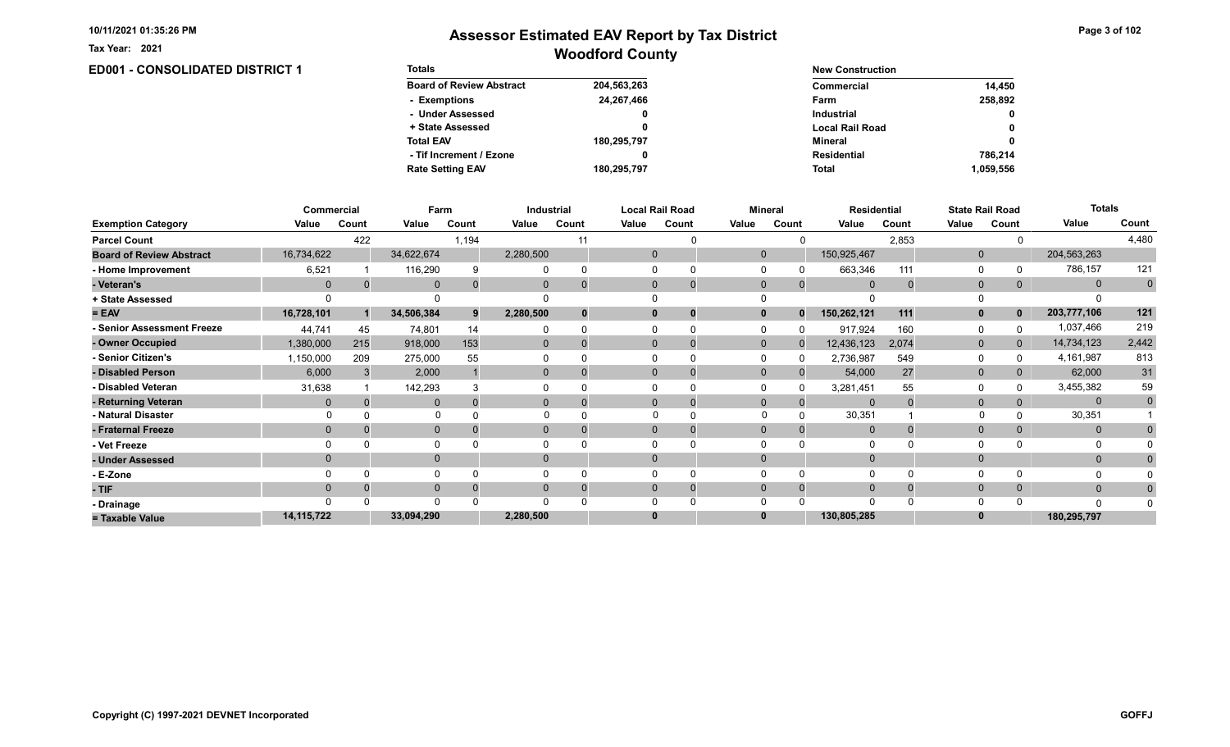**ED001 - CONSOLIDATED DISTRICT 1** 

Tax Year: 2021

# Woodford County Assessor Estimated EAV Report by Tax District

Page 3 of 102

| <b>Totals</b>                   |             | <b>New Construction</b> |              |
|---------------------------------|-------------|-------------------------|--------------|
| <b>Board of Review Abstract</b> | 204,563,263 | Commercial              | 14.450       |
| - Exemptions                    | 24.267.466  | Farm                    | 258.892      |
| - Under Assessed                | 0           | <b>Industrial</b>       | $\mathbf{0}$ |
| + State Assessed                |             | <b>Local Rail Road</b>  | 0            |
| <b>Total EAV</b>                | 180,295,797 | Mineral                 | 0            |
| - Tif Increment / Ezone         |             | <b>Residential</b>      | 786.214      |
| <b>Rate Setting EAV</b>         | 180,295,797 | <b>Total</b>            | 1.059.556    |

|                                 | Commercial   |          | Farm         |       |           | <b>Industrial</b> |       | <b>Local Rail Road</b>      |              | <b>Mineral</b> | <b>Residential</b> |       |              | <b>State Rail Road</b> | <b>Totals</b> |                |
|---------------------------------|--------------|----------|--------------|-------|-----------|-------------------|-------|-----------------------------|--------------|----------------|--------------------|-------|--------------|------------------------|---------------|----------------|
| <b>Exemption Category</b>       | Value        | Count    | Value        | Count | Value     | Count             | Value | Count                       | Value        | Count          | Value              | Count | Value        | Count                  | Value         | Count          |
| <b>Parcel Count</b>             |              | 422      |              | 1,194 |           |                   |       |                             |              |                |                    | 2,853 |              |                        |               | 4,480          |
| <b>Board of Review Abstract</b> | 16,734,622   |          | 34,622,674   |       | 2,280,500 |                   |       | $\mathbf 0$                 | $\Omega$     |                | 150,925,467        |       | $\mathbf{0}$ |                        | 204,563,263   |                |
| - Home Improvement              | 6,521        |          | 116,290      |       |           | $\Omega$          |       |                             |              |                | 663,346            | 111   | 0            |                        | 786,157       | 121            |
| - Veteran's                     | $\Omega$     | $\Omega$ | $\mathbf 0$  |       |           |                   |       | $\mathbf{0}$<br>$\mathbf 0$ | $\mathbf 0$  | $\mathbf{0}$   | $\Omega$           |       | $\mathbf{0}$ | 0                      | $\mathbf{0}$  | $\overline{0}$ |
| + State Assessed                |              |          |              |       |           |                   |       |                             |              |                |                    |       |              |                        |               |                |
| $= EAV$                         | 16,728,101   |          | 34,506,384   | 9     | 2,280,500 |                   |       | $\bf{0}$<br>0               |              | $\bf{0}$       | 150,262,121        | 111   | $\mathbf{0}$ |                        | 203,777,106   | 121            |
| - Senior Assessment Freeze      | 44,741       | 45       | 74,801       | 14    |           |                   |       |                             |              |                | 917,924            | 160   | 0            |                        | 1,037,466     | 219            |
| - Owner Occupied                | 1,380,000    | 215      | 918,000      | 153   | $\Omega$  | $\Omega$          |       | $\Omega$<br>0               | $\mathbf{0}$ | $\Omega$       | 12,436,123         | 2,074 | $\mathbf{0}$ | $\mathbf{0}$           | 14,734,123    | 2,442          |
| - Senior Citizen's              | 1,150,000    | 209      | 275,000      | 55    |           |                   |       |                             |              |                | 2,736,987          | 549   | $\Omega$     |                        | 4,161,987     | 813            |
| - Disabled Person               | 6,000        |          | 2,000        |       | $\Omega$  |                   |       | $\Omega$                    | $\Omega$     |                | 54,000             | 27    | $\mathbf{0}$ | 0                      | 62,000        | 31             |
| - Disabled Veteran              | 31,638       |          | 142,293      |       |           |                   |       | 0                           |              |                | 3,281,451          | 55    | $\Omega$     |                        | 3,455,382     | 59             |
| - Returning Veteran             |              |          | $\Omega$     |       | $\Omega$  |                   |       | $\Omega$<br>$\mathbf 0$     | $\Omega$     | $\Omega$       | $\Omega$           |       | $\mathbf{0}$ |                        | $\mathbf{0}$  | $\mathbf 0$    |
| - Natural Disaster              |              |          | $\Omega$     |       |           |                   |       | $\Omega$                    | $\Omega$     |                | 30,351             |       |              |                        | 30,351        |                |
| - Fraternal Freeze              | $\mathbf 0$  |          | $\mathbf 0$  |       | 0         |                   |       | $\mathbf{0}$                | $\Omega$     |                | $\overline{0}$     |       | $\mathbf{0}$ |                        | $\mathbf{0}$  |                |
| - Vet Freeze                    |              |          | 0            |       |           |                   |       |                             |              |                |                    |       | $\Omega$     |                        |               |                |
| - Under Assessed                |              |          | $\mathbf{0}$ |       | $\Omega$  |                   |       | $\Omega$                    |              |                |                    |       | $\mathbf{0}$ |                        | $\mathbf{0}$  |                |
| - E-Zone                        |              |          | $\Omega$     |       |           |                   |       |                             |              |                |                    |       | $\Omega$     |                        |               |                |
| - TIF                           |              |          | $\mathbf{0}$ |       |           |                   |       | 0<br>0                      |              |                |                    |       | $\mathbf{0}$ |                        | $\mathbf{0}$  |                |
| - Drainage                      |              |          | $\Omega$     |       |           |                   |       |                             |              |                | $\Omega$           |       | $\Omega$     |                        | $\Omega$      |                |
| = Taxable Value                 | 14, 115, 722 |          | 33,094,290   |       | 2,280,500 |                   | 0     |                             |              |                | 130,805,285        |       | $\bf{0}$     |                        | 180,295,797   |                |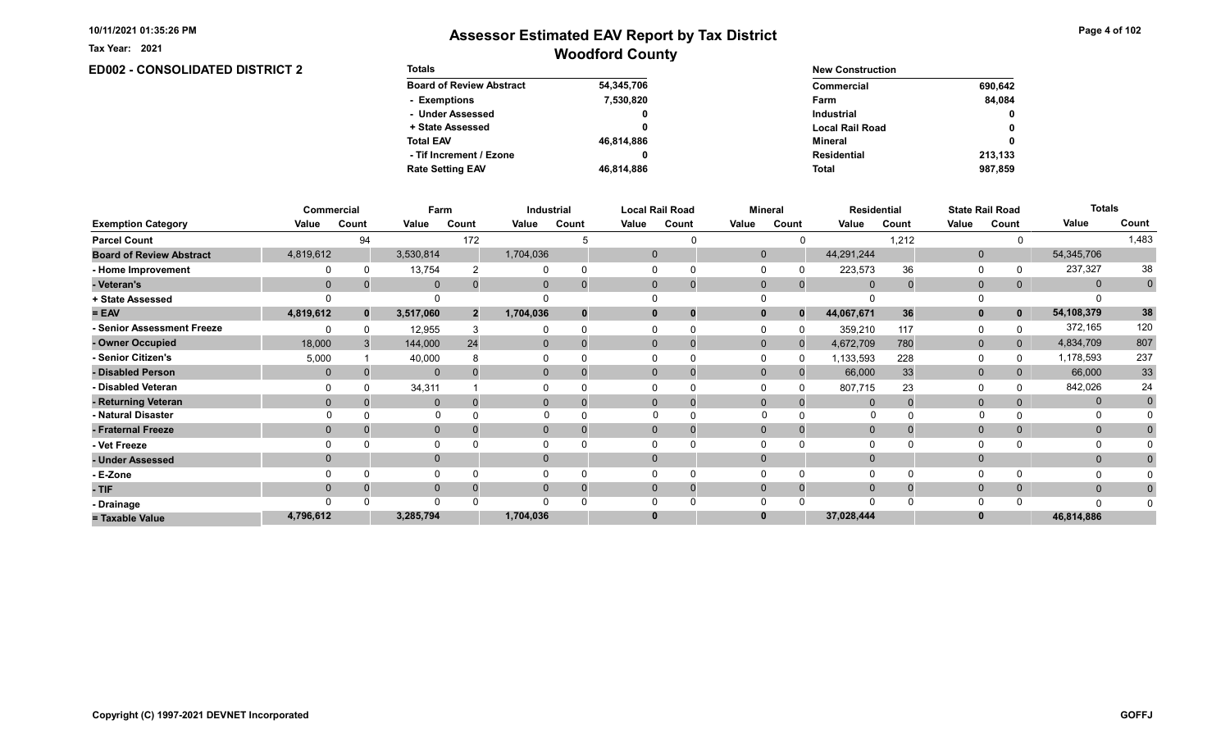**ED002 - CONSOLIDATED DISTRICT 2** 

Tax Year: 2021

# Woodford County Assessor Estimated EAV Report by Tax District

Page 4 of 102

| <b>Totals</b>                   |            | <b>New Construction</b> |              |  |  |  |
|---------------------------------|------------|-------------------------|--------------|--|--|--|
| <b>Board of Review Abstract</b> | 54,345,706 | Commercial              | 690.642      |  |  |  |
| - Exemptions                    | 7,530,820  | Farm                    | 84.084       |  |  |  |
| - Under Assessed                | 0          | <b>Industrial</b>       | 0            |  |  |  |
| + State Assessed                |            | <b>Local Rail Road</b>  | $\mathbf{0}$ |  |  |  |
| <b>Total EAV</b>                | 46,814,886 | Mineral                 | $\mathbf{0}$ |  |  |  |
| - Tif Increment / Ezone         |            | Residential             | 213,133      |  |  |  |
| <b>Rate Setting EAV</b>         | 46,814,886 | <b>Total</b>            | 987.859      |  |  |  |

|                                 |              | <b>Commercial</b> | Farm         |                |                | Industrial |          | <b>Local Rail Road</b> |              | <b>Mineral</b> |                | <b>Residential</b> |                | <b>State Rail Road</b> | <b>Totals</b> |             |
|---------------------------------|--------------|-------------------|--------------|----------------|----------------|------------|----------|------------------------|--------------|----------------|----------------|--------------------|----------------|------------------------|---------------|-------------|
| <b>Exemption Category</b>       | Value        | Count             | Value        | Count          | Value          | Count      | Value    | Count                  | Value        | Count          | Value          | Count              | Value          | Count                  | Value         | Count       |
| <b>Parcel Count</b>             |              | 94                |              | 172            |                |            |          |                        |              |                |                | 1,212              |                |                        |               | 1,483       |
| <b>Board of Review Abstract</b> | 4,819,612    |                   | 3,530,814    |                | 1,704,036      |            | 0        |                        | $\mathbf 0$  |                | 44,291,244     |                    | $\mathbf 0$    |                        | 54,345,706    |             |
| - Home Improvement              |              |                   | 13,754       |                |                | $\Omega$   |          |                        |              |                | 223,573        | 36                 | $\Omega$       |                        | 237,327       | 38          |
| - Veteran's                     | $\mathbf{0}$ |                   | $\mathbf{0}$ |                | 0              | $\Omega$   | $\Omega$ | $\mathbf 0$            | $\mathbf{0}$ | $\mathbf{0}$   | $\overline{0}$ |                    | $\overline{0}$ | 0                      | $\mathbf{0}$  | $\mathbf 0$ |
| + State Assessed                |              |                   |              |                |                |            |          |                        |              |                |                |                    |                |                        |               |             |
| $= EAV$                         | 4,819,612    |                   | 3,517,060    | $\overline{2}$ | 1,704,036      | $\bf{0}$   |          | 0                      |              | $\bf{0}$       | 44,067,671     | 36                 | $\mathbf{0}$   | $\mathbf 0$            | 54,108,379    | 38          |
| <b>Senior Assessment Freeze</b> |              |                   | 12,955       |                |                | $\Omega$   |          |                        |              |                | 359,210        | 117                | 0              |                        | 372,165       | 120         |
| - Owner Occupied                | 18,000       |                   | 144,000      | 24             | $\overline{0}$ | $\Omega$   |          | 0                      | $\mathbf{0}$ | $\Omega$       | 4,672,709      | 780                | $\mathbf{0}$   | 0                      | 4,834,709     | 807         |
| <b>Senior Citizen's</b>         | 5,000        |                   | 40,000       |                |                |            |          |                        |              |                | 1,133,593      | 228                | $\Omega$       |                        | 1,178,593     | 237         |
| - Disabled Person               | $\mathbf{0}$ |                   | $\mathbf{0}$ |                | $\overline{0}$ |            |          | $\Omega$               | $\Omega$     |                | 66,000         | 33                 | $\mathbf{0}$   |                        | 66,000        | 33          |
| - Disabled Veteran              | $\Omega$     |                   | 34,311       |                |                |            |          |                        |              |                | 807,715        | 23                 | $\Omega$       |                        | 842,026       | 24          |
| - Returning Veteran             | $\Omega$     |                   | $\mathbf{0}$ |                | $\overline{0}$ | $\Omega$   |          | $\mathbf 0$            | $\mathbf{0}$ | $\Omega$       | $\Omega$       |                    | $\mathbf{0}$   |                        | $\mathbf{0}$  | $\mathbf 0$ |
| - Natural Disaster              |              |                   |              |                |                |            |          |                        |              |                | <sup>0</sup>   |                    |                |                        |               |             |
| - Fraternal Freeze              | $\Omega$     |                   | $\mathbf 0$  |                | 0              | 0          | $\Omega$ | 0                      | $\Omega$     |                | $\Omega$       |                    | $\mathbf{0}$   |                        | $\mathbf{0}$  |             |
| - Vet Freeze                    |              |                   | $\Omega$     |                |                |            |          |                        |              |                | $\Omega$       |                    | $\Omega$       |                        | 0             |             |
| - Under Assessed                | $\Omega$     |                   | $\mathbf 0$  |                | $\overline{0}$ |            |          |                        |              |                |                |                    | $\mathbf{0}$   |                        | $\mathbf{0}$  |             |
| - E-Zone                        |              |                   | $\Omega$     |                |                |            |          |                        |              |                | $\Omega$       |                    | $\Omega$       |                        |               |             |
| - TIF                           | $\Omega$     |                   | $\mathbf 0$  |                | 0              | $\Omega$   |          | 0                      |              |                | $\Omega$       |                    | $\mathbf{0}$   |                        | $\mathbf{0}$  |             |
| - Drainage                      |              |                   | $\Omega$     |                |                |            |          |                        |              |                | $\Omega$       |                    | $\Omega$       |                        | $\Omega$      |             |
| = Taxable Value                 | 4,796,612    |                   | 3,285,794    |                | 1,704,036      |            |          |                        |              |                | 37,028,444     |                    | $\bf{0}$       |                        | 46,814,886    |             |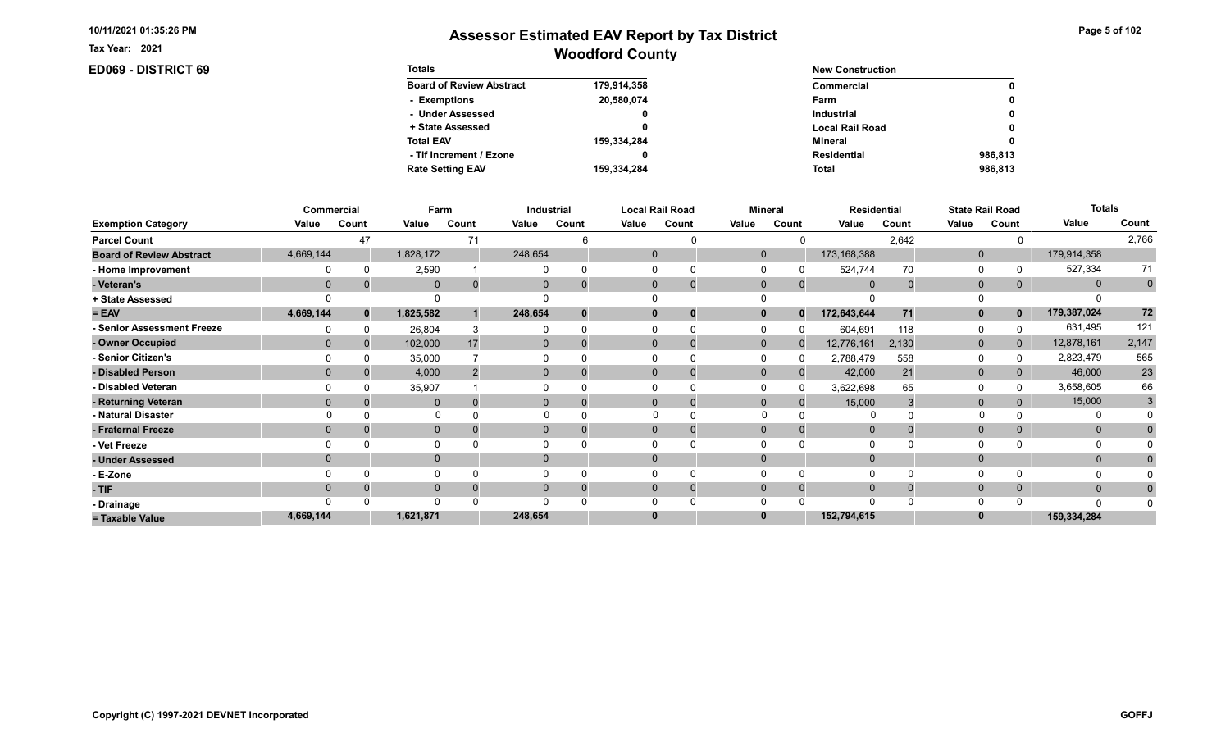Tax Year: 2021

## ED069 - DISTRICT 69

| Page 5 of 102 |  |  |  |  |
|---------------|--|--|--|--|
|---------------|--|--|--|--|

| <b>Totals</b>                   |             | <b>New Construction</b> |         |
|---------------------------------|-------------|-------------------------|---------|
| <b>Board of Review Abstract</b> | 179,914,358 | Commercial              | 0       |
| - Exemptions                    | 20,580,074  | Farm                    | 0       |
| - Under Assessed                |             | <b>Industrial</b>       | 0       |
| + State Assessed                |             | <b>Local Rail Road</b>  | 0       |
| <b>Total EAV</b>                | 159,334,284 | Mineral                 | 0       |
| - Tif Increment / Ezone         |             | <b>Residential</b>      | 986.813 |
| <b>Rate Setting EAV</b>         | 159,334,284 | <b>Total</b>            | 986.813 |

|                                 |              | Commercial   | Farm         |       |                | Industrial |          | <b>Local Rail Road</b> |              | <b>Mineral</b> | <b>Residential</b> |       |                | <b>State Rail Road</b> | <b>Totals</b> |             |
|---------------------------------|--------------|--------------|--------------|-------|----------------|------------|----------|------------------------|--------------|----------------|--------------------|-------|----------------|------------------------|---------------|-------------|
| <b>Exemption Category</b>       | Value        | Count        | Value        | Count | Value          | Count      | Value    | Count                  | Value        | Count          | Value              | Count | Value          | Count                  | Value         | Count       |
| <b>Parcel Count</b>             |              | 47           |              | 71    |                |            |          |                        |              |                |                    | 2,642 |                |                        |               | 2,766       |
| <b>Board of Review Abstract</b> | 4,669,144    |              | 1,828,172    |       | 248,654        |            | 0        |                        | $\mathbf 0$  |                | 173,168,388        |       | $\mathbf 0$    |                        | 179,914,358   |             |
| - Home Improvement              |              |              | 2,590        |       |                | $\Omega$   |          |                        |              |                | 524,744            | 70    | $\Omega$       |                        | 527,334       | 71          |
| - Veteran's                     | $\mathbf{0}$ |              | $\mathbf{0}$ |       | 0              | $\Omega$   | $\Omega$ | $\mathbf 0$            | $\mathbf{0}$ | $\mathbf{0}$   | $\overline{0}$     |       | $\overline{0}$ | 0                      | $\mathbf{0}$  | $\mathbf 0$ |
| + State Assessed                |              |              |              |       |                |            |          |                        |              |                |                    |       |                |                        |               |             |
| $= EAV$                         | 4,669,144    | $\mathbf{0}$ | 1,825,582    |       | 248,654        | $\bf{0}$   |          | 0                      |              | $\mathbf{0}$   | 172,643,644        | 71    | $\mathbf{0}$   | 0                      | 179,387,024   | 72          |
| <b>Senior Assessment Freeze</b> |              |              | 26,804       |       |                |            |          |                        |              |                | 604,691            | 118   | 0              |                        | 631,495       | 121         |
| - Owner Occupied                | $\Omega$     |              | 102,000      | 17    | $\overline{0}$ | $\Omega$   |          | 0                      | $\mathbf{0}$ | <sup>0</sup>   | 12,776,161         | 2,130 | $\mathbf{0}$   |                        | 12,878,161    | 2,147       |
| <b>Senior Citizen's</b>         |              |              | 35,000       |       |                |            |          |                        |              |                | 2,788,479          | 558   | $\Omega$       |                        | 2,823,479     | 565         |
| - Disabled Person               | $\Omega$     |              | 4,000        |       | $\overline{0}$ | $\Omega$   |          | $\Omega$               | $\Omega$     |                | 42,000             | 21    | $\mathbf{0}$   | 0                      | 46,000        | 23          |
| - Disabled Veteran              |              |              | 35,907       |       |                |            |          |                        |              |                | 3,622,698          | 65    | $\Omega$       |                        | 3,658,605     | 66          |
| - Returning Veteran             | $\Omega$     |              | $\mathbf{0}$ |       | $\overline{0}$ | $\Omega$   |          | $\mathbf 0$            | $\mathbf{0}$ | $\Omega$       | 15,000             |       | $\mathbf{0}$   |                        | 15,000        | 3           |
| - Natural Disaster              |              |              |              |       |                |            |          |                        |              |                |                    |       |                |                        |               |             |
| - Fraternal Freeze              | $\Omega$     |              | $\mathbf 0$  |       | 0              |            | $\Omega$ | 0                      | $\Omega$     |                | $\mathbf{0}$       |       | $\mathbf{0}$   |                        | $\mathbf{0}$  |             |
| - Vet Freeze                    |              |              | $\Omega$     |       |                |            |          |                        |              |                |                    |       | $\Omega$       |                        |               |             |
| - Under Assessed                | $\Omega$     |              | $\mathbf 0$  |       | $\overline{0}$ |            |          |                        |              |                |                    |       | $\mathbf{0}$   |                        | $\Omega$      |             |
| - E-Zone                        |              |              | $\Omega$     |       |                |            |          |                        |              |                | $\Omega$           |       | $\Omega$       |                        |               |             |
| - TIF                           | $\Omega$     |              | $\mathbf 0$  |       | 0              | $\Omega$   |          | 0                      |              |                | $\Omega$           |       | $\mathbf{0}$   |                        | $\mathbf{0}$  |             |
| - Drainage                      |              |              | $\Omega$     |       |                |            |          |                        |              |                | $\Omega$           |       | $\Omega$       |                        | $\Omega$      |             |
| = Taxable Value                 | 4,669,144    |              | 1,621,871    |       | 248,654        |            |          |                        |              |                | 152,794,615        |       | $\bf{0}$       |                        | 159,334,284   |             |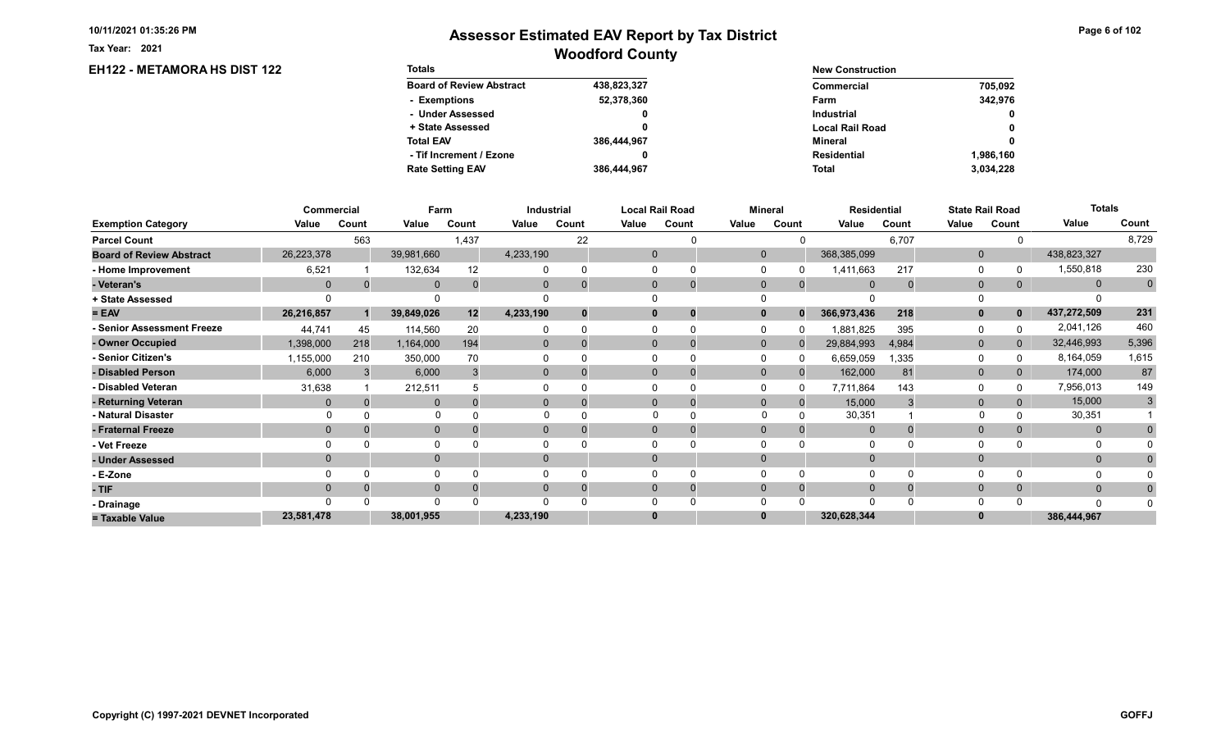EH122 - METAMORA HS DIST 122

Tax Year: 2021

| <b>Totals</b>                   |             | <b>New Construction</b> |             |  |  |
|---------------------------------|-------------|-------------------------|-------------|--|--|
| <b>Board of Review Abstract</b> | 438,823,327 | Commercial              | 705,092     |  |  |
| - Exemptions                    | 52,378,360  | Farm                    | 342.976     |  |  |
| - Under Assessed                | 0           | Industrial              | $\mathbf 0$ |  |  |
| + State Assessed                |             | <b>Local Rail Road</b>  | $\mathbf 0$ |  |  |
| <b>Total EAV</b>                | 386,444,967 | Mineral                 | $\mathbf 0$ |  |  |
| - Tif Increment / Ezone         | 0           | Residential             | 1.986.160   |  |  |
| <b>Rate Setting EAV</b>         | 386.444.967 | Total                   | 3,034,228   |  |  |

|                                 |            | Commercial | Farm         |       |                | Industrial |       | <b>Local Rail Road</b> |              | <b>Mineral</b> | <b>Residential</b> |       |              | <b>State Rail Road</b> | <b>Totals</b> |                |
|---------------------------------|------------|------------|--------------|-------|----------------|------------|-------|------------------------|--------------|----------------|--------------------|-------|--------------|------------------------|---------------|----------------|
| <b>Exemption Category</b>       | Value      | Count      | Value        | Count | Value          | Count      | Value | Count                  | Value        | Count          | Value              | Count | Value        | Count                  | Value         | Count          |
| <b>Parcel Count</b>             |            | 563        |              | 1,437 |                | 22         |       |                        |              |                |                    | 6,707 |              |                        |               | 8,729          |
| <b>Board of Review Abstract</b> | 26,223,378 |            | 39,981,660   |       | 4,233,190      |            |       |                        | $\mathbf{0}$ |                | 368,385,099        |       | $\mathbf{0}$ |                        | 438,823,327   |                |
| - Home Improvement              | 6,521      |            | 132,634      | 12    |                | $\Omega$   |       |                        |              |                | 1,411,663          | 217   | 0            |                        | 1,550,818     | 230            |
| - Veteran's                     | $\Omega$   |            | $\mathbf 0$  |       |                | $\Omega$   |       | $\mathbf 0$            | $\mathbf{0}$ | $\overline{0}$ | $\Omega$           |       | $\mathbf 0$  | 0                      | $\mathbf{0}$  | $\overline{0}$ |
| + State Assessed                |            |            |              |       |                |            |       |                        |              |                |                    |       |              |                        |               |                |
| $= EAV$                         | 26,216,857 |            | 39,849,026   | 12    | 4,233,190      | $\bf{0}$   |       | 0                      |              | $\Omega$       | 366,973,436        | 218   | $\mathbf{0}$ |                        | 437,272,509   | 231            |
| - Senior Assessment Freeze      | 44,741     | 45         | 114,560      | 20    |                | $\Omega$   |       |                        |              |                | 1,881,825          | 395   | 0            |                        | 2,041,126     | 460            |
| - Owner Occupied                | 1,398,000  | 218        | 1,164,000    | 194   | $\overline{0}$ | $\Omega$   |       | 0                      | $\Omega$     |                | 29,884,993         | 4,984 | $\mathbf{0}$ | 0                      | 32,446,993    | 5,396          |
| - Senior Citizen's              | 1,155,000  | 210        | 350,000      |       |                |            |       |                        |              |                | 6,659,059          | 1,335 | $\Omega$     |                        | 8,164,059     | 1,615          |
| - Disabled Person               | 6,000      |            | 6,000        |       | $\overline{0}$ |            |       | 0                      | $\Omega$     |                | 162,000            | 81    | $\mathbf 0$  | 0                      | 174,000       | 87             |
| - Disabled Veteran              | 31,638     |            | 212,511      |       |                |            |       |                        |              |                | 7,711,864          | 143   | $\Omega$     |                        | 7,956,013     | 149            |
| - Returning Veteran             | $\Omega$   |            | $\mathbf{0}$ |       | $\overline{0}$ | 0          |       | 0                      | $\mathbf{0}$ | $\Omega$       | 15,000             |       | $\mathbf{0}$ |                        | 15,000        | 3              |
| - Natural Disaster              |            |            |              |       |                |            |       | $\Omega$               | $\Omega$     |                | 30,351             |       |              |                        | 30,351        |                |
| - Fraternal Freeze              | $\Omega$   |            | $\mathbf 0$  |       | 0              |            |       |                        | $\Omega$     |                | $\Omega$           |       | $\mathbf{0}$ |                        | $\mathbf{0}$  |                |
| - Vet Freeze                    |            |            | $\Omega$     |       |                |            |       |                        |              |                | $\Omega$           |       | $\Omega$     |                        |               |                |
| - Under Assessed                |            |            | $\mathbf 0$  |       | $\Omega$       |            |       |                        |              |                |                    |       | $\Omega$     |                        | $\mathbf{0}$  |                |
| - E-Zone                        |            |            | $\Omega$     |       |                |            |       |                        |              |                |                    |       | $\Omega$     |                        |               |                |
| - TIF                           | $\Omega$   |            | $\Omega$     |       | $\Omega$       | $\Omega$   |       | 0                      |              | $\Omega$       | $\Omega$           |       | $\mathbf{0}$ |                        | $\mathbf{0}$  |                |
| - Drainage                      |            |            | $\Omega$     |       | ∩              |            |       |                        |              |                | $\Omega$           |       | $\Omega$     |                        |               |                |
| = Taxable Value                 | 23,581,478 |            | 38,001,955   |       | 4,233,190      |            |       |                        |              |                | 320,628,344        |       |              |                        | 386,444,967   |                |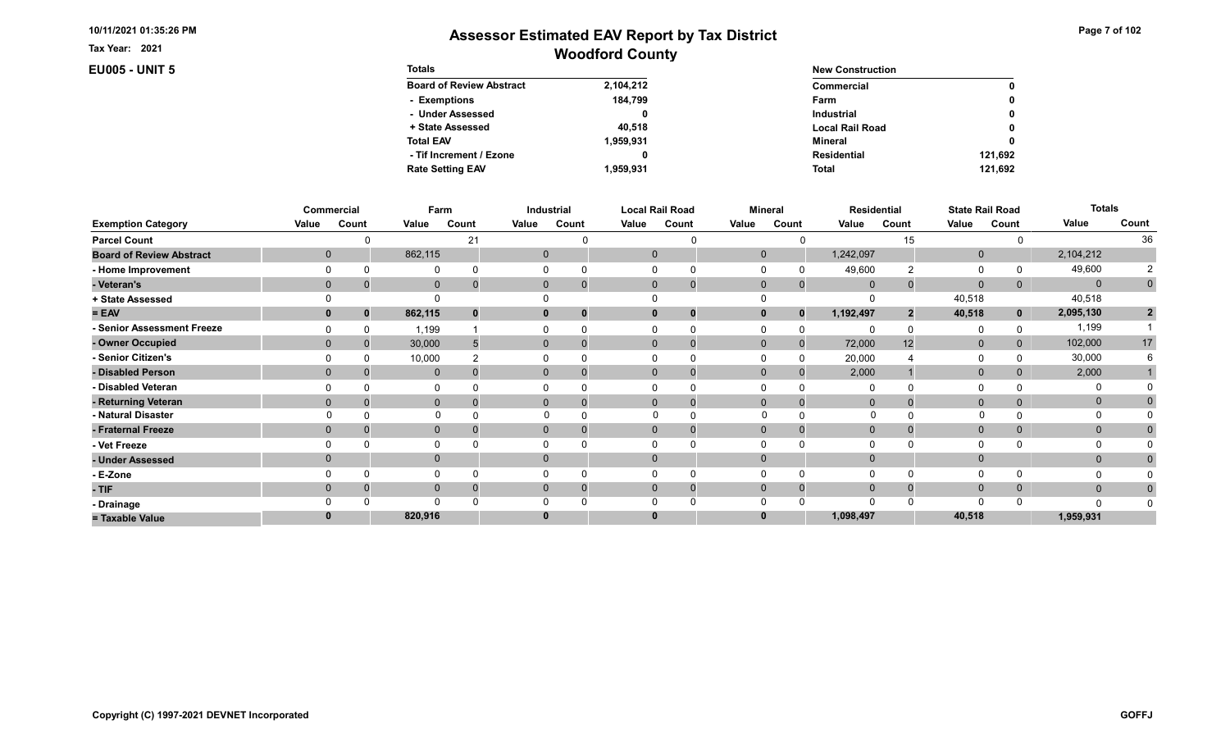Tax Year: 2021

**EU005 - UNIT 5** 

| <b>Totals</b>                   |           | <b>New Construction</b> |              |  |  |  |
|---------------------------------|-----------|-------------------------|--------------|--|--|--|
| <b>Board of Review Abstract</b> | 2,104,212 | Commercial              | 0            |  |  |  |
| - Exemptions                    | 184.799   | Farm                    | 0            |  |  |  |
| - Under Assessed                |           | <b>Industrial</b>       | $\mathbf{0}$ |  |  |  |
| + State Assessed                | 40.518    | <b>Local Rail Road</b>  | 0            |  |  |  |
| <b>Total EAV</b>                | 1.959.931 | Mineral                 | 0            |  |  |  |
| - Tif Increment / Ezone         |           | <b>Residential</b>      | 121.692      |  |  |  |
| <b>Rate Setting EAV</b>         | 1.959.931 | <b>Total</b>            | 121.692      |  |  |  |

|                                 |             | Commercial  | Farm         |       |       | Industrial               |          | <b>Local Rail Road</b>      |              | <b>Mineral</b> |                | <b>Residential</b> | <b>State Rail Road</b> |       | <b>Totals</b> |                |
|---------------------------------|-------------|-------------|--------------|-------|-------|--------------------------|----------|-----------------------------|--------------|----------------|----------------|--------------------|------------------------|-------|---------------|----------------|
| <b>Exemption Category</b>       | Value       | Count       | Value        | Count | Value | Count                    | Value    | Count                       | Value        | Count          | Value          | Count              | Value                  | Count | Value         | Count          |
| <b>Parcel Count</b>             |             |             |              | 21    |       |                          |          |                             |              |                |                | 15                 |                        |       |               | 36             |
| <b>Board of Review Abstract</b> |             | $\mathbf 0$ | 862,115      |       |       | 0                        |          | $\mathbf 0$                 | $\mathbf 0$  |                | 1,242,097      |                    | $\mathbf 0$            |       | 2,104,212     |                |
| - Home Improvement              |             |             | 0            |       |       |                          |          |                             |              |                | 49,600         |                    | $\Omega$               |       | 49,600        |                |
| - Veteran's                     | $\mathbf 0$ |             | $\mathbf 0$  |       |       | $\mathbf{0}$             |          | $\mathbf{0}$<br>$\mathbf 0$ | $\mathbf 0$  | $\mathbf{0}$   | $\overline{0}$ |                    | $\mathbf{0}$           | 0     | $\Omega$      | $\mathbf 0$    |
| + State Assessed                |             |             |              |       |       |                          |          |                             |              |                |                |                    | 40,518                 |       | 40,518        |                |
| $= EAV$                         |             | $\Omega$    | 862,115      |       |       | 0<br>$\Omega$            | $\bf{0}$ | 0                           |              | $\Omega$       | 1,192,497      |                    | 40,518                 | 0     | 2,095,130     | $\overline{2}$ |
| - Senior Assessment Freeze      |             |             | 1,199        |       |       |                          |          |                             |              |                |                |                    | 0                      |       | 1,199         |                |
| - Owner Occupied                |             |             | 30,000       |       |       | $\mathbf{0}$<br>$\Omega$ |          | $\Omega$<br>O               | $\Omega$     | $\mathbf{0}$   | 72,000         | 12                 | $\mathbf{0}$           |       | 102,000       | 17             |
| - Senior Citizen's              |             |             | 10,000       |       |       |                          |          | 0                           |              |                | 20,000         |                    | $\Omega$               |       | 30,000        |                |
| - Disabled Person               |             |             | $\mathbf{0}$ |       |       | $\mathbf{0}$             |          | $\Omega$<br>$\Omega$        | $\Omega$     | $\Omega$       | 2,000          |                    | $\mathbf{0}$           |       | 2,000         |                |
| - Disabled Veteran              |             |             | 0            |       |       |                          |          | 0                           |              |                | $\Omega$       |                    | $\Omega$               |       |               |                |
| - Returning Veteran             | $\Omega$    |             | $\mathbf 0$  |       |       | $\mathbf{0}$<br>$\Omega$ |          | $\Omega$<br>$\mathbf 0$     | $\mathbf{0}$ | $\Omega$       | $\Omega$       |                    | $\mathbf{0}$           | 0     | $\mathbf 0$   |                |
| - Natural Disaster              |             |             | $\Omega$     |       |       |                          |          | 0                           | $\Omega$     |                | <sup>0</sup>   |                    |                        |       | O             |                |
| - Fraternal Freeze              | $\Omega$    |             | $\mathbf 0$  |       |       | $\mathbf{0}$             |          | $\mathbf{0}$<br>0           | $\Omega$     |                | $\overline{0}$ |                    | $\mathbf 0$            | 0     | $\mathbf{0}$  |                |
| - Vet Freeze                    |             |             | 0            |       |       |                          |          |                             |              |                |                |                    | $\Omega$               |       | $\Omega$      |                |
| - Under Assessed                |             |             | $\mathbf 0$  |       |       | $\Omega$                 | $\Omega$ |                             |              |                |                |                    | $\mathbf{0}$           |       | $\mathbf{0}$  |                |
| - E-Zone                        |             |             | $\Omega$     |       |       |                          |          |                             |              |                | $\Omega$       |                    | $\Omega$               |       |               |                |
| - TIF                           |             |             | $\mathbf 0$  |       |       |                          | 0        | 0                           |              | $\Omega$       | $\Omega$       |                    | $\mathbf 0$            | 0     | $\mathbf{0}$  |                |
| - Drainage                      |             |             | $\Omega$     |       |       |                          |          |                             |              |                |                |                    | $\Omega$               |       | n             |                |
| = Taxable Value                 |             |             | 820,916      |       |       |                          | 0        |                             |              |                | 1,098,497      |                    | 40,518                 |       | 1,959,931     |                |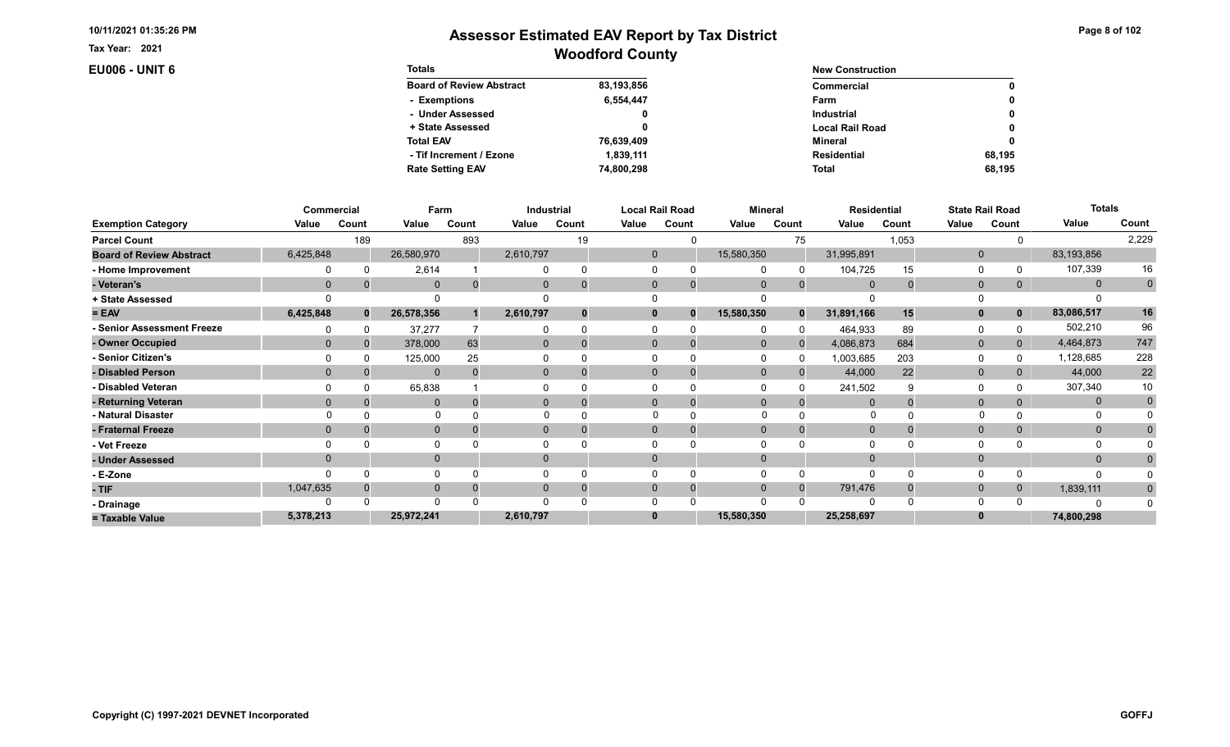Tax Year: 2021

**EU006 - UNIT 6** 

| Page 8 of 102 |  |  |
|---------------|--|--|
|---------------|--|--|

| <b>Totals</b>                   |            | <b>New Construction</b> |              |  |  |
|---------------------------------|------------|-------------------------|--------------|--|--|
| <b>Board of Review Abstract</b> | 83,193,856 | Commercial              | 0            |  |  |
| - Exemptions                    | 6,554,447  | Farm                    | 0            |  |  |
| - Under Assessed                | 0          | <b>Industrial</b>       | $\mathbf{0}$ |  |  |
| + State Assessed                |            | <b>Local Rail Road</b>  | 0            |  |  |
| <b>Total EAV</b>                | 76,639,409 | Mineral                 | 0            |  |  |
| - Tif Increment / Ezone         | 1.839.111  | <b>Residential</b>      | 68.195       |  |  |
| <b>Rate Setting EAV</b>         | 74,800,298 | <b>Total</b>            | 68.195       |  |  |

|                                 |           | Commercial   | Farm         |       |              | Industrial |              | <b>Local Rail Road</b> |              | <b>Mineral</b> | <b>Residential</b> |       |              | <b>State Rail Road</b> | <b>Totals</b> |             |
|---------------------------------|-----------|--------------|--------------|-------|--------------|------------|--------------|------------------------|--------------|----------------|--------------------|-------|--------------|------------------------|---------------|-------------|
| <b>Exemption Category</b>       | Value     | Count        | Value        | Count | Value        | Count      | Value        | Count                  | Value        | Count          | Value              | Count | Value        | Count                  | Value         | Count       |
| <b>Parcel Count</b>             |           | 189          |              | 893   |              | 19         |              | $\Omega$               |              | 75             |                    | 1,053 |              |                        |               | 2,229       |
| <b>Board of Review Abstract</b> | 6,425,848 |              | 26,580,970   |       | 2,610,797    |            | $\mathbf 0$  |                        | 15,580,350   |                | 31,995,891         |       | $\mathbf 0$  |                        | 83,193,856    |             |
| - Home Improvement              |           |              | 2,614        |       |              |            | $\Omega$     |                        |              |                | 104,725            | 15    | 0            |                        | 107,339       | 16          |
| - Veteran's                     | $\Omega$  |              | $\Omega$     |       | $\mathbf{0}$ |            | $\mathbf{0}$ |                        | $\Omega$     | $\Omega$       | $\Omega$           |       | $\mathbf{0}$ | $\Omega$               | $\mathbf{0}$  | $\mathbf 0$ |
| + State Assessed                |           |              |              |       |              |            |              |                        |              |                |                    |       | $\Omega$     |                        |               |             |
| $= EAV$                         | 6,425,848 | $\mathbf{0}$ | 26,578,356   |       | 2,610,797    |            | $\mathbf{0}$ | $\bf{0}$               | 15,580,350   | $\Omega$       | 31,891,166         | 15    | $\mathbf{0}$ | $\mathbf 0$            | 83,086,517    | 16          |
| - Senior Assessment Freeze      |           |              | 37,277       |       |              |            |              |                        |              | <sup>0</sup>   | 464,933            | 89    | 0            |                        | 502,210       | 96          |
| - Owner Occupied                | $\Omega$  |              | 378,000      | 63    | $\mathbf{0}$ |            | $\Omega$     |                        | $\mathbf{0}$ | $\Omega$       | 4,086,873          | 684   | $\mathbf{0}$ | $\mathbf{0}$           | 4,464,873     | 747         |
| - Senior Citizen's              |           |              | 125,000      | 25    |              |            |              |                        |              |                | 1,003,685          | 203   | 0            |                        | 1,128,685     | 228         |
| - Disabled Person               | $\Omega$  |              | $\Omega$     |       | $\Omega$     |            | $\Omega$     |                        | $\Omega$     |                | 44,000             | 22    | $\mathbf{0}$ |                        | 44,000        | $22\,$      |
| - Disabled Veteran              |           |              | 65,838       |       |              |            | $\Omega$     |                        |              |                | 241,502            |       | 0            |                        | 307,340       | 10          |
| - Returning Veteran             | $\Omega$  |              | $\Omega$     |       | $\Omega$     |            | $\Omega$     | 0                      | $\Omega$     | $\Omega$       |                    |       | $\mathbf{0}$ |                        | $\mathbf{0}$  | $\mathbf 0$ |
| - Natural Disaster              |           |              | $\Omega$     |       |              |            |              |                        | $\Omega$     |                | O                  |       |              |                        |               |             |
| - Fraternal Freeze              | $\Omega$  |              | $\mathbf{0}$ |       | $\mathbf{0}$ |            | $\mathbf{0}$ |                        | $\Omega$     |                | $\mathbf 0$        |       | $\mathbf{0}$ | $\mathbf{0}$           | $\mathbf{0}$  |             |
| - Vet Freeze                    |           |              | $\Omega$     |       |              |            |              |                        |              |                |                    |       | $\Omega$     |                        | 0             |             |
| - Under Assessed                | $\Omega$  |              | $\mathbf{0}$ |       | 0            |            | $\Omega$     |                        |              |                |                    |       | $\mathbf{0}$ |                        | $\Omega$      |             |
| - E-Zone                        |           |              | $\Omega$     |       |              |            |              |                        |              |                |                    |       | $\Omega$     |                        |               |             |
| - TIF                           | 1,047,635 |              | $\mathbf{0}$ |       |              |            | $\Omega$     |                        | $\Omega$     | $\Omega$       | 791,476            |       | $\mathbf 0$  | $\Omega$               | 1,839,111     |             |
| - Drainage                      |           |              | $\Omega$     |       |              |            |              |                        |              |                |                    |       | $\Omega$     |                        | O             |             |
| = Taxable Value                 | 5,378,213 |              | 25,972,241   |       | 2,610,797    |            | $\bf{0}$     |                        | 15,580,350   |                | 25,258,697         |       | $\bf{0}$     |                        | 74,800,298    |             |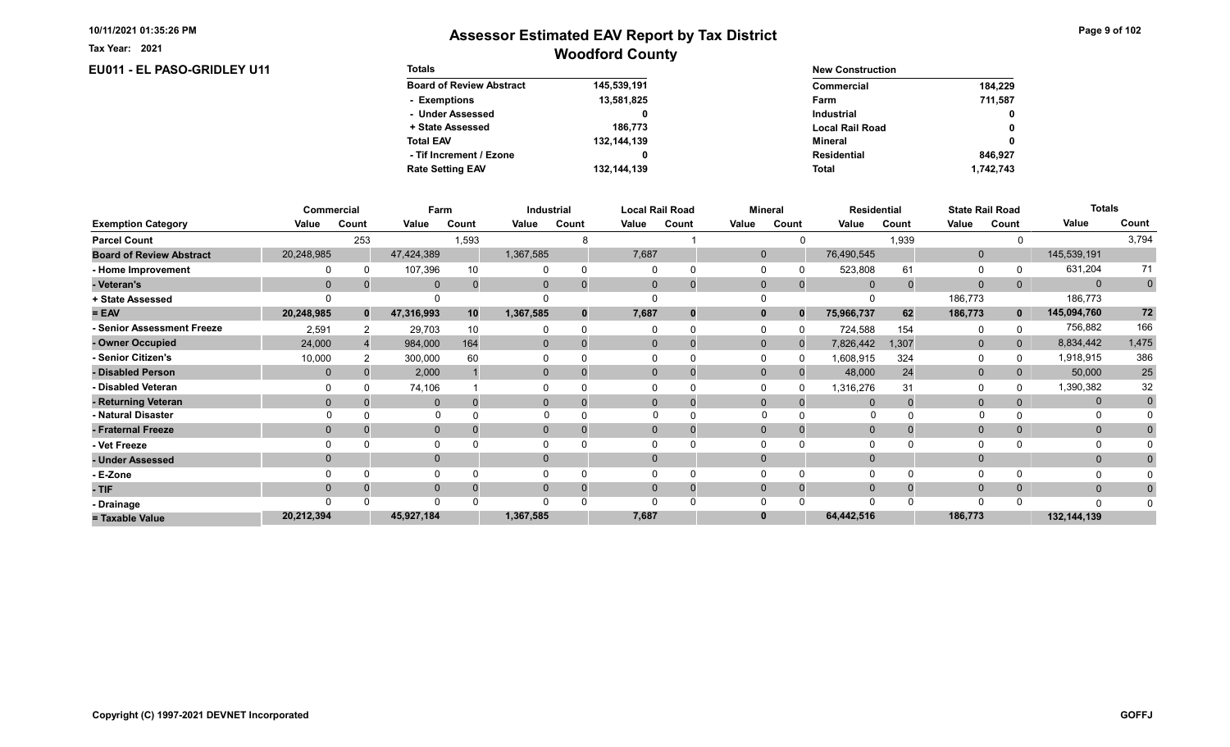EU011 - EL PASO-GRIDLEY U11

Tax Year: 2021

| <b>Totals</b>                   |             | <b>New Construction</b> |              |
|---------------------------------|-------------|-------------------------|--------------|
| <b>Board of Review Abstract</b> | 145,539,191 | Commercial              | 184.229      |
| - Exemptions                    | 13,581,825  | Farm                    | 711.587      |
| - Under Assessed                |             | <b>Industrial</b>       | $\mathbf{0}$ |
| + State Assessed                | 186.773     | <b>Local Rail Road</b>  | 0            |
| <b>Total EAV</b>                | 132,144,139 | Mineral                 | 0            |
| - Tif Increment / Ezone         | 0           | <b>Residential</b>      | 846.927      |
| <b>Rate Setting EAV</b>         | 132,144,139 | <b>Total</b>            | 1,742,743    |

|                                 |             | Commercial   | Farm         |       |                | Industrial |          | Local Rail Road | <b>Mineral</b> |          | <b>Residential</b> |       | <b>State Rail Road</b> |              | <b>Totals</b> |              |
|---------------------------------|-------------|--------------|--------------|-------|----------------|------------|----------|-----------------|----------------|----------|--------------------|-------|------------------------|--------------|---------------|--------------|
| <b>Exemption Category</b>       | Value       | Count        | Value        | Count | Value          | Count      | Value    | Count           | Value          | Count    | Value              | Count | Value                  | Count        | Value         | Count        |
| <b>Parcel Count</b>             |             | 253          |              | 1,593 |                |            |          |                 |                |          |                    | 1,939 |                        |              |               | 3,794        |
| <b>Board of Review Abstract</b> | 20,248,985  |              | 47,424,389   |       | 1,367,585      |            | 7,687    |                 | $\mathbf{0}$   |          | 76,490,545         |       | $\mathbf{0}$           |              | 145,539,191   |              |
| - Home Improvement              |             |              | 107,396      |       |                | $\Omega$   |          |                 |                |          | 523,808            | 61    | $\Omega$               |              | 631,204       | 71           |
| - Veteran's                     | $\mathbf 0$ |              | $\mathbf{0}$ |       | $\mathbf{0}$   | $\Omega$   | $\Omega$ | $\mathbf 0$     | $\mathbf 0$    | $\Omega$ | $\mathbf 0$        |       | $\overline{0}$         | 0            | $\mathbf{0}$  | $\mathbf 0$  |
| + State Assessed                |             |              | $\Omega$     |       |                |            |          |                 |                |          |                    |       | 186,773                |              | 186,773       |              |
| $= EAV$                         | 20,248,985  | $\mathbf{0}$ | 47,316,993   | 10    | 1,367,585      | $\bf{0}$   | 7,687    | 0               | $\mathbf{0}$   | $\bf{0}$ | 75,966,737         | 62    | 186,773                | $\mathbf{0}$ | 145,094,760   | 72           |
| - Senior Assessment Freeze      | 2,591       |              | 29,703       | 10    |                | $\Omega$   |          |                 |                |          | 724,588            | 154   | $\Omega$               |              | 756,882       | 166          |
| - Owner Occupied                | 24,000      |              | 984,000      | 164   | $\overline{0}$ | $\Omega$   |          | 0               | $\mathbf{0}$   |          | 7,826,442          | 1,307 | $\mathbf{0}$           | 0            | 8,834,442     | 1,475        |
| - Senior Citizen's              | 10,000      |              | 300,000      | 60    |                |            |          |                 |                |          | 1,608,915          | 324   | 0                      |              | 1,918,915     | 386          |
| - Disabled Person               | $\Omega$    |              | 2,000        |       | $\Omega$       |            |          | 0               | $\Omega$       |          | 48,000             | 24    | $\mathbf{0}$           |              | 50,000        | 25           |
| - Disabled Veteran              |             |              | 74,106       |       |                |            |          |                 |                |          | 1,316,276          | 31    | $\Omega$               |              | 1,390,382     | 32           |
| - Returning Veteran             | $\Omega$    |              | $\Omega$     |       | $\Omega$       | $\Omega$   |          | $\Omega$        | $\Omega$       |          | $\Omega$           |       | $\mathbf{0}$           |              | $\mathbf{0}$  | $\mathbf{0}$ |
| - Natural Disaster              |             |              |              |       |                |            |          |                 |                |          |                    |       |                        |              |               |              |
| - Fraternal Freeze              | $\Omega$    |              | $\mathbf{0}$ |       | 0              | 0          |          | 0               |                | 0        | $\mathbf{0}$       |       | $\Omega$               | 0            | $\mathbf{0}$  |              |
| - Vet Freeze                    |             |              | 0            |       |                |            |          |                 |                |          | $\Omega$           |       | 0                      |              | 0             |              |
| - Under Assessed                | $\Omega$    |              | $\mathbf{0}$ |       | $\overline{0}$ |            |          |                 |                |          |                    |       | $\mathbf 0$            |              | $\Omega$      |              |
| - E-Zone                        |             |              | $\Omega$     |       |                |            |          |                 |                |          |                    |       | $\Omega$               |              |               |              |
| - TIF                           | $\Omega$    |              | $\Omega$     |       | 0              | $\Omega$   |          | 0               |                |          | $\Omega$           |       | $\Omega$               |              | $\mathbf{0}$  |              |
| - Drainage                      |             |              | $\Omega$     |       |                |            |          |                 |                |          | $\Omega$           |       | $\Omega$               |              | $\Omega$      |              |
| = Taxable Value                 | 20,212,394  |              | 45,927,184   |       | 1,367,585      |            | 7,687    |                 |                |          | 64,442,516         |       | 186,773                |              | 132,144,139   |              |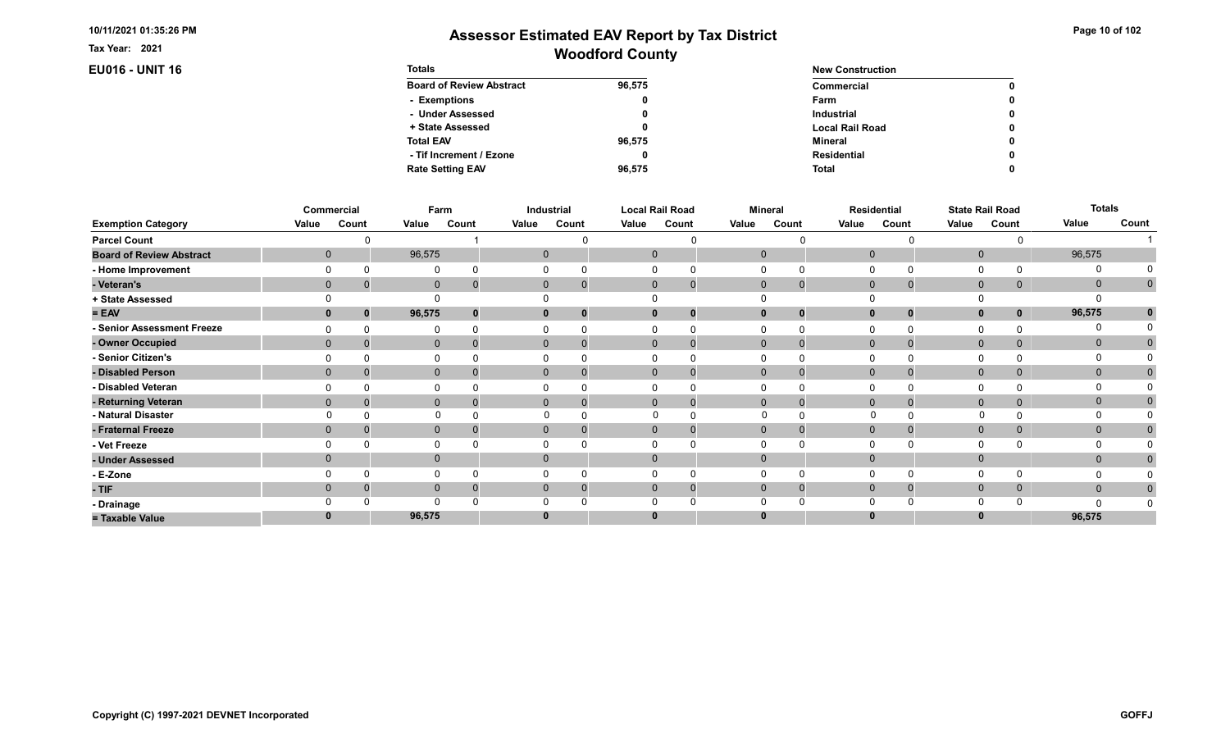Tax Year: 2021

**EU016 - UNIT 16** 

| Page 10 of 102 |  |  |  |  |
|----------------|--|--|--|--|
|----------------|--|--|--|--|

| <b>Totals</b>                   |        | <b>New Construction</b> |   |  |  |
|---------------------------------|--------|-------------------------|---|--|--|
| <b>Board of Review Abstract</b> | 96,575 | Commercial              | 0 |  |  |
| - Exemptions                    | 0      | Farm                    | 0 |  |  |
| - Under Assessed                |        | <b>Industrial</b>       | 0 |  |  |
| + State Assessed                |        | <b>Local Rail Road</b>  | 0 |  |  |
| <b>Total EAV</b>                | 96.575 | Mineral                 | 0 |  |  |
| - Tif Increment / Ezone         |        | <b>Residential</b>      | 0 |  |  |
| <b>Rate Setting EAV</b>         | 96.575 | <b>Total</b>            | 0 |  |  |

|                                 |          | Commercial   | Farm         |       |       | Industrial           |       | <b>Local Rail Road</b>      |              | <b>Mineral</b> |       | Residential       |              | <b>State Rail Road</b> | <b>Totals</b> |             |
|---------------------------------|----------|--------------|--------------|-------|-------|----------------------|-------|-----------------------------|--------------|----------------|-------|-------------------|--------------|------------------------|---------------|-------------|
| <b>Exemption Category</b>       | Value    | Count        | Value        | Count | Value | Count                | Value | Count                       | Value        | Count          | Value | Count             | Value        | Count                  | Value         | Count       |
| <b>Parcel Count</b>             |          |              |              |       |       |                      |       |                             |              |                |       | ∩                 |              |                        |               |             |
| <b>Board of Review Abstract</b> |          | $\mathbf{0}$ | 96,575       |       |       | $\mathbf{0}$         |       | $\mathbf 0$                 | $\mathbf{0}$ |                |       | $\mathbf 0$       | $\mathbf 0$  |                        | 96,575        |             |
| - Home Improvement              |          |              | $\Omega$     |       |       |                      |       |                             |              |                |       |                   | $\Omega$     |                        | 0             |             |
| - Veteran's                     |          | $\mathbf 0$  | $\mathbf 0$  |       |       | $\mathbf{0}$         |       | $\mathbf{0}$<br>$\mathbf 0$ | $\mathbf 0$  | $\mathbf{0}$   |       | $\mathbf 0$       | $\mathbf 0$  | $\mathbf{0}$           | $\mathbf 0$   | $\mathbf 0$ |
| + State Assessed                |          |              | $\Omega$     |       |       |                      |       |                             |              |                |       |                   | $\Omega$     |                        |               |             |
| $= EAV$                         |          | 0<br>0       | 96,575       |       |       | $\mathbf{0}$<br>0    |       | $\mathbf 0$<br>0            |              | $\bf{0}$       |       | $\mathbf{0}$<br>0 | $\mathbf 0$  | 0                      | 96,575        |             |
| - Senior Assessment Freeze      |          |              | $\Omega$     |       |       |                      |       |                             |              |                |       |                   | $\Omega$     |                        | 0             |             |
| - Owner Occupied                |          | $\Omega$     | $\mathbf 0$  |       |       | $\mathbf{0}$         |       | $\mathbf{0}$<br>$\mathbf 0$ | $\mathbf{0}$ | $\Omega$       |       | $\Omega$          | $\mathbf 0$  | 0                      | $\mathbf{0}$  | $\Omega$    |
| - Senior Citizen's              |          |              | 0            |       |       |                      |       | 0                           |              |                |       |                   | 0            |                        |               |             |
| - Disabled Person               |          |              | $\mathbf{0}$ |       |       | $\Omega$             |       | $\Omega$<br>$\Omega$        | $\Omega$     | $\Omega$       |       | $\Omega$          | $\mathbf{0}$ |                        | $\mathbf{0}$  | $\Omega$    |
| - Disabled Veteran              |          |              | 0            |       |       |                      |       | 0                           |              |                |       | $\Omega$          | 0            |                        |               |             |
| - Returning Veteran             | $\Omega$ |              | $\mathbf{0}$ |       |       | $\Omega$<br>$\Omega$ |       | $\Omega$<br>$\mathbf 0$     | $\mathbf{0}$ | $\Omega$       |       | $\Omega$          | $\mathbf 0$  | $\Omega$               | $\mathbf{0}$  | 0           |
| - Natural Disaster              |          |              | $\Omega$     |       |       |                      |       | O                           | $\Omega$     |                |       | $\Omega$          |              |                        | $\Omega$      |             |
| - Fraternal Freeze              |          | $\Omega$     | $\mathbf 0$  |       |       | $\mathbf{0}$         |       | $\mathbf{0}$<br>0           | $\Omega$     | $\Omega$       |       | $\mathbf 0$       | $\mathbf 0$  | 0                      | $\mathbf{0}$  |             |
| - Vet Freeze                    |          |              | 0            |       |       |                      |       |                             |              |                |       |                   | $\Omega$     |                        | 0             |             |
| - Under Assessed                |          |              | $\mathbf 0$  |       |       | 0                    |       | $\Omega$                    |              |                |       | $\Omega$          | $\mathbf{0}$ |                        | $\mathbf{0}$  |             |
| - E-Zone                        |          |              | $\mathbf 0$  |       |       |                      |       | 0                           |              |                |       | $\Omega$          | $\Omega$     |                        |               |             |
| - TIF                           |          |              | $\mathbf 0$  |       |       | $\Omega$             |       | $\Omega$<br>0               | $\Omega$     | $\Omega$       |       | $\Omega$          | $\mathbf 0$  | 0                      | $\mathbf{0}$  | 0           |
| - Drainage                      |          |              | $\Omega$     |       |       |                      |       |                             |              |                |       |                   | $\Omega$     |                        | $\Omega$      |             |
| = Taxable Value                 |          |              | 96,575       |       |       |                      |       | $\bf{0}$                    |              |                |       |                   | $\bf{0}$     |                        | 96,575        |             |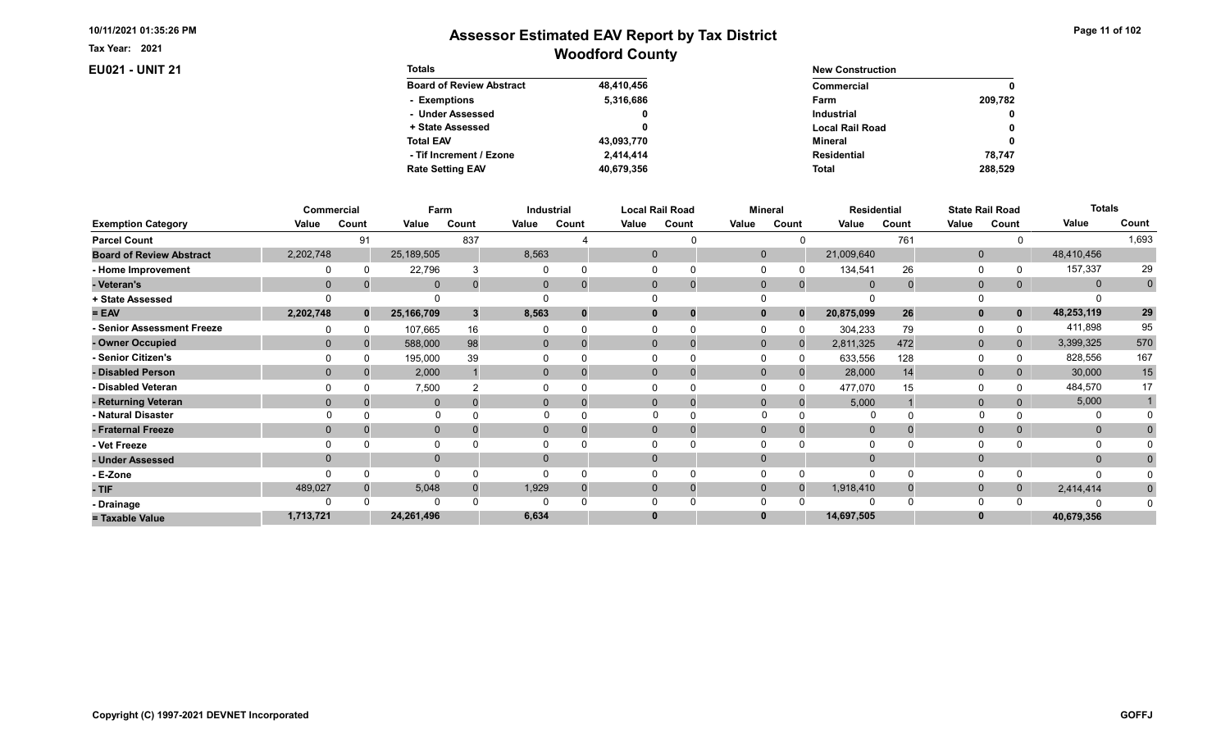Tax Year: 2021

## **EU021 - UNIT 21**

| Page 11 of 102 |  |  |  |  |
|----------------|--|--|--|--|
|----------------|--|--|--|--|

| <b>Totals</b>                   |            | <b>New Construction</b> |              |  |  |
|---------------------------------|------------|-------------------------|--------------|--|--|
| <b>Board of Review Abstract</b> | 48,410,456 | Commercial              | 0            |  |  |
| - Exemptions                    | 5,316,686  | Farm                    | 209.782      |  |  |
| - Under Assessed                | 0          | <b>Industrial</b>       | $\mathbf{0}$ |  |  |
| + State Assessed                |            | <b>Local Rail Road</b>  | 0            |  |  |
| <b>Total EAV</b>                | 43,093,770 | Mineral                 | 0            |  |  |
| - Tif Increment / Ezone         | 2.414.414  | <b>Residential</b>      | 78.747       |  |  |
| <b>Rate Setting EAV</b>         | 40,679,356 | <b>Total</b>            | 288.529      |  |  |

|                                 |              | Commercial   | Farm         |       |                | Industrial |       | Local Rail Road         |              | <b>Mineral</b> |                | <b>Residential</b> |              | <b>State Rail Road</b> | <b>Totals</b> |                |
|---------------------------------|--------------|--------------|--------------|-------|----------------|------------|-------|-------------------------|--------------|----------------|----------------|--------------------|--------------|------------------------|---------------|----------------|
| <b>Exemption Category</b>       | Value        | Count        | Value        | Count | Value          | Count      | Value | Count                   | Value        | Count          | Value          | Count              | Value        | Count                  | Value         | Count          |
| <b>Parcel Count</b>             |              | 91           |              | 837   |                |            |       |                         |              |                |                | 761                |              |                        |               | 1,693          |
| <b>Board of Review Abstract</b> | 2,202,748    |              | 25,189,505   |       | 8,563          |            |       | 0                       | $\mathbf{0}$ |                | 21,009,640     |                    | $\mathbf 0$  |                        | 48,410,456    |                |
| - Home Improvement              |              |              | 22,796       |       |                | $\Omega$   |       |                         |              |                | 134,541        | 26                 | 0            |                        | 157,337       | 29             |
| - Veteran's                     | $\mathbf{0}$ |              | $\mathbf 0$  |       | $\mathbf{0}$   | $\Omega$   |       | $\mathbf 0$             | $\mathbf{0}$ | $\overline{0}$ | $\overline{0}$ |                    | $\mathbf 0$  | 0                      | $\mathbf{0}$  | $\overline{0}$ |
| + State Assessed                |              |              |              |       |                |            |       |                         |              |                |                |                    |              |                        |               |                |
| $= EAV$                         | 2,202,748    | $\mathbf{0}$ | 25,166,709   |       | 8,563          | $\bf{0}$   |       | $\bf{0}$                |              | $\bf{0}$       | 20,875,099     | 26                 | $\mathbf{0}$ | $\mathbf 0$            | 48,253,119    | ${\bf 29}$     |
| - Senior Assessment Freeze      |              |              | 107,665      | 16    |                | $\Omega$   |       |                         |              |                | 304,233        | 79                 | 0            |                        | 411,898       | 95             |
| - Owner Occupied                | $\Omega$     |              | 588,000      | 98    | $\mathbf{0}$   | $\Omega$   |       | $\Omega$<br>$\mathbf 0$ | $\Omega$     | $\Omega$       | 2,811,325      | 472                | $\mathbf{0}$ | $\overline{0}$         | 3,399,325     | 570            |
| - Senior Citizen's              |              |              | 195,000      | 39    |                |            |       |                         |              |                | 633,556        | 128                | 0            |                        | 828,556       | 167            |
| - Disabled Person               | $\Omega$     |              | 2,000        |       |                | 0          |       | 0                       | $\Omega$     |                | 28,000         | 14                 | $\mathbf 0$  |                        | 30,000        | 15             |
| - Disabled Veteran              |              |              | 7,500        |       |                |            |       |                         |              |                | 477,070        | 15                 | 0            |                        | 484,570       | 17             |
| - Returning Veteran             | $\Omega$     |              | $\Omega$     |       | $\Omega$       | $\Omega$   |       | 0                       | $\Omega$     | 0              | 5,000          |                    | $\mathbf{0}$ |                        | 5,000         |                |
| - Natural Disaster              |              |              |              |       |                |            |       |                         |              |                |                |                    |              |                        | 0             |                |
| - Fraternal Freeze              | $\Omega$     |              | $\mathbf 0$  |       | $\overline{0}$ |            |       |                         | $\Omega$     |                | $\overline{0}$ |                    | $\mathbf 0$  |                        | $\mathbf{0}$  |                |
| - Vet Freeze                    |              |              | $\Omega$     |       |                |            |       |                         |              |                | $\Omega$       |                    | $\Omega$     |                        | 0             |                |
| - Under Assessed                | $\Omega$     |              | $\mathbf{0}$ |       | $\Omega$       |            |       |                         |              |                |                |                    | $\Omega$     |                        | $\mathbf{0}$  |                |
| - E-Zone                        |              |              | $\Omega$     |       |                |            |       |                         |              |                | $\Omega$       |                    | $\Omega$     |                        | n             |                |
| - TIF                           | 489,027      |              | 5,048        |       | 1,929          | $\Omega$   |       | 0<br>0                  | $\Omega$     |                | 1,918,410      |                    | $\mathbf 0$  | 0                      | 2,414,414     | $\bf{0}$       |
| - Drainage                      |              |              | $\Omega$     |       |                |            |       |                         |              |                | $\Omega$       |                    | $\Omega$     |                        |               |                |
| = Taxable Value                 | 1,713,721    |              | 24,261,496   |       | 6,634          |            |       |                         |              |                | 14,697,505     |                    | $\bf{0}$     |                        | 40,679,356    |                |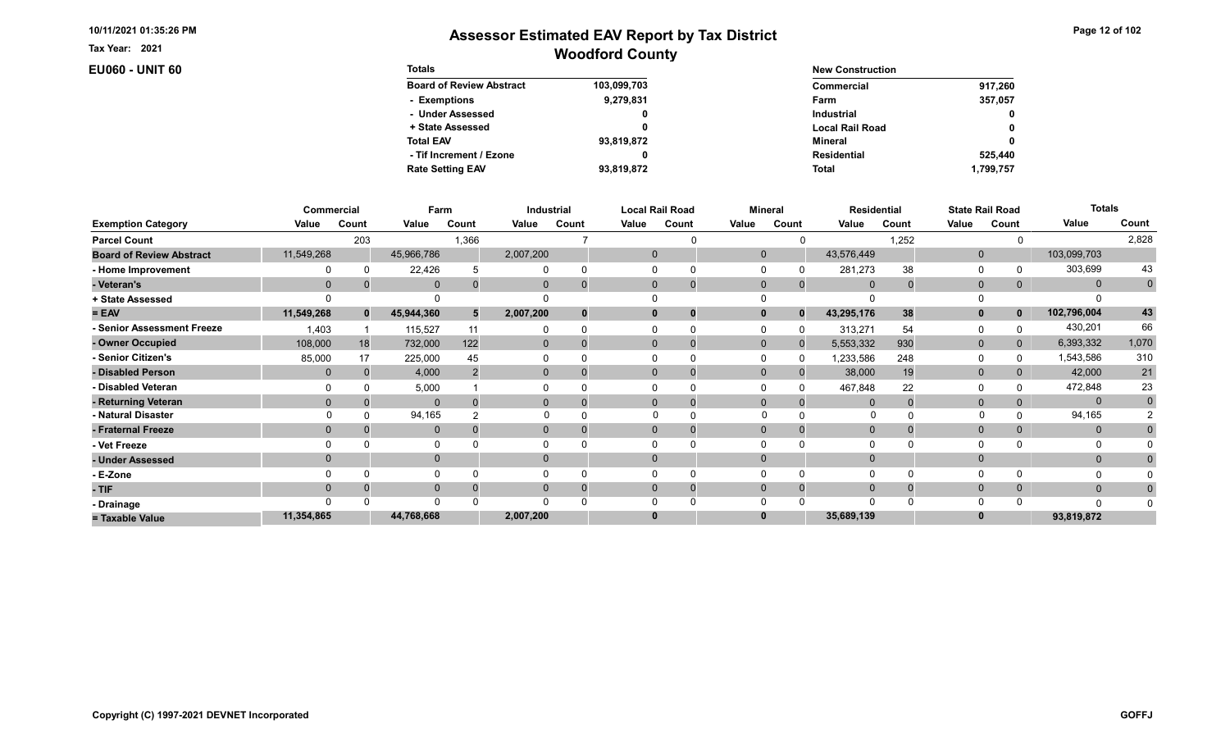Tax Year: 2021

## **EU060 - UNIT 60**

| Page 12 of 102 |  |  |
|----------------|--|--|
|----------------|--|--|

| <b>Totals</b>                   |             | <b>New Construction</b> |              |
|---------------------------------|-------------|-------------------------|--------------|
| <b>Board of Review Abstract</b> | 103,099,703 | Commercial              | 917.260      |
| - Exemptions                    | 9,279,831   | Farm                    | 357,057      |
| - Under Assessed                | 0           | <b>Industrial</b>       | $\mathbf{0}$ |
| + State Assessed                |             | <b>Local Rail Road</b>  | 0            |
| <b>Total EAV</b>                | 93,819,872  | Mineral                 | 0            |
| - Tif Increment / Ezone         |             | <b>Residential</b>      | 525,440      |
| <b>Rate Setting EAV</b>         | 93,819,872  | <b>Total</b>            | 1.799.757    |

|                                 |            | Commercial   | Farm         |       |           | Industrial |              | <b>Local Rail Road</b> |              | <b>Mineral</b> | <b>Residential</b> |       |              | <b>State Rail Road</b> | <b>Totals</b> |             |
|---------------------------------|------------|--------------|--------------|-------|-----------|------------|--------------|------------------------|--------------|----------------|--------------------|-------|--------------|------------------------|---------------|-------------|
| <b>Exemption Category</b>       | Value      | Count        | Value        | Count | Value     | Count      | Value        | Count                  | Value        | Count          | Value              | Count | Value        | Count                  | Value         | Count       |
| <b>Parcel Count</b>             |            | 203          |              | 1,366 |           |            |              |                        |              |                |                    | 1,252 |              |                        |               | 2,828       |
| <b>Board of Review Abstract</b> | 11,549,268 |              | 45,966,786   |       | 2,007,200 |            | $\mathbf 0$  |                        | $\mathbf 0$  |                | 43,576,449         |       | $\mathbf 0$  |                        | 103,099,703   |             |
| - Home Improvement              |            |              | 22,426       |       |           |            |              |                        |              |                | 281,273            | 38    | $\Omega$     |                        | 303,699       | 43          |
| - Veteran's                     | $\Omega$   |              | $\mathbf{0}$ |       | 0         |            | $\mathbf{0}$ | $\mathbf 0$            | $\Omega$     | $\mathbf{0}$   | $\Omega$           |       | $\mathbf{0}$ | 0                      | $\mathbf{0}$  | $\mathbf 0$ |
| + State Assessed                |            |              |              |       |           |            |              |                        |              |                |                    |       | 0            |                        |               |             |
| $= EAV$                         | 11,549,268 | $\mathbf{0}$ | 45,944,360   | 5     | 2,007,200 |            | 0            | 0                      |              | $\Omega$       | 43,295,176         | 38    | $\mathbf{0}$ | 0                      | 102,796,004   | 43          |
| - Senior Assessment Freeze      | 1,403      |              | 115,527      | 11    |           |            |              |                        |              |                | 313,271            | 54    | 0            |                        | 430,201       | 66          |
| - Owner Occupied                | 108,000    | 18           | 732,000      | 122   | $\Omega$  | $\Omega$   | $\Omega$     | 0                      | $\mathbf{0}$ | $\Omega$       | 5,553,332          | 930   | $\mathbf{0}$ | 0                      | 6,393,332     | 1,070       |
| - Senior Citizen's              | 85,000     | 17           | 225,000      | 45    |           |            |              |                        |              |                | 1,233,586          | 248   | $\Omega$     |                        | 1,543,586     | 310         |
| - Disabled Person               |            |              | 4,000        |       | 0         |            | $\Omega$     | $\Omega$               | $\Omega$     |                | 38,000             | 19    | $\mathbf{0}$ |                        | 42,000        | 21          |
| - Disabled Veteran              |            |              | 5,000        |       |           |            |              | 0                      |              |                | 467,848            | 22    | $\Omega$     |                        | 472,848       | 23          |
| - Returning Veteran             |            |              | $\Omega$     |       | $\Omega$  |            | $\Omega$     | $\mathbf 0$            | $\Omega$     | $\Omega$       | $\Omega$           |       | $\mathbf{0}$ |                        | $\mathbf{0}$  | $\mathbf 0$ |
| - Natural Disaster              |            |              | 94,165       |       |           |            | $\Omega$     |                        | $\Omega$     |                | 0                  |       |              |                        | 94,165        |             |
| - Fraternal Freeze              | $\Omega$   |              | $\mathbf{0}$ |       | 0         |            | $\mathbf{0}$ |                        | $\Omega$     |                | $\overline{0}$     |       | $\mathbf{0}$ | 0                      | $\mathbf{0}$  |             |
| - Vet Freeze                    |            |              | 0            |       |           |            |              |                        |              |                |                    |       | $\Omega$     |                        |               |             |
| - Under Assessed                |            |              | $\mathbf 0$  |       |           |            | $\Omega$     |                        |              |                |                    |       | $\mathbf{0}$ |                        | $\mathbf{0}$  |             |
| - E-Zone                        |            |              | $\Omega$     |       |           |            |              |                        |              |                |                    |       | $\Omega$     |                        |               |             |
| - TIF                           |            |              | $\mathbf 0$  |       |           |            | $\Omega$     | 0                      |              | $\Omega$       |                    |       | $\mathbf{0}$ |                        | $\Omega$      |             |
| - Drainage                      |            |              | $\Omega$     |       |           |            |              |                        |              |                | ∩                  |       | 0            |                        | $\Omega$      |             |
| = Taxable Value                 | 11,354,865 |              | 44,768,668   |       | 2,007,200 |            | $\bf{0}$     |                        |              |                | 35,689,139         |       | $\bf{0}$     |                        | 93,819,872    |             |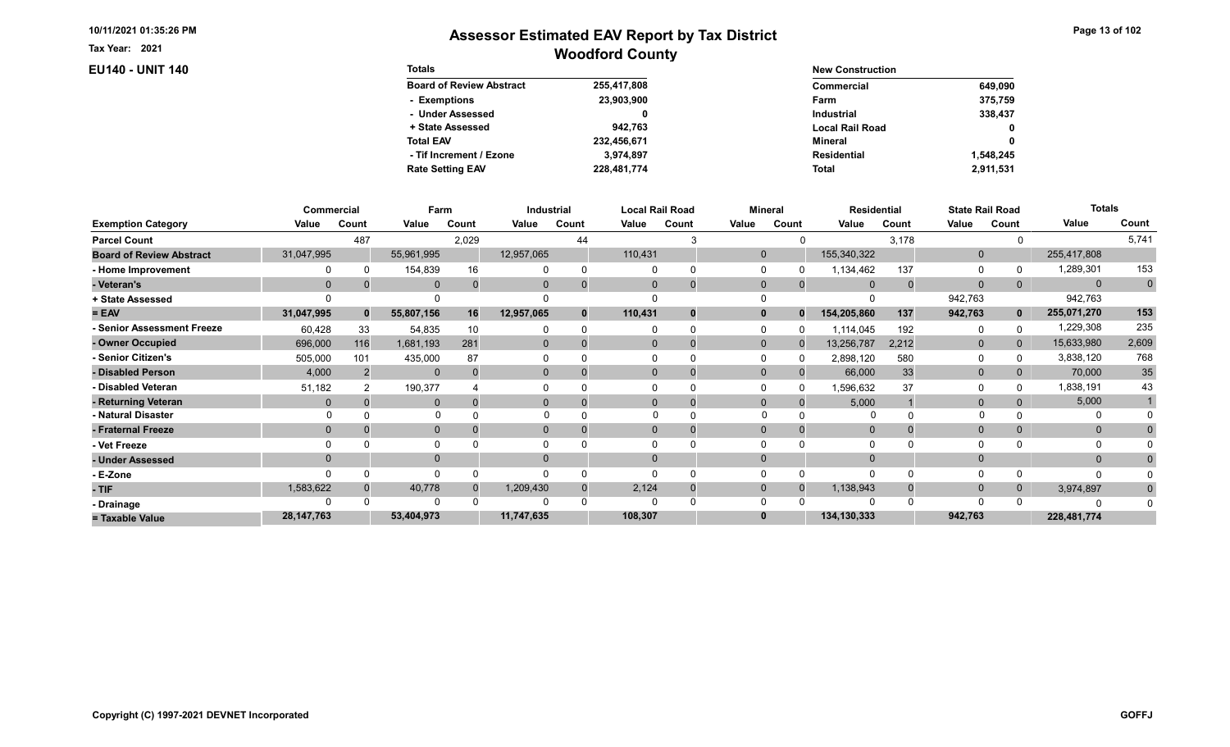Tax Year: 2021

## EU140 - UNIT 140

| Page 13 of 102 |  |  |  |  |
|----------------|--|--|--|--|
|----------------|--|--|--|--|

| <b>Totals</b>                   |             | <b>New Construction</b> |             |
|---------------------------------|-------------|-------------------------|-------------|
| <b>Board of Review Abstract</b> | 255,417,808 | Commercial              | 649,090     |
| - Exemptions                    | 23,903,900  | Farm                    | 375.759     |
| - Under Assessed                | 0           | Industrial              | 338,437     |
| + State Assessed                | 942.763     | <b>Local Rail Road</b>  | $\mathbf 0$ |
| <b>Total EAV</b>                | 232.456.671 | Mineral                 | $\mathbf 0$ |
| - Tif Increment / Ezone         | 3.974.897   | Residential             | 1.548.245   |
| <b>Rate Setting EAV</b>         | 228,481,774 | Total                   | 2,911,531   |

|                                 | Commercial   |          | Farm         |       | Industrial |       |          | <b>Local Rail Road</b> |              | <b>Mineral</b> | <b>Residential</b> |          |              | <b>State Rail Road</b> | <b>Totals</b> |             |
|---------------------------------|--------------|----------|--------------|-------|------------|-------|----------|------------------------|--------------|----------------|--------------------|----------|--------------|------------------------|---------------|-------------|
| <b>Exemption Category</b>       | Value        | Count    | Value        | Count | Value      | Count | Value    | Count                  | Value        | Count          | Value              | Count    | Value        | Count                  | Value         | Count       |
| <b>Parcel Count</b>             |              | 487      |              | 2,029 |            | 44    |          |                        |              |                |                    | 3,178    |              |                        |               | 5,741       |
| <b>Board of Review Abstract</b> | 31,047,995   |          | 55,961,995   |       | 12,957,065 |       | 110,431  |                        | $\mathbf{0}$ |                | 155,340,322        |          | $\mathbf 0$  |                        | 255,417,808   |             |
| - Home Improvement              |              |          | 154,839      | 16    |            |       |          |                        |              |                | 1,134,462          | 137      | 0            |                        | 1,289,301     | 153         |
| - Veteran's                     |              | 0        | $\mathbf{0}$ |       |            |       | $\Omega$ | O                      | $\mathbf 0$  | $\Omega$       | $\Omega$           | $\Omega$ | $\mathbf{0}$ | 0                      | $\mathbf{0}$  | $\mathbf 0$ |
| + State Assessed                |              |          |              |       |            |       |          |                        |              |                |                    |          | 942,763      |                        | 942,763       |             |
| $= EAV$                         | 31,047,995   | $\bf{0}$ | 55,807,156   | 16    | 12,957,065 |       | 110,431  |                        |              |                | 154,205,860        | 137      | 942,763      | 0                      | 255,071,270   | 153         |
| - Senior Assessment Freeze      | 60,428       | 33       | 54,835       | 10    |            |       | $\Omega$ |                        |              |                | 1,114,045          | 192      | 0            |                        | 1,229,308     | 235         |
| - Owner Occupied                | 696,000      | 116      | 1,681,193    | 281   | $\Omega$   |       | $\Omega$ |                        | $\mathbf{0}$ |                | 13,256,787         | 2,212    | $\mathbf{0}$ | $\Omega$               | 15,633,980    | 2,609       |
| - Senior Citizen's              | 505,000      | 101      | 435,000      | 87    |            |       |          |                        |              |                | 2,898,120          | 580      | 0            |                        | 3,838,120     | 768         |
| - Disabled Person               | 4,000        |          | $\mathbf{0}$ |       | 0          |       | $\Omega$ |                        | $\Omega$     |                | 66,000             | 33       | $\mathbf{0}$ | $\Omega$               | 70,000        | 35          |
| - Disabled Veteran              | 51,182       |          | 190,377      |       |            |       |          |                        |              |                | 1,596,632          | 37       | 0            |                        | 1,838,191     | 43          |
| - Returning Veteran             |              |          | $\Omega$     |       | $\Omega$   |       | $\Omega$ |                        | $\Omega$     | $\Omega$       | 5,000              |          | $\mathbf{0}$ | 0                      | 5,000         |             |
| - Natural Disaster              |              |          | $\Omega$     |       |            |       |          |                        | $\Omega$     |                |                    |          |              |                        | O             |             |
| - Fraternal Freeze              | $\Omega$     |          | $\mathbf 0$  |       | 0          |       | $\Omega$ |                        | $\Omega$     |                | $\mathbf 0$        |          | $\mathbf{0}$ | $\Omega$               | $\mathbf{0}$  |             |
| - Vet Freeze                    |              |          | 0            |       |            |       |          |                        |              |                |                    |          | $\Omega$     |                        | 0             |             |
| - Under Assessed                | $\Omega$     |          | $\mathbf{0}$ |       | 0          |       | $\Omega$ |                        |              |                |                    |          | $\Omega$     |                        | $\Omega$      |             |
| - E-Zone                        |              |          | $\Omega$     |       |            |       |          |                        |              |                |                    |          | $\Omega$     |                        | n             |             |
| - TIF                           | 1,583,622    |          | 40,778       |       | 1,209,430  |       | 2,124    |                        | $\Omega$     |                | 1,138,943          |          | $\mathbf{0}$ | 0                      | 3,974,897     | $\bf{0}$    |
| - Drainage                      |              |          |              |       |            |       |          |                        |              |                |                    |          | $\Omega$     |                        |               |             |
| = Taxable Value                 | 28, 147, 763 |          | 53,404,973   |       | 11,747,635 |       | 108,307  |                        |              |                | 134,130,333        |          | 942,763      |                        | 228,481,774   |             |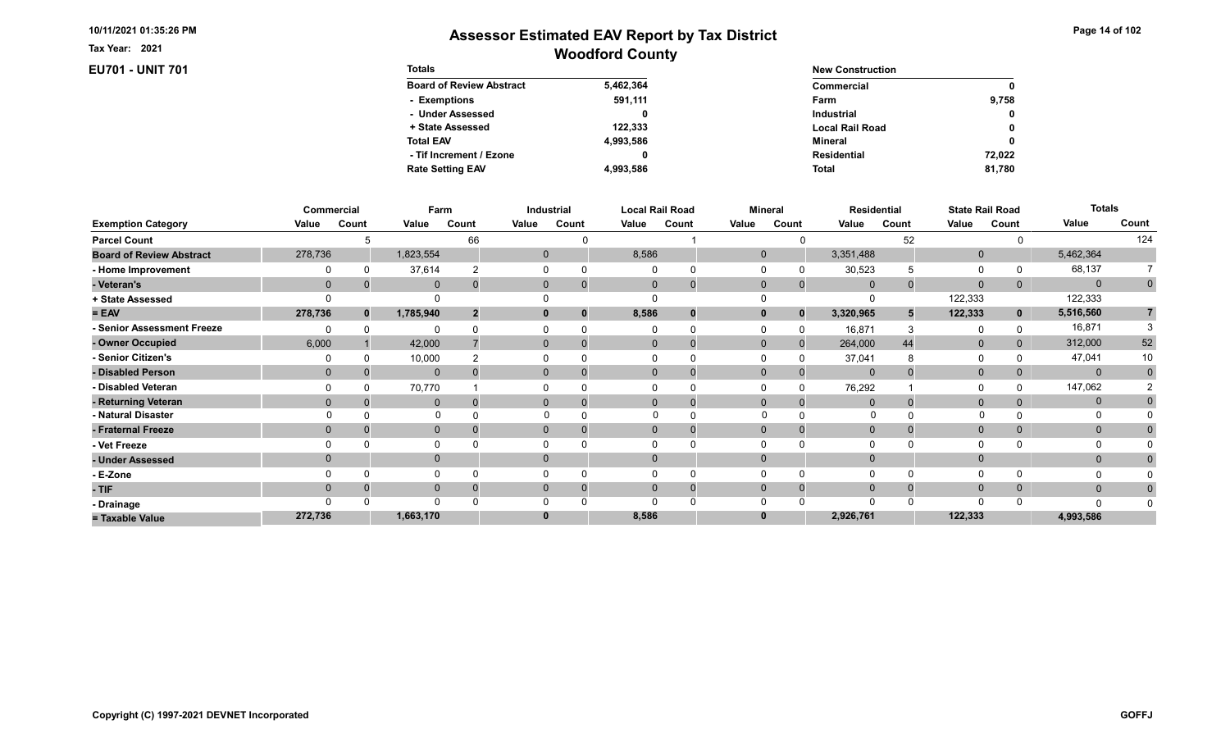Tax Year: 2021

**EU701 - UNIT 701** 

| Page 14 of 102 |  |  |  |  |
|----------------|--|--|--|--|
|----------------|--|--|--|--|

| <b>Totals</b>                   |           | <b>New Construction</b> |              |  |  |  |
|---------------------------------|-----------|-------------------------|--------------|--|--|--|
| <b>Board of Review Abstract</b> | 5,462,364 | Commercial              | $\mathbf{0}$ |  |  |  |
| - Exemptions                    | 591,111   | Farm                    | 9,758        |  |  |  |
| - Under Assessed                |           | <b>Industrial</b>       | $\mathbf{0}$ |  |  |  |
| + State Assessed                | 122.333   | <b>Local Rail Road</b>  | 0            |  |  |  |
| <b>Total EAV</b>                | 4,993,586 | Mineral                 | 0            |  |  |  |
| - Tif Increment / Ezone         |           | <b>Residential</b>      | 72.022       |  |  |  |
| <b>Rate Setting EAV</b>         | 4,993,586 | <b>Total</b>            | 81.780       |  |  |  |

|                                 | Commercial     |              | Farm         |       |       | Industrial                 |          | <b>Local Rail Road</b> | <b>Mineral</b> |                |                | <b>Residential</b> |              | <b>State Rail Road</b> | <b>Totals</b> |                |
|---------------------------------|----------------|--------------|--------------|-------|-------|----------------------------|----------|------------------------|----------------|----------------|----------------|--------------------|--------------|------------------------|---------------|----------------|
| <b>Exemption Category</b>       | Value          | Count        | Value        | Count | Value | Count                      | Value    | Count                  | Value          | Count          | Value          | Count              | Value        | Count                  | Value         | Count          |
| <b>Parcel Count</b>             |                |              |              | 66    |       |                            |          |                        |                |                |                | 52                 |              |                        |               | 124            |
| <b>Board of Review Abstract</b> | 278,736        |              | 1,823,554    |       |       | $\mathbf{0}$               | 8,586    |                        | $\mathbf 0$    |                | 3,351,488      |                    | $\mathbf{0}$ |                        | 5,462,364     |                |
| - Home Improvement              |                |              | 37,614       |       |       |                            |          |                        |                |                | 30,523         |                    | $\Omega$     |                        | 68,137        |                |
| - Veteran's                     | $\mathbf{0}$   |              | $\mathbf{0}$ |       |       | $\mathbf{0}$<br>$\Omega$   | $\Omega$ | $\mathbf 0$            | $\mathbf{0}$   | $\mathbf{0}$   | $\overline{0}$ |                    | $\mathbf{0}$ | 0                      | $\Omega$      | $\mathbf 0$    |
| + State Assessed                |                |              |              |       |       |                            |          |                        |                |                |                |                    | 122,333      |                        | 122,333       |                |
| $= EAV$                         | 278,736        | $\mathbf{0}$ | 1,785,940    |       |       | $\bf{0}$<br>$\mathbf{0}$   | 8,586    | 0                      |                | $\bf{0}$       | 3,320,965      |                    | 122,333      | $\mathbf{0}$           | 5,516,560     | $\overline{7}$ |
| - Senior Assessment Freeze      |                |              | ∩            |       |       |                            |          |                        |                |                | 16,871         |                    | 0            |                        | 16,871        |                |
| - Owner Occupied                | 6,000          |              | 42,000       |       |       | $\overline{0}$<br>$\Omega$ |          | 0                      | $\Omega$       | $\overline{0}$ | 264,000        | 44                 | $\mathbf{0}$ |                        | 312,000       | 52             |
| - Senior Citizen's              |                |              | 10,000       |       |       |                            |          |                        |                |                | 37,041         |                    | $\Omega$     |                        | 47,041        | 10             |
| - Disabled Person               | $\mathbf{0}$   |              | $\mathbf{0}$ |       |       | $\overline{0}$             |          | $\Omega$               | $\Omega$       |                | $\mathbf{0}$   |                    | $\mathbf{0}$ |                        | $\mathbf{0}$  | $\mathbf{0}$   |
| - Disabled Veteran              |                |              | 70,770       |       |       |                            |          |                        |                |                | 76,292         |                    | $\Omega$     |                        | 147,062       |                |
| - Returning Veteran             | $\Omega$       |              | $\mathbf{0}$ |       |       | $\overline{0}$<br>$\Omega$ |          | $\mathbf 0$            | $\mathbf{0}$   | $\Omega$       | $\Omega$       |                    | $\mathbf{0}$ |                        | $\mathbf 0$   |                |
| - Natural Disaster              |                |              |              |       |       |                            |          | $\Omega$               |                |                | 0              |                    |              |                        | O             |                |
| - Fraternal Freeze              | $\mathbf{0}$   |              | $\mathbf{0}$ |       |       | $\mathbf{0}$<br>0          | $\Omega$ | 0                      | $\Omega$       |                | $\mathbf{0}$   |                    | $\mathbf{0}$ |                        | $\mathbf{0}$  |                |
| - Vet Freeze                    |                |              | $\Omega$     |       |       |                            |          |                        |                |                | $\Omega$       |                    | $\Omega$     |                        | $\Omega$      |                |
| - Under Assessed                | $\overline{0}$ |              | $\mathbf 0$  |       |       | $\overline{0}$             |          |                        |                |                | $\Omega$       |                    | $\mathbf{0}$ |                        | $\mathbf{0}$  |                |
| - E-Zone                        |                |              | $\Omega$     |       |       |                            |          |                        |                |                | $\Omega$       |                    | $\Omega$     |                        |               |                |
| - TIF                           | $\Omega$       |              | $\mathbf 0$  |       |       | 0<br>$\Omega$              |          | 0                      |                |                | $\Omega$       |                    | $\mathbf{0}$ |                        | $\mathbf{0}$  |                |
| - Drainage                      |                |              | $\Omega$     |       |       |                            |          |                        |                |                | $\Omega$       |                    | $\Omega$     |                        | n             |                |
| = Taxable Value                 | 272,736        |              | 1,663,170    |       |       | 0                          | 8,586    |                        |                |                | 2,926,761      |                    | 122,333      |                        | 4,993,586     |                |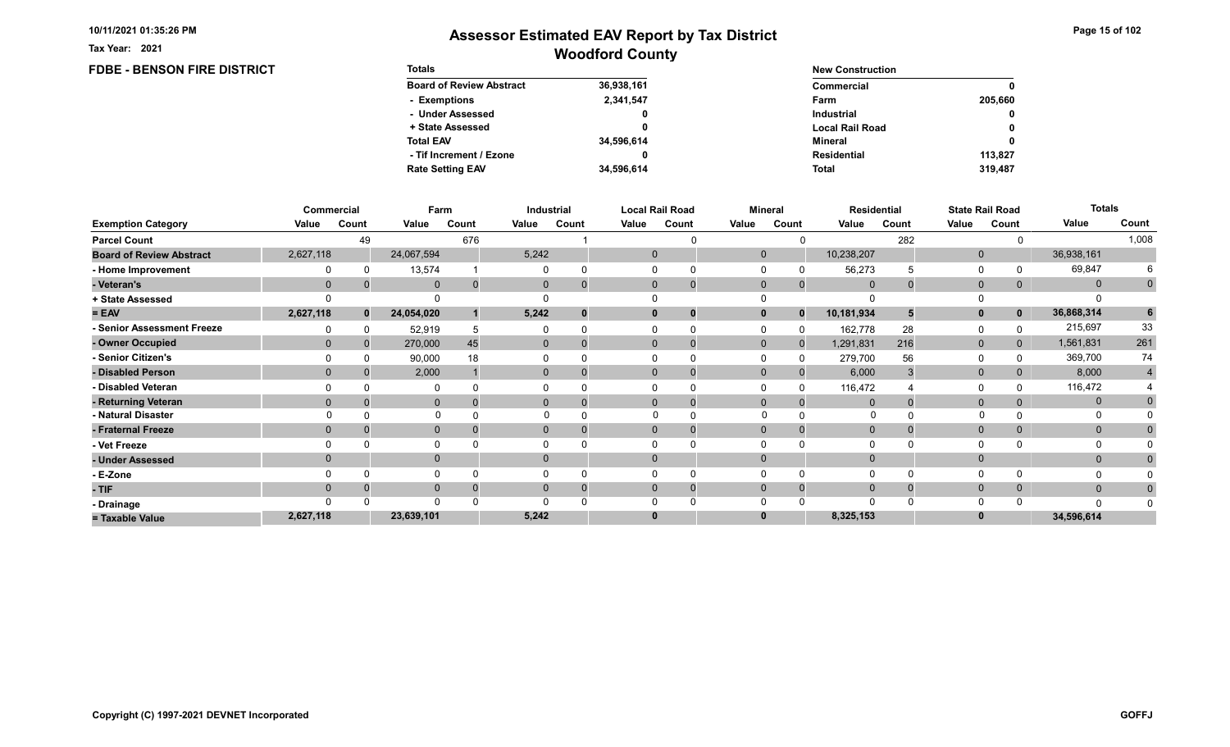**FDBE - BENSON FIRE DISTRICT** 

Tax Year: 2021

| <b>Totals</b>                   |            | <b>New Construction</b> |              |  |  |  |
|---------------------------------|------------|-------------------------|--------------|--|--|--|
| <b>Board of Review Abstract</b> | 36,938,161 | Commercial              | 0            |  |  |  |
| - Exemptions                    | 2,341,547  | Farm                    | 205.660      |  |  |  |
| - Under Assessed                | 0          | <b>Industrial</b>       | $\mathbf{0}$ |  |  |  |
| + State Assessed                |            | <b>Local Rail Road</b>  | 0            |  |  |  |
| <b>Total EAV</b>                | 34,596,614 | Mineral                 | 0            |  |  |  |
| - Tif Increment / Ezone         | 0          | <b>Residential</b>      | 113.827      |  |  |  |
| <b>Rate Setting EAV</b>         | 34.596.614 | <b>Total</b>            | 319,487      |  |  |  |

|                                 |           | Commercial   | Farm         |          |              | Industrial     |       | <b>Local Rail Road</b>        |              | <b>Mineral</b> |             | <b>Residential</b> |              | <b>State Rail Road</b> | <b>Totals</b> |             |
|---------------------------------|-----------|--------------|--------------|----------|--------------|----------------|-------|-------------------------------|--------------|----------------|-------------|--------------------|--------------|------------------------|---------------|-------------|
| <b>Exemption Category</b>       | Value     | Count        | Value        | Count    | Value        | Count          | Value | Count                         | Value        | Count          | Value       | Count              | Value        | Count                  | Value         | Count       |
| <b>Parcel Count</b>             |           | 49           |              | 676      |              |                |       |                               |              |                |             | 282                |              |                        |               | 1,008       |
| <b>Board of Review Abstract</b> | 2,627,118 |              | 24,067,594   |          | 5,242        |                |       | $\mathbf 0$                   | $\mathbf 0$  |                | 10,238,207  |                    | $\mathbf 0$  |                        | 36,938,161    |             |
| - Home Improvement              |           |              | 13,574       |          |              |                |       | 0                             |              |                | 56,273      |                    | 0            |                        | 69,847        |             |
| - Veteran's                     | $\Omega$  | 0            | $\mathbf 0$  | $\Omega$ | $\mathbf{0}$ |                |       | $\mathbf 0$<br>$\overline{0}$ | $\mathbf 0$  | $\mathbf{0}$   | $\Omega$    |                    | $\mathbf 0$  | $\mathbf{0}$           | $\mathbf{0}$  | $\mathbf 0$ |
| + State Assessed                |           |              |              |          |              |                |       |                               |              |                |             |                    |              |                        |               |             |
| $= EAV$                         | 2,627,118 | $\mathbf{0}$ | 24,054,020   |          | 5,242        |                |       | $\bf{0}$                      | 0            | $\bf{0}$       | 10,181,934  |                    | $\mathbf{0}$ | $\mathbf{0}$           | 36,868,314    | 6           |
| - Senior Assessment Freeze      |           |              | 52,919       |          |              |                |       |                               |              |                | 162,778     | 28                 | 0            |                        | 215,697       | 33          |
| - Owner Occupied                | $\Omega$  | $\Omega$     | 270,000      | 45       | $\mathbf{0}$ |                |       | $\mathbf{0}$                  | $\mathbf{0}$ | $\Omega$       | 1,291,831   | 216                | $\mathbf{0}$ | $\mathbf{0}$           | 1,561,831     | 261         |
| - Senior Citizen's              |           |              | 90,000       | 18       |              |                |       |                               |              |                | 279,700     | 56                 | $\Omega$     |                        | 369,700       | 74          |
| - Disabled Person               | $\Omega$  |              | 2,000        |          |              | $\overline{0}$ |       | $\Omega$                      | $\Omega$     |                | 6,000       |                    | $\mathbf{0}$ |                        | 8,000         | 4           |
| - Disabled Veteran              |           |              |              |          |              |                |       | $\Omega$                      |              |                | 116,472     |                    | 0            |                        | 116,472       |             |
| - Returning Veteran             | $\Omega$  |              | $\mathbf 0$  |          |              | $\overline{0}$ |       | $\Omega$<br>$\overline{0}$    | $\Omega$     | $\Omega$       | $\Omega$    |                    | $\mathbf{0}$ | 0                      | $\mathbf{0}$  |             |
| - Natural Disaster              |           |              | $\Omega$     |          |              |                |       |                               | $\Omega$     |                | 0           |                    |              |                        | 0             |             |
| - Fraternal Freeze              | $\Omega$  |              | $\mathbf 0$  |          | $\mathbf{0}$ |                |       | $\mathbf{0}$                  | $\mathbf 0$  |                | $\mathbf 0$ |                    | $\mathbf 0$  |                        | $\mathbf{0}$  |             |
| - Vet Freeze                    |           |              | $\Omega$     |          |              |                |       |                               |              |                |             |                    | $\Omega$     |                        | 0             |             |
| - Under Assessed                | $\Omega$  |              | $\mathbf{0}$ |          | $\Omega$     |                |       | $\Omega$                      | $\Omega$     |                |             |                    | $\mathbf{0}$ |                        | $\mathbf{0}$  |             |
| - E-Zone                        |           |              | $\Omega$     |          |              |                |       |                               |              |                |             |                    | $\Omega$     |                        |               |             |
| - TIF                           |           |              | $\mathbf{0}$ |          |              |                |       | $\Omega$                      | $\Omega$     |                | $\Omega$    |                    | $\mathbf{0}$ | 0                      | $\mathbf{0}$  |             |
| - Drainage                      |           |              | $\Omega$     |          |              |                |       |                               |              |                |             |                    | $\Omega$     |                        | $\Omega$      |             |
| = Taxable Value                 | 2,627,118 |              | 23,639,101   |          | 5,242        |                |       | $\bf{0}$                      |              |                | 8,325,153   |                    | $\bf{0}$     |                        | 34,596,614    |             |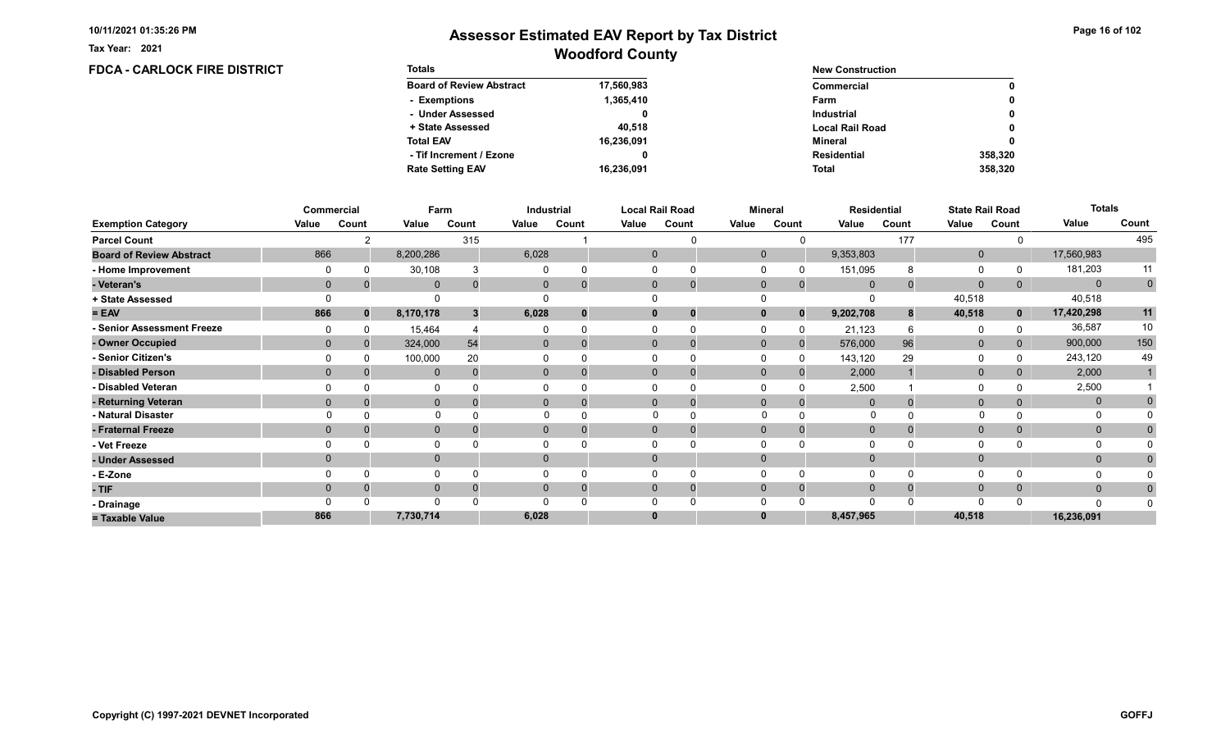Tax Year: 2021

## Woodford County Assessor Estimated EAV Report by Tax District

#### FDCA - CARLOCK FIRE DISTRICT Totals Board of Review Abstract + State Assessed - Under Assessed - Exemptions Total EAV Rate Setting EAV - Tif Increment / Ezone 17,560,983 1,365,410 0 40,518 16,236,091 16,236,091 0 New Construction Commercial Local Rail Road Industrial Farm Mineral Total Residential 0 0 0 0 358,320 0 358,320

|                                 |          | Commercial   | Farm         |          |              | Industrial |          | <b>Local Rail Road</b>         |              | Mineral  |             | <b>Residential</b> |              | <b>State Rail Road</b> | <b>Totals</b> |             |
|---------------------------------|----------|--------------|--------------|----------|--------------|------------|----------|--------------------------------|--------------|----------|-------------|--------------------|--------------|------------------------|---------------|-------------|
| <b>Exemption Category</b>       | Value    | Count        | Value        | Count    | Value        | Count      | Value    | Count                          | Value        | Count    | Value       | Count              | Value        | Count                  | Value         | Count       |
| <b>Parcel Count</b>             |          | ົ            |              | 315      |              |            |          | U                              |              |          |             | 177                |              |                        |               | 495         |
| <b>Board of Review Abstract</b> | 866      |              | 8,200,286    |          | 6,028        |            |          | $\mathbf{0}$                   | $\mathbf{0}$ |          | 9,353,803   |                    | $\mathbf{0}$ |                        | 17,560,983    |             |
| - Home Improvement              |          |              | 30,108       |          |              |            |          |                                |              |          | 151,095     |                    | $\Omega$     |                        | 181,203       | 11          |
| - Veteran's                     |          | $\mathbf{0}$ | $\mathbf{0}$ | $\Omega$ | $\mathbf{0}$ |            |          | $\mathbf{0}$<br>$\overline{0}$ | $\mathbf 0$  | $\Omega$ | $\mathbf 0$ |                    | $\mathbf{0}$ | 0                      | $\mathbf{0}$  | $\mathbf 0$ |
| + State Assessed                |          |              |              |          |              |            |          |                                |              |          |             |                    | 40,518       |                        | 40,518        |             |
| $= EAV$                         | 866      | $\bf{0}$     | 8,170,178    | 3        | 6,028        |            |          | $\mathbf 0$<br>0               | $\mathbf{0}$ | $\bf{0}$ | 9,202,708   | 8                  | 40,518       | $\mathbf 0$            | 17,420,298    | 11          |
| - Senior Assessment Freeze      |          |              | 15,464       |          |              |            |          |                                |              |          | 21,123      |                    | $\Omega$     |                        | 36,587        | 10          |
| - Owner Occupied                | $\Omega$ | $\Omega$     | 324,000      | 54       | $\mathbf{0}$ |            |          | $\mathbf{0}$                   | $\Omega$     | $\Omega$ | 576,000     | 96                 | $\mathbf{0}$ | $\Omega$               | 900,000       | 150         |
| - Senior Citizen's              |          |              | 100,000      | 20       |              |            |          |                                |              |          | 143,120     | 29                 | 0            |                        | 243,120       | 49          |
| - Disabled Person               | $\Omega$ |              | $\Omega$     | $\Omega$ | $\Omega$     |            |          | $\Omega$                       | $\Omega$     |          | 2,000       |                    | $\mathbf{0}$ |                        | 2,000         |             |
| - Disabled Veteran              |          |              | 0            |          |              |            |          | $\Omega$                       |              |          | 2,500       |                    | 0            |                        | 2,500         |             |
| - Returning Veteran             | $\Omega$ |              | $\mathbf{0}$ | $\Omega$ | $\Omega$     |            |          | $\Omega$<br>$\Omega$           | $\Omega$     | $\Omega$ | $\Omega$    |                    | $\mathbf{0}$ | $\Omega$               | $\mathbf 0$   |             |
| - Natural Disaster              |          |              | $\Omega$     |          |              |            |          |                                | $\Omega$     |          | $\Omega$    |                    |              |                        | $\Omega$      |             |
| - Fraternal Freeze              | $\Omega$ |              | $\mathbf 0$  |          | $\Omega$     |            |          | $\mathbf{0}$                   | $\Omega$     | $\Omega$ | $\Omega$    |                    | $\mathbf 0$  | 0                      | $\mathbf{0}$  |             |
| - Vet Freeze                    |          |              | $\mathbf{0}$ |          |              |            |          | $\Omega$                       |              |          |             |                    | 0            |                        | 0             |             |
| - Under Assessed                | $\Omega$ |              | $\mathbf{0}$ |          | $\Omega$     |            |          | $\Omega$                       | $\Omega$     |          |             |                    | $\mathbf{0}$ |                        | $\mathbf{0}$  |             |
| - E-Zone                        |          |              | $\Omega$     |          |              |            |          |                                |              |          |             |                    | $\Omega$     |                        |               |             |
| - TIF                           | $\Omega$ |              | $\mathbf{0}$ |          | 0            |            |          | $\Omega$                       | $\Omega$     | $\Omega$ | $\Omega$    |                    | $\mathbf{0}$ | $\Omega$               | $\mathbf{0}$  |             |
| - Drainage                      |          |              | $\Omega$     |          |              |            |          |                                |              |          |             |                    | $\Omega$     |                        | $\Omega$      |             |
| = Taxable Value                 | 866      |              | 7,730,714    |          | 6,028        |            | $\bf{0}$ |                                |              |          | 8,457,965   |                    | 40,518       |                        | 16,236,091    |             |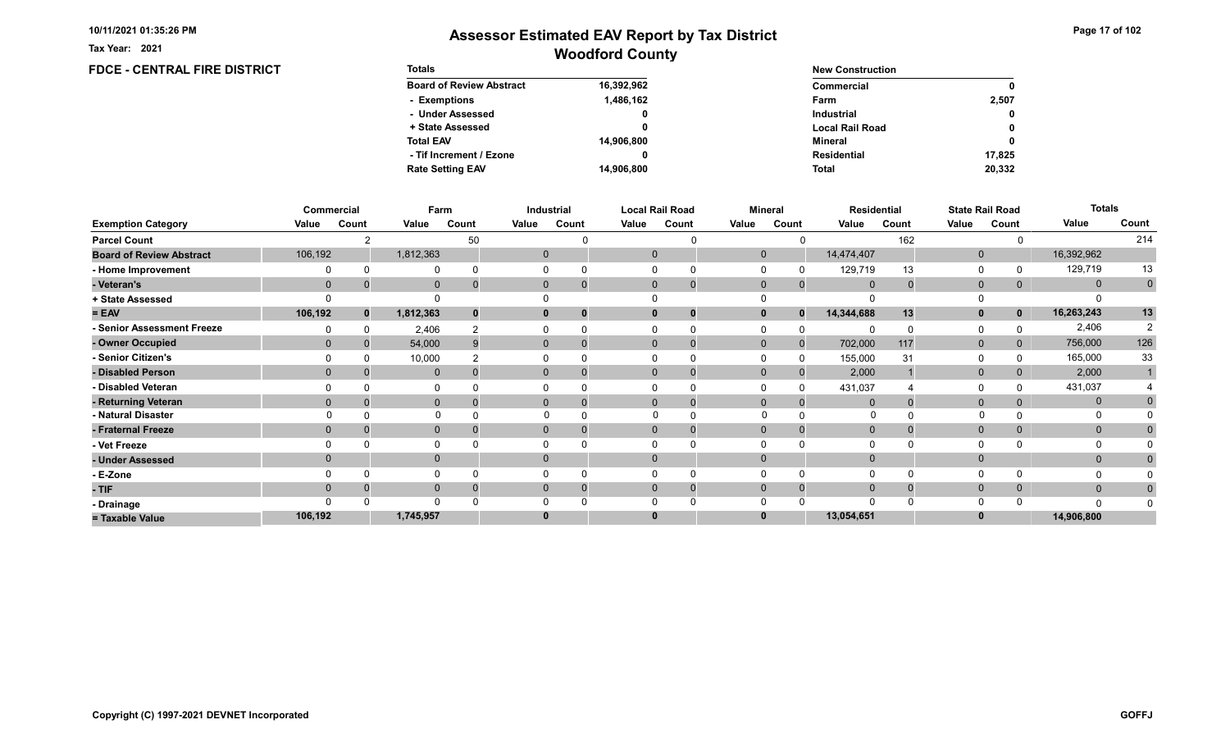**FDCE - CENTRAL FIRE DISTRICT** 

Tax Year: 2021

| <b>Totals</b>                   |            | <b>New Construction</b> |        |  |  |  |
|---------------------------------|------------|-------------------------|--------|--|--|--|
| <b>Board of Review Abstract</b> | 16,392,962 | Commercial              | 0      |  |  |  |
| - Exemptions                    | 1,486,162  | Farm                    | 2.507  |  |  |  |
| - Under Assessed                | 0          | <b>Industrial</b>       | 0      |  |  |  |
| + State Assessed                |            | <b>Local Rail Road</b>  | 0      |  |  |  |
| <b>Total EAV</b>                | 14,906,800 | Mineral                 | 0      |  |  |  |
| - Tif Increment / Ezone         |            | <b>Residential</b>      | 17.825 |  |  |  |
| <b>Rate Setting EAV</b>         | 14.906.800 | <b>Total</b>            | 20,332 |  |  |  |

|                                 |              | Commercial   | Farm         |          |       | Industrial     |       | <b>Local Rail Road</b> |              | <b>Mineral</b> |                | <b>Residential</b> |              | <b>State Rail Road</b> | <b>Totals</b> |             |
|---------------------------------|--------------|--------------|--------------|----------|-------|----------------|-------|------------------------|--------------|----------------|----------------|--------------------|--------------|------------------------|---------------|-------------|
| <b>Exemption Category</b>       | Value        | Count        | Value        | Count    | Value | Count          | Value | Count                  | Value        | Count          | Value          | Count              | Value        | Count                  | Value         | Count       |
| <b>Parcel Count</b>             |              |              |              | 50       |       |                |       | ∩                      |              |                |                | 162                |              |                        |               | 214         |
| <b>Board of Review Abstract</b> | 106,192      |              | 1,812,363    |          |       | $\mathbf 0$    |       | $\mathbf{0}$           | $\mathbf{0}$ |                | 14,474,407     |                    | $\mathbf 0$  |                        | 16,392,962    |             |
| - Home Improvement              |              | $\Omega$     |              |          |       | 0              |       | $\Omega$               |              |                | 129,719        | 13                 | 0            |                        | 129,719       | 13          |
| - Veteran's                     | $\mathbf{0}$ |              | $\mathbf{0}$ | $\bf{0}$ |       | $\mathbf{0}$   |       | $\mathbf{0}$           | $\mathbf{0}$ | $\Omega$       | $\overline{0}$ | 0                  | $\mathbf{0}$ | 0                      | $\mathbf{0}$  | $\mathbf 0$ |
| + State Assessed                |              |              |              |          |       |                |       |                        |              |                |                |                    |              |                        |               |             |
| $= EAV$                         | 106,192      | $\mathbf{0}$ | 1,812,363    | $\bf{0}$ |       | 0              |       | $\mathbf{0}$           | $\bf{0}$     |                | 14,344,688     | 13                 | $\mathbf{0}$ | $\mathbf 0$            | 16,263,243    | 13          |
| - Senior Assessment Freeze      |              |              | 2,406        |          |       |                |       |                        |              |                |                |                    | $\Omega$     |                        | 2,406         | 2           |
| - Owner Occupied                | $\mathbf{0}$ |              | 54,000       | 9        |       | $\mathbf{0}$   |       | $\Omega$               | $\mathbf{0}$ | $\Omega$       | 702,000        | 117                | $\mathbf{0}$ | 0                      | 756,000       | 126         |
| - Senior Citizen's              |              |              | 10,000       |          |       |                |       | U                      |              | $\Omega$       | 155,000        | 31                 | $\Omega$     |                        | 165,000       | 33          |
| - Disabled Person               | $\mathbf{0}$ |              | $\mathbf{0}$ |          |       | $\overline{0}$ |       | $\Omega$               | $\mathbf{0}$ | $\Omega$       | 2,000          |                    | $\mathbf{0}$ | 0                      | 2,000         |             |
| - Disabled Veteran              |              |              |              |          |       |                |       | $\Omega$               |              | $\Omega$       | 431,037        |                    | 0            |                        | 431,037       |             |
| - Returning Veteran             | $\Omega$     |              | $\mathbf{0}$ | $\Omega$ |       | $\overline{0}$ |       | $\Omega$               | $\mathbf{0}$ | $\Omega$       |                |                    | $\mathbf{0}$ | $\overline{0}$         | $\mathbf{0}$  |             |
| - Natural Disaster              |              |              | $\Omega$     |          |       |                |       |                        | $\Omega$     |                | $\Omega$       |                    | $\mathbf{0}$ |                        | O             |             |
| - Fraternal Freeze              | $\mathbf{0}$ |              | $\mathbf 0$  |          |       | $\mathbf{0}$   |       | $\mathbf{0}$           | $\Omega$     |                | $\mathbf 0$    |                    | $\mathbf 0$  | $\mathbf{0}$           | $\mathbf{0}$  |             |
| - Vet Freeze                    |              |              |              |          |       |                |       | $\Omega$               |              |                |                |                    | 0            |                        | $\Omega$      |             |
| - Under Assessed                | $\mathbf{0}$ |              | $\mathbf 0$  |          |       | $\mathbf{0}$   |       | $\Omega$               | $\Omega$     |                |                |                    | $\mathbf{0}$ |                        | $\mathbf{0}$  |             |
| - E-Zone                        |              | $\Omega$     |              |          |       | 0              |       | $\Omega$               |              |                |                | O                  | $\Omega$     |                        |               |             |
| - TIF                           | $\Omega$     |              | $\mathbf 0$  |          |       |                |       | $\Omega$               | $\Omega$     |                |                |                    | $\mathbf 0$  | 0                      | $\mathbf{0}$  |             |
| - Drainage                      |              |              | $\Omega$     |          |       |                |       | U                      |              |                |                |                    | $\Omega$     |                        | $\Omega$      |             |
| = Taxable Value                 | 106,192      |              | 1,745,957    |          |       |                |       | $\bf{0}$               | $\bf{0}$     |                | 13,054,651     |                    | $\bf{0}$     |                        | 14,906,800    |             |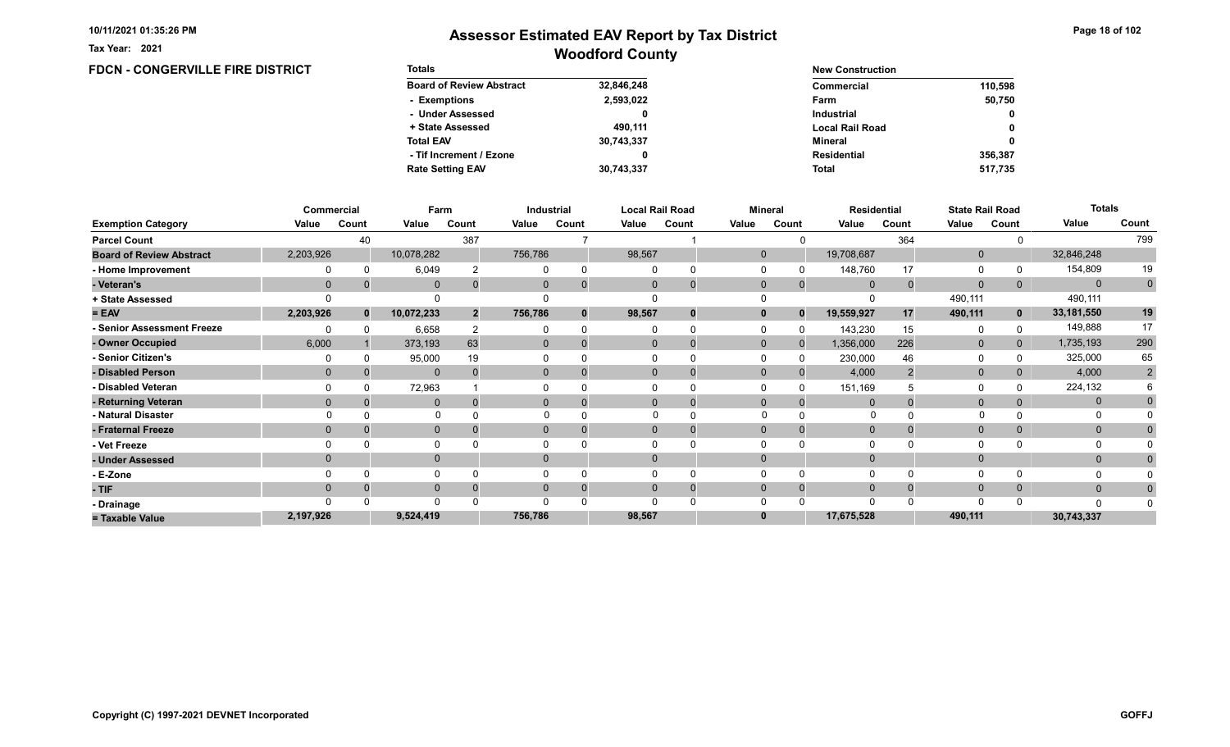FDCN - CONGERVILLE FIRE DISTRICT

Tax Year: 2021

| <b>Totals</b>                   |            | <b>New Construction</b> |              |  |  |  |
|---------------------------------|------------|-------------------------|--------------|--|--|--|
| <b>Board of Review Abstract</b> | 32,846,248 | Commercial              | 110.598      |  |  |  |
| - Exemptions                    | 2,593,022  | Farm                    | 50.750       |  |  |  |
| - Under Assessed                |            | <b>Industrial</b>       | $\mathbf{0}$ |  |  |  |
| + State Assessed                | 490.111    | <b>Local Rail Road</b>  | 0            |  |  |  |
| <b>Total EAV</b>                | 30,743,337 | Mineral                 | 0            |  |  |  |
| - Tif Increment / Ezone         |            | <b>Residential</b>      | 356.387      |  |  |  |
| <b>Rate Setting EAV</b>         | 30,743,337 | <b>Total</b>            | 517.735      |  |  |  |

|                                 |              | Commercial   | Farm         |                |              | Industrial |              | <b>Local Rail Road</b> |              | <b>Mineral</b> |             | <b>Residential</b> |              | <b>State Rail Road</b> | <b>Totals</b> |                |
|---------------------------------|--------------|--------------|--------------|----------------|--------------|------------|--------------|------------------------|--------------|----------------|-------------|--------------------|--------------|------------------------|---------------|----------------|
| <b>Exemption Category</b>       | Value        | Count        | Value        | Count          | Value        | Count      | Value        | Count                  | Value        | Count          | Value       | Count              | Value        | Count                  | Value         | Count          |
| <b>Parcel Count</b>             |              | 40           |              | 387            |              |            |              |                        |              |                |             | 364                |              |                        |               | 799            |
| <b>Board of Review Abstract</b> | 2,203,926    |              | 10,078,282   |                | 756,786      |            | 98,567       |                        | $\mathbf{0}$ |                | 19,708,687  |                    | $\mathbf 0$  |                        | 32,846,248    |                |
| - Home Improvement              |              |              | 6,049        |                |              |            | $\Omega$     |                        |              |                | 148,760     | 17                 | 0            |                        | 154,809       | 19             |
| - Veteran's                     | $\Omega$     |              | $\Omega$     |                | $\mathbf{0}$ |            | $\mathbf{0}$ | $\overline{0}$         | $\mathbf 0$  | $\mathbf{0}$   | $\Omega$    | $\Omega$           | $\mathbf 0$  | $\mathbf{0}$           | $\Omega$      | $\overline{0}$ |
| + State Assessed                |              |              |              |                |              |            |              |                        |              |                |             |                    | 490,111      |                        | 490,111       |                |
| $= EAV$                         | 2,203,926    | $\mathbf{0}$ | 10,072,233   | $\overline{2}$ | 756,786      |            | 98,567       |                        |              | $\Omega$       | 19,559,927  | 17                 | 490,111      | $\mathbf{0}$           | 33,181,550    | 19             |
| - Senior Assessment Freeze      |              |              | 6,658        |                |              |            |              |                        |              |                | 143,230     | 15                 | 0            |                        | 149,888       | 17             |
| - Owner Occupied                | 6,000        |              | 373,193      | 63             | $\Omega$     |            | $\Omega$     |                        | $\mathbf{0}$ | $\Omega$       | 1,356,000   | 226                | $\mathbf 0$  | $\Omega$               | 1,735,193     | 290            |
| - Senior Citizen's              |              |              | 95,000       | 19             |              |            |              |                        |              |                | 230,000     | 46                 | $\Omega$     |                        | 325,000       | 65             |
| - Disabled Person               | $\mathbf{0}$ |              | $\mathbf{0}$ |                | $\Omega$     |            | $\Omega$     |                        | $\Omega$     |                | 4,000       |                    | $\mathbf{0}$ |                        | 4,000         | $\overline{2}$ |
| - Disabled Veteran              |              |              | 72,963       |                |              |            | $\Omega$     |                        |              |                | 151,169     |                    | 0            |                        | 224,132       |                |
| - Returning Veteran             | $\Omega$     |              | $\Omega$     |                | $\Omega$     |            | $\Omega$     | 0                      | $\Omega$     | $\Omega$       |             |                    | $\mathbf 0$  | $\Omega$               | $\mathbf{0}$  |                |
| - Natural Disaster              |              |              | $\Omega$     |                |              |            |              |                        | $\Omega$     |                | O           |                    |              |                        | 0             |                |
| - Fraternal Freeze              | $\Omega$     |              | $\mathbf{0}$ |                | $\mathbf{0}$ |            | $\mathbf{0}$ |                        | $\Omega$     |                | $\mathbf 0$ |                    | $\mathbf{0}$ |                        | $\mathbf{0}$  |                |
| - Vet Freeze                    |              |              | $\Omega$     |                |              |            |              |                        |              |                |             |                    | $\Omega$     |                        | 0             |                |
| - Under Assessed                | $\Omega$     |              | $\mathbf{0}$ |                | $\Omega$     |            | $\Omega$     |                        |              |                |             |                    | $\mathbf{0}$ |                        | $\mathbf{0}$  |                |
| - E-Zone                        |              |              | $\Omega$     |                |              |            |              |                        |              |                |             |                    | $\Omega$     |                        |               |                |
| - TIF                           |              |              | $\mathbf{0}$ |                |              |            | $\Omega$     |                        | $\Omega$     |                |             |                    | $\mathbf{0}$ | 0                      | $\mathbf{0}$  |                |
| - Drainage                      |              |              | $\Omega$     |                |              |            | ∩            |                        |              |                |             |                    | $\Omega$     |                        | $\Omega$      |                |
| = Taxable Value                 | 2,197,926    |              | 9,524,419    |                | 756,786      |            | 98,567       |                        |              |                | 17,675,528  |                    | 490,111      |                        | 30,743,337    |                |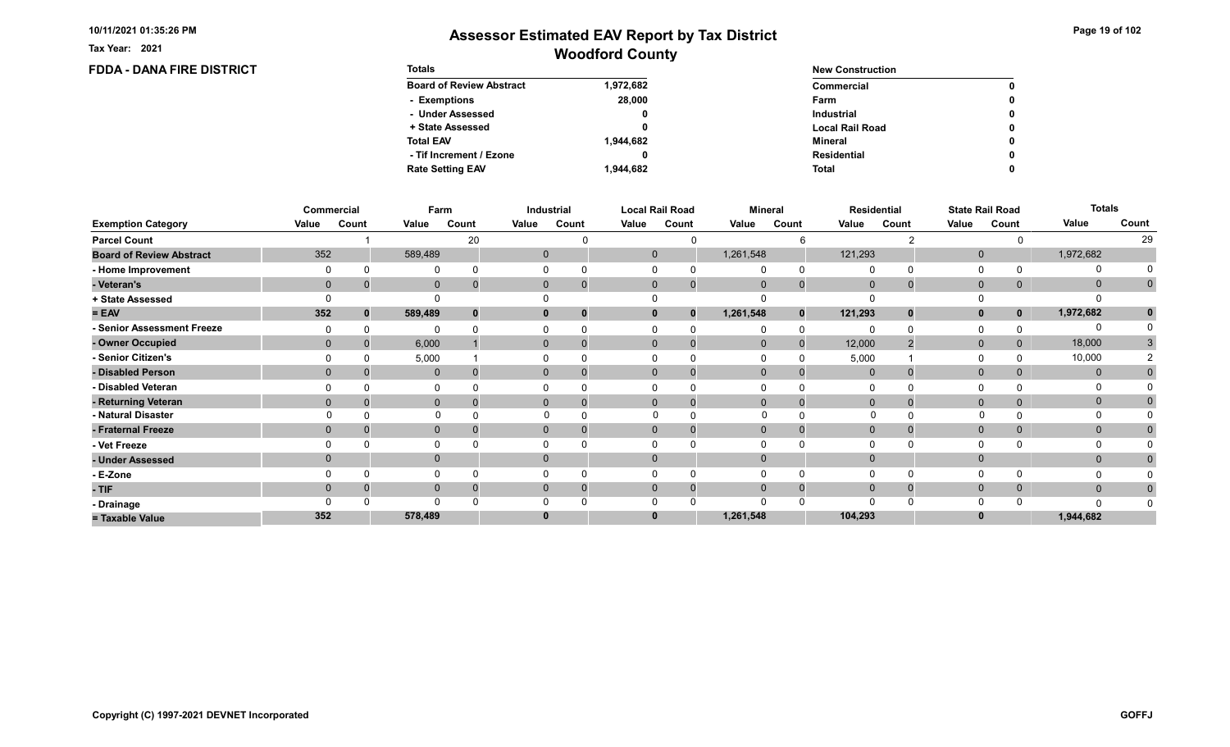FDDA - DANA FIRE DISTRICT

Tax Year: 2021

# Woodford County Assessor Estimated EAV Report by Tax District

0 0

> 0 0

> 0 0

> 0

| <b>Totals</b>                   |           | <b>New Construction</b> |  |  |  |  |
|---------------------------------|-----------|-------------------------|--|--|--|--|
| <b>Board of Review Abstract</b> | 1,972,682 | Commercial              |  |  |  |  |
| - Exemptions                    | 28,000    | Farm                    |  |  |  |  |
| - Under Assessed                | 0         | <b>Industrial</b>       |  |  |  |  |
| + State Assessed                | 0         | <b>Local Rail Road</b>  |  |  |  |  |
| <b>Total EAV</b>                | 1.944.682 | Mineral                 |  |  |  |  |
| - Tif Increment / Ezone         | 0         | <b>Residential</b>      |  |  |  |  |
| <b>Rate Setting EAV</b>         | 1.944.682 | <b>Total</b>            |  |  |  |  |

|                                 |          | Commercial   | Farm         |          |       | <b>Industrial</b> |       | <b>Local Rail Road</b>   |             | <b>Mineral</b> |                | <b>Residential</b> |              | <b>State Rail Road</b> | <b>Totals</b> |              |
|---------------------------------|----------|--------------|--------------|----------|-------|-------------------|-------|--------------------------|-------------|----------------|----------------|--------------------|--------------|------------------------|---------------|--------------|
| <b>Exemption Category</b>       | Value    | Count        | Value        | Count    | Value | Count             | Value | Count                    | Value       | Count          | Value          | Count              | Value        | Count                  | Value         | Count        |
| <b>Parcel Count</b>             |          |              |              | 20       |       |                   |       | <sup>0</sup>             |             |                |                |                    |              |                        |               | 29           |
| <b>Board of Review Abstract</b> | 352      |              | 589,489      |          |       | $\mathbf{0}$      |       | $\mathbf 0$              | 1,261,548   |                | 121,293        |                    | $\mathbf{0}$ |                        | 1,972,682     |              |
| - Home Improvement              |          |              | $\Omega$     |          |       |                   |       | $\Omega$                 |             |                |                |                    | 0            |                        |               |              |
| - Veteran's                     |          | $\mathbf{0}$ | $\mathbf 0$  | $\Omega$ |       | $\overline{0}$    |       | $\mathbf{0}$<br>$\Omega$ | $\mathbf 0$ | $\Omega$       | $\mathbf 0$    |                    | $\mathbf 0$  | $\overline{0}$         | $\mathbf 0$   | $\mathbf{0}$ |
| + State Assessed                |          |              |              |          |       |                   |       |                          |             |                |                |                    | $\Omega$     |                        | O             |              |
| $= EAV$                         | 352      | 0            | 589,489      | 0        |       | 0                 |       | $\mathbf{0}$<br>$\bf{0}$ | 1,261,548   | $\bf{0}$       | 121,293        | 0.                 | $\mathbf{0}$ |                        | 1,972,682     |              |
| - Senior Assessment Freeze      |          |              | $\Omega$     |          |       |                   |       |                          |             | $\Omega$       |                |                    | 0            |                        | 0             |              |
| - Owner Occupied                | $\Omega$ |              | 6,000        |          |       | $\mathbf{0}$      |       | $\mathbf{0}$             | $\mathbf 0$ | $\Omega$       | 12,000         |                    | $\mathbf{0}$ | $\overline{0}$         | 18,000        | 3            |
| - Senior Citizen's              |          |              | 5,000        |          |       |                   |       |                          |             |                | 5,000          |                    | 0            |                        | 10,000        |              |
| - Disabled Person               |          |              | $\mathbf{0}$ |          |       | $\Omega$          |       | $\Omega$                 | $\Omega$    |                | $\Omega$       |                    | $\mathbf 0$  |                        | $\Omega$      |              |
| - Disabled Veteran              |          |              | $\Omega$     |          |       |                   |       |                          |             |                |                |                    | 0            |                        | $\Omega$      |              |
| - Returning Veteran             |          | $\Omega$     | $\mathbf{0}$ |          |       | $\Omega$          |       | $\Omega$                 | $\Omega$    | $\Omega$       | $\overline{0}$ |                    | $\mathbf{0}$ | $\Omega$               | $\mathbf 0$   | 0            |
| - Natural Disaster              |          |              | $\Omega$     |          |       |                   |       |                          | ∩           |                | O              |                    | $\mathbf{0}$ |                        | O             |              |
| - Fraternal Freeze              |          | $\Omega$     | $\mathbf{0}$ |          |       | $\mathbf{0}$      |       | $\Omega$                 | $\Omega$    |                | $\mathbf{0}$   |                    | $\mathbf 0$  | $\mathbf{0}$           | $\mathbf{0}$  |              |
| - Vet Freeze                    |          |              | $\Omega$     |          |       |                   |       | $\Omega$                 |             |                |                |                    | 0            |                        | $\Omega$      |              |
| - Under Assessed                | $\Omega$ |              | $\mathbf 0$  |          |       |                   |       | $\Omega$                 | $\Omega$    |                |                |                    | $\mathbf 0$  |                        | $\mathbf{0}$  |              |
| - E-Zone                        |          |              | $\Omega$     |          |       |                   |       |                          |             |                |                |                    | 0            |                        | $\Omega$      |              |
| $-TIF$                          | 0        |              | $\mathbf{0}$ |          |       | $\mathbf{0}$      |       | $\mathbf{0}$             | $\Omega$    | $\Omega$       | $\mathbf 0$    |                    | $\mathbf{0}$ | $\mathbf{0}$           | $\mathbf{0}$  | $\mathbf{0}$ |
| - Drainage                      |          |              |              |          |       |                   |       |                          |             |                |                |                    | $\Omega$     |                        |               |              |
| = Taxable Value                 | 352      |              | 578,489      |          |       |                   |       | $\bf{0}$                 | 1,261,548   |                | 104,293        |                    |              |                        | 1,944,682     |              |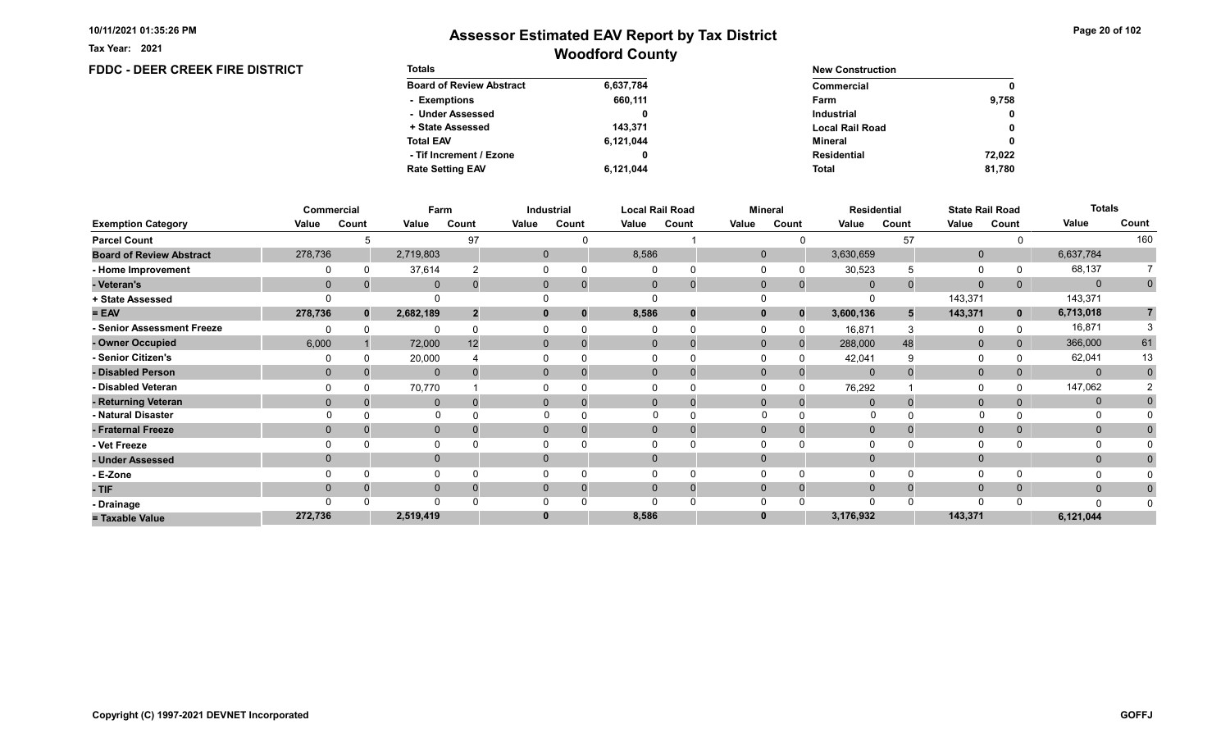Tax Year: 2021

## Woodford County Assessor Estimated EAV Report by Tax District

#### FDDC - DEER CREEK FIRE DISTRICT Totals Board of Review Abstract + State Assessed - Under Assessed - Exemptions Total EAV Rate Setting EAV - Tif Increment / Ezone 6,637,784 660,111 0 143,371 6,121,044 6,121,044 0 New Construction Commercial Local Rail Road Industrial Farm Mineral Total Residential 9,758 0 0 0 81,780 0 72,022

|                                 |                | Commercial | Farm         |       |       | Industrial                 |          | <b>Local Rail Road</b> | <b>Mineral</b> |              |                | Residential | <b>State Rail Road</b> |             | <b>Totals</b> |             |
|---------------------------------|----------------|------------|--------------|-------|-------|----------------------------|----------|------------------------|----------------|--------------|----------------|-------------|------------------------|-------------|---------------|-------------|
| <b>Exemption Category</b>       | Value          | Count      | Value        | Count | Value | Count                      | Value    | Count                  | Value          | Count        | Value          | Count       | Value                  | Count       | Value         | Count       |
| <b>Parcel Count</b>             |                |            |              | 97    |       |                            |          |                        |                |              |                | 57          |                        |             |               | 160         |
| <b>Board of Review Abstract</b> | 278,736        |            | 2,719,803    |       |       | $\mathbf{0}$               | 8,586    |                        | $\mathbf{0}$   |              | 3,630,659      |             | $\mathbf 0$            |             | 6,637,784     |             |
| - Home Improvement              |                |            | 37,614       |       |       | $\Omega$                   |          |                        |                |              | 30,523         | 5           | $\Omega$               |             | 68,137        |             |
| - Veteran's                     | $\Omega$       |            | $\mathbf{0}$ |       |       | $\overline{0}$<br>$\Omega$ | $\Omega$ | $\mathbf{0}$           | $\Omega$       | $\Omega$     | $\mathbf{0}$   |             | $\mathbf{0}$           | 0           | $\mathbf{0}$  | $\mathbf 0$ |
| + State Assessed                |                |            | $\Omega$     |       |       |                            |          |                        |                |              | $\Omega$       |             | 143,371                |             | 143,371       |             |
| $= EAV$                         | 278,736        |            | 2,682,189    |       |       | 0<br>0                     | 8,586    | 0                      | $\bf{0}$       | $\bf{0}$     | 3,600,136      |             | 143,371                | $\mathbf 0$ | 6,713,018     |             |
| - Senior Assessment Freeze      |                |            | $\Omega$     |       |       |                            |          |                        |                |              | 16,871         |             | 0                      |             | 16,871        |             |
| - Owner Occupied                | 6,000          |            | 72,000       | 12    |       | $\overline{0}$<br>$\Omega$ |          | $\mathbf 0$            | $\mathbf{0}$   | $\Omega$     | 288,000        | 48          | $\mathbf 0$            |             | 366,000       | 61          |
| - Senior Citizen's              |                |            | 20,000       |       |       |                            |          | U                      |                |              | 42,041         |             | 0                      |             | 62,041        | 13          |
| - Disabled Person               | $\mathbf{0}$   |            | $\mathbf{0}$ |       |       | $\overline{0}$             |          | 0                      |                |              | $\mathbf 0$    |             | $\mathbf{0}$           |             | $\mathbf{0}$  | $\Omega$    |
| - Disabled Veteran              |                |            | 70,770       |       |       |                            |          |                        |                |              | 76,292         |             | 0                      |             | 147,062       |             |
| - Returning Veteran             | $\Omega$       |            | $\mathbf{0}$ |       |       | $\overline{0}$<br>$\Omega$ |          | $\mathbf 0$            | $\mathbf{0}$   | $\Omega$     | $\overline{0}$ |             | $\mathbf{0}$           |             | $\mathbf 0$   |             |
| - Natural Disaster              |                |            |              |       |       |                            |          |                        |                |              |                |             |                        |             |               |             |
| - Fraternal Freeze              | $\Omega$       |            | $\mathbf 0$  |       |       | $\overline{0}$<br>0        |          | 0                      | $\Omega$       | 0            | $\mathbf{0}$   |             | $\mathbf{0}$           | 0           | $\mathbf{0}$  |             |
| - Vet Freeze                    |                |            | $\Omega$     |       |       |                            |          | $\Omega$               |                |              | $\Omega$       |             | $\Omega$               |             | $\Omega$      |             |
| - Under Assessed                | $\overline{0}$ |            | $\mathbf{0}$ |       |       | $\overline{0}$             |          |                        |                |              |                |             | $\mathbf{0}$           |             | $\mathbf{0}$  |             |
| - E-Zone                        |                |            | $\Omega$     |       |       |                            |          |                        |                |              | $\Omega$       |             | $\Omega$               |             |               |             |
| - TIF                           | $\Omega$       |            | $\mathbf{0}$ |       |       | 0<br>$\Omega$              |          | 0                      |                | <sup>0</sup> | $\Omega$       |             | $\mathbf{0}$           |             | $\mathbf{0}$  |             |
| - Drainage                      |                |            | $\Omega$     |       |       |                            |          |                        |                |              | $\Omega$       |             | $\Omega$               |             | n             |             |
| = Taxable Value                 | 272,736        |            | 2,519,419    |       |       | 0                          | 8,586    |                        |                |              | 3,176,932      |             | 143,371                |             | 6,121,044     |             |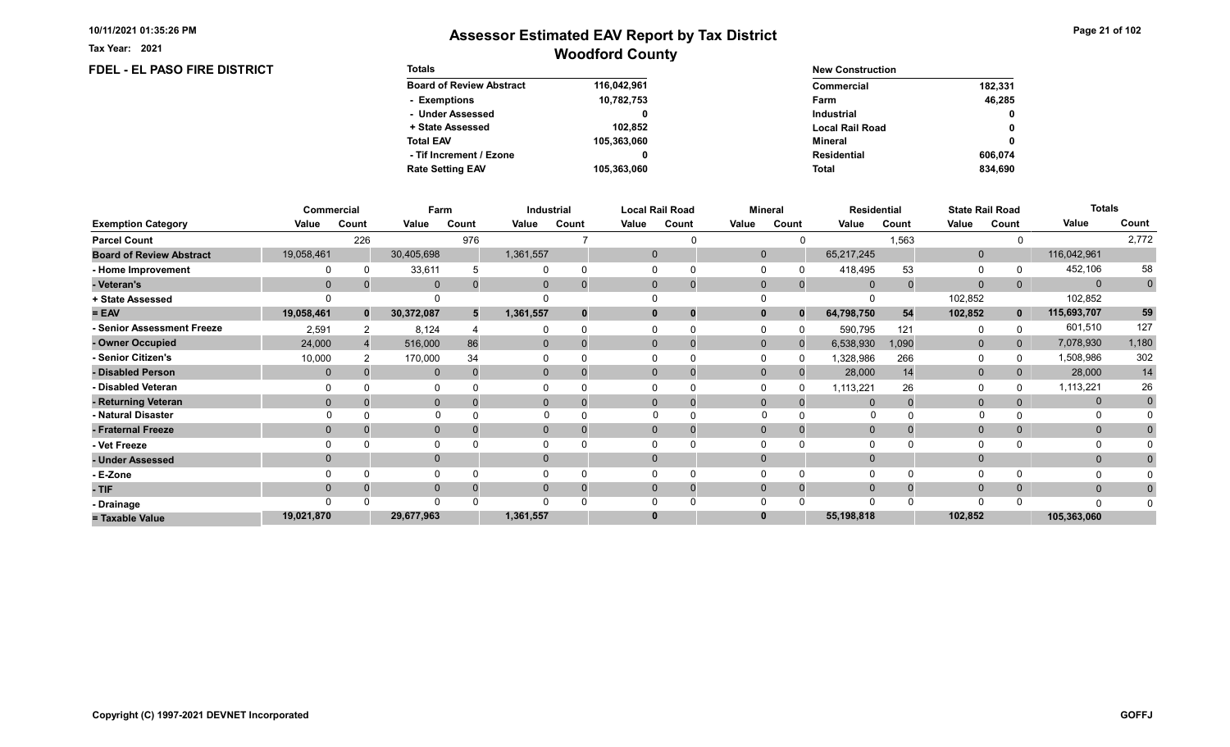FDEL - EL PASO FIRE DISTRICT

Tax Year: 2021

| <b>Totals</b>                   |             | <b>New Construction</b> |              |  |  |  |
|---------------------------------|-------------|-------------------------|--------------|--|--|--|
| <b>Board of Review Abstract</b> | 116,042,961 | Commercial              | 182,331      |  |  |  |
| - Exemptions                    | 10,782,753  | Farm                    | 46.285       |  |  |  |
| - Under Assessed                |             | <b>Industrial</b>       | $\mathbf{0}$ |  |  |  |
| + State Assessed                | 102.852     | <b>Local Rail Road</b>  | 0            |  |  |  |
| <b>Total EAV</b>                | 105,363,060 | Mineral                 | 0            |  |  |  |
| - Tif Increment / Ezone         |             | <b>Residential</b>      | 606.074      |  |  |  |
| <b>Rate Setting EAV</b>         | 105,363,060 | <b>Total</b>            | 834.690      |  |  |  |

|                                 |                | Commercial |              | Farm  | Industrial     |             |       | <b>Local Rail Road</b> |              | <b>Mineral</b> |                | <b>Residential</b> |              | <b>State Rail Road</b> | <b>Totals</b> |                |
|---------------------------------|----------------|------------|--------------|-------|----------------|-------------|-------|------------------------|--------------|----------------|----------------|--------------------|--------------|------------------------|---------------|----------------|
| <b>Exemption Category</b>       | Value          | Count      | Value        | Count | Value          | Count       | Value | Count                  | Value        | Count          | Value          | Count              | Value        | Count                  | Value         | Count          |
| <b>Parcel Count</b>             |                | 226        |              | 976   |                |             |       |                        |              |                |                | 1,563              |              |                        |               | 2,772          |
| <b>Board of Review Abstract</b> | 19,058,461     |            | 30,405,698   |       | 1,361,557      |             |       | 0                      | $\mathbf{0}$ |                | 65,217,245     |                    | $\mathbf 0$  |                        | 116,042,961   |                |
| - Home Improvement              |                |            | 33,611       |       |                | $\Omega$    |       |                        | $\Omega$     |                | 418,495        | 53                 | 0            |                        | 452,106       | 58             |
| - Veteran's                     | $\mathbf 0$    |            | $\mathbf 0$  |       | $\mathbf{0}$   | $\mathbf 0$ |       | $\mathbf 0$            | $\mathbf 0$  | $\overline{0}$ | $\overline{0}$ |                    | $\mathbf 0$  | 0                      | $\mathbf{0}$  | $\overline{0}$ |
| + State Assessed                |                |            |              |       |                |             |       |                        |              |                |                |                    | 102,852      |                        | 102,852       |                |
| $= EAV$                         | 19,058,461     | $\bf{0}$   | 30,372,087   | 5     | 1,361,557      | $\bf{0}$    |       | 0                      | $\bf{0}$     | $\bf{0}$       | 64,798,750     | 54                 | 102,852      | $\mathbf{0}$           | 115,693,707   | 59             |
| - Senior Assessment Freeze      | 2,591          |            | 8,124        |       |                |             |       |                        | $\Omega$     |                | 590,795        | 121                | 0            |                        | 601,510       | 127            |
| - Owner Occupied                | 24,000         |            | 516,000      | 86    | $\overline{0}$ | $\Omega$    |       | $\mathbf 0$            | $\mathbf{0}$ |                | 6,538,930      | 1,090              | $\mathbf 0$  | $\overline{0}$         | 7,078,930     | 1,180          |
| Senior Citizen's                | 10,000         |            | 170,000      | 34    |                |             |       |                        |              |                | 1,328,986      | 266                | $\Omega$     |                        | 1,508,986     | 302            |
| - Disabled Person               | $\overline{0}$ |            | $\mathbf{0}$ |       | $\overline{0}$ | $\Omega$    |       | 0                      | $\mathbf{0}$ |                | 28,000         | 14                 | $\mathbf 0$  |                        | 28,000        | 14             |
| - Disabled Veteran              |                |            | 0            |       |                |             |       |                        | $\Omega$     |                | 1,113,221      | 26                 | $\Omega$     |                        | 1,113,221     | 26             |
| - Returning Veteran             | $\Omega$       |            | $\mathbf{0}$ |       | $\Omega$       | $\Omega$    |       | $\Omega$               | $\Omega$     |                | $\Omega$       |                    | $\mathbf{0}$ |                        | $\mathbf{0}$  | $\mathbf 0$    |
| - Natural Disaster              |                |            | $\Omega$     |       | 0              |             |       |                        |              |                |                |                    |              |                        |               |                |
| - Fraternal Freeze              | $\overline{0}$ |            | $\mathbf{0}$ |       | $\mathbf{0}$   | 0           |       | 0                      | $\mathbf{0}$ |                | $\mathbf{0}$   |                    | $\mathbf{0}$ |                        | $\mathbf{0}$  |                |
| - Vet Freeze                    |                |            | 0            |       |                |             |       |                        |              |                | $\Omega$       |                    | $\Omega$     |                        | 0             |                |
| - Under Assessed                | $\Omega$       |            | $\mathbf{0}$ |       | $\Omega$       |             |       |                        | $\Omega$     |                | $\Omega$       |                    | $\mathbf{0}$ |                        | $\mathbf{0}$  |                |
| - E-Zone                        |                |            | O            |       |                |             |       |                        |              |                | $\Omega$       |                    | $\Omega$     |                        |               |                |
| $-$ TIF                         | $\Omega$       |            | $\mathbf{0}$ |       |                | $\Omega$    |       | 0                      | $\Omega$     |                | $\Omega$       |                    | $\mathbf{0}$ |                        | $\mathbf{0}$  |                |
| - Drainage                      |                |            | $\Omega$     |       |                |             |       |                        |              |                | $\Omega$       |                    | $\Omega$     |                        | $\Omega$      |                |
| = Taxable Value                 | 19,021,870     |            | 29,677,963   |       | 1,361,557      |             |       |                        |              |                | 55,198,818     |                    | 102,852      |                        | 105,363,060   |                |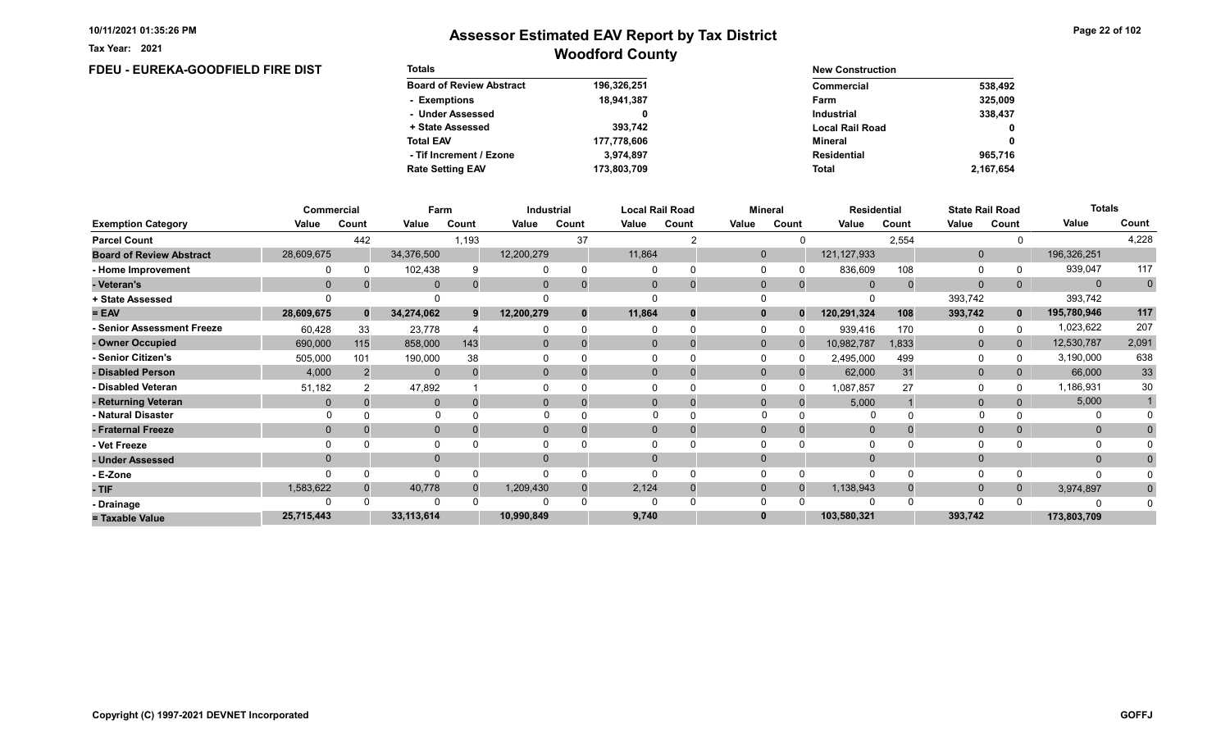Tax Year: 2021

# Woodford County Assessor Estimated EAV Report by Tax District

## FDEU - EUREKA-GOODFIELD FIRE DIST

| <b>Totals</b>                   |             | <b>New Construction</b> |           |
|---------------------------------|-------------|-------------------------|-----------|
| <b>Board of Review Abstract</b> | 196,326,251 | Commercial              | 538,492   |
| - Exemptions                    | 18,941,387  | Farm                    | 325,009   |
| - Under Assessed                |             | <b>Industrial</b>       | 338,437   |
| + State Assessed                | 393.742     | <b>Local Rail Road</b>  | 0         |
| <b>Total EAV</b>                | 177,778,606 | Mineral                 | 0         |
| - Tif Increment / Ezone         | 3.974.897   | Residential             | 965,716   |
| <b>Rate Setting EAV</b>         | 173,803,709 | <b>Total</b>            | 2,167,654 |

|                                 | Commercial   |          | Farm        |       |            | <b>Industrial</b> |              | <b>Local Rail Road</b> |              | <b>Mineral</b> | <b>Residential</b> |       |              | <b>State Rail Road</b> | <b>Totals</b> |             |
|---------------------------------|--------------|----------|-------------|-------|------------|-------------------|--------------|------------------------|--------------|----------------|--------------------|-------|--------------|------------------------|---------------|-------------|
| <b>Exemption Category</b>       | Value        | Count    | Value       | Count | Value      | Count             | Value        | Count                  | Value        | Count          | Value              | Count | Value        | Count                  | Value         | Count       |
| <b>Parcel Count</b>             |              | 442      |             | 1,193 |            | 37                |              |                        |              |                |                    | 2,554 |              |                        |               | 4,228       |
| <b>Board of Review Abstract</b> | 28,609,675   |          | 34,376,500  |       | 12,200,279 |                   | 11,864       |                        | $\mathbf{0}$ |                | 121, 127, 933      |       | $\mathbf{0}$ |                        | 196,326,251   |             |
| - Home Improvement              |              | $\Omega$ | 102,438     |       |            | $\Omega$          |              |                        | $\Omega$     |                | 836,609            | 108   | 0            |                        | 939,047       | 117         |
| - Veteran's                     | $\Omega$     |          | $\Omega$    |       |            | $\Omega$          |              | $\mathbf 0$            | $\mathbf{0}$ |                | $\Omega$           |       | $\mathbf{0}$ | 0                      | $\Omega$      | $\mathbf 0$ |
| + State Assessed                |              |          |             |       |            |                   |              |                        |              |                |                    |       | 393,742      |                        | 393,742       |             |
| $= EAV$                         | 28,609,675   | $\bf{0}$ | 34,274,062  |       | 12,200,279 | $\mathbf{0}$      | 11,864       | 0                      | $\bf{0}$     |                | 120,291,324        | 108   | 393,742      | $\mathbf{0}$           | 195,780,946   | 117         |
| <b>Senior Assessment Freeze</b> | 60,428       | 33       | 23,778      |       |            |                   |              |                        | $\Omega$     |                | 939,416            | 170   | 0            |                        | 1,023,622     | 207         |
| - Owner Occupied                | 690,000      | 115      | 858,000     | 143   | $\Omega$   | $\Omega$          | $\Omega$     |                        | $\Omega$     |                | 10,982,787         | 1,833 | $\mathbf{0}$ | $\overline{0}$         | 12,530,787    | 2,091       |
| - Senior Citizen's              | 505,000      | 101      | 190,000     | 38    |            |                   |              |                        | $\Omega$     |                | 2,495,000          | 499   | $\Omega$     |                        | 3,190,000     | 638         |
| - Disabled Person               | 4,000        |          | $\mathbf 0$ |       |            |                   | $\mathbf{0}$ | $\Omega$               | $\mathbf{0}$ |                | 62,000             | 31    | $\mathbf 0$  | 0                      | 66,000        | 33          |
| <b>Disabled Veteran</b>         | 51,182       |          | 47,892      |       |            |                   |              |                        | $\Omega$     |                | 1,087,857          | 27    | $\Omega$     |                        | 1,186,931     | 30          |
| - Returning Veteran             | $\Omega$     |          | $\Omega$    |       |            | $\Omega$          |              | 0                      | $\Omega$     |                | 5,000              |       | $\mathbf{0}$ | 0                      | 5,000         |             |
| - Natural Disaster              |              |          | $\Omega$    |       |            |                   |              |                        |              |                |                    |       |              |                        |               |             |
| - Fraternal Freeze              | $\mathbf{0}$ |          | $\Omega$    |       |            |                   | $\Omega$     |                        | $\mathbf{0}$ |                | $\overline{0}$     |       | $\mathbf{0}$ |                        | $\mathbf{0}$  |             |
| Vet Freeze                      |              |          |             |       |            |                   |              |                        |              |                |                    |       | $\Omega$     |                        |               |             |
| - Under Assessed                | $\Omega$     |          | $\Omega$    |       |            |                   |              |                        | $\Omega$     |                |                    |       | $\Omega$     |                        | $\Omega$      |             |
| - E-Zone                        | $\Omega$     | $\Omega$ | 0           |       |            | $\Omega$          |              |                        | $\Omega$     |                | $\Omega$           |       | 0            |                        |               |             |
| - TIF                           | 1,583,622    |          | 40,778      |       | 1,209,430  | $\Omega$          | 2,124        | 0                      | $\mathbf{0}$ |                | 1,138,943          |       | $\mathbf{0}$ | 0                      | 3,974,897     |             |
| - Drainage                      |              |          | $\Omega$    |       |            |                   |              |                        | $\Omega$     |                | 0                  |       | $\Omega$     |                        |               |             |
| = Taxable Value                 | 25,715,443   |          | 33,113,614  |       | 10,990,849 |                   | 9,740        |                        | $\bf{0}$     |                | 103,580,321        |       | 393,742      |                        | 173,803,709   |             |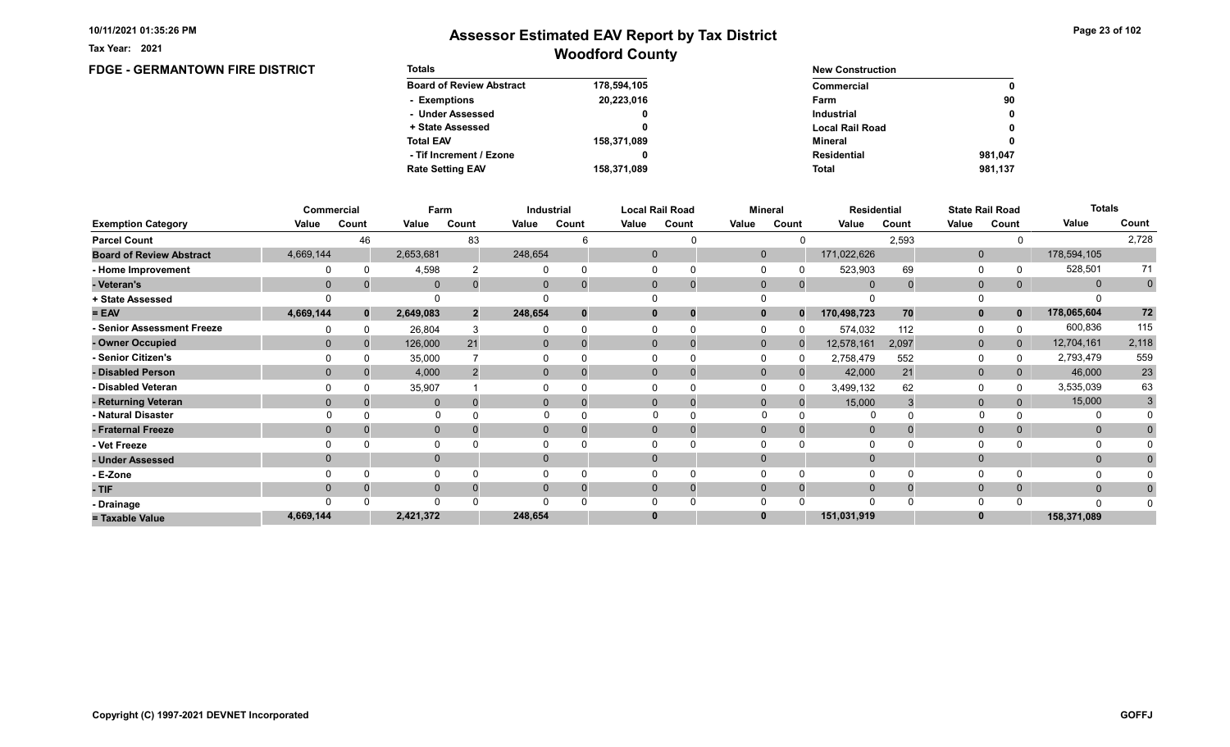Tax Year: 2021

## Woodford County Assessor Estimated EAV Report by Tax District

0

0 0

0

#### FDGE - GERMANTOWN FIRE DISTRICT Totals Board of Review Abstract + State Assessed - Under Assessed - Exemptions Total EAV Rate Setting EAV - Tif Increment / Ezone 178,594,105 20,223,016 0 0 158,371,089 158,371,089 0 New Construction Commercial Local Rail Road Industrial Farm Mineral Total Residential 90 981,137 981,047

|                                 |             | Commercial   | Farm         |                |          | Industrial |          | <b>Local Rail Road</b>      |              | Mineral  | <b>Residential</b> |       |              | <b>State Rail Road</b> | <b>Totals</b> |             |
|---------------------------------|-------------|--------------|--------------|----------------|----------|------------|----------|-----------------------------|--------------|----------|--------------------|-------|--------------|------------------------|---------------|-------------|
| <b>Exemption Category</b>       | Value       | Count        | Value        | Count          | Value    | Count      | Value    | Count                       | Value        | Count    | Value              | Count | Value        | Count                  | Value         | Count       |
| <b>Parcel Count</b>             |             | 46           |              | 83             |          |            |          |                             |              |          |                    | 2,593 |              |                        |               | 2,728       |
| <b>Board of Review Abstract</b> | 4,669,144   |              | 2,653,681    |                | 248,654  |            |          | $\mathbf{0}$                | $\mathbf{0}$ |          | 171,022,626        |       | $\mathbf 0$  |                        | 178,594,105   |             |
| - Home Improvement              |             |              | 4,598        |                |          |            |          |                             |              |          | 523,903            | 69    | $\Omega$     |                        | 528,501       | 71          |
| - Veteran's                     | $\mathbf 0$ |              | $\mathbf{0}$ |                | 0        |            |          | $\mathbf{0}$<br>$\mathbf 0$ | $\mathbf 0$  | $\Omega$ | $\mathbf 0$        |       | $\mathbf{0}$ | 0                      | $\mathbf{0}$  | $\mathbf 0$ |
| + State Assessed                |             |              | $\Omega$     |                |          |            |          |                             |              |          |                    |       | $\Omega$     |                        |               |             |
| $= EAV$                         | 4,669,144   | $\mathbf{0}$ | 2,649,083    | $\overline{2}$ | 248,654  | 0          |          | 0<br>0                      |              | $\bf{0}$ | 170,498,723        | 70    | $\mathbf{0}$ | 0                      | 178,065,604   | 72          |
| - Senior Assessment Freeze      |             |              | 26,804       |                |          |            |          |                             |              |          | 574,032            | 112   | $\Omega$     |                        | 600,836       | 115         |
| - Owner Occupied                |             |              | 126,000      | 21             | 0        |            |          | $\Omega$                    | $\mathbf{0}$ | $\Omega$ | 12,578,161         | 2,097 | $\mathbf{0}$ | $\overline{0}$         | 12,704,161    | 2,118       |
| - Senior Citizen's              |             |              | 35,000       |                |          |            |          |                             |              |          | 2,758,479          | 552   | 0            |                        | 2,793,479     | 559         |
| - Disabled Person               |             |              | 4,000        |                | $\Omega$ |            |          | $\Omega$<br>$\Omega$        | $\Omega$     |          | 42,000             | 21    | $\mathbf{0}$ |                        | 46,000        | $23\,$      |
| - Disabled Veteran              |             |              | 35,907       |                |          |            |          | 0                           |              |          | 3,499,132          | 62    | $\Omega$     |                        | 3,535,039     | 63          |
| - Returning Veteran             |             |              | $\mathbf{0}$ |                | $\Omega$ |            |          | $\Omega$<br>$\mathbf 0$     | $\Omega$     | $\Omega$ | 15,000             |       | $\mathbf{0}$ |                        | 15,000        | 3           |
| - Natural Disaster              |             |              |              |                |          |            |          |                             |              |          |                    |       |              |                        |               |             |
| - Fraternal Freeze              |             |              | $\mathbf 0$  |                | $\Omega$ |            |          | $\Omega$                    |              |          | $\Omega$           |       | $\mathbf{0}$ | 0                      | $\mathbf{0}$  |             |
| - Vet Freeze                    |             |              | 0            |                |          |            |          |                             |              |          |                    |       | $\Omega$     |                        | 0             |             |
| - Under Assessed                |             |              | $\mathbf{0}$ |                |          |            |          | $\Omega$                    |              |          |                    |       | $\mathbf{0}$ |                        | $\mathbf{0}$  |             |
| - E-Zone                        |             |              | $\Omega$     |                |          |            |          |                             |              |          |                    |       | $\Omega$     |                        |               |             |
| - TIF                           |             |              | $\mathbf 0$  |                |          |            |          | $\Omega$<br>0               |              | $\Omega$ |                    |       | $\mathbf{0}$ |                        | $\mathbf{0}$  |             |
| - Drainage                      |             |              | $\Omega$     |                |          |            |          |                             |              |          |                    |       | $\Omega$     |                        | $\Omega$      |             |
| = Taxable Value                 | 4,669,144   |              | 2,421,372    |                | 248,654  |            | $\bf{0}$ |                             |              |          | 151,031,919        |       | $\bf{0}$     |                        | 158,371,089   |             |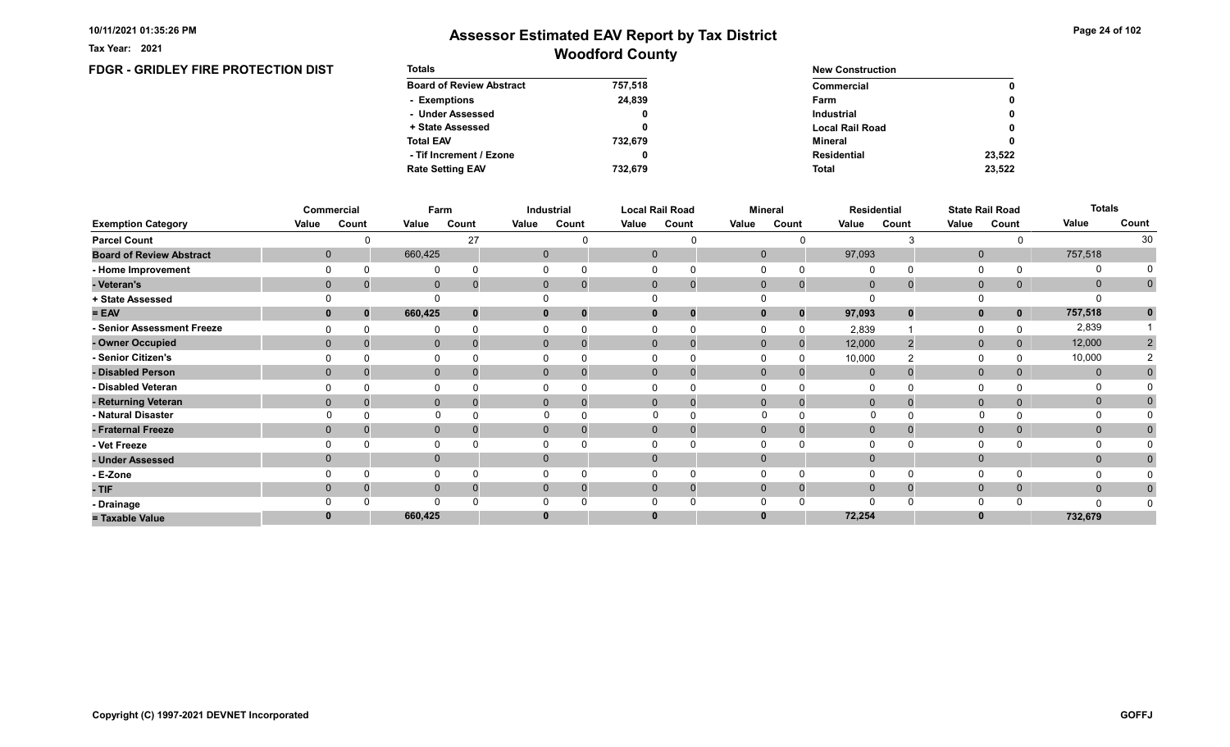Tax Year: 2021

## Woodford County Assessor Estimated EAV Report by Tax District

## FDGR - GRIDLEY FIRE PROTECTION DIST

| <b>Totals</b>                   |         | <b>New Construction</b> |              |  |  |  |
|---------------------------------|---------|-------------------------|--------------|--|--|--|
| <b>Board of Review Abstract</b> | 757,518 | Commercial              | $\mathbf{0}$ |  |  |  |
| - Exemptions                    | 24.839  | Farm                    | $\mathbf{0}$ |  |  |  |
| - Under Assessed                |         | <b>Industrial</b>       | $\mathbf{0}$ |  |  |  |
| + State Assessed                |         | <b>Local Rail Road</b>  | $\mathbf{0}$ |  |  |  |
| <b>Total EAV</b>                | 732.679 | Mineral                 | $\mathbf{0}$ |  |  |  |
| - Tif Increment / Ezone         |         | Residential             | 23,522       |  |  |  |
| <b>Rate Setting EAV</b>         | 732.679 | <b>Total</b>            | 23.522       |  |  |  |

|                                 |       | Commercial                 |              | Farm  |       | Industrial                  |       | <b>Local Rail Road</b>      |              | <b>Mineral</b> |              | <b>Residential</b> | <b>State Rail Road</b> |             | <b>Totals</b> |              |
|---------------------------------|-------|----------------------------|--------------|-------|-------|-----------------------------|-------|-----------------------------|--------------|----------------|--------------|--------------------|------------------------|-------------|---------------|--------------|
| <b>Exemption Category</b>       | Value | Count                      | Value        | Count | Value | Count                       | Value | Count                       | Value        | Count          | Value        | Count              | Value                  | Count       | Value         | Count        |
| <b>Parcel Count</b>             |       |                            |              | 27    |       |                             |       |                             |              |                |              |                    |                        |             |               | 30           |
| <b>Board of Review Abstract</b> |       | $\mathbf 0$                | 660,425      |       |       | $\mathbf 0$                 |       | $\mathbf{0}$                | $\mathbf{0}$ |                | 97,093       |                    | $\mathbf 0$            |             | 757,518       |              |
| - Home Improvement              |       | $\Omega$                   | 0            |       |       |                             |       |                             | 0            |                | $\mathbf{0}$ |                    | 0                      |             | 0             |              |
| - Veteran's                     |       | $\mathbf 0$                | $\mathbf{0}$ |       |       | $\mathbf 0$<br>$\mathbf{0}$ |       | $\mathbf{0}$<br>$\mathbf 0$ | $\mathbf{0}$ | $\Omega$       | $\mathbf 0$  |                    | $\mathbf 0$            | 0           | $\mathbf 0$   | $\mathbf{0}$ |
| + State Assessed                |       |                            |              |       |       |                             |       |                             |              |                |              |                    |                        |             |               |              |
| $= EAV$                         |       | $\bf{0}$<br>$\bf{0}$       | 660,425      |       |       | $\mathbf{0}$                |       | $\bm{0}$                    | $\mathbf{0}$ | $\bf{0}$       | 97,093       |                    | $\mathbf{0}$           | $\mathbf 0$ | 757,518       | $\mathbf{0}$ |
| - Senior Assessment Freeze      |       |                            | 0            |       |       |                             |       |                             | $\Omega$     |                | 2,839        |                    | 0                      |             | 2,839         |              |
| - Owner Occupied                |       | $\overline{0}$             | $\mathbf{0}$ |       |       | $\Omega$<br>$\Omega$        |       | $\Omega$<br>$\overline{0}$  | $\mathbf{0}$ | $\Omega$       | 12,000       |                    | $\mathbf{0}$           |             | 12,000        | 2            |
| - Senior Citizen's              |       |                            |              |       |       |                             |       |                             | $\Omega$     |                | 10,000       |                    | 0                      |             | 10,000        |              |
| - Disabled Person               |       | $\mathbf{0}$               | $\mathbf{0}$ |       |       |                             |       | $\Omega$                    | $\mathbf{0}$ |                | $\mathbf{0}$ |                    | $\mathbf 0$            |             | $\mathbf{0}$  | $\Omega$     |
| - Disabled Veteran              |       |                            |              |       |       |                             |       |                             | $\Omega$     |                | $\Omega$     |                    | 0                      |             |               |              |
| - Returning Veteran             |       | $\mathbf{0}$               | $\mathbf{0}$ |       |       | $\Omega$<br>0               |       | $\Omega$<br>$\Omega$        | $\mathbf 0$  |                | $\mathbf{0}$ |                    | $\mathbf 0$            |             | $\mathbf 0$   | 0            |
| - Natural Disaster              |       |                            | $\Omega$     |       |       |                             |       |                             |              |                |              |                    |                        |             | $\Omega$      |              |
| - Fraternal Freeze              |       | $\mathbf{0}$               | $\mathbf 0$  |       |       | $\mathbf 0$<br>0            |       | $\mathbf 0$<br>0            | $\mathbf{0}$ |                | $\mathbf{0}$ |                    | $\mathbf 0$            | 0           | $\mathbf{0}$  |              |
| - Vet Freeze                    |       |                            | 0            |       |       |                             |       |                             | $\Omega$     |                | 0            |                    | 0                      |             | 0             |              |
| - Under Assessed                |       | $\mathbf 0$                | $\mathbf{0}$ |       |       |                             |       |                             | $\Omega$     |                | $\Omega$     |                    | $\mathbf 0$            |             | $\mathbf 0$   | $\mathbf 0$  |
| - E-Zone                        |       |                            |              |       |       |                             |       |                             | $\Omega$     |                | $\Omega$     |                    | $\Omega$               |             | <sup>0</sup>  |              |
| $-TIF$                          |       | $\overline{0}$<br>$\Omega$ | $\mathbf 0$  |       |       | $\Omega$                    |       | $\Omega$<br>0               | $\mathbf{0}$ |                | $\mathbf 0$  |                    | $\mathbf 0$            |             | $\mathbf{0}$  | $\mathbf{0}$ |
| - Drainage                      |       |                            | $\Omega$     |       |       |                             |       |                             | $\Omega$     |                | $\Omega$     |                    | $\Omega$               |             |               |              |
| = Taxable Value                 |       |                            | 660,425      |       |       |                             |       |                             |              |                | 72,254       |                    | $\bf{0}$               |             | 732,679       |              |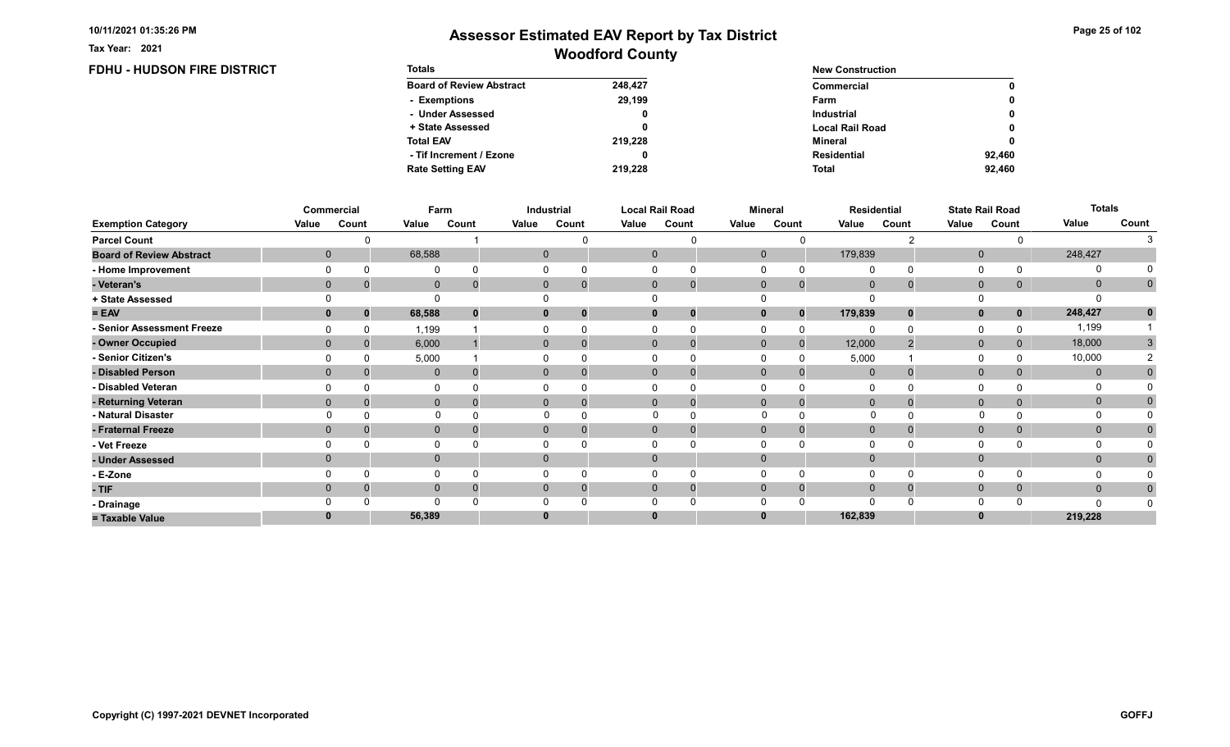FDHU - HUDSON FIRE DISTRICT

Tax Year: 2021

| <b>Totals</b>                   |         | <b>New Construction</b> |              |
|---------------------------------|---------|-------------------------|--------------|
| <b>Board of Review Abstract</b> | 248.427 | Commercial              | $\mathbf 0$  |
| - Exemptions                    | 29,199  | Farm                    | $\mathbf{0}$ |
| - Under Assessed                | 0       | <b>Industrial</b>       | $\mathbf{0}$ |
| + State Assessed                |         | <b>Local Rail Road</b>  | $\mathbf{0}$ |
| <b>Total EAV</b>                | 219,228 | Mineral                 | $\mathbf 0$  |
| - Tif Increment / Ezone         |         | Residential             | 92.460       |
| <b>Rate Setting EAV</b>         | 219.228 | <b>Total</b>            | 92.460       |

|                                 |             | Commercial   | Farm        |       |       | Industrial               |       | <b>Local Rail Road</b>      |              | <b>Mineral</b> |                | <b>Residential</b> |              | <b>State Rail Road</b> | <b>Totals</b> |              |
|---------------------------------|-------------|--------------|-------------|-------|-------|--------------------------|-------|-----------------------------|--------------|----------------|----------------|--------------------|--------------|------------------------|---------------|--------------|
| <b>Exemption Category</b>       | Value       | Count        | Value       | Count | Value | Count                    | Value | Count                       | Value        | Count          | Value          | Count              | Value        | Count                  | Value         | Count        |
| <b>Parcel Count</b>             |             |              |             |       |       |                          |       |                             |              |                |                |                    |              |                        |               |              |
| <b>Board of Review Abstract</b> | $\mathbf 0$ |              | 68,588      |       |       | 0                        |       | $\mathbf 0$                 | $\mathbf 0$  |                | 179,839        |                    | $\mathbf 0$  |                        | 248,427       |              |
| - Home Improvement              |             |              | 0           |       |       |                          |       |                             |              |                | $\Omega$       |                    | 0            |                        | $\Omega$      |              |
| - Veteran's                     | $\Omega$    |              | $\mathbf 0$ |       |       | $\mathbf{0}$             |       | $\mathbf 0$<br>$\mathbf 0$  | $\mathbf 0$  | $\mathbf 0$    | $\overline{0}$ |                    | $\mathbf 0$  | 0                      | $\mathbf{0}$  | $\mathbf{0}$ |
| + State Assessed                |             |              |             |       |       |                          |       |                             |              |                |                |                    |              |                        |               |              |
| $= EAV$                         |             | $\Omega$     | 68,588      |       |       | 0                        |       | $\bf{0}$<br>0               |              | $\bf{0}$       | 179,839        | $\bf{0}$           | $\mathbf{0}$ | $\mathbf 0$            | 248,427       | $\mathbf 0$  |
| - Senior Assessment Freeze      |             |              | 1,199       |       |       |                          |       | 0                           |              | $\Omega$       |                |                    | 0            |                        | 1,199         |              |
| - Owner Occupied                | $\Omega$    | $\Omega$     | 6,000       |       |       | $\mathbf{0}$<br>$\Omega$ |       | $\mathbf{0}$<br>$\mathbf 0$ | $\mathbf{0}$ | $\mathbf{0}$   | 12,000         |                    | $\mathbf{0}$ | 0                      | 18,000        | 3            |
| - Senior Citizen's              |             |              | 5,000       |       |       |                          |       |                             |              |                | 5,000          |                    | $\Omega$     |                        | 10,000        |              |
| - Disabled Person               |             |              | $\mathbf 0$ |       |       | 0                        |       | $\Omega$<br>$\Omega$        | $\Omega$     |                | $\mathbf{0}$   |                    | $\mathbf 0$  |                        | $\mathbf{0}$  |              |
| - Disabled Veteran              |             |              | 0           |       |       |                          |       | 0                           |              |                | $\Omega$       |                    | $\Omega$     |                        |               |              |
| - Returning Veteran             | $\Omega$    |              | $\mathbf 0$ |       |       | $\Omega$                 |       | $\Omega$<br>$\mathbf 0$     | $\Omega$     | $\Omega$       | $\Omega$       |                    | $\mathbf 0$  | 0                      | $\mathbf{0}$  |              |
| - Natural Disaster              |             |              | $\Omega$    |       |       |                          |       | $\Omega$<br>$\Omega$        | $\Omega$     |                | 0              |                    |              |                        | 0             |              |
| - Fraternal Freeze              |             | $\mathbf{0}$ | $\mathbf 0$ |       |       | $\mathbf{0}$             |       | $\mathbf{0}$<br>O           | $\mathbf 0$  |                | $\overline{0}$ |                    | $\mathbf 0$  | 0                      | $\mathbf{0}$  |              |
| - Vet Freeze                    |             |              | 0           |       |       |                          |       |                             |              |                |                |                    | $\Omega$     |                        | 0             |              |
| - Under Assessed                |             |              | $\mathbf 0$ |       |       | $\Omega$                 |       | $\Omega$                    |              |                | $\Omega$       |                    | $\mathbf{0}$ |                        | $\mathbf{0}$  |              |
| - E-Zone                        |             |              | $\mathbf 0$ |       |       |                          |       |                             |              |                | $\Omega$       |                    | $\Omega$     |                        |               |              |
| - TIF                           |             |              | $\mathbf 0$ |       |       |                          |       | $\Omega$<br>0               | $\Omega$     | $\Omega$       | $\Omega$       |                    | $\mathbf 0$  | 0                      | $\mathbf{0}$  | 0            |
| - Drainage                      |             |              | $\Omega$    |       |       |                          |       |                             |              |                |                |                    | $\Omega$     |                        |               |              |
| = Taxable Value                 |             |              | 56,389      |       |       |                          |       | 0                           |              |                | 162,839        |                    | $\bf{0}$     |                        | 219,228       |              |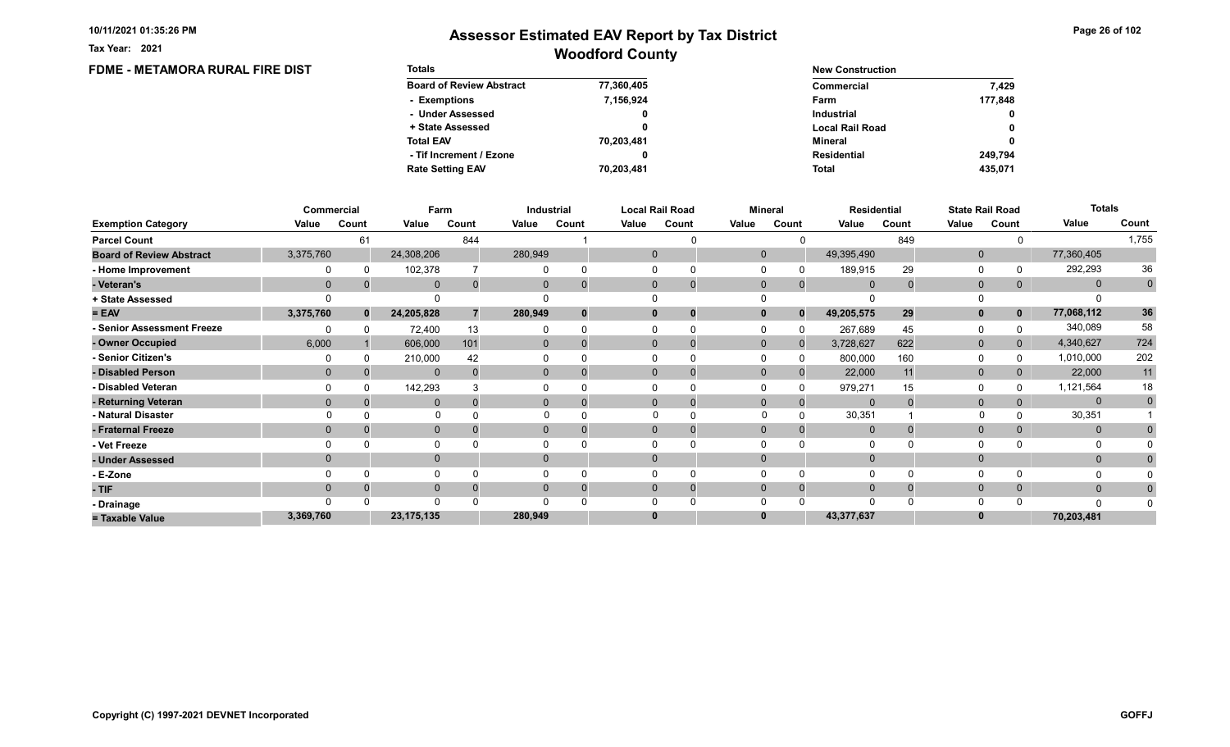Tax Year: 2021

## Woodford County Assessor Estimated EAV Report by Tax District

0 0

0

#### FDME - METAMORA RURAL FIRE DIST Totals Board of Review Abstract + State Assessed - Under Assessed - Exemptions Total EAV Rate Setting EAV - Tif Increment / Ezone 77,360,405 7,156,924 0 0 70,203,481 70,203,481 0 New Construction Commercial Local Rail Road Industrial Farm Mineral Total Residential 177,848 7,429 435,071 249,794

|                                 |                | <b>Commercial</b> | Farm         |          |              | Industrial |       | <b>Local Rail Road</b>       |              | <b>Mineral</b> |              | Residential |              | <b>State Rail Road</b> | <b>Totals</b> |              |
|---------------------------------|----------------|-------------------|--------------|----------|--------------|------------|-------|------------------------------|--------------|----------------|--------------|-------------|--------------|------------------------|---------------|--------------|
| <b>Exemption Category</b>       | Value          | Count             | Value        | Count    | Value        | Count      | Value | Count                        | Value        | Count          | Value        | Count       | Value        | Count                  | Value         | Count        |
| <b>Parcel Count</b>             |                | 61                |              | 844      |              |            |       |                              |              |                |              | 849         |              |                        |               | 1,755        |
| <b>Board of Review Abstract</b> | 3,375,760      |                   | 24,308,206   |          | 280,949      |            |       | $\mathbf 0$                  | $\mathbf 0$  |                | 49,395,490   |             | $\mathbf 0$  |                        | 77,360,405    |              |
| - Home Improvement              |                |                   | 102,378      |          |              |            |       | $\Omega$                     |              |                | 189,915      | 29          | 0            |                        | 292,293       | 36           |
| - Veteran's                     | $\overline{0}$ |                   | $\mathbf{0}$ | $\Omega$ | $\Omega$     |            |       | $\mathbf{0}$<br>$\mathbf{0}$ | $\Omega$     | $\Omega$       | $\Omega$     |             | $\mathbf 0$  | 0                      | $\mathbf{0}$  | $\mathbf 0$  |
| + State Assessed                |                |                   |              |          |              |            |       |                              |              |                |              |             | $\Omega$     |                        |               |              |
| $= EAV$                         | 3,375,760      | $\mathbf{0}$      | 24,205,828   |          | 280,949      |            |       | $\mathbf 0$                  | $\mathbf{0}$ | $\Omega$       | 49,205,575   | 29          | $\mathbf{0}$ | $\mathbf{0}$           | 77,068,112    | 36           |
| - Senior Assessment Freeze      |                |                   | 72,400       | 13       |              |            |       |                              |              |                | 267,689      | 45          | $\Omega$     |                        | 340,089       | 58           |
| - Owner Occupied                | 6.000          |                   | 606,000      | 101      | $\mathbf{0}$ |            |       | $\Omega$                     | $\Omega$     |                | 3,728,627    | 622         | $\mathbf{0}$ | $\mathbf{0}$           | 4,340,627     | 724          |
| - Senior Citizen's              |                |                   | 210,000      | 42       |              |            |       |                              |              |                | 800,000      | 160         | 0            |                        | 1,010,000     | 202          |
| - Disabled Person               | $\Omega$       |                   | $\mathbf{0}$ |          | $\Omega$     |            |       | $\Omega$                     | $\Omega$     |                | 22,000       | 11          | $\mathbf{0}$ |                        | 22,000        | 11           |
| - Disabled Veteran              |                |                   | 142,293      |          |              |            |       |                              |              |                | 979,271      | 15          | $\Omega$     |                        | 1,121,564     | 18           |
| - Returning Veteran             | $\Omega$       |                   | $\Omega$     | $\Omega$ | $\Omega$     |            |       | $\Omega$                     | $\Omega$     | $\Omega$       | $\Omega$     |             | $\mathbf{0}$ |                        | $\mathbf{0}$  | $\mathbf{0}$ |
| - Natural Disaster              |                |                   | $\Omega$     |          |              |            |       |                              | $\Omega$     |                | 30,351       |             | $\mathbf{0}$ |                        | 30,351        |              |
| - Fraternal Freeze              | $\Omega$       |                   | $\mathbf 0$  |          | $\mathbf{0}$ |            |       | $\mathbf{0}$                 | $\mathbf 0$  |                | $\mathbf{0}$ |             | $\mathbf 0$  | 0                      | $\mathbf{0}$  |              |
| - Vet Freeze                    |                |                   | $\mathbf{0}$ |          |              |            |       | $\Omega$                     |              |                |              |             | 0            |                        | 0             |              |
| - Under Assessed                |                |                   | $\mathbf{0}$ |          | $\Omega$     |            |       | $\Omega$                     | $\Omega$     |                |              |             | $\mathbf{0}$ |                        | $\mathbf{0}$  |              |
| - E-Zone                        |                |                   | $\Omega$     |          |              |            |       |                              |              |                |              |             | $\Omega$     |                        | 0             |              |
| - TIF                           | $\Omega$       |                   | $\mathbf{0}$ |          | $\mathbf{0}$ |            |       | $\mathbf{0}$                 | $\Omega$     | $\Omega$       | $\mathbf 0$  |             | $\mathbf{0}$ | 0                      | $\mathbf{0}$  | $\mathbf 0$  |
| - Drainage                      |                |                   | $\Omega$     |          |              |            |       |                              |              |                | $\Omega$     |             | $\Omega$     |                        | n             |              |
| = Taxable Value                 | 3,369,760      |                   | 23, 175, 135 |          | 280,949      |            |       | $\bf{0}$                     |              |                | 43,377,637   |             |              |                        | 70,203,481    |              |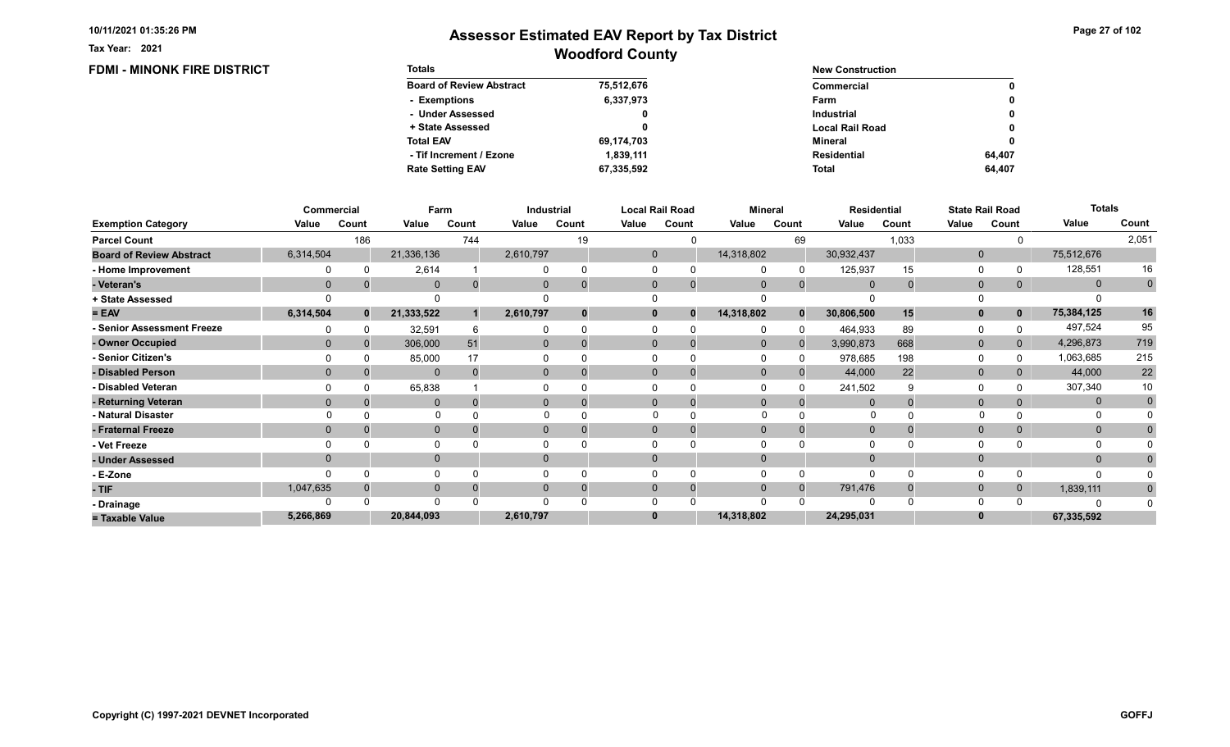**FDMI - MINONK FIRE DISTRICT** 

Tax Year: 2021

# Woodford County Assessor Estimated EAV Report by Tax District

| <b>Totals</b>                   |            | <b>New Construction</b> |        |
|---------------------------------|------------|-------------------------|--------|
| <b>Board of Review Abstract</b> | 75,512,676 | Commercial              | 0      |
| - Exemptions                    | 6,337,973  | Farm                    | 0      |
| - Under Assessed                | 0          | <b>Industrial</b>       | 0      |
| + State Assessed                |            | <b>Local Rail Road</b>  | 0      |
| <b>Total EAV</b>                | 69,174,703 | Mineral                 | 0      |
| - Tif Increment / Ezone         | 1,839,111  | <b>Residential</b>      | 64.407 |
| <b>Rate Setting EAV</b>         | 67,335,592 | <b>Total</b>            | 64,407 |

|                                 |             | Commercial   | Farm         |       |              | <b>Industrial</b> |       | <b>Local Rail Road</b>      |             | <b>Mineral</b> |             | <b>Residential</b> |                | <b>State Rail Road</b> | <b>Totals</b> |              |
|---------------------------------|-------------|--------------|--------------|-------|--------------|-------------------|-------|-----------------------------|-------------|----------------|-------------|--------------------|----------------|------------------------|---------------|--------------|
| <b>Exemption Category</b>       | Value       | Count        | Value        | Count | Value        | Count             | Value | Count                       | Value       | Count          | Value       | Count              | Value          | Count                  | Value         | Count        |
| <b>Parcel Count</b>             |             | 186          |              | 744   |              | 19                |       |                             |             | 69             |             | 1,033              |                |                        |               | 2,051        |
| <b>Board of Review Abstract</b> | 6,314,504   |              | 21,336,136   |       | 2,610,797    |                   |       | $\mathbf{0}$                | 14,318,802  |                | 30,932,437  |                    | $\mathbf{0}$   |                        | 75,512,676    |              |
| - Home Improvement              |             |              | 2,614        |       |              |                   |       | 0                           |             |                | 125,937     | 15                 | 0              |                        | 128,551       | 16           |
| - Veteran's                     | $\mathbf 0$ |              | $\mathbf 0$  |       | 0            |                   |       | $\mathbf{0}$<br>$\mathbf 0$ | $\mathbf 0$ | $\mathbf{0}$   | $\mathbf 0$ |                    | $\mathbf{0}$   | 0                      | $\mathbf{0}$  | $\mathbf{0}$ |
| + State Assessed                |             |              |              |       |              |                   |       |                             |             |                |             |                    |                |                        |               |              |
| $= EAV$                         | 6,314,504   | $\mathbf{0}$ | 21,333,522   |       | 2,610,797    |                   |       | 0<br>0                      | 14,318,802  | $\bf{0}$       | 30,806,500  | 15                 | $\mathbf{0}$   | $\mathbf 0$            | 75,384,125    | 16           |
| - Senior Assessment Freeze      |             |              | 32,591       |       |              |                   |       |                             |             | n              | 464,933     | 89                 | 0              |                        | 497,524       | 95           |
| - Owner Occupied                |             |              | 306,000      | 51    | $\Omega$     | $\Omega$          |       | $\Omega$                    | $\Omega$    |                | 3,990,873   | 668                | $\overline{0}$ | 0                      | 4,296,873     | 719          |
| - Senior Citizen's              |             |              | 85,000       |       |              |                   |       |                             |             |                | 978,685     | 198                | $\Omega$       |                        | 1,063,685     | 215          |
| - Disabled Person               |             |              | $\mathbf{0}$ |       |              |                   |       | $\Omega$                    | $\Omega$    |                | 44,000      | 22                 | $\mathbf{0}$   |                        | 44,000        | $22\,$       |
| - Disabled Veteran              |             |              | 65,838       |       |              |                   |       |                             |             |                | 241,502     |                    | $\Omega$       |                        | 307,340       | 10           |
| - Returning Veteran             |             |              | $\mathbf 0$  |       | $\mathbf{0}$ |                   |       | $\Omega$<br>0               | $\Omega$    | $\Omega$       | $\Omega$    |                    | $\mathbf 0$    |                        | $\mathbf{0}$  | $\mathbf 0$  |
| - Natural Disaster              |             |              | $\Omega$     |       |              |                   |       | $\Omega$                    | $\Omega$    |                | $\Omega$    |                    |                |                        | O             |              |
| - Fraternal Freeze              |             |              | $\mathbf 0$  |       | 0            |                   |       | $\mathbf 0$                 | $\Omega$    |                | $\Omega$    |                    | $\mathbf{0}$   |                        | $\mathbf{0}$  |              |
| - Vet Freeze                    |             |              | 0            |       |              |                   |       |                             |             |                |             |                    | 0              |                        | 0             |              |
| - Under Assessed                |             |              | $\mathbf{0}$ |       |              |                   |       | $\Omega$                    |             |                |             |                    | $\mathbf{0}$   |                        | $\mathbf{0}$  |              |
| - E-Zone                        |             |              | $\Omega$     |       |              |                   |       |                             |             |                |             |                    | $\Omega$       |                        | O             |              |
| - TIF                           | 1,047,635   |              | $\mathbf 0$  |       | 0            |                   |       | $\Omega$<br>0               | $\Omega$    | $\Omega$       | 791,476     |                    | $\mathbf 0$    |                        | 1,839,111     |              |
| - Drainage                      |             |              | $\Omega$     |       |              |                   |       |                             |             |                | C           |                    | $\Omega$       |                        |               |              |
| = Taxable Value                 | 5,266,869   |              | 20,844,093   |       | 2,610,797    |                   |       | $\bf{0}$                    | 14,318,802  |                | 24,295,031  |                    |                |                        | 67,335,592    |              |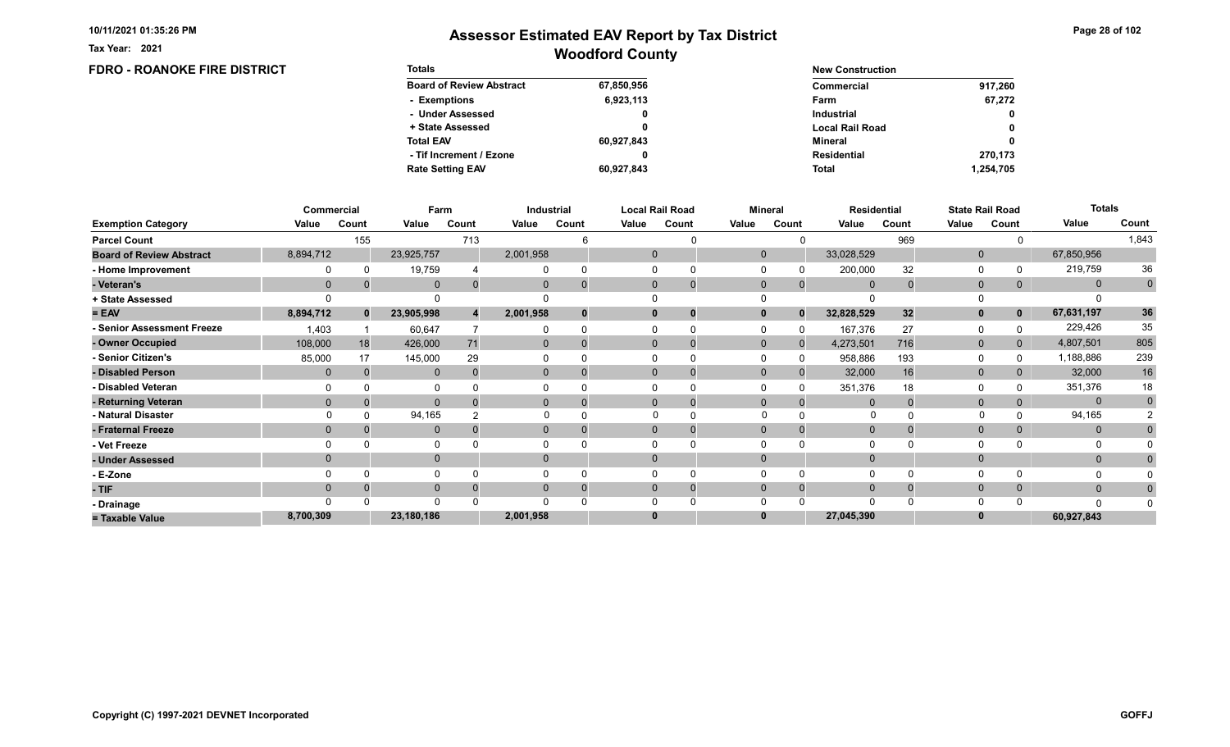FDRO - ROANOKE FIRE DISTRICT

Tax Year: 2021

| <b>Totals</b>                   |            | <b>New Construction</b> |              |
|---------------------------------|------------|-------------------------|--------------|
| <b>Board of Review Abstract</b> | 67,850,956 | Commercial              | 917.260      |
| - Exemptions                    | 6,923,113  | Farm                    | 67.272       |
| - Under Assessed                | 0          | <b>Industrial</b>       | $\mathbf{0}$ |
| + State Assessed                |            | <b>Local Rail Road</b>  | 0            |
| <b>Total EAV</b>                | 60,927,843 | Mineral                 | 0            |
| - Tif Increment / Ezone         | 0          | <b>Residential</b>      | 270.173      |
| <b>Rate Setting EAV</b>         | 60,927,843 | <b>Total</b>            | 1,254,705    |

|                                 |             | <b>Commercial</b> | Farm         |       |              | Industrial |              | <b>Local Rail Road</b> | <b>Mineral</b> |              | <b>Residential</b> |       |              | <b>State Rail Road</b> | <b>Totals</b> |             |
|---------------------------------|-------------|-------------------|--------------|-------|--------------|------------|--------------|------------------------|----------------|--------------|--------------------|-------|--------------|------------------------|---------------|-------------|
| <b>Exemption Category</b>       | Value       | Count             | Value        | Count | Value        | Count      | Value        | Count                  | Value          | Count        | Value              | Count | Value        | Count                  | Value         | Count       |
| <b>Parcel Count</b>             |             | 155               |              | 713   |              |            |              |                        |                |              |                    | 969   |              |                        |               | 1,843       |
| <b>Board of Review Abstract</b> | 8,894,712   |                   | 23,925,757   |       | 2,001,958    |            | $\mathbf 0$  |                        | $\mathbf 0$    |              | 33,028,529         |       | $\mathbf{0}$ |                        | 67,850,956    |             |
| - Home Improvement              |             |                   | 19,759       |       |              |            |              |                        |                |              | 200,000            | 32    | $\Omega$     |                        | 219,759       | 36          |
| - Veteran's                     | $\mathbf 0$ |                   | $\mathbf{0}$ |       | 0            |            | $\mathbf{0}$ | $\mathbf 0$            | $\mathbf 0$    | $\mathbf{0}$ | $\overline{0}$     |       | $\mathbf{0}$ | 0                      | $\mathbf{0}$  | $\mathbf 0$ |
| + State Assessed                |             |                   |              |       |              |            |              |                        |                |              |                    |       |              |                        |               |             |
| $= EAV$                         | 8,894,712   | $\mathbf{0}$      | 23,905,998   |       | 2,001,958    |            | $\bf{0}$     | 0                      |                | $\Omega$     | 32,828,529         | 32    | $\mathbf{0}$ | $\mathbf 0$            | 67,631,197    | 36          |
| - Senior Assessment Freeze      | 1,403       |                   | 60,647       |       |              |            |              |                        |                |              | 167,376            | 27    | 0            |                        | 229,426       | 35          |
| - Owner Occupied                | 108,000     | 18                | 426,000      | 71    | $\mathbf{0}$ | $\Omega$   | $\Omega$     |                        | $\Omega$       |              | 4,273,501          | 716   | $\mathbf{0}$ | 0                      | 4,807,501     | 805         |
| - Senior Citizen's              | 85,000      | 17                | 145,000      | 29    |              |            |              | 0                      |                |              | 958,886            | 193   | $\Omega$     |                        | 1,188,886     | 239         |
| - Disabled Person               | $\Omega$    |                   | $\mathbf{0}$ |       | $\mathbf{0}$ |            | $\Omega$     | 0                      | $\Omega$       |              | 32,000             | 16    | $\mathbf{0}$ |                        | 32,000        | 16          |
| - Disabled Veteran              |             |                   | 0            |       |              |            |              | 0                      |                |              | 351,376            | 18    | $\Omega$     |                        | 351,376       | 18          |
| - Returning Veteran             |             |                   | $\Omega$     |       | $\Omega$     | $\Omega$   | $\Omega$     | $\mathbf 0$            | $\Omega$       | $\Omega$     | $\Omega$           |       | $\mathbf{0}$ |                        | $\mathbf{0}$  | $\mathbf 0$ |
| - Natural Disaster              |             |                   | 94,165       |       |              |            |              |                        | $\Omega$       |              | <sup>0</sup>       |       |              |                        | 94,165        |             |
| - Fraternal Freeze              | $\Omega$    |                   | $\mathbf 0$  |       | 0            |            | $\Omega$     |                        | $\Omega$       |              | $\Omega$           |       | $\mathbf{0}$ | 0                      | $\mathbf{0}$  |             |
| - Vet Freeze                    |             |                   | 0            |       |              |            |              |                        |                |              |                    |       | $\Omega$     |                        |               |             |
| - Under Assessed                |             |                   | $\mathbf{0}$ |       | $\Omega$     |            | $\Omega$     |                        |                |              |                    |       | $\mathbf{0}$ |                        | $\mathbf{0}$  |             |
| - E-Zone                        |             |                   | $\Omega$     |       |              |            |              |                        |                |              |                    |       | $\Omega$     |                        |               |             |
| - TIF                           |             |                   | $\mathbf{0}$ |       |              |            | 0            | 0                      |                |              |                    |       | $\mathbf{0}$ |                        | $\mathbf{0}$  |             |
| - Drainage                      |             |                   | $\Omega$     |       |              |            |              |                        |                |              |                    |       | $\Omega$     |                        | n             |             |
| = Taxable Value                 | 8,700,309   |                   | 23,180,186   |       | 2,001,958    |            | 0            |                        |                |              | 27,045,390         |       | $\bf{0}$     |                        | 60,927,843    |             |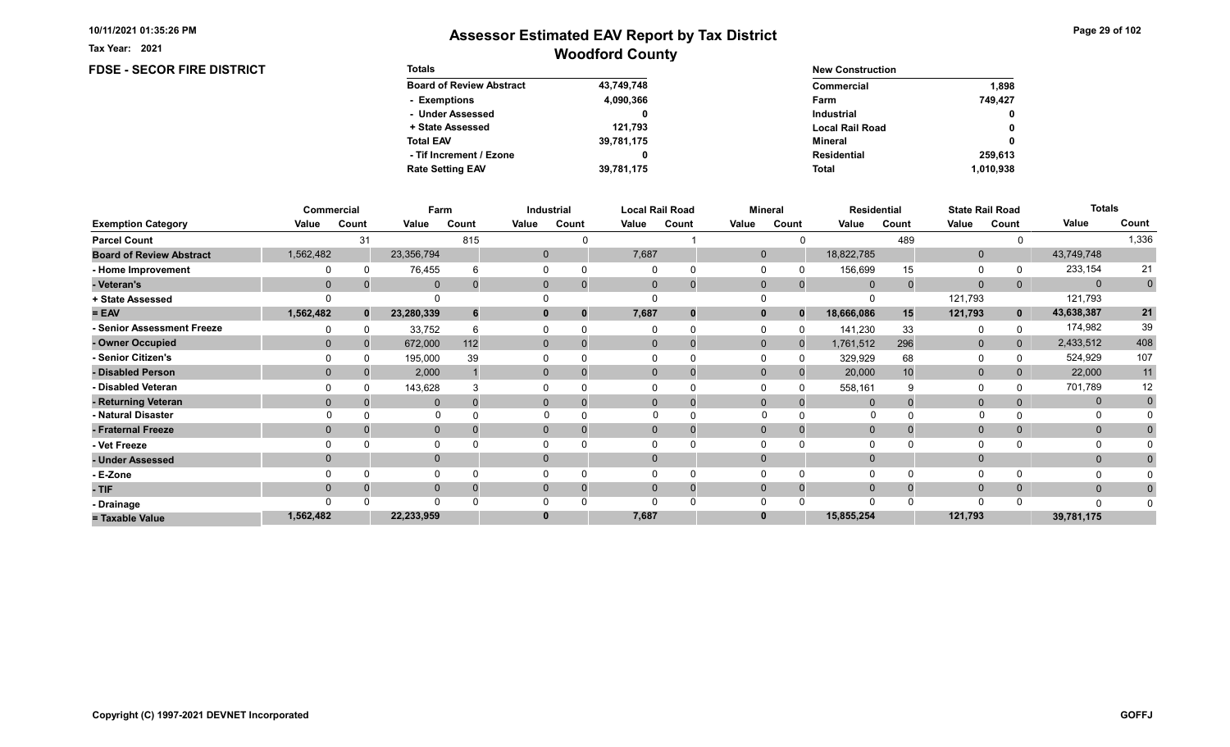FDSE - SECOR FIRE DISTRICT

Tax Year: 2021

| <b>Totals</b>                   |            | <b>New Construction</b> |              |
|---------------------------------|------------|-------------------------|--------------|
| <b>Board of Review Abstract</b> | 43,749,748 | Commercial              | 1.898        |
| - Exemptions                    | 4,090,366  | Farm                    | 749.427      |
| - Under Assessed                |            | <b>Industrial</b>       | $\mathbf{0}$ |
| + State Assessed                | 121.793    | <b>Local Rail Road</b>  | 0            |
| <b>Total EAV</b>                | 39,781,175 | Mineral                 | 0            |
| - Tif Increment / Ezone         |            | <b>Residential</b>      | 259.613      |
| <b>Rate Setting EAV</b>         | 39,781,175 | <b>Total</b>            | 1.010.938    |

|                                 |             | Commercial   | Farm         |          |       | Industrial     |       | <b>Local Rail Road</b>   |              | Mineral                  |             | <b>Residential</b> |              | <b>State Rail Road</b> | <b>Totals</b> |             |
|---------------------------------|-------------|--------------|--------------|----------|-------|----------------|-------|--------------------------|--------------|--------------------------|-------------|--------------------|--------------|------------------------|---------------|-------------|
| <b>Exemption Category</b>       | Value       | Count        | Value        | Count    | Value | Count          | Value | Count                    | Value        | Count                    | Value       | Count              | Value        | Count                  | Value         | Count       |
| <b>Parcel Count</b>             |             | 31           |              | 815      |       |                |       |                          |              |                          |             | 489                |              |                        |               | 1,336       |
| <b>Board of Review Abstract</b> | 1,562,482   |              | 23,356,794   |          |       | $\overline{0}$ | 7,687 |                          | $\mathbf{0}$ |                          | 18,822,785  |                    | $\mathbf{0}$ |                        | 43,749,748    |             |
| - Home Improvement              |             |              | 76,455       |          |       |                |       |                          |              |                          | 156,699     | 15                 | $\Omega$     |                        | 233,154       | 21          |
| - Veteran's                     | $\mathbf 0$ |              | $\mathbf 0$  | $\Omega$ |       | $\mathbf{0}$   |       | $\mathbf{0}$<br>$\Omega$ | $\mathbf 0$  | $\Omega$                 | $\mathbf 0$ |                    | $\mathbf{0}$ | 0                      | $\mathbf{0}$  | $\mathbf 0$ |
| + State Assessed                |             |              |              |          |       |                |       |                          |              |                          |             |                    | 121,793      |                        | 121,793       |             |
| $= EAV$                         | 1,562,482   | $\mathbf{0}$ | 23,280,339   | 6        |       |                | 7,687 | 0                        |              | $\mathbf{0}$<br>$\Omega$ | 18,666,086  | 15                 | 121,793      | $\mathbf 0$            | 43,638,387    | 21          |
| - Senior Assessment Freeze      |             |              | 33,752       | 6        |       |                |       |                          |              |                          | 141,230     | 33                 | $\Omega$     |                        | 174,982       | 39          |
| - Owner Occupied                | $\Omega$    |              | 672,000      | 112      |       | $\mathbf{0}$   |       | $\Omega$                 | $\Omega$     | $\Omega$                 | 1,761,512   | 296                | $\mathbf 0$  | $\overline{0}$         | 2,433,512     | 408         |
| - Senior Citizen's              |             |              | 195,000      | 39       |       |                |       |                          |              |                          | 329,929     | 68                 | 0            |                        | 524,929       | 107         |
| - Disabled Person               | $\Omega$    |              | 2,000        |          |       | $\Omega$       |       | $\Omega$                 | $\Omega$     |                          | 20,000      | 10                 | $\mathbf{0}$ |                        | 22,000        | 11          |
| - Disabled Veteran              |             |              | 143,628      |          |       |                |       | $\Omega$                 |              |                          | 558,161     |                    | $\Omega$     |                        | 701,789       | 12          |
| - Returning Veteran             | $\Omega$    |              | $\Omega$     | $\Omega$ |       | $\Omega$       |       | $\Omega$<br>$\Omega$     | $\Omega$     | $\Omega$                 | $\Omega$    |                    | $\mathbf{0}$ |                        | $\mathbf 0$   | $\mathbf 0$ |
| - Natural Disaster              |             |              | $\Omega$     |          |       |                |       |                          | $\Omega$     |                          | O           |                    |              |                        |               |             |
| - Fraternal Freeze              | $\Omega$    |              | $\mathbf 0$  |          |       | $\Omega$       |       | $\mathbf{0}$             | $\Omega$     |                          | $\Omega$    |                    | $\mathbf 0$  | $\Omega$               | $\mathbf{0}$  |             |
| - Vet Freeze                    |             |              | $\Omega$     |          |       |                |       |                          |              |                          |             |                    | 0            |                        | 0             |             |
| - Under Assessed                | $\Omega$    |              | $\mathbf{0}$ |          |       | $\Omega$       |       | $\Omega$                 | $\Omega$     |                          |             |                    | $\mathbf{0}$ |                        | $\mathbf{0}$  |             |
| - E-Zone                        |             |              | $\Omega$     |          |       |                |       |                          |              |                          |             |                    | $\Omega$     |                        |               |             |
| - TIF                           | $\Omega$    |              | $\Omega$     |          |       |                |       | $\Omega$                 | $\Omega$     | $\Omega$                 | $\Omega$    |                    | $\mathbf{0}$ | $\Omega$               | $\mathbf{0}$  |             |
| - Drainage                      |             |              | $\Omega$     |          |       |                |       | $\Omega$                 |              |                          |             |                    | $\Omega$     |                        | $\Omega$      |             |
| = Taxable Value                 | 1,562,482   |              | 22,233,959   |          |       |                | 7,687 |                          |              |                          | 15,855,254  |                    | 121,793      |                        | 39,781,175    |             |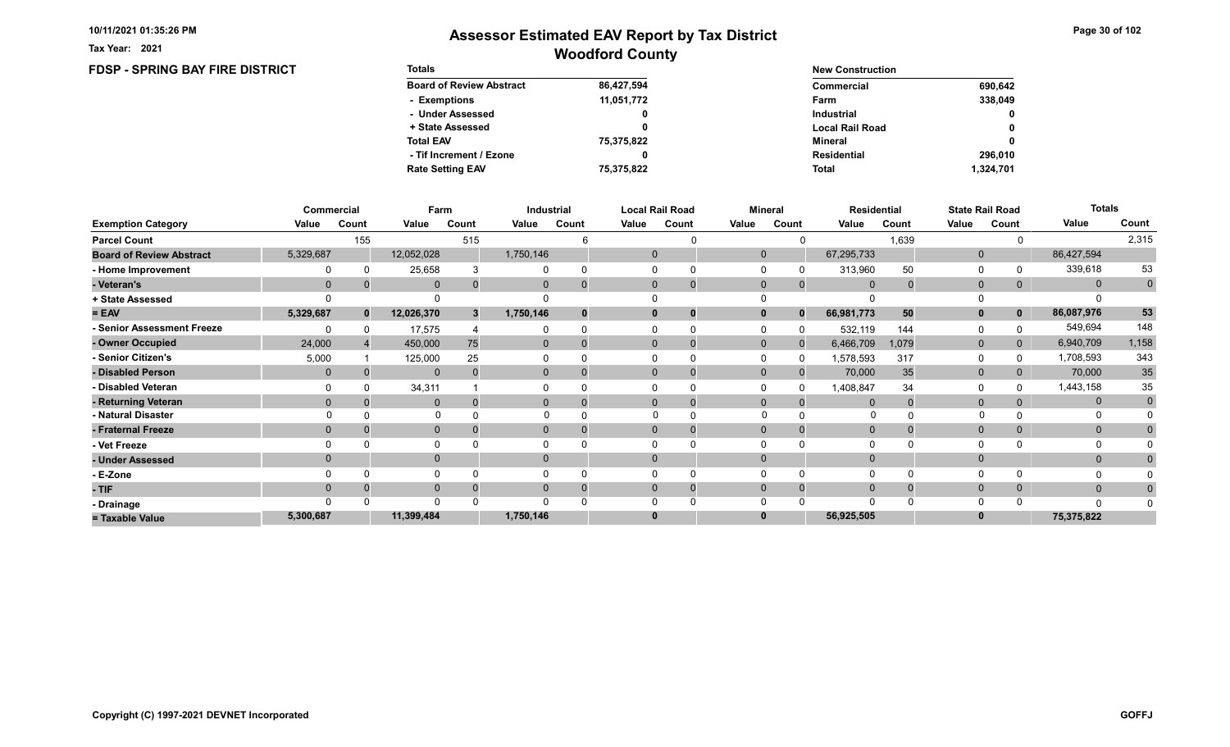FDSP - SPRING BAY FIRE DISTRICT

Tax Year: 2021

| <b>Totals</b>                   |            | <b>New Construction</b> |              |
|---------------------------------|------------|-------------------------|--------------|
| <b>Board of Review Abstract</b> | 86,427,594 | Commercial              | 690,642      |
| - Exemptions                    | 11,051,772 | Farm                    | 338.049      |
| - Under Assessed                |            | <b>Industrial</b>       | $\mathbf{0}$ |
| + State Assessed                |            | <b>Local Rail Road</b>  | 0            |
| <b>Total EAV</b>                | 75,375,822 | Mineral                 | 0            |
| - Tif Increment / Ezone         | 0          | <b>Residential</b>      | 296.010      |
| <b>Rate Setting EAV</b>         | 75,375,822 | <b>Total</b>            | 1,324,701    |

|                                 |              | Commercial   | Farm         |       |                | Industrial |       | <b>Local Rail Road</b>         |              | <b>Mineral</b> | <b>Residential</b> |             |              | <b>State Rail Road</b> | <b>Totals</b> |                |
|---------------------------------|--------------|--------------|--------------|-------|----------------|------------|-------|--------------------------------|--------------|----------------|--------------------|-------------|--------------|------------------------|---------------|----------------|
| <b>Exemption Category</b>       | Value        | Count        | Value        | Count | Value          | Count      | Value | Count                          | Value        | Count          | Value              | Count       | Value        | Count                  | Value         | Count          |
| <b>Parcel Count</b>             |              | 155          |              | 515   |                |            |       |                                |              |                |                    | 1,639       |              |                        |               | 2,315          |
| <b>Board of Review Abstract</b> | 5,329,687    |              | 12,052,028   |       | 1,750,146      |            |       | $\mathbf 0$                    | $\mathbf{0}$ |                | 67,295,733         |             | $\mathbf 0$  |                        | 86,427,594    |                |
| - Home Improvement              |              |              | 25,658       |       |                |            |       | $\Omega$                       |              |                | 313,960            | 50          | 0            |                        | 339,618       | 53             |
| - Veteran's                     | $\Omega$     |              | $\mathbf 0$  | 0     | $\mathbf{0}$   |            |       | $\mathbf{0}$<br>$\overline{0}$ | $\mathbf 0$  | $\mathbf{0}$   | $\overline{0}$     | $\mathbf 0$ | $\mathbf{0}$ | 0                      | $\mathbf{0}$  | $\overline{0}$ |
| + State Assessed                |              |              |              |       |                |            |       |                                |              |                |                    |             |              |                        |               |                |
| $= EAV$                         | 5,329,687    | $\mathbf{0}$ | 12,026,370   | 3     | 1,750,146      |            |       | $\bf{0}$                       |              | $\Omega$       | 66,981,773         | 50          | $\mathbf{0}$ | $\mathbf{0}$           | 86,087,976    | 53             |
| - Senior Assessment Freeze      |              |              | 17,575       |       |                |            |       |                                |              |                | 532,119            | 144         | 0            |                        | 549,694       | 148            |
| - Owner Occupied                | 24,000       |              | 450,000      | 75    | $\Omega$       |            |       | $\Omega$                       | $\mathbf{0}$ | $\Omega$       | 6,466,709          | 1,079       | $\mathbf{0}$ | $\mathbf{0}$           | 6,940,709     | 1,158          |
| - Senior Citizen's              | 5,000        |              | 125,000      | 25    |                |            |       |                                |              |                | 1,578,593          | 317         | 0            |                        | 1,708,593     | 343            |
| - Disabled Person               | $\mathbf{0}$ |              | $\mathbf{0}$ |       | 0              |            |       | $\Omega$                       | $\mathbf{0}$ |                | 70,000             | 35          | $\mathbf{0}$ | 0                      | 70,000        | $35\,$         |
| - Disabled Veteran              |              |              | 34,311       |       |                |            |       | <sup>0</sup>                   |              |                | 1,408,847          | 34          | $\Omega$     |                        | 1,443,158     | 35             |
| - Returning Veteran             | $\Omega$     |              | $\Omega$     |       | $\overline{0}$ |            |       | $\Omega$                       | $\Omega$     |                |                    |             | $\mathbf{0}$ |                        | $\mathbf 0$   | $\mathbf 0$    |
| - Natural Disaster              |              |              | $\mathbf 0$  |       |                |            |       | $\Omega$                       | $\Omega$     |                | O                  |             |              |                        | 0             |                |
| - Fraternal Freeze              | $\Omega$     |              | $\mathbf 0$  |       | $\mathbf{0}$   |            |       | $\mathbf{0}$                   | $\Omega$     |                | $\mathbf 0$        |             | $\mathbf{0}$ | $\mathbf{0}$           | $\mathbf{0}$  | $\mathbf{0}$   |
| - Vet Freeze                    |              |              | $\Omega$     |       |                |            |       |                                |              |                |                    |             | $\Omega$     |                        | 0             |                |
| - Under Assessed                | $\Omega$     |              | $\mathbf{0}$ |       | $\Omega$       |            |       | $\Omega$                       | $\Omega$     |                |                    |             | $\Omega$     |                        | $\mathbf{0}$  |                |
| - E-Zone                        |              |              | $\Omega$     |       |                |            |       |                                |              |                |                    |             | $\Omega$     |                        |               |                |
| - TIF                           | $\Omega$     |              | $\mathbf 0$  |       | 0              |            |       | $\Omega$<br>0                  | $\Omega$     |                | $\Omega$           |             | $\mathbf 0$  | 0                      | $\mathbf{0}$  | 0              |
| - Drainage                      |              |              | $\Omega$     |       |                |            |       |                                |              |                |                    |             | $\Omega$     |                        | $\Omega$      |                |
| = Taxable Value                 | 5,300,687    |              | 11,399,484   |       | 1,750,146      |            |       | $\bf{0}$                       |              |                | 56,925,505         |             | 0            |                        | 75,375,822    |                |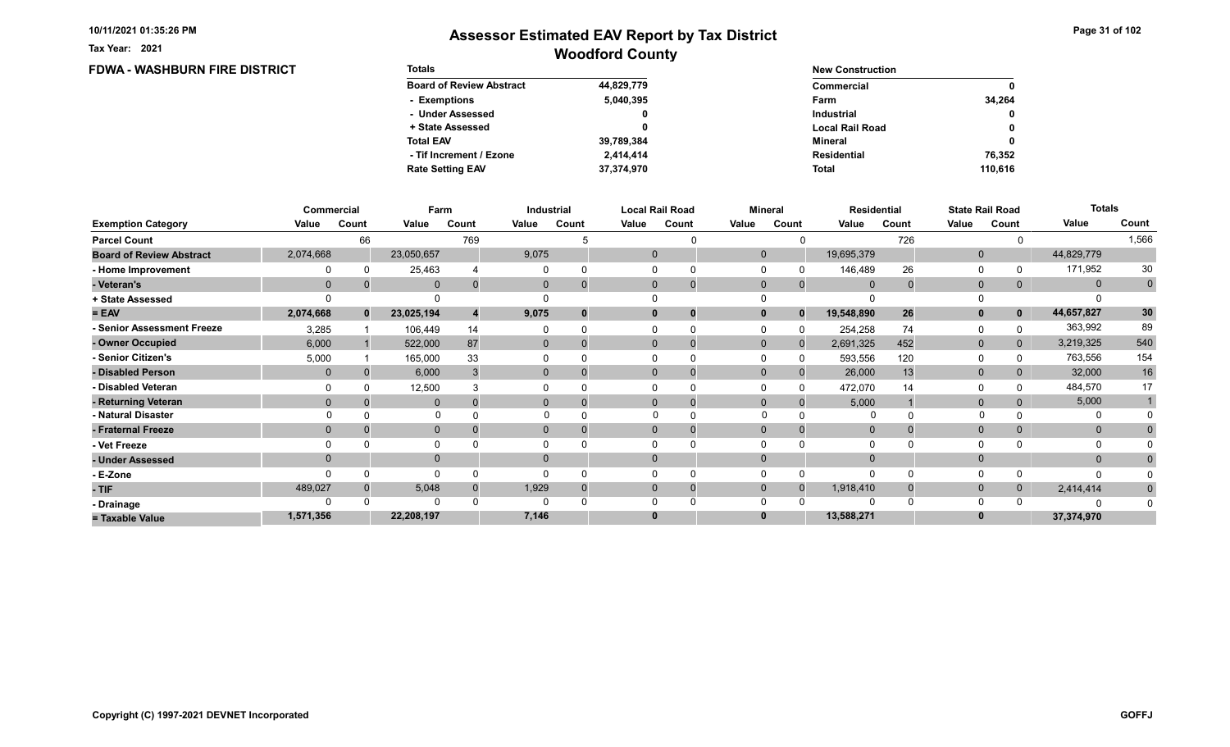Tax Year: 2021

| <b>FDWA - WASHBURN FIRE DISTRICT</b> | <b>Totals</b>                   |            | <b>New Construction</b> |         |  |  |  |
|--------------------------------------|---------------------------------|------------|-------------------------|---------|--|--|--|
|                                      | <b>Board of Review Abstract</b> | 44,829,779 | <b>Commercial</b>       | 0       |  |  |  |
|                                      | - Exemptions                    | 5,040,395  | Farm                    | 34,264  |  |  |  |
|                                      | - Under Assessed                |            | <b>Industrial</b>       | 0       |  |  |  |
|                                      | + State Assessed                |            | <b>Local Rail Road</b>  | 0       |  |  |  |
|                                      | <b>Total EAV</b>                | 39,789,384 | Mineral                 | 0       |  |  |  |
|                                      | - Tif Increment / Ezone         | 2,414,414  | <b>Residential</b>      | 76,352  |  |  |  |
|                                      | <b>Rate Setting EAV</b>         | 37,374,970 | Total                   | 110.616 |  |  |  |

|                                 |           | Commercial | Farm         |       | Industrial     |          |          | <b>Local Rail Road</b> |              | <b>Mineral</b> |                | Residential |                | <b>State Rail Road</b> | <b>Totals</b> |                |
|---------------------------------|-----------|------------|--------------|-------|----------------|----------|----------|------------------------|--------------|----------------|----------------|-------------|----------------|------------------------|---------------|----------------|
| <b>Exemption Category</b>       | Value     | Count      | Value        | Count | Value          | Count    | Value    | Count                  | Value        | Count          | Value          | Count       | Value          | Count                  | Value         | Count          |
| <b>Parcel Count</b>             |           | 66         |              | 769   |                |          |          |                        |              |                |                | 726         |                |                        |               | 1,566          |
| <b>Board of Review Abstract</b> | 2,074,668 |            | 23,050,657   |       | 9,075          |          |          |                        | $\Omega$     |                | 19,695,379     |             | $\mathbf 0$    |                        | 44,829,779    |                |
| - Home Improvement              |           |            | 25,463       |       |                | $\Omega$ |          |                        |              |                | 146,489        | 26          | $\Omega$       |                        | 171,952       | 30             |
| - Veteran's                     | $\Omega$  |            | $\mathbf{0}$ |       | $\mathbf{0}$   | $\Omega$ |          | $\mathbf 0$            | $\Omega$     | $\overline{0}$ | $\Omega$       |             | $\mathbf{0}$   | 0                      | $\mathbf{0}$  | $\overline{0}$ |
| + State Assessed                |           |            |              |       |                |          |          |                        |              |                |                |             |                |                        |               |                |
| $= EAV$                         | 2,074,668 | $\bf{0}$   | 23,025,194   |       | 9,075          | $\bf{0}$ |          | 0                      |              | $\Omega$       | 19,548,890     | 26          | $\mathbf{0}$   | $\mathbf{0}$           | 44,657,827    | 30             |
| <b>Senior Assessment Freeze</b> | 3,285     |            | 106,449      | 14    |                |          |          |                        |              |                | 254,258        | 74          | 0              |                        | 363,992       | 89             |
| - Owner Occupied                | 6,000     |            | 522,000      | 87    | $\mathbf{0}$   | $\Omega$ | $\Omega$ | $\Omega$               | $\mathbf{0}$ | $\Omega$       | 2,691,325      | 452         | $\mathbf{0}$   | $\overline{0}$         | 3,219,325     | 540            |
| - Senior Citizen's              | 5,000     |            | 165,000      | 33    |                |          |          |                        |              |                | 593,556        | 120         | $\Omega$       |                        | 763,556       | 154            |
| - Disabled Person               | $\Omega$  |            | 6,000        |       | $\overline{0}$ |          |          |                        | $\Omega$     |                | 26,000         | 13          | $\mathbf{0}$   |                        | 32,000        | $16\,$         |
| - Disabled Veteran              |           |            | 12,500       |       |                |          |          |                        |              |                | 472,070        | 14          | $\Omega$       |                        | 484,570       | 17             |
| - Returning Veteran             | $\Omega$  |            | $\mathbf{0}$ |       | 0              | $\Omega$ |          | 0                      | $\Omega$     | 0              | 5,000          |             | $\overline{0}$ |                        | 5,000         |                |
| - Natural Disaster              |           |            |              |       |                |          |          |                        |              |                |                |             |                |                        | 0             |                |
| - Fraternal Freeze              | $\Omega$  |            | $\mathbf 0$  |       | $\overline{0}$ |          |          |                        | $\mathbf{0}$ |                | $\overline{0}$ |             | $\mathbf 0$    |                        | $\mathbf{0}$  |                |
| - Vet Freeze                    |           |            | $\Omega$     |       |                |          |          |                        |              |                |                |             | $\Omega$       |                        |               |                |
| - Under Assessed                | $\Omega$  |            | $\mathbf{0}$ |       | $\Omega$       |          |          |                        |              |                |                |             | $\Omega$       |                        | $\mathbf{0}$  |                |
| - E-Zone                        |           |            | $\Omega$     |       |                |          |          |                        |              |                | $\Omega$       |             | $\Omega$       |                        | n             |                |
| - TIF                           | 489,027   |            | 5,048        |       | 1,929          |          | 0        | 0                      | $\Omega$     |                | 1,918,410      |             | $\mathbf 0$    | 0                      | 2,414,414     | $\bf{0}$       |
| - Drainage                      |           |            | $\Omega$     |       |                |          |          |                        |              |                | $\Omega$       |             | $\Omega$       |                        |               |                |
| = Taxable Value                 | 1,571,356 |            | 22,208,197   |       | 7,146          |          |          |                        |              |                | 13,588,271     |             | $\bf{0}$       |                        | 37,374,970    |                |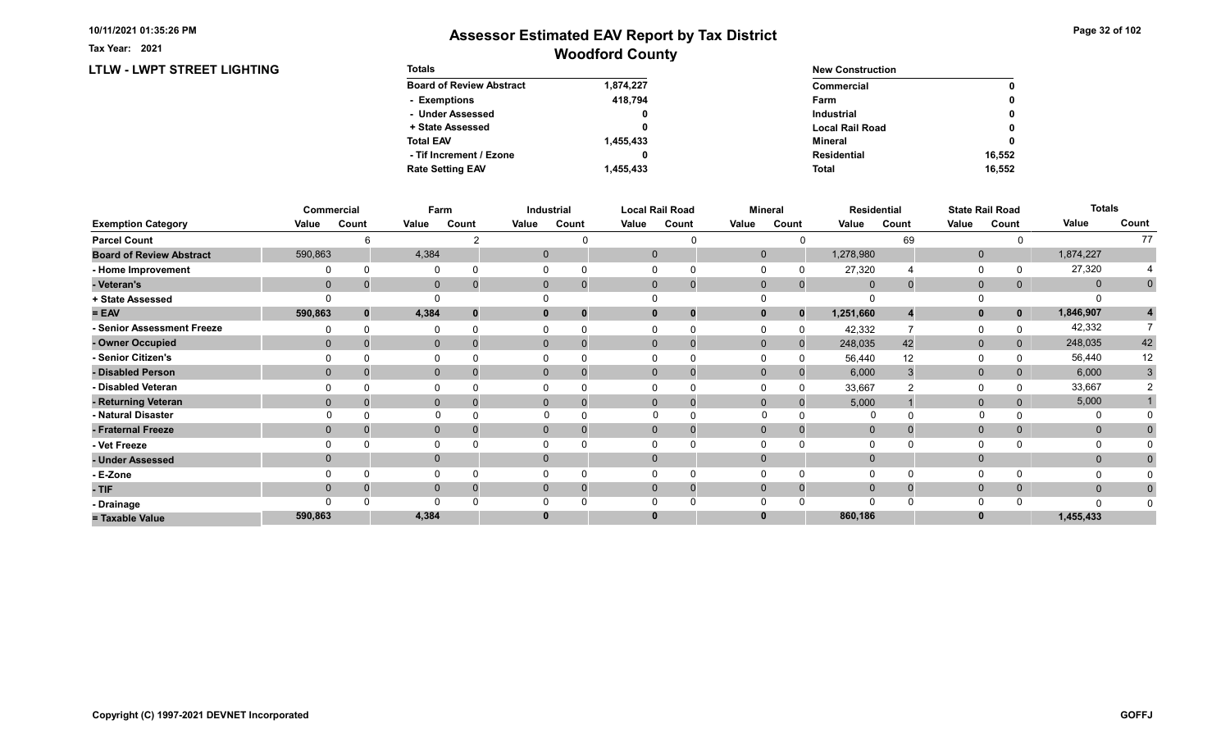LTLW - LWPT STREET LIGHTING

Tax Year: 2021

| <b>Totals</b>                   |           | <b>New Construction</b> |        |  |  |
|---------------------------------|-----------|-------------------------|--------|--|--|
| <b>Board of Review Abstract</b> | 1,874,227 | Commercial              | 0      |  |  |
| - Exemptions                    | 418.794   | Farm                    | 0      |  |  |
| - Under Assessed                | 0         | <b>Industrial</b>       | 0      |  |  |
| + State Assessed                |           | <b>Local Rail Road</b>  | 0      |  |  |
| <b>Total EAV</b>                | 1,455,433 | Mineral                 | 0      |  |  |
| - Tif Increment / Ezone         |           | <b>Residential</b>      | 16.552 |  |  |
| <b>Rate Setting EAV</b>         | 1.455.433 | <b>Total</b>            | 16.552 |  |  |

|                                 |              | Commercial | Farm         |       |       | Industrial   |       | <b>Local Rail Road</b>         |              | Mineral      |             | <b>Residential</b> |              | <b>State Rail Road</b> | <b>Totals</b> |             |
|---------------------------------|--------------|------------|--------------|-------|-------|--------------|-------|--------------------------------|--------------|--------------|-------------|--------------------|--------------|------------------------|---------------|-------------|
| <b>Exemption Category</b>       | Value        | Count      | Value        | Count | Value | Count        | Value | Count                          | Value        | Count        | Value       | Count              | Value        | Count                  | Value         | Count       |
| <b>Parcel Count</b>             |              | ี          |              |       |       |              |       | U                              |              |              |             | 69                 |              |                        |               | 77          |
| <b>Board of Review Abstract</b> | 590,863      |            | 4,384        |       |       | $\mathbf{0}$ |       | $\mathbf{0}$                   | $\mathbf{0}$ |              | 1,278,980   |                    | $\mathbf{0}$ |                        | 1,874,227     |             |
| - Home Improvement              |              |            | O            |       |       |              |       |                                |              |              | 27,320      |                    | 0            |                        | 27,320        |             |
| - Veteran's                     | $\mathbf{0}$ |            | $\mathbf 0$  | 0     |       | $\mathbf{0}$ |       | $\mathbf{0}$<br>$\overline{0}$ | $\mathbf 0$  | $\mathbf{0}$ | $\mathbf 0$ |                    | $\mathbf 0$  | 0                      | $\mathbf{0}$  | $\mathbf 0$ |
| + State Assessed                |              |            |              |       |       |              |       |                                |              |              |             |                    | $\Omega$     |                        |               |             |
| $= EAV$                         | 590,863      | $\bf{0}$   | 4,384        | 0     |       | 0            |       | $\mathbf 0$<br>0               | $\mathbf{0}$ | $\bf{0}$     | 1,251,660   |                    | $\mathbf{0}$ | $\mathbf{0}$           | 1,846,907     |             |
| - Senior Assessment Freeze      |              |            | 0            |       |       |              |       |                                |              |              | 42,332      |                    | $\Omega$     |                        | 42,332        |             |
| - Owner Occupied                | $\Omega$     |            | $\mathbf{0}$ |       |       | $\mathbf{0}$ |       | $\mathbf{0}$                   | $\Omega$     | $\Omega$     | 248,035     | 42                 | $\mathbf 0$  |                        | 248,035       | 42          |
| - Senior Citizen's              |              |            |              |       |       |              |       |                                |              |              | 56,440      | 12                 | 0            |                        | 56,440        | 12          |
| - Disabled Person               | $\Omega$     |            | $\mathbf{0}$ |       |       | $\Omega$     |       | $\Omega$                       | $\Omega$     |              | 6,000       |                    | $\mathbf{0}$ |                        | 6,000         | 3           |
| - Disabled Veteran              |              |            | 0            |       |       |              |       | $\Omega$                       |              |              | 33,667      |                    | 0            |                        | 33,667        |             |
| - Returning Veteran             | $\Omega$     |            | $\mathbf{0}$ |       |       | $\Omega$     |       | $\Omega$<br>$\Omega$           | $\Omega$     | $\Omega$     | 5,000       |                    | $\mathbf{0}$ | $\Omega$               | 5,000         |             |
| - Natural Disaster              |              |            | $\Omega$     |       |       |              |       |                                | $\Omega$     |              | $\Omega$    |                    |              |                        |               |             |
| - Fraternal Freeze              | $\Omega$     |            | $\mathbf 0$  |       |       | $\mathbf{0}$ |       | $\mathbf{0}$                   | $\Omega$     | $\Omega$     | $\mathbf 0$ |                    | $\mathbf 0$  | $\mathbf{0}$           | $\mathbf{0}$  |             |
| - Vet Freeze                    |              |            | $\mathbf{0}$ |       |       |              |       | $\Omega$                       |              |              |             |                    | 0            |                        | 0             |             |
| - Under Assessed                | $\Omega$     |            | $\mathbf{0}$ |       |       | $\mathbf{0}$ |       | $\mathbf{0}$                   | $\Omega$     |              |             |                    | $\mathbf{0}$ |                        | $\mathbf{0}$  |             |
| - E-Zone                        |              |            | $\Omega$     |       |       |              |       |                                |              |              |             |                    | $\Omega$     |                        |               |             |
| - TIF                           | $\Omega$     |            | $\mathbf{0}$ |       |       | $\Omega$     |       | $\Omega$                       | $\Omega$     | $\Omega$     | $\Omega$    |                    | $\mathbf{0}$ | $\mathbf{0}$           | $\mathbf{0}$  |             |
| - Drainage                      |              |            | $\Omega$     |       |       |              |       |                                |              |              |             |                    | $\Omega$     |                        | $\Omega$      |             |
| = Taxable Value                 | 590,863      |            | 4,384        |       |       |              |       | $\bf{0}$                       |              |              | 860,186     |                    | $\bf{0}$     |                        | 1,455,433     |             |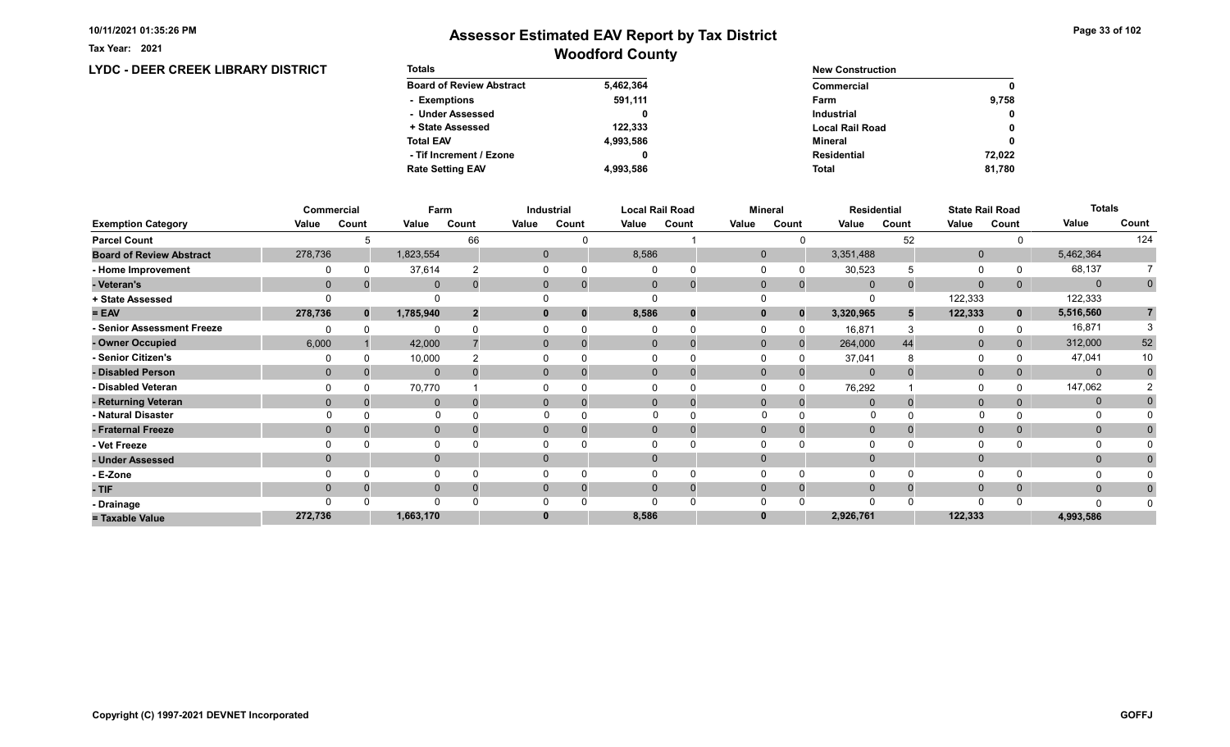Tax Year: 2021

# Woodford County Assessor Estimated EAV Report by Tax District

### LYDC - DEER CREEK LIBRARY DISTRICT

| <b>Totals</b>                   |           | <b>New Construction</b> |              |  |  |
|---------------------------------|-----------|-------------------------|--------------|--|--|
| <b>Board of Review Abstract</b> | 5,462,364 | Commercial              | 0            |  |  |
| - Exemptions                    | 591,111   | Farm                    | 9.758        |  |  |
| - Under Assessed                |           | <b>Industrial</b>       | $\mathbf{0}$ |  |  |
| + State Assessed                | 122.333   | <b>Local Rail Road</b>  | 0            |  |  |
| <b>Total EAV</b>                | 4,993,586 | Mineral                 | 0            |  |  |
| - Tif Increment / Ezone         |           | <b>Residential</b>      | 72,022       |  |  |
| <b>Rate Setting EAV</b>         | 4.993.586 | <b>Total</b>            | 81,780       |  |  |

|                                 |              | Commercial | Farm         |       |       | Industrial                 |          | <b>Local Rail Road</b> |              | <b>Mineral</b> |                | <b>Residential</b> | <b>State Rail Road</b> |             | <b>Totals</b> |             |
|---------------------------------|--------------|------------|--------------|-------|-------|----------------------------|----------|------------------------|--------------|----------------|----------------|--------------------|------------------------|-------------|---------------|-------------|
| <b>Exemption Category</b>       | Value        | Count      | Value        | Count | Value | Count                      | Value    | Count                  | Value        | Count          | Value          | Count              | Value                  | Count       | Value         | Count       |
| <b>Parcel Count</b>             |              |            |              | 66    |       |                            |          |                        |              |                |                | 52                 |                        |             |               | 124         |
| <b>Board of Review Abstract</b> | 278,736      |            | 1,823,554    |       |       | $\overline{0}$             | 8,586    |                        | $\mathbf{0}$ |                | 3,351,488      |                    | $\mathbf 0$            |             | 5,462,364     |             |
| - Home Improvement              |              |            | 37,614       |       |       |                            |          |                        | $\Omega$     |                | 30,523         |                    | $\Omega$               |             | 68,137        |             |
| - Veteran's                     | $\mathbf{0}$ |            | $\mathbf{0}$ |       |       | $\overline{0}$<br>$\Omega$ | $\Omega$ | $\mathbf 0$            | $\mathbf{0}$ | $\overline{0}$ | $\overline{0}$ |                    | $\mathbf{0}$           | 0           | $\mathbf 0$   | $\mathbf 0$ |
| + State Assessed                |              |            |              |       |       |                            |          |                        |              |                | 0              |                    | 122,333                |             | 122,333       |             |
| $= EAV$                         | 278,736      | $\bf{0}$   | 1,785,940    |       |       | $\bf{0}$<br>0              | 8,586    | 0                      | $\mathbf{0}$ | 0              | 3,320,965      |                    | 122,333                | $\mathbf 0$ | 5,516,560     |             |
| - Senior Assessment Freeze      |              |            | O            |       |       |                            |          | n                      |              |                | 16,871         |                    | $\Omega$               |             | 16,871        |             |
| - Owner Occupied                | 6,000        |            | 42,000       |       |       | $\overline{0}$<br>$\Omega$ |          | $\mathbf 0$            | $\mathbf{0}$ | $\Omega$       | 264,000        | 44                 | $\mathbf{0}$           |             | 312,000       | 52          |
| - Senior Citizen's              |              |            | 10,000       |       |       |                            |          |                        |              |                | 37,041         |                    | 0                      |             | 47,041        | 10          |
| - Disabled Person               | $\Omega$     |            | $\mathbf{0}$ |       |       | $\Omega$<br>$\Omega$       |          | 0                      | $\Omega$     |                | $\overline{0}$ |                    | $\mathbf{0}$           |             | $\mathbf{0}$  | $\Omega$    |
| - Disabled Veteran              |              |            | 70,770       |       |       |                            |          |                        |              |                | 76,292         |                    | $\Omega$               |             | 147,062       |             |
| - Returning Veteran             | $\Omega$     |            | $\mathbf{0}$ |       |       | $\Omega$<br>$\Omega$       |          | $\Omega$               | $\mathbf{0}$ |                | $\mathbf{0}$   |                    | $\mathbf{0}$           |             | $\mathbf{0}$  |             |
| - Natural Disaster              |              |            | $\Omega$     |       |       |                            |          |                        |              |                |                |                    |                        |             |               |             |
| - Fraternal Freeze              | $\mathbf{0}$ |            | $\mathbf{0}$ |       |       | $\mathbf{0}$<br>0          |          | 0                      | $\mathbf{0}$ |                | $\mathbf{0}$   |                    | $\mathbf{0}$           |             | $\mathbf{0}$  |             |
| - Vet Freeze                    |              |            | 0            |       |       |                            |          |                        | $\Omega$     |                | $\Omega$       |                    | $\Omega$               |             | 0             |             |
| - Under Assessed                | $\Omega$     |            | $\mathbf{0}$ |       |       | $\Omega$                   |          |                        | $\Omega$     |                | $\Omega$       |                    | $\mathbf 0$            |             | $\mathbf{0}$  |             |
| - E-Zone                        |              |            | $\Omega$     |       |       |                            |          |                        |              |                | $\Omega$       |                    | $\Omega$               |             |               |             |
| $-$ TIF                         | $\Omega$     |            | $\mathbf{0}$ |       |       | $\Omega$                   |          |                        | $\Omega$     |                | $\Omega$       |                    | $\mathbf{0}$           |             | $\mathbf{0}$  |             |
| - Drainage                      |              |            | $\Omega$     |       |       |                            |          |                        |              |                | $\Omega$       |                    | $\Omega$               |             | ∩             |             |
| = Taxable Value                 | 272,736      |            | 1,663,170    |       |       |                            | 8,586    |                        |              |                | 2,926,761      |                    | 122,333                |             | 4,993,586     |             |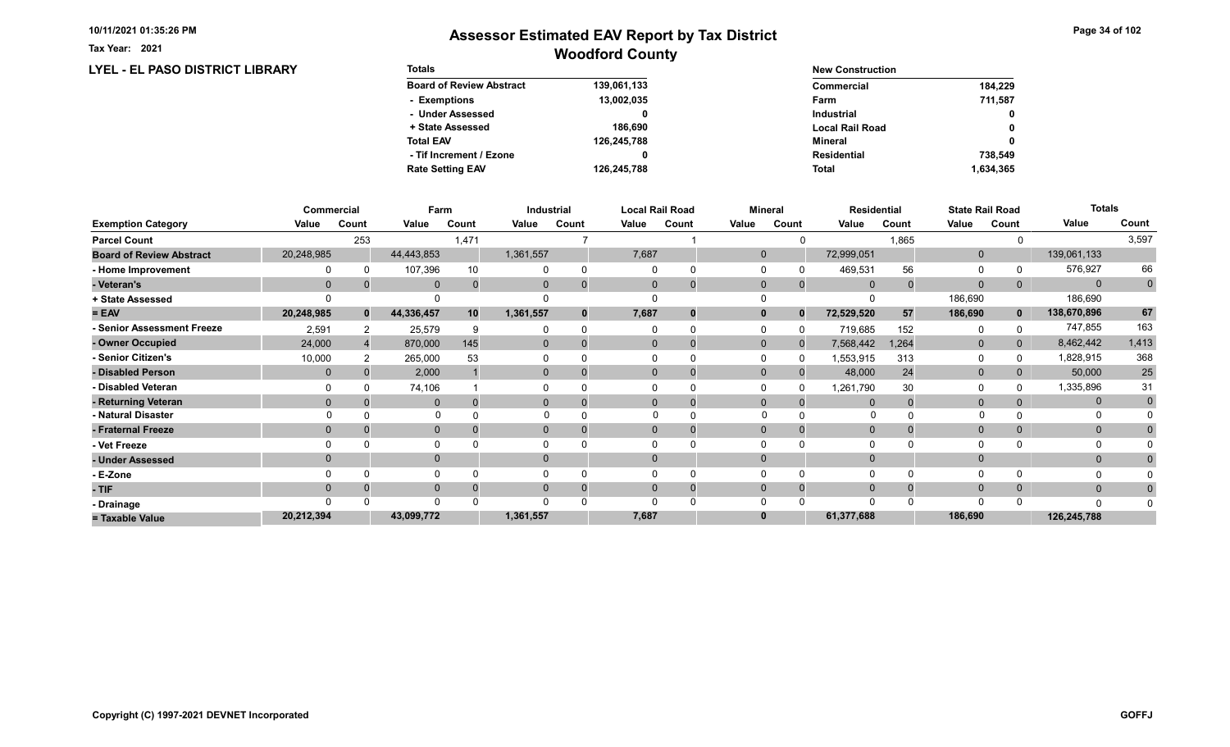LYEL - EL PASO DISTRICT LIBRARY

Tax Year: 2021

# Woodford County Assessor Estimated EAV Report by Tax District

| <b>Totals</b>                   |             | <b>New Construction</b> |              |  |
|---------------------------------|-------------|-------------------------|--------------|--|
| <b>Board of Review Abstract</b> | 139,061,133 | Commercial              | 184.229      |  |
| - Exemptions                    | 13,002,035  | Farm                    | 711.587      |  |
| - Under Assessed                |             | <b>Industrial</b>       | $\mathbf{0}$ |  |
| + State Assessed                | 186.690     | <b>Local Rail Road</b>  | 0            |  |
| <b>Total EAV</b>                | 126,245,788 | Mineral                 | 0            |  |
| - Tif Increment / Ezone         | 0           | <b>Residential</b>      | 738.549      |  |
| <b>Rate Setting EAV</b>         | 126.245.788 | <b>Total</b>            | 1,634,365    |  |

|                                 |            | Commercial   | Farm         |          |              | Industrial |              | <b>Local Rail Road</b><br><b>Mineral</b> |              | <b>Residential</b> |              | <b>State Rail Road</b> |              | <b>Totals</b> |              |             |
|---------------------------------|------------|--------------|--------------|----------|--------------|------------|--------------|------------------------------------------|--------------|--------------------|--------------|------------------------|--------------|---------------|--------------|-------------|
| <b>Exemption Category</b>       | Value      | Count        | Value        | Count    | Value        | Count      | Value        | Count                                    | Value        | Count              | Value        | Count                  | Value        | Count         | Value        | Count       |
| <b>Parcel Count</b>             |            | 253          |              | 1,471    |              |            |              |                                          |              |                    |              | 1,865                  |              |               |              | 3,597       |
| <b>Board of Review Abstract</b> | 20,248,985 |              | 44,443,853   |          | 1,361,557    |            | 7,687        |                                          | $\mathbf{0}$ |                    | 72,999,051   |                        | $\mathbf 0$  |               | 139,061,133  |             |
| - Home Improvement              |            |              | 107,396      | 10       |              |            | $\Omega$     |                                          |              |                    | 469,531      | 56                     | 0            |               | 576,927      | 66          |
| - Veteran's                     | $\Omega$   |              | $\mathbf{0}$ | $\Omega$ | $\mathbf{0}$ |            | $\mathbf{0}$ | $\Omega$                                 | $\mathbf 0$  | $\Omega$           | $\mathbf{0}$ |                        | $\mathbf{0}$ | 0             | $\mathbf{0}$ | $\mathbf 0$ |
| + State Assessed                |            |              |              |          |              |            |              |                                          |              |                    |              |                        | 186,690      |               | 186,690      |             |
| $= EAV$                         | 20,248,985 | $\mathbf{0}$ | 44,336,457   | 10       | 1,361,557    |            | 7,687        | 0                                        | $\mathbf{0}$ | $\Omega$           | 72,529,520   | 57                     | 186,690      | $\mathbf{0}$  | 138,670,896  | 67          |
| - Senior Assessment Freeze      | 2,591      |              | 25,579       | 9        |              |            |              |                                          |              |                    | 719,685      | 152                    | $\Omega$     |               | 747,855      | 163         |
| - Owner Occupied                | 24,000     |              | 870,000      | 145      | $\mathbf{0}$ |            | $\Omega$     |                                          | $\mathbf{0}$ | $\Omega$           | 7,568,442    | 1,264                  | $\mathbf{0}$ | $\mathbf{0}$  | 8,462,442    | 1,413       |
| - Senior Citizen's              | 10,000     |              | 265,000      | 53       |              |            |              |                                          |              |                    | 1,553,915    | 313                    | 0            |               | 1,828,915    | 368         |
| - Disabled Person               | $\Omega$   |              | 2,000        |          | $\Omega$     |            | $\Omega$     |                                          | $\Omega$     |                    | 48,000       | 24                     | $\mathbf{0}$ |               | 50,000       | 25          |
| - Disabled Veteran              |            |              | 74,106       |          |              |            | $\Omega$     |                                          |              |                    | 1,261,790    | 30                     | 0            |               | 1,335,896    | 31          |
| - Returning Veteran             | $\Omega$   |              | $\Omega$     |          | $\Omega$     |            | $\Omega$     | $\Omega$                                 | $\Omega$     | $\Omega$           |              |                        | $\mathbf{0}$ |               | $\mathbf{0}$ | $\mathbf 0$ |
| - Natural Disaster              |            |              | $\Omega$     |          |              |            |              |                                          | $\Omega$     |                    | O            |                        |              |               |              |             |
| - Fraternal Freeze              | $\Omega$   |              | $\mathbf{0}$ |          | $\mathbf{0}$ |            | $\mathbf{0}$ |                                          | $\Omega$     |                    | $\mathbf 0$  |                        | $\mathbf{0}$ | $\mathbf{0}$  | $\mathbf{0}$ |             |
| - Vet Freeze                    |            |              | $\Omega$     |          |              |            |              |                                          |              |                    |              |                        | $\Omega$     |               | 0            |             |
| - Under Assessed                |            |              | $\mathbf{0}$ |          | 0            |            | $\Omega$     |                                          |              |                    |              |                        | $\mathbf{0}$ |               | $\mathbf{0}$ |             |
| - E-Zone                        |            |              | $\Omega$     |          |              |            |              |                                          |              |                    |              |                        | $\Omega$     |               |              |             |
| - TIF                           | $\Omega$   |              | $\Omega$     |          |              |            | $\Omega$     |                                          | $\Omega$     | $\Omega$           |              |                        | $\mathbf 0$  | $\Omega$      | $\Omega$     |             |
| - Drainage                      |            |              | $\Omega$     |          |              |            |              |                                          |              |                    |              |                        | $\Omega$     |               | $\Omega$     |             |
| = Taxable Value                 | 20,212,394 |              | 43,099,772   |          | 1,361,557    |            | 7,687        |                                          |              |                    | 61,377,688   |                        | 186,690      |               | 126,245,788  |             |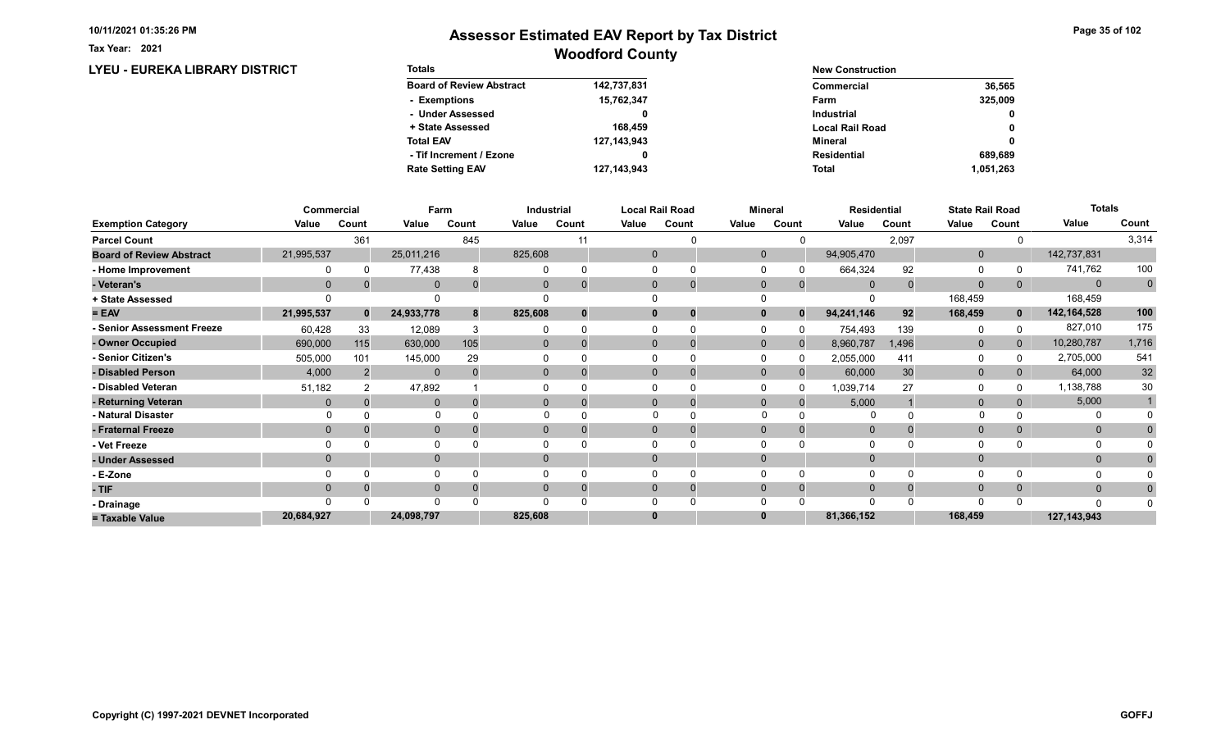LYEU - EUREKA LIBRARY DISTRICT

Tax Year: 2021

| <b>Totals</b>                   |               | <b>New Construction</b> |              |  |  |  |  |
|---------------------------------|---------------|-------------------------|--------------|--|--|--|--|
| <b>Board of Review Abstract</b> | 142,737,831   | Commercial              | 36,565       |  |  |  |  |
| - Exemptions                    | 15,762,347    | Farm                    | 325,009      |  |  |  |  |
| - Under Assessed                |               | <b>Industrial</b>       | $\mathbf{0}$ |  |  |  |  |
| + State Assessed                | 168,459       | <b>Local Rail Road</b>  | 0            |  |  |  |  |
| <b>Total EAV</b>                | 127, 143, 943 | Mineral                 | 0            |  |  |  |  |
| - Tif Increment / Ezone         |               | <b>Residential</b>      | 689.689      |  |  |  |  |
| <b>Rate Setting EAV</b>         | 127, 143, 943 | <b>Total</b>            | 1.051.263    |  |  |  |  |

|                                 |            | <b>Commercial</b> |              | Farm     |                | Industrial |              | <b>Local Rail Road</b> |              | <b>Mineral</b> |             | <b>Residential</b> |              | <b>State Rail Road</b> | <b>Totals</b> |              |
|---------------------------------|------------|-------------------|--------------|----------|----------------|------------|--------------|------------------------|--------------|----------------|-------------|--------------------|--------------|------------------------|---------------|--------------|
| <b>Exemption Category</b>       | Value      | Count             | Value        | Count    | Value          | Count      | Value        | Count                  | Value        | Count          | Value       | Count              | Value        | Count                  | Value         | Count        |
| <b>Parcel Count</b>             |            | 361               |              | 845      |                | 11         |              |                        |              |                |             | 2,097              |              |                        |               | 3,314        |
| <b>Board of Review Abstract</b> | 21,995,537 |                   | 25,011,216   |          | 825,608        |            | $\mathbf{0}$ |                        | $\mathbf{0}$ |                | 94,905,470  |                    | $\mathbf{0}$ |                        | 142,737,831   |              |
| - Home Improvement              |            |                   | 77,438       |          |                |            | $\Omega$     |                        |              |                | 664,324     | 92                 | 0            |                        | 741,762       | 100          |
| - Veteran's                     | $\Omega$   |                   | $\mathbf{0}$ | $\Omega$ | $\mathbf{0}$   |            | $\mathbf 0$  | $\Omega$               | $\Omega$     | $\Omega$       | $\Omega$    |                    | $\mathbf{0}$ | 0                      | $\mathbf{0}$  | $\mathbf 0$  |
| + State Assessed                |            |                   |              |          |                |            |              |                        |              |                |             |                    | 168,459      |                        | 168,459       |              |
| $= EAV$                         | 21,995,537 | $\mathbf{0}$      | 24,933,778   | 8        | 825,608        |            | $\mathbf 0$  | 0                      | $\mathbf{0}$ | $\Omega$       | 94,241,146  | 92                 | 168,459      | $\mathbf{0}$           | 142,164,528   | 100          |
| - Senior Assessment Freeze      | 60,428     | 33                | 12,089       |          |                |            | $\Omega$     |                        |              |                | 754,493     | 139                | 0            |                        | 827,010       | 175          |
| - Owner Occupied                | 690,000    | 115               | 630,000      | 105      | $\mathbf{0}$   |            | $\Omega$     |                        | $\mathbf{0}$ | $\Omega$       | 8,960,787   | 1,496              | $\mathbf{0}$ | $\mathbf{0}$           | 10,280,787    | 1,716        |
| - Senior Citizen's              | 505,000    | 101               | 145,000      | 29       |                |            |              |                        |              |                | 2,055,000   | 411                | 0            |                        | 2,705,000     | 541          |
| - Disabled Person               | 4,000      |                   | $\mathbf{0}$ |          | $\mathbf{0}$   |            | $\Omega$     |                        | $\Omega$     |                | 60,000      | 30                 | $\mathbf{0}$ | 0                      | 64,000        | $32\,$       |
| - Disabled Veteran              | 51,182     |                   | 47,892       |          |                |            | $\Omega$     |                        |              |                | 1,039,714   | 27                 | 0            |                        | 1,138,788     | 30           |
| - Returning Veteran             | $\Omega$   |                   | $\mathbf 0$  | $\Omega$ | $\overline{0}$ |            | $\Omega$     | $\overline{0}$         | $\mathbf{0}$ | $\Omega$       | 5,000       |                    | $\mathbf{0}$ |                        | 5,000         |              |
| - Natural Disaster              |            |                   | $\mathbf 0$  |          |                |            | $\Omega$     |                        | $\Omega$     |                | $\Omega$    |                    | $\Omega$     |                        | 0             |              |
| - Fraternal Freeze              | $\Omega$   |                   | $\mathbf{0}$ |          | $\mathbf{0}$   |            | $\mathbf{0}$ |                        | $\Omega$     |                | $\mathbf 0$ |                    | $\mathbf{0}$ |                        | $\mathbf{0}$  | $\mathbf{0}$ |
| - Vet Freeze                    |            |                   | $\Omega$     |          |                |            |              |                        |              |                |             |                    | $\Omega$     |                        | 0             |              |
| - Under Assessed                | $\Omega$   |                   | $\mathbf{0}$ |          | $\Omega$       |            | $\Omega$     |                        | $\Omega$     |                |             |                    | $\mathbf{0}$ |                        | $\mathbf{0}$  |              |
| - E-Zone                        |            |                   | $\Omega$     |          |                |            |              |                        |              |                |             |                    | $\Omega$     |                        |               |              |
| - TIF                           | $\Omega$   |                   | $\mathbf{0}$ |          | 0              |            | $\Omega$     | 0                      | $\Omega$     |                | $\Omega$    |                    | $\mathbf{0}$ | 0                      | $\mathbf{0}$  | 0            |
| - Drainage                      |            |                   | $\Omega$     |          |                |            |              |                        |              |                |             |                    | $\Omega$     |                        | $\Omega$      |              |
| = Taxable Value                 | 20,684,927 |                   | 24,098,797   |          | 825,608        |            | $\bf{0}$     |                        |              |                | 81,366,152  |                    | 168,459      |                        | 127, 143, 943 |              |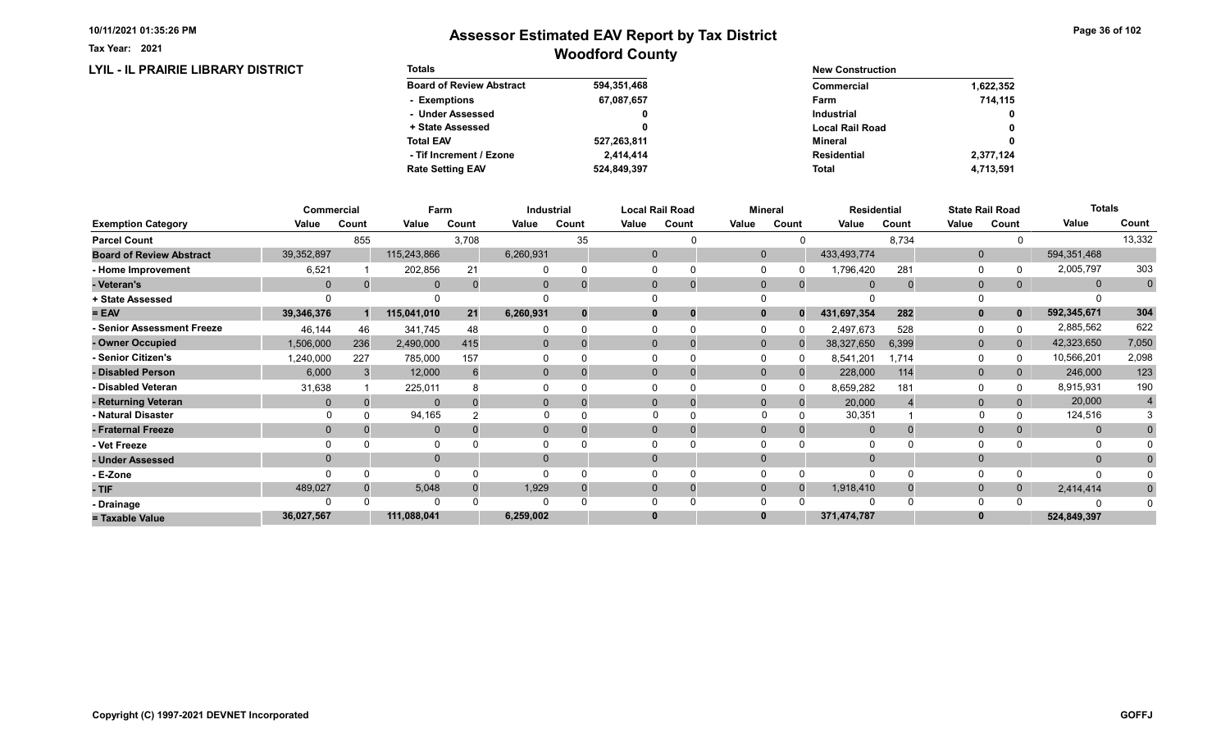LYIL - IL PRAIRIE LIBRARY DISTRICT

Tax Year: 2021

## Woodford County Assessor Estimated EAV Report by Tax District

Page 36 of 102

| <b>Totals</b>                   |             | <b>New Construction</b> |              |  |  |
|---------------------------------|-------------|-------------------------|--------------|--|--|
| <b>Board of Review Abstract</b> | 594,351,468 | Commercial              | 1,622,352    |  |  |
| - Exemptions                    | 67,087,657  | Farm                    | 714,115      |  |  |
| - Under Assessed                | 0           | <b>Industrial</b>       | $\mathbf{0}$ |  |  |
| + State Assessed                |             | <b>Local Rail Road</b>  | 0            |  |  |
| <b>Total EAV</b>                | 527,263,811 | Mineral                 | 0            |  |  |
| - Tif Increment / Ezone         | 2.414.414   | <b>Residential</b>      | 2,377,124    |  |  |
| <b>Rate Setting EAV</b>         | 524,849,397 | <b>Total</b>            | 4.713.591    |  |  |

|                                 |                | Commercial |              | Farm  |                | Industrial  |       | Local Rail Road |              | <b>Mineral</b> |                | <b>Residential</b> | <b>State Rail Road</b> |       | <b>Totals</b> |             |
|---------------------------------|----------------|------------|--------------|-------|----------------|-------------|-------|-----------------|--------------|----------------|----------------|--------------------|------------------------|-------|---------------|-------------|
| <b>Exemption Category</b>       | Value          | Count      | Value        | Count | Value          | Count       | Value | Count           | Value        | Count          | Value          | Count              | Value                  | Count | Value         | Count       |
| <b>Parcel Count</b>             |                | 855        |              | 3,708 |                | 35          |       |                 |              |                |                | 8,734              |                        |       |               | 13,332      |
| <b>Board of Review Abstract</b> | 39,352,897     |            | 115,243,866  |       | 6,260,931      |             |       | $\mathbf 0$     | $\mathbf{0}$ |                | 433,493,774    |                    | $\mathbf{0}$           |       | 594,351,468   |             |
| - Home Improvement              | 6,521          |            | 202,856      | 21    |                | $\Omega$    |       |                 |              |                | 1,796,420      | 281                | $\Omega$               |       | 2,005,797     | 303         |
| - Veteran's                     | $\overline{0}$ |            | $\mathbf{0}$ |       | $\mathbf{0}$   | $\mathbf 0$ |       | $\mathbf 0$     | $\mathbf{0}$ | $\mathbf{0}$   | $\overline{0}$ |                    | $\mathbf{0}$           | 0     | $\mathbf 0$   | $\mathbf 0$ |
| + State Assessed                |                |            |              |       |                |             |       |                 |              |                |                |                    |                        |       |               |             |
| $= EAV$                         | 39,346,376     |            | 115,041,010  | 21    | 6,260,931      | $\bf{0}$    |       | 0               | $\mathbf{0}$ | $\mathbf{0}$   | 431,697,354    | 282                | $\mathbf{0}$           |       | 592,345,671   | 304         |
| - Senior Assessment Freeze      | 46,144         | 46         | 341,745      | 48    |                | $\Omega$    |       |                 |              |                | 2,497,673      | 528                | 0                      |       | 2,885,562     | 622         |
| - Owner Occupied                | 1,506,000      | 236        | 2,490,000    | 415   | $\overline{0}$ | $\Omega$    |       | $\Omega$        | $\Omega$     |                | 38,327,650     | 6,399              | $\mathbf{0}$           | 0     | 42,323,650    | 7,050       |
| - Senior Citizen's              | 1,240,000      | 227        | 785,000      | 157   |                |             |       |                 |              |                | 8,541,201      | 1,714              | 0                      |       | 10,566,201    | 2,098       |
| - Disabled Person               | 6,000          |            | 12,000       |       | 0              |             |       | 0               | $\Omega$     |                | 228,000        | 114                | $\mathbf{0}$           |       | 246,000       | 123         |
| - Disabled Veteran              | 31,638         |            | 225,011      |       |                |             |       |                 |              |                | 8,659,282      | 181                | $\Omega$               |       | 8,915,931     | 190         |
| - Returning Veteran             | $\Omega$       |            | $\Omega$     |       | $\Omega$       | $\Omega$    |       | $\Omega$        | $\Omega$     | $\Omega$       | 20,000         |                    | $\mathbf{0}$           | 0     | 20,000        |             |
| - Natural Disaster              |                |            | 94,165       |       |                |             |       |                 |              |                | 30,351         |                    |                        |       | 124,516       |             |
| - Fraternal Freeze              | $\Omega$       |            | $\mathbf{0}$ |       | $\overline{0}$ | $\Omega$    |       | 0               |              | 0              | $\mathbf{0}$   |                    | $\mathbf 0$            | 0     | $\mathbf{0}$  |             |
| - Vet Freeze                    | $\Omega$       |            | $\Omega$     |       |                |             |       | $\Omega$        |              |                | $\Omega$       |                    | $\Omega$               |       | $\Omega$      |             |
| - Under Assessed                | $\mathbf 0$    |            | $\mathbf{0}$ |       | $\Omega$       |             |       |                 |              |                |                |                    | $\Omega$               |       | $\mathbf{0}$  |             |
| - E-Zone                        |                |            | $\Omega$     |       |                |             |       |                 |              |                | $\Omega$       |                    | 0                      |       | O             |             |
| - TIF                           | 489,027        |            | 5,048        |       | 1,929          | $\Omega$    |       | $\Omega$        | $\Omega$     | $\Omega$       | 1,918,410      |                    | $\mathbf{0}$           |       | 2,414,414     |             |
| - Drainage                      |                |            | $\Omega$     |       |                |             |       |                 |              |                | $\Omega$       |                    | $\Omega$               |       |               |             |
| = Taxable Value                 | 36,027,567     |            | 111,088,041  |       | 6,259,002      |             |       |                 |              |                | 371,474,787    |                    |                        |       | 524,849,397   |             |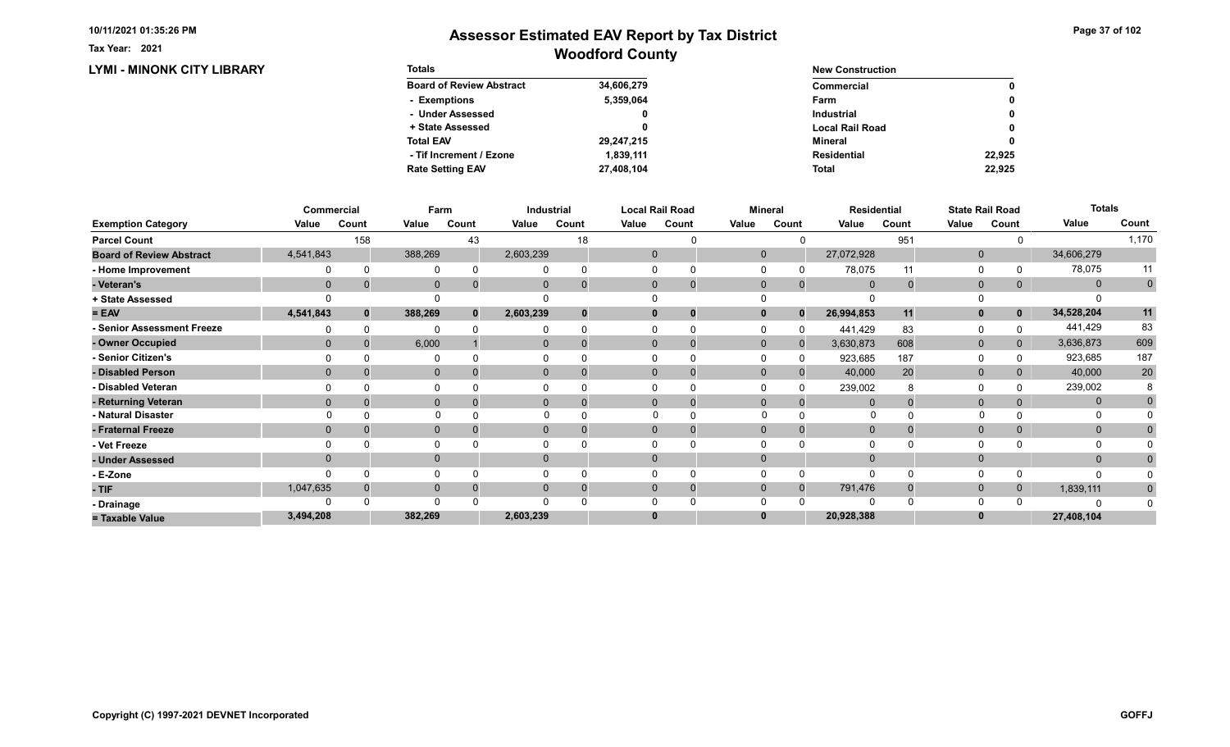Tax Year: 2021

| <b>LYMI - MINONK CITY LIBRARY</b> | <b>Totals</b>                   |            | <b>New Construction</b> |              |  |
|-----------------------------------|---------------------------------|------------|-------------------------|--------------|--|
|                                   | <b>Board of Review Abstract</b> | 34,606,279 | <b>Commercial</b>       | $\mathbf{0}$ |  |
|                                   | - Exemptions                    | 5,359,064  | Farm                    | 0            |  |
|                                   | - Under Assessed                |            | Industrial              | 0            |  |
|                                   | + State Assessed                |            | <b>Local Rail Road</b>  | $\mathbf{0}$ |  |
|                                   | <b>Total EAV</b>                | 29,247,215 | Mineral                 | $\mathbf{0}$ |  |
|                                   | - Tif Increment / Ezone         | 1,839,111  | <b>Residential</b>      | 22,925       |  |
|                                   | <b>Rate Setting EAV</b>         | 27,408,104 | Total                   | 22,925       |  |

|                                 |             | Commercial | Farm         |       |              | <b>Industrial</b> |              | <b>Local Rail Road</b> |             | <b>Mineral</b> |              | <b>Residential</b> |              | <b>State Rail Road</b> | <b>Totals</b> |             |
|---------------------------------|-------------|------------|--------------|-------|--------------|-------------------|--------------|------------------------|-------------|----------------|--------------|--------------------|--------------|------------------------|---------------|-------------|
| <b>Exemption Category</b>       | Value       | Count      | Value        | Count | Value        | Count             | Value        | Count                  | Value       | Count          | Value        | Count              | Value        | Count                  | Value         | Count       |
| <b>Parcel Count</b>             |             | 158        |              | 43    |              | 18                |              |                        |             |                |              | 951                |              |                        |               | 1,170       |
| <b>Board of Review Abstract</b> | 4,541,843   |            | 388,269      |       | 2,603,239    |                   | $\mathbf 0$  |                        | $\mathbf 0$ |                | 27,072,928   |                    | $\mathbf 0$  |                        | 34,606,279    |             |
| - Home Improvement              |             |            |              |       |              |                   | $\Omega$     |                        |             |                | 78,075       | 11                 | 0            |                        | 78,075        | 11          |
| - Veteran's                     | $\mathbf 0$ |            | $\mathbf{0}$ |       | $\mathbf{0}$ |                   | $\mathbf{0}$ | 0                      | $\mathbf 0$ | $\mathbf{0}$   | $\mathbf{0}$ | $\Omega$           | $\mathbf 0$  | 0                      | $\mathbf{0}$  | $\mathbf 0$ |
| + State Assessed                |             |            |              |       |              |                   |              |                        |             |                |              |                    |              |                        |               |             |
| $= EAV$                         | 4,541,843   | $\Omega$   | 388,269      | 0     | 2,603,239    |                   | $\bf{0}$     |                        | 0           | $\Omega$       | 26,994,853   | 11                 | $\mathbf{0}$ | $\mathbf 0$            | 34,528,204    | 11          |
| - Senior Assessment Freeze      |             |            |              |       |              |                   |              |                        |             |                | 441,429      | 83                 | $\Omega$     |                        | 441,429       | 83          |
| - Owner Occupied                | $\Omega$    |            | 6,000        |       | $\mathbf{0}$ |                   | $\Omega$     |                        | $\Omega$    |                | 3,630,873    | 608                | $\mathbf{0}$ | 0                      | 3,636,873     | 609         |
| - Senior Citizen's              |             |            |              |       |              |                   |              |                        |             |                | 923,685      | 187                | $\Omega$     |                        | 923,685       | 187         |
| - Disabled Person               | $\Omega$    |            | $\mathbf{0}$ |       | $\mathbf{0}$ |                   | $\Omega$     |                        | $\Omega$    |                | 40,000       | 20                 | $\mathbf{0}$ |                        | 40,000        | 20          |
| - Disabled Veteran              |             |            | 0            |       |              |                   | $\Omega$     |                        |             |                | 239,002      |                    | $\Omega$     |                        | 239,002       |             |
| - Returning Veteran             | $\Omega$    |            | $\mathbf{0}$ |       | $\Omega$     |                   | $\Omega$     | 0                      | $\Omega$    | $\Omega$       |              |                    | $\mathbf{0}$ |                        | $\mathbf{0}$  |             |
| - Natural Disaster              |             |            | $\Omega$     |       |              |                   |              |                        | O           |                | O            |                    |              |                        | O             |             |
| - Fraternal Freeze              | $\Omega$    |            | $\mathbf 0$  |       | $\mathbf{0}$ |                   | $\mathbf{0}$ |                        | $\Omega$    |                | $\Omega$     |                    | $\mathbf 0$  |                        | $\mathbf{0}$  |             |
| - Vet Freeze                    |             |            | 0            |       |              |                   |              |                        |             |                |              |                    | $\Omega$     |                        | $\Omega$      |             |
| - Under Assessed                | $\Omega$    |            | $\mathbf{0}$ |       | $\Omega$     |                   | $\mathbf{0}$ |                        |             |                |              |                    | $\mathbf{0}$ |                        | $\Omega$      |             |
| - E-Zone                        |             |            | $\Omega$     |       |              |                   |              |                        |             |                |              |                    | $\Omega$     |                        |               |             |
| - TIF                           | 1,047,635   |            | $\mathbf{0}$ |       |              |                   | $\Omega$     |                        | $\Omega$    | $\Omega$       | 791,476      |                    | $\mathbf 0$  | 0                      | 1,839,111     |             |
| - Drainage                      |             |            | $\Omega$     |       |              |                   |              |                        |             |                |              |                    | $\Omega$     |                        | C             |             |
| = Taxable Value                 | 3,494,208   |            | 382,269      |       | 2,603,239    |                   | $\bf{0}$     |                        |             |                | 20,928,388   |                    | $\bf{0}$     |                        | 27,408,104    |             |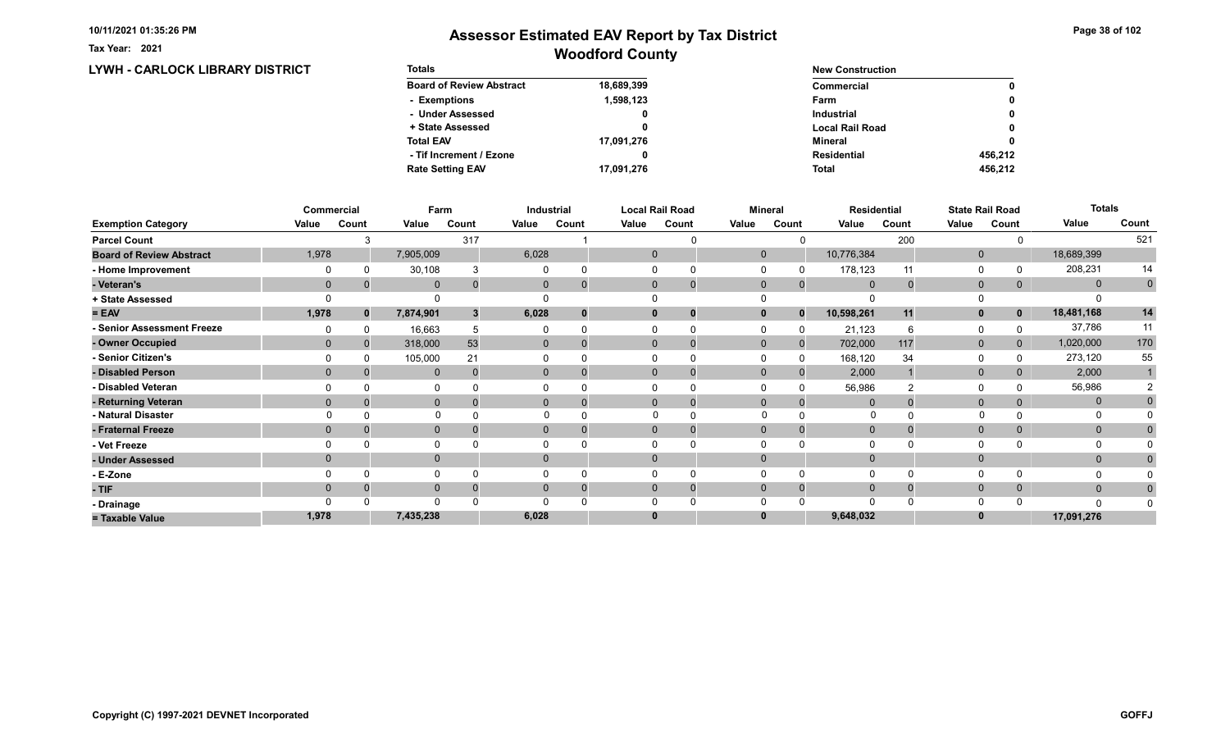Tax Year: 2021

### Woodford County Assessor Estimated EAV Report by Tax District

#### LYWH - CARLOCK LIBRARY DISTRICT Totals Board of Review Abstract + State Assessed - Under Assessed - Exemptions Total EAV Rate Setting EAV - Tif Increment / Ezone 18,689,399 1,598,123 0 0 17,091,276 17,091,276 0 New Construction Commercial Local Rail Road Industrial Farm Mineral Total Residential 0 0 0 0 456,212 0 456,212

|                                 |              | Commercial   | Farm         |       |              | Industrial     |          | <b>Local Rail Road</b>     |              | <b>Mineral</b> |              | <b>Residential</b> |                | <b>State Rail Road</b> | <b>Totals</b> |             |
|---------------------------------|--------------|--------------|--------------|-------|--------------|----------------|----------|----------------------------|--------------|----------------|--------------|--------------------|----------------|------------------------|---------------|-------------|
| <b>Exemption Category</b>       | Value        | Count        | Value        | Count | Value        | Count          | Value    | Count                      | Value        | Count          | Value        | Count              | Value          | Count                  | Value         | Count       |
| <b>Parcel Count</b>             |              | З            |              | 317   |              |                |          |                            |              |                |              | 200                |                |                        |               | 521         |
| <b>Board of Review Abstract</b> | 1,978        |              | 7,905,009    |       | 6,028        |                |          | $\mathbf 0$                | $\mathbf 0$  |                | 10,776,384   |                    | $\mathbf 0$    |                        | 18,689,399    |             |
| - Home Improvement              |              |              | 30,108       |       |              |                |          | $\Omega$                   |              |                | 178,123      | 11                 | 0              |                        | 208,231       | 14          |
| - Veteran's                     | $\mathbf{0}$ |              | $\mathbf{0}$ | 0     | $\mathbf{0}$ |                |          | $\mathbf{0}$<br>$\Omega$   | $\mathbf 0$  | $\mathbf{0}$   | $\mathbf{0}$ | $\Omega$           | $\mathbf 0$    | 0                      | $\mathbf{0}$  | $\mathbf 0$ |
| + State Assessed                |              |              |              |       |              |                |          |                            |              |                |              |                    | 0              |                        |               |             |
| $= EAV$                         | 1,978        | $\mathbf{0}$ | 7,874,901    | 3     | 6,028        |                |          | $\mathbf 0$<br>0           | $\mathbf{0}$ | $\Omega$       | 10,598,261   | 11                 | $\mathbf{0}$   | $\mathbf 0$            | 18,481,168    | 14          |
| - Senior Assessment Freeze      |              |              | 16,663       | 5     |              |                |          |                            |              |                | 21,123       |                    | 0              |                        | 37,786        | 11          |
| - Owner Occupied                | $\Omega$     | $\Omega$     | 318,000      | 53    | $\mathbf{0}$ |                |          | $\mathbf{0}$               | $\mathbf{0}$ | $\mathbf{0}$   | 702,000      | 117                | $\mathbf{0}$   | $\mathbf{0}$           | 1,020,000     | 170         |
| - Senior Citizen's              |              |              | 105,000      | 21    |              |                |          |                            |              |                | 168,120      | 34                 | 0              |                        | 273,120       | 55          |
| - Disabled Person               | $\Omega$     |              | $\Omega$     |       | $\Omega$     |                |          | $\Omega$                   | $\Omega$     |                | 2,000        |                    | $\mathbf{0}$   |                        | 2,000         |             |
| - Disabled Veteran              |              |              |              |       |              |                |          | $\Omega$                   |              |                | 56,986       | 2                  | 0              |                        | 56,986        |             |
| - Returning Veteran             | $\Omega$     |              | $\mathbf{0}$ |       |              | $\overline{0}$ |          | $\Omega$<br>$\overline{0}$ | $\Omega$     | $\Omega$       |              |                    | $\overline{0}$ | 0                      | $\mathbf{0}$  |             |
| - Natural Disaster              |              |              | $\Omega$     |       |              |                |          |                            | $\Omega$     |                | 0            |                    |                |                        | 0             |             |
| - Fraternal Freeze              | $\Omega$     |              | $\mathbf{0}$ |       | $\mathbf{0}$ |                |          | $\mathbf{0}$               | $\mathbf 0$  |                | $\mathbf 0$  |                    | $\mathbf{0}$   | $\mathbf{0}$           | $\mathbf{0}$  |             |
| - Vet Freeze                    |              |              | $\Omega$     |       |              |                |          |                            |              |                |              |                    | 0              |                        | 0             |             |
| - Under Assessed                | $\Omega$     |              | $\mathbf{0}$ |       | $\Omega$     |                |          | $\Omega$                   | $\Omega$     |                |              |                    | $\mathbf 0$    |                        | $\mathbf{0}$  |             |
| - E-Zone                        |              |              | $\Omega$     |       |              |                |          |                            |              |                |              |                    | $\Omega$       |                        |               |             |
| - TIF                           | $\Omega$     |              | $\mathbf{0}$ |       | 0            |                |          | $\Omega$                   | $\Omega$     | $\Omega$       | $\Omega$     |                    | $\mathbf 0$    | $\mathbf{0}$           | $\mathbf{0}$  |             |
| - Drainage                      |              |              | $\Omega$     |       |              |                |          |                            |              |                |              |                    | $\Omega$       |                        | $\Omega$      |             |
| = Taxable Value                 | 1,978        |              | 7,435,238    |       | 6,028        |                | $\bf{0}$ |                            |              |                | 9,648,032    |                    | $\bf{0}$       |                        | 17,091,276    |             |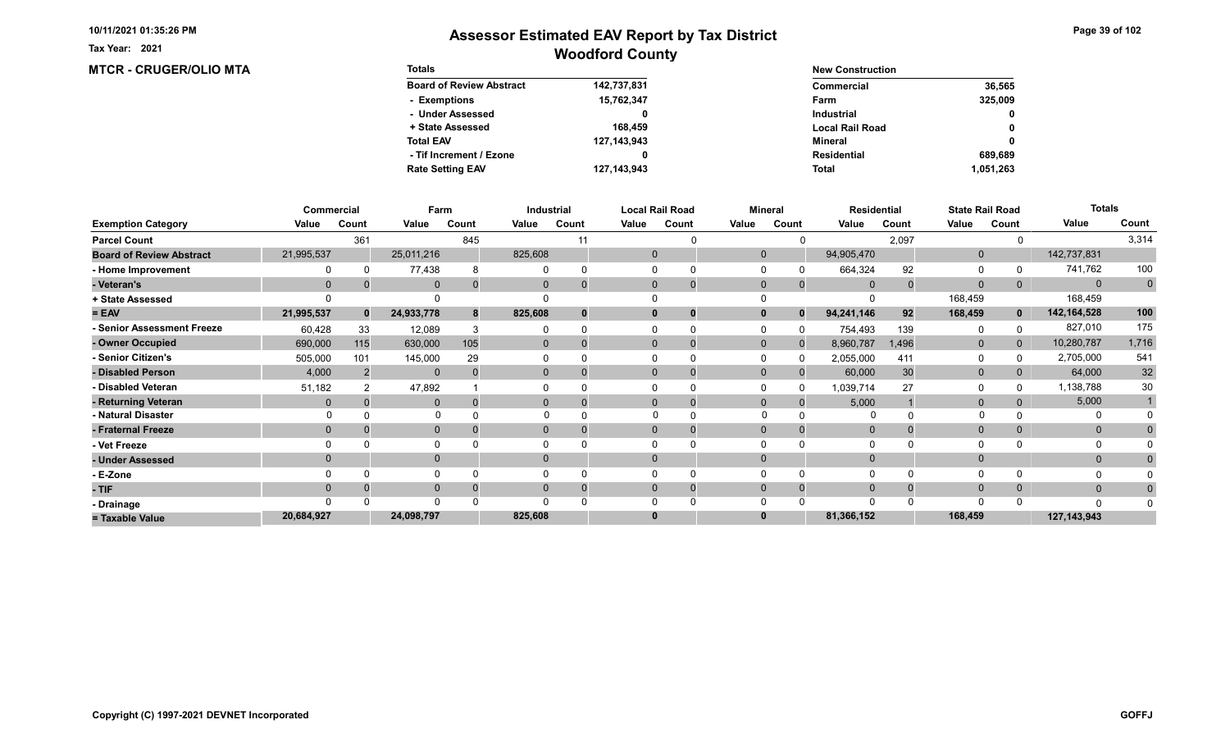**MTCR - CRUGER/OLIO MTA** 

Tax Year: 2021

| <b>Totals</b>                   |               | <b>New Construction</b> |              |  |  |
|---------------------------------|---------------|-------------------------|--------------|--|--|
| <b>Board of Review Abstract</b> | 142,737,831   | Commercial              | 36,565       |  |  |
| - Exemptions                    | 15,762,347    | Farm                    | 325,009      |  |  |
| - Under Assessed                |               | <b>Industrial</b>       | $\mathbf{0}$ |  |  |
| + State Assessed                | 168,459       | <b>Local Rail Road</b>  | 0            |  |  |
| <b>Total EAV</b>                | 127, 143, 943 | Mineral                 | 0            |  |  |
| - Tif Increment / Ezone         | 0             | Residential             | 689.689      |  |  |
| <b>Rate Setting EAV</b>         | 127, 143, 943 | <b>Total</b>            | 1,051,263    |  |  |

|                                 |            | <b>Commercial</b> | Farm         |       |              | Industrial |          | <b>Local Rail Road</b>      |             | <b>Mineral</b> | <b>Residential</b> |       |                | <b>State Rail Road</b> | <b>Totals</b> |              |
|---------------------------------|------------|-------------------|--------------|-------|--------------|------------|----------|-----------------------------|-------------|----------------|--------------------|-------|----------------|------------------------|---------------|--------------|
| <b>Exemption Category</b>       | Value      | Count             | Value        | Count | Value        | Count      | Value    | Count                       | Value       | Count          | Value              | Count | Value          | Count                  | Value         | Count        |
| <b>Parcel Count</b>             |            | 361               |              | 845   |              |            |          |                             |             |                |                    | 2,097 |                |                        |               | 3,314        |
| <b>Board of Review Abstract</b> | 21,995,537 |                   | 25,011,216   |       | 825,608      |            |          | $\mathbf 0$                 | $\mathbf 0$ |                | 94,905,470         |       | $\mathbf{0}$   |                        | 142,737,831   |              |
| - Home Improvement              |            |                   | 77,438       |       |              |            |          |                             |             |                | 664,324            | 92    | $\Omega$       |                        | 741,762       | 100          |
| - Veteran's                     |            |                   | $\mathbf{0}$ |       | 0            |            |          | $\mathbf{0}$<br>$\mathbf 0$ | $\mathbf 0$ | $\mathbf{0}$   | $\overline{0}$     |       | $\overline{0}$ | 0                      | $\mathbf{0}$  | $\mathbf{0}$ |
| + State Assessed                |            |                   |              |       |              |            |          |                             |             |                |                    |       | 168,459        |                        | 168,459       |              |
| $= EAV$                         | 21,995,537 | $\mathbf{0}$      | 24,933,778   | 8     | 825,608      | $\Omega$   | 0        | 0                           |             | $\Omega$       | 94,241,146         | 92    | 168,459        | $\mathbf{0}$           | 142,164,528   | 100          |
| - Senior Assessment Freeze      | 60,428     | 33                | 12,089       |       |              |            |          |                             |             |                | 754,493            | 139   | 0              |                        | 827,010       | 175          |
| - Owner Occupied                | 690,000    | 115               | 630,000      | 105   | $\mathbf{0}$ | $\Omega$   |          | $\Omega$                    | $\Omega$    | $\Omega$       | 8,960,787          | 1,496 | $\mathbf{0}$   | $\overline{0}$         | 10,280,787    | 1,716        |
| - Senior Citizen's              | 505,000    | 101               | 145,000      | 29    |              |            |          | 0                           |             |                | 2,055,000          | 411   | 0              |                        | 2,705,000     | 541          |
| - Disabled Person               | 4,000      |                   | $\mathbf{0}$ |       | $\Omega$     |            |          | $\Omega$<br>$\Omega$        | $\Omega$    |                | 60,000             | 30    | $\mathbf{0}$   |                        | 64,000        | $32\,$       |
| - Disabled Veteran              | 51,182     |                   | 47,892       |       |              |            |          | 0                           |             |                | 1,039,714          | 27    | $\Omega$       |                        | 1,138,788     | 30           |
| - Returning Veteran             |            |                   | $\mathbf{0}$ |       | $\Omega$     |            |          | $\Omega$<br>$\mathbf 0$     | $\Omega$    | $\Omega$       | 5,000              |       | $\mathbf{0}$   |                        | 5,000         |              |
| - Natural Disaster              |            |                   | $\Omega$     |       |              |            |          |                             | $\Omega$    |                |                    |       |                |                        |               |              |
| - Fraternal Freeze              | $\Omega$   |                   | $\mathbf 0$  |       | $\Omega$     |            |          | $\Omega$<br>O               | $\Omega$    |                | $\Omega$           |       | $\mathbf{0}$   |                        | $\mathbf{0}$  |              |
| - Vet Freeze                    |            |                   | 0            |       |              |            |          |                             |             |                |                    |       | $\Omega$       |                        | $\Omega$      |              |
| - Under Assessed                |            |                   | $\mathbf{0}$ |       | $\Omega$     |            | $\Omega$ |                             |             |                |                    |       | $\mathbf{0}$   |                        | $\mathbf{0}$  |              |
| - E-Zone                        |            |                   | $\Omega$     |       |              |            |          |                             |             |                |                    |       | $\Omega$       |                        |               |              |
| - TIF                           |            |                   | $\mathbf{0}$ |       |              |            | 0        | 0                           |             |                |                    |       | $\mathbf{0}$   |                        | $\mathbf{0}$  |              |
| - Drainage                      |            |                   | $\Omega$     |       |              |            |          |                             |             |                |                    |       | $\Omega$       |                        | n             |              |
| = Taxable Value                 | 20,684,927 |                   | 24,098,797   |       | 825,608      |            | 0        |                             |             |                | 81,366,152         |       | 168,459        |                        | 127,143,943   |              |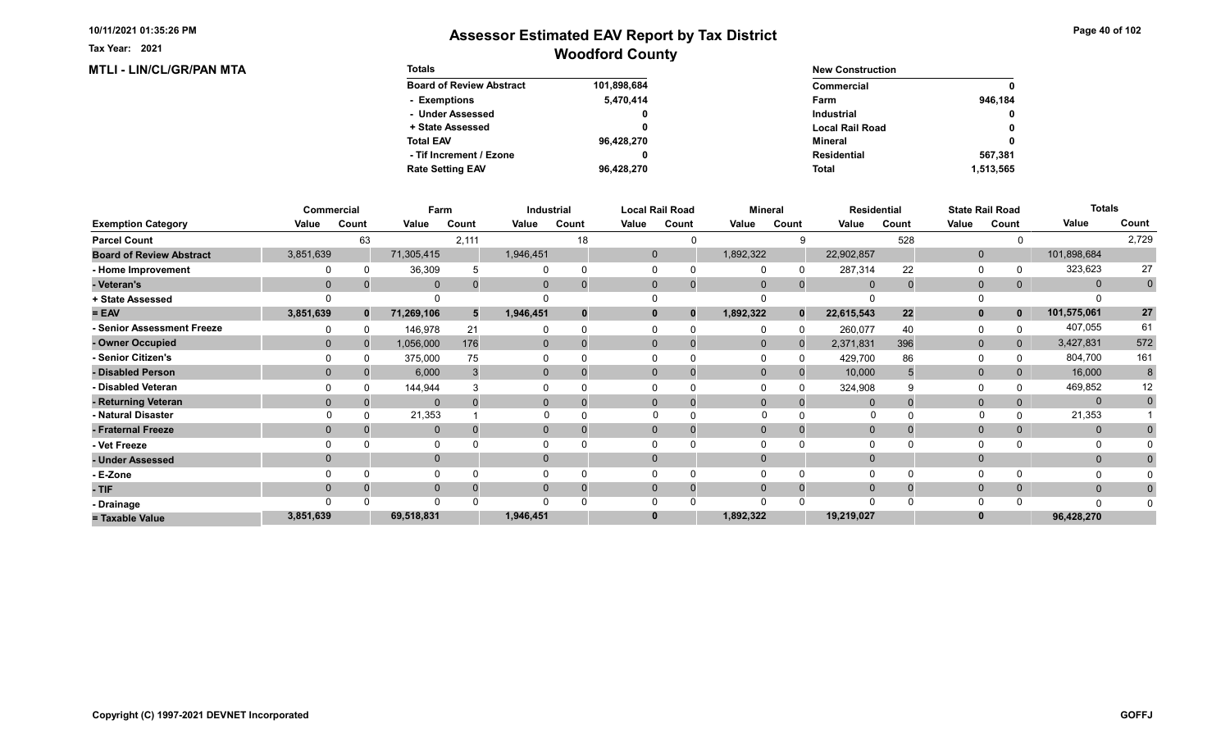**MTLI - LIN/CL/GR/PAN MTA** 

Tax Year: 2021

| <b>Totals</b>                   |             | <b>New Construction</b> |             |
|---------------------------------|-------------|-------------------------|-------------|
| <b>Board of Review Abstract</b> | 101,898,684 | Commercial              | $\mathbf 0$ |
| - Exemptions                    | 5,470,414   | Farm                    | 946.184     |
| - Under Assessed                | 0           | Industrial              | $\mathbf 0$ |
| + State Assessed                |             | <b>Local Rail Road</b>  | $\mathbf 0$ |
| <b>Total EAV</b>                | 96,428,270  | Mineral                 | $\mathbf 0$ |
| - Tif Increment / Ezone         |             | Residential             | 567.381     |
| <b>Rate Setting EAV</b>         | 96.428.270  | <b>Total</b>            | 1,513,565   |

|                                 |           | <b>Commercial</b> | Farm         |       |              | Industrial |          | <b>Local Rail Road</b>     |           | <b>Mineral</b> |             | <b>Residential</b> |              | <b>State Rail Road</b> | <b>Totals</b> |              |
|---------------------------------|-----------|-------------------|--------------|-------|--------------|------------|----------|----------------------------|-----------|----------------|-------------|--------------------|--------------|------------------------|---------------|--------------|
| <b>Exemption Category</b>       | Value     | Count             | Value        | Count | Value        | Count      | Value    | Count                      | Value     | Count          | Value       | Count              | Value        | Count                  | Value         | Count        |
| <b>Parcel Count</b>             |           | 63                |              | 2,111 |              | 18         |          | U                          |           |                |             | 528                |              |                        |               | 2,729        |
| <b>Board of Review Abstract</b> | 3,851,639 |                   | 71,305,415   |       | 1,946,451    |            |          | $\mathbf 0$                | 1,892,322 |                | 22,902,857  |                    | $\mathbf 0$  |                        | 101,898,684   |              |
| - Home Improvement              |           |                   | 36,309       |       |              |            | $\Omega$ |                            |           |                | 287,314     | 22                 | 0            |                        | 323,623       | 27           |
| - Veteran's                     | $\Omega$  |                   | $\Omega$     |       | $\Omega$     |            |          | $\mathbf{0}$               | $\Omega$  | $\Omega$       | $\Omega$    |                    | $\mathbf 0$  | 0                      | $\mathbf{0}$  | $\mathbf 0$  |
| + State Assessed                |           |                   |              |       |              |            |          |                            |           |                |             |                    | $\Omega$     |                        |               |              |
| $= EAV$                         | 3,851,639 | $\mathbf{0}$      | 71,269,106   | 5     | 1,946,451    |            |          | $\mathbf 0$<br>$\mathbf 0$ | 1,892,322 | $\Omega$       | 22,615,543  | 22                 | $\mathbf{0}$ | $\mathbf 0$            | 101,575,061   | 27           |
| - Senior Assessment Freeze      |           |                   | 146,978      | 21    |              |            |          |                            |           |                | 260,077     | 40                 | $\Omega$     |                        | 407,055       | 61           |
| - Owner Occupied                | $\Omega$  | $\Omega$          | 1,056,000    | 176   | $\mathbf{0}$ |            |          | $\Omega$                   | $\Omega$  |                | 2,371,831   | 396                | $\mathbf{0}$ | $\Omega$               | 3,427,831     | 572          |
| - Senior Citizen's              |           |                   | 375,000      | 75    |              |            |          |                            |           |                | 429,700     | 86                 | $\Omega$     |                        | 804,700       | 161          |
| - Disabled Person               |           |                   | 6,000        |       | $\Omega$     |            |          | $\Omega$                   | $\Omega$  |                | 10,000      |                    | $\mathbf{0}$ |                        | 16,000        | 8            |
| - Disabled Veteran              |           |                   | 144,944      |       |              |            |          |                            |           |                | 324,908     |                    | $\Omega$     |                        | 469,852       | 12           |
| - Returning Veteran             | $\Omega$  |                   | $\Omega$     |       | $\Omega$     |            |          | $\Omega$                   | $\Omega$  | $\Omega$       |             |                    | $\mathbf{0}$ |                        | $\mathbf{0}$  | $\mathbf{0}$ |
| - Natural Disaster              |           |                   | 21,353       |       |              |            |          |                            |           |                | O           |                    | $\Omega$     |                        | 21,353        |              |
| - Fraternal Freeze              | $\Omega$  |                   | $\mathbf 0$  |       | 0            |            |          | $\mathbf{0}$               | $\Omega$  |                | $\mathbf 0$ |                    | $\mathbf 0$  | 0                      | $\mathbf{0}$  |              |
| - Vet Freeze                    |           |                   | $\mathbf{0}$ |       |              |            | $\Omega$ |                            |           |                |             |                    | 0            |                        | 0             |              |
| - Under Assessed                |           |                   | $\mathbf{0}$ |       | 0            |            |          | $\Omega$                   |           |                |             |                    | $\mathbf{0}$ |                        | $\mathbf{0}$  |              |
| - E-Zone                        |           |                   | $\Omega$     |       |              |            |          |                            |           |                |             |                    | $\Omega$     |                        | O             |              |
| - TIF                           | $\Omega$  |                   | $\mathbf{0}$ |       | $\Omega$     |            |          | $\mathbf{0}$               | $\Omega$  | $\Omega$       | $\mathbf 0$ |                    | $\mathbf{0}$ | 0                      | $\mathbf{0}$  |              |
| - Drainage                      |           |                   | $\Omega$     |       |              |            |          |                            |           |                | $\cap$      |                    | $\Omega$     |                        | n             |              |
| = Taxable Value                 | 3,851,639 |                   | 69,518,831   |       | 1,946,451    |            | $\bf{0}$ |                            | 1,892,322 |                | 19,219,027  |                    |              |                        | 96,428,270    |              |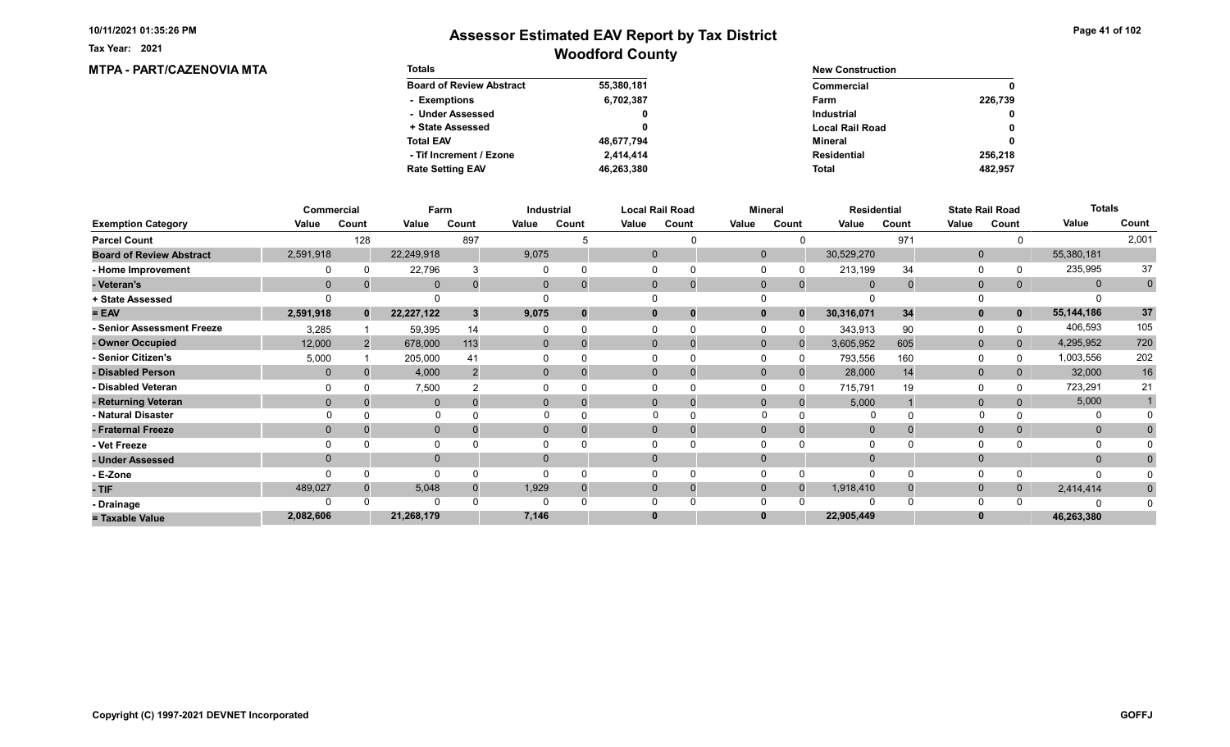**MTPA - PART/CAZENOVIA MTA** 

Tax Year: 2021

| <b>Totals</b>                   |            | <b>New Construction</b> |             |
|---------------------------------|------------|-------------------------|-------------|
| <b>Board of Review Abstract</b> | 55,380,181 | Commercial              | $\mathbf 0$ |
| - Exemptions                    | 6,702,387  | Farm                    | 226,739     |
| - Under Assessed                | 0          | Industrial              | $\mathbf 0$ |
| + State Assessed                |            | <b>Local Rail Road</b>  | $\mathbf 0$ |
| <b>Total EAV</b>                | 48,677,794 | Mineral                 | $\mathbf 0$ |
| - Tif Increment / Ezone         | 2,414,414  | Residential             | 256.218     |
| <b>Rate Setting EAV</b>         | 46.263.380 | <b>Total</b>            | 482,957     |

|                                 |              | Commercial   | Farm         |                |              | <b>Industrial</b> |       | <b>Local Rail Road</b>      |              | <b>Mineral</b> | <b>Residential</b> |       |              | <b>State Rail Road</b> | <b>Totals</b> |              |
|---------------------------------|--------------|--------------|--------------|----------------|--------------|-------------------|-------|-----------------------------|--------------|----------------|--------------------|-------|--------------|------------------------|---------------|--------------|
| <b>Exemption Category</b>       | Value        | Count        | Value        | Count          | Value        | Count             | Value | Count                       | Value        | Count          | Value              | Count | Value        | Count                  | Value         | Count        |
| <b>Parcel Count</b>             |              | 128          |              | 897            |              |                   |       |                             |              |                |                    | 971   |              |                        |               | 2,001        |
| <b>Board of Review Abstract</b> | 2,591,918    |              | 22,249,918   |                | 9,075        |                   |       | $\mathbf 0$                 | $\mathbf 0$  |                | 30,529,270         |       | $\mathbf{0}$ |                        | 55,380,181    |              |
| - Home Improvement              |              |              | 22,796       |                |              |                   |       |                             |              |                | 213,199            | 34    | 0            |                        | 235,995       | 37           |
| - Veteran's                     | $\Omega$     |              | $\mathbf 0$  |                | 0            |                   |       | $\mathbf{0}$<br>$\mathbf 0$ | $\mathbf 0$  | $\mathbf{0}$   | $\overline{0}$     |       | $\mathbf{0}$ | 0                      | $\mathbf{0}$  | $\mathbf{0}$ |
| + State Assessed                |              |              |              |                |              |                   |       |                             |              |                |                    |       |              |                        |               |              |
| $= EAV$                         | 2,591,918    | $\mathbf{0}$ | 22,227,122   |                | 9,075        | $\Omega$          |       | $\bf{0}$<br>0               |              | $\Omega$       | 30,316,071         | 34    | $\mathbf{0}$ | $\mathbf 0$            | 55, 144, 186  | 37           |
| - Senior Assessment Freeze      | 3,285        |              | 59,395       | 14             |              |                   |       | 0                           |              | n              | 343,913            | 90    | 0            |                        | 406,593       | 105          |
| - Owner Occupied                | 12,000       | 2            | 678,000      | 113            | $\mathbf{0}$ | $\Omega$          |       | $\Omega$<br>$\Omega$        | $\mathbf{0}$ | $\Omega$       | 3,605,952          | 605   | $\mathbf 0$  | $\mathbf{0}$           | 4,295,952     | 720          |
| - Senior Citizen's              | 5,000        |              | 205,000      | 4 <sup>′</sup> |              |                   |       |                             |              |                | 793,556            | 160   | $\Omega$     |                        | 1,003,556     | 202          |
| - Disabled Person               | $\mathbf{0}$ |              | 4,000        |                | $\Omega$     |                   |       | $\Omega$                    | $\Omega$     |                | 28,000             | 14    | $\mathbf{0}$ | 0                      | 32,000        | $16\,$       |
| - Disabled Veteran              |              |              | 7,500        |                |              |                   |       |                             |              |                | 715,791            | 19    | 0            |                        | 723,291       | 21           |
| - Returning Veteran             |              |              | $\mathbf 0$  |                | 0            |                   |       | $\Omega$<br>0               | $\Omega$     | $\Omega$       | 5,000              |       | $\mathbf{0}$ |                        | 5,000         |              |
| - Natural Disaster              |              |              | $\Omega$     |                |              |                   |       | $\Omega$                    | $\Omega$     |                | 0                  |       |              |                        | 0             |              |
| - Fraternal Freeze              | $\Omega$     |              | $\mathbf 0$  |                |              |                   |       | $\Omega$                    | $\Omega$     |                | $\overline{0}$     |       | $\mathbf{0}$ |                        | $\mathbf{0}$  |              |
| - Vet Freeze                    |              |              | 0            |                |              |                   |       |                             |              |                |                    |       | $\Omega$     |                        | 0             |              |
| - Under Assessed                |              |              | $\mathbf{0}$ |                | $\Omega$     |                   |       | $\Omega$                    |              |                |                    |       | $\Omega$     |                        | $\mathbf{0}$  |              |
| - E-Zone                        |              |              | $\Omega$     |                |              |                   |       |                             |              |                | $\Omega$           |       | $\Omega$     |                        | n             |              |
| - TIF                           | 489,027      |              | 5,048        |                | 1,929        |                   |       | $\Omega$<br>0               | $\Omega$     |                | 1,918,410          |       | $\mathbf{0}$ | 0                      | 2,414,414     | $\bf{0}$     |
| - Drainage                      |              |              | $\Omega$     |                |              |                   |       |                             |              |                |                    |       | $\Omega$     |                        |               |              |
| = Taxable Value                 | 2,082,606    |              | 21,268,179   |                | 7,146        |                   | 0     |                             |              |                | 22,905,449         |       | 0            |                        | 46,263,380    |              |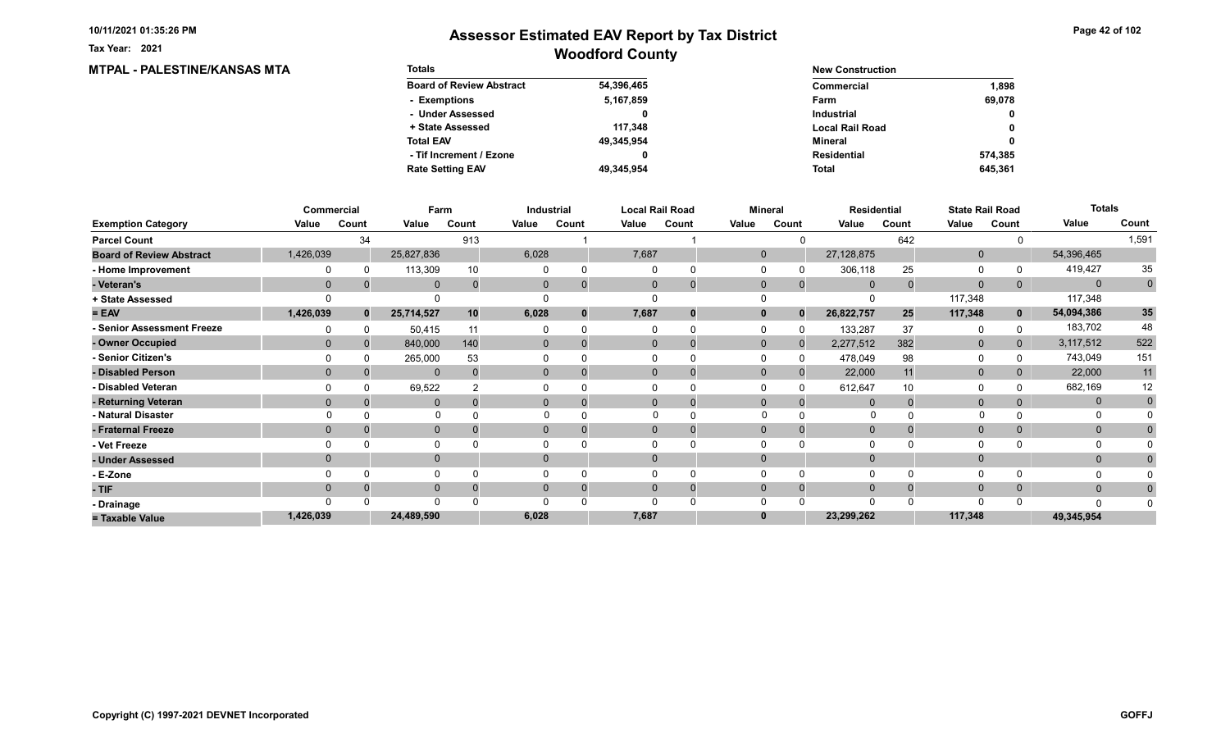**MTPAL - PALESTINE/KANSAS MTA** 

Tax Year: 2021

| <b>Totals</b>                   |            | <b>New Construction</b> |             |
|---------------------------------|------------|-------------------------|-------------|
| <b>Board of Review Abstract</b> | 54,396,465 | Commercial              | 1.898       |
| - Exemptions                    | 5,167,859  | Farm                    | 69.078      |
| - Under Assessed                | 0          | Industrial              | $\mathbf 0$ |
| + State Assessed                | 117.348    | <b>Local Rail Road</b>  | $\mathbf 0$ |
| <b>Total EAV</b>                | 49,345,954 | Mineral                 | $\mathbf 0$ |
| - Tif Increment / Ezone         |            | Residential             | 574.385     |
| <b>Rate Setting EAV</b>         | 49.345.954 | <b>Total</b>            | 645,361     |

|                                 |           | Commercial | Farm         |       |              | Industrial |              | <b>Local Rail Road</b> |              | <b>Mineral</b> |                | <b>Residential</b> |              | <b>State Rail Road</b> | <b>Totals</b> |             |
|---------------------------------|-----------|------------|--------------|-------|--------------|------------|--------------|------------------------|--------------|----------------|----------------|--------------------|--------------|------------------------|---------------|-------------|
| <b>Exemption Category</b>       | Value     | Count      | Value        | Count | Value        | Count      | Value        | Count                  | Value        | Count          | Value          | Count              | Value        | Count                  | Value         | Count       |
| <b>Parcel Count</b>             |           | 34         |              | 913   |              |            |              |                        |              |                |                | 642                |              |                        |               | 1,591       |
| <b>Board of Review Abstract</b> | 1,426,039 |            | 25,827,836   |       | 6,028        |            | 7,687        |                        | $\mathbf 0$  |                | 27,128,875     |                    | $\mathbf 0$  |                        | 54,396,465    |             |
| - Home Improvement              |           |            | 113,309      | 10    |              |            |              |                        |              |                | 306,118        | 25                 | $\Omega$     |                        | 419,427       | 35          |
| - Veteran's                     | $\Omega$  |            | $\mathbf{0}$ |       | $\mathbf{0}$ |            | $\mathbf{0}$ | $\mathbf 0$            | $\Omega$     | $\Omega$       | $\Omega$       |                    | $\mathbf{0}$ | 0                      | $\mathbf{0}$  | $\mathbf 0$ |
| + State Assessed                |           |            | $\Omega$     |       |              |            |              |                        |              |                |                |                    | 117,348      |                        | 117,348       |             |
| $= EAV$                         | 1,426,039 | $\bf{0}$   | 25,714,527   | 10    | 6,028        | 0          | 7,687        | 0                      |              | $\bf{0}$       | 26,822,757     | 25                 | 117,348      | $\mathbf{0}$           | 54,094,386    | 35          |
| - Senior Assessment Freeze      |           |            | 50,415       | 11    |              |            |              |                        |              |                | 133,287        | 37                 | 0            |                        | 183,702       | 48          |
| - Owner Occupied                |           |            | 840,000      | 140   | $\mathbf{0}$ | $\Omega$   | $\Omega$     | 0                      | $\mathbf{0}$ |                | 2,277,512      | 382                | $\mathbf{0}$ | $\overline{0}$         | 3,117,512     | 522         |
| - Senior Citizen's              |           |            | 265,000      | 53    |              |            |              |                        |              |                | 478,049        | 98                 | $\Omega$     |                        | 743,049       | 151         |
| - Disabled Person               |           |            | $\mathbf{0}$ |       | $\Omega$     |            | $\Omega$     |                        | $\Omega$     |                | 22,000         | 11                 | $\mathbf{0}$ |                        | 22,000        | 11          |
| - Disabled Veteran              |           |            | 69,522       |       |              |            |              | 0                      |              |                | 612,647        | 10                 | $\Omega$     |                        | 682,169       | 12          |
| - Returning Veteran             |           |            | $\mathbf{0}$ |       | $\mathbf{0}$ |            | $\Omega$     | $\mathbf 0$            | $\Omega$     | $\Omega$       | $\Omega$       |                    | $\mathbf{0}$ |                        | $\mathbf{0}$  | $\mathbf 0$ |
| - Natural Disaster              |           |            | $\Omega$     |       |              |            |              |                        |              |                | 0              |                    |              |                        |               |             |
| - Fraternal Freeze              |           |            | $\mathbf 0$  |       | 0            |            | $\mathbf{0}$ |                        | $\Omega$     |                | $\overline{0}$ |                    | $\mathbf{0}$ | 0                      | $\mathbf{0}$  |             |
| - Vet Freeze                    |           |            | 0            |       |              |            |              |                        |              |                |                |                    | $\Omega$     |                        | 0             |             |
| - Under Assessed                |           |            | $\mathbf 0$  |       |              |            | $\Omega$     |                        |              |                |                |                    | $\mathbf{0}$ |                        | $\mathbf{0}$  |             |
| - E-Zone                        |           |            | $\Omega$     |       |              |            |              |                        |              |                |                |                    | $\Omega$     |                        |               |             |
| - TIF                           |           |            | $\mathbf 0$  |       |              |            | $\Omega$     | 0                      |              | $\Omega$       |                |                    | $\mathbf{0}$ |                        | $\Omega$      |             |
| - Drainage                      |           |            | $\Omega$     |       |              |            |              |                        |              |                |                |                    | $\Omega$     |                        | n             |             |
| = Taxable Value                 | 1,426,039 |            | 24,489,590   |       | 6,028        |            | 7,687        |                        |              |                | 23,299,262     |                    | 117,348      |                        | 49,345,954    |             |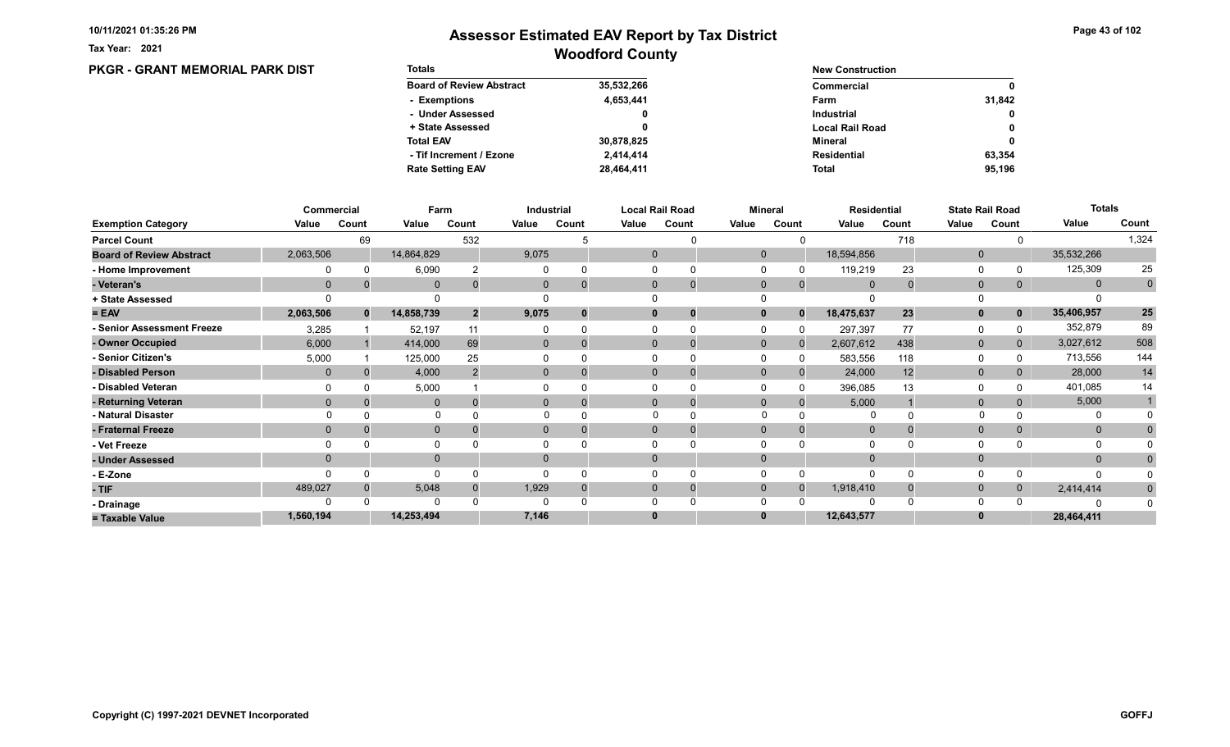PKGR - GRANT MEMORIAL PARK DIST

Tax Year: 2021

| <b>Totals</b>                   |            | <b>New Construction</b> |              |
|---------------------------------|------------|-------------------------|--------------|
| <b>Board of Review Abstract</b> | 35,532,266 | Commercial              | $\mathbf 0$  |
| - Exemptions                    | 4,653,441  | Farm                    | 31.842       |
| - Under Assessed                | 0          | Industrial              | $\mathbf{0}$ |
| + State Assessed                |            | <b>Local Rail Road</b>  | $\mathbf 0$  |
| <b>Total EAV</b>                | 30,878,825 | Mineral                 | $\mathbf 0$  |
| - Tif Increment / Ezone         | 2.414.414  | Residential             | 63.354       |
| <b>Rate Setting EAV</b>         | 28,464,411 | Total                   | 95.196       |

|                                 |             | Commercial   |              | Farm           |              | <b>Industrial</b> |       | <b>Local Rail Road</b>      |             | <b>Mineral</b> |                | <b>Residential</b> |              | <b>State Rail Road</b> | <b>Totals</b> |                 |
|---------------------------------|-------------|--------------|--------------|----------------|--------------|-------------------|-------|-----------------------------|-------------|----------------|----------------|--------------------|--------------|------------------------|---------------|-----------------|
| <b>Exemption Category</b>       | Value       | Count        | Value        | Count          | Value        | Count             | Value | Count                       | Value       | Count          | Value          | Count              | Value        | Count                  | Value         | Count           |
| <b>Parcel Count</b>             |             | 69           |              | 532            |              |                   |       |                             |             |                |                | 718                |              |                        |               | 1,324           |
| <b>Board of Review Abstract</b> | 2,063,506   |              | 14,864,829   |                | 9,075        |                   |       | $\mathbf 0$                 | $\mathbf 0$ |                | 18,594,856     |                    | $\mathbf 0$  |                        | 35,532,266    |                 |
| - Home Improvement              |             |              | 6,090        |                |              |                   |       |                             |             |                | 119,219        | 23                 | $\Omega$     |                        | 125,309       | 25              |
| - Veteran's                     | $\mathbf 0$ |              | $\mathbf 0$  |                | $\mathbf{0}$ |                   |       | $\mathbf{0}$<br>$\mathbf 0$ | $\mathbf 0$ | $\mathbf{0}$   | $\overline{0}$ |                    | $\mathbf{0}$ | 0                      | $\mathbf{0}$  | $\mathbf 0$     |
| + State Assessed                |             |              |              |                |              |                   |       |                             |             |                |                |                    |              |                        |               |                 |
| $= EAV$                         | 2,063,506   | $\mathbf{0}$ | 14,858,739   | $\overline{2}$ | 9,075        |                   |       | 0<br>0                      |             | $\Omega$       | 18,475,637     | 23                 | $\mathbf{0}$ | 0                      | 35,406,957    | $25\phantom{a}$ |
| - Senior Assessment Freeze      | 3,285       |              | 52,197       | 11             |              |                   |       |                             |             |                | 297,397        | 77                 | 0            |                        | 352,879       | 89              |
| - Owner Occupied                | 6,000       |              | 414,000      | 69             | $\Omega$     | $\Omega$          |       | $\Omega$                    | $\Omega$    |                | 2,607,612      | 438                | $\mathbf{0}$ | 0                      | 3,027,612     | 508             |
| - Senior Citizen's              | 5,000       |              | 125,000      | 25             |              |                   |       |                             |             |                | 583,556        | 118                | $\Omega$     |                        | 713,556       | 144             |
| - Disabled Person               |             |              | 4,000        |                |              | 0                 |       | $\Omega$                    | $\Omega$    |                | 24,000         | 12                 | $\mathbf{0}$ |                        | 28,000        | 14              |
| - Disabled Veteran              |             |              | 5,000        |                |              |                   |       |                             |             |                | 396,085        | 13                 | $\Omega$     |                        | 401,085       | 14              |
| - Returning Veteran             | $\Omega$    |              | $\mathbf{0}$ |                |              | $\Omega$          |       | $\Omega$<br>$\mathbf 0$     | $\Omega$    | $\Omega$       | 5,000          |                    | $\mathbf{0}$ |                        | 5,000         |                 |
| - Natural Disaster              |             |              |              |                |              |                   |       |                             |             |                |                |                    |              |                        |               |                 |
| - Fraternal Freeze              |             |              | $\mathbf 0$  |                | $\Omega$     |                   |       | $\Omega$                    |             |                | $\overline{0}$ |                    | $\mathbf{0}$ | 0                      | $\mathbf{0}$  |                 |
| - Vet Freeze                    |             |              | 0            |                |              |                   |       |                             |             |                |                |                    | $\Omega$     |                        | $\Omega$      |                 |
| - Under Assessed                |             |              | $\mathbf 0$  |                |              |                   |       | $\Omega$                    |             |                |                |                    | $\mathbf{0}$ |                        | $\mathbf{0}$  |                 |
| - E-Zone                        |             |              | $\Omega$     |                |              |                   |       |                             |             |                | $\Omega$       |                    | $\Omega$     |                        | O             |                 |
| $-TIF$                          | 489,027     |              | 5,048        |                | 1,929        |                   |       | $\Omega$<br>$\Omega$        | $\Omega$    | $\Omega$       | 1,918,410      |                    | $\mathbf{0}$ |                        | 2,414,414     |                 |
| - Drainage                      |             |              | $\Omega$     |                |              |                   |       |                             |             |                |                |                    | $\Omega$     |                        |               |                 |
| = Taxable Value                 | 1,560,194   |              | 14,253,494   |                | 7,146        |                   |       | $\bf{0}$                    |             |                | 12,643,577     |                    |              |                        | 28,464,411    |                 |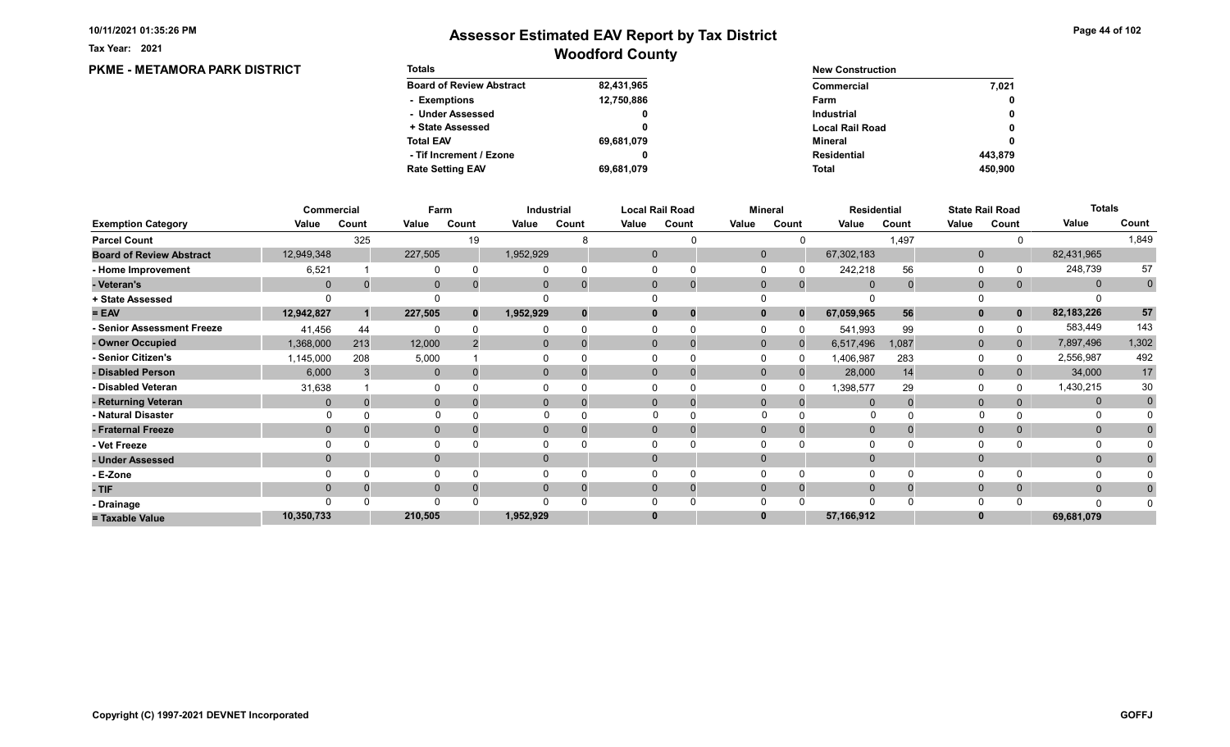Tax Year: 2021

### Woodford County Assessor Estimated EAV Report by Tax District

0

0 0

0

#### PKME - METAMORA PARK DISTRICT Totals Board of Review Abstract + State Assessed - Under Assessed - Exemptions Total EAV Rate Setting EAV - Tif Increment / Ezone 82,431,965 12,750,886 0 0 69,681,079 69,681,079 0 New Construction Commercial Local Rail Road Industrial Farm Mineral Total Residential 7,021 450,900 443,879

|                                 |             | <b>Commercial</b> | Farm         |       |           | Industrial |              | <b>Local Rail Road</b> |             | <b>Mineral</b> | <b>Residential</b> |       |              | <b>State Rail Road</b> | <b>Totals</b> |             |
|---------------------------------|-------------|-------------------|--------------|-------|-----------|------------|--------------|------------------------|-------------|----------------|--------------------|-------|--------------|------------------------|---------------|-------------|
| <b>Exemption Category</b>       | Value       | Count             | Value        | Count | Value     | Count      | Value        | Count                  | Value       | Count          | Value              | Count | Value        | Count                  | Value         | Count       |
| <b>Parcel Count</b>             |             | 325               |              | 19    |           |            |              |                        |             |                |                    | 1,497 |              |                        |               | 1,849       |
| <b>Board of Review Abstract</b> | 12,949,348  |                   | 227,505      |       | 1,952,929 |            | $\mathbf 0$  |                        | $\mathbf 0$ |                | 67,302,183         |       | $\mathbf{0}$ |                        | 82,431,965    |             |
| - Home Improvement              | 6,521       |                   | 0            |       |           |            |              |                        |             |                | 242,218            | 56    | $\Omega$     |                        | 248,739       | 57          |
| - Veteran's                     | $\mathbf 0$ |                   | $\mathbf{0}$ |       | 0         |            | $\mathbf{0}$ | $\mathbf 0$            | $\mathbf 0$ | $\mathbf{0}$   | $\overline{0}$     |       | $\mathbf{0}$ | 0                      | $\mathbf{0}$  | $\mathbf 0$ |
| + State Assessed                |             |                   |              |       |           |            |              |                        |             |                |                    |       |              |                        |               |             |
| $= EAV$                         | 12,942,827  |                   | 227,505      |       | 1,952,929 |            | $\bf{0}$     | 0                      |             | $\Omega$       | 67,059,965         | 56    | $\mathbf{0}$ | $\mathbf 0$            | 82,183,226    | 57          |
| - Senior Assessment Freeze      | 41,456      | 44                | $\Omega$     |       |           |            |              |                        |             |                | 541,993            | 99    | 0            |                        | 583,449       | 143         |
| - Owner Occupied                | 1,368,000   | 213               | 12,000       |       | $\Omega$  | $\Omega$   | $\Omega$     |                        | $\Omega$    | $\Omega$       | 6,517,496          | 1,087 | $\mathbf{0}$ | 0                      | 7,897,496     | 1,302       |
| - Senior Citizen's              | 1,145,000   | 208               | 5,000        |       |           |            |              | 0                      |             | <sup>0</sup>   | 1,406,987          | 283   | $\Omega$     |                        | 2,556,987     | 492         |
| - Disabled Person               | 6,000       |                   | $\mathbf{0}$ |       | $\Omega$  |            | $\Omega$     | 0                      | $\Omega$    |                | 28,000             | 14    | $\mathbf{0}$ |                        | 34,000        | 17          |
| - Disabled Veteran              | 31,638      |                   | 0            |       |           |            |              | 0                      |             |                | 1,398,577          | 29    | $\Omega$     |                        | 1,430,215     | 30          |
| - Returning Veteran             |             |                   | $\mathbf{0}$ |       | $\Omega$  |            | $\Omega$     | $\mathbf 0$            | $\Omega$    |                | $\Omega$           |       | $\mathbf{0}$ |                        | $\mathbf{0}$  | $\mathbf 0$ |
| - Natural Disaster              |             |                   | $\Omega$     |       |           |            |              |                        | $\Omega$    |                | <sup>0</sup>       |       |              |                        |               |             |
| - Fraternal Freeze              | $\Omega$    |                   | $\mathbf 0$  |       | $\Omega$  |            | $\mathbf{0}$ |                        | $\Omega$    |                | $\Omega$           |       | $\mathbf{0}$ |                        | $\mathbf{0}$  |             |
| - Vet Freeze                    |             |                   | 0            |       |           |            |              |                        |             |                |                    |       | $\Omega$     |                        | $\Omega$      |             |
| - Under Assessed                |             |                   | $\mathbf{0}$ |       | $\Omega$  |            | $\Omega$     |                        |             |                |                    |       | $\mathbf{0}$ |                        | $\mathbf{0}$  |             |
| - E-Zone                        |             |                   | $\Omega$     |       |           |            |              |                        |             |                |                    |       | $\Omega$     |                        |               |             |
| - TIF                           |             |                   | $\mathbf{0}$ |       |           |            | 0            | 0                      |             |                |                    |       | $\mathbf{0}$ |                        | $\mathbf{0}$  |             |
| - Drainage                      |             |                   | $\Omega$     |       |           |            |              |                        |             |                |                    |       | $\Omega$     |                        | n             |             |
| = Taxable Value                 | 10,350,733  |                   | 210,505      |       | 1,952,929 |            | 0            |                        |             |                | 57,166,912         |       | $\bf{0}$     |                        | 69,681,079    |             |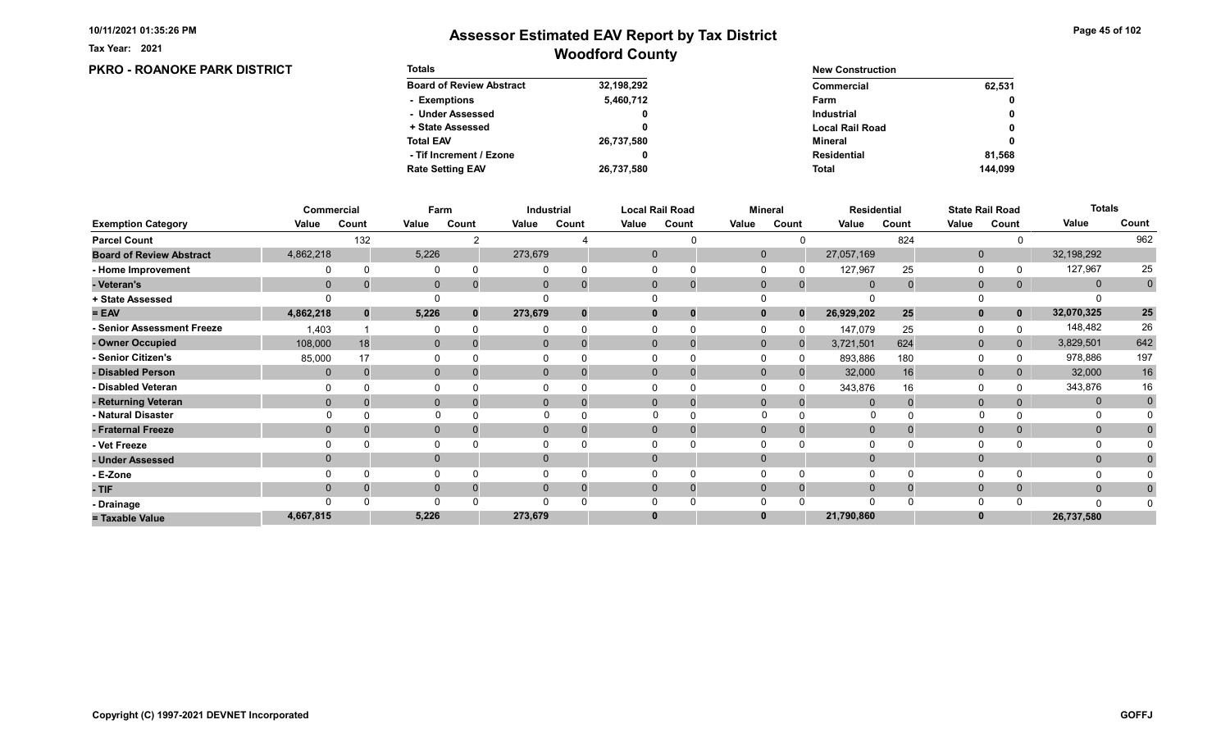PKRO - ROANOKE PARK DISTRICT

Tax Year: 2021

| <b>Totals</b>                   |            | <b>New Construction</b> |         |
|---------------------------------|------------|-------------------------|---------|
| <b>Board of Review Abstract</b> | 32,198,292 | Commercial              | 62,531  |
| - Exemptions                    | 5,460,712  | Farm                    | 0       |
| - Under Assessed                | 0          | <b>Industrial</b>       | 0       |
| + State Assessed                |            | <b>Local Rail Road</b>  | 0       |
| <b>Total EAV</b>                | 26,737,580 | Mineral                 | 0       |
| - Tif Increment / Ezone         | 0          | <b>Residential</b>      | 81.568  |
| <b>Rate Setting EAV</b>         | 26,737,580 | <b>Total</b>            | 144.099 |

|                                 |              | Commercial   |              | Farm  |              | Industrial     |       | <b>Local Rail Road</b>        |              | <b>Mineral</b> |                | <b>Residential</b> |              | <b>State Rail Road</b> | <b>Totals</b> |             |
|---------------------------------|--------------|--------------|--------------|-------|--------------|----------------|-------|-------------------------------|--------------|----------------|----------------|--------------------|--------------|------------------------|---------------|-------------|
| <b>Exemption Category</b>       | Value        | Count        | Value        | Count | Value        | Count          | Value | Count                         | Value        | Count          | Value          | Count              | Value        | Count                  | Value         | Count       |
| <b>Parcel Count</b>             |              | 132          |              |       |              |                |       |                               |              |                |                | 824                |              |                        |               | 962         |
| <b>Board of Review Abstract</b> | 4,862,218    |              | 5,226        |       | 273,679      |                |       | $\mathbf 0$                   | $\mathbf 0$  |                | 27,057,169     |                    | $\mathbf 0$  |                        | 32,198,292    |             |
| - Home Improvement              |              |              | 0            |       |              |                |       | 0                             |              |                | 127,967        | 25                 | 0            |                        | 127,967       | 25          |
| - Veteran's                     | $\Omega$     |              | $\mathbf 0$  |       | $\mathbf{0}$ |                |       | $\mathbf 0$<br>$\overline{0}$ | $\mathbf 0$  | $\mathbf 0$    | $\overline{0}$ | $\Omega$           | $\mathbf 0$  | $\mathbf{0}$           | $\mathbf{0}$  | $\pmb{0}$   |
| + State Assessed                |              |              |              |       |              |                |       |                               |              |                |                |                    |              |                        |               |             |
| $= EAV$                         | 4,862,218    | $\mathbf{0}$ | 5,226        | 0     | 273,679      |                |       | $\bf{0}$                      |              | $\Omega$       | 26,929,202     | 25                 | $\mathbf{0}$ | $\mathbf{0}$           | 32,070,325    | ${\bf 25}$  |
| - Senior Assessment Freeze      | 1,403        |              | 0            |       |              |                |       |                               |              |                | 147,079        | 25                 | 0            |                        | 148,482       | 26          |
| - Owner Occupied                | 108,000      | 18           | $\mathbf{0}$ |       | $\Omega$     |                |       | $\mathbf{0}$                  | $\mathbf{0}$ | $\Omega$       | 3,721,501      | 624                | $\mathbf 0$  | $\mathbf{0}$           | 3,829,501     | 642         |
| - Senior Citizen's              | 85,000       | 17           |              |       |              |                |       |                               |              |                | 893,886        | 180                | $\Omega$     |                        | 978,886       | 197         |
| - Disabled Person               | $\mathbf{0}$ |              | $\mathbf{0}$ |       | $\mathbf{0}$ |                |       | $\Omega$                      | $\Omega$     |                | 32,000         | 16                 | $\mathbf{0}$ |                        | 32,000        | $16\,$      |
| - Disabled Veteran              |              |              | 0            |       |              |                |       | $\Omega$                      |              |                | 343,876        | 16                 | 0            |                        | 343,876       | 16          |
| - Returning Veteran             | $\Omega$     |              | $\mathbf{0}$ |       |              | $\overline{0}$ |       | $\Omega$<br>$\overline{0}$    | $\Omega$     | $\Omega$       |                |                    | $\mathbf 0$  | 0                      | $\mathbf{0}$  | $\mathbf 0$ |
| - Natural Disaster              |              |              | $\Omega$     |       |              |                |       |                               | $\Omega$     |                | 0              |                    |              |                        | 0             |             |
| - Fraternal Freeze              | $\Omega$     |              | $\mathbf 0$  |       | $\mathbf{0}$ |                |       | $\mathbf{0}$                  | $\mathbf 0$  |                | $\mathbf 0$    |                    | $\mathbf 0$  |                        | $\mathbf{0}$  | $\Omega$    |
| - Vet Freeze                    |              |              | $\Omega$     |       |              |                |       |                               |              |                |                |                    | $\Omega$     |                        | 0             |             |
| - Under Assessed                | $\Omega$     |              | $\mathbf{0}$ |       | $\Omega$     |                |       | $\Omega$                      | $\Omega$     |                |                |                    | $\mathbf{0}$ |                        | $\mathbf{0}$  |             |
| - E-Zone                        |              |              | $\Omega$     |       |              |                |       |                               |              |                |                |                    | $\Omega$     |                        |               |             |
| - TIF                           |              |              | $\mathbf{0}$ |       |              |                |       | $\Omega$                      | $\Omega$     | $\Omega$       | $\Omega$       |                    | $\mathbf{0}$ | 0                      | $\mathbf{0}$  |             |
| - Drainage                      |              |              | $\Omega$     |       |              |                |       |                               |              |                |                |                    | $\Omega$     |                        | $\Omega$      |             |
| = Taxable Value                 | 4,667,815    |              | 5,226        |       | 273,679      |                |       | $\bf{0}$                      |              |                | 21,790,860     |                    | $\bf{0}$     |                        | 26,737,580    |             |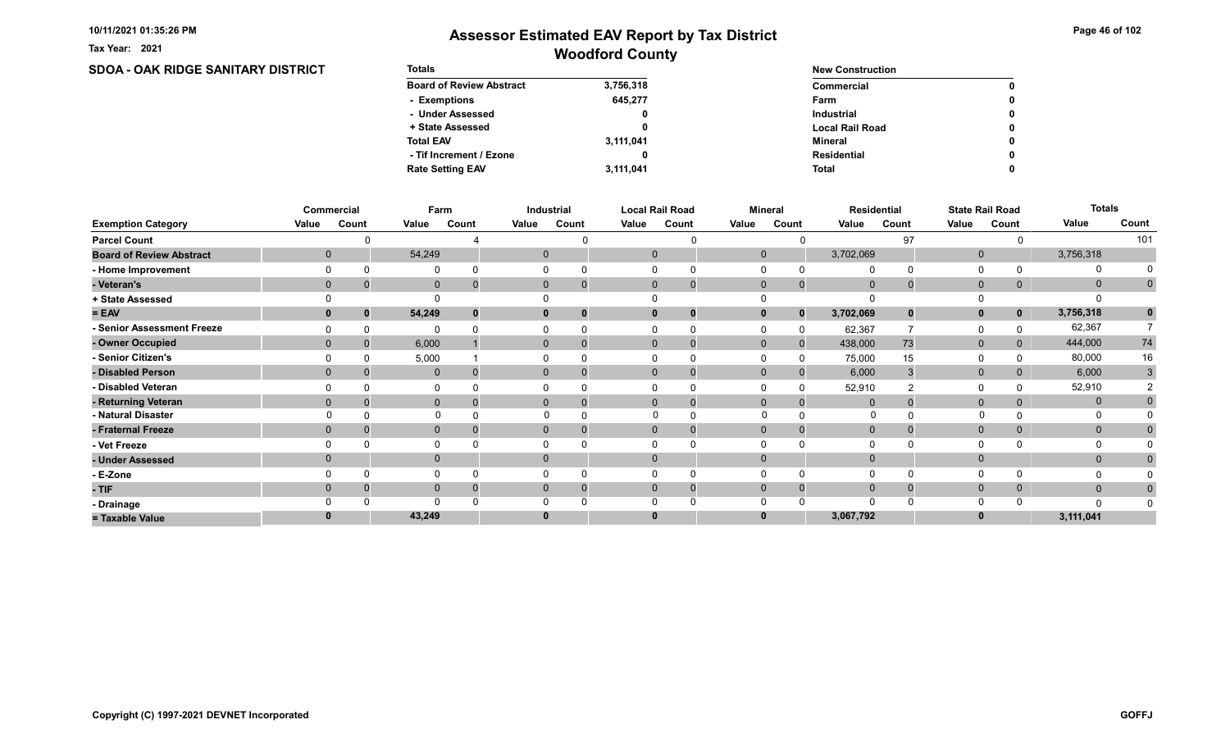Tax Year: 2021

# Woodford County Assessor Estimated EAV Report by Tax District

### SDOA - OAK RIDGE SANITARY DISTRICT

| <b>Totals</b>                   |           | <b>New Construction</b> |              |  |  |  |
|---------------------------------|-----------|-------------------------|--------------|--|--|--|
| <b>Board of Review Abstract</b> | 3,756,318 | Commercial              | $\mathbf{0}$ |  |  |  |
| - Exemptions                    | 645.277   | Farm                    | 0            |  |  |  |
| - Under Assessed                |           | <b>Industrial</b>       | $\mathbf{0}$ |  |  |  |
| + State Assessed                |           | <b>Local Rail Road</b>  | 0            |  |  |  |
| <b>Total EAV</b>                | 3,111,041 | Mineral                 | 0            |  |  |  |
| - Tif Increment / Ezone         |           | Residential             | 0            |  |  |  |
| <b>Rate Setting EAV</b>         | 3,111,041 | Total                   | 0            |  |  |  |

|                                 |                | Commercial   | Farm         |       |       | Industrial                  |             | <b>Local Rail Road</b> | <b>Mineral</b> |              |                | <b>Residential</b> |              | <b>State Rail Road</b> | <b>Totals</b> |              |
|---------------------------------|----------------|--------------|--------------|-------|-------|-----------------------------|-------------|------------------------|----------------|--------------|----------------|--------------------|--------------|------------------------|---------------|--------------|
| <b>Exemption Category</b>       | Value          | Count        | Value        | Count | Value | Count                       | Value       | Count                  | Value          | Count        | Value          | Count              | Value        | Count                  | Value         | Count        |
| <b>Parcel Count</b>             |                |              |              |       |       |                             |             |                        |                |              |                | 97                 |              |                        |               | 101          |
| <b>Board of Review Abstract</b> |                | $\mathbf 0$  | 54,249       |       |       | $\mathbf{0}$                | $\mathbf 0$ |                        | $\mathbf 0$    |              | 3,702,069      |                    | $\mathbf 0$  |                        | 3,756,318     |              |
| - Home Improvement              |                |              | $\Omega$     |       |       |                             |             |                        |                |              | $\Omega$       |                    | $\Omega$     |                        | 0             |              |
| - Veteran's                     |                | $\mathbf 0$  | $\mathbf 0$  |       |       | $\mathbf{0}$<br>$\mathbf 0$ |             | $\overline{0}$<br>0    | $\mathbf{0}$   | $\mathbf{0}$ | $\mathbf 0$    |                    | $\mathbf 0$  | 0                      | $\mathbf 0$   | $\mathbf 0$  |
| + State Assessed                |                |              |              |       |       |                             |             |                        |                |              |                |                    |              |                        |               |              |
| $= EAV$                         |                |              | 54,249       |       |       | $\mathbf{0}$<br>$\bf{0}$    |             | 0                      |                | $\bf{0}$     | 3,702,069      | $\bf{0}$           | $\mathbf{0}$ | $\mathbf 0$            | 3,756,318     | $\mathbf{0}$ |
| - Senior Assessment Freeze      |                |              | ∩            |       |       |                             |             |                        |                |              | 62,367         |                    | 0            |                        | 62,367        |              |
| - Owner Occupied                |                | $\mathbf{0}$ | 6,000        |       |       | $\mathbf{0}$<br>$\Omega$    |             | $\mathbf 0$            | $\mathbf{0}$   | $\mathbf{0}$ | 438,000        | 73                 | $\mathbf 0$  | 0                      | 444,000       | 74           |
| <b>Senior Citizen's</b>         |                |              | 5,000        |       |       |                             |             |                        |                |              | 75,000         | 15                 | 0            |                        | 80,000        | 16           |
| - Disabled Person               |                | $\Omega$     | $\mathbf 0$  |       |       | $\overline{0}$              |             | 0                      | $\Omega$       |              | 6,000          |                    | $\mathbf 0$  |                        | 6,000         | 3            |
| - Disabled Veteran              |                |              | 0            |       |       |                             |             |                        |                |              | 52,910         |                    | $\Omega$     |                        | 52,910        |              |
| - Returning Veteran             |                | $\mathbf{0}$ | $\mathbf 0$  |       |       | $\overline{0}$<br>$\Omega$  |             | $\mathbf 0$            | $\Omega$       |              | $\Omega$       |                    | $\mathbf 0$  |                        | $\mathbf 0$   |              |
| - Natural Disaster              |                |              | $\Omega$     |       |       |                             |             | $\Omega$               | $\Omega$       |              | 0              |                    |              |                        | 0             |              |
| - Fraternal Freeze              | $\overline{0}$ |              | $\mathbf 0$  |       |       | $\mathbf{0}$                |             | $\mathbf 0$            | $\mathbf{0}$   |              | $\overline{0}$ |                    | $\mathbf 0$  |                        | $\mathbf{0}$  |              |
| - Vet Freeze                    |                |              | $\Omega$     |       |       |                             |             |                        |                |              |                |                    | 0            |                        | 0             |              |
| - Under Assessed                |                | $\Omega$     | $\mathbf{0}$ |       |       | 0                           |             |                        |                |              | $\Omega$       |                    | $\mathbf{0}$ |                        | $\mathbf{0}$  |              |
| - E-Zone                        |                |              | $\Omega$     |       |       |                             |             |                        |                |              | $\Omega$       |                    | $\Omega$     |                        |               |              |
| - TIF                           | $\Omega$       |              | $\mathbf{0}$ |       |       | $\Omega$<br>0               |             | 0<br><b>U</b>          | $\Omega$       |              | $\Omega$       |                    | $\mathbf{0}$ | 0                      | $\mathbf{0}$  | $\bf{0}$     |
| - Drainage                      |                |              | $\Omega$     |       |       |                             |             |                        |                |              | $\Omega$       |                    | $\Omega$     |                        |               |              |
| = Taxable Value                 |                |              | 43,249       |       |       |                             |             |                        |                |              | 3,067,792      |                    | $\bf{0}$     |                        | 3,111,041     |              |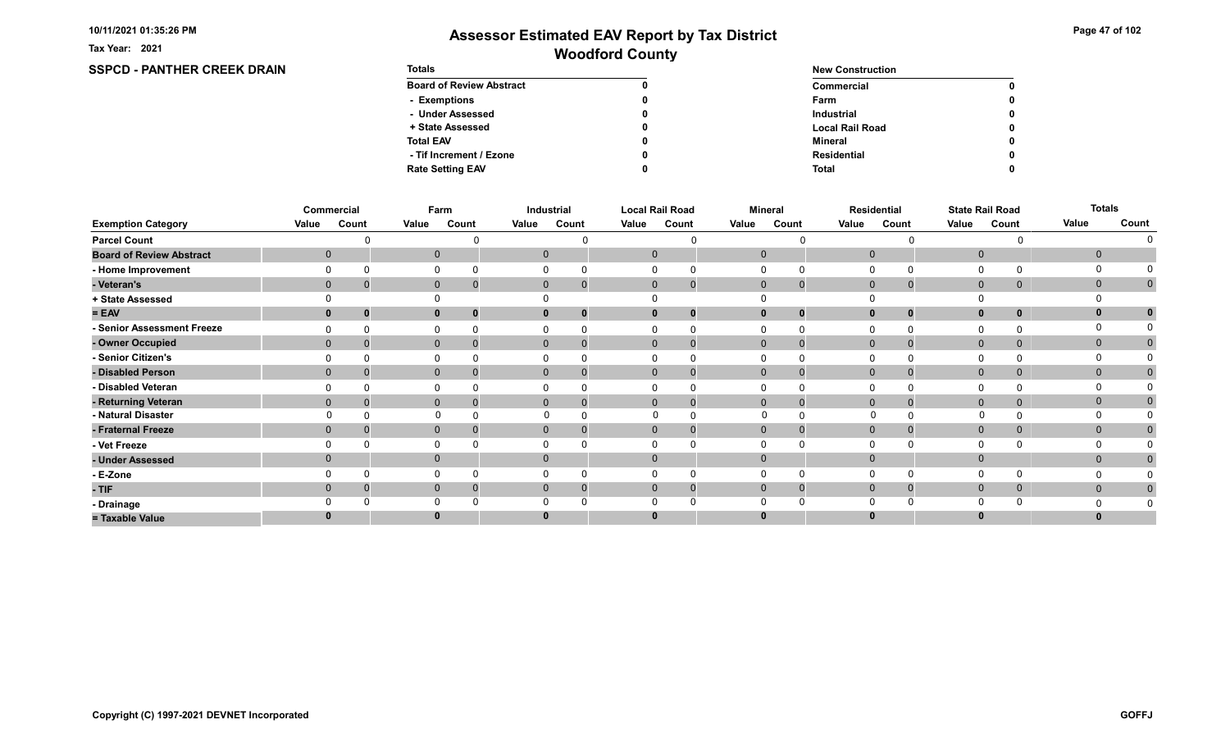**SSPCD - PANTHER CREEK DRAIN** 

Tax Year: 2021

| <b>Totals</b>                   |   | <b>New Construction</b> |   |  |  |  |
|---------------------------------|---|-------------------------|---|--|--|--|
| <b>Board of Review Abstract</b> |   | Commercial              | 0 |  |  |  |
| - Exemptions                    | 0 | Farm                    | 0 |  |  |  |
| - Under Assessed                |   | <b>Industrial</b>       | 0 |  |  |  |
| + State Assessed                | 0 | <b>Local Rail Road</b>  | 0 |  |  |  |
| <b>Total EAV</b>                |   | Mineral                 | 0 |  |  |  |
| - Tif Increment / Ezone         |   | Residential             | 0 |  |  |  |
| <b>Rate Setting EAV</b>         |   | <b>Total</b>            | 0 |  |  |  |

|                                 |       | Commercial       |              | Farm     |       | Industrial     |       | <b>Local Rail Road</b>         |              | <b>Mineral</b> |                | Residential  |                | <b>State Rail Road</b> | <b>Totals</b> |              |
|---------------------------------|-------|------------------|--------------|----------|-------|----------------|-------|--------------------------------|--------------|----------------|----------------|--------------|----------------|------------------------|---------------|--------------|
| <b>Exemption Category</b>       | Value | Count            | Value        | Count    | Value | Count          | Value | Count                          | Value        | Count          | Value          | Count        | Value          | Count                  | Value         | Count        |
| <b>Parcel Count</b>             |       |                  |              |          |       |                |       |                                |              |                |                |              |                |                        |               |              |
| <b>Board of Review Abstract</b> |       | $\mathbf 0$      | $\mathbf 0$  |          |       | $\mathbf{0}$   |       | $\mathbf 0$                    | $\mathbf 0$  |                | $\mathbf 0$    |              | $\mathbf{0}$   |                        | $\mathbf 0$   |              |
| - Home Improvement              |       |                  | $\mathbf{0}$ |          |       |                |       | $\Omega$                       |              |                |                |              | 0              |                        | $\Omega$      |              |
| - Veteran's                     |       | $\mathbf 0$<br>0 | $\mathbf{0}$ | 0        |       | $\mathbf{0}$   |       | $\mathbf{0}$<br>-0             | $\mathbf 0$  | $\mathbf{0}$   | $\mathbf 0$    | $\mathbf 0$  | $\mathbf{0}$   | $\mathbf{0}$           | $\mathbf 0$   | $\mathbf 0$  |
| + State Assessed                |       |                  |              |          |       |                |       |                                |              |                |                |              |                |                        |               |              |
| $= EAV$                         |       | $\Omega$<br>0    | $\mathbf{0}$ | 0        |       |                |       | $\mathbf{0}$<br>0              | $\bf{0}$     | $\bf{0}$       | $\Omega$       | $\Omega$     | $\mathbf{0}$   | 0                      | $\mathbf{0}$  |              |
| - Senior Assessment Freeze      |       |                  | O            |          |       |                |       |                                |              |                |                |              | 0              |                        | $\Omega$      |              |
| - Owner Occupied                |       | $\Omega$<br>O    | $\mathbf{0}$ |          |       | $\mathbf{0}$   |       | $\mathbf{0}$<br>O              | $\mathbf{0}$ | $\Omega$       | $\overline{0}$ |              | $\mathbf{0}$   | $\mathbf{0}$           | $\mathbf{0}$  | $\mathbf{0}$ |
| - Senior Citizen's              |       |                  | 0            |          |       |                |       |                                |              |                |                |              | 0              |                        | O             |              |
| - Disabled Person               |       | $\mathbf{0}$     | $\mathbf{0}$ |          |       | $\overline{0}$ |       | $\mathbf{0}$<br>0              | $\mathbf{0}$ | $\Omega$       | $\mathbf{0}$   |              | $\overline{0}$ | $\overline{0}$         | $\mathbf{0}$  | $\mathbf{0}$ |
| - Disabled Veteran              |       |                  | 0            |          |       |                |       | 0<br>0                         |              |                | 0              |              | 0              |                        | ∩             |              |
| - Returning Veteran             |       | $\Omega$         | $\mathbf{0}$ | $\Omega$ |       | $\overline{0}$ |       | $\mathbf{0}$<br>$\overline{0}$ | $\mathbf{0}$ | $\mathbf{0}$   | $\mathbf 0$    |              | $\mathbf{0}$   | $\overline{0}$         | $\mathbf{0}$  | $\mathbf 0$  |
| - Natural Disaster              |       |                  | $\Omega$     |          |       |                |       |                                | $\Omega$     |                |                | <sup>0</sup> | $\mathbf{0}$   |                        | O             |              |
| - Fraternal Freeze              |       | $\mathbf{0}$     | $\mathbf 0$  |          |       | $\mathbf{0}$   |       | $\mathbf 0$                    | $\mathbf 0$  | $\Omega$       | $\mathbf 0$    |              | $\mathbf 0$    | $\mathbf{0}$           | $\mathbf 0$   | $\Omega$     |
| - Vet Freeze                    |       |                  | $\Omega$     |          |       |                |       | $\Omega$                       |              |                |                |              | 0              |                        | 0             |              |
| - Under Assessed                |       | $\mathbf 0$      | $\mathbf{0}$ |          |       | $\mathbf{0}$   |       | $\mathbf{0}$                   | $\Omega$     |                |                |              | $\mathbf 0$    |                        | $\mathbf{0}$  |              |
| - E-Zone                        |       |                  | $\Omega$     |          |       |                |       |                                |              |                |                | $\Omega$     | 0              |                        |               |              |
| - TIF                           |       | 0                | $\mathbf{0}$ |          |       | 0              |       | $\mathbf{0}$                   | $\mathbf 0$  | $\Omega$       | $\mathbf 0$    |              | $\mathbf{0}$   | $\mathbf{0}$           | $\mathbf{0}$  | $\mathbf 0$  |
| - Drainage                      |       |                  | $\Omega$     |          |       |                |       |                                |              |                |                |              | $\Omega$       |                        |               |              |
| = Taxable Value                 |       |                  |              |          |       |                |       | $\bf{0}$                       |              |                |                |              |                |                        | $\bf{0}$      |              |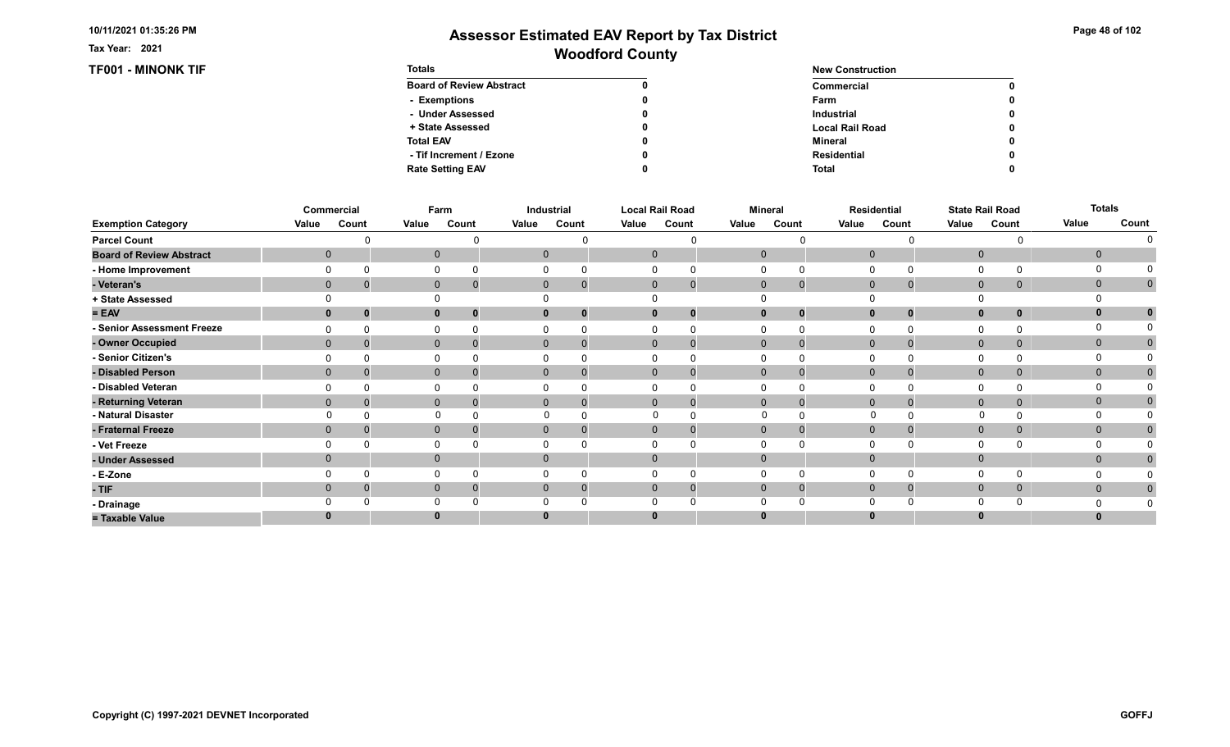Tax Year: 2021

### TF001 - MINONK TIF

| Page 48 of 102 |  |  |  |  |
|----------------|--|--|--|--|
|----------------|--|--|--|--|

| <b>Totals</b>                   |   | <b>New Construction</b> |   |  |  |  |
|---------------------------------|---|-------------------------|---|--|--|--|
| <b>Board of Review Abstract</b> |   | Commercial              | 0 |  |  |  |
| - Exemptions                    | 0 | Farm                    | 0 |  |  |  |
| - Under Assessed                |   | <b>Industrial</b>       | 0 |  |  |  |
| + State Assessed                | 0 | <b>Local Rail Road</b>  | 0 |  |  |  |
| <b>Total EAV</b>                |   | Mineral                 | 0 |  |  |  |
| - Tif Increment / Ezone         |   | <b>Residential</b>      | 0 |  |  |  |
| <b>Rate Setting EAV</b>         |   | <b>Total</b>            | 0 |  |  |  |

|                                 |       | Commercial   |              | Farm  |       | Industrial                    |       | <b>Local Rail Road</b>     |              | <b>Mineral</b> |       | <b>Residential</b> |              | <b>State Rail Road</b> | <b>Totals</b> |              |
|---------------------------------|-------|--------------|--------------|-------|-------|-------------------------------|-------|----------------------------|--------------|----------------|-------|--------------------|--------------|------------------------|---------------|--------------|
| <b>Exemption Category</b>       | Value | Count        | Value        | Count | Value | Count                         | Value | Count                      | Value        | Count          | Value | Count              | Value        | Count                  | Value         | Count        |
| <b>Parcel Count</b>             |       |              |              |       |       |                               |       |                            |              |                |       |                    |              |                        |               |              |
| <b>Board of Review Abstract</b> |       | $\mathbf 0$  | $\mathbf 0$  |       |       | $\mathbf{0}$                  |       | $\mathbf 0$                | $\mathbf 0$  |                |       | $\overline{0}$     | $\mathbf 0$  |                        | $\mathbf 0$   |              |
| - Home Improvement              |       |              | 0            |       |       | $\Omega$                      |       | 0                          | O            |                |       | $\Omega$           | 0            |                        | $\Omega$      |              |
| - Veteran's                     |       | $\mathbf 0$  | $\mathbf 0$  |       |       | $\mathbf{0}$<br>$\mathbf 0$   |       | $\mathbf 0$<br>$\mathbf 0$ | $\mathbf 0$  | $\mathbf 0$    |       | $\mathbf 0$        | $\mathbf 0$  | 0                      | $\mathbf 0$   | $\mathbf{0}$ |
| + State Assessed                |       |              |              |       |       |                               |       |                            |              |                |       |                    |              |                        |               |              |
| $= EAV$                         |       |              | $\mathbf{0}$ |       |       | 0<br>$\bf{0}$                 |       | 0                          |              | $\bf{0}$       |       | $\bf{0}$           | $\mathbf{0}$ | 0                      | $\mathbf{0}$  |              |
| - Senior Assessment Freeze      |       |              | 0            |       |       | $\Omega$                      |       | $\Omega$                   |              | O              |       | $\Omega$           | 0            |                        | $\Omega$      |              |
| - Owner Occupied                |       | $\mathbf{0}$ | $\mathbf 0$  |       |       | $\overline{0}$<br>$\mathbf 0$ |       | $\Omega$<br>$\mathbf 0$    | $\mathbf{0}$ | 0              |       | $\mathbf{0}$       | $\mathbf 0$  | 0                      | $\mathbf{0}$  | $\mathbf{0}$ |
| - Senior Citizen's              |       |              | 0            |       |       |                               |       |                            |              |                |       |                    | 0            |                        |               |              |
| - Disabled Person               |       | $\mathbf 0$  | $\mathbf 0$  |       |       | $\mathbf{0}$<br>$\Omega$      |       | $\mathbf 0$<br>$\Omega$    | $\mathbf{0}$ | $\Omega$       |       | $\mathbf{0}$       | $\mathbf 0$  | 0                      | $\mathbf{0}$  | $\mathbf{0}$ |
| - Disabled Veteran              |       |              | $\Omega$     |       |       |                               |       |                            |              |                |       | $\Omega$           | $\Omega$     |                        | O             |              |
| - Returning Veteran             |       | $\mathbf{0}$ | $\mathbf 0$  |       |       | $\mathbf{0}$<br>$\Omega$      |       | $\Omega$<br>$\mathbf 0$    | $\mathbf{0}$ | $\Omega$       |       | $\mathbf{0}$       | $\mathbf 0$  | 0                      | $\mathbf{0}$  | 0            |
| - Natural Disaster              |       |              | $\Omega$     |       |       | $\Omega$                      |       | $\Omega$<br>$\Omega$       | $\Omega$     |                |       | 0                  |              |                        | $\Omega$      |              |
| - Fraternal Freeze              |       | $\mathbf 0$  | $\mathbf 0$  |       |       | $\mathbf{0}$<br>0             |       | $\mathbf 0$<br>$\mathbf 0$ | $\mathbf{0}$ | 0              |       | $\mathbf 0$        | $\mathbf 0$  | 0                      | $\mathbf{0}$  | $\mathbf{0}$ |
| - Vet Freeze                    |       |              | $\Omega$     |       |       |                               |       |                            |              |                |       | $\Omega$           | $\Omega$     |                        | 0             |              |
| - Under Assessed                |       | $\mathbf 0$  | $\mathbf 0$  |       |       | $\overline{0}$                |       |                            | $\Omega$     |                |       | $\Omega$           | $\mathbf 0$  |                        | $\mathbf{0}$  |              |
| - E-Zone                        |       |              | $\Omega$     |       |       | $\Omega$                      |       |                            |              |                |       | $\Omega$           | $\Omega$     |                        |               |              |
| $-TIF$                          |       | $\Omega$     | $\mathbf 0$  |       |       | $\mathbf 0$<br>$\Omega$       |       | 0                          | $\Omega$     | $\Omega$       |       | $\Omega$           | $\mathbf 0$  | 0                      | $\mathbf{0}$  | $\mathbf{0}$ |
| - Drainage                      |       |              | $\Omega$     |       |       |                               |       |                            |              |                |       | $\Omega$           | $\Omega$     |                        |               |              |
| = Taxable Value                 |       |              | $\bf{0}$     |       |       |                               |       |                            |              |                |       |                    | $\bf{0}$     |                        | $\bf{0}$      |              |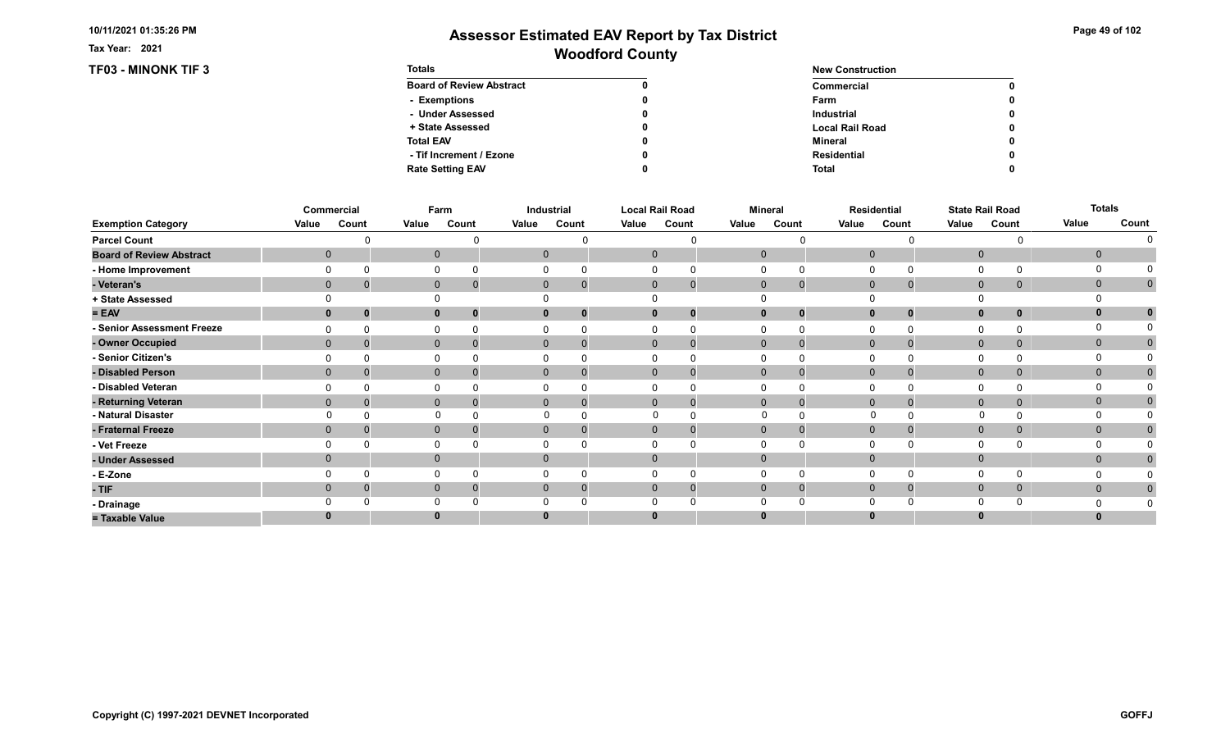Tax Year: 2021

### TF03 - MINONK TIF 3

| Page 49 of 102 |  |  |  |  |
|----------------|--|--|--|--|
|----------------|--|--|--|--|

| <b>Totals</b>                   |   | <b>New Construction</b> |   |  |  |  |
|---------------------------------|---|-------------------------|---|--|--|--|
| <b>Board of Review Abstract</b> |   | Commercial              | 0 |  |  |  |
| - Exemptions                    | 0 | Farm                    | 0 |  |  |  |
| - Under Assessed                |   | <b>Industrial</b>       | 0 |  |  |  |
| + State Assessed                | 0 | <b>Local Rail Road</b>  | 0 |  |  |  |
| <b>Total EAV</b>                |   | Mineral                 | 0 |  |  |  |
| - Tif Increment / Ezone         |   | <b>Residential</b>      | 0 |  |  |  |
| <b>Rate Setting EAV</b>         |   | <b>Total</b>            | 0 |  |  |  |

|                                 |       | Commercial   |              | Farm  |       | Industrial                    |       | <b>Local Rail Road</b>     |              | <b>Mineral</b> |       | <b>Residential</b> |              | <b>State Rail Road</b> | <b>Totals</b> |              |
|---------------------------------|-------|--------------|--------------|-------|-------|-------------------------------|-------|----------------------------|--------------|----------------|-------|--------------------|--------------|------------------------|---------------|--------------|
| <b>Exemption Category</b>       | Value | Count        | Value        | Count | Value | Count                         | Value | Count                      | Value        | Count          | Value | Count              | Value        | Count                  | Value         | Count        |
| <b>Parcel Count</b>             |       |              |              |       |       |                               |       |                            |              |                |       |                    |              |                        |               |              |
| <b>Board of Review Abstract</b> |       | $\mathbf 0$  | $\mathbf 0$  |       |       | $\mathbf{0}$                  |       | $\mathbf 0$                | $\mathbf 0$  |                |       | $\overline{0}$     | $\mathbf 0$  |                        | $\mathbf 0$   |              |
| - Home Improvement              |       |              | 0            |       |       | $\Omega$                      |       | 0                          | O            |                |       | $\Omega$           | 0            |                        | $\Omega$      |              |
| - Veteran's                     |       | $\mathbf 0$  | $\mathbf 0$  |       |       | $\mathbf{0}$<br>$\mathbf 0$   |       | $\mathbf 0$<br>$\mathbf 0$ | $\mathbf 0$  | $\mathbf 0$    |       | $\mathbf 0$        | $\mathbf 0$  | 0                      | $\mathbf 0$   | $\mathbf{0}$ |
| + State Assessed                |       |              |              |       |       |                               |       |                            |              |                |       |                    |              |                        |               |              |
| $= EAV$                         |       |              | $\mathbf{0}$ |       |       | 0<br>$\bf{0}$                 |       | 0                          |              | $\bf{0}$       |       | $\bf{0}$           | $\mathbf{0}$ | 0                      | $\mathbf{0}$  |              |
| - Senior Assessment Freeze      |       |              | 0            |       |       | $\Omega$                      |       | $\Omega$                   |              | O              |       | $\Omega$           | 0            |                        | $\Omega$      |              |
| - Owner Occupied                |       | $\mathbf{0}$ | $\mathbf 0$  |       |       | $\overline{0}$<br>$\mathbf 0$ |       | $\Omega$<br>$\mathbf 0$    | $\mathbf{0}$ | 0              |       | $\mathbf{0}$       | $\mathbf 0$  | 0                      | $\mathbf{0}$  | $\mathbf{0}$ |
| - Senior Citizen's              |       |              | 0            |       |       |                               |       |                            |              |                |       |                    | 0            |                        |               |              |
| - Disabled Person               |       | $\mathbf 0$  | $\mathbf 0$  |       |       | $\mathbf{0}$<br>$\Omega$      |       | $\mathbf 0$<br>$\Omega$    | $\mathbf{0}$ | $\Omega$       |       | $\mathbf{0}$       | $\mathbf 0$  | 0                      | $\mathbf{0}$  | $\mathbf{0}$ |
| - Disabled Veteran              |       |              | $\Omega$     |       |       |                               |       |                            |              |                |       | $\Omega$           | $\Omega$     |                        | O             |              |
| - Returning Veteran             |       | $\mathbf{0}$ | $\mathbf 0$  |       |       | $\mathbf{0}$<br>$\Omega$      |       | $\Omega$<br>$\mathbf 0$    | $\mathbf{0}$ | $\Omega$       |       | $\mathbf{0}$       | $\mathbf 0$  | 0                      | $\mathbf{0}$  | 0            |
| - Natural Disaster              |       |              | $\Omega$     |       |       | $\Omega$                      |       | $\Omega$<br>$\Omega$       | $\Omega$     |                |       | 0                  |              |                        | $\Omega$      |              |
| - Fraternal Freeze              |       | $\mathbf 0$  | $\mathbf 0$  |       |       | $\mathbf{0}$<br>0             |       | $\mathbf 0$<br>$\mathbf 0$ | $\mathbf{0}$ | 0              |       | $\mathbf 0$        | $\mathbf 0$  | 0                      | $\mathbf{0}$  | $\mathbf{0}$ |
| - Vet Freeze                    |       |              | $\Omega$     |       |       |                               |       |                            |              |                |       | $\Omega$           | $\Omega$     |                        | 0             |              |
| - Under Assessed                |       | $\mathbf 0$  | $\mathbf 0$  |       |       | $\overline{0}$                |       |                            | $\Omega$     |                |       | $\Omega$           | $\mathbf 0$  |                        | $\mathbf{0}$  |              |
| - E-Zone                        |       |              | $\Omega$     |       |       | $\Omega$                      |       |                            |              |                |       | $\Omega$           | $\Omega$     |                        |               |              |
| $-TIF$                          |       | $\Omega$     | $\mathbf 0$  |       |       | $\mathbf 0$<br>$\Omega$       |       | 0                          | $\Omega$     | $\Omega$       |       | $\Omega$           | $\mathbf 0$  | 0                      | $\mathbf{0}$  | $\mathbf{0}$ |
| - Drainage                      |       |              | $\Omega$     |       |       |                               |       |                            |              |                |       | $\Omega$           | $\Omega$     |                        |               |              |
| = Taxable Value                 |       |              | $\bf{0}$     |       |       |                               |       |                            |              |                |       |                    | $\bf{0}$     |                        | $\bf{0}$      |              |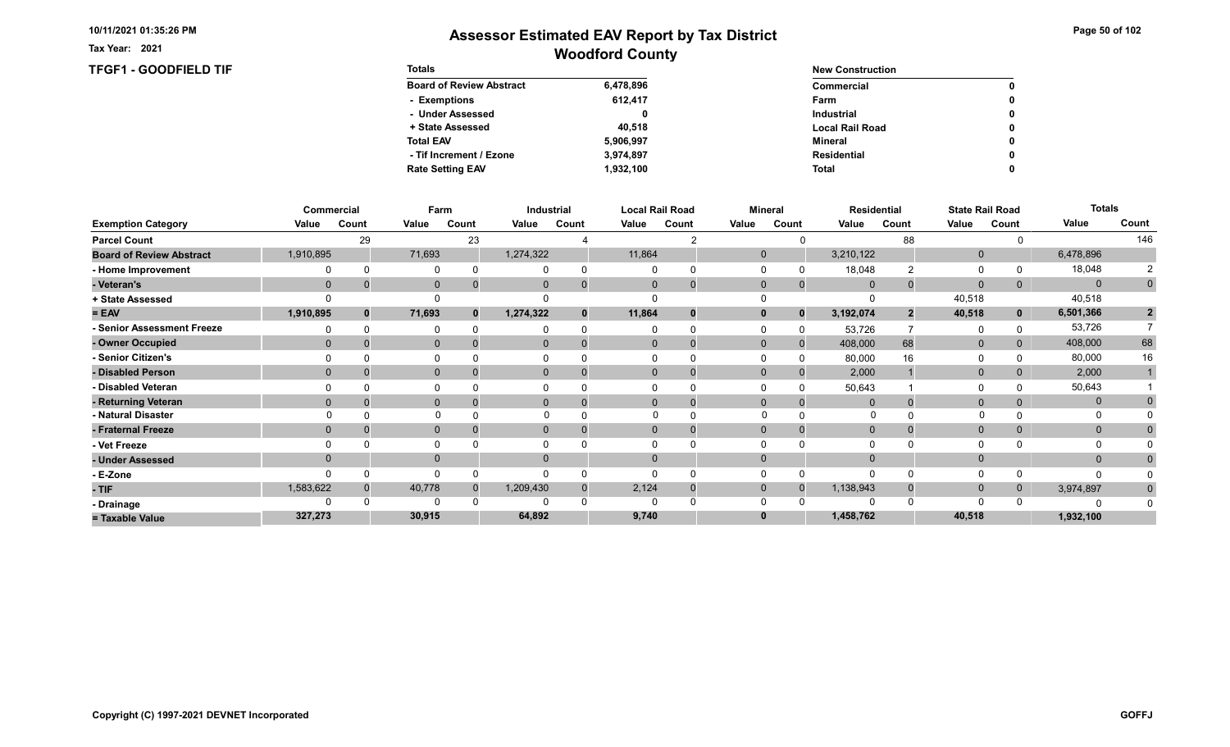Tax Year: 2021

### TFGF1 - GOODFIELD TIF Totals

# Woodford County Assessor Estimated EAV Report by Tax District

0 0

> 0 0

> $\pmb{0}$  $\pmb{0}$

> $\pmb{0}$

| <b>Totals</b>                   |           | <b>New Construction</b> |  |  |  |  |
|---------------------------------|-----------|-------------------------|--|--|--|--|
| <b>Board of Review Abstract</b> | 6,478,896 | Commercial              |  |  |  |  |
| - Exemptions                    | 612.417   | Farm                    |  |  |  |  |
| - Under Assessed                | 0         | <b>Industrial</b>       |  |  |  |  |
| + State Assessed                | 40.518    | <b>Local Rail Road</b>  |  |  |  |  |
| <b>Total EAV</b>                | 5,906,997 | Mineral                 |  |  |  |  |
| - Tif Increment / Ezone         | 3,974,897 | Residential             |  |  |  |  |
| <b>Rate Setting EAV</b>         | 1,932,100 | Total                   |  |  |  |  |

|                                 |           | Commercial | Farm         |              |              | Industrial |              | <b>Local Rail Road</b> | <b>Mineral</b> |              |             | <b>Residential</b> |              | <b>State Rail Road</b> | <b>Totals</b> |                |
|---------------------------------|-----------|------------|--------------|--------------|--------------|------------|--------------|------------------------|----------------|--------------|-------------|--------------------|--------------|------------------------|---------------|----------------|
| <b>Exemption Category</b>       | Value     | Count      | Value        | Count        | Value        | Count      | Value        | Count                  | Value          | Count        | Value       | Count              | Value        | Count                  | Value         | Count          |
| <b>Parcel Count</b>             |           | 29         |              | 23           |              |            |              |                        |                |              |             | 88                 |              |                        |               | 146            |
| <b>Board of Review Abstract</b> | 1,910,895 |            | 71,693       |              | 1,274,322    |            | 11,864       |                        | $\mathbf 0$    |              | 3,210,122   |                    | $\mathbf 0$  |                        | 6,478,896     |                |
| - Home Improvement              |           |            | $\Omega$     |              |              |            | $\Omega$     |                        |                |              | 18,048      |                    | 0            |                        | 18,048        |                |
| - Veteran's                     | $\Omega$  |            | $\mathbf{0}$ |              | $\mathbf{0}$ |            | $\mathbf{0}$ | $\overline{0}$         | $\mathbf 0$    | $\mathbf{0}$ | $\Omega$    |                    | $\mathbf{0}$ | 0                      | $\Omega$      | $\mathbf 0$    |
| + State Assessed                |           |            |              |              |              |            |              |                        |                |              |             |                    | 40,518       |                        | 40,518        |                |
| $= EAV$                         | 1,910,895 | $\bf{0}$   | 71,693       | $\mathbf{0}$ | 1,274,322    |            | 11,864       | 0                      |                | $\Omega$     | 3,192,074   |                    | 40,518       | $\mathbf{0}$           | 6,501,366     | $\overline{2}$ |
| - Senior Assessment Freeze      |           |            | $\Omega$     |              |              |            |              |                        |                |              | 53,726      |                    | 0            |                        | 53,726        |                |
| - Owner Occupied                | $\Omega$  |            | $\mathbf{0}$ |              | $\Omega$     |            | $\Omega$     | $\Omega$               | $\Omega$       | $\Omega$     | 408,000     | 68                 | $\mathbf{0}$ | $\Omega$               | 408,000       | 68             |
| - Senior Citizen's              |           |            |              |              |              |            |              |                        |                |              | 80,000      | 16                 | $\Omega$     |                        | 80,000        | 16             |
| - Disabled Person               | $\Omega$  |            | $\mathbf{0}$ |              | 0            |            | $\Omega$     |                        | $\Omega$       |              | 2,000       |                    | $\mathbf{0}$ | 0                      | 2,000         |                |
| - Disabled Veteran              |           |            |              |              |              |            |              |                        |                |              | 50,643      |                    | $\Omega$     |                        | 50,643        |                |
| - Returning Veteran             | $\Omega$  |            | $\mathbf{0}$ |              | $\Omega$     |            | $\Omega$     |                        | $\Omega$       |              |             |                    | $\mathbf{0}$ | 0                      | $\mathbf{0}$  |                |
| - Natural Disaster              |           |            | $\Omega$     |              |              |            |              |                        | $\Omega$       |              | 0           |                    | $\mathbf{0}$ |                        | 0             |                |
| - Fraternal Freeze              | $\Omega$  |            | $\mathbf{0}$ |              | $\mathbf{0}$ |            | $\Omega$     |                        | $\Omega$       |              | $\mathbf 0$ |                    | $\mathbf{0}$ | $\overline{0}$         | $\mathbf{0}$  |                |
| - Vet Freeze                    |           |            | $\Omega$     |              |              |            |              |                        |                |              |             |                    | $\Omega$     |                        |               |                |
| - Under Assessed                | $\Omega$  |            | $\mathbf{0}$ |              |              |            | $\Omega$     |                        |                |              |             |                    | $\Omega$     |                        | $\Omega$      |                |
| - E-Zone                        |           |            | ∩            |              |              |            | $\Omega$     |                        |                |              |             |                    | $\Omega$     |                        | $\Omega$      |                |
| $-TIF$                          | 1,583,622 |            | 40,778       |              | 1,209,430    |            | 2,124        |                        | $\mathbf 0$    |              | 1,138,943   |                    | $\mathbf 0$  | 0                      | 3,974,897     | $\bf{0}$       |
| - Drainage                      |           |            |              |              |              |            | O            |                        |                |              |             |                    | $\Omega$     |                        |               |                |
| = Taxable Value                 | 327,273   |            | 30,915       |              | 64,892       |            | 9,740        |                        |                |              | 1,458,762   |                    | 40,518       |                        | 1,932,100     |                |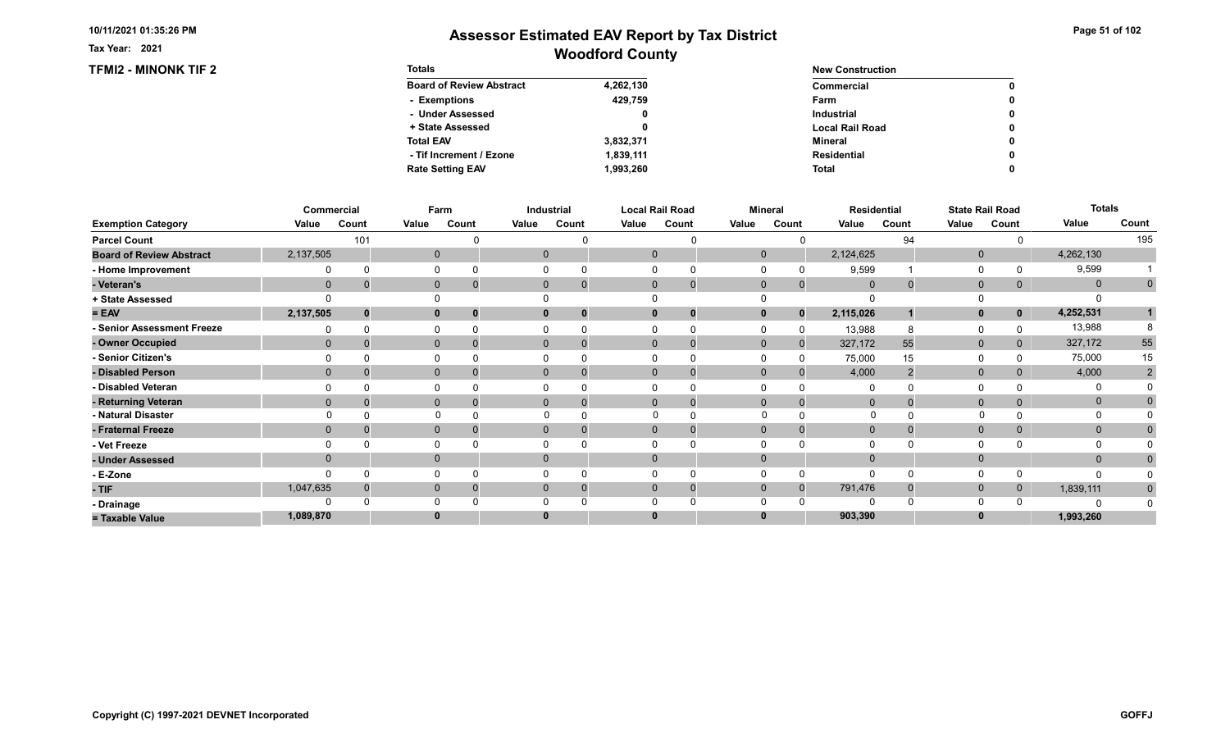Tax Year: 2021

### TFMI2 - MINONK TIF 2

# Woodford County Assessor Estimated EAV Report by Tax District

| Page 51 of 102 |  |  |  |  |
|----------------|--|--|--|--|
|----------------|--|--|--|--|

0 0

> 0 0

> $\pmb{0}$  $\pmb{0}$

> $\pmb{0}$

| <b>Totals</b>                   |           | <b>New Construction</b> |
|---------------------------------|-----------|-------------------------|
| <b>Board of Review Abstract</b> | 4,262,130 | Commercial              |
| - Exemptions                    | 429,759   | Farm                    |
| - Under Assessed                | 0         | <b>Industrial</b>       |
| + State Assessed                | 0         | <b>Local Rail Road</b>  |
| <b>Total EAV</b>                | 3,832,371 | Mineral                 |
| - Tif Increment / Ezone         | 1,839,111 | Residential             |
| <b>Rate Setting EAV</b>         | 1,993,260 | <b>Total</b>            |

|                                 |              | Commercial |              | Farm  |       | <b>Industrial</b>          |       | <b>Local Rail Road</b>      |              | <b>Mineral</b> |                | Residential |              | <b>State Rail Road</b> | <b>Totals</b> |                |
|---------------------------------|--------------|------------|--------------|-------|-------|----------------------------|-------|-----------------------------|--------------|----------------|----------------|-------------|--------------|------------------------|---------------|----------------|
| <b>Exemption Category</b>       | Value        | Count      | Value        | Count | Value | Count                      | Value | Count                       | Value        | Count          | Value          | Count       | Value        | Count                  | Value         | Count          |
| <b>Parcel Count</b>             |              | 101        |              |       |       |                            |       |                             |              |                |                | 94          |              |                        |               | 195            |
| <b>Board of Review Abstract</b> | 2,137,505    |            | $\mathbf 0$  |       |       |                            |       | $\mathbf 0$                 | $\mathbf{0}$ |                | 2,124,625      |             | $\mathbf 0$  |                        | 4,262,130     |                |
| - Home Improvement              |              | $\Omega$   | 0            |       |       |                            |       |                             | $\Omega$     |                | 9,599          |             | 0            |                        | 9,599         |                |
| - Veteran's                     | $\mathbf 0$  |            | $\mathbf 0$  |       |       | $\mathbf 0$<br>$\mathbf 0$ |       | $\mathbf{0}$<br>$\mathbf 0$ | $\mathbf 0$  | 0              | $\overline{0}$ |             | $\mathbf{0}$ | $\mathbf{0}$           | $\mathbf{0}$  | $\mathbf 0$    |
| + State Assessed                |              |            |              |       |       |                            |       |                             |              |                |                |             |              |                        |               |                |
| $= EAV$                         | 2,137,505    | $\bf{0}$   | $\mathbf{0}$ |       |       | $\mathbf{0}$               |       | 0                           | $\bf{0}$     |                | 2,115,026      |             | $\mathbf{0}$ | $\mathbf{0}$           | 4,252,531     |                |
| - Senior Assessment Freeze      |              | $\Omega$   | 0            |       |       |                            |       |                             | $\Omega$     |                | 13,988         |             | 0            |                        | 13,988        |                |
| - Owner Occupied                | $\mathbf{0}$ |            | $\mathbf{0}$ |       |       | $\mathbf{0}$<br>$\Omega$   |       | $\Omega$<br>$\overline{0}$  | $\mathbf{0}$ | $\Omega$       | 327,172        | 55          | $\mathbf{0}$ | $\overline{0}$         | 327,172       | 55             |
| <b>Senior Citizen's</b>         |              |            |              |       |       |                            |       |                             |              |                | 75,000         | 15          | 0            |                        | 75,000        | 15             |
| - Disabled Person               | $\mathbf{0}$ |            | $\mathbf{0}$ |       |       |                            |       | 0<br>0                      | $\mathbf{0}$ |                | 4,000          |             | $\mathbf{0}$ |                        | 4,000         | $\overline{2}$ |
| - Disabled Veteran              |              |            |              |       |       |                            |       |                             | $\Omega$     |                | 0              |             | 0            |                        |               |                |
| - Returning Veteran             | $\Omega$     |            | $\Omega$     |       |       | $\Omega$                   |       | $\Omega$                    | $\Omega$     |                | $\Omega$       |             | $\mathbf 0$  |                        | $\mathbf 0$   |                |
| - Natural Disaster              |              |            |              | 0     |       |                            |       |                             |              |                |                |             | $\Omega$     |                        | 0             |                |
| - Fraternal Freeze              | $\mathbf{0}$ |            | $\mathbf{0}$ |       |       | $\mathbf 0$                |       | $\Omega$                    | $\mathbf{0}$ |                | $\overline{0}$ |             | $\mathbf{0}$ |                        | $\mathbf{0}$  | $\mathbf{0}$   |
| - Vet Freeze                    |              |            | 0            |       |       |                            |       |                             | $\Omega$     |                | 0              |             | $\Omega$     |                        |               |                |
| - Under Assessed                | $\mathbf{0}$ |            | $\mathbf{0}$ |       |       |                            |       |                             | $\Omega$     |                | $\Omega$       |             | $\mathbf{0}$ |                        | $\mathbf{0}$  |                |
| - E-Zone                        |              | $\Omega$   | 0            |       |       |                            |       |                             | $\Omega$     |                | $\Omega$       |             | $\Omega$     |                        | ∩             |                |
| $-TIF$                          | 1,047,635    |            | $\mathbf 0$  |       |       | $\Omega$<br>$\Omega$       |       | $\Omega$<br>0               | $\mathbf{0}$ |                | 791,476        |             | $\mathbf 0$  | $\mathbf{0}$           | 1,839,111     | $\bf{0}$       |
| - Drainage                      |              |            | 0            |       |       |                            |       |                             | $\Omega$     |                |                |             | $\Omega$     |                        |               |                |
| = Taxable Value                 | 1,089,870    |            | 0            |       |       |                            |       |                             |              |                | 903,390        |             | $\bf{0}$     |                        | 1,993,260     |                |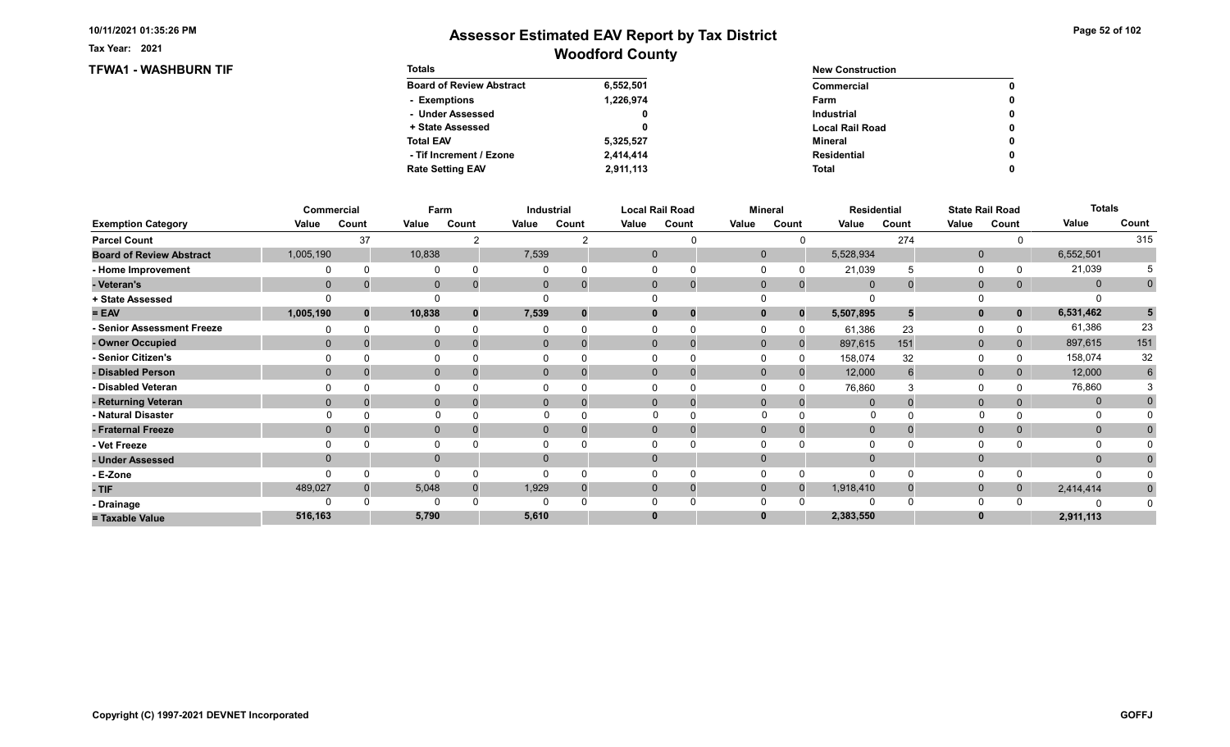Tax Year: 2021

### TFWA1 - WASHBURN TIF Totals

# Woodford County Assessor Estimated EAV Report by Tax District

0 0

> 0 0

> $\pmb{0}$  $\pmb{0}$

> $\pmb{0}$

| <b>Totals</b>                   |           | <b>New Construction</b> |
|---------------------------------|-----------|-------------------------|
| <b>Board of Review Abstract</b> | 6,552,501 | Commercial              |
| - Exemptions                    | 1,226,974 | Farm                    |
| - Under Assessed                | 0         | <b>Industrial</b>       |
| + State Assessed                | 0         | <b>Local Rail Road</b>  |
| <b>Total EAV</b>                | 5,325,527 | Mineral                 |
| - Tif Increment / Ezone         | 2.414.414 | Residential             |
| <b>Rate Setting EAV</b>         | 2,911,113 | <b>Total</b>            |

|                                 |                | Commercial | Farm           |       |                | Industrial  |       | <b>Local Rail Road</b> | <b>Mineral</b> |              | <b>Residential</b> |       |              | <b>State Rail Road</b> | <b>Totals</b> |             |
|---------------------------------|----------------|------------|----------------|-------|----------------|-------------|-------|------------------------|----------------|--------------|--------------------|-------|--------------|------------------------|---------------|-------------|
| <b>Exemption Category</b>       | Value          | Count      | Value          | Count | Value          | Count       | Value | Count                  | Value          | Count        | Value              | Count | Value        | Count                  | Value         | Count       |
| <b>Parcel Count</b>             |                | 37         |                |       |                |             |       |                        |                |              |                    | 274   |              |                        |               | 315         |
| <b>Board of Review Abstract</b> | 1,005,190      |            | 10,838         |       | 7,539          |             |       | $\mathbf 0$            | $\mathbf 0$    |              | 5,528,934          |       | $\mathbf 0$  |                        | 6,552,501     |             |
| - Home Improvement              |                |            | $\Omega$       |       |                | $\Omega$    |       |                        |                |              | 21,039             |       | $\Omega$     |                        | 21,039        |             |
| - Veteran's                     | $\mathbf 0$    |            | $\overline{0}$ |       | $\mathbf{0}$   | $\mathbf 0$ |       | 0<br>$\mathbf 0$       | $\mathbf{0}$   | $\mathbf{0}$ | $\overline{0}$     |       | $\mathbf 0$  |                        | $\mathbf 0$   | $\mathbf 0$ |
| + State Assessed                |                |            |                |       |                |             |       |                        |                |              |                    |       |              |                        |               |             |
| $= EAV$                         | 1,005,190      |            | 10,838         |       | 7,539          | $\bf{0}$    |       | 0                      |                | $\bf{0}$     | 5,507,895          |       | $\mathbf{0}$ | $\mathbf 0$            | 6,531,462     | 5           |
| <b>Senior Assessment Freeze</b> |                |            | 0              |       |                |             |       |                        |                |              | 61,386             | 23    | 0            |                        | 61,386        | 23          |
| - Owner Occupied                | $\mathbf{0}$   |            | $\mathbf{0}$   |       | $\overline{0}$ | $\Omega$    |       | $\mathbf 0$            | $\mathbf{0}$   | $\mathbf{0}$ | 897,615            | 151   | $\mathbf 0$  | 0                      | 897,615       | 151         |
| <b>Senior Citizen's</b>         |                |            | $\Omega$       |       |                |             |       |                        |                |              | 158,074            | 32    | 0            |                        | 158,074       | 32          |
| - Disabled Person               | $\Omega$       |            | $\mathbf{0}$   |       | $\overline{0}$ |             |       | 0                      | $\Omega$       |              | 12,000             |       | $\mathbf{0}$ |                        | 12,000        | 6           |
| - Disabled Veteran              |                |            | $\Omega$       |       |                |             |       |                        |                |              | 76,860             |       | $\Omega$     |                        | 76,860        |             |
| - Returning Veteran             | $\mathbf{0}$   |            | $\mathbf{0}$   |       | $\overline{0}$ | $\Omega$    |       | $\mathbf 0$            | $\Omega$       |              | $\Omega$           |       | $\mathbf{0}$ |                        | $\mathbf 0$   |             |
| - Natural Disaster              |                |            |                |       |                |             |       |                        | $\Omega$       |              | 0                  |       |              |                        | 0             |             |
| - Fraternal Freeze              | $\overline{0}$ |            | $\mathbf 0$    |       | $\mathbf{0}$   |             |       |                        | $\mathbf{0}$   |              | $\overline{0}$     |       | $\mathbf 0$  |                        | $\mathbf{0}$  |             |
| - Vet Freeze                    |                |            | 0              |       |                |             |       |                        |                |              |                    |       | 0            |                        | 0             |             |
| - Under Assessed                | $\Omega$       |            | $\mathbf{0}$   |       | 0              |             |       |                        |                |              | $\Omega$           |       | $\mathbf{0}$ |                        | $\mathbf{0}$  |             |
| - E-Zone                        |                |            | $\Omega$       |       |                |             |       |                        |                |              | $\Omega$           |       | $\Omega$     |                        | n             |             |
| - TIF                           | 489,027        |            | 5,048          |       | 1,929          |             |       | 0<br>U                 | 0              |              | 1,918,410          |       | $\mathbf{0}$ | 0                      | 2,414,414     | $\bf{0}$    |
| - Drainage                      |                |            | $\Omega$       |       |                |             |       |                        |                |              | $\Omega$           |       | $\Omega$     |                        |               |             |
| = Taxable Value                 | 516,163        |            | 5,790          |       | 5,610          |             |       |                        |                |              | 2,383,550          |       | $\bf{0}$     |                        | 2,911,113     |             |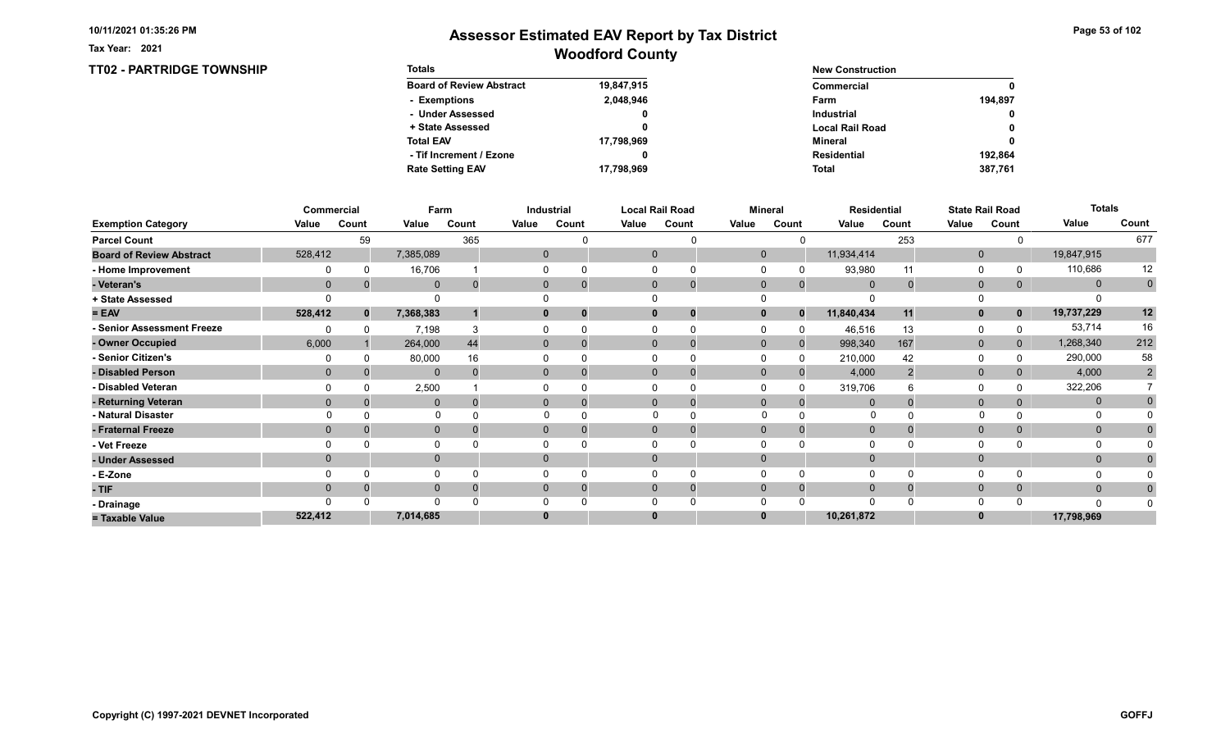TT02 - PARTRIDGE TOWNSHIP

Tax Year: 2021

| <b>Totals</b>                   |            | <b>New Construction</b> |              |  |  |  |
|---------------------------------|------------|-------------------------|--------------|--|--|--|
| <b>Board of Review Abstract</b> | 19,847,915 | Commercial              | 0            |  |  |  |
| - Exemptions                    | 2,048,946  | Farm                    | 194.897      |  |  |  |
| - Under Assessed                | 0          | <b>Industrial</b>       | $\mathbf{0}$ |  |  |  |
| + State Assessed                |            | <b>Local Rail Road</b>  | 0            |  |  |  |
| <b>Total EAV</b>                | 17,798,969 | Mineral                 | 0            |  |  |  |
| - Tif Increment / Ezone         | 0          | Residential             | 192.864      |  |  |  |
| <b>Rate Setting EAV</b>         | 17,798,969 | <b>Total</b>            | 387,761      |  |  |  |

|                                 |              | Commercial   |              | Farm     |       | Industrial     |       | <b>Local Rail Road</b>        |              | <b>Mineral</b> |                | <b>Residential</b> |              | <b>State Rail Road</b> | <b>Totals</b> |                |
|---------------------------------|--------------|--------------|--------------|----------|-------|----------------|-------|-------------------------------|--------------|----------------|----------------|--------------------|--------------|------------------------|---------------|----------------|
| <b>Exemption Category</b>       | Value        | Count        | Value        | Count    | Value | Count          | Value | Count                         | Value        | Count          | Value          | Count              | Value        | Count                  | Value         | Count          |
| <b>Parcel Count</b>             |              | 59           |              | 365      |       |                |       |                               |              |                |                | 253                |              |                        |               | 677            |
| <b>Board of Review Abstract</b> | 528,412      |              | 7,385,089    |          |       | 0              |       | $\mathbf 0$                   | $\mathbf 0$  |                | 11,934,414     |                    | $\mathbf 0$  |                        | 19,847,915    |                |
| - Home Improvement              |              | $\Omega$     | 16,706       |          |       |                |       | 0                             |              |                | 93,980         | 11                 | 0            |                        | 110,686       | 12             |
| - Veteran's                     | $\Omega$     |              | $\mathbf 0$  | $\Omega$ |       | 0              |       | $\mathbf 0$<br>$\overline{0}$ | $\mathbf 0$  | $\mathbf 0$    | $\overline{0}$ | $\mathbf 0$        | $\mathbf 0$  | $\mathbf{0}$           | $\mathbf{0}$  | $\pmb{0}$      |
| + State Assessed                |              |              |              |          |       |                |       |                               |              |                |                |                    |              |                        |               |                |
| $= EAV$                         | 528,412      | $\mathbf{0}$ | 7,368,383    |          |       |                |       | $\bf{0}$                      | 0            | $\Omega$       | 11,840,434     | 11                 | $\mathbf{0}$ | $\mathbf{0}$           | 19,737,229    | 12             |
| - Senior Assessment Freeze      |              |              | 7,198        |          |       |                |       |                               |              |                | 46,516         | 13                 | 0            |                        | 53,714        | 16             |
| - Owner Occupied                | 6,000        |              | 264,000      | 44       |       | $\mathbf{0}$   |       | $\mathbf{0}$                  | $\mathbf{0}$ | $\Omega$       | 998,340        | 167                | $\mathbf{0}$ | $\mathbf{0}$           | 1,268,340     | 212            |
| - Senior Citizen's              |              |              | 80,000       | 16       |       |                |       |                               |              |                | 210,000        | 42                 | $\Omega$     |                        | 290,000       | 58             |
| - Disabled Person               | $\mathbf{0}$ |              | $\mathbf{0}$ |          |       | $\overline{0}$ |       | $\Omega$                      | $\Omega$     |                | 4,000          |                    | $\mathbf{0}$ | 0                      | 4,000         | $\overline{2}$ |
| - Disabled Veteran              |              |              | 2,500        |          |       |                |       | $\Omega$                      |              |                | 319,706        |                    | 0            |                        | 322,206       |                |
| - Returning Veteran             | $\Omega$     |              | $\mathbf{0}$ |          |       | $\overline{0}$ |       | $\Omega$<br>$\overline{0}$    | $\Omega$     | $\Omega$       |                |                    | $\mathbf{0}$ | 0                      | $\mathbf{0}$  |                |
| - Natural Disaster              |              |              | $\Omega$     |          |       |                |       |                               | $\Omega$     |                | 0              |                    | $\Omega$     |                        | 0             |                |
| - Fraternal Freeze              | $\Omega$     |              | $\mathbf 0$  |          |       | $\mathbf{0}$   |       | $\mathbf{0}$                  | $\mathbf 0$  |                | $\mathbf{0}$   |                    | $\mathbf 0$  | $\mathbf{0}$           | $\mathbf{0}$  |                |
| - Vet Freeze                    |              |              | $\Omega$     |          |       |                |       |                               |              |                |                |                    | $\Omega$     |                        | 0             |                |
| - Under Assessed                | $\Omega$     |              | $\mathbf{0}$ |          |       | $\Omega$       |       | $\mathbf{0}$                  | $\Omega$     |                |                |                    | $\mathbf{0}$ |                        | $\mathbf{0}$  |                |
| - E-Zone                        |              |              | $\Omega$     |          |       |                |       |                               |              |                |                |                    | $\Omega$     |                        |               |                |
| - TIF                           | $\Omega$     |              | $\mathbf{0}$ |          |       |                |       | $\Omega$                      | $\Omega$     | $\Omega$       | $\Omega$       |                    | $\mathbf 0$  | 0                      | $\mathbf{0}$  |                |
| - Drainage                      |              |              | $\Omega$     |          |       |                |       |                               |              |                |                |                    | $\Omega$     |                        | $\Omega$      |                |
| = Taxable Value                 | 522,412      |              | 7,014,685    |          |       |                |       | $\bf{0}$                      |              |                | 10,261,872     |                    | $\bf{0}$     |                        | 17,798,969    |                |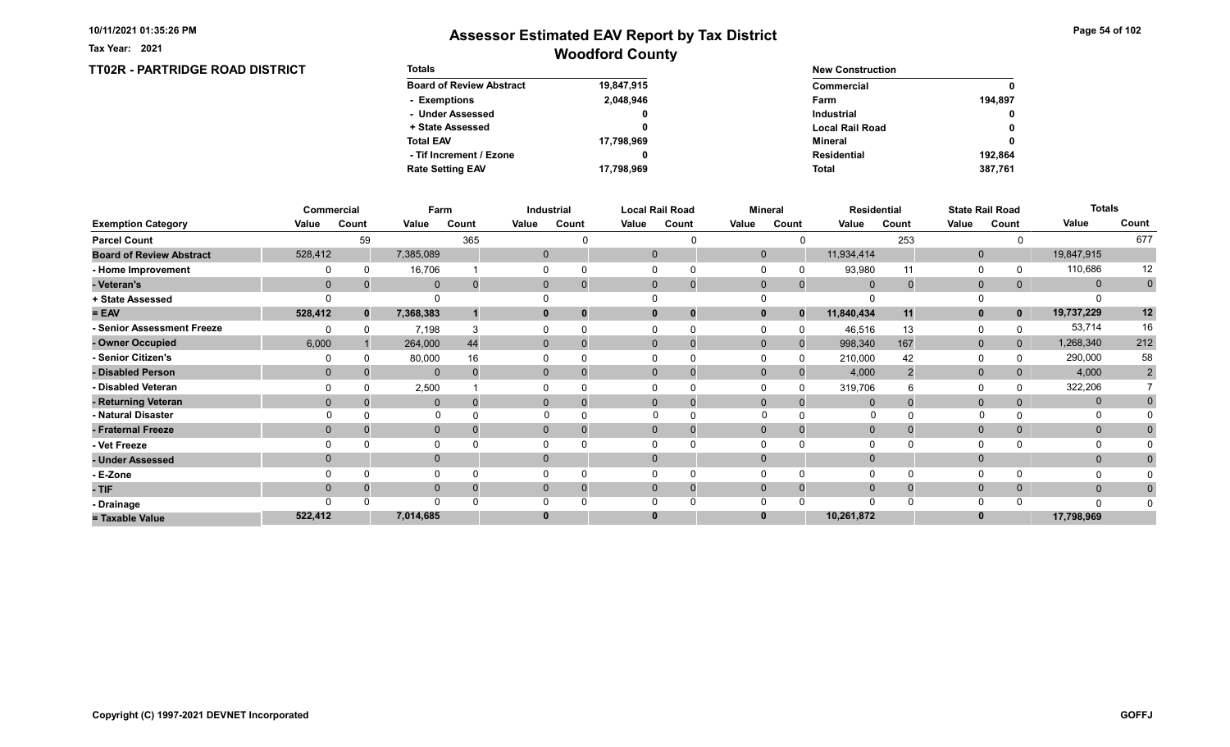TT02R - PARTRIDGE ROAD DISTRICT

Tax Year: 2021

## Woodford County Assessor Estimated EAV Report by Tax District

Page 54 of 102

| <b>Totals</b>                   |            | <b>New Construction</b> |             |  |  |  |
|---------------------------------|------------|-------------------------|-------------|--|--|--|
| <b>Board of Review Abstract</b> | 19,847,915 | Commercial              | $\mathbf 0$ |  |  |  |
| - Exemptions                    | 2,048,946  | Farm                    | 194.897     |  |  |  |
| - Under Assessed                | 0          | <b>Industrial</b>       | $\mathbf 0$ |  |  |  |
| + State Assessed                |            | <b>Local Rail Road</b>  | $\mathbf 0$ |  |  |  |
| <b>Total EAV</b>                | 17,798,969 | Mineral                 | $\mathbf 0$ |  |  |  |
| - Tif Increment / Ezone         |            | Residential             | 192.864     |  |  |  |
| <b>Rate Setting EAV</b>         | 17,798,969 | <b>Total</b>            | 387.761     |  |  |  |

|                                 |              | Commercial   | Farm         |       |       | Industrial           |       | <b>Local Rail Road</b>        |             | <b>Mineral</b> |                | Residential |              | <b>State Rail Road</b> | <b>Totals</b> |                |
|---------------------------------|--------------|--------------|--------------|-------|-------|----------------------|-------|-------------------------------|-------------|----------------|----------------|-------------|--------------|------------------------|---------------|----------------|
| <b>Exemption Category</b>       | Value        | Count        | Value        | Count | Value | Count                | Value | Count                         | Value       | Count          | Value          | Count       | Value        | Count                  | Value         | Count          |
| <b>Parcel Count</b>             |              | 59           |              | 365   |       |                      |       |                               |             |                |                | 253         |              |                        |               | 677            |
| <b>Board of Review Abstract</b> | 528,412      |              | 7,385,089    |       |       | 0                    |       | $\mathbf 0$                   | $\mathbf 0$ |                | 11,934,414     |             | $\mathbf 0$  |                        | 19,847,915    |                |
| - Home Improvement              |              |              | 16,706       |       |       |                      |       |                               |             |                | 93,980         | 11          | 0            |                        | 110,686       | 12             |
| - Veteran's                     | $\mathbf{0}$ |              | $\mathbf 0$  |       |       | $\mathbf{0}$         |       | $\mathbf 0$<br>$\overline{0}$ | $\mathbf 0$ | $\mathbf{0}$   | $\overline{0}$ | $\Omega$    | $\mathbf{0}$ | 0                      | $\mathbf 0$   | $\mathbf 0$    |
| + State Assessed                |              |              | $\Omega$     |       |       |                      |       |                               |             |                |                |             |              |                        |               |                |
| $= EAV$                         | 528,412      | $\mathbf{0}$ | 7,368,383    |       |       | 0<br>0               |       | 0<br>0                        |             | $\bf{0}$       | 11,840,434     | 11          | $\mathbf{0}$ | 0                      | 19,737,229    | 12             |
| - Senior Assessment Freeze      |              |              | 7,198        |       |       |                      |       |                               |             |                | 46,516         | 13          | 0            |                        | 53,714        | 16             |
| - Owner Occupied                | 6,000        |              | 264,000      | 44    |       | $\Omega$<br>$\Omega$ |       | $\Omega$<br>0                 | $\Omega$    | $\Omega$       | 998,340        | 167         | $\mathbf{0}$ | 0                      | 1,268,340     | 212            |
| - Senior Citizen's              |              |              | 80,000       | 16    |       |                      |       |                               |             | <sup>0</sup>   | 210,000        | 42          | $\Omega$     |                        | 290,000       | 58             |
| - Disabled Person               | $\Omega$     |              | $\mathbf{0}$ |       |       | 0                    |       | $\Omega$<br>$\Omega$          | $\Omega$    |                | 4,000          |             | $\mathbf{0}$ |                        | 4,000         | $\overline{2}$ |
| - Disabled Veteran              |              |              | 2,500        |       |       |                      |       |                               |             |                | 319,706        |             | $\Omega$     |                        | 322,206       |                |
| - Returning Veteran             |              |              | $\mathbf{0}$ |       |       | $\Omega$             |       | $\Omega$<br>$\mathbf 0$       | $\Omega$    | $\Omega$       | $\Omega$       |             | $\mathbf{0}$ |                        | $\mathbf{0}$  |                |
| - Natural Disaster              |              |              | $\Omega$     |       |       |                      |       |                               |             |                |                |             |              |                        |               |                |
| - Fraternal Freeze              | $\Omega$     |              | $\mathbf 0$  |       |       | $\Omega$             |       | $\Omega$                      | $\Omega$    |                | $\overline{0}$ |             | $\mathbf{0}$ | 0                      | $\mathbf{0}$  |                |
| - Vet Freeze                    |              |              | 0            |       |       |                      |       |                               |             |                |                |             | $\Omega$     |                        | $\Omega$      |                |
| - Under Assessed                |              |              | $\mathbf 0$  |       |       |                      |       | $\Omega$                      |             |                |                |             | $\mathbf{0}$ |                        | $\mathbf 0$   |                |
| - E-Zone                        |              |              | 0            |       |       |                      |       | 0                             |             |                | ∩              |             | $\Omega$     |                        |               |                |
| $-TIF$                          | $\Omega$     |              | $\mathbf{0}$ |       |       | $\Omega$             |       | $\Omega$<br>$\overline{0}$    | $\Omega$    | $\Omega$       | $\mathbf 0$    |             | $\mathbf 0$  |                        | $\mathbf{0}$  |                |
| - Drainage                      |              |              | $\Omega$     |       |       |                      |       |                               |             |                | $\Omega$       |             | $\Omega$     |                        |               |                |
| = Taxable Value                 | 522,412      |              | 7,014,685    |       |       |                      |       | $\bf{0}$                      |             |                | 10,261,872     |             |              |                        | 17,798,969    |                |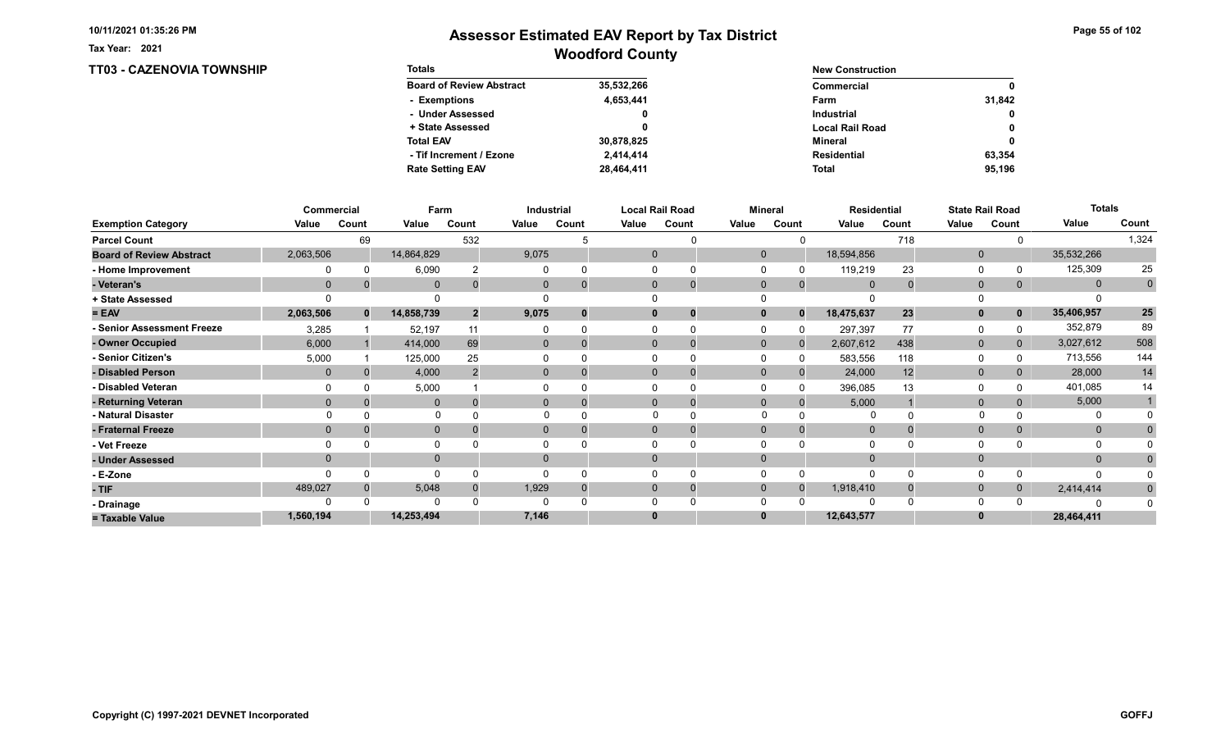TT03 - CAZENOVIA TOWNSHIP

Tax Year: 2021

| <b>Totals</b>                   |            | <b>New Construction</b> |              |
|---------------------------------|------------|-------------------------|--------------|
| <b>Board of Review Abstract</b> | 35,532,266 | Commercial              | $\mathbf{0}$ |
| - Exemptions                    | 4,653,441  | Farm                    | 31.842       |
| - Under Assessed                | 0          | <b>Industrial</b>       | $\mathbf{0}$ |
| + State Assessed                |            | <b>Local Rail Road</b>  | 0            |
| <b>Total EAV</b>                | 30,878,825 | Mineral                 | $\mathbf{0}$ |
| - Tif Increment / Ezone         | 2.414.414  | <b>Residential</b>      | 63.354       |
| <b>Rate Setting EAV</b>         | 28,464,411 | <b>Total</b>            | 95.196       |

|                                 |             | <b>Commercial</b> | Farm         |                |              | Industrial |          | <b>Local Rail Road</b>      |             | <b>Mineral</b> | <b>Residential</b> |       |                | <b>State Rail Road</b> | <b>Totals</b> |                 |
|---------------------------------|-------------|-------------------|--------------|----------------|--------------|------------|----------|-----------------------------|-------------|----------------|--------------------|-------|----------------|------------------------|---------------|-----------------|
| <b>Exemption Category</b>       | Value       | Count             | Value        | Count          | Value        | Count      | Value    | Count                       | Value       | Count          | Value              | Count | Value          | Count                  | Value         | Count           |
| <b>Parcel Count</b>             |             | 69                |              | 532            |              |            |          |                             |             |                |                    | 718   |                |                        |               | 1,324           |
| <b>Board of Review Abstract</b> | 2,063,506   |                   | 14,864,829   |                | 9,075        |            |          | $\mathbf 0$                 | $\mathbf 0$ |                | 18,594,856         |       | $\mathbf{0}$   |                        | 35,532,266    |                 |
| - Home Improvement              |             |                   | 6,090        |                |              |            |          |                             |             |                | 119,219            | 23    | $\Omega$       |                        | 125,309       | 25              |
| - Veteran's                     | $\mathbf 0$ |                   | $\mathbf 0$  |                | 0            |            |          | $\mathbf{0}$<br>$\mathbf 0$ | $\mathbf 0$ | $\mathbf{0}$   | $\overline{0}$     |       | $\overline{0}$ | 0                      | $\mathbf{0}$  | $\mathbf 0$     |
| + State Assessed                |             |                   |              |                |              |            |          |                             |             |                |                    |       |                |                        |               |                 |
| $= EAV$                         | 2,063,506   | $\mathbf{0}$      | 14,858,739   | $\overline{2}$ | 9,075        |            | 0        | 0                           |             | $\Omega$       | 18,475,637         | 23    | $\mathbf{0}$   |                        | 35,406,957    | $25\phantom{a}$ |
| - Senior Assessment Freeze      | 3,285       |                   | 52,197       | 11             |              |            |          |                             |             |                | 297,397            | 77    | $\Omega$       |                        | 352,879       | 89              |
| - Owner Occupied                | 6,000       |                   | 414,000      | 69             | $\mathbf{0}$ | $\Omega$   | $\Omega$ |                             | $\Omega$    |                | 2,607,612          | 438   | $\mathbf{0}$   | 0                      | 3,027,612     | 508             |
| - Senior Citizen's              | 5,000       |                   | 125,000      | 25             |              |            |          | 0                           |             |                | 583,556            | 118   | $\Omega$       |                        | 713,556       | 144             |
| - Disabled Person               | $\Omega$    |                   | 4,000        |                | $\mathbf{0}$ |            |          | $\Omega$<br>0               | $\Omega$    |                | 24,000             | 12    | $\mathbf{0}$   |                        | 28,000        | 14              |
| - Disabled Veteran              |             |                   | 5,000        |                |              |            |          | 0                           |             |                | 396,085            | 13    | $\Omega$       |                        | 401,085       | 14              |
| - Returning Veteran             | $\Omega$    |                   | $\mathbf{0}$ |                | $\Omega$     |            |          | $\Omega$<br>$\mathbf 0$     | $\Omega$    | $\Omega$       | 5,000              |       | $\mathbf{0}$   |                        | 5,000         |                 |
| - Natural Disaster              |             |                   | $\Omega$     |                |              |            |          |                             | $\Omega$    |                |                    |       |                |                        |               |                 |
| - Fraternal Freeze              | $\Omega$    |                   | $\mathbf 0$  |                | $\Omega$     |            |          | $\Omega$                    | $\Omega$    |                | $\mathbf{0}$       |       | $\mathbf{0}$   |                        | $\mathbf{0}$  |                 |
| - Vet Freeze                    |             |                   | 0            |                |              |            |          |                             |             |                |                    |       | $\Omega$       |                        | $\Omega$      |                 |
| - Under Assessed                |             |                   | $\mathbf 0$  |                | $\Omega$     |            | $\Omega$ |                             |             |                |                    |       | $\mathbf{0}$   |                        | $\Omega$      |                 |
| - E-Zone                        |             |                   | $\Omega$     |                |              |            |          |                             |             |                | $\Omega$           |       | $\Omega$       |                        |               |                 |
| - TIF                           | 489,027     |                   | 5,048        |                | 1,929        |            | 0        | 0                           | $\Omega$    |                | 1,918,410          |       | $\mathbf{0}$   |                        | 2,414,414     |                 |
| - Drainage                      |             |                   | $\Omega$     |                |              |            |          |                             |             |                |                    |       | $\Omega$       |                        |               |                 |
| = Taxable Value                 | 1,560,194   |                   | 14,253,494   |                | 7,146        |            | 0        |                             |             |                | 12,643,577         |       | $\bf{0}$       |                        | 28,464,411    |                 |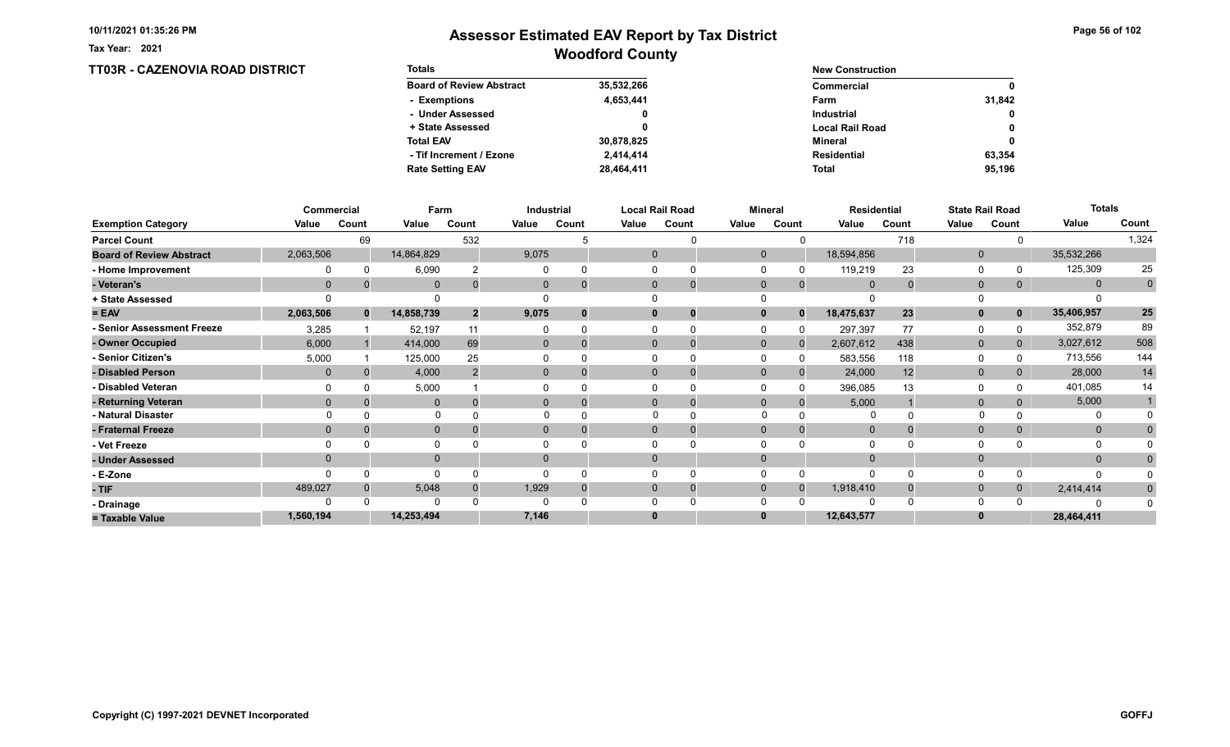Tax Year: 2021

## Woodford County Assessor Estimated EAV Report by Tax District

Page 56 of 102

| <b>TT03R - CAZENOVIA ROAD DISTRICT</b> | <b>Totals</b>                   |            | <b>New Construction</b> |              |  |  |
|----------------------------------------|---------------------------------|------------|-------------------------|--------------|--|--|
|                                        | <b>Board of Review Abstract</b> | 35,532,266 | <b>Commercial</b>       | $\mathbf{0}$ |  |  |
|                                        | - Exemptions                    | 4,653,441  | Farm                    | 31,842       |  |  |
|                                        | - Under Assessed                |            | <b>Industrial</b>       | $\mathbf{0}$ |  |  |
|                                        | + State Assessed                |            | <b>Local Rail Road</b>  | $\mathbf{0}$ |  |  |
|                                        | <b>Total EAV</b>                | 30,878,825 | Mineral                 | $\mathbf{0}$ |  |  |
|                                        | - Tif Increment / Ezone         | 2,414,414  | <b>Residential</b>      | 63,354       |  |  |
|                                        | <b>Rate Setting EAV</b>         | 28,464,411 | <b>Total</b>            | 95,196       |  |  |

|                                 |                | Commercial   |              | Farm           |              | <b>Industrial</b> |       | <b>Local Rail Road</b>      |              | <b>Mineral</b> | <b>Residential</b> |       |              | <b>State Rail Road</b> | <b>Totals</b> |            |
|---------------------------------|----------------|--------------|--------------|----------------|--------------|-------------------|-------|-----------------------------|--------------|----------------|--------------------|-------|--------------|------------------------|---------------|------------|
| <b>Exemption Category</b>       | Value          | Count        | Value        | Count          | Value        | Count             | Value | Count                       | Value        | Count          | Value              | Count | Value        | Count                  | Value         | Count      |
| <b>Parcel Count</b>             |                | 69           |              | 532            |              |                   |       |                             |              |                |                    | 718   |              |                        |               | 1,324      |
| <b>Board of Review Abstract</b> | 2,063,506      |              | 14,864,829   |                | 9,075        |                   |       | $\mathbf 0$                 | $\Omega$     |                | 18,594,856         |       | $\mathbf 0$  |                        | 35,532,266    |            |
| - Home Improvement              |                |              | 6,090        |                |              |                   |       |                             |              |                | 119,219            | 23    | 0            |                        | 125,309       | 25         |
| - Veteran's                     | $\overline{0}$ |              | $\mathbf 0$  |                | 0            |                   |       | $\mathbf{0}$<br>$\mathbf 0$ | $\mathbf 0$  | $\mathbf{0}$   | $\overline{0}$     |       | $\mathbf{0}$ | 0                      | $\mathbf{0}$  | $\pmb{0}$  |
| + State Assessed                |                |              |              |                |              |                   |       |                             |              |                |                    |       |              |                        |               |            |
| $= EAV$                         | 2,063,506      | $\mathbf{0}$ | 14,858,739   | $\overline{2}$ | 9,075        |                   |       | $\bf{0}$<br>0               |              | $\bf{0}$       | 18,475,637         | 23    | $\mathbf{0}$ | $\mathbf 0$            | 35,406,957    | ${\bf 25}$ |
| - Senior Assessment Freeze      | 3,285          |              | 52,197       | 11             |              |                   |       |                             |              |                | 297,397            | 77    | 0            |                        | 352,879       | 89         |
| - Owner Occupied                | 6,000          |              | 414,000      | 69             | $\mathbf{0}$ | $\Omega$          |       | $\Omega$<br>$\Omega$        | $\mathbf{0}$ | $\Omega$       | 2,607,612          | 438   | $\mathbf{0}$ | $\overline{0}$         | 3,027,612     | 508        |
| - Senior Citizen's              | 5,000          |              | 125,000      | 25             |              |                   |       |                             |              |                | 583,556            | 118   | 0            |                        | 713,556       | 144        |
| - Disabled Person               | $\mathbf{0}$   |              | 4,000        |                | $\Omega$     |                   |       | $\Omega$<br>$\Omega$        | $\Omega$     |                | 24,000             | 12    | $\mathbf{0}$ |                        | 28,000        | 14         |
| - Disabled Veteran              |                |              | 5,000        |                |              |                   |       | 0                           |              |                | 396,085            | 13    | $\Omega$     |                        | 401,085       | 14         |
| - Returning Veteran             |                |              | $\mathbf 0$  |                | 0            |                   |       | $\Omega$<br>$\mathbf 0$     | $\Omega$     | $\Omega$       | 5,000              |       | $\mathbf 0$  |                        | 5,000         |            |
| - Natural Disaster              |                |              | $\Omega$     |                |              |                   |       | $\Omega$                    | $\Omega$     |                |                    |       |              |                        |               |            |
| - Fraternal Freeze              | $\Omega$       |              | $\mathbf 0$  |                | 0            |                   |       | $\mathbf{0}$                | $\Omega$     |                | $\overline{0}$     |       | $\mathbf{0}$ |                        | $\mathbf{0}$  |            |
| - Vet Freeze                    |                |              | 0            |                |              |                   |       |                             |              |                |                    |       | $\Omega$     |                        | 0             |            |
| - Under Assessed                |                |              | $\mathbf{0}$ |                | $\Omega$     |                   |       | $\Omega$                    |              |                |                    |       | $\mathbf{0}$ |                        | $\mathbf{0}$  |            |
| - E-Zone                        |                |              | $\Omega$     |                |              |                   |       |                             |              |                | $\Omega$           |       | $\Omega$     |                        |               |            |
| - TIF                           | 489,027        |              | 5,048        |                | 1,929        |                   |       | 0<br>0                      | 0            |                | 1,918,410          |       | $\mathbf{0}$ | 0                      | 2,414,414     | $\Omega$   |
| - Drainage                      |                |              | $\Omega$     |                |              |                   |       |                             |              |                |                    |       | $\Omega$     |                        |               |            |
| = Taxable Value                 | 1,560,194      |              | 14,253,494   |                | 7,146        |                   | 0     |                             |              |                | 12,643,577         |       | $\bf{0}$     |                        | 28,464,411    |            |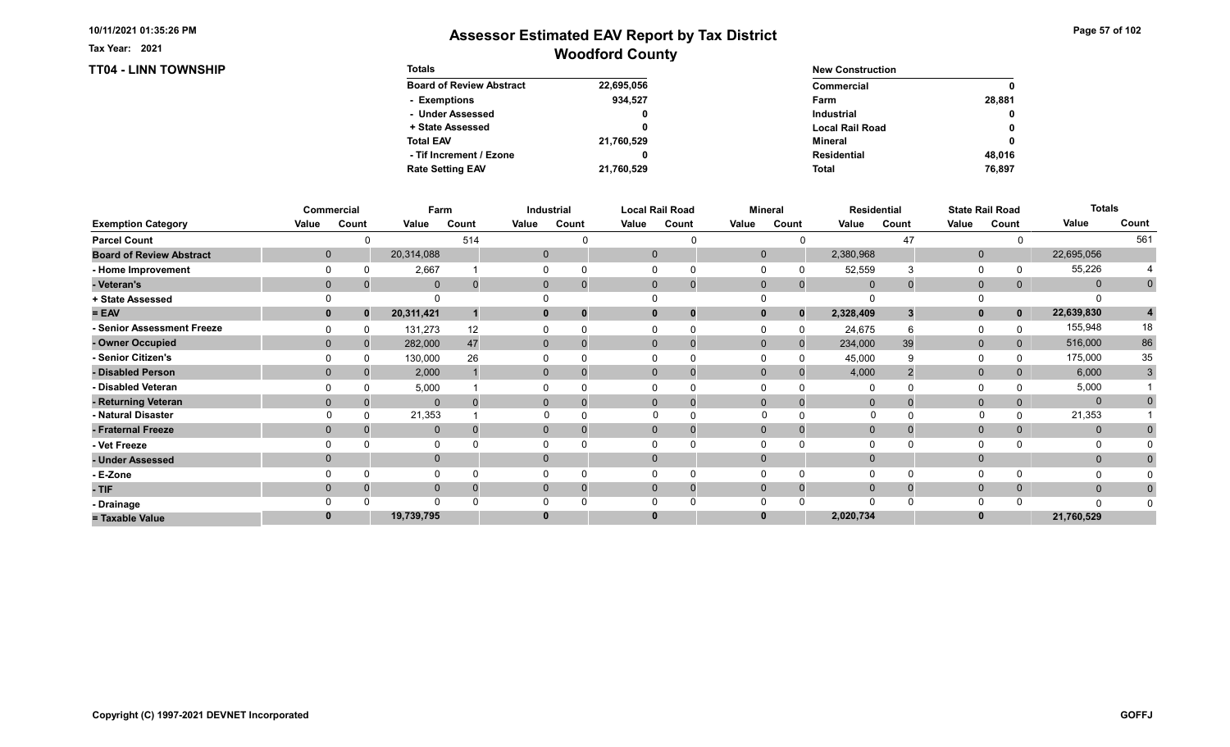TT04 - LINN TOWNSHIP

Tax Year: 2021

| <b>Totals</b>                   |            | <b>New Construction</b> |        |
|---------------------------------|------------|-------------------------|--------|
| <b>Board of Review Abstract</b> | 22,695,056 | Commercial              | 0      |
| - Exemptions                    | 934,527    | Farm                    | 28.881 |
| - Under Assessed                | 0          | <b>Industrial</b>       | 0      |
| + State Assessed                |            | <b>Local Rail Road</b>  | 0      |
| <b>Total EAV</b>                | 21,760,529 | Mineral                 | 0      |
| - Tif Increment / Ezone         |            | <b>Residential</b>      | 48.016 |
| <b>Rate Setting EAV</b>         | 21,760,529 | <b>Total</b>            | 76,897 |

|                                 |       | Commercial           | Farm         |          |       | Industrial   |       | <b>Local Rail Road</b>         |              | Mineral  |             | <b>Residential</b> |              | <b>State Rail Road</b> | <b>Totals</b> |             |
|---------------------------------|-------|----------------------|--------------|----------|-------|--------------|-------|--------------------------------|--------------|----------|-------------|--------------------|--------------|------------------------|---------------|-------------|
| <b>Exemption Category</b>       | Value | Count                | Value        | Count    | Value | Count        | Value | Count                          | Value        | Count    | Value       | Count              | Value        | Count                  | Value         | Count       |
| <b>Parcel Count</b>             |       |                      |              | 514      |       |              |       | U                              |              |          |             | 47                 |              |                        |               | 561         |
| <b>Board of Review Abstract</b> |       | $\mathbf 0$          | 20,314,088   |          |       | $\mathbf{0}$ |       | $\mathbf{0}$                   | $\mathbf{0}$ |          | 2,380,968   |                    | $\mathbf{0}$ |                        | 22,695,056    |             |
| - Home Improvement              |       |                      | 2,667        |          |       |              |       |                                |              |          | 52,559      |                    | $\Omega$     |                        | 55,226        |             |
| - Veteran's                     |       | $\Omega$             | $\mathbf 0$  | $\Omega$ |       | $\mathbf{0}$ |       | $\mathbf{0}$<br>$\overline{0}$ | $\mathbf 0$  | $\Omega$ | $\mathbf 0$ |                    | $\mathbf 0$  | 0                      | $\mathbf{0}$  | $\mathbf 0$ |
| + State Assessed                |       |                      |              |          |       |              |       |                                |              |          |             |                    | $\Omega$     |                        |               |             |
| $= EAV$                         |       | $\mathbf{0}$<br>0    | 20,311,421   |          |       | 0            |       | $\mathbf 0$<br>0               | $\mathbf{0}$ | $\bf{0}$ | 2,328,409   |                    | $\mathbf{0}$ | $\mathbf 0$            | 22,639,830    |             |
| - Senior Assessment Freeze      |       |                      | 131,273      | 12       |       |              |       |                                |              |          | 24,675      |                    | $\Omega$     |                        | 155,948       | 18          |
| - Owner Occupied                |       | $\Omega$<br>$\Omega$ | 282,000      | 47       |       | $\mathbf{0}$ |       | $\mathbf{0}$                   | $\Omega$     | $\Omega$ | 234,000     | 39                 | $\mathbf 0$  |                        | 516,000       | 86          |
| - Senior Citizen's              |       |                      | 130,000      | 26       |       |              |       |                                |              |          | 45,000      |                    | 0            |                        | 175,000       | 35          |
| - Disabled Person               |       | $\Omega$             | 2,000        |          |       | $\Omega$     |       | $\Omega$                       | $\Omega$     |          | 4,000       |                    | $\mathbf{0}$ |                        | 6,000         | 3           |
| - Disabled Veteran              |       |                      | 5,000        |          |       |              |       | $\Omega$                       |              |          |             |                    | $\Omega$     |                        | 5,000         |             |
| - Returning Veteran             |       | $\Omega$             | $\Omega$     |          |       | $\Omega$     |       | $\Omega$<br>$\Omega$           | $\Omega$     | $\Omega$ | $\Omega$    |                    | $\mathbf{0}$ | $\Omega$               | $\mathbf{0}$  |             |
| - Natural Disaster              |       |                      | 21,353       |          |       |              |       |                                | $\Omega$     |          | $\Omega$    |                    | $\Omega$     |                        | 21,353        |             |
| - Fraternal Freeze              |       | $\Omega$             | $\mathbf 0$  |          |       | $\mathbf{0}$ |       | $\mathbf{0}$                   | $\Omega$     | $\Omega$ | $\Omega$    |                    | $\mathbf 0$  | $\mathbf{0}$           | $\mathbf{0}$  |             |
| - Vet Freeze                    |       |                      | $\Omega$     |          |       |              |       | $\Omega$                       |              |          |             |                    | 0            |                        | 0             |             |
| - Under Assessed                |       | $\Omega$             | $\mathbf{0}$ |          |       | $\mathbf{0}$ |       | $\mathbf{0}$                   | $\Omega$     |          |             |                    | $\mathbf{0}$ |                        | $\mathbf{0}$  |             |
| - E-Zone                        |       |                      | $\Omega$     |          |       |              |       |                                |              |          |             |                    | $\Omega$     |                        |               |             |
| - TIF                           |       | $\Omega$             | $\mathbf{0}$ |          |       | $\Omega$     |       | $\Omega$                       | $\Omega$     | $\Omega$ | $\Omega$    |                    | $\mathbf{0}$ | $\mathbf{0}$           | $\mathbf{0}$  |             |
| - Drainage                      |       |                      | $\Omega$     |          |       |              |       |                                |              |          |             |                    | $\Omega$     |                        | $\Omega$      |             |
| = Taxable Value                 |       |                      | 19,739,795   |          |       |              |       | $\bf{0}$                       |              |          | 2,020,734   |                    | $\bf{0}$     |                        | 21,760,529    |             |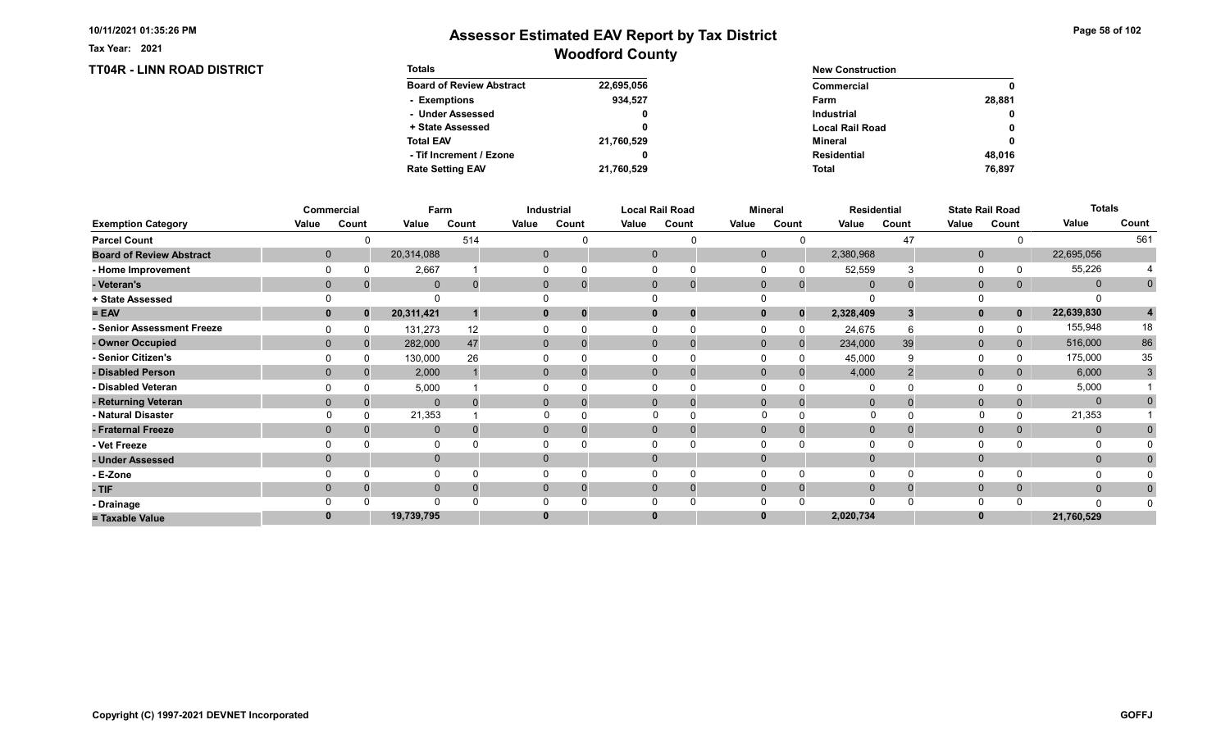TT04R - LINN ROAD DISTRICT

Tax Year: 2021

| <b>Totals</b>                   |            | <b>New Construction</b> |        |
|---------------------------------|------------|-------------------------|--------|
| <b>Board of Review Abstract</b> | 22,695,056 | Commercial              | 0      |
| - Exemptions                    | 934.527    | Farm                    | 28.881 |
| - Under Assessed                | 0          | <b>Industrial</b>       | 0      |
| + State Assessed                |            | <b>Local Rail Road</b>  | 0      |
| <b>Total EAV</b>                | 21,760,529 | Mineral                 | 0      |
| - Tif Increment / Ezone         | 0          | Residential             | 48.016 |
| <b>Rate Setting EAV</b>         | 21,760,529 | <b>Total</b>            | 76,897 |

|                                 |          | Commercial  | Farm         |       |       | Industrial               |       | <b>Local Rail Road</b>         |       | <b>Mineral</b> |                                | <b>Residential</b> |              | <b>State Rail Road</b> | <b>Totals</b> |              |
|---------------------------------|----------|-------------|--------------|-------|-------|--------------------------|-------|--------------------------------|-------|----------------|--------------------------------|--------------------|--------------|------------------------|---------------|--------------|
| <b>Exemption Category</b>       | Value    | Count       | Value        | Count | Value | Count                    | Value | Count                          | Value | Count          | Value                          | Count              | Value        | Count                  | Value         | Count        |
| <b>Parcel Count</b>             |          |             |              | 514   |       |                          |       |                                |       |                |                                | 47                 |              |                        |               | 561          |
| <b>Board of Review Abstract</b> |          | $\mathbf 0$ | 20,314,088   |       |       | $\mathbf{0}$             |       | $\mathbf 0$                    |       | $\mathbf 0$    | 2,380,968                      |                    | $\mathbf 0$  |                        | 22,695,056    |              |
| - Home Improvement              |          |             | 2,667        |       |       |                          |       | 0                              |       |                | 52,559                         | 3                  | $\Omega$     |                        | 55,226        |              |
| - Veteran's                     |          | $\Omega$    | $\mathbf{0}$ |       |       | $\mathbf{0}$             |       | $\mathbf{0}$<br>$\overline{0}$ |       | $\mathbf 0$    | $\overline{0}$<br>$\mathbf{0}$ |                    | $\mathbf{0}$ | 0                      | $\mathbf{0}$  | $\mathbf{0}$ |
| + State Assessed                |          |             | $\Omega$     |       |       |                          |       |                                |       |                |                                |                    | 0            |                        |               |              |
| $= EAV$                         |          | $\bf{0}$    | 20,311,421   |       |       | 0<br>0                   |       | 0<br>0                         |       |                | 2,328,409<br>$\bf{0}$          |                    | $\mathbf{0}$ | $\mathbf 0$            | 22,639,830    | 4            |
| - Senior Assessment Freeze      |          |             | 131,273      | 12    |       |                          |       |                                |       |                | 24,675                         |                    | 0            |                        | 155,948       | 18           |
| - Owner Occupied                |          | $\Omega$    | 282,000      | 47    |       | $\mathbf{0}$<br>$\Omega$ |       | $\Omega$<br>$\mathbf 0$        |       | $\mathbf{0}$   | 234,000<br>$\mathbf{0}$        | 39                 | $\mathbf{0}$ | 0                      | 516,000       | 86           |
| - Senior Citizen's              |          |             | 130,000      | 26    |       |                          |       |                                |       |                | 45,000                         |                    | $\Omega$     |                        | 175,000       | 35           |
| - Disabled Person               |          |             | 2,000        |       |       | 0                        |       | $\Omega$<br>$\Omega$           |       | $\Omega$       | 4,000                          |                    | $\mathbf{0}$ |                        | 6,000         | 3            |
| - Disabled Veteran              |          |             | 5,000        |       |       |                          |       | 0                              |       |                | $\Omega$                       |                    | $\Omega$     |                        | 5,000         |              |
| - Returning Veteran             |          |             | $\mathbf{0}$ |       |       | $\mathbf{0}$<br>0        |       | $\Omega$<br>$\mathbf 0$        |       | $\Omega$       | $\Omega$<br>$\Omega$           |                    | $\mathbf{0}$ |                        | $\mathbf{0}$  |              |
| - Natural Disaster              |          |             | 21,353       |       |       |                          |       | $\Omega$                       |       | $\Omega$       | 0                              |                    |              |                        | 21,353        |              |
| - Fraternal Freeze              | $\Omega$ |             | $\mathbf 0$  |       |       | 0                        |       | $\mathbf{0}$                   |       | $\Omega$       | $\overline{0}$                 |                    | $\mathbf{0}$ | 0                      | $\mathbf{0}$  |              |
| - Vet Freeze                    |          |             | 0            |       |       |                          |       |                                |       |                |                                |                    | $\Omega$     |                        | 0             |              |
| - Under Assessed                |          |             | $\mathbf 0$  |       |       | $\Omega$                 |       | $\Omega$                       |       |                |                                |                    | $\mathbf{0}$ |                        | $\mathbf{0}$  |              |
| - E-Zone                        |          |             | $\Omega$     |       |       |                          |       |                                |       |                |                                |                    | $\Omega$     |                        |               |              |
| - TIF                           |          |             | $\mathbf 0$  |       |       |                          |       | $\Omega$<br>0                  |       | $\Omega$       | $\Omega$<br>$\Omega$           |                    | $\mathbf 0$  | 0                      | $\mathbf{0}$  |              |
| - Drainage                      |          |             | $\Omega$     |       |       |                          |       |                                |       |                | ∩                              |                    | $\Omega$     |                        | $\Omega$      |              |
| = Taxable Value                 |          |             | 19,739,795   |       |       |                          |       | $\bf{0}$                       |       |                | 2,020,734                      |                    | $\bf{0}$     |                        | 21,760,529    |              |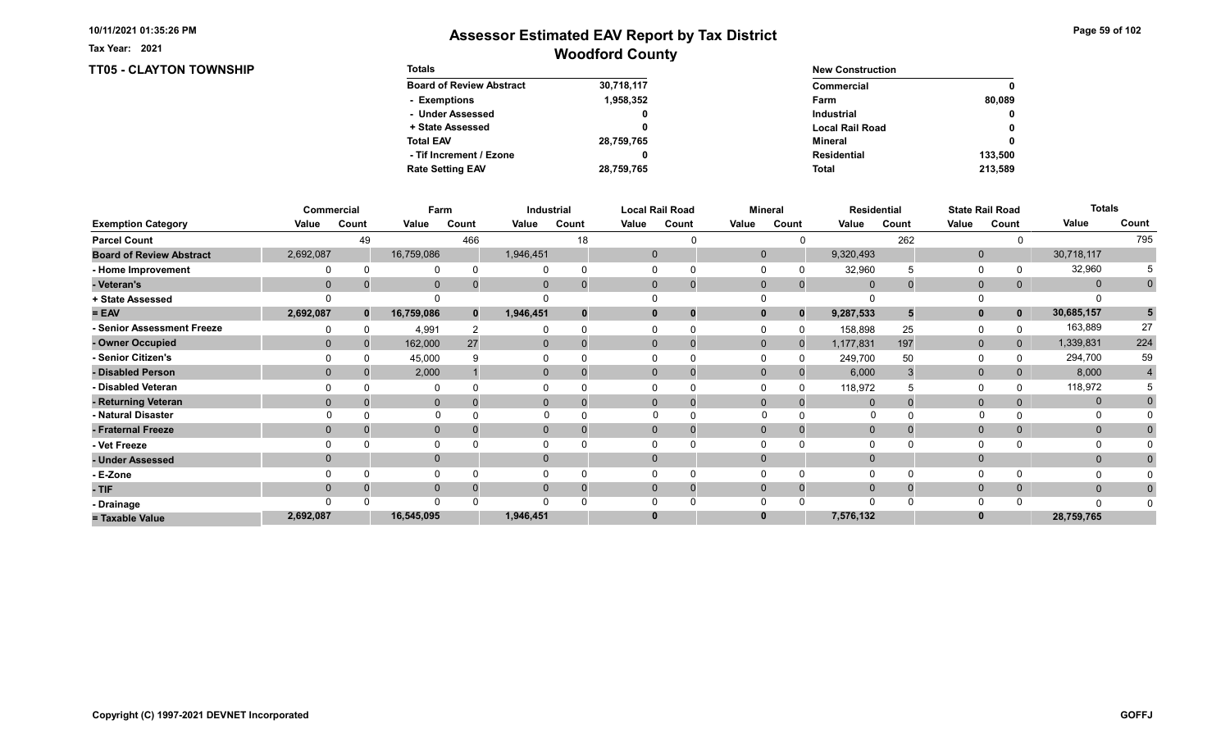TT05 - CLAYTON TOWNSHIP

Tax Year: 2021

| <b>Totals</b>                   |            | <b>New Construction</b> |              |  |  |
|---------------------------------|------------|-------------------------|--------------|--|--|
| <b>Board of Review Abstract</b> | 30,718,117 | Commercial              | 0            |  |  |
| - Exemptions                    | 1,958,352  | Farm                    | 80.089       |  |  |
| - Under Assessed                | 0          | <b>Industrial</b>       | $\mathbf{0}$ |  |  |
| + State Assessed                |            | <b>Local Rail Road</b>  | 0            |  |  |
| <b>Total EAV</b>                | 28,759,765 | Mineral                 | 0            |  |  |
| - Tif Increment / Ezone         | 0          | Residential             | 133.500      |  |  |
| <b>Rate Setting EAV</b>         | 28,759,765 | <b>Total</b>            | 213,589      |  |  |

|                                 |              | Commercial |              | Farm  |           | Industrial |          | <b>Local Rail Road</b>      |              | <b>Mineral</b> |                | <b>Residential</b> |              | <b>State Rail Road</b> | <b>Totals</b> |             |
|---------------------------------|--------------|------------|--------------|-------|-----------|------------|----------|-----------------------------|--------------|----------------|----------------|--------------------|--------------|------------------------|---------------|-------------|
| <b>Exemption Category</b>       | Value        | Count      | Value        | Count | Value     | Count      | Value    | Count                       | Value        | Count          | Value          | Count              | Value        | Count                  | Value         | Count       |
| <b>Parcel Count</b>             |              | 49         |              | 466   |           | 18         |          |                             |              |                |                | 262                |              |                        |               | 795         |
| <b>Board of Review Abstract</b> | 2,692,087    |            | 16,759,086   |       | 1,946,451 |            |          | $\mathbf 0$                 | $\mathbf 0$  |                | 9,320,493      |                    | $\mathbf 0$  |                        | 30,718,117    |             |
| - Home Improvement              |              |            | 0            |       |           |            |          |                             |              |                | 32,960         |                    | 0            |                        | 32,960        |             |
| - Veteran's                     | $\mathbf{0}$ |            | $\mathbf 0$  |       |           |            |          | $\mathbf{0}$<br>$\mathbf 0$ | $\mathbf 0$  | $\mathbf 0$    | $\Omega$       |                    | $\mathbf{0}$ | 0                      | $\mathbf{0}$  | $\mathbf 0$ |
| + State Assessed                |              |            |              |       |           |            |          |                             |              |                |                |                    |              |                        |               |             |
| $= EAV$                         | 2,692,087    | $\bf{0}$   | 16,759,086   |       | 1,946,451 |            | $\bf{0}$ | 0                           |              | $\bf{0}$       | 9,287,533      |                    | $\mathbf{0}$ | $\mathbf{0}$           | 30,685,157    | 5           |
| - Senior Assessment Freeze      |              |            | 4,991        |       |           |            |          |                             |              |                | 158,898        | 25                 | 0            |                        | 163,889       | 27          |
| - Owner Occupied                | $\Omega$     |            | 162,000      | 27    | $\Omega$  | $\Omega$   |          | $\Omega$<br>$\Omega$        | $\mathbf{0}$ | $\Omega$       | 1,177,831      | 197                | $\mathbf 0$  | $\overline{0}$         | 1,339,831     | 224         |
| - Senior Citizen's              |              |            | 45,000       |       |           |            |          |                             |              |                | 249,700        | 50                 | 0            |                        | 294,700       | 59          |
| - Disabled Person               |              |            | 2,000        |       | 0         |            |          | $\Omega$<br>$\Omega$        | $\Omega$     |                | 6,000          |                    | $\mathbf{0}$ |                        | 8,000         | 4           |
| - Disabled Veteran              |              |            | $\Omega$     |       |           |            |          | 0                           |              |                | 118,972        |                    | $\Omega$     |                        | 118,972       |             |
| - Returning Veteran             |              |            | $\mathbf 0$  |       | $\Omega$  |            |          | $\Omega$<br>$\mathbf 0$     | $\Omega$     | $\Omega$       | $\Omega$       |                    | $\mathbf 0$  |                        | $\mathbf{0}$  |             |
| - Natural Disaster              |              |            | $\Omega$     |       |           |            |          | $\Omega$                    | $\Omega$     |                | 0              |                    |              |                        | 0             |             |
| - Fraternal Freeze              | $\Omega$     |            | $\mathbf 0$  |       | 0         |            |          | $\mathbf{0}$                | $\Omega$     |                | $\overline{0}$ |                    | $\mathbf{0}$ |                        | $\mathbf{0}$  |             |
| - Vet Freeze                    |              |            | 0            |       |           |            |          |                             |              |                |                |                    | $\Omega$     |                        |               |             |
| - Under Assessed                |              |            | $\mathbf{0}$ |       | $\Omega$  |            | $\Omega$ |                             |              |                |                |                    | $\mathbf{0}$ |                        | $\mathbf{0}$  |             |
| - E-Zone                        |              |            | $\Omega$     |       |           |            |          |                             |              |                |                |                    | $\Omega$     |                        |               |             |
| - TIF                           |              |            | $\mathbf{0}$ |       |           |            | 0        | 0                           |              |                |                |                    | $\mathbf{0}$ |                        | $\mathbf{0}$  |             |
| - Drainage                      |              |            | $\Omega$     |       |           |            |          |                             |              |                |                |                    | $\Omega$     |                        | $\Omega$      |             |
| = Taxable Value                 | 2,692,087    |            | 16,545,095   |       | 1,946,451 |            | 0        |                             |              |                | 7,576,132      |                    | $\bf{0}$     |                        | 28,759,765    |             |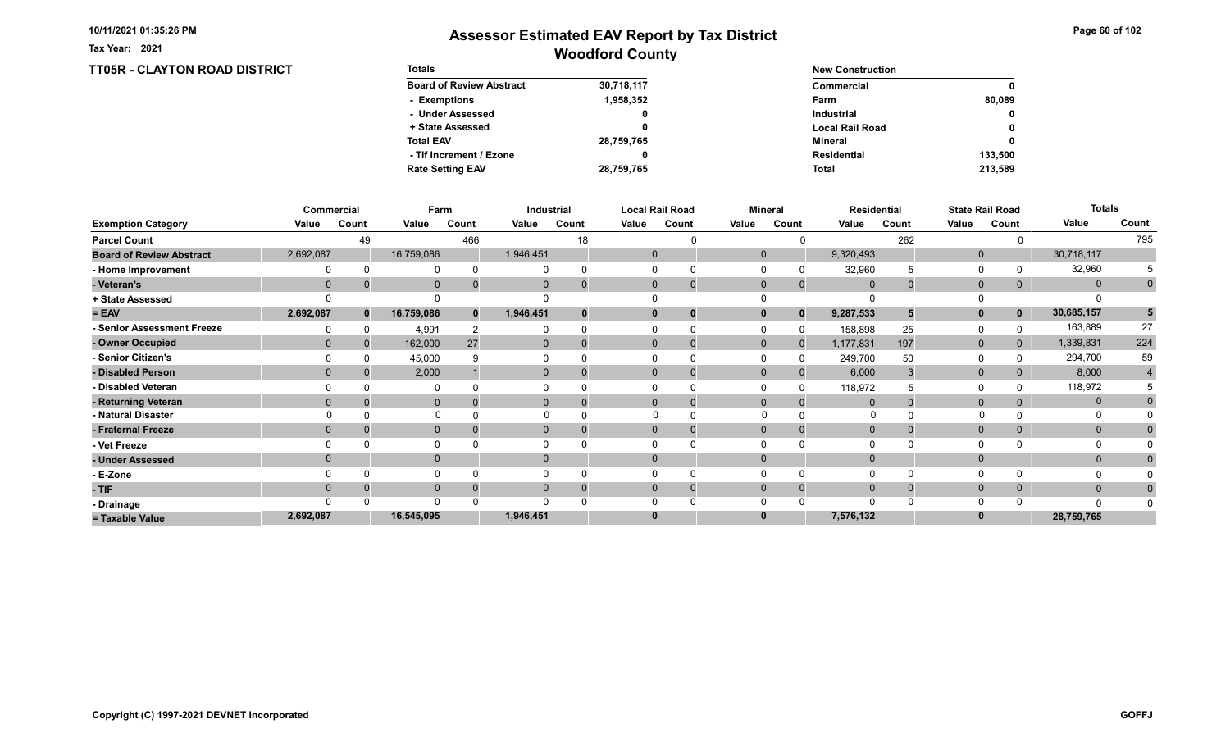TT05R - CLAYTON ROAD DISTRICT

Tax Year: 2021

| <b>Totals</b>                   |            | <b>New Construction</b> |              |  |  |
|---------------------------------|------------|-------------------------|--------------|--|--|
| <b>Board of Review Abstract</b> | 30,718,117 | Commercial              | 0            |  |  |
| - Exemptions                    | 1,958,352  | Farm                    | 80.089       |  |  |
| - Under Assessed                | 0          | <b>Industrial</b>       | $\mathbf{0}$ |  |  |
| + State Assessed                |            | <b>Local Rail Road</b>  | 0            |  |  |
| <b>Total EAV</b>                | 28,759,765 | Mineral                 | 0            |  |  |
| - Tif Increment / Ezone         | 0          | <b>Residential</b>      | 133.500      |  |  |
| <b>Rate Setting EAV</b>         | 28,759,765 | <b>Total</b>            | 213,589      |  |  |

|                                 |             | Commercial   |              | Farm         |              | Industrial |       | <b>Local Rail Road</b> |              | <b>Mineral</b> |              | <b>Residential</b> |              | <b>State Rail Road</b> | <b>Totals</b> |             |
|---------------------------------|-------------|--------------|--------------|--------------|--------------|------------|-------|------------------------|--------------|----------------|--------------|--------------------|--------------|------------------------|---------------|-------------|
| <b>Exemption Category</b>       | Value       | Count        | Value        | Count        | Value        | Count      | Value | Count                  | Value        | Count          | Value        | Count              | Value        | Count                  | Value         | Count       |
| <b>Parcel Count</b>             |             | 49           |              | 466          |              | 18         |       |                        |              |                |              | 262                |              |                        |               | 795         |
| <b>Board of Review Abstract</b> | 2,692,087   |              | 16,759,086   |              | 1,946,451    |            |       | $\mathbf 0$            | $\mathbf{0}$ |                | 9,320,493    |                    | $\mathbf{0}$ |                        | 30,718,117    |             |
| - Home Improvement              |             |              | $\Omega$     |              |              |            |       | $\Omega$               |              |                | 32,960       |                    | 0            |                        | 32,960        |             |
| - Veteran's                     | $\mathbf 0$ |              | $\mathbf{0}$ |              | $\mathbf{0}$ |            |       | $\mathbf{0}$<br>O      | $\mathbf 0$  | $\mathbf{0}$   | 0            |                    | $\mathbf{0}$ | $\mathbf{0}$           | $\mathbf{0}$  | $\mathbf 0$ |
| + State Assessed                |             |              |              |              |              |            |       |                        |              |                |              |                    |              |                        |               |             |
| $= EAV$                         | 2,692,087   | $\mathbf{0}$ | 16,759,086   | $\mathbf{0}$ | 1,946,451    |            |       | $\mathbf{0}$           | 0            | $\Omega$       | 9,287,533    |                    | $\mathbf{0}$ | $\mathbf{0}$           | 30,685,157    | 5           |
| - Senior Assessment Freeze      |             |              | 4,991        |              |              |            |       |                        |              |                | 158,898      | 25                 | 0            |                        | 163,889       | 27          |
| - Owner Occupied                | $\Omega$    | 0            | 162,000      | 27           | $\Omega$     |            |       | $\Omega$               | $\mathbf{0}$ | $\Omega$       | 1,177,831    | 197                | $\mathbf{0}$ | $\Omega$               | 1,339,831     | 224         |
| - Senior Citizen's              |             |              | 45,000       |              |              |            |       |                        |              |                | 249,700      | 50                 | 0            |                        | 294,700       | 59          |
| - Disabled Person               | $\Omega$    |              | 2,000        |              | $\mathbf{0}$ |            |       | $\Omega$               | $\Omega$     |                | 6,000        |                    | $\mathbf{0}$ |                        | 8,000         | 4           |
| - Disabled Veteran              |             |              |              |              |              |            |       |                        |              |                | 118,972      |                    | $\Omega$     |                        | 118,972       |             |
| - Returning Veteran             | $\Omega$    |              | $\mathbf 0$  |              | $\mathbf{0}$ |            |       | $\Omega$               | $\Omega$     | $\Omega$       | $\Omega$     |                    | $\mathbf 0$  |                        | $\mathbf{0}$  |             |
| - Natural Disaster              |             |              | $\Omega$     |              |              |            |       |                        | $\Omega$     |                | $\Omega$     |                    | $\Omega$     |                        | $\Omega$      |             |
| - Fraternal Freeze              | $\Omega$    |              | $\mathbf 0$  |              | $\mathbf{0}$ |            |       | $\mathbf{0}$           | $\mathbf 0$  |                | $\mathbf{0}$ |                    | $\mathbf 0$  | $\mathbf{0}$           | $\mathbf{0}$  |             |
| - Vet Freeze                    |             |              | $\mathbf{0}$ |              |              |            |       | 0                      |              |                |              |                    | 0            |                        | 0             |             |
| - Under Assessed                |             |              | $\mathbf{0}$ |              | 0            |            |       | $\Omega$               |              |                |              |                    | $\mathbf{0}$ |                        | $\mathbf{0}$  |             |
| - E-Zone                        |             |              | $\Omega$     |              |              |            |       |                        |              |                |              |                    | $\Omega$     |                        | O             |             |
| - TIF                           | $\Omega$    |              | $\mathbf 0$  |              | $\Omega$     |            |       | $\mathbf{0}$           | $\Omega$     | $\Omega$       | $\Omega$     |                    | $\mathbf 0$  | $\mathbf{0}$           | $\mathbf{0}$  | 0           |
| - Drainage                      |             |              | $\Omega$     |              |              |            |       |                        |              |                | $\cap$       |                    | $\Omega$     |                        | n             |             |
| = Taxable Value                 | 2,692,087   |              | 16,545,095   |              | 1,946,451    |            |       | $\bf{0}$               |              |                | 7,576,132    |                    |              |                        | 28,759,765    |             |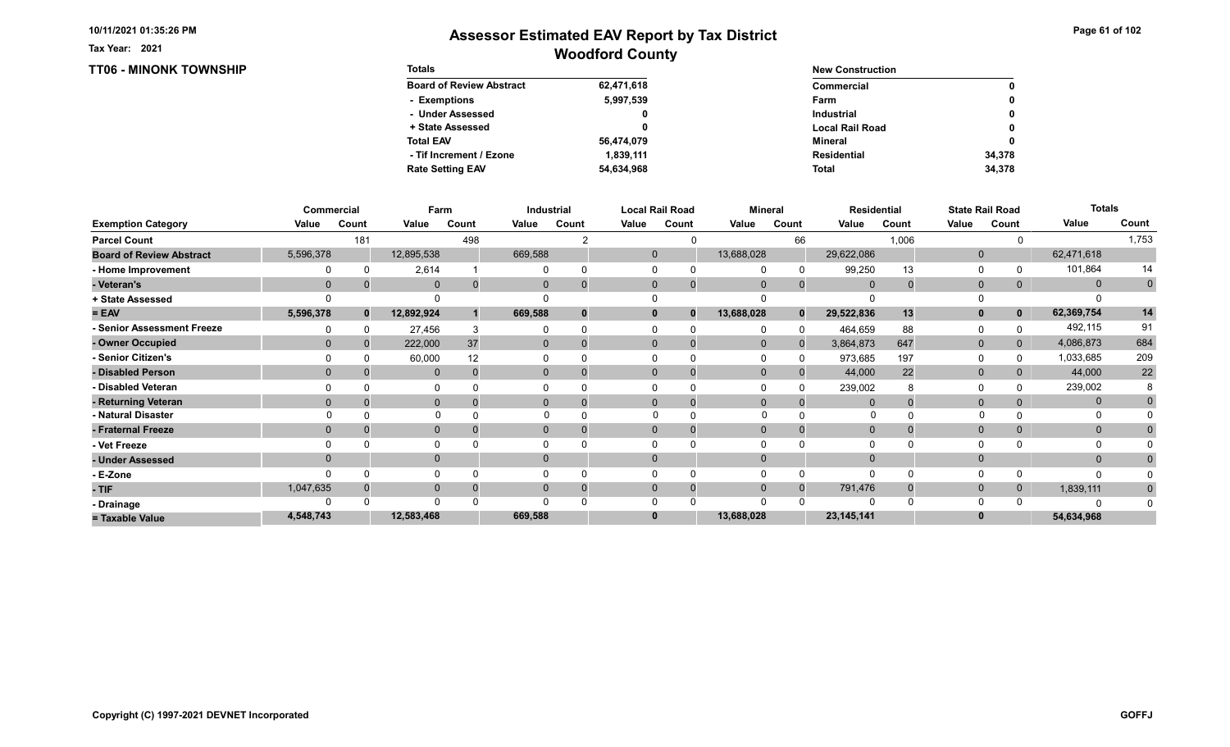TT06 - MINONK TOWNSHIP

Tax Year: 2021

| <b>Totals</b>                   |            | <b>New Construction</b> |        |
|---------------------------------|------------|-------------------------|--------|
| <b>Board of Review Abstract</b> | 62,471,618 | Commercial              | 0      |
| - Exemptions                    | 5,997,539  | Farm                    | 0      |
| - Under Assessed                | 0          | <b>Industrial</b>       | 0      |
| + State Assessed                |            | <b>Local Rail Road</b>  | 0      |
| <b>Total EAV</b>                | 56,474,079 | Mineral                 | 0      |
| - Tif Increment / Ezone         | 1.839.111  | <b>Residential</b>      | 34.378 |
| <b>Rate Setting EAV</b>         | 54.634.968 | <b>Total</b>            | 34,378 |

|                                 |           | Commercial | Farm         |       |          | Industrial |          | <b>Local Rail Road</b>   |              | <b>Mineral</b> |              | <b>Residential</b> |              | <b>State Rail Road</b> | <b>Totals</b> |             |
|---------------------------------|-----------|------------|--------------|-------|----------|------------|----------|--------------------------|--------------|----------------|--------------|--------------------|--------------|------------------------|---------------|-------------|
| <b>Exemption Category</b>       | Value     | Count      | Value        | Count | Value    | Count      | Value    | Count                    | Value        | Count          | Value        | Count              | Value        | Count                  | Value         | Count       |
| <b>Parcel Count</b>             |           | 181        |              | 498   |          |            |          | 0                        |              | 66             |              | 1,006              |              |                        |               | 1,753       |
| <b>Board of Review Abstract</b> | 5,596,378 |            | 12,895,538   |       | 669,588  |            |          | $\mathbf 0$              | 13,688,028   |                | 29,622,086   |                    | $\mathbf 0$  |                        | 62,471,618    |             |
| - Home Improvement              |           |            | 2,614        |       |          |            |          |                          |              | $\Omega$       | 99,250       | 13                 | $\Omega$     |                        | 101,864       | 14          |
| - Veteran's                     | $\Omega$  |            | $\mathbf 0$  |       | 0        |            |          | $\mathbf{0}$<br>$\Omega$ | $\Omega$     | $\Omega$       | $\Omega$     |                    | $\mathbf{0}$ | 0                      | $\mathbf{0}$  | $\mathbf 0$ |
| + State Assessed                |           |            | $\Omega$     |       |          |            |          |                          |              |                |              |                    | 0            |                        |               |             |
| $= EAV$                         | 5,596,378 | $\bf{0}$   | 12,892,924   |       | 669,588  | $\bf{0}$   |          | 0<br>$\bf{0}$            | 13,688,028   | $\bf{0}$       | 29,522,836   | 13                 | $\mathbf{0}$ | 0                      | 62,369,754    | 14          |
| - Senior Assessment Freeze      |           |            | 27,456       |       |          |            |          |                          |              | <sup>0</sup>   | 464,659      | 88                 | 0            |                        | 492,115       | 91          |
| - Owner Occupied                |           |            | 222,000      | 37    | $\Omega$ | $\Omega$   | $\Omega$ | 0                        | $\mathbf{0}$ |                | 3,864,873    | 647                | $\mathbf{0}$ | $\overline{0}$         | 4,086,873     | 684         |
| - Senior Citizen's              |           |            | 60,000       | 12    |          |            |          |                          |              |                | 973,685      | 197                | $\Omega$     |                        | 1,033,685     | 209         |
| - Disabled Person               |           |            | $\mathbf{0}$ |       | $\Omega$ |            |          | $\Omega$                 | $\Omega$     |                | 44,000       | 22                 | $\mathbf{0}$ |                        | 44,000        | 22          |
| - Disabled Veteran              |           |            | 0            |       |          |            |          |                          |              |                | 239,002      |                    | $\Omega$     |                        | 239,002       |             |
| - Returning Veteran             |           |            | $\mathbf{0}$ |       | $\Omega$ |            |          | $\Omega$<br>$\mathbf 0$  | $\Omega$     | $\Omega$       | $\Omega$     |                    | $\mathbf{0}$ |                        | $\mathbf{0}$  |             |
| - Natural Disaster              |           |            | $\Omega$     |       |          |            |          |                          |              |                | 0            |                    |              |                        |               |             |
| - Fraternal Freeze              |           |            | $\mathbf{0}$ |       | 0        |            |          | $\Omega$                 | $\Omega$     |                | $\Omega$     |                    | $\mathbf{0}$ |                        | $\mathbf{0}$  |             |
| - Vet Freeze                    |           |            | 0            |       |          |            |          |                          |              |                |              |                    | $\Omega$     |                        | 0             |             |
| - Under Assessed                |           |            | $\mathbf{0}$ |       |          |            | $\Omega$ |                          |              |                |              |                    | $\Omega$     |                        | $\Omega$      |             |
| - E-Zone                        |           |            | $\Omega$     |       |          |            |          |                          |              |                | ∩            |                    | $\Omega$     |                        |               |             |
| - TIF                           | 1,047,635 |            | $\mathbf 0$  |       |          |            | $\Omega$ | 0                        |              | $\Omega$       | 791,476      |                    | $\mathbf{0}$ |                        | 1,839,111     |             |
| - Drainage                      |           |            | $\Omega$     |       |          |            |          |                          |              |                |              |                    | 0            |                        | ſ             |             |
| = Taxable Value                 | 4,548,743 |            | 12,583,468   |       | 669,588  |            | 0        |                          | 13,688,028   |                | 23, 145, 141 |                    | $\bf{0}$     |                        | 54,634,968    |             |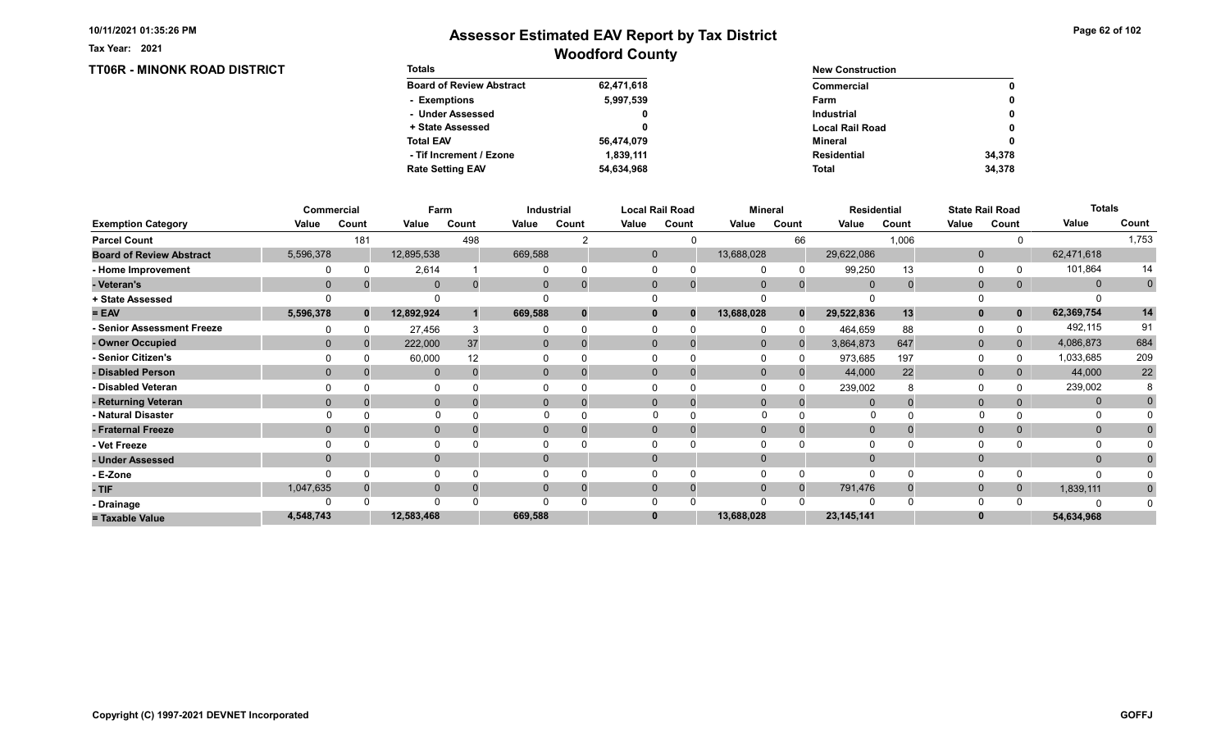TT06R - MINONK ROAD DISTRICT

Tax Year: 2021

| <b>Totals</b>                   |            | <b>New Construction</b> |              |
|---------------------------------|------------|-------------------------|--------------|
| <b>Board of Review Abstract</b> | 62,471,618 | Commercial              | 0            |
| - Exemptions                    | 5,997,539  | Farm                    | 0            |
| - Under Assessed                | 0          | <b>Industrial</b>       | $\mathbf{0}$ |
| + State Assessed                |            | <b>Local Rail Road</b>  | 0            |
| <b>Total EAV</b>                | 56,474,079 | Mineral                 | 0            |
| - Tif Increment / Ezone         | 1.839.111  | <b>Residential</b>      | 34.378       |
| <b>Rate Setting EAV</b>         | 54,634,968 | <b>Total</b>            | 34.378       |

|                                 |              | Commercial   |              | Farm            |          | Industrial     |       | <b>Local Rail Road</b>   |              | <b>Mineral</b> |                | <b>Residential</b> |              | <b>State Rail Road</b> | <b>Totals</b> |                |
|---------------------------------|--------------|--------------|--------------|-----------------|----------|----------------|-------|--------------------------|--------------|----------------|----------------|--------------------|--------------|------------------------|---------------|----------------|
| <b>Exemption Category</b>       | Value        | Count        | Value        | Count           | Value    | Count          | Value | Count                    | Value        | Count          | Value          | Count              | Value        | Count                  | Value         | Count          |
| <b>Parcel Count</b>             |              | 181          |              | 498             |          |                |       | ∩                        |              | 66             |                | 1,006              |              |                        |               | 1,753          |
| <b>Board of Review Abstract</b> | 5,596,378    |              | 12,895,538   |                 | 669,588  |                |       | $\mathbf{0}$             | 13,688,028   |                | 29,622,086     |                    | $\mathbf{0}$ |                        | 62,471,618    |                |
| - Home Improvement              |              | $\Omega$     | 2,614        |                 |          |                |       | $\Omega$                 |              | $\Omega$       | 99,250         | 13                 | 0            |                        | 101,864       | 14             |
| - Veteran's                     | $\mathbf{0}$ |              | $\mathbf 0$  | $\Omega$        | 0        |                |       | $\mathbf{0}$             | $\mathbf{0}$ | $\mathbf 0$    | $\overline{0}$ | 0                  | $\mathbf 0$  | 0                      | $\mathbf{0}$  | $\overline{0}$ |
| + State Assessed                |              |              |              |                 |          |                |       |                          |              |                |                |                    |              |                        |               |                |
| $= EAV$                         | 5,596,378    | $\mathbf{0}$ | 12,892,924   |                 | 669,588  |                |       | $\mathbf{0}$<br>$\bf{0}$ | 13,688,028   | $\bf{0}$       | 29,522,836     | 13                 | $\mathbf{0}$ | $\mathbf{0}$           | 62,369,754    | 14             |
| - Senior Assessment Freeze      |              |              | 27,456       |                 |          |                |       | $\Omega$                 |              | <sup>0</sup>   | 464,659        | 88                 | 0            |                        | 492,115       | 91             |
| - Owner Occupied                | $\Omega$     | $\Omega$     | 222,000      | 37              | $\Omega$ |                |       | $\Omega$                 | $\mathbf{0}$ |                | 3,864,873      | 647                | $\mathbf{0}$ | $\Omega$               | 4,086,873     | 684            |
| - Senior Citizen's              |              |              | 60,000       | 12 <sup>2</sup> |          |                |       |                          |              |                | 973,685        | 197                | 0            |                        | 1,033,685     | 209            |
| - Disabled Person               | $\Omega$     |              | $\mathbf{0}$ |                 | 0        |                |       | $\Omega$                 | $\Omega$     |                | 44,000         | 22                 | $\mathbf{0}$ |                        | 44,000        | $22\,$         |
| - Disabled Veteran              |              |              |              |                 |          |                |       | O                        |              |                | 239,002        |                    | $\Omega$     |                        | 239,002       |                |
| - Returning Veteran             | $\Omega$     |              | $\mathbf 0$  | $\Omega$        |          | $\overline{0}$ |       | $\Omega$                 | $\mathbf{0}$ | $\Omega$       |                |                    | $\mathbf 0$  |                        | $\mathbf{0}$  |                |
| - Natural Disaster              |              |              | $\Omega$     |                 | $\Omega$ |                |       |                          | $\Omega$     |                | $\Omega$       |                    | $\Omega$     |                        | $\Omega$      |                |
| - Fraternal Freeze              | $\mathbf{0}$ |              | $\mathbf 0$  |                 | 0        |                |       | $\mathbf 0$              | $\mathbf 0$  |                |                |                    | $\mathbf 0$  | 0                      | $\mathbf{0}$  |                |
| - Vet Freeze                    |              |              | $\Omega$     |                 | 0        |                |       | $\Omega$                 |              |                |                |                    | 0            |                        | 0             |                |
| - Under Assessed                | $\Omega$     |              | $\mathbf 0$  |                 | 0        |                |       | $\Omega$                 | $\Omega$     |                |                |                    | $\mathbf{0}$ |                        | $\mathbf{0}$  |                |
| - E-Zone                        |              |              |              |                 |          |                |       |                          |              |                |                |                    | $\Omega$     |                        | O             |                |
| - TIF                           | 1,047,635    |              | $\mathbf 0$  | $\Omega$        | 0        |                |       | $\mathbf{0}$             | $\Omega$     | $\Omega$       | 791,476        |                    | $\mathbf 0$  | 0                      | 1,839,111     |                |
| - Drainage                      |              |              | $\Omega$     |                 | U        |                |       | $\Omega$                 | $\Omega$     |                |                |                    | $\Omega$     |                        |               |                |
| = Taxable Value                 | 4,548,743    |              | 12,583,468   |                 | 669,588  |                |       | $\bf{0}$                 | 13,688,028   |                | 23, 145, 141   |                    |              |                        | 54,634,968    |                |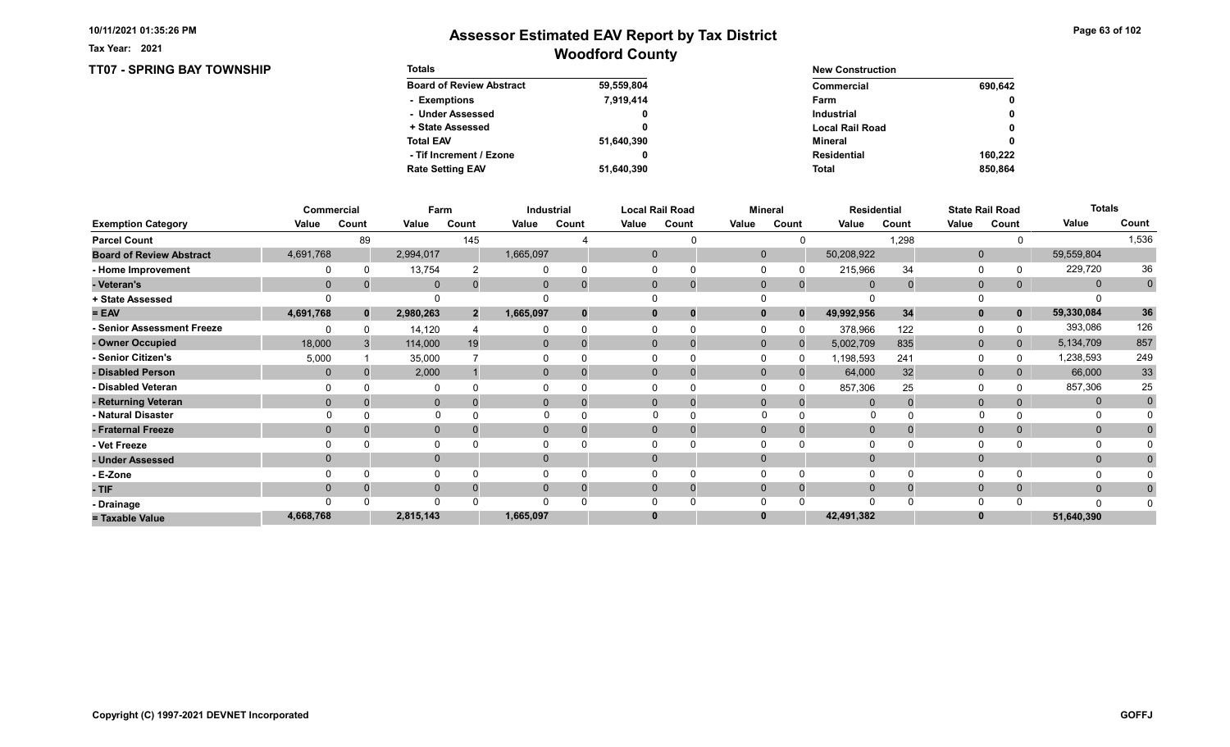TT07 - SPRING BAY TOWNSHIP

Tax Year: 2021

| <b>Totals</b>                   |            | <b>New Construction</b> |              |
|---------------------------------|------------|-------------------------|--------------|
| <b>Board of Review Abstract</b> | 59,559,804 | Commercial              | 690,642      |
| - Exemptions                    | 7,919,414  | Farm                    | 0            |
| - Under Assessed                | 0          | <b>Industrial</b>       | 0            |
| + State Assessed                |            | <b>Local Rail Road</b>  | $\mathbf{0}$ |
| <b>Total EAV</b>                | 51,640,390 | Mineral                 | 0            |
| - Tif Increment / Ezone         |            | <b>Residential</b>      | 160.222      |
| <b>Rate Setting EAV</b>         | 51,640,390 | <b>Total</b>            | 850.864      |

|                                 |              | Commercial   | Farm         |                |           | Industrial |       | <b>Local Rail Road</b>      |              | <b>Mineral</b> |                | <b>Residential</b> |              | <b>State Rail Road</b> | <b>Totals</b> |                |
|---------------------------------|--------------|--------------|--------------|----------------|-----------|------------|-------|-----------------------------|--------------|----------------|----------------|--------------------|--------------|------------------------|---------------|----------------|
| <b>Exemption Category</b>       | Value        | Count        | Value        | Count          | Value     | Count      | Value | Count                       | Value        | Count          | Value          | Count              | Value        | Count                  | Value         | Count          |
| <b>Parcel Count</b>             |              | 89           |              | 145            |           |            |       |                             |              |                |                | 1,298              |              |                        |               | 1,536          |
| <b>Board of Review Abstract</b> | 4,691,768    |              | 2,994,017    |                | 1,665,097 |            |       | $\mathbf 0$                 | $\Omega$     |                | 50,208,922     |                    | $\mathbf 0$  |                        | 59,559,804    |                |
| - Home Improvement              |              |              | 13,754       |                |           |            |       |                             |              |                | 215,966        | 34                 | 0            |                        | 229,720       | 36             |
| - Veteran's                     | $\Omega$     |              | $\mathbf 0$  |                | 0         |            |       | $\mathbf{0}$<br>$\mathbf 0$ | $\mathbf 0$  | $\mathbf{0}$   | $\overline{0}$ |                    | $\mathbf{0}$ | 0                      | $\mathbf{0}$  | $\overline{0}$ |
| + State Assessed                |              |              |              |                |           |            |       |                             |              |                |                |                    |              |                        |               |                |
| $= EAV$                         | 4,691,768    | $\mathbf{0}$ | 2,980,263    | $\overline{2}$ | 1,665,097 |            |       | $\bf{0}$<br>0               |              | $\bf{0}$       | 49,992,956     | 34                 | $\mathbf{0}$ | $\mathbf 0$            | 59,330,084    | 36             |
| - Senior Assessment Freeze      |              |              | 14,120       |                |           |            |       |                             |              |                | 378,966        | 122                | 0            |                        | 393,086       | 126            |
| - Owner Occupied                | 18,000       |              | 114,000      | 19             | $\Omega$  | $\Omega$   |       | $\Omega$<br>$\Omega$        | $\mathbf{0}$ | $\Omega$       | 5,002,709      | 835                | $\mathbf 0$  | $\overline{0}$         | 5,134,709     | 857            |
| - Senior Citizen's              | 5,000        |              | 35,000       |                |           |            |       |                             |              |                | 1,198,593      | 241                | 0            |                        | 1,238,593     | 249            |
| - Disabled Person               | $\mathbf{0}$ |              | 2,000        |                | 0         |            |       | $\Omega$<br>$\Omega$        | $\Omega$     |                | 64,000         | 32                 | $\mathbf{0}$ |                        | 66,000        | 33             |
| - Disabled Veteran              |              |              | $\Omega$     |                |           |            |       | 0                           |              |                | 857,306        | 25                 | $\Omega$     |                        | 857,306       | 25             |
| - Returning Veteran             |              |              | $\mathbf 0$  |                | 0         |            |       | $\Omega$<br>$\mathbf 0$     | $\Omega$     | $\Omega$       | $\Omega$       |                    | $\mathbf 0$  |                        | $\mathbf{0}$  | $\mathbf 0$    |
| - Natural Disaster              |              |              | $\Omega$     |                |           |            |       | $\Omega$                    | $\Omega$     |                | 0              |                    |              |                        | 0             |                |
| - Fraternal Freeze              | $\Omega$     |              | $\mathbf 0$  |                | 0         |            |       | $\mathbf{0}$                | $\Omega$     |                | $\overline{0}$ |                    | $\mathbf{0}$ |                        | $\mathbf{0}$  |                |
| - Vet Freeze                    |              |              | 0            |                |           |            |       |                             |              |                |                |                    | $\Omega$     |                        |               |                |
| - Under Assessed                |              |              | $\mathbf{0}$ |                | $\Omega$  |            |       | $\Omega$                    |              |                |                |                    | $\mathbf{0}$ |                        | $\mathbf{0}$  |                |
| - E-Zone                        |              |              | $\Omega$     |                |           |            |       |                             |              |                |                |                    | $\Omega$     |                        |               |                |
| - TIF                           |              |              | $\mathbf{0}$ |                |           |            |       | 0<br>0                      |              |                |                |                    | $\mathbf{0}$ |                        | $\mathbf{0}$  |                |
| - Drainage                      |              |              | $\Omega$     |                |           |            |       |                             |              |                |                |                    | $\Omega$     |                        | $\Omega$      |                |
| = Taxable Value                 | 4,668,768    |              | 2,815,143    |                | 1,665,097 |            | 0     |                             |              |                | 42,491,382     |                    | $\bf{0}$     |                        | 51,640,390    |                |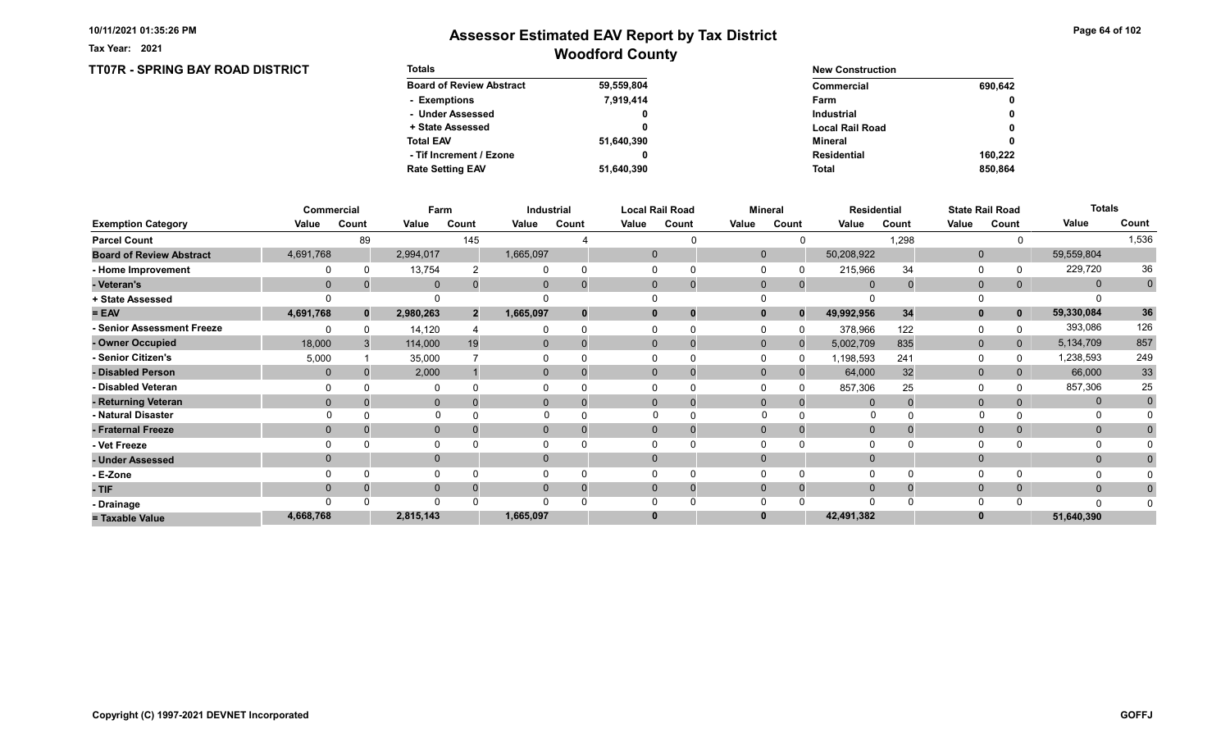Tax Year: 2021

### Woodford County Assessor Estimated EAV Report by Tax District

#### TT07R - SPRING BAY ROAD DISTRICT Totals Board of Review Abstract + State Assessed - Under Assessed - Exemptions Total EAV Rate Setting EAV - Tif Increment / Ezone 59,559,804 7,919,414 0 0 51,640,390 51,640,390 0 New Construction Commercial Local Rail Road Industrial Farm Mineral Total Residential 0 690,642 0 0 850,864 0 160,222

|                                 |           | Commercial   | Farm         |                |              | Industrial |       | <b>Local Rail Road</b>   |              | Mineral  |             | <b>Residential</b> |              | <b>State Rail Road</b> | <b>Totals</b> |             |
|---------------------------------|-----------|--------------|--------------|----------------|--------------|------------|-------|--------------------------|--------------|----------|-------------|--------------------|--------------|------------------------|---------------|-------------|
| <b>Exemption Category</b>       | Value     | Count        | Value        | Count          | Value        | Count      | Value | Count                    | Value        | Count    | Value       | Count              | Value        | Count                  | Value         | Count       |
| <b>Parcel Count</b>             |           | 89           |              | 145            |              |            |       | ∩                        |              |          |             | 1,298              |              |                        |               | 1,536       |
| <b>Board of Review Abstract</b> | 4,691,768 |              | 2,994,017    |                | 1,665,097    |            |       | $\mathbf{0}$             | $\mathbf 0$  |          | 50,208,922  |                    | $\mathbf{0}$ |                        | 59,559,804    |             |
| - Home Improvement              |           |              | 13,754       |                |              |            |       |                          |              |          | 215,966     | 34                 | 0            |                        | 229,720       | 36          |
| - Veteran's                     | $\Omega$  |              | $\mathbf{0}$ | $\Omega$       | $\Omega$     |            |       | $\mathbf{0}$<br>$\Omega$ | $\Omega$     | $\Omega$ | $\mathbf 0$ | $\Omega$           | $\mathbf{0}$ | $\mathbf{0}$           | $\mathbf{0}$  | $\mathbf 0$ |
| + State Assessed                |           |              |              |                |              |            |       |                          |              |          |             |                    | $\Omega$     |                        |               |             |
| $= EAV$                         | 4,691,768 | $\mathbf{0}$ | 2,980,263    | $\overline{2}$ | 1,665,097    |            |       | $\mathbf 0$              | $\mathbf{0}$ | $\Omega$ | 49,992,956  | 34                 | $\mathbf{0}$ | $\mathbf 0$            | 59,330,084    | 36          |
| - Senior Assessment Freeze      |           |              | 14,120       |                |              |            |       |                          |              |          | 378,966     | 122                | $\Omega$     |                        | 393,086       | 126         |
| - Owner Occupied                | 18,000    |              | 114,000      | 19             | $\mathbf{0}$ |            |       | $\Omega$                 | $\mathbf{0}$ | $\Omega$ | 5,002,709   | 835                | $\mathbf{0}$ | $\overline{0}$         | 5,134,709     | 857         |
| - Senior Citizen's              | 5,000     |              | 35,000       |                |              |            |       |                          |              |          | 1,198,593   | 241                | 0            |                        | 1,238,593     | 249         |
| - Disabled Person               | $\Omega$  |              | 2,000        |                | $\Omega$     |            |       | $\Omega$                 | $\Omega$     |          | 64,000      | 32                 | $\mathbf 0$  |                        | 66,000        | 33          |
| - Disabled Veteran              |           |              | $\Omega$     |                |              |            |       |                          |              |          | 857,306     | 25                 | $\Omega$     |                        | 857,306       | 25          |
| - Returning Veteran             | $\Omega$  |              | $\mathbf{0}$ | $\Omega$       | $\Omega$     |            |       | $\Omega$<br>$\Omega$     | $\Omega$     | $\Omega$ | $\Omega$    |                    | $\mathbf{0}$ | $\Omega$               | $\mathbf{0}$  | $\mathbf 0$ |
| - Natural Disaster              |           |              | $\Omega$     |                |              |            |       |                          |              |          | O           |                    |              |                        | O             |             |
| - Fraternal Freeze              | $\Omega$  |              | $\mathbf{0}$ |                | $\mathbf{0}$ |            |       | $\Omega$                 | $\Omega$     | $\Omega$ | $\mathbf 0$ |                    | $\mathbf{0}$ | $\mathbf{0}$           | $\mathbf{0}$  |             |
| - Vet Freeze                    |           |              | 0            |                | 0            |            |       | $\Omega$<br>∩            |              |          |             |                    | 0            |                        | $\Omega$      |             |
| - Under Assessed                |           |              | $\mathbf{0}$ |                | 0            |            |       | $\Omega$                 | $\Omega$     |          |             |                    | $\mathbf{0}$ |                        | $\mathbf 0$   |             |
| - E-Zone                        |           |              | $\Omega$     |                |              |            |       |                          |              |          |             |                    | $\Omega$     |                        | 0             |             |
| $-TIF$                          | $\Omega$  |              | $\mathbf{0}$ |                | $\mathbf{0}$ |            |       | $\mathbf{0}$             | $\Omega$     | $\Omega$ | $\mathbf 0$ |                    | $\mathbf{0}$ | $\overline{0}$         | $\mathbf{0}$  | $\Omega$    |
| - Drainage                      |           |              | $\Omega$     |                | ∩            |            |       |                          |              |          | $\cap$      |                    | $\Omega$     |                        | n             |             |
| = Taxable Value                 | 4,668,768 |              | 2,815,143    |                | 1,665,097    |            |       | $\bf{0}$                 |              |          | 42,491,382  |                    |              |                        | 51,640,390    |             |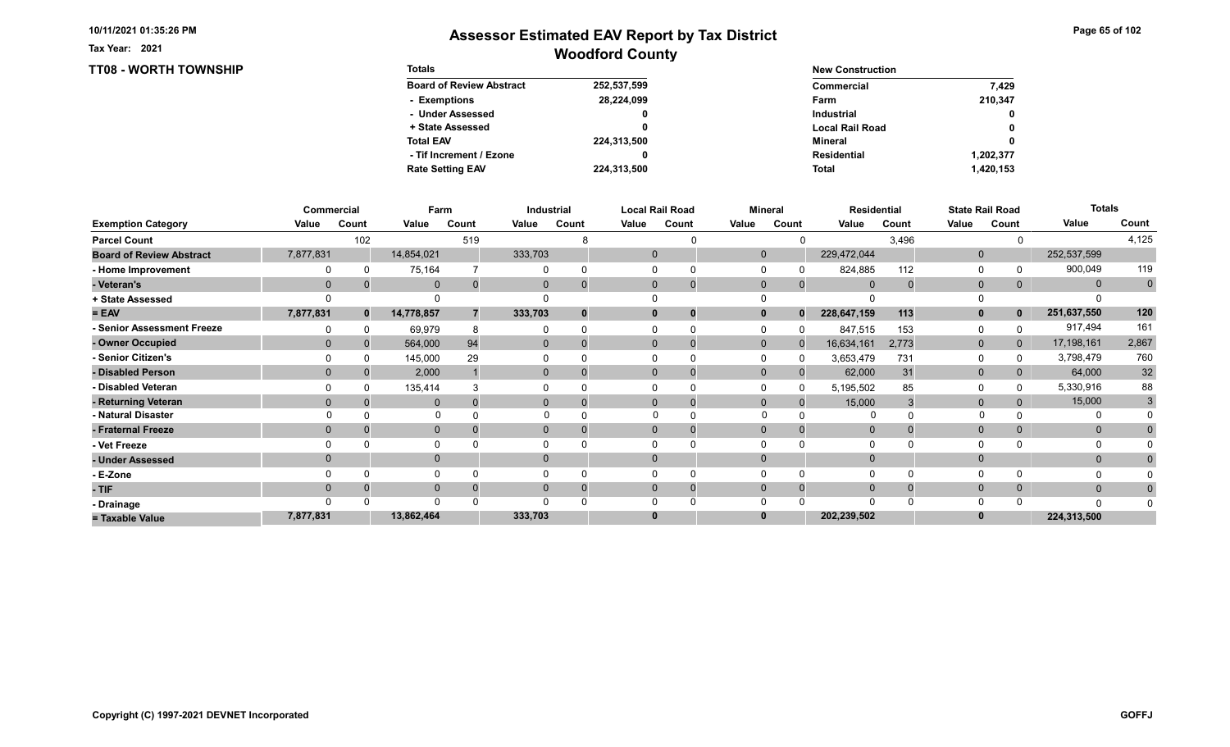#### Tax Year: 2021

### TT08 - WORTH TOWNSHIP

| Page 65 of 102 |  |  |  |  |
|----------------|--|--|--|--|
|----------------|--|--|--|--|

| <b>Totals</b>                   |             | <b>New Construction</b> |              |
|---------------------------------|-------------|-------------------------|--------------|
| <b>Board of Review Abstract</b> | 252,537,599 | Commercial              | 7.429        |
| - Exemptions                    | 28,224,099  | Farm                    | 210.347      |
| - Under Assessed                |             | <b>Industrial</b>       | $\mathbf{0}$ |
| + State Assessed                |             | <b>Local Rail Road</b>  | 0            |
| <b>Total EAV</b>                | 224,313,500 | Mineral                 | 0            |
| - Tif Increment / Ezone         |             | <b>Residential</b>      | 1,202,377    |
| <b>Rate Setting EAV</b>         | 224,313,500 | <b>Total</b>            | 1.420.153    |

|                                 |                | <b>Commercial</b> | Farm         |       |              | Industrial |          | <b>Local Rail Road</b>       |              | <b>Mineral</b> | <b>Residential</b> |       |              | <b>State Rail Road</b> | <b>Totals</b> |             |
|---------------------------------|----------------|-------------------|--------------|-------|--------------|------------|----------|------------------------------|--------------|----------------|--------------------|-------|--------------|------------------------|---------------|-------------|
| <b>Exemption Category</b>       | Value          | Count             | Value        | Count | Value        | Count      | Value    | Count                        | Value        | Count          | Value              | Count | Value        | Count                  | Value         | Count       |
| <b>Parcel Count</b>             |                | 102               |              | 519   |              |            |          |                              |              |                |                    | 3,496 |              |                        |               | 4,125       |
| <b>Board of Review Abstract</b> | 7,877,831      |                   | 14,854,021   |       | 333,703      |            |          | $\mathbf 0$                  | $\mathbf{0}$ |                | 229,472,044        |       | $\mathbf{0}$ |                        | 252,537,599   |             |
| - Home Improvement              |                |                   | 75,164       |       |              |            | $\Omega$ |                              |              |                | 824,885            | 112   | 0            |                        | 900,049       | 119         |
| - Veteran's                     | $\overline{0}$ |                   | $\mathbf{0}$ | 0     | $\mathbf{0}$ |            |          | $\mathbf{0}$<br>$\mathbf{0}$ | $\mathbf 0$  | $\Omega$       | $\Omega$           |       | $\mathbf{0}$ | 0                      | $\mathbf{0}$  | $\mathbf 0$ |
| + State Assessed                |                |                   |              |       |              |            |          |                              |              |                |                    |       | $\Omega$     |                        |               |             |
| $= EAV$                         | 7,877,831      | $\mathbf{0}$      | 14,778,857   |       | 333,703      |            |          | $\mathbf 0$                  | $\mathbf{0}$ | $\Omega$       | 228,647,159        | 113   | $\mathbf{0}$ | $\mathbf 0$            | 251,637,550   | 120         |
| - Senior Assessment Freeze      |                |                   | 69,979       |       |              |            |          |                              |              |                | 847,515            | 153   | 0            |                        | 917,494       | 161         |
| - Owner Occupied                | $\Omega$       |                   | 564,000      | 94    | $\mathbf{0}$ |            |          | $\Omega$                     | $\mathbf{0}$ | $\Omega$       | 16,634,161         | 2,773 | $\mathbf{0}$ | $\mathbf{0}$           | 17,198,161    | 2,867       |
| - Senior Citizen's              |                |                   | 145,000      | 29    |              |            |          |                              |              |                | 3,653,479          | 731   | 0            |                        | 3,798,479     | 760         |
| - Disabled Person               | $\Omega$       |                   | 2,000        |       | $\Omega$     |            |          | $\Omega$                     | $\Omega$     |                | 62,000             | 31    | $\mathbf{0}$ | $\Omega$               | 64,000        | $32\,$      |
| - Disabled Veteran              |                |                   | 135,414      |       |              |            | $\Omega$ |                              |              |                | 5,195,502          | 85    | 0            |                        | 5,330,916     | 88          |
| - Returning Veteran             | $\Omega$       |                   | $\Omega$     |       | $\Omega$     |            |          | $\Omega$<br>$\Omega$         | $\mathbf{0}$ | $\Omega$       | 15,000             |       | $\mathbf{0}$ |                        | 15,000        | 3           |
| - Natural Disaster              |                |                   | $\Omega$     |       |              |            |          |                              | $\Omega$     |                | O                  |       |              |                        |               |             |
| - Fraternal Freeze              | $\Omega$       |                   | $\mathbf{0}$ |       | $\mathbf{0}$ |            |          | $\mathbf{0}$                 | $\Omega$     |                | $\mathbf 0$        |       | $\mathbf{0}$ | $\mathbf{0}$           | $\mathbf{0}$  |             |
| - Vet Freeze                    |                |                   | $\Omega$     |       |              |            |          |                              |              |                |                    |       | $\Omega$     |                        | 0             |             |
| - Under Assessed                |                |                   | $\mathbf{0}$ |       | 0            |            |          | $\Omega$                     |              |                |                    |       | $\mathbf{0}$ |                        | $\mathbf{0}$  |             |
| - E-Zone                        |                |                   | $\Omega$     |       |              |            |          |                              |              |                |                    |       | $\Omega$     |                        |               |             |
| - TIF                           |                |                   | $\mathbf{0}$ |       |              |            |          | $\Omega$                     | $\Omega$     | $\Omega$       |                    |       | $\mathbf 0$  | $\Omega$               | $\Omega$      |             |
| - Drainage                      |                |                   | $\Omega$     |       |              |            |          |                              |              |                |                    |       | $\Omega$     |                        | $\Omega$      |             |
| = Taxable Value                 | 7,877,831      |                   | 13,862,464   |       | 333,703      |            | $\bf{0}$ |                              |              |                | 202,239,502        |       | $\bf{0}$     |                        | 224,313,500   |             |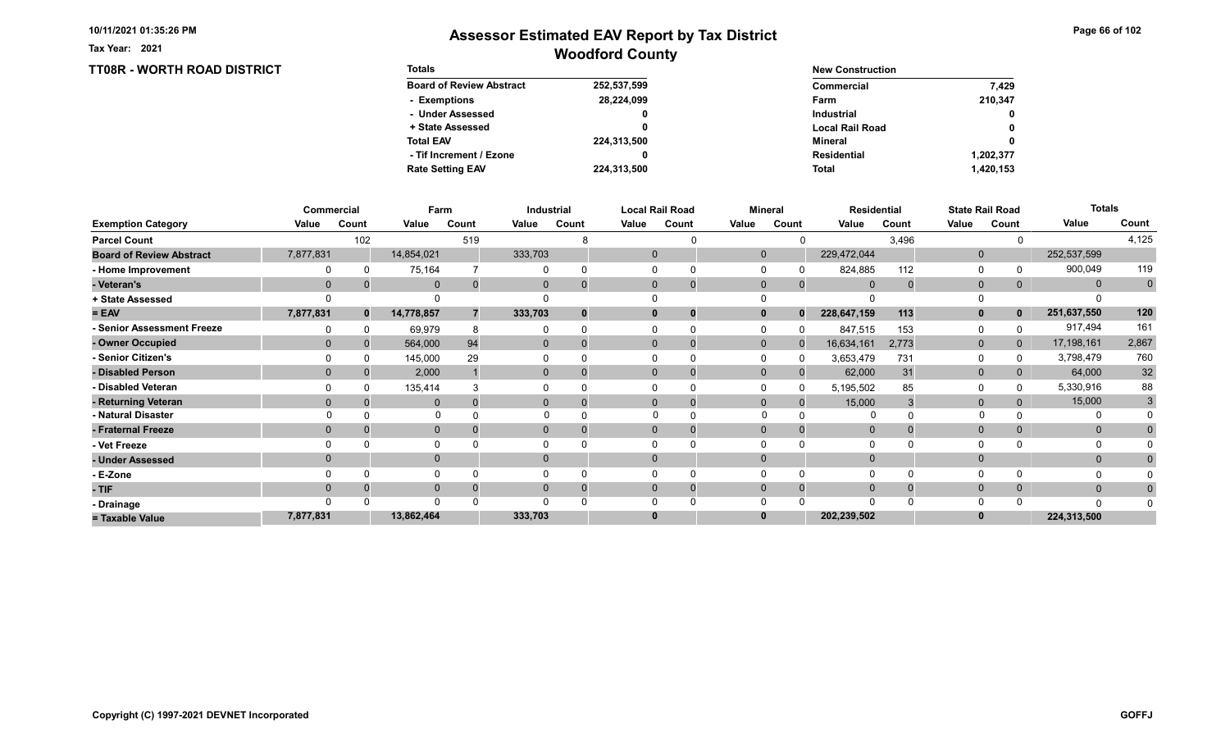TT08R - WORTH ROAD DISTRICT

Tax Year: 2021

| <b>Totals</b>                   |             | <b>New Construction</b> |              |
|---------------------------------|-------------|-------------------------|--------------|
| <b>Board of Review Abstract</b> | 252,537,599 | Commercial              | 7.429        |
| - Exemptions                    | 28,224,099  | Farm                    | 210.347      |
| - Under Assessed                | 0           | <b>Industrial</b>       | $\mathbf{0}$ |
| + State Assessed                |             | <b>Local Rail Road</b>  | 0            |
| <b>Total EAV</b>                | 224,313,500 | Mineral                 | 0            |
| - Tif Increment / Ezone         | 0           | <b>Residential</b>      | 1,202,377    |
| <b>Rate Setting EAV</b>         | 224,313,500 | <b>Total</b>            | 1,420,153    |

|                                 |                | Commercial   | Farm         |       |          | Industrial |       | <b>Local Rail Road</b>      |              | <b>Mineral</b> | <b>Residential</b> |       |              | <b>State Rail Road</b> | <b>Totals</b> |                |
|---------------------------------|----------------|--------------|--------------|-------|----------|------------|-------|-----------------------------|--------------|----------------|--------------------|-------|--------------|------------------------|---------------|----------------|
| <b>Exemption Category</b>       | Value          | Count        | Value        | Count | Value    | Count      | Value | Count                       | Value        | Count          | Value              | Count | Value        | Count                  | Value         | Count          |
| <b>Parcel Count</b>             |                | 102          |              | 519   |          |            |       |                             |              |                |                    | 3,496 |              |                        |               | 4,125          |
| <b>Board of Review Abstract</b> | 7,877,831      |              | 14,854,021   |       | 333,703  |            |       | $\mathbf 0$                 | $\Omega$     |                | 229,472,044        |       | $\mathbf{0}$ |                        | 252,537,599   |                |
| - Home Improvement              |                |              | 75,164       |       |          |            |       |                             |              |                | 824,885            | 112   | 0            |                        | 900,049       | 119            |
| - Veteran's                     | $\overline{0}$ |              | $\mathbf 0$  |       | 0        |            |       | $\mathbf{0}$<br>$\mathbf 0$ | $\mathbf 0$  | $\mathbf{0}$   | $\Omega$           |       | $\mathbf{0}$ | 0                      | $\mathbf{0}$  | $\overline{0}$ |
| + State Assessed                |                |              |              |       |          |            |       |                             |              |                |                    |       |              |                        |               |                |
| $= EAV$                         | 7,877,831      | $\mathbf{0}$ | 14,778,857   |       | 333,703  | $\bf{0}$   |       | $\bf{0}$<br>0               |              | $\bf{0}$       | 228,647,159        | 113   | $\mathbf{0}$ |                        | 251,637,550   | 120            |
| - Senior Assessment Freeze      |                |              | 69,979       |       |          |            |       |                             |              |                | 847,515            | 153   | 0            |                        | 917,494       | 161            |
| - Owner Occupied                | $\Omega$       |              | 564,000      | 94    | $\Omega$ | $\Omega$   |       | $\Omega$<br>0               | $\mathbf{0}$ | $\Omega$       | 16,634,161         | 2,773 | $\mathbf{0}$ | $\overline{0}$         | 17,198,161    | 2,867          |
| - Senior Citizen's              |                |              | 145,000      | 29    |          |            |       |                             |              |                | 3,653,479          | 731   | $\Omega$     |                        | 3,798,479     | 760            |
| - Disabled Person               |                |              | 2,000        |       | $\Omega$ |            |       | $\Omega$                    | $\Omega$     |                | 62,000             | 31    | $\mathbf{0}$ | 0                      | 64,000        | $32\,$         |
| - Disabled Veteran              |                |              | 135,414      |       |          |            |       | 0                           |              |                | 5,195,502          | 85    | $\Omega$     |                        | 5,330,916     | 88             |
| - Returning Veteran             |                |              | $\mathbf{0}$ |       | $\Omega$ |            |       | $\Omega$<br>$\mathbf 0$     | $\Omega$     | $\Omega$       | 15,000             |       | $\mathbf 0$  |                        | 15,000        | 3              |
| - Natural Disaster              |                |              | $\Omega$     |       |          |            |       | $\Omega$                    | $\Omega$     |                | 0                  |       |              |                        |               |                |
| - Fraternal Freeze              |                |              | $\mathbf 0$  |       | 0        |            |       | $\mathbf{0}$                | $\Omega$     |                | $\overline{0}$     |       | $\mathbf{0}$ |                        | $\mathbf{0}$  |                |
| - Vet Freeze                    |                |              | 0            |       |          |            |       |                             |              |                |                    |       | $\Omega$     |                        |               |                |
| - Under Assessed                |                |              | $\mathbf{0}$ |       | $\Omega$ |            |       | $\Omega$                    |              |                |                    |       | $\mathbf{0}$ |                        | $\mathbf{0}$  |                |
| - E-Zone                        |                |              | $\Omega$     |       |          |            |       |                             |              |                |                    |       | $\Omega$     |                        |               |                |
| - TIF                           |                |              | $\mathbf{0}$ |       |          |            |       | 0<br>0                      |              |                |                    |       | $\mathbf{0}$ |                        | $\mathbf{0}$  |                |
| - Drainage                      |                |              | $\Omega$     |       |          |            |       |                             |              |                | $\Omega$           |       | $\Omega$     |                        | $\Omega$      |                |
| = Taxable Value                 | 7,877,831      |              | 13,862,464   |       | 333,703  |            |       | 0                           |              |                | 202,239,502        |       | $\bf{0}$     |                        | 224,313,500   |                |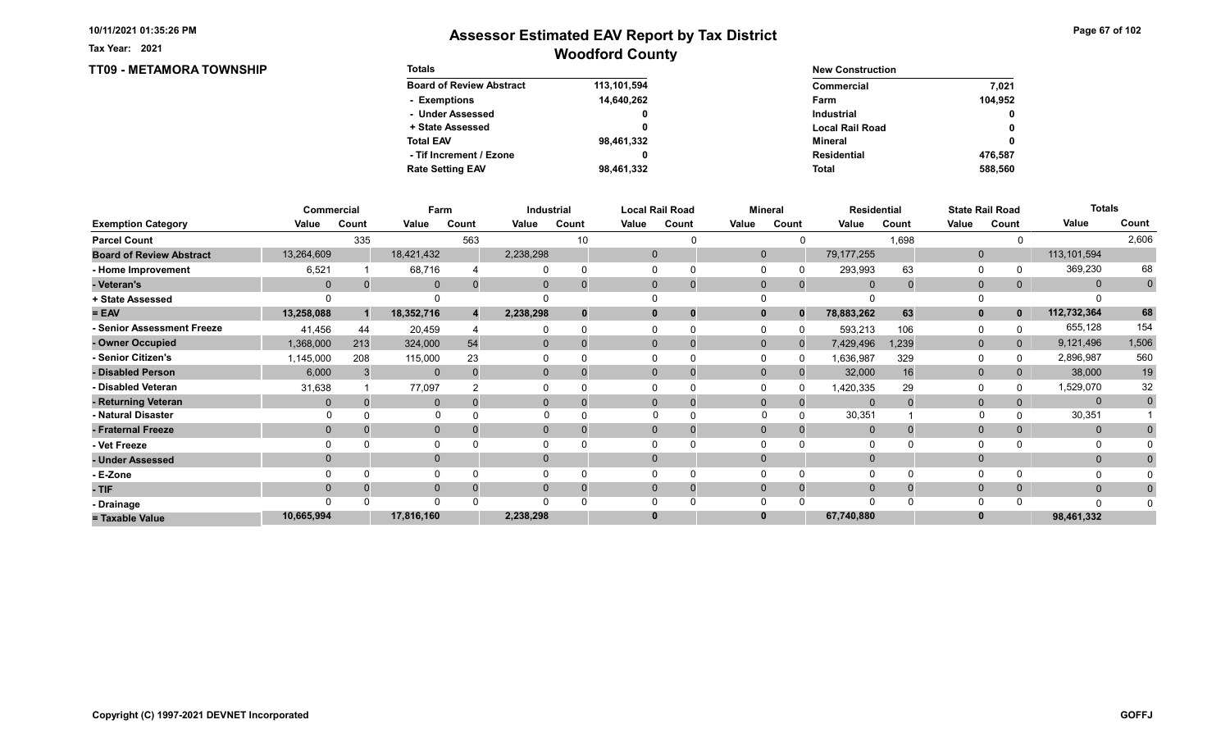Tax Year: 2021

| <b>TT09 - METAMORA TOWNSHIP</b> | <b>Totals</b>                   |             | <b>New Construction</b> |              |
|---------------------------------|---------------------------------|-------------|-------------------------|--------------|
|                                 | <b>Board of Review Abstract</b> | 113,101,594 | <b>Commercial</b>       | 7,021        |
|                                 | - Exemptions                    | 14,640,262  | Farm                    | 104,952      |
|                                 | - Under Assessed                |             | Industrial              | $\mathbf{0}$ |
|                                 | + State Assessed                |             | <b>Local Rail Road</b>  | $\mathbf{0}$ |
|                                 | <b>Total EAV</b>                | 98,461,332  | Mineral                 | $\mathbf{0}$ |
|                                 | - Tif Increment / Ezone         |             | <b>Residential</b>      | 476,587      |
|                                 | <b>Rate Setting EAV</b>         | 98,461,332  | <b>Total</b>            | 588,560      |

|                                 | Commercial     |          | Farm         |       | Industrial   |       | <b>Local Rail Road</b> |              |              | <b>Mineral</b> |                | <b>Residential</b> | <b>State Rail Road</b> |                | <b>Totals</b> |             |
|---------------------------------|----------------|----------|--------------|-------|--------------|-------|------------------------|--------------|--------------|----------------|----------------|--------------------|------------------------|----------------|---------------|-------------|
| <b>Exemption Category</b>       | Value          | Count    | Value        | Count | Value        | Count | Value                  | Count        | Value        | Count          | Value          | Count              | Value                  | Count          | Value         | Count       |
| <b>Parcel Count</b>             |                | 335      |              | 563   |              | 10    |                        |              |              |                |                | 1,698              |                        |                |               | 2,606       |
| <b>Board of Review Abstract</b> | 13,264,609     |          | 18,421,432   |       | 2,238,298    |       | $\mathbf 0$            |              | $\mathbf{0}$ |                | 79, 177, 255   |                    | $\mathbf{0}$           |                | 113,101,594   |             |
| - Home Improvement              | 6,521          |          | 68,716       |       |              |       | $\Omega$               |              |              |                | 293,993        | 63                 | 0                      |                | 369,230       | 68          |
| - Veteran's                     | $\overline{0}$ | 0        | $\mathbf{0}$ | 0     | $\mathbf{0}$ |       | $\mathbf{0}$           | $\mathbf{0}$ | $\mathbf 0$  | $\mathbf{0}$   | $\mathbf{0}$   |                    | $\mathbf{0}$           | $\overline{0}$ | $\mathbf{0}$  | $\mathbf 0$ |
| + State Assessed                |                |          |              |       |              |       |                        |              |              |                |                |                    | 0                      |                |               |             |
| $= EAV$                         | 13,258,088     |          | 18,352,716   |       | 2,238,298    |       | $\mathbf 0$            | 0            | $\mathbf{0}$ | $\Omega$       | 78,883,262     | 63                 | $\mathbf{0}$           | $\mathbf 0$    | 112,732,364   | 68          |
| - Senior Assessment Freeze      | 41,456         | 44       | 20,459       |       |              |       |                        |              |              |                | 593,213        | 106                | 0                      |                | 655,128       | 154         |
| - Owner Occupied                | 1,368,000      | 213      | 324,000      | 54    | $\mathbf{0}$ |       | $\Omega$               |              | $\mathbf{0}$ | $\Omega$       | 7,429,496      | 1,239              | $\mathbf{0}$           | $\mathbf{0}$   | 9,121,496     | 1,506       |
| - Senior Citizen's              | 1,145,000      | 208      | 115,000      | 23    |              |       |                        |              |              | <sup>0</sup>   | 1,636,987      | 329                | 0                      |                | 2,896,987     | 560         |
| - Disabled Person               | 6,000          |          | $\Omega$     |       | $\Omega$     |       | $\Omega$               |              | $\Omega$     |                | 32,000         | 16                 | $\mathbf{0}$           |                | 38,000        | 19          |
| - Disabled Veteran              | 31,638         |          | 77,097       |       |              |       | $\Omega$               |              |              |                | 1,420,335      | 29                 | 0                      |                | 1,529,070     | 32          |
| - Returning Veteran             | 0              | $\Omega$ | $\Omega$     |       | $\Omega$     |       | $\Omega$               | $\Omega$     | $\Omega$     | $\Omega$       | $\Omega$       |                    | $\mathbf{0}$           |                | $\mathbf{0}$  | $\mathbf 0$ |
| - Natural Disaster              |                |          | $\Omega$     |       |              |       |                        |              | $\Omega$     |                | 30,351         |                    | $\Omega$               |                | 30,351        |             |
| - Fraternal Freeze              | $\Omega$       |          | $\mathbf{0}$ |       | $\mathbf{0}$ |       | $\mathbf{0}$           |              | $\mathbf 0$  |                | $\overline{0}$ |                    | $\mathbf{0}$           | 0              | $\mathbf{0}$  |             |
| - Vet Freeze                    |                |          | $\Omega$     |       |              |       |                        |              |              |                |                |                    | $\Omega$               |                | 0             |             |
| - Under Assessed                | $\Omega$       |          | $\mathbf{0}$ |       | $\Omega$     |       | $\Omega$               |              | $\Omega$     |                |                |                    | $\mathbf{0}$           |                | $\mathbf{0}$  |             |
| - E-Zone                        |                |          | $\Omega$     |       |              |       |                        |              |              |                |                |                    | $\Omega$               |                |               |             |
| - TIF                           | $\Omega$       |          | $\mathbf{0}$ |       |              |       | $\Omega$               |              | $\Omega$     | $\Omega$       |                |                    | $\mathbf 0$            | $\Omega$       | $\mathbf{0}$  |             |
| - Drainage                      |                |          | $\Omega$     |       |              |       |                        |              |              |                |                |                    | $\Omega$               |                | $\Omega$      |             |
| = Taxable Value                 | 10,665,994     |          | 17,816,160   |       | 2,238,298    |       | $\bf{0}$               |              |              |                | 67,740,880     |                    | $\bf{0}$               |                | 98,461,332    |             |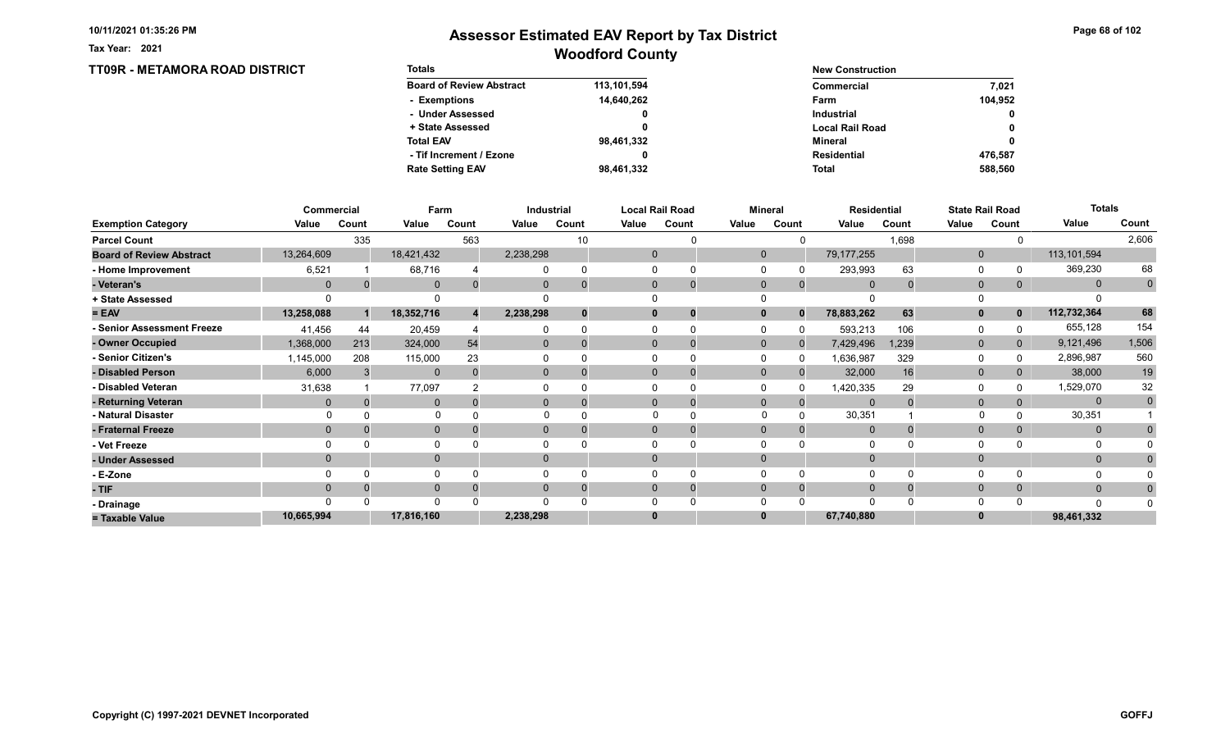Tax Year: 2021

### Woodford County Assessor Estimated EAV Report by Tax District

Page 68 of 102

0 0

0

#### TT09R - METAMORA ROAD DISTRICT Totals Board of Review Abstract + State Assessed - Under Assessed - Exemptions Total EAV Rate Setting EAV - Tif Increment / Ezone 113,101,594 14,640,262 0 0 98,461,332 98,461,332 0 New Construction Commercial Local Rail Road Industrial Farm Mineral Total Residential 104,952 7,021 588,560 476,587

|                                 |                | Commercial |              | Farm  | Industrial     |          |       | Local Rail Road |              | <b>Mineral</b> | <b>Residential</b> |       |              | <b>State Rail Road</b> | <b>Totals</b> |                |
|---------------------------------|----------------|------------|--------------|-------|----------------|----------|-------|-----------------|--------------|----------------|--------------------|-------|--------------|------------------------|---------------|----------------|
| <b>Exemption Category</b>       | Value          | Count      | Value        | Count | Value          | Count    | Value | Count           | Value        | Count          | Value              | Count | Value        | Count                  | Value         | Count          |
| <b>Parcel Count</b>             |                | 335        |              | 563   |                | 10       |       |                 |              |                |                    | 1,698 |              |                        |               | 2,606          |
| <b>Board of Review Abstract</b> | 13,264,609     |            | 18,421,432   |       | 2,238,298      |          |       | 0               | $\mathbf{0}$ |                | 79, 177, 255       |       | $\mathbf{0}$ |                        | 113, 101, 594 |                |
| - Home Improvement              | 6,521          |            | 68,716       |       |                | $\Omega$ |       |                 |              |                | 293,993            | 63    | 0            |                        | 369,230       | 68             |
| - Veteran's                     | $\mathbf 0$    |            | $\mathbf{0}$ |       | 0              | $\Omega$ |       | $\mathbf 0$     | $\mathbf{0}$ | $\mathbf{0}$   | $\mathbf 0$        |       | $\mathbf{0}$ | 0                      | $\mathbf{0}$  | $\overline{0}$ |
| + State Assessed                |                |            |              |       |                |          |       |                 |              |                |                    |       |              |                        |               |                |
| $= EAV$                         | 13,258,088     |            | 18,352,716   |       | 2,238,298      | $\bf{0}$ |       | 0               |              | $\bf{0}$       | 78,883,262         | 63    | $\mathbf{0}$ |                        | 112,732,364   | 68             |
| <b>Senior Assessment Freeze</b> | 41,456         | 44         | 20,459       |       |                | $\Omega$ |       | $\Omega$        |              |                | 593,213            | 106   | 0            |                        | 655,128       | 154            |
| - Owner Occupied                | 1,368,000      | 213        | 324,000      | 54    | $\overline{0}$ | $\Omega$ |       | $\mathbf 0$     | $\Omega$     | <sup>0</sup>   | 7,429,496          | 1,239 | $\mathbf{0}$ | 0                      | 9,121,496     | 1,506          |
| - Senior Citizen's              | 1,145,000      | 208        | 115,000      | 23    |                |          |       |                 |              | O              | 1,636,987          | 329   | $\Omega$     |                        | 2,896,987     | 560            |
| - Disabled Person               | 6,000          |            | $\mathbf{0}$ |       | $\overline{0}$ |          |       | 0               | $\Omega$     |                | 32,000             | 16    | $\mathbf{0}$ |                        | 38,000        | $19$           |
| - Disabled Veteran              | 31,638         |            | 77,097       |       |                |          |       |                 |              |                | 1,420,335          | 29    | $\Omega$     |                        | 1,529,070     | 32             |
| - Returning Veteran             | $\mathbf{0}$   |            | $\mathbf 0$  |       | $\overline{0}$ | 0        |       | $\mathbf 0$     | $\mathbf{0}$ |                | $\Omega$           |       | $\mathbf 0$  |                        | $\mathbf{0}$  | $\mathbf 0$    |
| - Natural Disaster              |                |            |              |       |                |          |       | $\Omega$        | $\Omega$     |                | 30,351             |       |              |                        | 30,351        |                |
| - Fraternal Freeze              | $\overline{0}$ |            | $\mathbf{0}$ |       | $\overline{0}$ | 0        |       | 0               | $\Omega$     |                | $\overline{0}$     |       | $\mathbf{0}$ | 0                      | $\mathbf{0}$  |                |
| - Vet Freeze                    |                |            | 0            |       |                |          |       | U               |              |                | $\Omega$           |       | 0            |                        | 0             |                |
| - Under Assessed                |                |            | $\mathbf{0}$ |       | $\Omega$       |          |       |                 |              |                |                    |       | $\mathbf{0}$ |                        | $\mathbf{0}$  |                |
| - E-Zone                        |                |            | $\Omega$     |       |                |          |       |                 |              |                |                    |       | $\Omega$     |                        | O             |                |
| - TIF                           | $\Omega$       |            | $\mathbf{0}$ |       | $\Omega$       | $\Omega$ |       | 0               | $\Omega$     | $\Omega$       | $\Omega$           |       | $\mathbf 0$  |                        | $\mathbf{0}$  | 0              |
| - Drainage                      | $\Omega$       |            | $\Omega$     |       | ∩              |          |       |                 |              |                | $\Omega$           |       | $\Omega$     |                        | n             |                |
| = Taxable Value                 | 10,665,994     |            | 17,816,160   |       | 2,238,298      |          |       |                 |              |                | 67,740,880         |       | $\bf{0}$     |                        | 98,461,332    |                |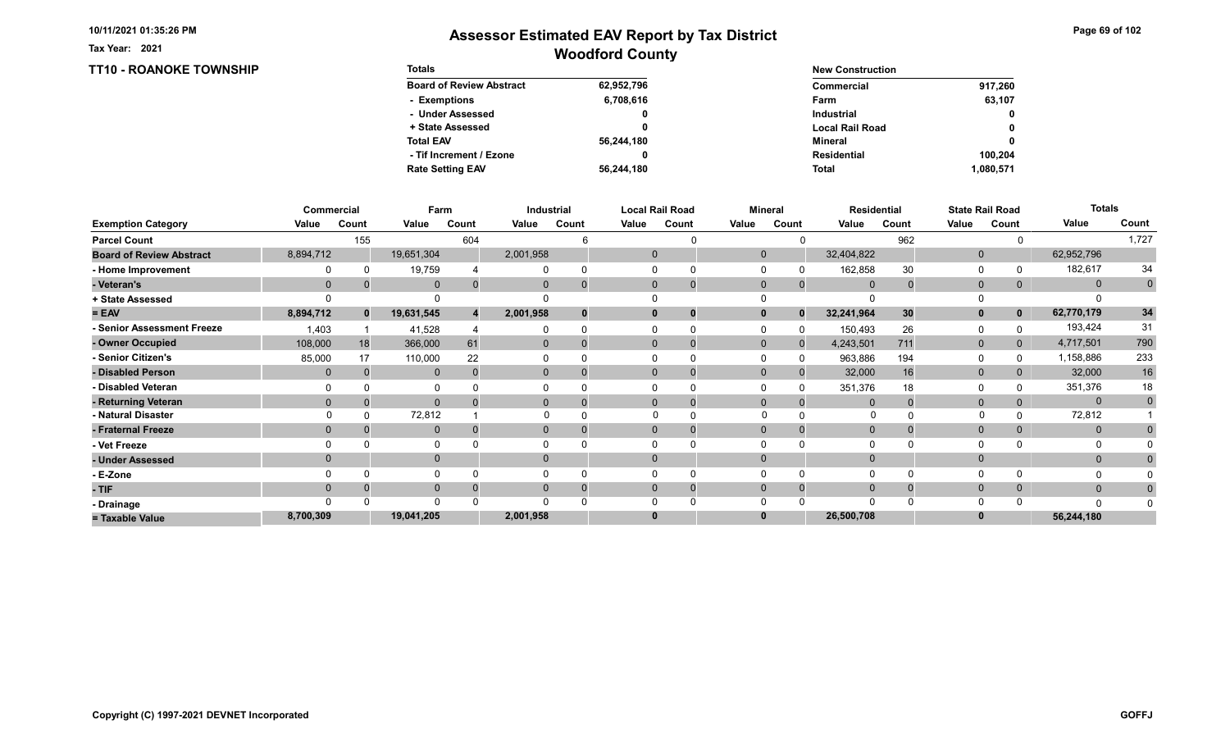TT10 - ROANOKE TOWNSHIP

Tax Year: 2021

| <b>Totals</b>                   |            | <b>New Construction</b> |             |
|---------------------------------|------------|-------------------------|-------------|
| <b>Board of Review Abstract</b> | 62,952,796 | Commercial              | 917,260     |
| - Exemptions                    | 6,708,616  | Farm                    | 63.107      |
| - Under Assessed                | 0          | Industrial              | $\mathbf 0$ |
| + State Assessed                |            | <b>Local Rail Road</b>  | $\mathbf 0$ |
| <b>Total EAV</b>                | 56,244,180 | Mineral                 | $\mathbf 0$ |
| - Tif Increment / Ezone         |            | Residential             | 100.204     |
| <b>Rate Setting EAV</b>         | 56,244,180 | <b>Total</b>            | 1,080,571   |

|                                 |           | <b>Commercial</b> | Farm         |       | Industrial     |          |          | <b>Local Rail Road</b>        |                | <b>Mineral</b> | Residential |       |                | <b>State Rail Road</b> | <b>Totals</b> |             |
|---------------------------------|-----------|-------------------|--------------|-------|----------------|----------|----------|-------------------------------|----------------|----------------|-------------|-------|----------------|------------------------|---------------|-------------|
| <b>Exemption Category</b>       | Value     | Count             | Value        | Count | Value          | Count    | Value    | Count                         | Value          | Count          | Value       | Count | Value          | Count                  | Value         | Count       |
| <b>Parcel Count</b>             |           | 155               |              | 604   |                |          |          |                               |                |                |             | 962   |                |                        |               | 1,727       |
| <b>Board of Review Abstract</b> | 8,894,712 |                   | 19,651,304   |       | 2,001,958      |          |          | $\mathbf{0}$                  | $\mathbf 0$    |                | 32,404,822  |       | $\mathbf{0}$   |                        | 62,952,796    |             |
| - Home Improvement              |           |                   | 19,759       |       |                | $\Omega$ |          |                               |                |                | 162,858     | 30    | $\Omega$       |                        | 182,617       | 34          |
| - Veteran's                     |           |                   | $\mathbf{0}$ |       |                |          |          | $\overline{0}$<br>$\mathbf 0$ | $\mathbf 0$    | $\mathbf{0}$   | $\Omega$    |       | $\mathbf{0}$   | 0                      | $\mathbf{0}$  | $\mathbf 0$ |
| + State Assessed                |           |                   |              |       |                |          |          |                               |                |                |             |       |                |                        |               |             |
| $= EAV$                         | 8,894,712 | $\mathbf{0}$      | 19,631,545   |       | 2,001,958      |          |          |                               |                | $\Omega$       | 32,241,964  | 30    | $\mathbf{0}$   |                        | 62,770,179    | 34          |
| - Senior Assessment Freeze      | 1,403     |                   | 41,528       |       |                |          |          |                               |                |                | 150,493     | 26    | $\Omega$       |                        | 193,424       | 31          |
| - Owner Occupied                | 108,000   | 18                | 366,000      | 61    | $\overline{0}$ | $\Omega$ |          | $\Omega$<br>$\mathbf 0$       | $\overline{0}$ | $\Omega$       | 4,243,501   | 711   | $\mathbf 0$    | $\mathbf{0}$           | 4,717,501     | 790         |
| - Senior Citizen's              | 85,000    | 17                | 110,000      | 22    |                |          |          | 0                             |                |                | 963,886     | 194   | 0              |                        | 1,158,886     | 233         |
| - Disabled Person               | $\Omega$  |                   | $\mathbf{0}$ |       | $\Omega$       |          |          | $\Omega$<br>0                 | $\Omega$       |                | 32,000      | 16    | $\mathbf{0}$   | 0                      | 32,000        | $16\,$      |
| - Disabled Veteran              |           |                   | $\Omega$     |       |                |          |          |                               |                |                | 351,376     | 18    | $\Omega$       |                        | 351,376       | 18          |
| - Returning Veteran             |           |                   | $\mathbf{0}$ |       | 0              |          |          | $\Omega$<br>0                 | $\Omega$       |                | $\Omega$    |       | $\overline{0}$ |                        | $\mathbf{0}$  | $\mathbf 0$ |
| - Natural Disaster              |           |                   | 72,812       |       |                |          |          |                               | $\Omega$       |                | 0           |       |                |                        | 72,812        |             |
| - Fraternal Freeze              | $\Omega$  |                   | $\mathbf 0$  |       |                |          |          | $\mathbf{0}$                  | $\Omega$       |                | $\mathbf 0$ |       | $\mathbf{0}$   | 0                      | $\mathbf{0}$  | $\mathbf 0$ |
| - Vet Freeze                    |           |                   | 0            |       |                |          |          |                               |                |                |             |       | $\Omega$       |                        | 0             |             |
| - Under Assessed                |           |                   | $\mathbf{0}$ |       | $\Omega$       |          | $\Omega$ |                               |                |                |             |       | $\mathbf{0}$   |                        | $\mathbf{0}$  |             |
| - E-Zone                        |           |                   | $\Omega$     |       |                |          |          |                               |                |                |             |       | $\Omega$       |                        |               |             |
| - TIF                           | $\Omega$  |                   | $\mathbf 0$  |       |                |          |          | $\Omega$<br>0                 | $\Omega$       |                | $\Omega$    |       | $\mathbf{0}$   | 0                      | $\mathbf{0}$  | $\Omega$    |
| - Drainage                      |           |                   | $\Omega$     |       |                |          |          |                               |                |                |             |       | $\Omega$       |                        | $\Omega$      |             |
| = Taxable Value                 | 8,700,309 |                   | 19,041,205   |       | 2,001,958      |          | 0        |                               |                |                | 26,500,708  |       | 0              |                        | 56,244,180    |             |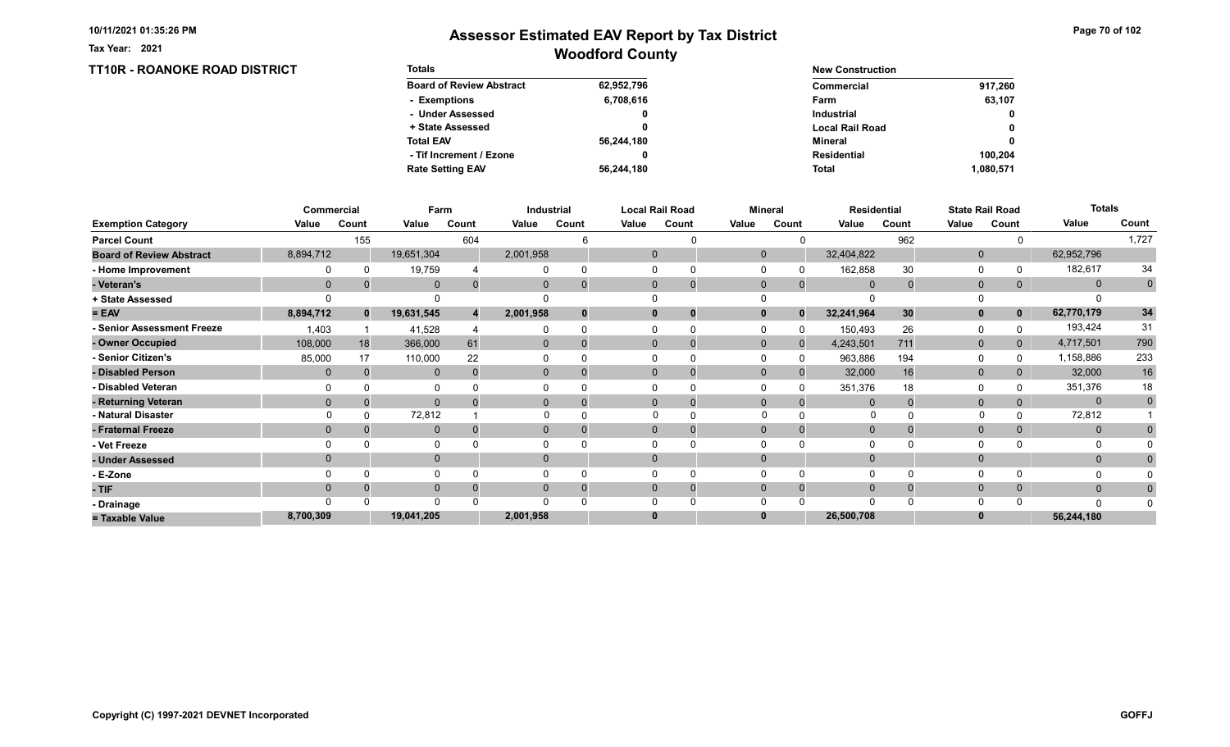Tax Year: 2021

### Woodford County Assessor Estimated EAV Report by Tax District

Page 70 of 102

#### TT10R - ROANOKE ROAD DISTRICT Totals Board of Review Abstract + State Assessed - Under Assessed - Exemptions Total EAV Rate Setting EAV - Tif Increment / Ezone 62,952,796 6,708,616 0 0 56,244,180 56,244,180 0 New Construction Commercial Local Rail Road Industrial Farm Mineral Total Residential 63,107 917,260 0 0 1,080,571 0 100,204

|                                 |              | Commercial   | Farm           |       | Industrial     |          | <b>Local Rail Road</b><br><b>Mineral</b> |             |              | <b>Residential</b> | <b>State Rail Road</b> |       | <b>Totals</b> |                |              |              |
|---------------------------------|--------------|--------------|----------------|-------|----------------|----------|------------------------------------------|-------------|--------------|--------------------|------------------------|-------|---------------|----------------|--------------|--------------|
| <b>Exemption Category</b>       | Value        | Count        | Value          | Count | Value          | Count    | Value                                    | Count       | Value        | Count              | Value                  | Count | Value         | Count          | Value        | Count        |
| <b>Parcel Count</b>             |              | 155          |                | 604   |                |          |                                          |             |              |                    |                        | 962   |               |                |              | 1,727        |
| <b>Board of Review Abstract</b> | 8,894,712    |              | 19,651,304     |       | 2,001,958      |          | $\mathbf{0}$                             |             | $\mathbf{0}$ |                    | 32,404,822             |       | $\mathbf 0$   |                | 62,952,796   |              |
| - Home Improvement              |              |              | 19,759         |       |                | $\Omega$ |                                          |             |              |                    | 162,858                | 30    | $\Omega$      |                | 182,617      | 34           |
| - Veteran's                     | $\mathbf{0}$ |              | $\mathbf{0}$   |       | $\overline{0}$ | $\Omega$ | $\Omega$                                 | $\mathbf 0$ | $\mathbf{0}$ | $\mathbf{0}$       | $\overline{0}$         |       | $\mathbf{0}$  | 0              | $\mathbf{0}$ | $\mathbf{0}$ |
| + State Assessed                |              |              |                |       |                |          |                                          |             |              |                    |                        |       |               |                |              |              |
| $= EAV$                         | 8,894,712    | $\mathbf{0}$ | 19,631,545     |       | 2,001,958      | $\bf{0}$ |                                          | 0           | $\mathbf{0}$ | $\bf{0}$           | 32,241,964             | 30    | $\mathbf{0}$  | 0              | 62,770,179   | 34           |
| - Senior Assessment Freeze      | 1,403        |              | 41,528         |       |                | $\Omega$ |                                          | $\Omega$    |              |                    | 150,493                | 26    | 0             |                | 193,424      | 31           |
| - Owner Occupied                | 108,000      | 18           | 366,000        | 61    | $\overline{0}$ | $\Omega$ |                                          | $\mathbf 0$ | $\Omega$     |                    | 4,243,501              | 711   | $\mathbf{0}$  | $\overline{0}$ | 4,717,501    | 790          |
| - Senior Citizen's              | 85,000       | 17           | 110,000        | 22    |                |          |                                          |             |              | O                  | 963,886                | 194   | $\Omega$      |                | 1,158,886    | 233          |
| - Disabled Person               | $\mathbf{0}$ |              | $\overline{0}$ |       | 0              |          |                                          | $\Omega$    | $\Omega$     |                    | 32,000                 | 16    | $\mathbf{0}$  |                | 32,000       | $16\,$       |
| - Disabled Veteran              |              |              | $\Omega$       |       |                |          |                                          |             |              |                    | 351,376                | 18    | $\Omega$      |                | 351,376      | 18           |
| - Returning Veteran             | $\Omega$     |              | $\Omega$       |       | $\overline{0}$ | $\Omega$ |                                          | $\mathbf 0$ | $\mathbf{0}$ | 0                  | $\Omega$               |       | $\mathbf{0}$  |                | $\mathbf{0}$ | $\mathbf 0$  |
| - Natural Disaster              |              |              | 72,812         |       |                |          |                                          |             |              |                    | $\Omega$               |       |               |                | 72,812       |              |
| - Fraternal Freeze              | $\mathbf{0}$ |              | $\mathbf 0$    |       | $\overline{0}$ | 0        | $\Omega$                                 | 0           | $\Omega$     |                    | $\mathbf{0}$           |       | $\mathbf{0}$  | 0              | $\mathbf{0}$ |              |
| - Vet Freeze                    |              |              | $\Omega$       |       |                |          |                                          | $\Omega$    |              |                    | $\Omega$               |       | $\Omega$      |                | 0            |              |
| - Under Assessed                | $\Omega$     |              | $\mathbf 0$    |       | $\Omega$       |          |                                          |             |              |                    |                        |       | $\mathbf{0}$  |                | $\mathbf{0}$ |              |
| - E-Zone                        |              |              | $\Omega$       |       |                |          |                                          |             |              |                    |                        |       | $\Omega$      |                |              |              |
| - TIF                           | $\Omega$     |              | $\mathbf{0}$   |       | 0              | $\Omega$ |                                          | 0           |              |                    | $\Omega$               |       | $\mathbf{0}$  |                | $\mathbf{0}$ |              |
| - Drainage                      |              |              | $\Omega$       |       |                |          |                                          |             |              |                    | $\Omega$               |       | $\Omega$      |                | $\Omega$     |              |
| = Taxable Value                 | 8,700,309    |              | 19,041,205     |       | 2,001,958      |          |                                          |             |              |                    | 26,500,708             |       | $\bf{0}$      |                | 56,244,180   |              |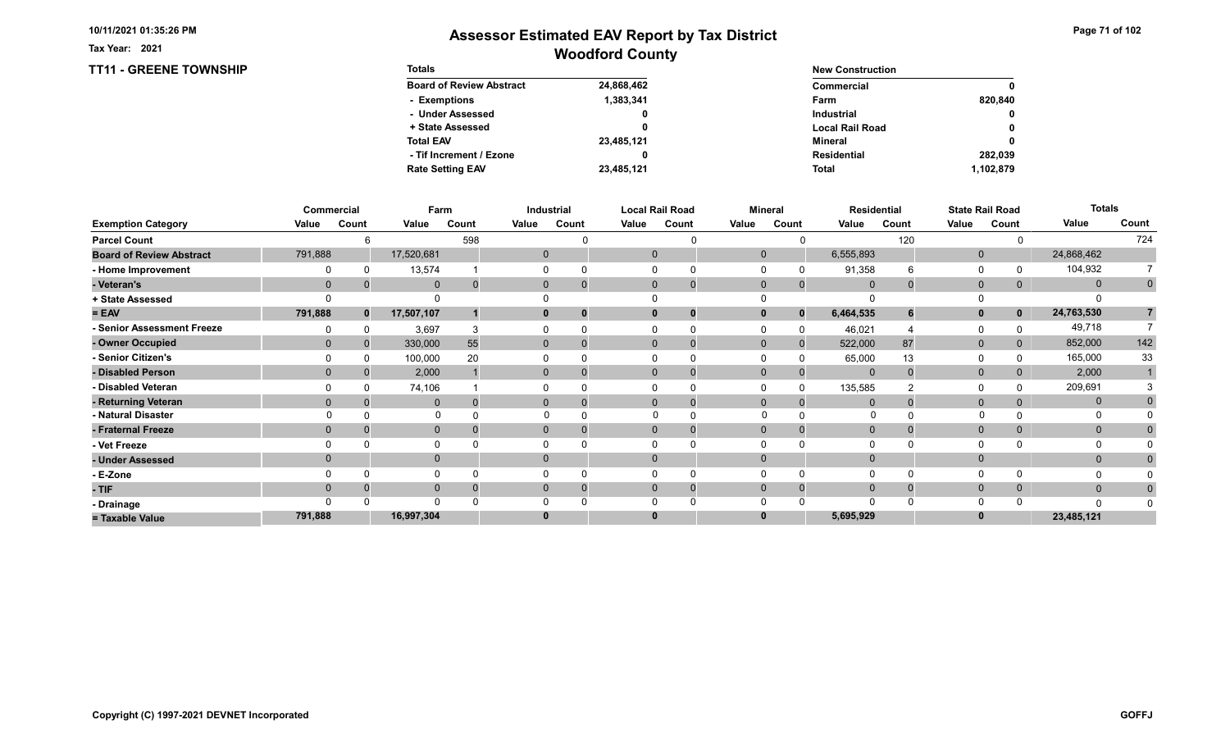TT11 - GREENE TOWNSHIP

Tax Year: 2021

| <b>Totals</b>                   |            | <b>New Construction</b> |              |
|---------------------------------|------------|-------------------------|--------------|
| <b>Board of Review Abstract</b> | 24,868,462 | Commercial              | 0            |
| - Exemptions                    | 1,383,341  | Farm                    | 820.840      |
| - Under Assessed                | 0          | <b>Industrial</b>       | $\mathbf{0}$ |
| + State Assessed                |            | <b>Local Rail Road</b>  | 0            |
| <b>Total EAV</b>                | 23,485,121 | Mineral                 | 0            |
| - Tif Increment / Ezone         |            | <b>Residential</b>      | 282.039      |
| <b>Rate Setting EAV</b>         | 23.485.121 | <b>Total</b>            | 1,102,879    |

|                                 |          | Commercial   | Farm         |          |       | Industrial     |       | <b>Local Rail Road</b>        |              | <b>Mineral</b> |                | <b>Residential</b> |              | <b>State Rail Road</b> | <b>Totals</b> |                |
|---------------------------------|----------|--------------|--------------|----------|-------|----------------|-------|-------------------------------|--------------|----------------|----------------|--------------------|--------------|------------------------|---------------|----------------|
| <b>Exemption Category</b>       | Value    | Count        | Value        | Count    | Value | Count          | Value | Count                         | Value        | Count          | Value          | Count              | Value        | Count                  | Value         | Count          |
| <b>Parcel Count</b>             |          |              |              | 598      |       |                |       |                               |              |                |                | 120                |              |                        |               | 724            |
| <b>Board of Review Abstract</b> | 791,888  |              | 17,520,681   |          |       | 0              |       | $\mathbf 0$                   | $\mathbf 0$  |                | 6,555,893      |                    | $\mathbf 0$  |                        | 24,868,462    |                |
| - Home Improvement              |          | $\Omega$     | 13,574       |          |       |                |       | 0                             |              |                | 91,358         | 6                  | 0            |                        | 104,932       |                |
| - Veteran's                     | $\Omega$ |              | $\mathbf 0$  | $\Omega$ |       | 0              |       | $\mathbf 0$<br>$\overline{0}$ | $\mathbf 0$  | $\mathbf 0$    | $\overline{0}$ | $\Omega$           | $\mathbf 0$  | $\mathbf{0}$           | $\mathbf{0}$  | $\mathbf 0$    |
| + State Assessed                |          |              |              |          |       |                |       |                               |              |                |                |                    |              |                        |               |                |
| $= EAV$                         | 791,888  | $\mathbf{0}$ | 17,507,107   |          |       |                |       | $\bf{0}$                      |              | $\Omega$       | 6,464,535      |                    | $\mathbf{0}$ | $\mathbf{0}$           | 24,763,530    | $\overline{7}$ |
| - Senior Assessment Freeze      |          |              | 3,697        | 3        |       |                |       |                               |              |                | 46,021         |                    | 0            |                        | 49,718        |                |
| - Owner Occupied                | $\Omega$ | $\Omega$     | 330,000      | 55       |       | $\overline{0}$ |       | $\mathbf{0}$                  | $\mathbf{0}$ | $\Omega$       | 522,000        | 87                 | $\mathbf{0}$ | $\mathbf{0}$           | 852,000       | 142            |
| - Senior Citizen's              |          |              | 100,000      | 20       |       |                |       |                               |              |                | 65,000         | 13                 | $\Omega$     |                        | 165,000       | 33             |
| - Disabled Person               | $\Omega$ |              | 2,000        |          |       | $\overline{0}$ |       | $\Omega$                      | $\Omega$     |                | $\mathbf{0}$   | $\Omega$           | $\mathbf{0}$ |                        | 2,000         |                |
| - Disabled Veteran              |          |              | 74,106       |          |       |                |       | $\Omega$                      |              |                | 135,585        |                    | 0            |                        | 209,691       |                |
| - Returning Veteran             | $\Omega$ |              | $\mathbf{0}$ |          |       | $\overline{0}$ |       | $\Omega$<br>$\overline{0}$    | $\Omega$     | $\Omega$       | $\Omega$       |                    | $\mathbf{0}$ | 0                      | $\mathbf{0}$  |                |
| - Natural Disaster              |          |              | $\Omega$     |          |       |                |       |                               | $\Omega$     |                | 0              |                    | $\Omega$     |                        | 0             |                |
| - Fraternal Freeze              | $\Omega$ |              | $\mathbf 0$  |          |       | $\mathbf{0}$   |       | $\mathbf{0}$                  | $\mathbf 0$  |                | $\mathbf 0$    |                    | $\mathbf 0$  | $\mathbf{0}$           | $\mathbf{0}$  |                |
| - Vet Freeze                    |          |              | $\Omega$     |          |       |                |       |                               |              |                |                |                    | $\Omega$     |                        | 0             |                |
| - Under Assessed                | $\Omega$ |              | $\mathbf{0}$ |          |       | $\Omega$       |       | $\mathbf{0}$                  | $\Omega$     |                |                |                    | $\mathbf{0}$ |                        | $\mathbf{0}$  |                |
| - E-Zone                        |          |              | $\Omega$     |          |       |                |       |                               |              |                |                | $\Omega$           | $\Omega$     |                        |               |                |
| - TIF                           | $\Omega$ |              | $\mathbf{0}$ |          |       |                |       | $\Omega$                      | $\Omega$     | $\Omega$       | $\Omega$       |                    | $\mathbf 0$  | 0                      | $\mathbf{0}$  |                |
| - Drainage                      |          |              | $\Omega$     |          |       |                |       |                               |              |                |                |                    | $\Omega$     |                        | $\Omega$      |                |
| = Taxable Value                 | 791,888  |              | 16,997,304   |          |       |                |       | $\bf{0}$                      |              |                | 5,695,929      |                    | $\bf{0}$     |                        | 23,485,121    |                |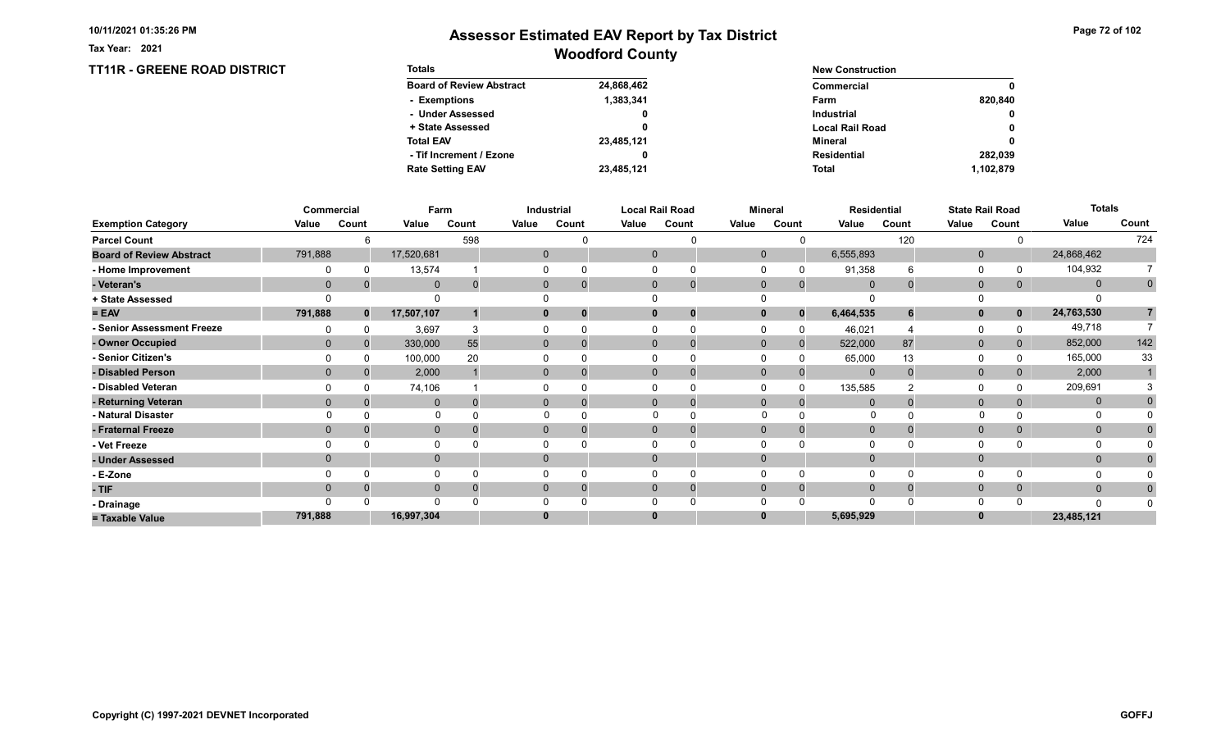Tax Year: 2021

### Woodford County Assessor Estimated EAV Report by Tax District

#### TT11R - GREENE ROAD DISTRICT Totals Board of Review Abstract + State Assessed - Under Assessed - Exemptions Total EAV Rate Setting EAV - Tif Increment / Ezone 24,868,462 1,383,341 0 0 23,485,121 23,485,121 0 New Construction Commercial Local Rail Road Industrial Farm Mineral Total Residential 820,840 0 0 0 1,102,879 0 282,039

|                                 | Commercial   |              | Farm         |          |       | Industrial   |       | <b>Local Rail Road</b>         |             | Mineral                  |              | <b>Residential</b> |              | <b>State Rail Road</b> | <b>Totals</b> |             |
|---------------------------------|--------------|--------------|--------------|----------|-------|--------------|-------|--------------------------------|-------------|--------------------------|--------------|--------------------|--------------|------------------------|---------------|-------------|
| <b>Exemption Category</b>       | Value        | Count        | Value        | Count    | Value | Count        | Value | Count                          | Value       | Count                    | Value        | Count              | Value        | Count                  | Value         | Count       |
| <b>Parcel Count</b>             |              | հ            |              | 598      |       |              |       | U                              |             |                          |              | 120                |              |                        |               | 724         |
| <b>Board of Review Abstract</b> | 791,888      |              | 17,520,681   |          |       | $\mathbf{0}$ |       | $\mathbf{0}$                   |             | $\mathbf{0}$             | 6,555,893    |                    | $\mathbf{0}$ |                        | 24,868,462    |             |
| - Home Improvement              |              |              | 13,574       |          |       |              |       |                                |             |                          | 91,358       | հ                  | $\mathbf 0$  |                        | 104,932       |             |
| - Veteran's                     | $\mathbf{0}$ |              | $\mathbf{0}$ | $\Omega$ |       | $\mathbf{0}$ |       | $\mathbf{0}$<br>$\overline{0}$ | $\mathbf 0$ | $\Omega$                 | $\mathbf{0}$ |                    | $\mathbf{0}$ | 0                      | $\mathbf{0}$  | $\mathbf 0$ |
| + State Assessed                |              |              |              |          |       |              |       |                                |             |                          |              |                    | $\Omega$     |                        |               |             |
| $= EAV$                         | 791,888      | $\mathbf{0}$ | 17,507,107   |          |       | 0            |       | $\mathbf 0$<br>0               |             | $\mathbf{0}$<br>$\bf{0}$ | 6,464,535    |                    | $\mathbf{0}$ | $\mathbf 0$            | 24,763,530    |             |
| - Senior Assessment Freeze      |              |              | 3,697        |          |       |              |       |                                |             |                          | 46,021       |                    | $\Omega$     |                        | 49,718        |             |
| - Owner Occupied                | $\Omega$     |              | 330,000      | 55       |       | $\mathbf{0}$ |       | $\mathbf{0}$                   | $\Omega$    | $\Omega$                 | 522,000      | 87                 | $\mathbf{0}$ |                        | 852,000       | 142         |
| - Senior Citizen's              |              |              | 100,000      | 20       |       |              |       |                                |             |                          | 65,000       | 13                 | 0            |                        | 165,000       | 33          |
| - Disabled Person               | $\Omega$     |              | 2,000        |          |       | $\Omega$     |       | $\Omega$                       | $\Omega$    |                          | $\mathbf{0}$ |                    | $\mathbf{0}$ |                        | 2,000         |             |
| - Disabled Veteran              |              |              | 74,106       |          |       |              |       | $\Omega$                       |             |                          | 135,585      |                    | 0            |                        | 209,691       |             |
| - Returning Veteran             | $\Omega$     |              | $\mathbf{0}$ | $\Omega$ |       | $\Omega$     |       | $\Omega$<br>$\Omega$           | $\Omega$    | $\Omega$                 | $\Omega$     |                    | $\mathbf{0}$ | $\Omega$               | $\mathbf 0$   |             |
| - Natural Disaster              |              |              | $\Omega$     |          |       |              |       |                                | $\Omega$    |                          | $\Omega$     |                    |              |                        |               |             |
| - Fraternal Freeze              | $\Omega$     |              | $\mathbf 0$  |          |       | $\Omega$     |       | $\mathbf{0}$                   | $\Omega$    | $\Omega$                 | $\Omega$     |                    | $\mathbf 0$  | $\mathbf{0}$           | $\mathbf{0}$  |             |
| - Vet Freeze                    |              |              | $\mathbf{0}$ |          |       |              |       | $\Omega$                       |             |                          |              |                    | 0            |                        | 0             |             |
| - Under Assessed                | $\Omega$     |              | $\mathbf{0}$ |          |       | $\Omega$     |       | $\Omega$                       | $\Omega$    |                          |              |                    | $\mathbf{0}$ |                        | $\mathbf{0}$  |             |
| - E-Zone                        |              |              | $\Omega$     |          |       |              |       |                                |             |                          |              |                    | $\Omega$     |                        |               |             |
| - TIF                           | $\Omega$     |              | $\mathbf{0}$ |          |       | 0            |       | $\Omega$                       | $\Omega$    | $\Omega$                 | $\Omega$     |                    | $\mathbf 0$  | $\mathbf{0}$           | $\mathbf{0}$  |             |
| - Drainage                      |              |              | $\Omega$     |          |       |              |       |                                |             |                          |              |                    | $\Omega$     |                        | $\Omega$      |             |
| = Taxable Value                 | 791,888      |              | 16,997,304   |          |       |              |       | $\bf{0}$                       |             |                          | 5,695,929    |                    | $\bf{0}$     |                        | 23,485,121    |             |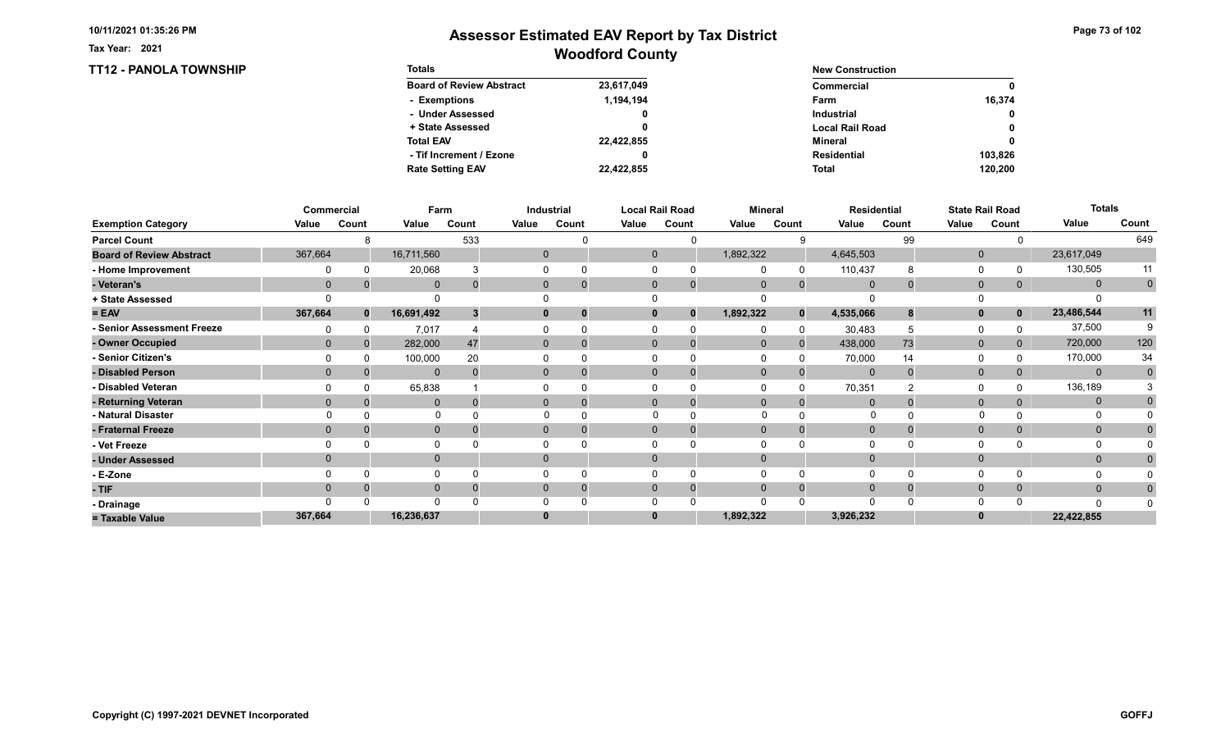TT12 - PANOLA TOWNSHIP

Tax Year: 2021

| <b>Totals</b>                   |            | <b>New Construction</b> |              |  |  |
|---------------------------------|------------|-------------------------|--------------|--|--|
| <b>Board of Review Abstract</b> | 23,617,049 | Commercial              | 0            |  |  |
| - Exemptions                    | 1.194.194  | Farm                    | 16.374       |  |  |
| - Under Assessed                | 0          | <b>Industrial</b>       | $\mathbf{0}$ |  |  |
| + State Assessed                |            | <b>Local Rail Road</b>  | 0            |  |  |
| <b>Total EAV</b>                | 22,422,855 | Mineral                 | 0            |  |  |
| - Tif Increment / Ezone         |            | <b>Residential</b>      | 103.826      |  |  |
| <b>Rate Setting EAV</b>         | 22,422,855 | <b>Total</b>            | 120,200      |  |  |

|                                 |              | Commercial   | Farm         |          |       | Industrial   |          | <b>Local Rail Road</b> |              | <b>Mineral</b> |                | <b>Residential</b> |              | <b>State Rail Road</b> | <b>Totals</b> |             |
|---------------------------------|--------------|--------------|--------------|----------|-------|--------------|----------|------------------------|--------------|----------------|----------------|--------------------|--------------|------------------------|---------------|-------------|
| <b>Exemption Category</b>       | Value        | Count        | Value        | Count    | Value | Count        | Value    | Count                  | Value        | Count          | Value          | Count              | Value        | Count                  | Value         | Count       |
| <b>Parcel Count</b>             |              | 8            |              | 533      |       |              |          | U                      |              |                |                | 99                 |              |                        |               | 649         |
| <b>Board of Review Abstract</b> | 367,664      |              | 16,711,560   |          |       | $\mathbf{0}$ |          | $\mathbf 0$            | 1,892,322    |                | 4,645,503      |                    | $\mathbf 0$  |                        | 23,617,049    |             |
| - Home Improvement              |              | 0            | 20,068       |          |       | 0            | $\Omega$ |                        |              |                | 110,437        | 8                  | 0            |                        | 130,505       | 11          |
| - Veteran's                     | $\mathbf{0}$ |              | $\mathbf{0}$ | $\Omega$ |       | $\mathbf{0}$ |          | $\mathbf{0}$           | $\mathbf{0}$ | $\Omega$       | $\mathbf 0$    |                    | $\mathbf{0}$ | $\overline{0}$         | $\mathbf{0}$  | $\mathbf 0$ |
| + State Assessed                |              |              |              |          |       |              |          |                        |              |                |                |                    | $\Omega$     |                        |               |             |
| $= EAV$                         | 367,664      | $\mathbf{0}$ | 16,691,492   | 3        |       | 0            |          | $\bf{0}$<br>$\bf{0}$   | 1,892,322    | $\Omega$       | 4,535,066      | 8                  | $\mathbf{0}$ | $\mathbf 0$            | 23,486,544    | 11          |
| - Senior Assessment Freeze      |              |              | 7,017        |          |       |              | $\Omega$ |                        |              | $\Omega$       | 30,483         |                    | 0            |                        | 37,500        |             |
| - Owner Occupied                | $\Omega$     | $\Omega$     | 282,000      | 47       |       | $\mathbf{0}$ |          | $\Omega$               | $\mathbf{0}$ | $\Omega$       | 438,000        | 73                 | $\mathbf{0}$ | 0                      | 720,000       | 120         |
| - Senior Citizen's              |              |              | 100,000      | 20       |       |              |          |                        |              |                | 70,000         | 14                 | 0            |                        | 170,000       | 34          |
| - Disabled Person               | $\Omega$     |              | $\Omega$     | $\Omega$ |       | 0            |          | $\Omega$               | $\Omega$     |                | $\overline{0}$ | $\Omega$           | $\mathbf{0}$ |                        | $\mathbf{0}$  | $\Omega$    |
| - Disabled Veteran              |              |              | 65,838       |          |       |              | $\Omega$ |                        |              |                | 70,351         |                    | 0            |                        | 136,189       |             |
| - Returning Veteran             | $\Omega$     |              | $\mathbf 0$  | $\Omega$ |       | $\Omega$     |          | $\Omega$               | $\mathbf{0}$ | $\Omega$       |                |                    | $\mathbf{0}$ | 0                      | $\mathbf{0}$  |             |
| - Natural Disaster              |              |              | $\Omega$     |          |       |              |          |                        | $\Omega$     |                | $\Omega$       |                    | $\Omega$     |                        | 0             |             |
| - Fraternal Freeze              | $\mathbf{0}$ |              | $\mathbf{0}$ |          |       | $\mathbf{0}$ |          | $\mathbf{0}$           | $\mathbf 0$  |                | $\mathbf 0$    |                    | $\mathbf{0}$ | $\overline{0}$         | $\mathbf{0}$  |             |
| - Vet Freeze                    |              |              |              |          |       |              | $\Omega$ |                        |              |                |                |                    | 0            |                        | 0             |             |
| - Under Assessed                | $\Omega$     |              | $\mathbf 0$  |          |       | 0            |          | $\Omega$               | $\Omega$     |                |                |                    | $\mathbf{0}$ |                        | $\mathbf{0}$  |             |
| - E-Zone                        |              |              |              |          |       |              | $\Omega$ |                        |              |                |                | $\Omega$           | $\Omega$     |                        |               |             |
| - TIF                           | $\Omega$     |              | $\mathbf{0}$ |          |       |              |          | $\Omega$               | $\Omega$     | $\Omega$       |                |                    | $\mathbf 0$  | $\mathbf{0}$           | $\mathbf{0}$  |             |
| - Drainage                      |              |              | $\Omega$     |          |       |              | O        |                        |              |                |                |                    | $\Omega$     |                        | $\Omega$      |             |
| = Taxable Value                 | 367,664      |              | 16,236,637   |          |       |              |          | $\bf{0}$               | 1,892,322    |                | 3,926,232      |                    | $\bf{0}$     |                        | 22,422,855    |             |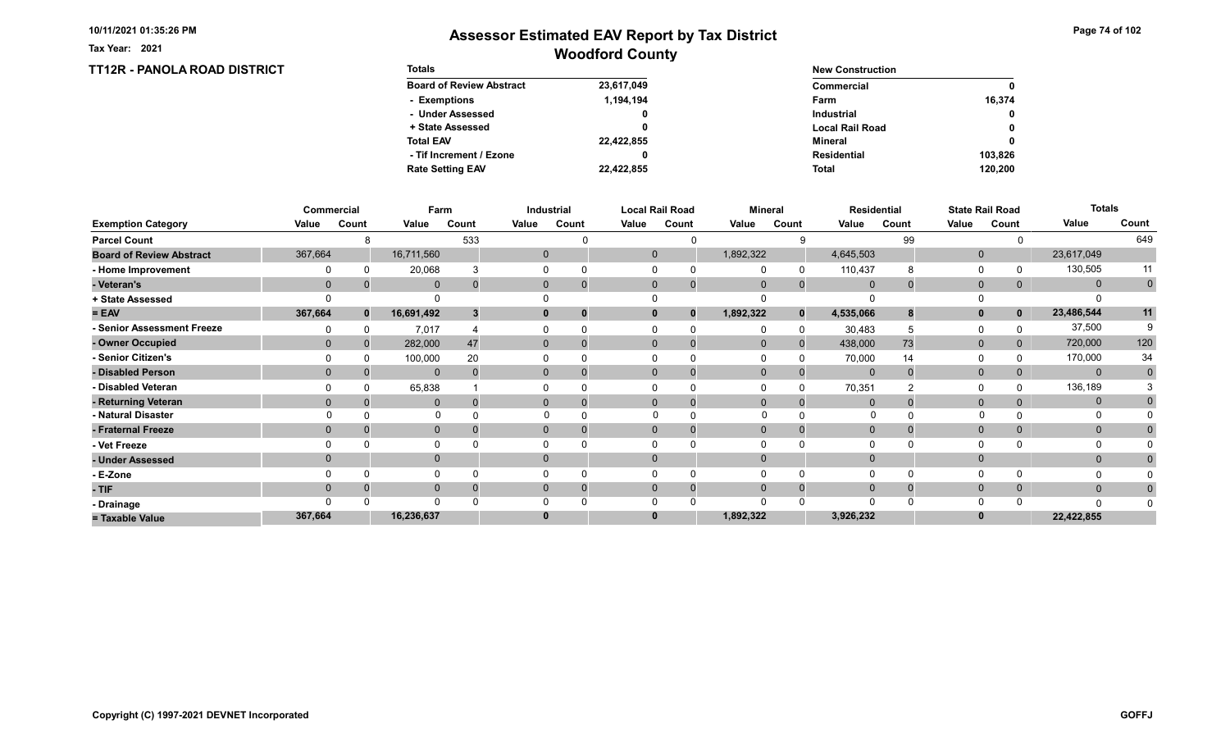TT12R - PANOLA ROAD DISTRICT

Tax Year: 2021

### Woodford County Assessor Estimated EAV Report by Tax District

Page 74 of 102

| <b>Totals</b>                   |            | <b>New Construction</b> |              |  |  |
|---------------------------------|------------|-------------------------|--------------|--|--|
| <b>Board of Review Abstract</b> | 23,617,049 | Commercial              | 0            |  |  |
| - Exemptions                    | 1.194.194  | Farm                    | 16.374       |  |  |
| - Under Assessed                | 0          | <b>Industrial</b>       | $\mathbf{0}$ |  |  |
| + State Assessed                |            | <b>Local Rail Road</b>  | 0            |  |  |
| <b>Total EAV</b>                | 22,422,855 | Mineral                 | 0            |  |  |
| - Tif Increment / Ezone         |            | <b>Residential</b>      | 103.826      |  |  |
| <b>Rate Setting EAV</b>         | 22,422,855 | <b>Total</b>            | 120,200      |  |  |

|                                 |                | Commercial   | Farm         |          |       | Industrial   |       | <b>Local Rail Road</b>   |           | <b>Mineral</b> |              | Residential |              | <b>State Rail Road</b> | <b>Totals</b> |             |
|---------------------------------|----------------|--------------|--------------|----------|-------|--------------|-------|--------------------------|-----------|----------------|--------------|-------------|--------------|------------------------|---------------|-------------|
| <b>Exemption Category</b>       | Value          | Count        | Value        | Count    | Value | Count        | Value | Count                    | Value     | Count          | Value        | Count       | Value        | Count                  | Value         | Count       |
| <b>Parcel Count</b>             |                | я            |              | 533      |       |              |       | $\Omega$                 |           |                |              | 99          |              |                        |               | 649         |
| <b>Board of Review Abstract</b> | 367,664        |              | 16,711,560   |          |       | $\mathbf{0}$ |       | $\mathbf{0}$             | 1,892,322 |                | 4,645,503    |             | $\mathbf 0$  |                        | 23,617,049    |             |
| - Home Improvement              |                |              | 20,068       |          |       |              |       |                          |           |                | 110,437      | 8           | 0            |                        | 130,505       | 11          |
| - Veteran's                     | $\overline{0}$ |              | $\Omega$     | 0        |       | $\mathbf{0}$ |       | $\mathbf{0}$             | $\Omega$  | $\Omega$       | $\Omega$     |             | $\mathbf{0}$ | 0                      | $\mathbf{0}$  | $\mathbf 0$ |
| + State Assessed                |                |              |              |          |       |              |       |                          |           |                |              |             | 0            |                        |               |             |
| $= EAV$                         | 367,664        | $\mathbf{0}$ | 16,691,492   |          |       | 0            |       | $\mathbf 0$<br>$\bf{0}$  | 1,892,322 | $\bf{0}$       | 4,535,066    |             | $\mathbf{0}$ | $\mathbf 0$            | 23,486,544    | 11          |
| - Senior Assessment Freeze      |                |              | 7,017        |          |       |              |       |                          |           | $\Omega$       | 30,483       |             | 0            |                        | 37,500        |             |
| - Owner Occupied                | $\Omega$       |              | 282,000      | 47       |       | $\Omega$     |       | $\Omega$                 | $\Omega$  | $\Omega$       | 438,000      | 73          | $\mathbf 0$  |                        | 720,000       | 120         |
| - Senior Citizen's              |                |              | 100,000      | 20       |       |              |       |                          |           |                | 70,000       | 14          | $\Omega$     |                        | 170,000       | 34          |
| - Disabled Person               |                |              | $\mathbf{0}$ |          |       | $\Omega$     |       | $\Omega$                 | $\Omega$  |                | $\Omega$     |             | $\mathbf{0}$ |                        | $\mathbf{0}$  | $\Omega$    |
| - Disabled Veteran              |                |              | 65,838       |          |       |              |       | <sup>0</sup>             |           |                | 70,351       |             | $\Omega$     |                        | 136,189       |             |
| - Returning Veteran             | $\Omega$       |              | $\Omega$     | $\Omega$ |       | $\Omega$     |       | $\Omega$<br>$\mathbf{0}$ | $\Omega$  | $\Omega$       | $\Omega$     |             | $\mathbf{0}$ | $\Omega$               | $\mathbf{0}$  |             |
| - Natural Disaster              |                |              | $\Omega$     |          |       |              |       |                          |           |                | O            |             |              |                        | O             |             |
| - Fraternal Freeze              | $\Omega$       |              | $\mathbf 0$  |          |       | $\Omega$     |       | $\Omega$                 | $\Omega$  |                | $\mathbf{0}$ |             | $\mathbf 0$  | $\overline{0}$         | $\mathbf{0}$  |             |
| - Vet Freeze                    |                |              | $\Omega$     |          |       |              |       | $\Omega$                 |           |                |              |             | $\Omega$     |                        | $\Omega$      |             |
| - Under Assessed                |                |              | $\mathbf 0$  |          |       |              |       | $\mathbf{0}$             | $\Omega$  |                |              |             | $\mathbf 0$  |                        | $\mathbf 0$   |             |
| - E-Zone                        |                |              | $\Omega$     |          |       |              |       | $\Omega$                 |           |                |              |             | 0            |                        | O             |             |
| - TIF                           | $\Omega$       |              | $\mathbf{0}$ |          |       | $\Omega$     |       | $\Omega$                 | $\Omega$  | $\Omega$       | $\Omega$     |             | $\mathbf 0$  |                        | $\mathbf{0}$  |             |
| - Drainage                      |                |              | $\Omega$     |          |       |              |       |                          |           |                |              |             | $\Omega$     |                        |               |             |
| = Taxable Value                 | 367,664        |              | 16,236,637   |          |       |              |       | $\bf{0}$                 | 1,892,322 |                | 3,926,232    |             |              |                        | 22,422,855    |             |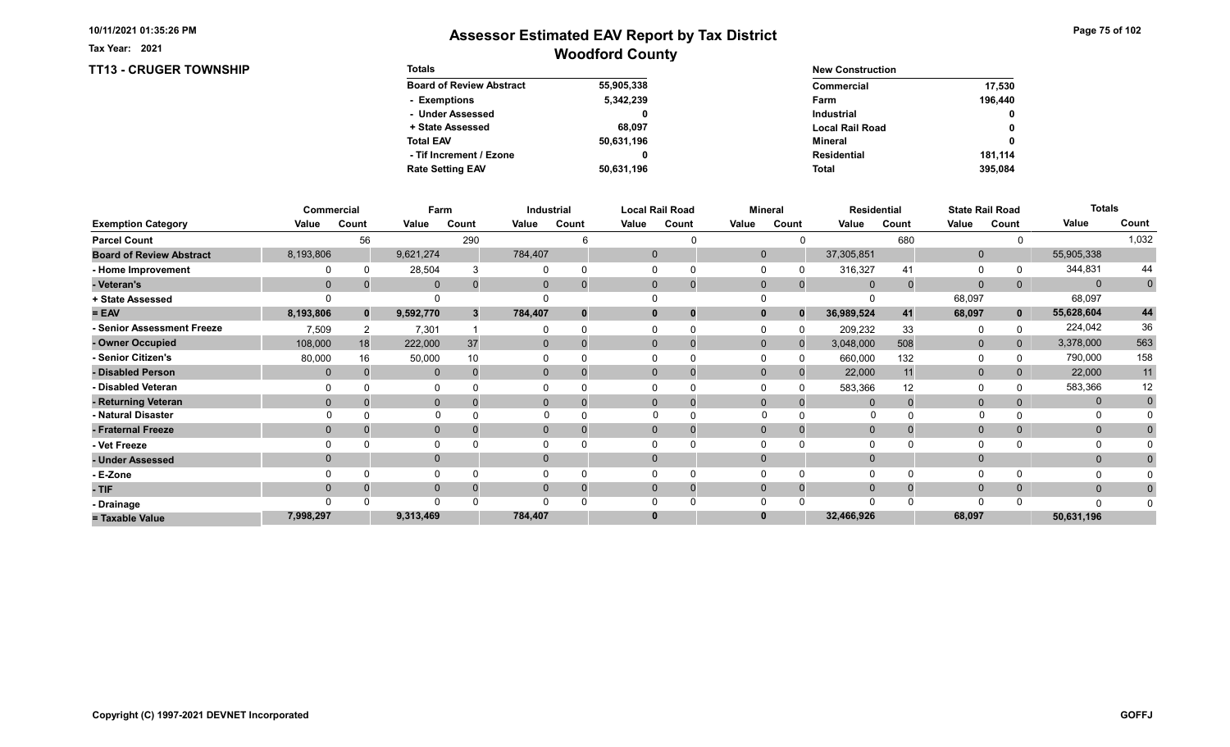TT13 - CRUGER TOWNSHIP

Tax Year: 2021

| <b>Totals</b>                   |            | <b>New Construction</b> |              |  |
|---------------------------------|------------|-------------------------|--------------|--|
| <b>Board of Review Abstract</b> | 55,905,338 | Commercial              | 17.530       |  |
| - Exemptions                    | 5,342,239  | Farm                    | 196.440      |  |
| - Under Assessed                |            | <b>Industrial</b>       | $\mathbf{0}$ |  |
| + State Assessed                | 68.097     | <b>Local Rail Road</b>  | 0            |  |
| <b>Total EAV</b>                | 50,631,196 | Mineral                 | 0            |  |
| - Tif Increment / Ezone         | 0          | <b>Residential</b>      | 181.114      |  |
| <b>Rate Setting EAV</b>         | 50,631,196 | <b>Total</b>            | 395.084      |  |

|                                 |           | Commercial   |              | Farm  |              | Industrial     |       | <b>Local Rail Road</b> |              | <b>Mineral</b> |              | <b>Residential</b> |              | <b>State Rail Road</b> | <b>Totals</b> |              |
|---------------------------------|-----------|--------------|--------------|-------|--------------|----------------|-------|------------------------|--------------|----------------|--------------|--------------------|--------------|------------------------|---------------|--------------|
| <b>Exemption Category</b>       | Value     | Count        | Value        | Count | Value        | Count          | Value | Count                  | Value        | Count          | Value        | Count              | Value        | Count                  | Value         | Count        |
| <b>Parcel Count</b>             |           | 56           |              | 290   |              |                |       |                        |              |                |              | 680                |              |                        |               | 1,032        |
| <b>Board of Review Abstract</b> | 8,193,806 |              | 9,621,274    |       | 784,407      |                |       | $\mathbf{0}$           | $\mathbf{0}$ |                | 37,305,851   |                    | $\mathbf{0}$ |                        | 55,905,338    |              |
| - Home Improvement              |           |              | 28,504       |       |              |                |       | $\Omega$               |              |                | 316,327      | 41                 | 0            |                        | 344,831       | 44           |
| - Veteran's                     | $\Omega$  |              | $\mathbf 0$  | 0     | $\mathbf{0}$ |                |       | $\mathbf{0}$<br>0      | $\mathbf 0$  | $\mathbf{0}$   | 0            | $\mathbf 0$        | $\mathbf{0}$ | 0                      | $\mathbf{0}$  | $\mathbf{0}$ |
| + State Assessed                |           |              |              |       |              |                |       |                        |              |                |              |                    | 68,097       |                        | 68,097        |              |
| $= EAV$                         | 8,193,806 | $\mathbf{0}$ | 9,592,770    | 3     | 784,407      |                |       | $\mathbf{0}$           | 0            | $\Omega$       | 36,989,524   | 41                 | 68,097       | $\mathbf{0}$           | 55,628,604    | 44           |
| - Senior Assessment Freeze      | 7,509     |              | 7,301        |       |              |                |       |                        |              |                | 209,232      | 33                 | 0            |                        | 224,042       | 36           |
| - Owner Occupied                | 108,000   | 18           | 222,000      | 37    | $\Omega$     |                |       | $\Omega$               | $\mathbf{0}$ |                | 3,048,000    | 508                | $\mathbf{0}$ | $\Omega$               | 3,378,000     | 563          |
| - Senior Citizen's              | 80,000    | 16           | 50,000       | 10    |              |                |       |                        |              |                | 660,000      | 132                | 0            |                        | 790,000       | 158          |
| - Disabled Person               | $\Omega$  |              | $\mathbf{0}$ |       | $\mathbf{0}$ |                |       | $\Omega$               | $\Omega$     |                | 22,000       | 11                 | $\mathbf 0$  |                        | 22,000        | 11           |
| - Disabled Veteran              |           |              |              |       |              |                |       |                        |              |                | 583,366      | 12                 | $\Omega$     |                        | 583,366       | 12           |
| - Returning Veteran             | $\Omega$  |              | $\mathbf 0$  |       |              | $\overline{0}$ |       | $\Omega$               | $\Omega$     | $\Omega$       |              |                    | $\mathbf 0$  |                        | $\mathbf{0}$  | $\mathbf{0}$ |
| - Natural Disaster              |           |              | $\Omega$     |       |              |                |       |                        | $\Omega$     |                | $\Omega$     |                    |              |                        | $\Omega$      |              |
| - Fraternal Freeze              | $\Omega$  |              | $\mathbf 0$  |       | $\mathbf{0}$ |                |       | $\mathbf{0}$           | $\mathbf 0$  |                | $\mathbf{0}$ |                    | $\mathbf 0$  | $\mathbf{0}$           | $\mathbf{0}$  |              |
| - Vet Freeze                    |           |              | $\mathbf{0}$ |       |              |                |       | $\Omega$               |              |                |              |                    | 0            |                        | 0             |              |
| - Under Assessed                |           |              | $\mathbf{0}$ |       | 0            |                |       | $\Omega$               |              |                |              |                    | $\mathbf{0}$ |                        | $\mathbf{0}$  |              |
| - E-Zone                        |           |              | $\Omega$     |       |              |                |       |                        |              |                |              |                    | $\Omega$     |                        | O             |              |
| - TIF                           | $\Omega$  |              | $\mathbf{0}$ |       | $\Omega$     |                |       | $\mathbf{0}$           | $\Omega$     | $\Omega$       | $\Omega$     |                    | $\mathbf 0$  | 0                      | $\mathbf{0}$  | 0            |
| - Drainage                      |           |              | $\Omega$     |       |              |                |       |                        |              |                | $\cap$       |                    | $\Omega$     |                        | n             |              |
| = Taxable Value                 | 7,998,297 |              | 9,313,469    |       | 784,407      |                |       | $\bf{0}$               |              |                | 32,466,926   |                    | 68,097       |                        | 50,631,196    |              |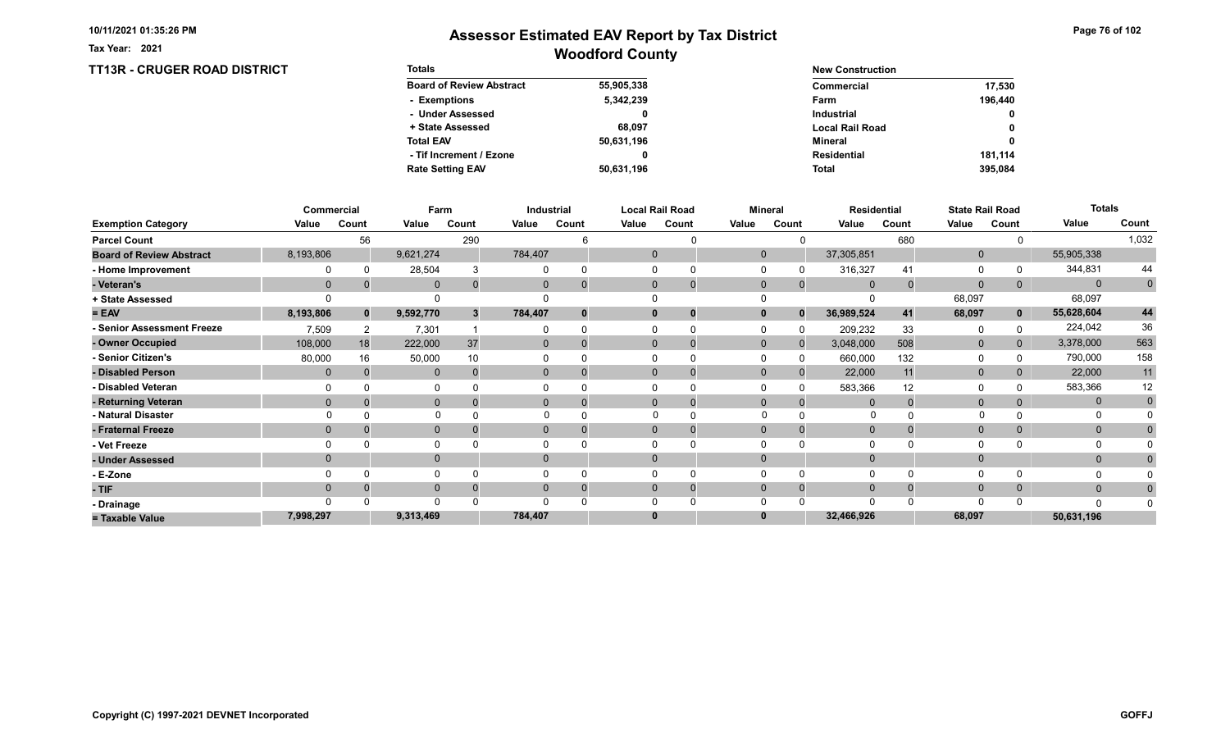TT13R - CRUGER ROAD DISTRICT

Tax Year: 2021

| <b>Totals</b>                   |            | <b>New Construction</b> |              |  |
|---------------------------------|------------|-------------------------|--------------|--|
| <b>Board of Review Abstract</b> | 55,905,338 | Commercial              | 17.530       |  |
| - Exemptions                    | 5,342,239  | Farm                    | 196.440      |  |
| - Under Assessed                |            | <b>Industrial</b>       | $\mathbf{0}$ |  |
| + State Assessed                | 68.097     | <b>Local Rail Road</b>  | 0            |  |
| <b>Total EAV</b>                | 50,631,196 | Mineral                 | 0            |  |
| - Tif Increment / Ezone         | 0          | <b>Residential</b>      | 181.114      |  |
| <b>Rate Setting EAV</b>         | 50,631,196 | <b>Total</b>            | 395.084      |  |

|                                 |                | Commercial |              | Farm  |                | Industrial  |       | <b>Local Rail Road</b> |              | <b>Mineral</b> |                | <b>Residential</b> |              | <b>State Rail Road</b> | <b>Totals</b> |                |
|---------------------------------|----------------|------------|--------------|-------|----------------|-------------|-------|------------------------|--------------|----------------|----------------|--------------------|--------------|------------------------|---------------|----------------|
| <b>Exemption Category</b>       | Value          | Count      | Value        | Count | Value          | Count       | Value | Count                  | Value        | Count          | Value          | Count              | Value        | Count                  | Value         | Count          |
| <b>Parcel Count</b>             |                | 56         |              | 290   |                |             |       |                        |              |                |                | 680                |              |                        |               | 1,032          |
| <b>Board of Review Abstract</b> | 8,193,806      |            | 9,621,274    |       | 784,407        |             |       | $\mathbf{0}$           | $\mathbf{0}$ |                | 37,305,851     |                    | $\mathbf 0$  |                        | 55,905,338    |                |
| - Home Improvement              |                |            | 28,504       |       |                | $\Omega$    |       |                        | $\Omega$     |                | 316,327        | 41                 | 0            |                        | 344,831       | 44             |
| - Veteran's                     | $\mathbf 0$    |            | $\mathbf 0$  |       | $\mathbf{0}$   | $\mathbf 0$ |       | $\mathbf 0$            | $\mathbf 0$  | $\overline{0}$ | $\overline{0}$ |                    | $\mathbf 0$  | 0                      | $\mathbf{0}$  | $\overline{0}$ |
| + State Assessed                |                |            |              |       |                |             |       |                        |              |                |                |                    | 68,097       |                        | 68,097        |                |
| $= EAV$                         | 8,193,806      | $\bf{0}$   | 9,592,770    |       | 784,407        | $\bf{0}$    |       | 0                      | $\bf{0}$     | $\mathbf{0}$   | 36,989,524     | 41                 | 68,097       | $\mathbf{0}$           | 55,628,604    | 44             |
| - Senior Assessment Freeze      | 7,509          |            | 7,301        |       |                | $\Omega$    |       |                        | $\Omega$     |                | 209,232        | 33                 | 0            |                        | 224,042       | 36             |
| - Owner Occupied                | 108,000        | 18         | 222,000      | 37    | $\overline{0}$ | $\Omega$    |       | $\mathbf 0$            | $\mathbf{0}$ |                | 3,048,000      | 508                | $\mathbf 0$  | $\overline{0}$         | 3,378,000     | 563            |
| Senior Citizen's                | 80,000         | 16         | 50,000       |       |                |             |       |                        |              |                | 660,000        | 132                | 0            |                        | 790,000       | 158            |
| - Disabled Person               | $\mathbf{0}$   |            | $\mathbf{0}$ |       | $\overline{0}$ | $\Omega$    |       | 0                      | $\Omega$     |                | 22,000         | 11                 | $\mathbf 0$  |                        | 22,000        | 11             |
| - Disabled Veteran              |                |            | 0            |       |                |             |       |                        |              |                | 583,366        | 12                 | $\Omega$     |                        | 583,366       | 12             |
| - Returning Veteran             | $\Omega$       |            | $\mathbf{0}$ |       | $\Omega$       | $\Omega$    |       | $\Omega$               | $\Omega$     |                | $\Omega$       |                    | $\mathbf{0}$ |                        | $\mathbf{0}$  | $\mathbf 0$    |
| - Natural Disaster              |                |            | $\Omega$     |       | 0              |             |       |                        |              |                |                |                    |              |                        |               |                |
| - Fraternal Freeze              | $\overline{0}$ |            | $\mathbf{0}$ |       | $\mathbf{0}$   | 0           |       | 0                      | $\mathbf{0}$ |                | $\mathbf{0}$   |                    | $\mathbf{0}$ |                        | $\mathbf{0}$  |                |
| - Vet Freeze                    |                |            | 0            |       |                |             |       |                        |              |                | $\Omega$       |                    | $\Omega$     |                        | 0             |                |
| - Under Assessed                | $\Omega$       |            | $\mathbf{0}$ |       | $\Omega$       |             |       |                        | $\Omega$     |                | $\Omega$       |                    | $\mathbf{0}$ |                        | $\mathbf{0}$  |                |
| - E-Zone                        |                |            | O            |       |                |             |       |                        |              |                | $\Omega$       |                    | $\Omega$     |                        |               |                |
| $-$ TIF                         | $\Omega$       |            | $\mathbf{0}$ |       |                | $\Omega$    |       | 0                      | $\Omega$     |                | $\Omega$       |                    | $\mathbf{0}$ |                        | $\mathbf{0}$  |                |
| - Drainage                      |                |            | $\Omega$     |       |                |             |       |                        |              |                | $\Omega$       |                    | $\Omega$     |                        | ∩             |                |
| = Taxable Value                 | 7,998,297      |            | 9,313,469    |       | 784,407        |             |       |                        |              |                | 32,466,926     |                    | 68,097       |                        | 50,631,196    |                |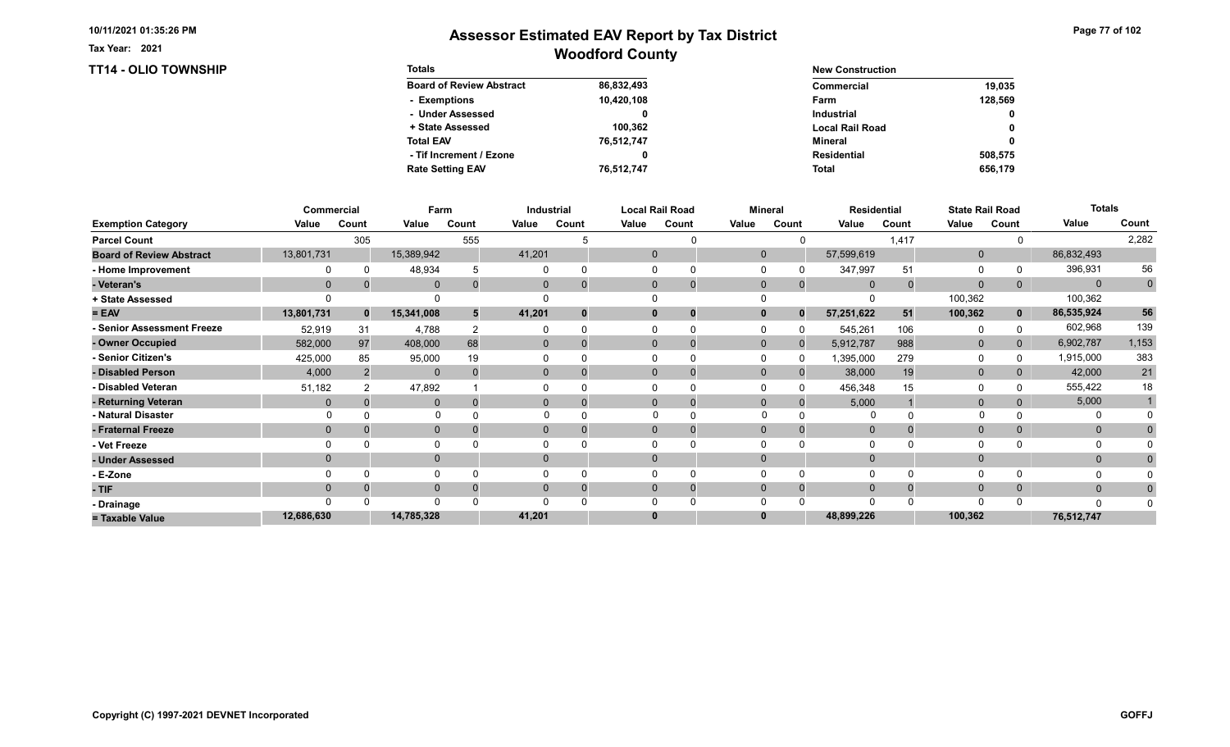#### Tax Year: 2021

### TT14 - OLIO TOWNSHIP

| Page 77 of 102 |  |
|----------------|--|
|----------------|--|

| <b>Totals</b>                   |            | <b>New Construction</b> |              |  |  |  |
|---------------------------------|------------|-------------------------|--------------|--|--|--|
| <b>Board of Review Abstract</b> | 86,832,493 | Commercial              | 19.035       |  |  |  |
| - Exemptions                    | 10,420,108 | Farm                    | 128.569      |  |  |  |
| - Under Assessed                |            | Industrial              | $\mathbf{0}$ |  |  |  |
| + State Assessed                | 100.362    | <b>Local Rail Road</b>  | $\mathbf 0$  |  |  |  |
| <b>Total EAV</b>                | 76,512,747 | Mineral                 | $\mathbf 0$  |  |  |  |
| - Tif Increment / Ezone         |            | Residential             | 508.575      |  |  |  |
| <b>Rate Setting EAV</b>         | 76,512,747 | Total                   | 656.179      |  |  |  |

|                                 |                | Commercial |              | Farm  |                | Industrial  |              | <b>Local Rail Road</b> |              | <b>Mineral</b> |                | <b>Residential</b> |              | <b>State Rail Road</b> | <b>Totals</b> |                |
|---------------------------------|----------------|------------|--------------|-------|----------------|-------------|--------------|------------------------|--------------|----------------|----------------|--------------------|--------------|------------------------|---------------|----------------|
| <b>Exemption Category</b>       | Value          | Count      | Value        | Count | Value          | Count       | Value        | Count                  | Value        | Count          | Value          | Count              | Value        | Count                  | Value         | Count          |
| <b>Parcel Count</b>             |                | 305        |              | 555   |                |             |              |                        |              |                |                | 1,417              |              |                        |               | 2,282          |
| <b>Board of Review Abstract</b> | 13,801,731     |            | 15,389,942   |       | 41,201         |             | $\mathbf{0}$ |                        | $\mathbf{0}$ |                | 57,599,619     |                    | $\mathbf 0$  |                        | 86,832,493    |                |
| - Home Improvement              |                |            | 48,934       |       |                | $\Omega$    |              |                        | $\Omega$     |                | 347,997        | 51                 | 0            |                        | 396,931       | 56             |
| - Veteran's                     | $\mathbf 0$    |            | $\mathbf 0$  |       | $\mathbf{0}$   | $\mathbf 0$ |              | $\mathbf 0$            | $\mathbf 0$  | $\overline{0}$ | $\overline{0}$ |                    | $\mathbf 0$  | 0                      | $\mathbf{0}$  | $\overline{0}$ |
| + State Assessed                |                |            |              |       |                |             |              |                        |              |                |                |                    | 100,362      |                        | 100,362       |                |
| $= EAV$                         | 13,801,731     | $\bf{0}$   | 15,341,008   |       | 41,201         | $\bf{0}$    |              | 0                      | $\bf{0}$     | $\bf{0}$       | 57,251,622     | 51                 | 100,362      | $\mathbf{0}$           | 86,535,924    | 56             |
| - Senior Assessment Freeze      | 52,919         | 31         | 4,788        |       |                | $\Omega$    |              |                        | $\Omega$     |                | 545,261        | 106                | $\Omega$     |                        | 602,968       | 139            |
| - Owner Occupied                | 582,000        | 97         | 408,000      | 68    | $\overline{0}$ | $\Omega$    |              | $\mathbf 0$            | $\mathbf{0}$ |                | 5,912,787      | 988                | $\mathbf 0$  | $\overline{0}$         | 6,902,787     | 1,153          |
| Senior Citizen's                | 425,000        | 85         | 95,000       | 19    |                |             |              |                        |              |                | 1,395,000      | 279                | $\Omega$     |                        | 1,915,000     | 383            |
| - Disabled Person               | 4,000          |            | $\mathbf{0}$ |       | $\overline{0}$ |             |              | 0                      | $\mathbf{0}$ |                | 38,000         | 19                 | $\mathbf 0$  |                        | 42,000        | 21             |
| - Disabled Veteran              | 51,182         |            | 47,892       |       |                |             |              |                        | $\Omega$     |                | 456,348        | 15                 | $\Omega$     |                        | 555,422       | 18             |
| - Returning Veteran             | $\mathbf{0}$   |            | $\mathbf{0}$ |       | $\Omega$       | $\Omega$    |              | $\Omega$               | $\Omega$     | $\Omega$       | 5,000          |                    | $\mathbf{0}$ |                        | 5,000         |                |
| - Natural Disaster              |                |            | $\Omega$     |       | 0              |             |              |                        |              |                |                |                    |              |                        |               |                |
| - Fraternal Freeze              | $\overline{0}$ |            | $\mathbf{0}$ |       | $\mathbf{0}$   | 0           |              | 0                      | $\mathbf{0}$ |                | $\mathbf{0}$   |                    | $\mathbf{0}$ |                        | $\mathbf{0}$  |                |
| - Vet Freeze                    | $\Omega$       |            | 0            |       |                |             |              |                        |              |                | $\Omega$       |                    | $\Omega$     |                        | 0             |                |
| - Under Assessed                | $\Omega$       |            | $\mathbf{0}$ |       | $\Omega$       |             |              |                        | $\Omega$     |                | $\Omega$       |                    | $\mathbf{0}$ |                        | $\mathbf{0}$  |                |
| - E-Zone                        |                |            | $\Omega$     |       |                |             |              |                        |              |                | $\Omega$       |                    | $\Omega$     |                        |               |                |
| $-$ TIF                         | $\Omega$       |            | $\mathbf{0}$ |       |                | $\Omega$    |              | 0                      | $\Omega$     |                | $\Omega$       |                    | $\mathbf{0}$ |                        | $\mathbf{0}$  |                |
| - Drainage                      |                |            | $\Omega$     |       |                |             |              |                        |              |                | $\Omega$       |                    | $\Omega$     |                        | ∩             |                |
| = Taxable Value                 | 12,686,630     |            | 14,785,328   |       | 41,201         |             |              |                        |              |                | 48,899,226     |                    | 100,362      |                        | 76,512,747    |                |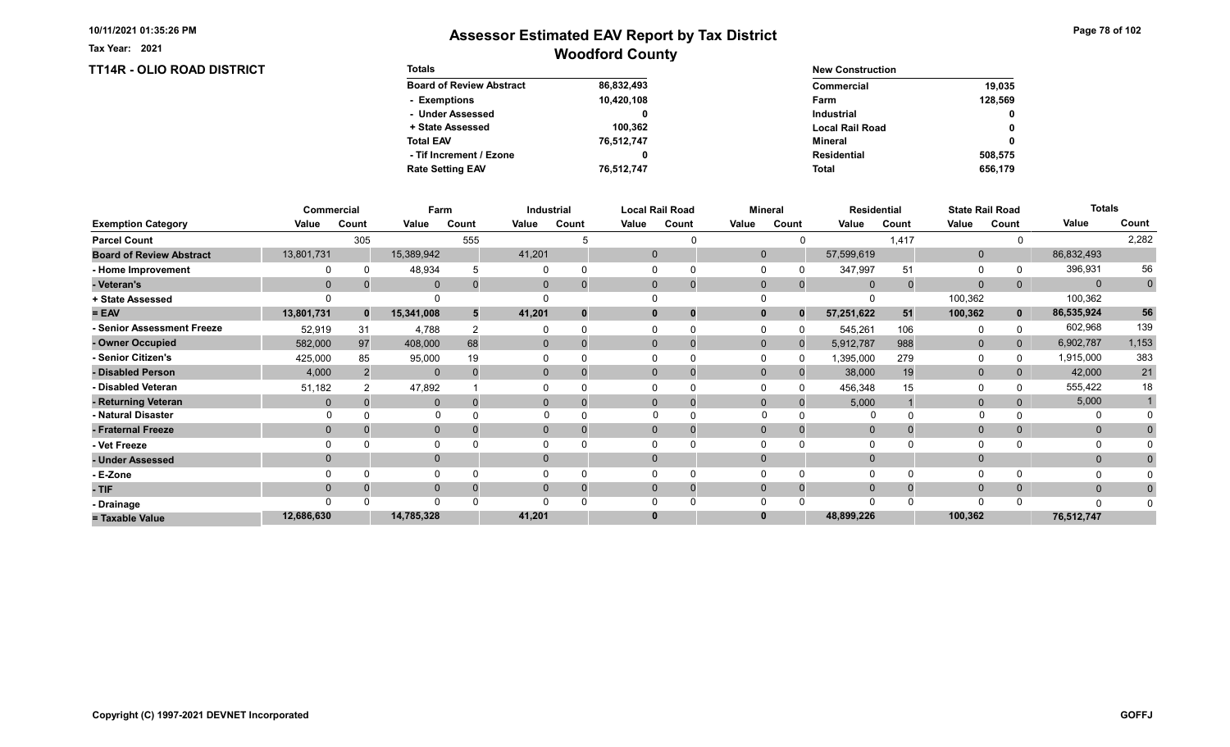Tax Year: 2021

| <b>TT14R - OLIO ROAD DISTRICT</b> | <b>Totals</b>                   | <b>New Construction</b> |                        |         |  |
|-----------------------------------|---------------------------------|-------------------------|------------------------|---------|--|
|                                   | <b>Board of Review Abstract</b> | 86,832,493              | <b>Commercial</b>      | 19,035  |  |
|                                   | - Exemptions                    | 10,420,108              | Farm                   | 128,569 |  |
|                                   | - Under Assessed                |                         | <b>Industrial</b>      | 0       |  |
|                                   | + State Assessed                | 100.362                 | <b>Local Rail Road</b> | 0       |  |
|                                   | <b>Total EAV</b>                | 76,512,747              | Mineral                | 0       |  |
|                                   | - Tif Increment / Ezone         |                         | <b>Residential</b>     | 508,575 |  |
|                                   | <b>Rate Setting EAV</b>         | 76,512,747              | Total                  | 656.179 |  |

|                                 |                | Commercial   |              | Farm  |                | Industrial |       | Local Rail Road         |              | <b>Mineral</b> |                | <b>Residential</b> | <b>State Rail Road</b> |                | <b>Totals</b> |                |
|---------------------------------|----------------|--------------|--------------|-------|----------------|------------|-------|-------------------------|--------------|----------------|----------------|--------------------|------------------------|----------------|---------------|----------------|
| <b>Exemption Category</b>       | Value          | Count        | Value        | Count | Value          | Count      | Value | Count                   | Value        | Count          | Value          | Count              | Value                  | Count          | Value         | Count          |
| <b>Parcel Count</b>             |                | 305          |              | 555   |                |            |       |                         |              |                |                | 1,417              |                        |                |               | 2,282          |
| <b>Board of Review Abstract</b> | 13,801,731     |              | 15,389,942   |       | 41,201         |            |       | 0                       | $\mathbf{0}$ |                | 57,599,619     |                    | $\mathbf 0$            |                | 86,832,493    |                |
| - Home Improvement              |                |              | 48,934       |       |                | $\Omega$   |       |                         |              |                | 347,997        | 51                 | 0                      |                | 396,931       | 56             |
| - Veteran's                     | $\mathbf 0$    |              | $\mathbf 0$  |       | $\mathbf{0}$   | $\Omega$   |       | $\mathbf 0$<br>$\Omega$ | $\mathbf 0$  | $\mathbf 0$    | $\overline{0}$ |                    | $\mathbf 0$            | 0              | $\mathbf{0}$  | $\overline{0}$ |
| + State Assessed                |                |              |              |       |                |            |       |                         |              |                |                |                    | 100,362                |                | 100,362       |                |
| $= EAV$                         | 13,801,731     | $\mathbf{0}$ | 15,341,008   | 5     | 41,201         | $\bf{0}$   |       | 0                       |              | $\bf{0}$       | 57,251,622     | 51                 | 100,362                | $\mathbf{0}$   | 86,535,924    | 56             |
| - Senior Assessment Freeze      | 52,919         | 31           | 4,788        |       |                | $\Omega$   |       | $\Omega$                |              |                | 545,261        | 106                | 0                      |                | 602,968       | 139            |
| - Owner Occupied                | 582,000        | 97           | 408,000      | 68    | $\overline{0}$ | $\Omega$   |       | $\mathbf 0$             | $\mathbf{0}$ | <sup>0</sup>   | 5,912,787      | 988                | $\mathbf 0$            | $\overline{0}$ | 6,902,787     | 1,153          |
| <b>Senior Citizen's</b>         | 425,000        | 85           | 95,000       | 19    |                |            |       |                         |              | $\Omega$       | 1,395,000      | 279                | $\Omega$               |                | 1,915,000     | 383            |
| - Disabled Person               | 4,000          |              | $\mathbf{0}$ |       | $\overline{0}$ |            |       | 0<br>0                  | $\Omega$     | $\Omega$       | 38,000         | 19                 | $\mathbf 0$            |                | 42,000        | 21             |
| - Disabled Veteran              | 51,182         |              | 47,892       |       |                |            |       |                         |              | $\Omega$       | 456,348        | 15                 | $\Omega$               |                | 555,422       | 18             |
| - Returning Veteran             | $\Omega$       |              | $\mathbf{0}$ |       | $\Omega$       | $\Omega$   |       | $\mathbf 0$             | $\Omega$     | $\Omega$       | 5,000          |                    | $\mathbf{0}$           |                | 5,000         |                |
| - Natural Disaster              |                |              |              |       |                |            |       | $\Omega$                | $\Omega$     |                |                |                    |                        |                |               |                |
| - Fraternal Freeze              | $\overline{0}$ |              | $\mathbf 0$  |       | $\mathbf{0}$   | 0          |       | $\Omega$<br>0           | $\mathbf{0}$ | 0              | $\mathbf{0}$   |                    | $\mathbf{0}$           |                | $\mathbf{0}$  |                |
| - Vet Freeze                    |                |              | $\Omega$     |       |                |            |       |                         |              |                | $\Omega$       |                    | $\Omega$               |                | 0             |                |
| - Under Assessed                | $\Omega$       |              | $\mathbf{0}$ |       | 0              |            |       |                         |              |                | $\Omega$       |                    | $\mathbf{0}$           |                | $\mathbf{0}$  |                |
| - E-Zone                        |                |              | $\Omega$     |       |                |            |       |                         |              |                | $\Omega$       |                    | $\Omega$               |                |               |                |
| - TIF                           | $\Omega$       |              | $\mathbf 0$  |       | 0              | $\Omega$   |       | 0                       |              |                | $\Omega$       |                    | $\mathbf{0}$           |                | $\mathbf{0}$  |                |
| - Drainage                      |                |              | $\Omega$     |       |                |            |       |                         |              |                | $\Omega$       |                    | $\Omega$               |                | n             |                |
| = Taxable Value                 | 12,686,630     |              | 14,785,328   |       | 41,201         |            |       |                         |              |                | 48,899,226     |                    | 100,362                |                | 76,512,747    |                |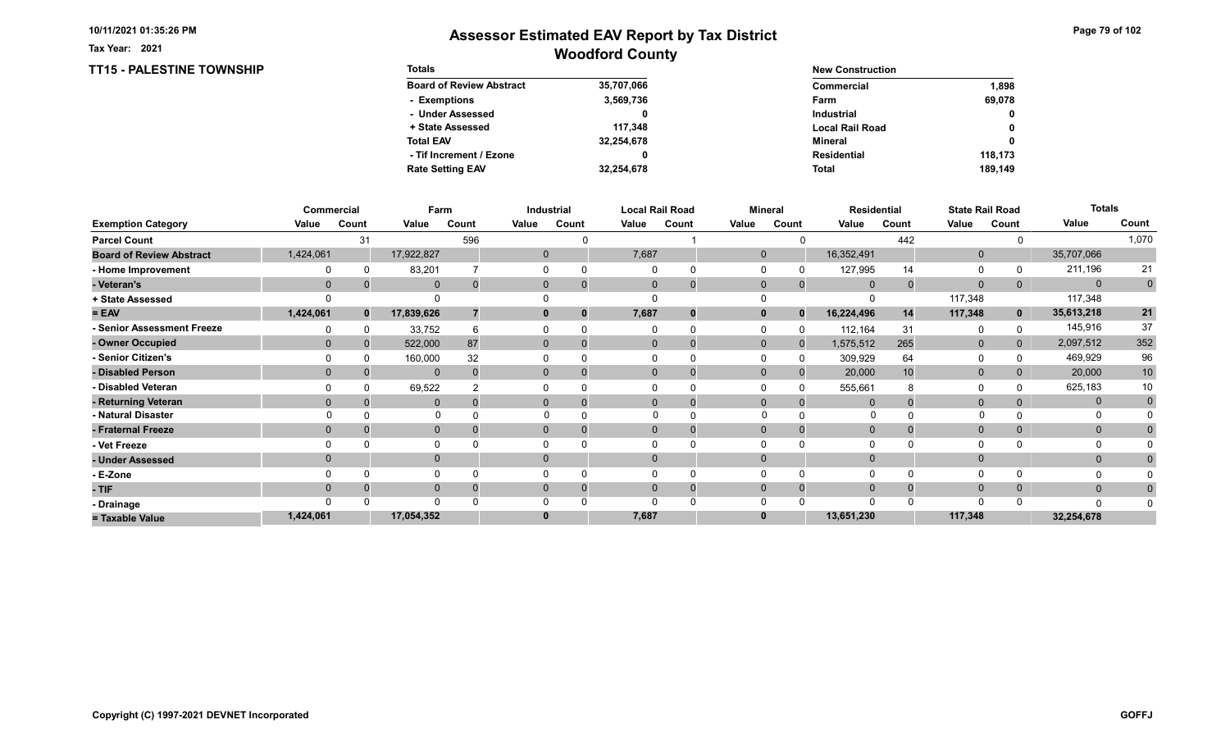TT15 - PALESTINE TOWNSHIP

Tax Year: 2021

| <b>Totals</b>                   |            | <b>New Construction</b> |              |
|---------------------------------|------------|-------------------------|--------------|
| <b>Board of Review Abstract</b> | 35,707,066 | Commercial              | 1.898        |
| - Exemptions                    | 3,569,736  | Farm                    | 69.078       |
| - Under Assessed                |            | <b>Industrial</b>       | $\mathbf{0}$ |
| + State Assessed                | 117.348    | <b>Local Rail Road</b>  | 0            |
| <b>Total EAV</b>                | 32,254,678 | Mineral                 | 0            |
| - Tif Increment / Ezone         | 0          | <b>Residential</b>      | 118.173      |
| <b>Rate Setting EAV</b>         | 32.254.678 | <b>Total</b>            | 189,149      |

|                                 |             | Commercial   | Farm         |          |       | Industrial     |       | <b>Local Rail Road</b>   |              | Mineral  |             | <b>Residential</b> |              | <b>State Rail Road</b> | <b>Totals</b> |             |
|---------------------------------|-------------|--------------|--------------|----------|-------|----------------|-------|--------------------------|--------------|----------|-------------|--------------------|--------------|------------------------|---------------|-------------|
| <b>Exemption Category</b>       | Value       | Count        | Value        | Count    | Value | Count          | Value | Count                    | Value        | Count    | Value       | Count              | Value        | Count                  | Value         | Count       |
| <b>Parcel Count</b>             |             | 31           |              | 596      |       |                |       |                          |              |          |             | 442                |              |                        |               | 1,070       |
| <b>Board of Review Abstract</b> | 1,424,061   |              | 17,922,827   |          |       | $\overline{0}$ | 7,687 |                          | $\mathbf{0}$ |          | 16,352,491  |                    | $\mathbf{0}$ |                        | 35,707,066    |             |
| - Home Improvement              |             |              | 83,201       |          |       |                |       |                          |              |          | 127,995     | 14                 | $\Omega$     |                        | 211,196       | 21          |
| - Veteran's                     | $\mathbf 0$ |              | $\mathbf 0$  | $\Omega$ |       | $\mathbf{0}$   |       | $\mathbf{0}$<br>$\Omega$ | $\mathbf 0$  | $\Omega$ | $\mathbf 0$ |                    | $\mathbf{0}$ | 0                      | $\mathbf{0}$  | $\mathbf 0$ |
| + State Assessed                |             |              |              |          |       |                |       |                          |              |          |             |                    | 117,348      |                        | 117,348       |             |
| $= EAV$                         | 1,424,061   | $\mathbf{0}$ | 17,839,626   |          |       |                | 7,687 | 0                        | $\mathbf{0}$ | $\Omega$ | 16,224,496  | 14                 | 117,348      | $\mathbf 0$            | 35,613,218    | 21          |
| - Senior Assessment Freeze      |             |              | 33,752       |          |       |                |       |                          |              |          | 112,164     | 31                 | $\Omega$     |                        | 145,916       | 37          |
| - Owner Occupied                | $\Omega$    |              | 522,000      | 87       |       | $\mathbf{0}$   |       | $\Omega$                 | $\Omega$     | $\Omega$ | 1,575,512   | 265                | $\mathbf 0$  | $\overline{0}$         | 2,097,512     | 352         |
| - Senior Citizen's              |             |              | 160,000      | 32       |       |                |       |                          |              |          | 309,929     | 64                 | 0            |                        | 469,929       | 96          |
| - Disabled Person               | $\Omega$    |              | $\Omega$     | $\Omega$ |       | $\Omega$       |       | $\Omega$                 | $\Omega$     |          | 20,000      | 10                 | $\mathbf{0}$ |                        | 20,000        | 10          |
| - Disabled Veteran              |             |              | 69,522       |          |       |                |       | $\Omega$                 |              |          | 555,661     |                    | $\Omega$     |                        | 625,183       | 10          |
| - Returning Veteran             | $\Omega$    |              | $\Omega$     | $\Omega$ |       | $\Omega$       |       | $\Omega$<br>$\Omega$     | $\Omega$     | $\Omega$ | $\Omega$    |                    | $\mathbf{0}$ |                        | $\mathbf{0}$  | $\mathbf 0$ |
| - Natural Disaster              |             |              | $\Omega$     |          |       |                |       |                          | $\Omega$     |          | O           |                    |              |                        |               |             |
| - Fraternal Freeze              | $\Omega$    |              | $\mathbf 0$  |          |       | $\Omega$       |       | $\mathbf{0}$             | $\Omega$     |          | $\Omega$    |                    | $\mathbf 0$  | $\Omega$               | $\mathbf{0}$  |             |
| - Vet Freeze                    |             |              | $\mathbf{0}$ |          |       |                |       | $\Omega$                 |              |          |             |                    | 0            |                        | 0             |             |
| - Under Assessed                | $\Omega$    |              | $\mathbf{0}$ |          |       | $\Omega$       |       | $\Omega$                 | $\Omega$     |          |             |                    | $\mathbf{0}$ |                        | $\mathbf{0}$  |             |
| - E-Zone                        |             |              | $\Omega$     |          |       |                |       |                          |              |          |             |                    | $\Omega$     |                        |               |             |
| - TIF                           | $\Omega$    |              | $\mathbf{0}$ |          |       | 0              |       | $\Omega$                 | $\Omega$     | $\Omega$ | $\Omega$    |                    | $\mathbf 0$  | $\Omega$               | $\mathbf{0}$  |             |
| - Drainage                      |             |              | $\Omega$     |          |       |                |       | $\Omega$                 |              |          |             |                    | $\Omega$     |                        | $\Omega$      |             |
| = Taxable Value                 | 1,424,061   |              | 17,054,352   |          |       |                | 7,687 |                          |              |          | 13,651,230  |                    | 117,348      |                        | 32,254,678    |             |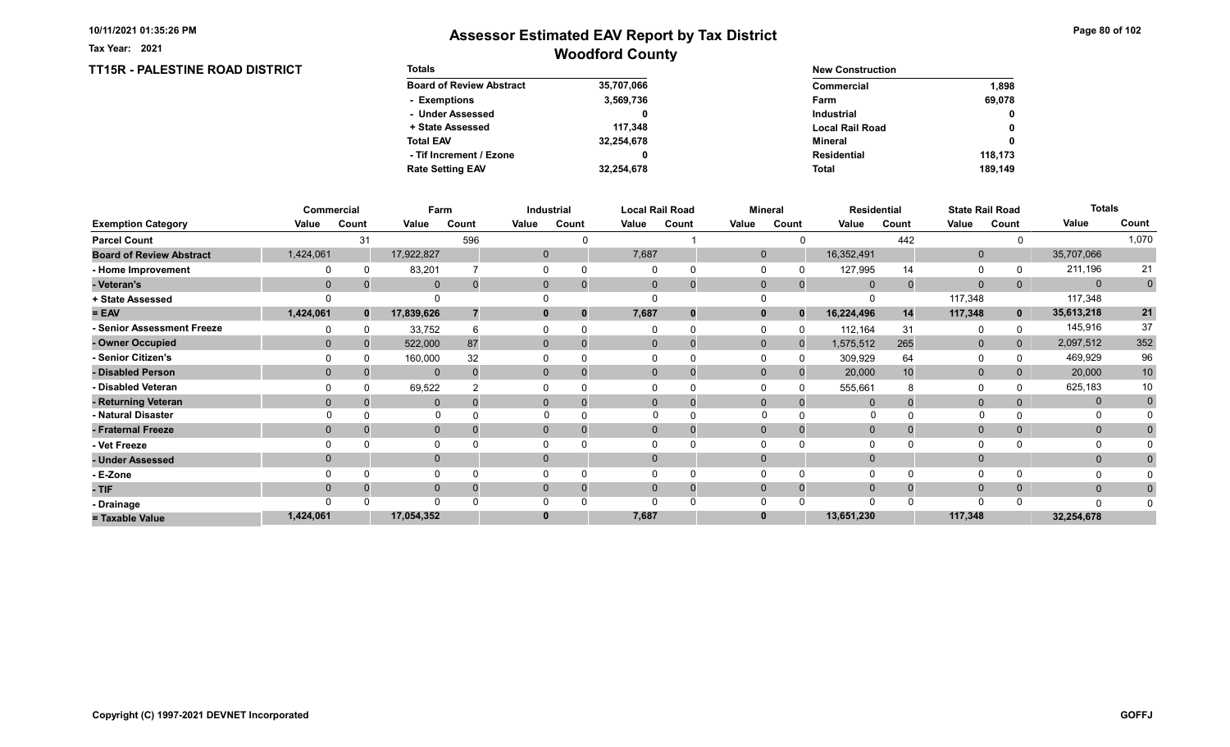TT15R - PALESTINE ROAD DISTRICT

Tax Year: 2021

| <b>Totals</b>                   |            | <b>New Construction</b> |              |  |  |
|---------------------------------|------------|-------------------------|--------------|--|--|
| <b>Board of Review Abstract</b> | 35,707,066 | Commercial              | 1.898        |  |  |
| - Exemptions                    | 3,569,736  | Farm                    | 69.078       |  |  |
| - Under Assessed                |            | <b>Industrial</b>       | $\mathbf{0}$ |  |  |
| + State Assessed                | 117.348    | <b>Local Rail Road</b>  | 0            |  |  |
| <b>Total EAV</b>                | 32,254,678 | Mineral                 | 0            |  |  |
| - Tif Increment / Ezone         |            | <b>Residential</b>      | 118.173      |  |  |
| <b>Rate Setting EAV</b>         | 32,254,678 | <b>Total</b>            | 189.149      |  |  |

|                                 |              | Commercial | Farm         |          |       | Industrial     |       | <b>Local Rail Road</b> |              | <b>Mineral</b> |             | <b>Residential</b> |              | <b>State Rail Road</b> | <b>Totals</b> |             |
|---------------------------------|--------------|------------|--------------|----------|-------|----------------|-------|------------------------|--------------|----------------|-------------|--------------------|--------------|------------------------|---------------|-------------|
| <b>Exemption Category</b>       | Value        | Count      | Value        | Count    | Value | Count          | Value | Count                  | Value        | Count          | Value       | Count              | Value        | Count                  | Value         | Count       |
| <b>Parcel Count</b>             |              | 31         |              | 596      |       |                |       |                        |              |                |             | 442                |              |                        |               | 1,070       |
| <b>Board of Review Abstract</b> | 1,424,061    |            | 17,922,827   |          |       | $\mathbf{0}$   | 7,687 |                        | $\mathbf{0}$ |                | 16,352,491  |                    | $\mathbf 0$  |                        | 35,707,066    |             |
| - Home Improvement              |              | 0          | 83,201       |          |       | 0              |       | $\Omega$               |              |                | 127,995     | 14                 | 0            |                        | 211,196       | 21          |
| - Veteran's                     | $\mathbf{0}$ |            | $\mathbf{0}$ | $\Omega$ |       | $\overline{0}$ |       | $\mathbf{0}$           | $\mathbf{0}$ | $\Omega$       | $\mathbf 0$ | $\Omega$           | $\mathbf{0}$ | $\overline{0}$         | $\mathbf{0}$  | $\mathbf 0$ |
| + State Assessed                |              |            |              |          |       |                |       | 0                      |              |                |             |                    | 117,348      |                        | 117,348       |             |
| $= EAV$                         | 1,424,061    | $\bf{0}$   | 17,839,626   |          |       | 0              | 7,687 |                        | $\mathbf{0}$ | $\Omega$       | 16,224,496  | 14                 | 117,348      | $\mathbf 0$            | 35,613,218    | 21          |
| - Senior Assessment Freeze      |              |            | 33,752       | 6        |       |                |       | $\Omega$               |              |                | 112,164     | 31                 | 0            |                        | 145,916       | 37          |
| - Owner Occupied                | $\Omega$     | $\Omega$   | 522,000      | 87       |       | $\mathbf{0}$   |       | $\Omega$               | $\mathbf{0}$ | $\Omega$       | 1,575,512   | 265                | $\mathbf{0}$ | $\mathbf{0}$           | 2,097,512     | 352         |
| - Senior Citizen's              |              |            | 160,000      | 32       |       |                |       |                        |              |                | 309,929     | 64                 | 0            |                        | 469,929       | 96          |
| - Disabled Person               | $\Omega$     |            | $\Omega$     | $\Omega$ |       | $\Omega$       |       | $\Omega$               | $\Omega$     |                | 20,000      | 10                 | $\mathbf{0}$ |                        | 20,000        | 10          |
| - Disabled Veteran              |              |            | 69,522       |          |       |                |       | $\Omega$               | $\Omega$     | $\Omega$       | 555,661     |                    | 0            |                        | 625,183       | 10          |
| - Returning Veteran             | $\Omega$     |            | $\Omega$     | $\Omega$ |       | $\Omega$       |       | $\Omega$               | $\mathbf{0}$ | $\Omega$       |             |                    | $\mathbf{0}$ | 0                      | $\mathbf{0}$  | $\mathbf 0$ |
| - Natural Disaster              |              |            | $\Omega$     |          |       |                |       |                        | $\Omega$     |                | $\Omega$    |                    | $\Omega$     |                        | O             |             |
| - Fraternal Freeze              | $\mathbf{0}$ |            | $\mathbf{0}$ |          |       | $\mathbf{0}$   |       | $\Omega$               | $\mathbf 0$  |                | $\mathbf 0$ |                    | $\mathbf{0}$ | 0                      | $\mathbf{0}$  |             |
| - Vet Freeze                    |              |            |              |          |       |                |       | $\Omega$               |              |                |             |                    | 0            |                        | 0             |             |
| - Under Assessed                | $\Omega$     |            | $\mathbf 0$  |          |       | 0              |       | $\Omega$               | $\Omega$     |                |             |                    | $\mathbf{0}$ |                        | $\mathbf{0}$  |             |
| - E-Zone                        |              |            |              |          |       |                |       | $\Omega$               |              |                |             |                    | $\Omega$     |                        |               |             |
| - TIF                           | $\Omega$     |            | $\mathbf{0}$ | $\Omega$ |       |                |       | $\Omega$               | $\Omega$     | $\Omega$       |             |                    | $\mathbf 0$  | $\Omega$               | $\mathbf{0}$  |             |
| - Drainage                      |              |            | $\Omega$     |          |       |                |       | n                      |              |                |             |                    | $\Omega$     |                        | $\Omega$      |             |
| = Taxable Value                 | 1,424,061    |            | 17,054,352   |          |       |                | 7,687 |                        | $\bf{0}$     |                | 13,651,230  |                    | 117,348      |                        | 32,254,678    |             |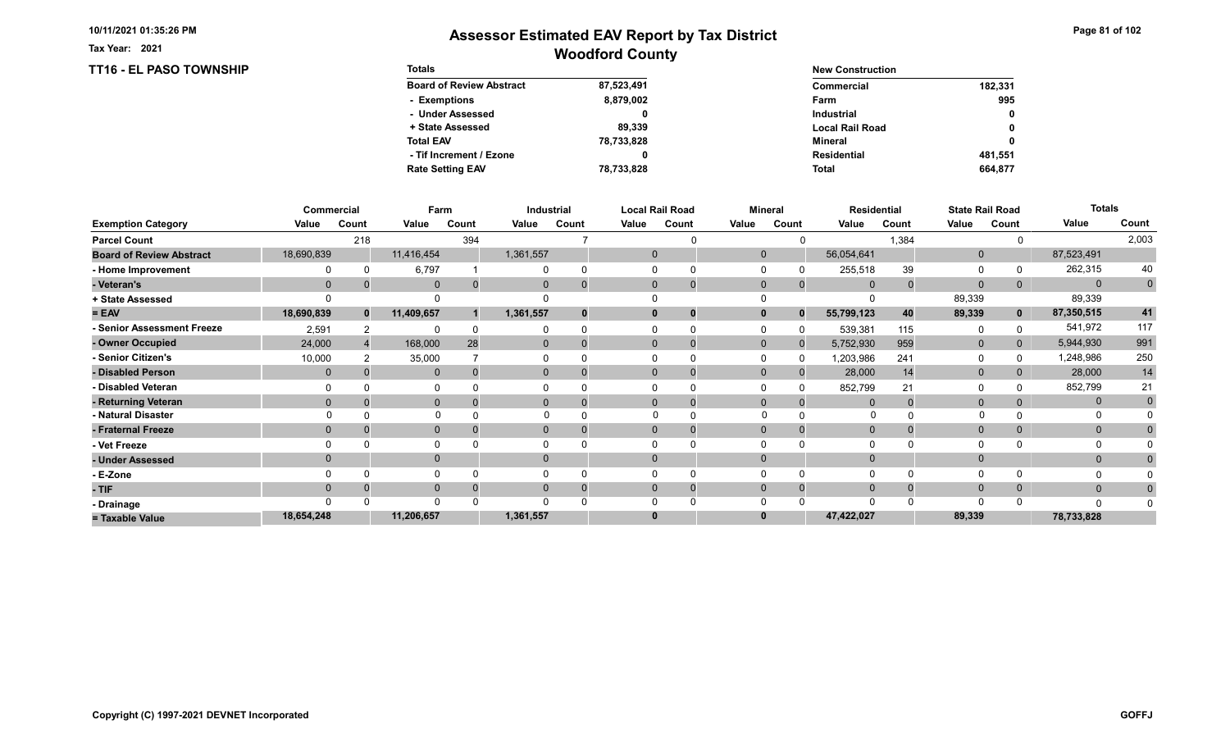TT16 - EL PASO TOWNSHIP

Tax Year: 2021

| <b>Totals</b>                   |            | <b>New Construction</b> |         |
|---------------------------------|------------|-------------------------|---------|
| <b>Board of Review Abstract</b> | 87,523,491 | Commercial              | 182,331 |
| - Exemptions                    | 8,879,002  | Farm                    | 995     |
| - Under Assessed                |            | <b>Industrial</b>       | 0       |
| + State Assessed                | 89.339     | <b>Local Rail Road</b>  | 0       |
| <b>Total EAV</b>                | 78,733,828 | Mineral                 | 0       |
| - Tif Increment / Ezone         |            | <b>Residential</b>      | 481.551 |
| <b>Rate Setting EAV</b>         | 78,733,828 | <b>Total</b>            | 664.877 |

|                                 |                | Commercial   |              | Farm  |           | Industrial |          | <b>Local Rail Road</b>      |              | <b>Mineral</b> |                | <b>Residential</b> |              | <b>State Rail Road</b> | <b>Totals</b> |                |
|---------------------------------|----------------|--------------|--------------|-------|-----------|------------|----------|-----------------------------|--------------|----------------|----------------|--------------------|--------------|------------------------|---------------|----------------|
| <b>Exemption Category</b>       | Value          | Count        | Value        | Count | Value     | Count      | Value    | Count                       | Value        | Count          | Value          | Count              | Value        | Count                  | Value         | Count          |
| <b>Parcel Count</b>             |                | 218          |              | 394   |           |            |          |                             |              |                |                | 1,384              |              |                        |               | 2,003          |
| <b>Board of Review Abstract</b> | 18,690,839     |              | 11,416,454   |       | 1,361,557 |            |          | $\mathbf 0$                 | $\Omega$     |                | 56,054,641     |                    | $\mathbf{0}$ |                        | 87,523,491    |                |
| - Home Improvement              |                |              | 6,797        |       |           |            |          |                             |              |                | 255,518        | 39                 | 0            |                        | 262,315       | 40             |
| - Veteran's                     | $\overline{0}$ |              | $\mathbf 0$  |       |           |            |          | $\mathbf{0}$<br>$\mathbf 0$ | $\mathbf 0$  | $\mathbf{0}$   | $\Omega$       |                    | $\Omega$     | 0                      | $\Omega$      | $\overline{0}$ |
| + State Assessed                |                |              |              |       |           |            |          |                             |              |                |                |                    | 89,339       |                        | 89,339        |                |
| $= EAV$                         | 18,690,839     | $\mathbf{0}$ | 11,409,657   |       | 1,361,557 |            | $\bf{0}$ | 0                           |              | $\bf{0}$       | 55,799,123     | 40                 | 89,339       | $\mathbf{0}$           | 87,350,515    | 41             |
| - Senior Assessment Freeze      | 2,591          |              | $\Omega$     |       |           |            |          |                             |              |                | 539,381        | 115                | 0            |                        | 541,972       | 117            |
| - Owner Occupied                | 24,000         |              | 168,000      | 28    | $\Omega$  | $\Omega$   |          | $\Omega$<br>$\Omega$        | $\mathbf{0}$ | $\Omega$       | 5,752,930      | 959                | $\mathbf 0$  | $\overline{0}$         | 5,944,930     | 991            |
| - Senior Citizen's              | 10,000         |              | 35,000       |       |           |            |          |                             |              |                | 1,203,986      | 241                | 0            |                        | 1,248,986     | 250            |
| - Disabled Person               | 0              |              | $\mathbf{0}$ |       | $\Omega$  |            |          | $\Omega$<br>$\Omega$        | $\Omega$     |                | 28,000         | 14                 | $\mathbf{0}$ |                        | 28,000        | 14             |
| - Disabled Veteran              |                |              | 0            |       |           |            |          | 0                           |              |                | 852,799        | 21                 | $\Omega$     |                        | 852,799       | 21             |
| - Returning Veteran             | $\Omega$       |              | $\mathbf 0$  |       | 0         |            |          | $\Omega$<br>$\mathbf 0$     | $\Omega$     | $\Omega$       | $\Omega$       |                    | $\mathbf 0$  |                        | $\mathbf{0}$  | $\mathbf 0$    |
| - Natural Disaster              |                |              | $\Omega$     |       |           |            |          | $\Omega$                    | $\Omega$     |                | 0              |                    |              |                        | 0             |                |
| - Fraternal Freeze              | $\Omega$       |              | $\mathbf 0$  |       | 0         |            |          | $\mathbf{0}$                | $\Omega$     |                | $\overline{0}$ |                    | $\mathbf{0}$ |                        | $\mathbf{0}$  |                |
| - Vet Freeze                    |                |              | 0            |       |           |            |          |                             |              |                |                |                    | $\Omega$     |                        |               |                |
| - Under Assessed                |                |              | $\mathbf{0}$ |       | $\Omega$  |            | $\Omega$ |                             |              |                |                |                    | $\mathbf{0}$ |                        | $\mathbf{0}$  |                |
| - E-Zone                        |                |              | $\Omega$     |       |           |            |          |                             |              |                |                |                    | $\Omega$     |                        |               |                |
| - TIF                           |                |              | $\mathbf{0}$ |       |           |            | 0        | 0                           |              |                |                |                    | $\mathbf{0}$ |                        | $\mathbf{0}$  |                |
| - Drainage                      |                |              | $\Omega$     |       |           |            |          |                             |              |                |                |                    | $\Omega$     |                        | $\Omega$      |                |
| = Taxable Value                 | 18,654,248     |              | 11,206,657   |       | 1,361,557 |            | 0        |                             |              |                | 47,422,027     |                    | 89,339       |                        | 78,733,828    |                |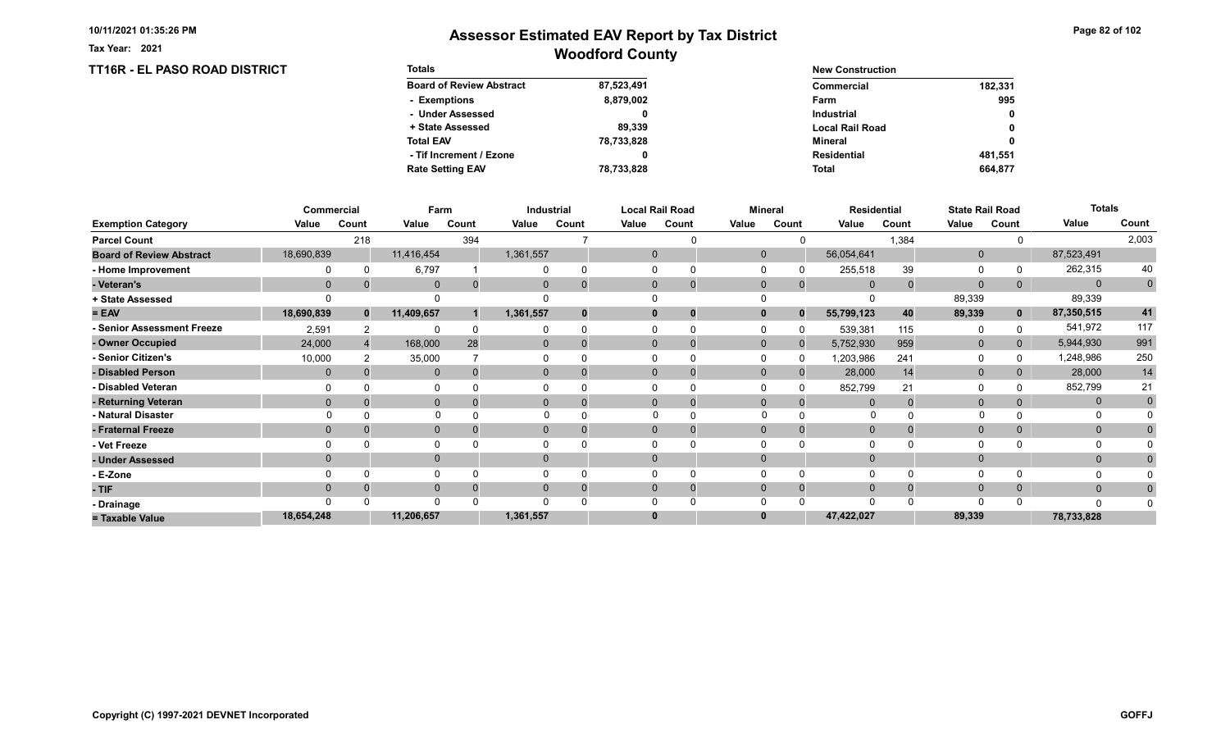Tax Year: 2021

| <b>TT16R - EL PASO ROAD DISTRICT</b> | <b>Totals</b>                   |            | <b>New Construction</b> |         |  |  |  |
|--------------------------------------|---------------------------------|------------|-------------------------|---------|--|--|--|
|                                      | <b>Board of Review Abstract</b> | 87,523,491 | <b>Commercial</b>       | 182,331 |  |  |  |
|                                      | - Exemptions                    | 8,879,002  | Farm                    | 995     |  |  |  |
|                                      | - Under Assessed                |            | <b>Industrial</b>       | 0       |  |  |  |
|                                      | + State Assessed                | 89,339     | <b>Local Rail Road</b>  | 0       |  |  |  |
|                                      | <b>Total EAV</b>                | 78,733,828 | Mineral                 | 0       |  |  |  |
|                                      | - Tif Increment / Ezone         |            | <b>Residential</b>      | 481,551 |  |  |  |
|                                      | <b>Rate Setting EAV</b>         | 78,733,828 | Total                   | 664,877 |  |  |  |

|                                 |            | Commercial   | Farm         |       |                | Industrial |              | <b>Local Rail Road</b> |              | <b>Mineral</b> | <b>Residential</b> |          |              | <b>State Rail Road</b> | <b>Totals</b> |              |
|---------------------------------|------------|--------------|--------------|-------|----------------|------------|--------------|------------------------|--------------|----------------|--------------------|----------|--------------|------------------------|---------------|--------------|
| <b>Exemption Category</b>       | Value      | Count        | Value        | Count | Value          | Count      | Value        | Count                  | Value        | Count          | Value              | Count    | Value        | Count                  | Value         | Count        |
| <b>Parcel Count</b>             |            | 218          |              | 394   |                |            |              |                        |              |                |                    | 1,384    |              |                        |               | 2,003        |
| <b>Board of Review Abstract</b> | 18,690,839 |              | 11,416,454   |       | 1,361,557      |            | $\mathbf{0}$ |                        | $\mathbf{0}$ |                | 56,054,641         |          | $\mathbf 0$  |                        | 87,523,491    |              |
| - Home Improvement              |            |              | 6,797        |       |                |            | $\Omega$     |                        |              |                | 255,518            | 39       | 0            |                        | 262,315       | 40           |
| - Veteran's                     | $\Omega$   |              | $\Omega$     | 0     | $\Omega$       |            | $\mathbf 0$  | $\Omega$               | $\Omega$     | $\Omega$       | $\Omega$           | $\Omega$ | $\mathbf{0}$ | 0                      | $\mathbf{0}$  | $\mathbf 0$  |
| + State Assessed                |            |              |              |       |                |            |              |                        |              |                |                    |          | 89,339       |                        | 89,339        |              |
| $= EAV$                         | 18,690,839 | $\mathbf{0}$ | 11,409,657   |       | 1,361,557      |            | $\mathbf 0$  | 0                      | $\mathbf{0}$ | $\Omega$       | 55,799,123         | 40       | 89,339       | $\mathbf{0}$           | 87,350,515    | 41           |
| - Senior Assessment Freeze      | 2,591      |              | $\Omega$     |       |                |            |              |                        |              |                | 539,381            | 115      | 0            |                        | 541,972       | 117          |
| - Owner Occupied                | 24,000     |              | 168,000      | 28    | $\mathbf{0}$   |            | $\Omega$     |                        | $\mathbf{0}$ | $\Omega$       | 5,752,930          | 959      | $\mathbf 0$  | $\mathbf{0}$           | 5,944,930     | 991          |
| - Senior Citizen's              | 10,000     |              | 35,000       |       |                |            |              |                        |              |                | 1,203,986          | 241      | 0            |                        | 1,248,986     | 250          |
| - Disabled Person               | $\Omega$   |              | $\mathbf{0}$ |       | $\mathbf{0}$   |            | $\Omega$     |                        | $\Omega$     |                | 28,000             | 14       | $\mathbf{0}$ |                        | 28,000        | 14           |
| - Disabled Veteran              |            |              |              |       |                |            |              |                        |              |                | 852,799            | 21       | $\Omega$     |                        | 852,799       | 21           |
| - Returning Veteran             | $\Omega$   |              | $\mathbf{0}$ |       | $\overline{0}$ |            | $\Omega$     | $\overline{0}$         | $\Omega$     | $\Omega$       |                    |          | $\mathbf{0}$ |                        | $\mathbf 0$   | $\mathbf{0}$ |
| - Natural Disaster              |            |              | $\Omega$     |       |                |            | $\Omega$     |                        | $\Omega$     |                | 0                  |          | $\Omega$     |                        | 0             |              |
| - Fraternal Freeze              | $\Omega$   |              | $\mathbf{0}$ |       | $\mathbf{0}$   |            | $\mathbf{0}$ |                        | $\Omega$     |                | $\mathbf 0$        |          | $\mathbf{0}$ |                        | $\mathbf{0}$  | $\Omega$     |
| - Vet Freeze                    |            |              | $\Omega$     |       |                |            |              |                        |              |                |                    |          | $\Omega$     |                        | 0             |              |
| - Under Assessed                | $\Omega$   |              | $\mathbf{0}$ |       | $\Omega$       |            | $\Omega$     |                        | $\Omega$     |                |                    |          | $\mathbf{0}$ |                        | $\mathbf{0}$  |              |
| - E-Zone                        |            |              | $\Omega$     |       |                |            |              |                        |              |                |                    |          | $\Omega$     |                        |               |              |
| - TIF                           | $\Omega$   |              | $\mathbf{0}$ |       | 0              |            | $\Omega$     | 0                      | $\Omega$     |                | $\Omega$           |          | $\mathbf{0}$ | 0                      | $\mathbf{0}$  | 0            |
| - Drainage                      |            |              | $\Omega$     |       |                |            |              |                        |              |                |                    |          | $\Omega$     |                        | $\Omega$      |              |
| = Taxable Value                 | 18,654,248 |              | 11,206,657   |       | 1,361,557      |            | $\bf{0}$     |                        |              |                | 47,422,027         |          | 89,339       |                        | 78,733,828    |              |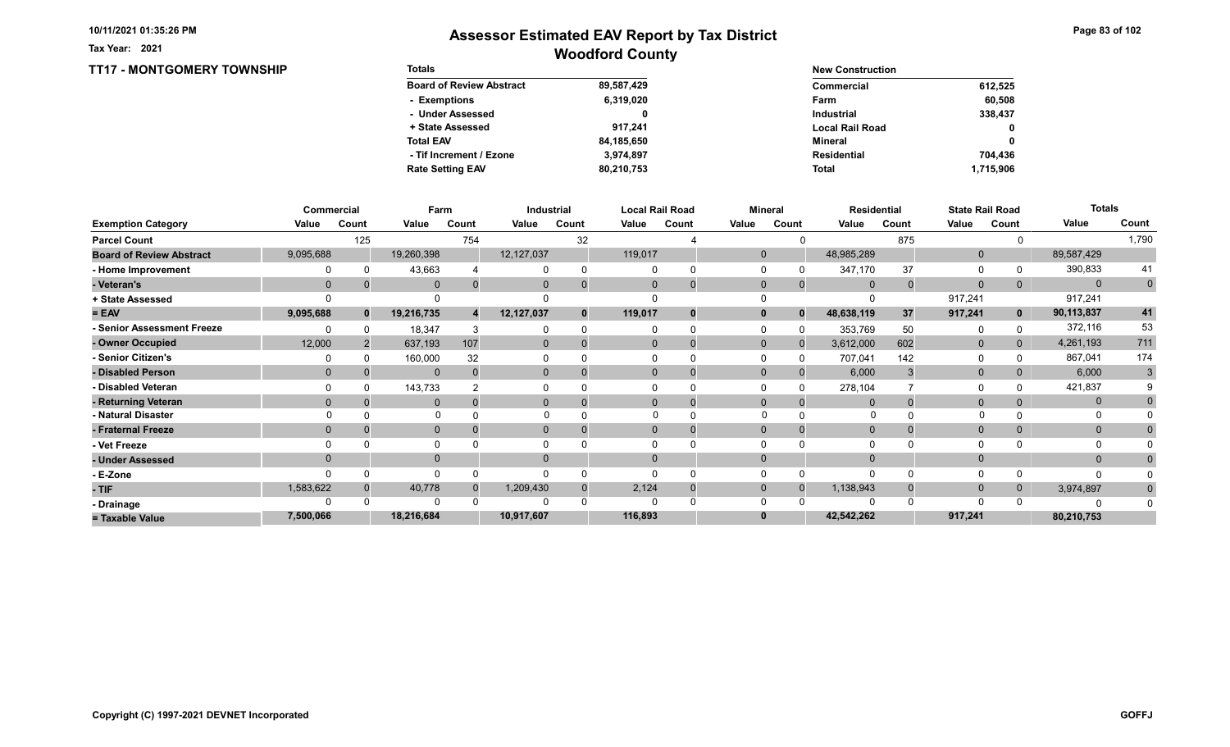TT17 - MONTGOMERY TOWNSHIP

Tax Year: 2021

| <b>Totals</b>                   |            | <b>New Construction</b> |              |
|---------------------------------|------------|-------------------------|--------------|
| <b>Board of Review Abstract</b> | 89,587,429 | Commercial              | 612,525      |
| - Exemptions                    | 6,319,020  | Farm                    | 60.508       |
| - Under Assessed                |            | <b>Industrial</b>       | 338,437      |
| + State Assessed                | 917.241    | <b>Local Rail Road</b>  | $\mathbf{0}$ |
| <b>Total EAV</b>                | 84,185,650 | Mineral                 | 0            |
| - Tif Increment / Ezone         | 3.974.897  | <b>Residential</b>      | 704.436      |
| <b>Rate Setting EAV</b>         | 80,210,753 | <b>Total</b>            | 1.715.906    |

|                                 |           | Commercial   | Farm         |       |              | Industrial |              | <b>Local Rail Road</b> |              | <b>Mineral</b> |             | <b>Residential</b> |              | <b>State Rail Road</b> | <b>Totals</b> |                |
|---------------------------------|-----------|--------------|--------------|-------|--------------|------------|--------------|------------------------|--------------|----------------|-------------|--------------------|--------------|------------------------|---------------|----------------|
| <b>Exemption Category</b>       | Value     | Count        | Value        | Count | Value        | Count      | Value        | Count                  | Value        | Count          | Value       | Count              | Value        | Count                  | Value         | Count          |
| <b>Parcel Count</b>             |           | 125          |              | 754   |              | 32         |              |                        |              |                |             | 875                |              |                        |               | 1,790          |
| <b>Board of Review Abstract</b> | 9,095,688 |              | 19,260,398   |       | 12, 127, 037 |            | 119,017      |                        | $\Omega$     |                | 48,985,289  |                    | $\mathbf 0$  |                        | 89,587,429    |                |
| - Home Improvement              |           |              | 43,663       |       |              |            | $\Omega$     |                        |              |                | 347,170     | 37                 | 0            |                        | 390,833       | 41             |
| - Veteran's                     | $\Omega$  |              | $\Omega$     |       | $\mathbf{0}$ |            | $\mathbf{0}$ | $\overline{0}$         | $\mathbf 0$  | $\mathbf{0}$   | $\Omega$    | $\Omega$           | $\mathbf{0}$ | 0                      | $\Omega$      | $\overline{0}$ |
| + State Assessed                |           |              |              |       |              |            |              |                        |              |                |             |                    | 917,241      |                        | 917,241       |                |
| $= EAV$                         | 9,095,688 | $\mathbf{0}$ | 19,216,735   |       | 12,127,037   |            | 119,017      |                        |              | $\Omega$       | 48,638,119  | 37                 | 917,241      | $\mathbf{0}$           | 90,113,837    | 41             |
| - Senior Assessment Freeze      |           |              | 18,347       |       |              |            |              |                        |              |                | 353,769     | 50                 | 0            |                        | 372,116       | 53             |
| - Owner Occupied                | 12,000    |              | 637,193      | 107   | $\Omega$     |            | $\Omega$     |                        | $\mathbf{0}$ | $\Omega$       | 3,612,000   | 602                | $\mathbf{0}$ | $\Omega$               | 4,261,193     | 711            |
| - Senior Citizen's              |           |              | 160,000      | 32    |              |            |              |                        |              |                | 707,041     | 142                | 0            |                        | 867,041       | 174            |
| - Disabled Person               | $\Omega$  |              | $\mathbf{0}$ |       | 0            |            | $\Omega$     |                        | $\Omega$     |                | 6,000       |                    | $\mathbf{0}$ |                        | 6,000         | 3              |
| - Disabled Veteran              |           |              | 143,733      |       |              |            | $\Omega$     |                        |              |                | 278,104     |                    | $\Omega$     |                        | 421,837       |                |
| - Returning Veteran             | $\Omega$  |              | $\Omega$     |       | $\Omega$     |            | $\Omega$     | 0                      | $\Omega$     | $\Omega$       |             |                    | $\mathbf 0$  |                        | $\mathbf{0}$  |                |
| - Natural Disaster              |           |              | $\Omega$     |       |              |            |              |                        | $\Omega$     |                | O           |                    |              |                        | 0             |                |
| - Fraternal Freeze              | $\Omega$  |              | $\mathbf{0}$ |       | $\mathbf{0}$ |            | $\mathbf{0}$ |                        | $\Omega$     |                | $\mathbf 0$ |                    | $\mathbf{0}$ |                        | $\mathbf{0}$  |                |
| - Vet Freeze                    |           |              | $\Omega$     |       |              |            |              |                        |              |                |             |                    | $\Omega$     |                        | O             |                |
| - Under Assessed                | $\Omega$  |              | $\mathbf{0}$ |       | 0            |            | $\Omega$     |                        |              |                |             |                    | $\mathbf{0}$ |                        | $\Omega$      |                |
| - E-Zone                        |           |              | $\Omega$     |       |              |            |              |                        |              |                |             |                    | $\Omega$     |                        |               |                |
| - TIF                           | 1,583,622 |              | 40,778       |       | 1,209,430    |            | 2,124        |                        | $\Omega$     | $\Omega$       | 1,138,943   |                    | $\mathbf{0}$ | 0                      | 3,974,897     | $\Omega$       |
| - Drainage                      |           |              | $\Omega$     |       |              |            | 0            |                        |              |                |             |                    | $\Omega$     |                        |               |                |
| = Taxable Value                 | 7,500,066 |              | 18,216,684   |       | 10,917,607   |            | 116,893      |                        |              |                | 42,542,262  |                    | 917,241      |                        | 80,210,753    |                |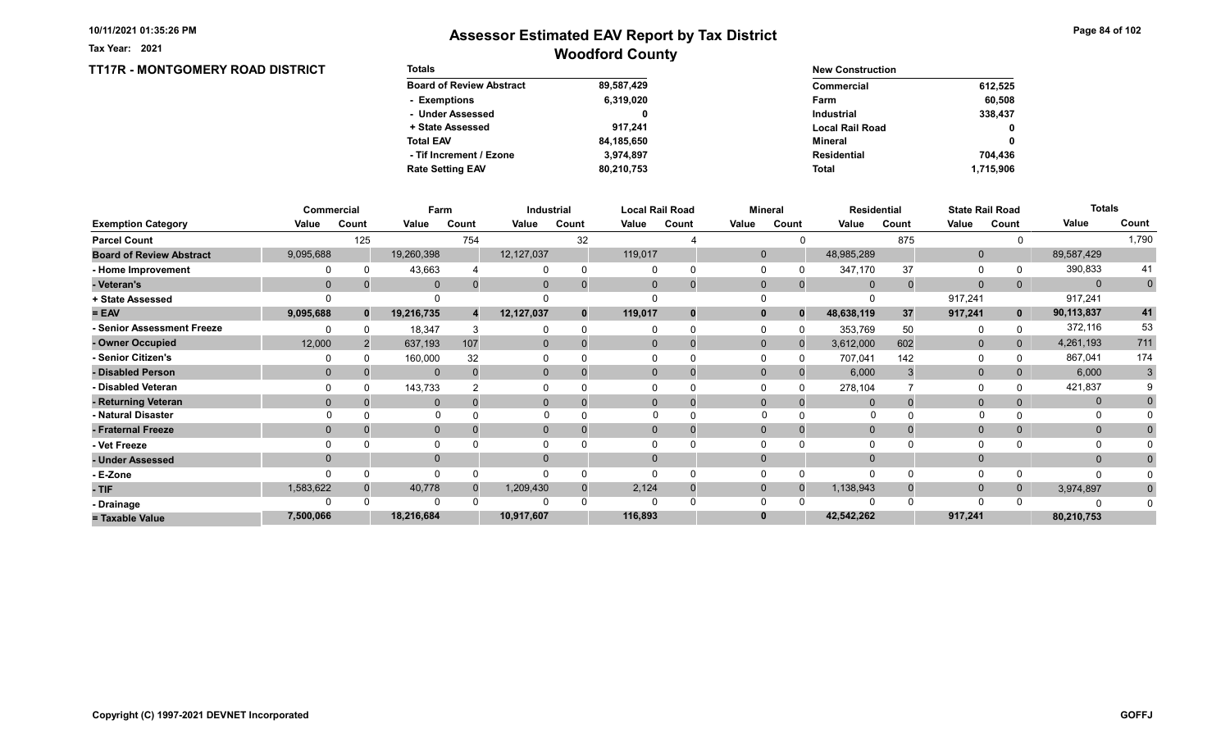Tax Year: 2021

## Woodford County Assessor Estimated EAV Report by Tax District

### TT17R - MONTGOMERY ROAD DISTRICT

| <b>Totals</b>                   |            | <b>New Construction</b> |              |
|---------------------------------|------------|-------------------------|--------------|
| <b>Board of Review Abstract</b> | 89,587,429 | Commercial              | 612,525      |
| - Exemptions                    | 6,319,020  | Farm                    | 60,508       |
| - Under Assessed                |            | <b>Industrial</b>       | 338,437      |
| + State Assessed                | 917.241    | <b>Local Rail Road</b>  | 0            |
| <b>Total EAV</b>                | 84,185,650 | Mineral                 | $\mathbf{0}$ |
| - Tif Increment / Ezone         | 3,974,897  | Residential             | 704.436      |
| <b>Rate Setting EAV</b>         | 80,210,753 | <b>Total</b>            | 1,715,906    |

|                                 |              | Commercial |              | Farm  | Industrial     |              |         | <b>Local Rail Road</b> |              | <b>Mineral</b> |                | <b>Residential</b> |              | <b>State Rail Road</b> | <b>Totals</b> |                |
|---------------------------------|--------------|------------|--------------|-------|----------------|--------------|---------|------------------------|--------------|----------------|----------------|--------------------|--------------|------------------------|---------------|----------------|
| <b>Exemption Category</b>       | Value        | Count      | Value        | Count | Value          | Count        | Value   | Count                  | Value        | Count          | Value          | Count              | Value        | Count                  | Value         | Count          |
| <b>Parcel Count</b>             |              | 125        |              | 754   |                | 32           |         |                        |              |                |                | 875                |              |                        |               | 1,790          |
| <b>Board of Review Abstract</b> | 9,095,688    |            | 19,260,398   |       | 12, 127, 037   |              | 119,017 |                        | $\mathbf{0}$ |                | 48,985,289     |                    | $\mathbf 0$  |                        | 89,587,429    |                |
| - Home Improvement              |              |            | 43,663       |       |                | $\Omega$     |         |                        | $\Omega$     |                | 347,170        | 37                 | 0            |                        | 390,833       | 41             |
| - Veteran's                     | $\mathbf 0$  |            | $\mathbf{0}$ |       | $\mathbf{0}$   | $\Omega$     |         | $\mathbf 0$            | $\mathbf{0}$ | $\overline{0}$ | $\overline{0}$ |                    | $\mathbf 0$  |                        | $\Omega$      | $\overline{0}$ |
| + State Assessed                |              |            |              |       |                |              |         |                        |              |                |                |                    | 917,241      |                        | 917,241       |                |
| $= EAV$                         | 9,095,688    | $\bf{0}$   | 19,216,735   |       | 12,127,037     | $\mathbf{0}$ | 119,017 | $\bf{0}$               | $\bf{0}$     | $\mathbf{0}$   | 48,638,119     | 37                 | 917,241      | $\mathbf{0}$           | 90,113,837    | 41             |
| - Senior Assessment Freeze      |              |            | 18,347       |       |                | $\Omega$     |         |                        | $\Omega$     |                | 353,769        | 50                 | 0            |                        | 372,116       | 53             |
| - Owner Occupied                | 12,000       |            | 637,193      | 107   | $\Omega$       | $\Omega$     |         | $\Omega$               | $\Omega$     |                | 3,612,000      | 602                | $\mathbf{0}$ | $\overline{0}$         | 4,261,193     | 711            |
| Senior Citizen's                |              |            | 160,000      | 32    |                |              |         |                        |              |                | 707,041        | 142                | 0            |                        | 867,041       | 174            |
| - Disabled Person               | $\mathbf{0}$ |            | $\mathbf{0}$ |       | $\overline{0}$ |              |         | 0                      | $\Omega$     |                | 6,000          |                    | $\mathbf{0}$ |                        | 6,000         | 3              |
| - Disabled Veteran              |              |            | 143,733      |       |                |              |         |                        |              |                | 278,104        |                    | 0            |                        | 421,837       |                |
| - Returning Veteran             | $\Omega$     |            | $\Omega$     |       | $\Omega$       | $\Omega$     |         | $\Omega$               | $\Omega$     |                | $\Omega$       |                    | $\mathbf{0}$ |                        | $\mathbf{0}$  |                |
| - Natural Disaster              |              |            | $\Omega$     |       |                |              |         |                        |              |                |                |                    |              |                        |               |                |
| - Fraternal Freeze              | $\Omega$     |            | $\mathbf{0}$ |       | $\mathbf{0}$   |              |         |                        | $\mathbf{0}$ |                | $\overline{0}$ |                    | $\mathbf 0$  |                        | $\mathbf{0}$  |                |
| - Vet Freeze                    |              |            | 0            |       |                |              |         |                        |              |                | $\Omega$       |                    | $\Omega$     |                        | 0             |                |
| - Under Assessed                | $\Omega$     |            | $\mathbf{0}$ |       | $\Omega$       |              |         |                        | $\Omega$     |                | $\Omega$       |                    | $\mathbf{0}$ |                        | $\Omega$      |                |
| - E-Zone                        |              |            |              |       |                |              |         |                        |              |                | $\Omega$       |                    | $\Omega$     |                        |               |                |
| $-$ TIF                         | 1,583,622    |            | 40,778       |       | 1,209,430      | $\Omega$     | 2,124   |                        | $\Omega$     |                | 1,138,943      |                    | $\mathbf{0}$ |                        | 3,974,897     | $\Omega$       |
| - Drainage                      |              |            | O            |       |                |              |         |                        |              |                |                |                    | $\Omega$     |                        |               |                |
| = Taxable Value                 | 7,500,066    |            | 18,216,684   |       | 10,917,607     |              | 116,893 |                        |              |                | 42,542,262     |                    | 917,241      |                        | 80,210,753    |                |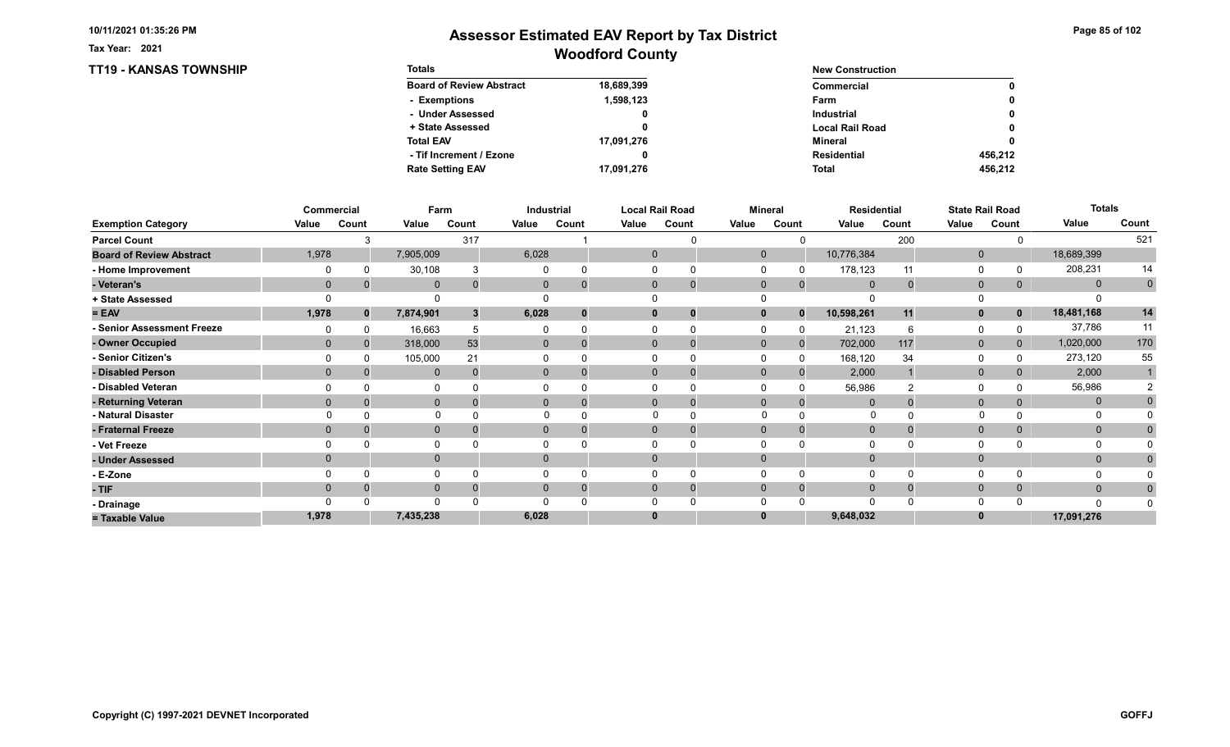TT19 - KANSAS TOWNSHIP

Tax Year: 2021

| <b>Totals</b>                   |            | <b>New Construction</b> |         |
|---------------------------------|------------|-------------------------|---------|
| <b>Board of Review Abstract</b> | 18,689,399 | Commercial              | 0       |
| - Exemptions                    | 1,598,123  | Farm                    | 0       |
| - Under Assessed                | 0          | <b>Industrial</b>       | 0       |
| + State Assessed                |            | <b>Local Rail Road</b>  | 0       |
| <b>Total EAV</b>                | 17,091,276 | Mineral                 | 0       |
| - Tif Increment / Ezone         |            | <b>Residential</b>      | 456.212 |
| <b>Rate Setting EAV</b>         | 17,091,276 | <b>Total</b>            | 456.212 |

|                                 |              | Commercial   | Farm         |                |                | Industrial |          | <b>Local Rail Road</b> |              | <b>Mineral</b> |                | <b>Residential</b> |              | <b>State Rail Road</b> | <b>Totals</b> |             |
|---------------------------------|--------------|--------------|--------------|----------------|----------------|------------|----------|------------------------|--------------|----------------|----------------|--------------------|--------------|------------------------|---------------|-------------|
| <b>Exemption Category</b>       | Value        | Count        | Value        | Count          | Value          | Count      | Value    | Count                  | Value        | Count          | Value          | Count              | Value        | Count                  | Value         | Count       |
| <b>Parcel Count</b>             |              | 3            |              | 317            |                |            |          |                        |              |                |                | 200                |              |                        |               | 521         |
| <b>Board of Review Abstract</b> | 1,978        |              | 7,905,009    |                | 6,028          |            |          | $\mathbf 0$            | $\mathbf{0}$ |                | 10,776,384     |                    | $\mathbf 0$  |                        | 18,689,399    |             |
| - Home Improvement              |              | 0            | 30,108       |                |                |            | $\Omega$ |                        |              |                | 178,123        | 11                 | 0            |                        | 208,231       | 14          |
| - Veteran's                     | $\mathbf{0}$ |              | $\mathbf{0}$ | $\Omega$       | $\mathbf{0}$   |            |          | $\mathbf{0}$           | $\mathbf{0}$ | $\Omega$       | $\mathbf 0$    | $\Omega$           | $\mathbf{0}$ | $\overline{0}$         | $\mathbf{0}$  | $\mathbf 0$ |
| + State Assessed                |              |              |              |                |                |            | U        |                        |              |                |                |                    | 0            |                        |               |             |
| $= EAV$                         | 1,978        | $\mathbf{0}$ | 7,874,901    | 3 <sup>1</sup> | 6,028          |            |          | $\bf{0}$               | $\mathbf{0}$ | $\Omega$       | 10,598,261     | 11                 | $\mathbf{0}$ | $\mathbf 0$            | 18,481,168    | 14          |
| - Senior Assessment Freeze      |              |              | 16,663       | 5              |                |            | $\Omega$ |                        |              |                | 21,123         | 6                  | 0            |                        | 37,786        | 11          |
| - Owner Occupied                | $\Omega$     | $\Omega$     | 318,000      | 53             | $\mathbf{0}$   |            |          | $\Omega$               | $\mathbf{0}$ | $\Omega$       | 702,000        | 117                | $\mathbf{0}$ | $\mathbf{0}$           | 1,020,000     | 170         |
| - Senior Citizen's              |              |              | 105,000      | 21             |                |            |          |                        |              |                | 168,120        | 34                 | 0            |                        | 273,120       | 55          |
| - Disabled Person               | $\Omega$     |              | $\mathbf{0}$ | $\Omega$       | 0              |            |          | $\Omega$               | $\Omega$     |                | 2,000          |                    | $\mathbf{0}$ |                        | 2,000         |             |
| - Disabled Veteran              |              |              |              |                |                |            | $\Omega$ |                        |              |                | 56,986         |                    | 0            |                        | 56,986        |             |
| - Returning Veteran             | $\Omega$     | $\Omega$     | $\mathbf{0}$ | $\Omega$       | $\overline{0}$ |            |          | $\Omega$               | $\mathbf{0}$ | $\Omega$       |                |                    | $\mathbf{0}$ | 0                      | $\mathbf{0}$  |             |
| - Natural Disaster              |              |              | $\Omega$     |                |                |            |          |                        | $\Omega$     |                | $\Omega$       |                    | $\Omega$     |                        | 0             |             |
| - Fraternal Freeze              | $\mathbf{0}$ |              | $\mathbf 0$  |                | $\mathbf{0}$   |            |          | $\mathbf{0}$           | $\mathbf 0$  |                | $\overline{0}$ |                    | $\mathbf 0$  | $\overline{0}$         | $\mathbf{0}$  |             |
| - Vet Freeze                    |              |              |              |                |                |            | $\Omega$ |                        |              |                |                |                    | 0            |                        | 0             |             |
| - Under Assessed                | $\Omega$     |              | $\mathbf 0$  |                | 0              |            |          | $\Omega$               | $\Omega$     |                |                |                    | $\mathbf{0}$ |                        | $\mathbf{0}$  |             |
| - E-Zone                        |              |              |              |                |                |            | $\Omega$ |                        |              |                |                | $\Omega$           | 0            |                        |               |             |
| - TIF                           | $\Omega$     |              | $\mathbf 0$  |                |                |            |          | $\Omega$               | $\Omega$     | $\Omega$       | $\Omega$       |                    | $\mathbf 0$  | $\mathbf{0}$           | $\mathbf{0}$  |             |
| - Drainage                      |              |              | $\Omega$     |                |                |            | U        |                        |              |                |                |                    | $\Omega$     |                        | $\Omega$      |             |
| = Taxable Value                 | 1,978        |              | 7,435,238    |                | 6,028          |            |          | $\bf{0}$               | $\bf{0}$     |                | 9,648,032      |                    | $\bf{0}$     |                        | 17,091,276    |             |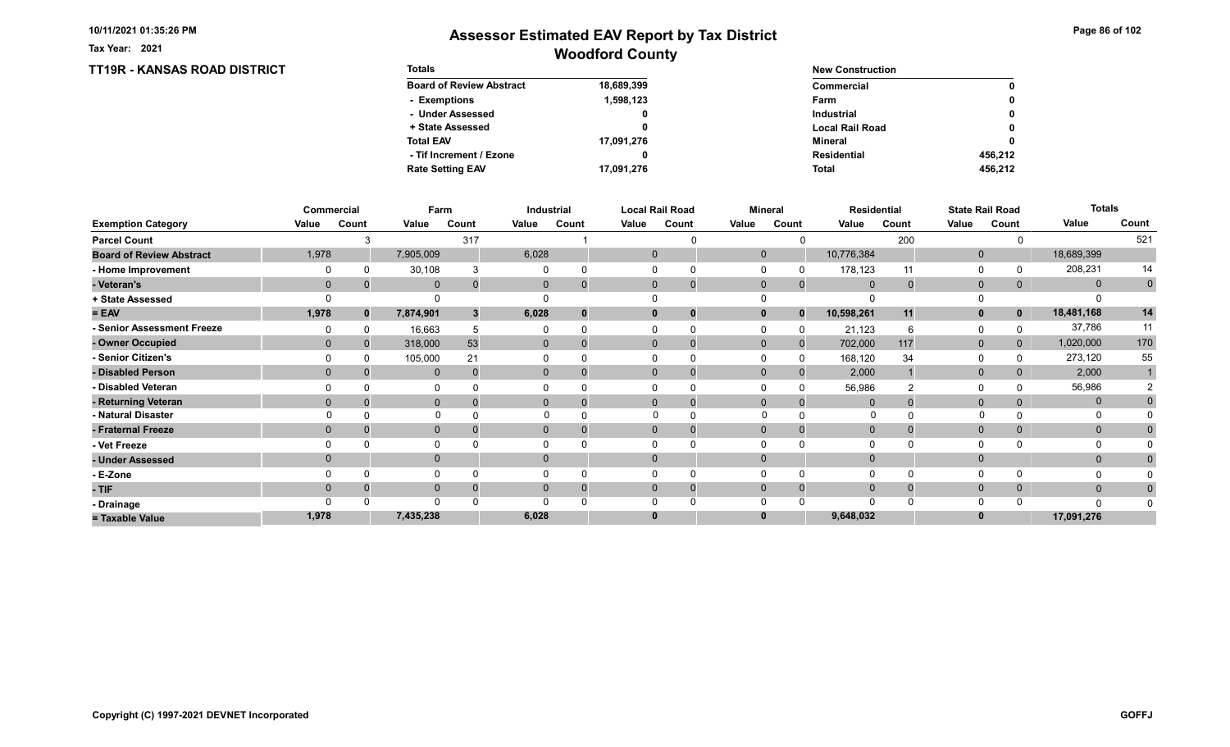TT19R - KANSAS ROAD DISTRICT

Tax Year: 2021

| <b>Totals</b>                   |            | <b>New Construction</b> |         |
|---------------------------------|------------|-------------------------|---------|
| <b>Board of Review Abstract</b> | 18,689,399 | Commercial              | 0       |
| - Exemptions                    | 1,598,123  | Farm                    | 0       |
| - Under Assessed                |            | <b>Industrial</b>       | 0       |
| + State Assessed                |            | <b>Local Rail Road</b>  | 0       |
| <b>Total EAV</b>                | 17,091,276 | Mineral                 | 0       |
| - Tif Increment / Ezone         |            | <b>Residential</b>      | 456.212 |
| <b>Rate Setting EAV</b>         | 17,091,276 | <b>Total</b>            | 456.212 |

|                                 |             | Commercial   | Farm         |                           |                | <b>Industrial</b> |              | <b>Local Rail Road</b> |              | <b>Mineral</b> |              | <b>Residential</b> |              | <b>State Rail Road</b> | <b>Totals</b> |             |
|---------------------------------|-------------|--------------|--------------|---------------------------|----------------|-------------------|--------------|------------------------|--------------|----------------|--------------|--------------------|--------------|------------------------|---------------|-------------|
| <b>Exemption Category</b>       | Value       | Count        | Value        | Count                     | Value          | Count             | Value        | Count                  | Value        | Count          | Value        | Count              | Value        | Count                  | Value         | Count       |
| <b>Parcel Count</b>             |             |              |              | 317                       |                |                   |              |                        |              |                |              | 200                |              |                        |               | 521         |
| <b>Board of Review Abstract</b> | 1,978       |              | 7,905,009    |                           | 6,028          |                   | $\mathbf 0$  |                        | $\mathbf{0}$ |                | 10,776,384   |                    | $\mathbf 0$  |                        | 18,689,399    |             |
| - Home Improvement              |             |              | 30,108       |                           |                |                   | $\Omega$     |                        |              |                | 178,123      | 11                 | 0            |                        | 208,231       | 14          |
| - Veteran's                     | $\mathbf 0$ |              | $\mathbf{0}$ | 0                         | $\mathbf{0}$   |                   | $\mathbf{0}$ | 0                      | $\mathbf{0}$ | $\mathbf{0}$   | $\mathbf{0}$ | $\mathbf 0$        | $\mathbf{0}$ | 0                      | $\mathbf{0}$  | $\mathbf 0$ |
| + State Assessed                |             |              |              |                           |                |                   |              |                        |              |                |              |                    |              |                        |               |             |
| $= EAV$                         | 1,978       | $\mathbf{0}$ | 7,874,901    | $\boldsymbol{\mathsf{3}}$ | 6,028          |                   | $\mathbf{0}$ |                        | 0            | $\Omega$       | 10,598,261   | 11                 | $\mathbf{0}$ | $\mathbf 0$            | 18,481,168    | 14          |
| - Senior Assessment Freeze      |             |              | 16,663       |                           |                |                   |              |                        |              |                | 21,123       |                    | $\Omega$     |                        | 37,786        | 11          |
| - Owner Occupied                | $\Omega$    | $\Omega$     | 318,000      | 53                        | $\mathbf{0}$   |                   | $\Omega$     |                        | $\Omega$     | $\mathbf{0}$   | 702,000      | 117                | $\mathbf{0}$ | $\mathbf{0}$           | 1,020,000     | 170         |
| - Senior Citizen's              |             |              | 105,000      | 21                        |                |                   |              |                        |              |                | 168,120      | 34                 | $\Omega$     |                        | 273,120       | 55          |
| - Disabled Person               | $\Omega$    |              | $\mathbf{0}$ | $\Omega$                  | $\overline{0}$ |                   | $\Omega$     |                        | $\Omega$     | $\Omega$       | 2,000        |                    | $\mathbf{0}$ | 0                      | 2,000         |             |
| - Disabled Veteran              |             |              | 0            |                           |                |                   | $\Omega$     |                        |              |                | 56,986       |                    | 0            |                        | 56,986        |             |
| - Returning Veteran             | $\Omega$    |              | $\mathbf{0}$ |                           | $\overline{0}$ |                   | $\Omega$     | $\overline{0}$         | $\Omega$     | $\Omega$       |              |                    | $\mathbf{0}$ | 0                      | $\mathbf{0}$  |             |
| - Natural Disaster              |             |              | $\Omega$     |                           |                |                   |              |                        | $\Omega$     |                | O            |                    |              |                        | O             |             |
| - Fraternal Freeze              | $\Omega$    |              | $\mathbf 0$  |                           | $\mathbf{0}$   |                   | $\mathbf{0}$ |                        | $\Omega$     |                | $\mathbf 0$  |                    | $\mathbf 0$  | $\mathbf{0}$           | $\mathbf{0}$  |             |
| - Vet Freeze                    |             |              | $\Omega$     |                           |                |                   |              |                        |              |                |              |                    | 0            |                        | $\Omega$      |             |
| - Under Assessed                | $\Omega$    |              | $\mathbf{0}$ |                           | $\mathbf{0}$   |                   | $\mathbf{0}$ |                        | $\Omega$     |                |              |                    | $\mathbf{0}$ |                        | $\mathbf{0}$  |             |
| - E-Zone                        |             |              | $\Omega$     |                           |                |                   |              |                        |              |                |              |                    | $\Omega$     |                        |               |             |
| - TIF                           | 0           |              | $\mathbf{0}$ |                           |                |                   | $\Omega$     |                        | $\Omega$     | $\Omega$       | $\Omega$     |                    | $\mathbf 0$  | $\mathbf{0}$           | $\mathbf{0}$  |             |
| - Drainage                      |             |              | $\Omega$     |                           |                |                   |              |                        |              |                |              |                    | $\Omega$     |                        | $\Omega$      |             |
| = Taxable Value                 | 1,978       |              | 7,435,238    |                           | 6,028          |                   | $\bf{0}$     |                        |              |                | 9,648,032    |                    | $\bf{0}$     |                        | 17,091,276    |             |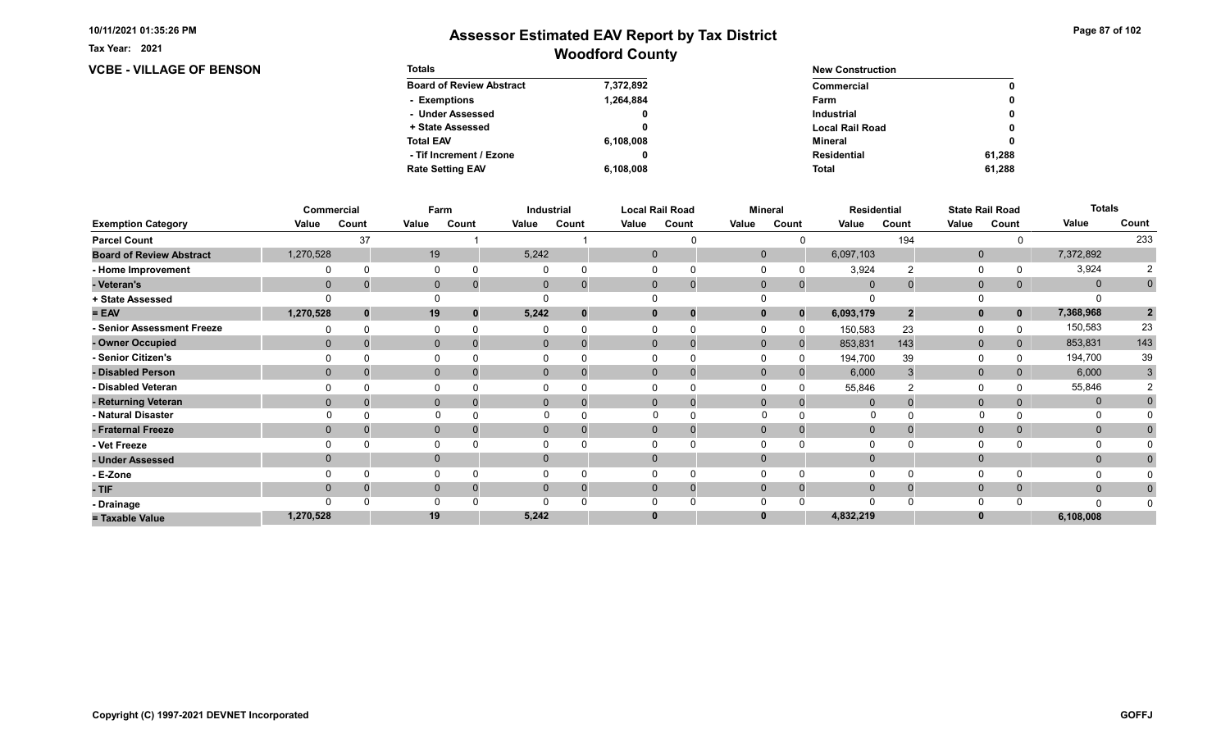**VCBE - VILLAGE OF BENSON** 

Tax Year: 2021

| <b>Totals</b>                   |           | <b>New Construction</b> |        |
|---------------------------------|-----------|-------------------------|--------|
| <b>Board of Review Abstract</b> | 7,372,892 | Commercial              | 0      |
| - Exemptions                    | 1.264.884 | Farm                    | 0      |
| - Under Assessed                | 0         | <b>Industrial</b>       | 0      |
| + State Assessed                |           | <b>Local Rail Road</b>  | 0      |
| <b>Total EAV</b>                | 6,108,008 | Mineral                 | 0      |
| - Tif Increment / Ezone         |           | <b>Residential</b>      | 61.288 |
| <b>Rate Setting EAV</b>         | 6,108,008 | <b>Total</b>            | 61,288 |

|                                 |             | Commercial | Farm         |       |              | <b>Industrial</b> |          | <b>Local Rail Road</b>     |              | <b>Mineral</b> | <b>Residential</b> |       |              | <b>State Rail Road</b> | <b>Totals</b> |                |
|---------------------------------|-------------|------------|--------------|-------|--------------|-------------------|----------|----------------------------|--------------|----------------|--------------------|-------|--------------|------------------------|---------------|----------------|
| <b>Exemption Category</b>       | Value       | Count      | Value        | Count | Value        | Count             | Value    | Count                      | Value        | Count          | Value              | Count | Value        | Count                  | Value         | Count          |
| <b>Parcel Count</b>             |             | 37         |              |       |              |                   |          |                            |              |                |                    | 194   |              |                        |               | 233            |
| <b>Board of Review Abstract</b> | 1,270,528   |            | 19           |       | 5,242        |                   |          | $\mathbf 0$                | $\mathbf{0}$ |                | 6,097,103          |       | $\mathbf 0$  |                        | 7,372,892     |                |
| - Home Improvement              |             |            | $\Omega$     |       |              |                   | $\Omega$ |                            |              |                | 3,924              |       | 0            |                        | 3,924         | 2              |
| - Veteran's                     | $\mathbf 0$ |            | $\mathbf{0}$ |       | $\mathbf{0}$ |                   |          | $\mathbf{0}$<br>0          | $\mathbf 0$  | $\mathbf{0}$   | $\mathbf{0}$       |       | $\mathbf 0$  | 0                      | $\mathbf{0}$  | $\mathbf 0$    |
| + State Assessed                |             |            |              |       |              |                   |          |                            |              |                |                    |       |              |                        |               |                |
| $= EAV$                         | 1,270,528   | $\bf{0}$   | 19           | 0     | 5,242        |                   |          | $\mathbf{0}$               | 0            | $\Omega$       | 6,093,179          | 2     | $\mathbf{0}$ | $\mathbf 0$            | 7,368,968     | $\overline{2}$ |
| - Senior Assessment Freeze      |             |            | $\Omega$     |       |              |                   |          |                            |              |                | 150,583            | 23    | $\Omega$     |                        | 150,583       | 23             |
| - Owner Occupied                | $\Omega$    |            | $\mathbf{0}$ |       | $\mathbf{0}$ |                   |          | $\mathbf{0}$               | $\Omega$     | $\mathbf{0}$   | 853,831            | 143   | $\mathbf{0}$ | 0                      | 853,831       | 143            |
| - Senior Citizen's              |             |            | $\Omega$     |       |              |                   |          |                            |              |                | 194,700            | 39    | $\Omega$     |                        | 194,700       | 39             |
| - Disabled Person               | $\Omega$    |            | $\mathbf{0}$ |       |              | $\overline{0}$    |          | $\Omega$                   | $\Omega$     |                | 6,000              |       | $\mathbf{0}$ |                        | 6,000         | 3              |
| - Disabled Veteran              |             |            | 0            |       |              |                   | $\Omega$ |                            |              |                | 55,846             |       | 0            |                        | 55,846        |                |
| - Returning Veteran             | $\Omega$    |            | $\mathbf{0}$ |       |              | $\overline{0}$    |          | $\Omega$<br>$\overline{0}$ | $\Omega$     | $\Omega$       | $\Omega$           |       | $\mathbf{0}$ | 0                      | $\mathbf{0}$  |                |
| - Natural Disaster              |             |            | $\Omega$     |       |              |                   |          |                            | $\Omega$     |                | O                  |       |              |                        | O             |                |
| - Fraternal Freeze              | $\Omega$    |            | $\mathbf 0$  |       | $\mathbf{0}$ |                   |          | $\mathbf{0}$               | $\Omega$     | $\Omega$       | $\mathbf 0$        |       | $\mathbf 0$  | $\mathbf{0}$           | $\mathbf{0}$  |                |
| - Vet Freeze                    |             |            | $\Omega$     |       |              |                   |          |                            |              |                |                    |       | 0            |                        | $\Omega$      |                |
| - Under Assessed                | $\Omega$    |            | $\mathbf{0}$ |       | $\mathbf{0}$ |                   |          | $\mathbf{0}$               | $\Omega$     |                |                    |       | $\mathbf{0}$ |                        | $\mathbf{0}$  |                |
| - E-Zone                        |             |            | $\Omega$     |       |              |                   |          |                            |              |                |                    |       | $\Omega$     |                        |               |                |
| - TIF                           | 0           |            | $\mathbf{0}$ |       |              |                   |          | $\Omega$                   | $\Omega$     | $\Omega$       | $\Omega$           |       | $\mathbf 0$  | $\mathbf{0}$           | $\mathbf{0}$  |                |
| - Drainage                      |             |            | $\Omega$     |       |              |                   |          |                            |              |                |                    |       | $\Omega$     |                        | n             |                |
| = Taxable Value                 | 1,270,528   |            | 19           |       | 5,242        |                   | $\bf{0}$ |                            |              |                | 4,832,219          |       | $\bf{0}$     |                        | 6,108,008     |                |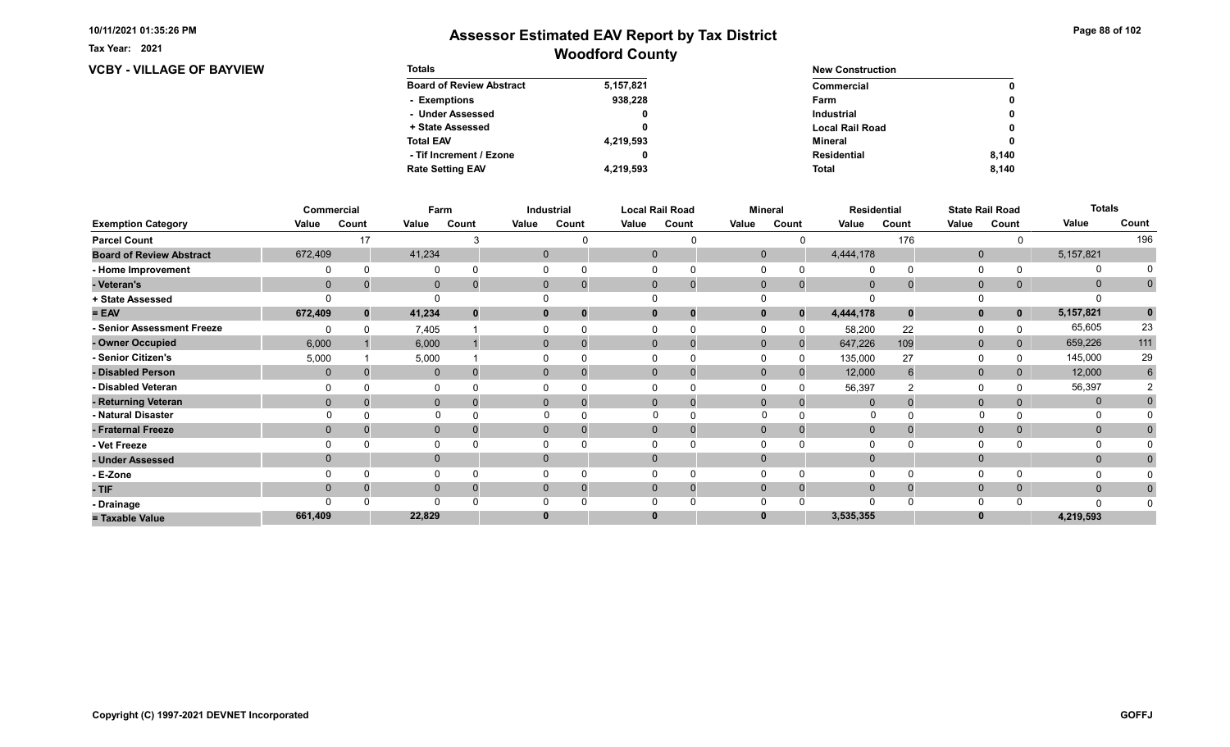**VCBY - VILLAGE OF BAYVIEW** 

Tax Year: 2021

| <b>Totals</b>                   |           | <b>New Construction</b> |       |
|---------------------------------|-----------|-------------------------|-------|
| <b>Board of Review Abstract</b> | 5,157,821 | Commercial              | 0     |
| - Exemptions                    | 938.228   | Farm                    | 0     |
| - Under Assessed                | 0         | <b>Industrial</b>       | 0     |
| + State Assessed                |           | <b>Local Rail Road</b>  | 0     |
| <b>Total EAV</b>                | 4,219,593 | Mineral                 | 0     |
| - Tif Increment / Ezone         |           | <b>Residential</b>      | 8.140 |
| <b>Rate Setting EAV</b>         | 4,219,593 | <b>Total</b>            | 8,140 |

|                                 |                | Commercial | Farm         |       |       | Industrial               |       | <b>Local Rail Road</b>     |              | <b>Mineral</b> |                | Residential |              | <b>State Rail Road</b> | <b>Totals</b> |                |
|---------------------------------|----------------|------------|--------------|-------|-------|--------------------------|-------|----------------------------|--------------|----------------|----------------|-------------|--------------|------------------------|---------------|----------------|
| <b>Exemption Category</b>       | Value          | Count      | Value        | Count | Value | Count                    | Value | Count                      | Value        | Count          | Value          | Count       | Value        | Count                  | Value         | Count          |
| <b>Parcel Count</b>             |                | 17         |              |       |       |                          |       |                            |              |                |                | 176         |              |                        |               | 196            |
| <b>Board of Review Abstract</b> | 672,409        |            | 41,234       |       |       | 0                        |       | $\mathbf 0$                | $\mathbf 0$  |                | 4,444,178      |             | $\mathbf 0$  |                        | 5,157,821     |                |
| - Home Improvement              |                |            | 0            |       |       |                          |       |                            |              |                | $\Omega$       |             | 0            |                        | 0             |                |
| - Veteran's                     | $\mathbf 0$    |            | $\mathbf 0$  |       |       | $\mathbf{0}$             |       | $\mathbf 0$<br>$\mathbf 0$ | $\mathbf 0$  | $\mathbf{0}$   | $\overline{0}$ |             | $\mathbf 0$  | 0                      | $\mathbf{0}$  | $\overline{0}$ |
| + State Assessed                |                |            |              |       |       |                          |       |                            |              |                |                |             |              |                        |               |                |
| $= EAV$                         | 672,409        | $\bf{0}$   | 41,234       |       |       | 0                        |       | $\bf{0}$<br>0              |              | $\bf{0}$       | 4,444,178      | $\bf{0}$    | $\mathbf{0}$ | $\mathbf 0$            | 5, 157, 821   | $\mathbf 0$    |
| - Senior Assessment Freeze      |                |            | 7,405        |       |       |                          |       |                            |              |                | 58,200         | 22          | 0            |                        | 65,605        | 23             |
| - Owner Occupied                | 6,000          |            | 6,000        |       |       | $\mathbf{0}$<br>$\Omega$ |       | $\Omega$<br>$\mathbf 0$    | $\mathbf{0}$ | $\mathbf{0}$   | 647,226        | 109         | $\mathbf 0$  | 0                      | 659,226       | $111$          |
| - Senior Citizen's              | 5,000          |            | 5,000        |       |       |                          |       |                            |              | $\Omega$       | 135,000        | 27          | $\Omega$     |                        | 145,000       | 29             |
| - Disabled Person               | $\overline{0}$ |            | $\mathbf 0$  |       |       | 0                        |       | $\Omega$<br>0              | $\Omega$     | $\Omega$       | 12,000         | 6           | $\mathbf 0$  |                        | 12,000        | 6              |
| - Disabled Veteran              |                |            | 0            |       |       |                          |       | 0                          |              |                | 56,397         |             | $\Omega$     |                        | 56,397        |                |
| - Returning Veteran             | $\Omega$       |            | $\mathbf 0$  |       |       | $\Omega$                 |       | $\Omega$<br>$\mathbf 0$    | $\Omega$     | $\Omega$       | $\Omega$       |             | $\mathbf 0$  | 0                      | $\mathbf{0}$  |                |
| - Natural Disaster              |                |            | $\Omega$     |       |       |                          |       | $\Omega$                   | $\Omega$     |                | $\Omega$       |             |              |                        | 0             |                |
| - Fraternal Freeze              | $\Omega$       |            | $\mathbf 0$  |       |       | $\mathbf{0}$             |       | $\mathbf{0}$<br>O          | $\Omega$     |                | $\overline{0}$ |             | $\mathbf{0}$ |                        | $\mathbf{0}$  |                |
| - Vet Freeze                    |                |            | 0            |       |       |                          |       |                            |              |                |                |             | $\Omega$     |                        | 0             |                |
| - Under Assessed                |                |            | $\mathbf{0}$ |       |       | $\Omega$                 |       | $\Omega$                   |              |                |                |             | $\mathbf{0}$ |                        | $\mathbf{0}$  |                |
| - E-Zone                        |                |            | $\Omega$     |       |       |                          |       |                            |              |                | $\Omega$       |             | $\Omega$     |                        |               |                |
| - TIF                           |                |            | $\mathbf{0}$ |       |       |                          |       | $\Omega$<br>0              |              |                | $\Omega$       |             | $\mathbf 0$  | 0                      | $\mathbf{0}$  |                |
| - Drainage                      |                |            | $\Omega$     |       |       |                          |       |                            |              |                | ∩              |             | $\Omega$     |                        | n             |                |
| = Taxable Value                 | 661,409        |            | 22,829       |       |       |                          |       | 0                          |              |                | 3,535,355      |             | $\bf{0}$     |                        | 4,219,593     |                |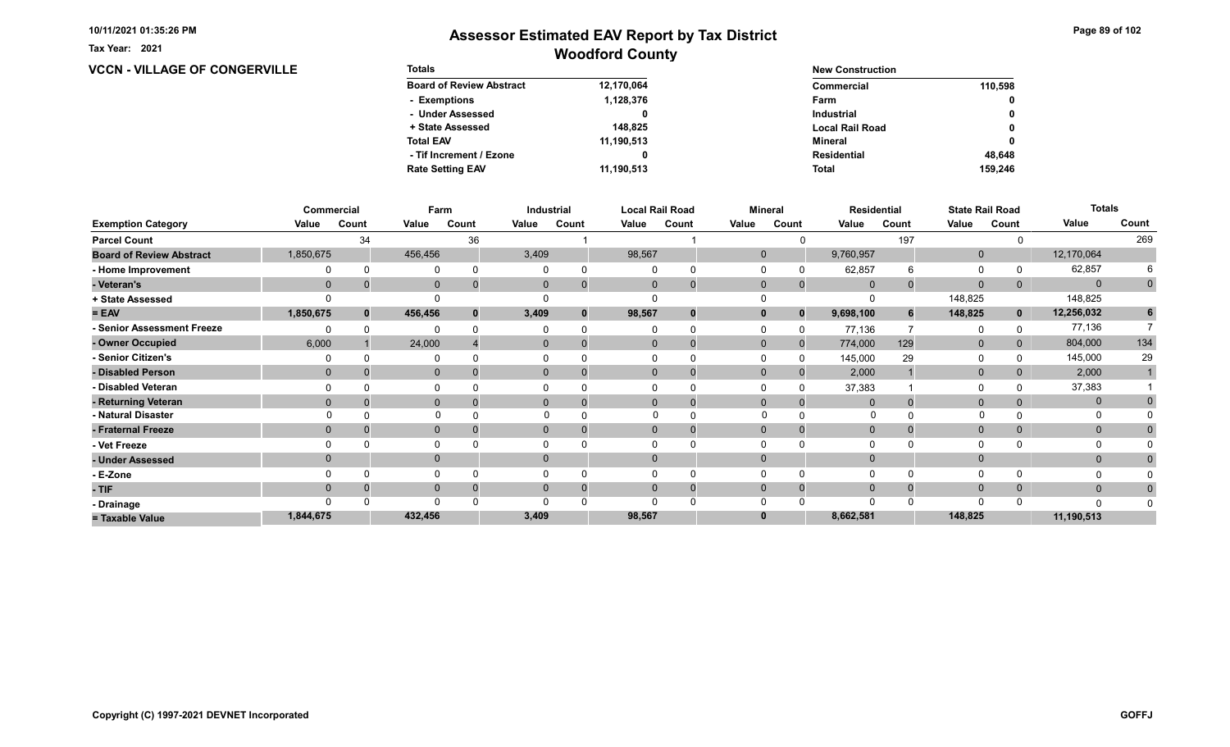**VCCN - VILLAGE OF CONGERVILLE** 

Tax Year: 2021

| <b>Totals</b>                   |            | <b>New Construction</b> |         |
|---------------------------------|------------|-------------------------|---------|
| <b>Board of Review Abstract</b> | 12,170,064 | Commercial              | 110.598 |
| - Exemptions                    | 1,128,376  | Farm                    | 0       |
| - Under Assessed                |            | <b>Industrial</b>       | 0       |
| + State Assessed                | 148.825    | <b>Local Rail Road</b>  | 0       |
| <b>Total EAV</b>                | 11,190,513 | Mineral                 | 0       |
| - Tif Increment / Ezone         |            | <b>Residential</b>      | 48.648  |
| <b>Rate Setting EAV</b>         | 11,190,513 | <b>Total</b>            | 159.246 |

|                                 |                | Commercial |              | Farm  |          | Industrial                  |          | Local Rail Road |              | <b>Mineral</b> |                | <b>Residential</b> |              | <b>State Rail Road</b> | <b>Totals</b> |             |
|---------------------------------|----------------|------------|--------------|-------|----------|-----------------------------|----------|-----------------|--------------|----------------|----------------|--------------------|--------------|------------------------|---------------|-------------|
| <b>Exemption Category</b>       | Value          | Count      | Value        | Count | Value    | Count                       | Value    | Count           | Value        | Count          | Value          | Count              | Value        | Count                  | Value         | Count       |
| <b>Parcel Count</b>             |                | 34         |              | 36    |          |                             |          |                 |              |                |                | 197                |              |                        |               | 269         |
| <b>Board of Review Abstract</b> | 1,850,675      |            | 456,456      |       | 3,409    |                             | 98,567   |                 | $\mathbf{0}$ |                | 9,760,957      |                    | $\mathbf{0}$ |                        | 12,170,064    |             |
| - Home Improvement              |                |            | 0            |       |          | $\Omega$                    |          |                 |              |                | 62,857         | 6                  | $\Omega$     |                        | 62,857        | 6           |
| - Veteran's                     | $\mathbf 0$    |            | $\mathbf 0$  |       |          | $\mathbf{0}$<br>$\mathbf 0$ | 0        | $\mathbf 0$     | $\mathbf{0}$ | $\mathbf{0}$   | $\overline{0}$ |                    | $\mathbf{0}$ |                        | $\Omega$      | $\mathbf 0$ |
| + State Assessed                |                |            |              |       |          |                             |          |                 |              |                |                |                    | 148,825      |                        | 148,825       |             |
| $= EAV$                         | 1,850,675      |            | 456,456      |       | 3,409    | $\bf{0}$                    | 98,567   | 0               |              | $\bf{0}$       | 9,698,100      |                    | 148,825      | $\mathbf{0}$           | 12,256,032    | 6           |
| - Senior Assessment Freeze      |                |            | $\Omega$     |       |          | $\Omega$                    |          | $\Omega$        |              |                | 77,136         |                    | 0            |                        | 77,136        |             |
| - Owner Occupied                | 6,000          |            | 24,000       |       |          | $\overline{0}$<br>$\Omega$  |          | $\mathbf 0$     | $\Omega$     | $\Omega$       | 774,000        | 129                | $\mathbf 0$  |                        | 804,000       | 134         |
| - Senior Citizen's              |                |            | 0            |       |          |                             |          |                 |              | 0              | 145,000        | 29                 | $\Omega$     |                        | 145,000       | 29          |
| - Disabled Person               | $\mathbf{0}$   |            | $\mathbf{0}$ |       |          | 0                           |          | 0               | $\Omega$     |                | 2,000          |                    | $\mathbf{0}$ |                        | 2,000         |             |
| - Disabled Veteran              |                |            | 0            |       |          |                             |          |                 |              |                | 37,383         |                    | 0            |                        | 37,383        |             |
| - Returning Veteran             | $\Omega$       |            | $\mathbf{0}$ |       |          | $\overline{0}$<br>$\Omega$  |          | $\Omega$        | $\mathbf{0}$ | $\Omega$       | $\Omega$       |                    | $\mathbf{0}$ |                        | $\mathbf{0}$  | 0           |
| - Natural Disaster              |                |            |              |       |          |                             |          |                 |              |                |                |                    |              |                        |               |             |
| - Fraternal Freeze              | $\Omega$       |            | $\mathbf 0$  |       |          | $\mathbf{0}$<br>$\Omega$    |          | 0               |              | $\Omega$       | $\Omega$       |                    | $\mathbf{0}$ | 0                      | $\mathbf{0}$  |             |
| - Vet Freeze                    |                |            | $\Omega$     |       |          |                             |          | $\Omega$        |              |                | $\Omega$       |                    | $\Omega$     |                        | $\Omega$      |             |
| - Under Assessed                | $\overline{0}$ |            | $\mathbf{0}$ |       | $\Omega$ |                             |          |                 |              |                |                |                    | $\mathbf 0$  |                        | $\mathbf 0$   |             |
| - E-Zone                        |                |            | 0            |       |          |                             |          |                 |              |                | $\Omega$       |                    | $\Omega$     |                        |               |             |
| - TIF                           | $\Omega$       |            | $\mathbf{0}$ |       |          | $\overline{0}$<br>$\Omega$  | $\Omega$ | $\Omega$        | $\Omega$     | $\Omega$       | $\mathbf{0}$   |                    | $\mathbf{0}$ |                        | $\mathbf{0}$  |             |
| - Drainage                      |                |            | $\Omega$     |       |          |                             |          |                 |              |                | $\Omega$       |                    | $\Omega$     |                        |               |             |
| = Taxable Value                 | 1,844,675      |            | 432,456      |       | 3,409    |                             | 98,567   |                 |              |                | 8,662,581      |                    | 148,825      |                        | 11,190,513    |             |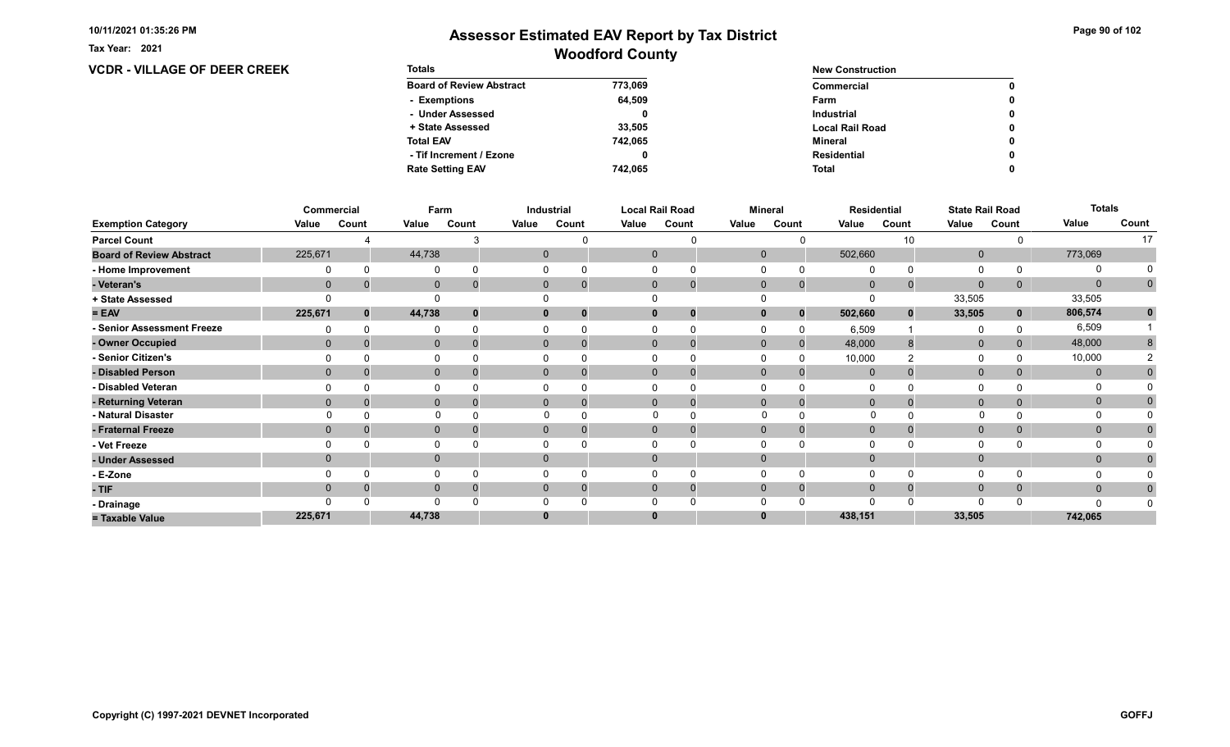**VCDR - VILLAGE OF DEER CREEK** 

Tax Year: 2021

## Woodford County Assessor Estimated EAV Report by Tax District

| <b>Totals</b>                   |         | <b>New Construction</b> |   |
|---------------------------------|---------|-------------------------|---|
| <b>Board of Review Abstract</b> | 773,069 | Commercial              | 0 |
| - Exemptions                    | 64.509  | Farm                    | 0 |
| - Under Assessed                |         | <b>Industrial</b>       | 0 |
| + State Assessed                | 33,505  | <b>Local Rail Road</b>  | 0 |
| <b>Total EAV</b>                | 742,065 | Mineral                 | 0 |
| - Tif Increment / Ezone         |         | <b>Residential</b>      | 0 |
| <b>Rate Setting EAV</b>         | 742.065 | <b>Total</b>            | 0 |

|                                 |              | <b>Commercial</b> | Farm         |       |       | Industrial               |          | <b>Local Rail Road</b>      | <b>Mineral</b> |              |                | <b>Residential</b> | <b>State Rail Road</b> |       | <b>Totals</b> |             |
|---------------------------------|--------------|-------------------|--------------|-------|-------|--------------------------|----------|-----------------------------|----------------|--------------|----------------|--------------------|------------------------|-------|---------------|-------------|
| <b>Exemption Category</b>       | Value        | Count             | Value        | Count | Value | Count                    | Value    | Count                       | Value          | Count        | Value          | Count              | Value                  | Count | Value         | Count       |
| <b>Parcel Count</b>             |              |                   |              |       |       |                          |          |                             |                |              |                | 10                 |                        |       |               | 17          |
| <b>Board of Review Abstract</b> | 225,671      |                   | 44,738       |       |       | 0                        |          | $\mathbf 0$                 | $\mathbf 0$    |              | 502,660        |                    | $\mathbf 0$            |       | 773,069       |             |
| - Home Improvement              |              |                   | 0            |       |       |                          |          |                             |                |              |                |                    | $\Omega$               |       | 0             |             |
| - Veteran's                     | $\mathbf{0}$ |                   | $\mathbf 0$  |       |       | $\mathbf{0}$             |          | $\mathbf{0}$<br>$\mathbf 0$ | $\mathbf 0$    | $\mathbf{0}$ | $\mathbf{0}$   |                    | $\mathbf{0}$           | 0     | $\mathbf{0}$  | $\mathbf 0$ |
| + State Assessed                |              |                   |              |       |       |                          |          |                             |                |              |                |                    | 33,505                 |       | 33,505        |             |
| $= EAV$                         | 225,671      | $\Omega$          | 44,738       |       |       | 0<br>$\Omega$            | $\bf{0}$ | 0                           |                | $\bf{0}$     | 502,660        | $\bf{0}$           | 33,505                 | 0     | 806,574       | $\mathbf 0$ |
| - Senior Assessment Freeze      |              |                   | $\Omega$     |       |       |                          |          |                             |                |              | 6,509          |                    | $\Omega$               |       | 6,509         |             |
| - Owner Occupied                | $\Omega$     |                   | $\mathbf{0}$ |       |       | $\mathbf{0}$<br>$\Omega$ |          | $\Omega$<br>O               | $\mathbf{0}$   | $\mathbf{0}$ | 48,000         |                    | $\mathbf{0}$           |       | 48,000        | 8           |
| - Senior Citizen's              |              |                   | $\Omega$     |       |       |                          |          | 0                           |                |              | 10,000         |                    | $\Omega$               |       | 10,000        |             |
| - Disabled Person               |              |                   | $\mathbf{0}$ |       |       | $\mathbf{0}$             |          | $\Omega$<br>$\Omega$        | $\Omega$       |              | $\mathbf{0}$   |                    | $\mathbf{0}$           |       | $\mathbf{0}$  |             |
| - Disabled Veteran              |              |                   | 0            |       |       |                          |          | 0                           |                |              | $\Omega$       |                    | $\Omega$               |       |               |             |
| - Returning Veteran             | $\Omega$     |                   | $\mathbf 0$  |       |       | $\mathbf{0}$<br>$\Omega$ |          | $\Omega$<br>$\mathbf 0$     | $\mathbf{0}$   | $\Omega$     | $\Omega$       |                    | $\mathbf{0}$           | 0     | $\mathbf 0$   |             |
| - Natural Disaster              |              |                   | $\Omega$     |       |       |                          |          | 0                           | $\Omega$       |              | <sup>0</sup>   |                    |                        |       | O             |             |
| - Fraternal Freeze              | $\Omega$     |                   | $\mathbf 0$  |       |       | $\mathbf{0}$             |          | $\mathbf{0}$<br>0           | $\Omega$       | $\Omega$     | $\overline{0}$ |                    | $\mathbf 0$            | 0     | $\mathbf{0}$  |             |
| - Vet Freeze                    |              |                   | 0            |       |       |                          |          |                             |                |              |                |                    | $\Omega$               |       | $\Omega$      |             |
| - Under Assessed                |              |                   | $\mathbf 0$  |       |       | $\Omega$                 | $\Omega$ |                             |                |              |                |                    | $\mathbf{0}$           |       | $\mathbf{0}$  |             |
| - E-Zone                        |              |                   | $\mathbf 0$  |       |       |                          |          |                             |                |              | $\Omega$       |                    | $\Omega$               |       |               |             |
| - TIF                           |              |                   | $\mathbf 0$  |       |       |                          | 0        | 0                           |                |              | $\Omega$       |                    | $\mathbf 0$            | 0     | $\mathbf{0}$  |             |
| - Drainage                      |              |                   | $\Omega$     |       |       |                          |          |                             |                |              |                |                    | $\Omega$               |       |               |             |
| = Taxable Value                 | 225,671      |                   | 44,738       |       |       |                          | 0        |                             |                |              | 438,151        |                    | 33,505                 |       | 742,065       |             |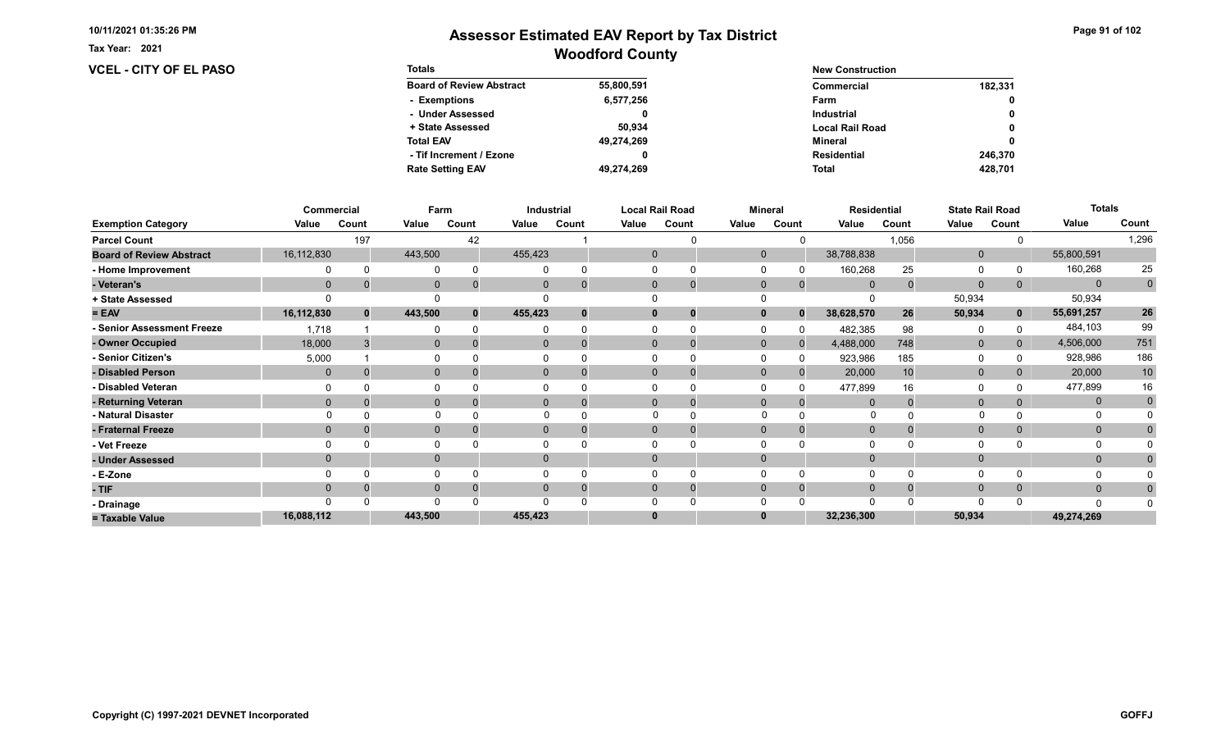Tax Year: 2021

### VCEL - CITY OF EL PASO Total

| <b>Totals</b>                   |            | <b>New Construction</b> |              |  |  |
|---------------------------------|------------|-------------------------|--------------|--|--|
| <b>Board of Review Abstract</b> | 55,800,591 | Commercial              | 182,331      |  |  |
| - Exemptions                    | 6,577,256  | Farm                    | 0            |  |  |
| - Under Assessed                |            | <b>Industrial</b>       | $\mathbf{0}$ |  |  |
| + State Assessed                | 50.934     | <b>Local Rail Road</b>  | 0            |  |  |
| <b>Total EAV</b>                | 49,274,269 | Mineral                 | $\bf{0}$     |  |  |
| - Tif Increment / Ezone         |            | <b>Residential</b>      | 246.370      |  |  |
| <b>Rate Setting EAV</b>         | 49.274.269 | <b>Total</b>            | 428.701      |  |  |

|                                 |            | Commercial   | Farm         |              |              | Industrial     |          | <b>Local Rail Road</b>     |              | <b>Mineral</b> | Residential |          |              | <b>State Rail Road</b> | <b>Totals</b> |             |
|---------------------------------|------------|--------------|--------------|--------------|--------------|----------------|----------|----------------------------|--------------|----------------|-------------|----------|--------------|------------------------|---------------|-------------|
| <b>Exemption Category</b>       | Value      | Count        | Value        | Count        | Value        | Count          | Value    | Count                      | Value        | Count          | Value       | Count    | Value        | Count                  | Value         | Count       |
| <b>Parcel Count</b>             |            | 197          |              | 42           |              |                |          |                            |              |                |             | 1,056    |              |                        |               | 1,296       |
| <b>Board of Review Abstract</b> | 16,112,830 |              | 443,500      |              | 455,423      |                |          | $\mathbf{0}$               | $\mathbf{0}$ |                | 38,788,838  |          | $\mathbf 0$  |                        | 55,800,591    |             |
| - Home Improvement              |            |              | 0            |              |              |                | $\Omega$ |                            |              |                | 160,268     | 25       | 0            |                        | 160,268       | 25          |
| - Veteran's                     | $\Omega$   |              | $\mathbf 0$  |              | $\mathbf{0}$ |                |          | $\mathbf 0$<br>$\Omega$    | $\mathbf 0$  | $\Omega$       | $\Omega$    | $\Omega$ | $\mathbf{0}$ | 0                      | $\mathbf{0}$  | $\mathbf 0$ |
| + State Assessed                |            |              |              |              |              |                |          |                            |              |                |             |          | 50,934       |                        | 50,934        |             |
| $= EAV$                         | 16,112,830 | $\mathbf{0}$ | 443,500      | $\mathbf{0}$ | 455,423      |                |          | $\mathbf 0$<br>0           | $\mathbf{0}$ | $\Omega$       | 38,628,570  | 26       | 50,934       | $\mathbf 0$            | 55,691,257    | 26          |
| - Senior Assessment Freeze      | 1,718      |              | 0            |              |              |                |          |                            |              |                | 482,385     | 98       | 0            |                        | 484,103       | 99          |
| - Owner Occupied                | 18,000     |              | $\mathbf{0}$ |              | $\mathbf{0}$ |                |          | $\Omega$                   | $\mathbf{0}$ |                | 4,488,000   | 748      | $\mathbf 0$  | $\mathbf{0}$           | 4,506,000     | 751         |
| - Senior Citizen's              | 5,000      |              |              |              |              |                |          |                            |              |                | 923,986     | 185      | 0            |                        | 928,986       | 186         |
| - Disabled Person               | $\Omega$   |              | $\mathbf{0}$ |              | $\mathbf{0}$ |                |          | $\Omega$                   | $\Omega$     |                | 20,000      | 10       | $\mathbf{0}$ |                        | 20,000        | $10$        |
| - Disabled Veteran              |            |              |              |              |              |                |          |                            |              |                | 477,899     | 16       | 0            |                        | 477,899       | 16          |
| - Returning Veteran             | $\Omega$   |              | $\mathbf{0}$ |              |              | $\overline{0}$ |          | $\Omega$<br>$\overline{0}$ | $\Omega$     | $\Omega$       | $\Omega$    |          | $\mathbf{0}$ |                        | $\mathbf 0$   | $\mathbf 0$ |
| - Natural Disaster              |            |              | $\Omega$     |              |              |                |          | $\Omega$                   | $\Omega$     |                | $\Omega$    |          | $\Omega$     |                        | $\Omega$      |             |
| - Fraternal Freeze              | $\Omega$   |              | $\mathbf{0}$ |              | $\mathbf{0}$ |                |          | $\mathbf{0}$               | $\Omega$     |                | $\mathbf 0$ |          | $\mathbf 0$  |                        | $\mathbf{0}$  | $\Omega$    |
| - Vet Freeze                    |            |              | $\Omega$     |              |              |                |          |                            |              |                |             |          | $\Omega$     |                        | 0             |             |
| - Under Assessed                | $\Omega$   |              | $\mathbf{0}$ |              | $\Omega$     |                |          | $\Omega$                   | $\Omega$     |                |             |          | $\mathbf{0}$ |                        | $\mathbf{0}$  |             |
| - E-Zone                        |            |              | $\Omega$     |              |              |                |          |                            |              |                |             |          | $\Omega$     |                        | O             |             |
| - TIF                           | $\Omega$   |              | $\mathbf{0}$ |              | 0            |                |          | $\Omega$<br>0              | $\Omega$     |                | $\Omega$    |          | $\mathbf{0}$ | 0                      | $\mathbf{0}$  | 0           |
| - Drainage                      |            |              | $\Omega$     |              |              |                |          |                            |              |                |             |          | $\Omega$     |                        | $\Omega$      |             |
| = Taxable Value                 | 16,088,112 |              | 443,500      |              | 455,423      |                | $\bf{0}$ |                            |              |                | 32,236,300  |          | 50,934       |                        | 49,274,269    |             |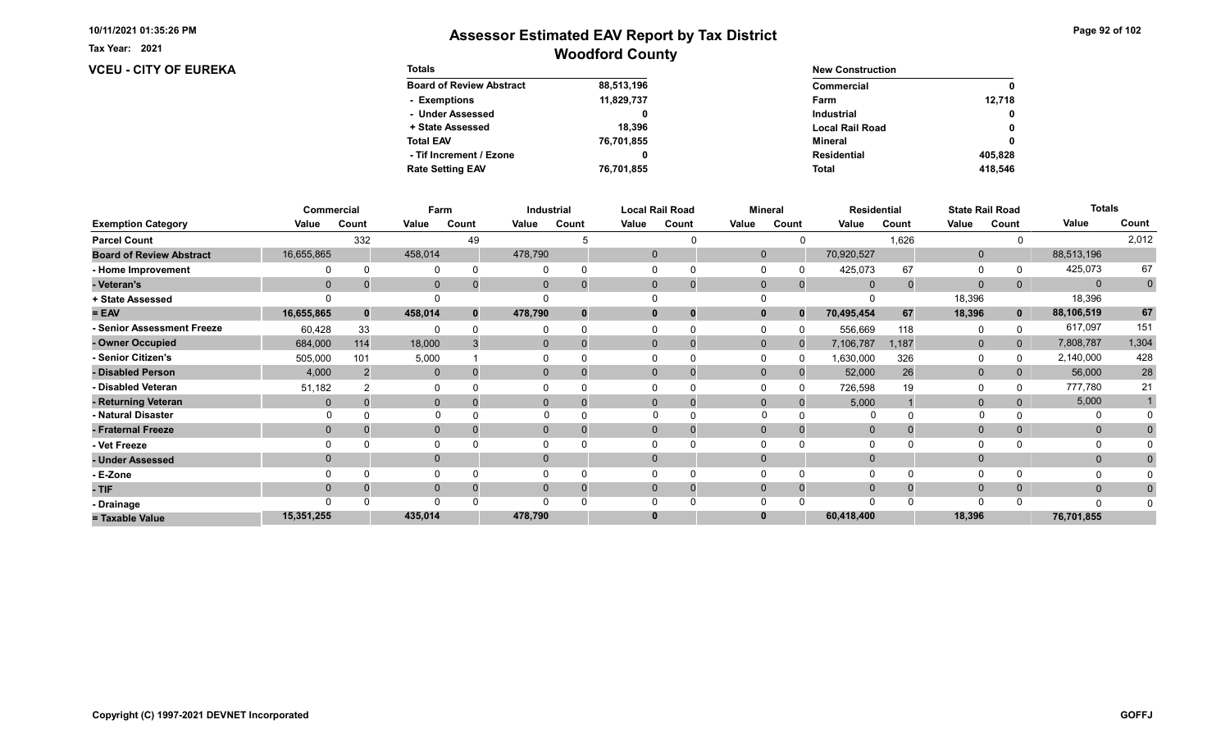Tax Year: 2021

### **VCEU - CITY OF EUREKA**

| Page 92 of 102 |  |  |  |
|----------------|--|--|--|
|----------------|--|--|--|

| <b>Totals</b>                   |            | <b>New Construction</b> |              |  |  |
|---------------------------------|------------|-------------------------|--------------|--|--|
| <b>Board of Review Abstract</b> | 88,513,196 | Commercial              | 0            |  |  |
| - Exemptions                    | 11,829,737 | Farm                    | 12.718       |  |  |
| - Under Assessed                |            | <b>Industrial</b>       | $\mathbf{0}$ |  |  |
| + State Assessed                | 18.396     | <b>Local Rail Road</b>  | 0            |  |  |
| <b>Total EAV</b>                | 76,701,855 | Mineral                 | 0            |  |  |
| - Tif Increment / Ezone         |            | <b>Residential</b>      | 405.828      |  |  |
| <b>Rate Setting EAV</b>         | 76,701,855 | <b>Total</b>            | 418.546      |  |  |

|                                 |              | Commercial | Farm         |       |                | Industrial |              | <b>Local Rail Road</b> |              | <b>Mineral</b> | <b>Residential</b> |       |              | <b>State Rail Road</b> | <b>Totals</b> |             |
|---------------------------------|--------------|------------|--------------|-------|----------------|------------|--------------|------------------------|--------------|----------------|--------------------|-------|--------------|------------------------|---------------|-------------|
| <b>Exemption Category</b>       | Value        | Count      | Value        | Count | Value          | Count      | Value        | Count                  | Value        | Count          | Value              | Count | Value        | Count                  | Value         | Count       |
| <b>Parcel Count</b>             |              | 332        |              | 49    |                |            |              |                        |              |                |                    | 1,626 |              |                        |               | 2,012       |
| <b>Board of Review Abstract</b> | 16,655,865   |            | 458,014      |       | 478,790        |            | $\mathbf{0}$ |                        | $\mathbf{0}$ |                | 70,920,527         |       | $\mathbf 0$  |                        | 88,513,196    |             |
| - Home Improvement              |              |            | $\Omega$     |       |                | $\Omega$   |              |                        |              |                | 425,073            | 67    | $\Omega$     |                        | 425,073       | 67          |
| - Veteran's                     | $\mathbf{0}$ |            | $\mathbf{0}$ |       | $\overline{0}$ | $\Omega$   | $\Omega$     | $\overline{0}$         | $\mathbf{0}$ | $\mathbf{0}$   | $\Omega$           |       | $\mathbf{0}$ | 0                      | $\mathbf{0}$  | $\mathbf 0$ |
| + State Assessed                |              |            |              |       |                |            |              |                        |              |                |                    |       | 18,396       |                        | 18,396        |             |
| $= EAV$                         | 16,655,865   |            | 458,014      |       | 478,790        | $\bf{0}$   |              | 0                      | $\mathbf{0}$ | $\bf{0}$       | 70,495,454         | 67    | 18,396       | $\mathbf 0$            | 88,106,519    | 67          |
| - Senior Assessment Freeze      | 60,428       | 33         | $\Omega$     |       |                | $\Omega$   |              | $\Omega$               |              |                | 556,669            | 118   | 0            |                        | 617,097       | 151         |
| - Owner Occupied                | 684,000      | 114        | 18,000       |       | $\overline{0}$ | $\Omega$   |              | $\mathbf 0$            | $\mathbf{0}$ | $\Omega$       | 7,106,787          | 1,187 | $\mathbf 0$  | $\overline{0}$         | 7,808,787     | 1,304       |
| - Senior Citizen's              | 505,000      | 101        | 5,000        |       |                |            |              | 0                      |              | n              | 1,630,000          | 326   | $\Omega$     |                        | 2,140,000     | 428         |
| - Disabled Person               | 4,000        |            | $\mathbf{0}$ |       | 0              |            |              | $\Omega$               | $\Omega$     |                | 52,000             | 26    | $\mathbf{0}$ |                        | 56,000        | ${\bf 28}$  |
| - Disabled Veteran              | 51,182       |            | 0            |       |                |            |              |                        |              |                | 726,598            | 19    | $\Omega$     |                        | 777,780       | 21          |
| - Returning Veteran             | $\Omega$     |            | $\mathbf{0}$ |       | $\overline{0}$ | $\Omega$   |              | $\mathbf 0$            | $\mathbf{0}$ | $\Omega$       | 5,000              |       | $\mathbf{0}$ |                        | 5,000         |             |
| - Natural Disaster              |              |            |              |       |                |            |              |                        |              |                |                    |       |              |                        |               |             |
| - Fraternal Freeze              | $\mathbf{0}$ |            | $\mathbf{0}$ |       | $\overline{0}$ | 0          | $\Omega$     | 0                      | $\Omega$     | 0              | $\mathbf{0}$       |       | $\mathbf{0}$ |                        | $\mathbf{0}$  |             |
| - Vet Freeze                    |              |            | $\Omega$     |       |                |            |              | $\Omega$               |              |                | $\Omega$           |       | $\Omega$     |                        | 0             |             |
| - Under Assessed                | $\Omega$     |            | $\mathbf 0$  |       | $\Omega$       |            |              |                        |              |                |                    |       | $\mathbf{0}$ |                        | $\mathbf{0}$  |             |
| - E-Zone                        |              |            | $\Omega$     |       |                |            |              |                        |              |                | $\Omega$           |       | $\Omega$     |                        |               |             |
| - TIF                           | $\Omega$     |            | $\Omega$     |       | 0              | $\Omega$   |              | 0                      |              |                | $\Omega$           |       | $\mathbf{0}$ |                        | $\mathbf{0}$  |             |
| - Drainage                      |              |            | $\Omega$     |       |                |            |              |                        |              |                | $\Omega$           |       | $\Omega$     |                        | $\Omega$      |             |
| = Taxable Value                 | 15,351,255   |            | 435,014      |       | 478,790        |            |              |                        |              |                | 60,418,400         |       | 18,396       |                        | 76,701,855    |             |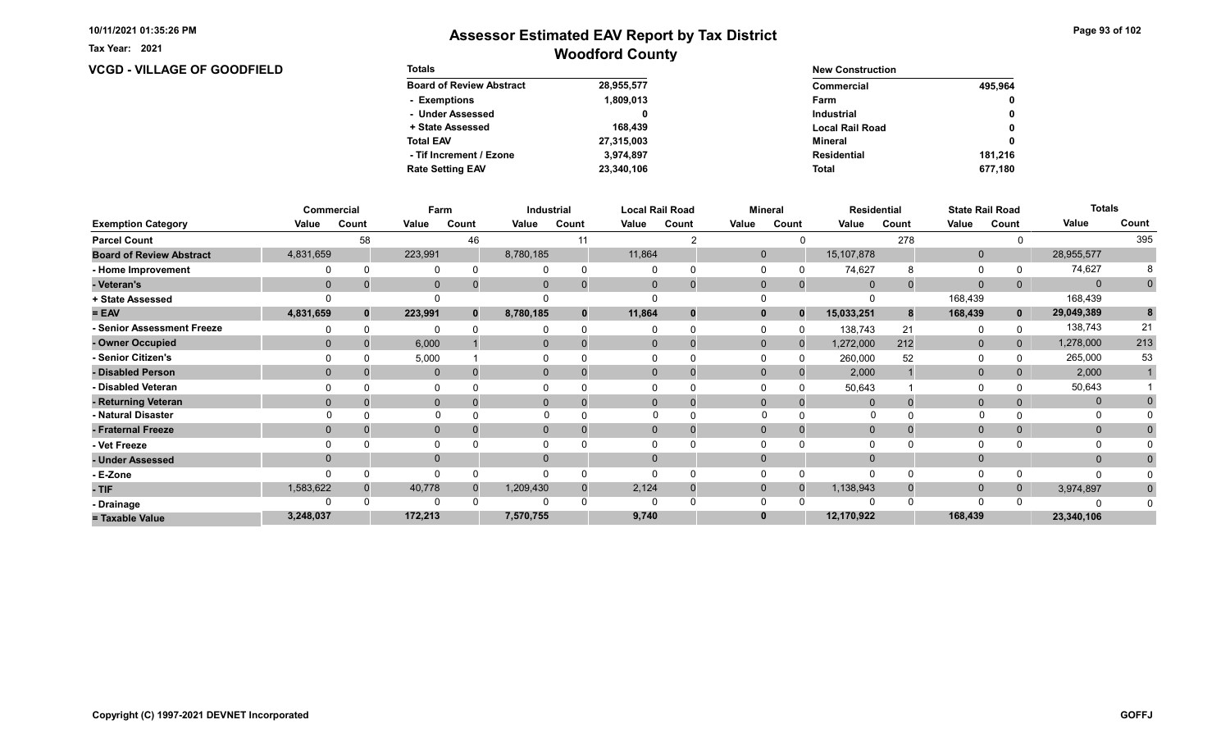**VCGD - VILLAGE OF GOODFIELD** 

Tax Year: 2021

| <b>Totals</b>                   |            | <b>New Construction</b> |              |  |  |
|---------------------------------|------------|-------------------------|--------------|--|--|
| <b>Board of Review Abstract</b> | 28,955,577 | Commercial              | 495.964      |  |  |
| - Exemptions                    | 1,809,013  | Farm                    | $\mathbf{0}$ |  |  |
| - Under Assessed                |            | <b>Industrial</b>       | 0            |  |  |
| + State Assessed                | 168,439    | <b>Local Rail Road</b>  | 0            |  |  |
| <b>Total EAV</b>                | 27,315,003 | Mineral                 | 0            |  |  |
| - Tif Increment / Ezone         | 3.974.897  | <b>Residential</b>      | 181.216      |  |  |
| <b>Rate Setting EAV</b>         | 23,340,106 | <b>Total</b>            | 677.180      |  |  |

|                                 |             | Commercial | Farm         |       |              | Industrial |              | <b>Local Rail Road</b> |              | <b>Mineral</b> |                | <b>Residential</b> |              | <b>State Rail Road</b> | <b>Totals</b> |             |
|---------------------------------|-------------|------------|--------------|-------|--------------|------------|--------------|------------------------|--------------|----------------|----------------|--------------------|--------------|------------------------|---------------|-------------|
| <b>Exemption Category</b>       | Value       | Count      | Value        | Count | Value        | Count      | Value        | Count                  | Value        | Count          | Value          | Count              | Value        | Count                  | Value         | Count       |
| <b>Parcel Count</b>             |             | 58         |              | 46    |              | 11         |              |                        |              |                |                | 278                |              |                        |               | 395         |
| <b>Board of Review Abstract</b> | 4,831,659   |            | 223,991      |       | 8,780,185    |            | 11,864       |                        | $\mathbf{0}$ |                | 15, 107, 878   |                    | $\mathbf 0$  |                        | 28,955,577    |             |
| - Home Improvement              |             |            | 0            |       |              |            | $\Omega$     |                        |              |                | 74,627         | 8                  | 0            |                        | 74,627        |             |
| - Veteran's                     | $\mathbf 0$ |            | $\mathbf{0}$ |       |              |            | $\mathbf{0}$ | 0                      | $\mathbf 0$  | $\mathbf{0}$   | $\overline{0}$ |                    | $\mathbf{0}$ | $\mathbf{0}$           | $\Omega$      | $\mathbf 0$ |
| + State Assessed                |             |            |              |       |              |            |              |                        |              |                |                |                    | 168,439      |                        | 168,439       |             |
| $= EAV$                         | 4,831,659   | $\bf{0}$   | 223,991      | n     | 8,780,185    |            | 11,864       |                        |              | $\Omega$       | 15,033,251     |                    | 168,439      | $\mathbf{0}$           | 29,049,389    | 8           |
| - Senior Assessment Freeze      |             |            | $\Omega$     |       |              |            |              |                        |              |                | 138,743        | 21                 | 0            |                        | 138,743       | 21          |
| - Owner Occupied                | $\Omega$    |            | 6,000        |       | $\Omega$     |            | $\Omega$     | $\Omega$               | $\mathbf{0}$ | $\Omega$       | 1,272,000      | 212                | $\mathbf{0}$ | $\Omega$               | 1,278,000     | 213         |
| - Senior Citizen's              |             |            | 5,000        |       |              |            |              |                        |              |                | 260,000        | 52                 | $\Omega$     |                        | 265,000       | 53          |
| - Disabled Person               | $\Omega$    |            | $\mathbf{0}$ |       | 0            |            | $\Omega$     |                        | $\Omega$     |                | 2,000          |                    | $\mathbf{0}$ | 0                      | 2,000         |             |
| - Disabled Veteran              |             |            | O            |       |              |            |              |                        |              |                | 50,643         |                    | 0            |                        | 50,643        |             |
| - Returning Veteran             | $\Omega$    |            | $\mathbf{0}$ |       | $\Omega$     |            | $\Omega$     |                        | $\Omega$     |                |                |                    | $\mathbf{0}$ | 0                      | $\mathbf 0$   |             |
| - Natural Disaster              |             |            | $\Omega$     |       |              |            |              |                        | $\Omega$     |                | O              |                    |              |                        | 0             |             |
| - Fraternal Freeze              | $\Omega$    |            | $\mathbf{0}$ |       | $\mathbf{0}$ |            | $\Omega$     |                        | $\Omega$     |                | $\mathbf 0$    |                    | $\mathbf{0}$ | $\Omega$               | $\mathbf{0}$  |             |
| - Vet Freeze                    |             |            | $\Omega$     |       |              |            |              |                        |              |                |                |                    | $\Omega$     |                        | 0             |             |
| - Under Assessed                | $\Omega$    |            | $\mathbf{0}$ |       | 0            |            | $\Omega$     |                        |              |                |                |                    | $\Omega$     |                        | $\mathbf{0}$  |             |
| - E-Zone                        |             |            | $\Omega$     |       |              |            |              |                        |              |                |                |                    | $\Omega$     |                        | n             |             |
| - TIF                           | 1,583,622   |            | 40,778       |       | 1,209,430    |            | 2,124        |                        | $\Omega$     |                | 1,138,943      |                    | $\mathbf 0$  | $\Omega$               | 3,974,897     | $\bf{0}$    |
| - Drainage                      |             |            |              |       |              |            |              |                        |              |                |                |                    | $\Omega$     |                        |               |             |
| = Taxable Value                 | 3,248,037   |            | 172,213      |       | 7,570,755    |            | 9,740        |                        |              |                | 12,170,922     |                    | 168,439      |                        | 23,340,106    |             |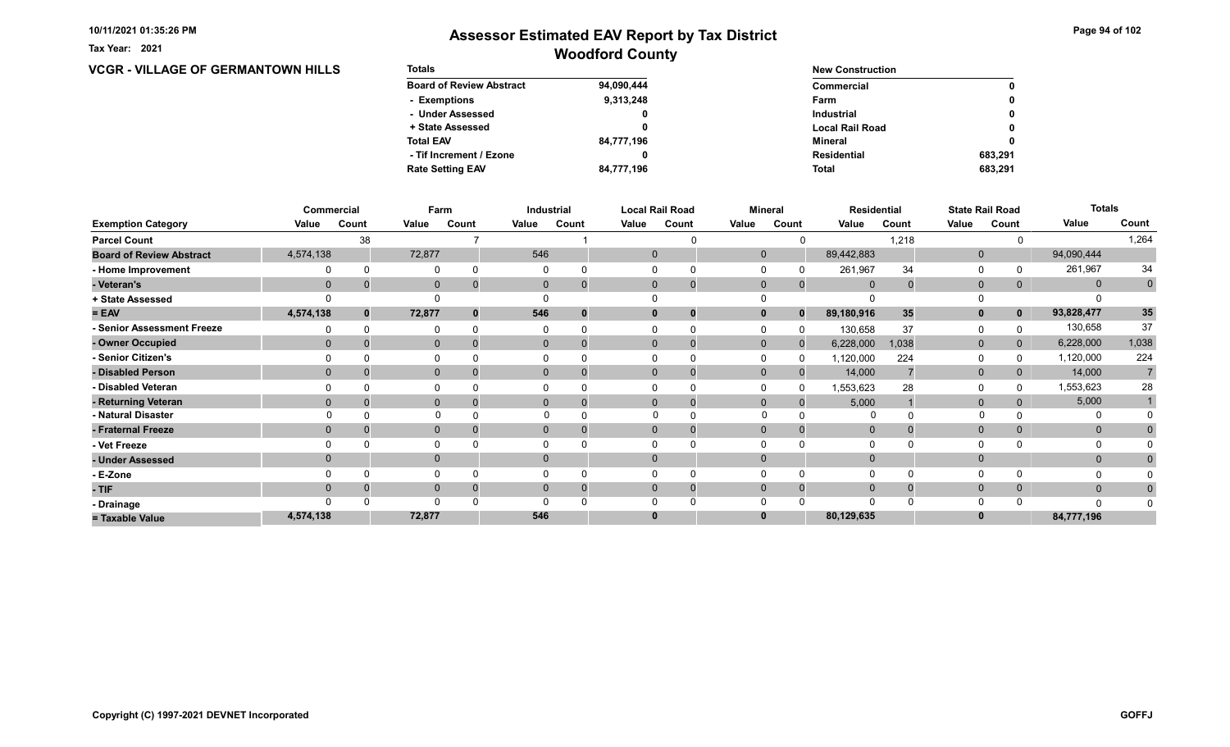Tax Year: 2021

## Woodford County Assessor Estimated EAV Report by Tax District

### **VCGR - VILLAGE OF GERMANTOWN HILLS**

| <b>Totals</b>                   |            | <b>New Construction</b> |              |  |  |  |
|---------------------------------|------------|-------------------------|--------------|--|--|--|
| <b>Board of Review Abstract</b> | 94,090,444 | Commercial              | 0            |  |  |  |
| - Exemptions                    | 9,313,248  | Farm                    | 0            |  |  |  |
| - Under Assessed                | 0          | <b>Industrial</b>       | $\mathbf{0}$ |  |  |  |
| + State Assessed                |            | <b>Local Rail Road</b>  | 0            |  |  |  |
| <b>Total EAV</b>                | 84,777,196 | Mineral                 | 0            |  |  |  |
| - Tif Increment / Ezone         | 0          | <b>Residential</b>      | 683.291      |  |  |  |
| <b>Rate Setting EAV</b>         | 84,777,196 | <b>Total</b>            | 683.291      |  |  |  |

|                                 |                | Commercial | Farm           |       |                | Industrial  |             | <b>Local Rail Road</b> |              | <b>Mineral</b> | <b>Residential</b> |       |              | <b>State Rail Road</b> | <b>Totals</b> |                |
|---------------------------------|----------------|------------|----------------|-------|----------------|-------------|-------------|------------------------|--------------|----------------|--------------------|-------|--------------|------------------------|---------------|----------------|
| <b>Exemption Category</b>       | Value          | Count      | Value          | Count | Value          | Count       | Value       | Count                  | Value        | Count          | Value              | Count | Value        | Count                  | Value         | Count          |
| <b>Parcel Count</b>             |                | 38         |                |       |                |             |             |                        |              |                |                    | 1,218 |              |                        |               | 1,264          |
| <b>Board of Review Abstract</b> | 4,574,138      |            | 72,877         |       | 546            |             | $\mathbf 0$ |                        | $\mathbf{0}$ |                | 89,442,883         |       | $\mathbf 0$  |                        | 94,090,444    |                |
| - Home Improvement              |                |            | 0              |       |                |             |             |                        |              |                | 261,967            | 34    | $\Omega$     |                        | 261,967       | 34             |
| - Veteran's                     | $\mathbf 0$    |            | $\overline{0}$ |       | $\mathbf{0}$   | $\mathbf 0$ | 0           | $\mathbf 0$            | $\mathbf{0}$ | $\mathbf{0}$   | $\overline{0}$     |       | $\mathbf 0$  | 0                      | $\mathbf 0$   | $\overline{0}$ |
| + State Assessed                |                |            |                |       |                |             |             |                        |              |                |                    |       |              |                        |               |                |
| $= EAV$                         | 4,574,138      |            | 72,877         |       | 546            | $\Omega$    |             | 0                      |              | $\bf{0}$       | 89,180,916         | 35    | $\mathbf{0}$ | $\mathbf 0$            | 93,828,477    | 35             |
| - Senior Assessment Freeze      |                |            | 0              |       |                |             |             |                        |              |                | 130,658            | 37    | 0            |                        | 130,658       | 37             |
| - Owner Occupied                | $\mathbf{0}$   |            | $\mathbf{0}$   |       | $\overline{0}$ | $\Omega$    |             | $\mathbf 0$            | $\mathbf{0}$ | $\Omega$       | 6,228,000          | 1,038 | $\mathbf 0$  | 0                      | 6,228,000     | 1,038          |
| <b>Senior Citizen's</b>         |                |            | $\Omega$       |       |                |             |             |                        |              | O              | 1,120,000          | 224   | 0            |                        | 1,120,000     | 224            |
| - Disabled Person               | $\Omega$       |            | $\mathbf{0}$   |       | $\overline{0}$ |             |             | 0                      | $\Omega$     |                | 14,000             |       | $\mathbf 0$  |                        | 14,000        |                |
| - Disabled Veteran              |                |            | $\Omega$       |       |                |             |             |                        |              |                | 1,553,623          | 28    | $\Omega$     |                        | 1,553,623     | 28             |
| - Returning Veteran             | $\Omega$       |            | $\mathbf{0}$   |       | $\overline{0}$ | $\Omega$    |             | $\mathbf 0$            | $\mathbf{0}$ | $\Omega$       | 5,000              |       | $\mathbf 0$  |                        | 5,000         |                |
| - Natural Disaster              |                |            |                |       |                |             | $\Omega$    |                        | $\Omega$     |                |                    |       |              |                        | 0             |                |
| - Fraternal Freeze              | $\overline{0}$ |            | $\mathbf 0$    |       | $\mathbf{0}$   |             |             |                        | $\mathbf{0}$ |                | $\overline{0}$     |       | $\mathbf 0$  |                        | $\mathbf{0}$  |                |
| - Vet Freeze                    |                |            | 0              |       |                |             |             |                        |              |                | 0                  |       | 0            |                        |               |                |
| - Under Assessed                | $\Omega$       |            | $\mathbf{0}$   |       | 0              |             |             |                        |              |                | $\Omega$           |       | $\mathbf{0}$ |                        | $\mathbf{0}$  |                |
| - E-Zone                        |                |            | $\Omega$       |       |                |             |             |                        |              |                | $\Omega$           |       | $\Omega$     |                        |               |                |
| - TIF                           | $\Omega$       |            | $\mathbf{0}$   |       | 0              | $\Omega$    | 0           | U                      | $\Omega$     |                | $\Omega$           |       | $\mathbf{0}$ | 0                      | $\mathbf{0}$  | 0              |
| - Drainage                      |                |            | $\Omega$       |       |                |             |             |                        |              |                | $\Omega$           |       | $\Omega$     |                        | $\Omega$      |                |
| = Taxable Value                 | 4,574,138      |            | 72,877         |       | 546            |             |             |                        |              |                | 80,129,635         |       | $\bf{0}$     |                        | 84,777,196    |                |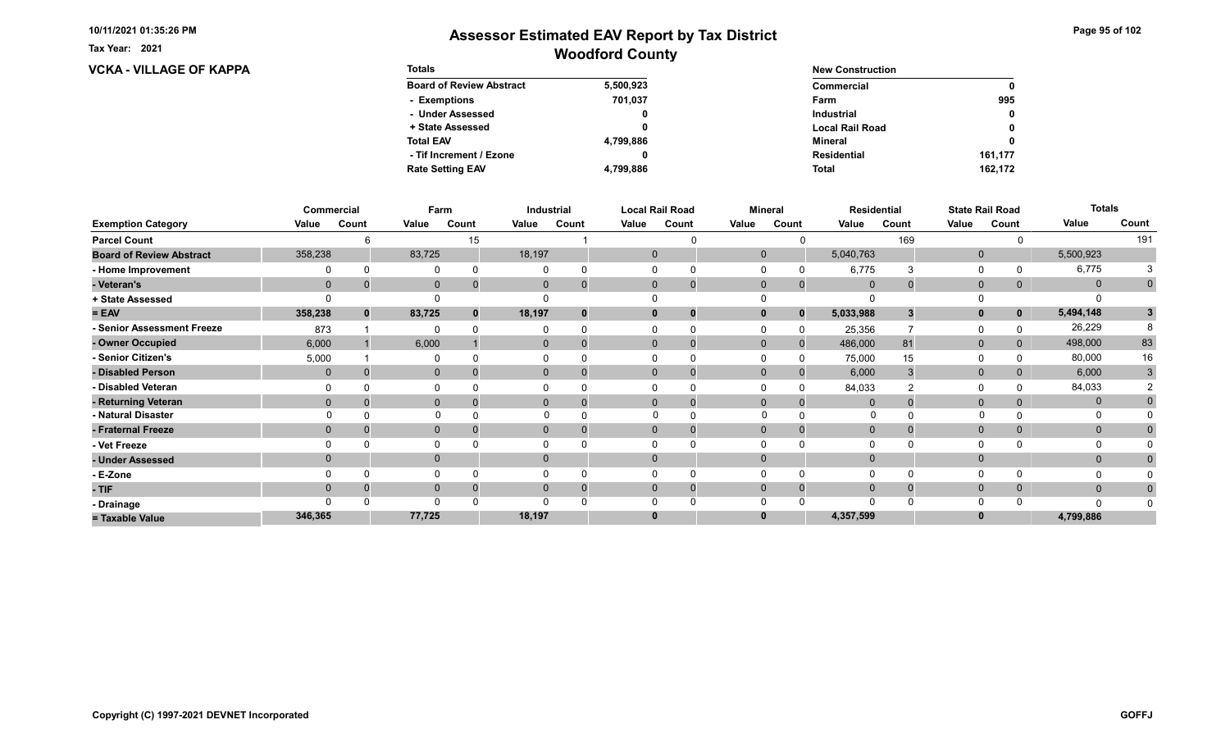Tax Year: 2021

# **VCKA - VILLAGE OF KAPPA**

| Page 95 of 102 |  |  |  |
|----------------|--|--|--|
|----------------|--|--|--|

| <b>Totals</b>                   |           | <b>New Construction</b> |              |  |  |
|---------------------------------|-----------|-------------------------|--------------|--|--|
| <b>Board of Review Abstract</b> | 5,500,923 | Commercial              | 0            |  |  |
| - Exemptions                    | 701.037   | Farm                    | 995          |  |  |
| - Under Assessed                |           | <b>Industrial</b>       | $\mathbf{0}$ |  |  |
| + State Assessed                |           | <b>Local Rail Road</b>  | 0            |  |  |
| <b>Total EAV</b>                | 4,799,886 | Mineral                 | 0            |  |  |
| - Tif Increment / Ezone         |           | <b>Residential</b>      | 161,177      |  |  |
| <b>Rate Setting EAV</b>         | 4,799,886 | <b>Total</b>            | 162.172      |  |  |

|                                 |              | Commercial | Farm         |       |          | Industrial               |              | <b>Local Rail Road</b> | <b>Mineral</b> |              |                | <b>Residential</b> |              | <b>State Rail Road</b> | <b>Totals</b> |              |
|---------------------------------|--------------|------------|--------------|-------|----------|--------------------------|--------------|------------------------|----------------|--------------|----------------|--------------------|--------------|------------------------|---------------|--------------|
| <b>Exemption Category</b>       | Value        | Count      | Value        | Count | Value    | Count                    | Value        | Count                  | Value          | Count        | Value          | Count              | Value        | Count                  | Value         | Count        |
| <b>Parcel Count</b>             |              |            |              | 15    |          |                          |              |                        |                |              |                | 169                |              |                        |               | 191          |
| <b>Board of Review Abstract</b> | 358,238      |            | 83,725       |       | 18,197   |                          | $\mathbf{0}$ |                        | $\mathbf 0$    |              | 5,040,763      |                    | $\mathbf 0$  |                        | 5,500,923     |              |
| - Home Improvement              |              |            | 0            |       |          |                          |              | 0                      |                |              | 6,775          |                    | $\Omega$     |                        | 6,775         |              |
| - Veteran's                     | $\mathbf{0}$ |            | $\mathbf 0$  |       |          | $\mathbf{0}$             | $\mathbf{0}$ | $\mathbf 0$            | $\mathbf 0$    | $\mathbf{0}$ | $\overline{0}$ |                    | $\mathbf{0}$ | 0                      | $\mathbf 0$   | $\mathbf 0$  |
| + State Assessed                |              |            |              |       |          |                          |              |                        |                |              |                |                    |              |                        |               |              |
| $= EAV$                         | 358,238      | $\bf{0}$   | 83,725       |       | 18,197   |                          | 0            | 0                      |                | $\bf{0}$     | 5,033,988      |                    | $\mathbf{0}$ | 0                      | 5,494,148     | $\mathbf{3}$ |
| - Senior Assessment Freeze      | 873          |            | $\Omega$     |       |          |                          |              | 0                      |                |              | 25,356         |                    | 0            |                        | 26,229        |              |
| - Owner Occupied                | 6,000        |            | 6,000        |       |          | $\mathbf{0}$<br>$\Omega$ | $\Omega$     | $\Omega$               | $\mathbf{0}$   | $\Omega$     | 486,000        | 81                 | $\mathbf 0$  | 0                      | 498,000       | 83           |
| - Senior Citizen's              | 5,000        |            | $\Omega$     |       |          |                          |              |                        |                |              | 75,000         | 15                 | 0            |                        | 80,000        | 16           |
| - Disabled Person               | $\mathbf{0}$ |            | $\mathbf{0}$ |       |          | 0                        | $\Omega$     | 0                      | $\Omega$       |              | 6,000          |                    | $\mathbf{0}$ |                        | 6,000         | 3            |
| - Disabled Veteran              |              |            | 0            |       |          |                          |              | 0                      |                |              | 84,033         |                    | $\Omega$     |                        | 84,033        |              |
| - Returning Veteran             | $\Omega$     |            | $\mathbf{0}$ |       |          | 0                        | $\Omega$     | $\mathbf 0$            | $\Omega$       | $\Omega$     | $\Omega$       |                    | $\mathbf{0}$ | 0                      | $\mathbf{0}$  |              |
| - Natural Disaster              |              |            | $\Omega$     |       |          |                          | $\Omega$     | $\Omega$               | $\Omega$       |              | 0              |                    |              |                        | 0             |              |
| - Fraternal Freeze              | $\Omega$     |            | $\mathbf 0$  |       | $\Omega$ |                          | $\mathbf{0}$ | $\mathbf 0$            | $\Omega$       | $\Omega$     | $\overline{0}$ |                    | $\mathbf 0$  | 0                      | $\mathbf{0}$  |              |
| - Vet Freeze                    |              |            | $\Omega$     |       |          |                          |              |                        |                |              |                |                    | $\Omega$     |                        |               |              |
| - Under Assessed                |              |            | $\mathbf{0}$ |       | $\Omega$ |                          | $\Omega$     |                        |                |              |                |                    | $\mathbf{0}$ |                        | $\mathbf{0}$  |              |
| - E-Zone                        |              |            | 0            |       |          |                          | 0            | 0                      |                |              | $\Omega$       |                    | $\Omega$     |                        |               |              |
| - TIF                           | $\Omega$     |            | $\mathbf 0$  |       | $\Omega$ |                          | $\Omega$     | -0                     | $\Omega$       |              | $\Omega$       |                    | $\mathbf 0$  | 0                      | $\mathbf{0}$  | $\Omega$     |
| - Drainage                      |              |            | $\Omega$     |       |          |                          |              |                        |                |              | $\Omega$       |                    | $\Omega$     |                        | n             |              |
| = Taxable Value                 | 346,365      |            | 77,725       |       | 18,197   |                          | 0            |                        |                |              | 4,357,599      |                    | $\bf{0}$     |                        | 4,799,886     |              |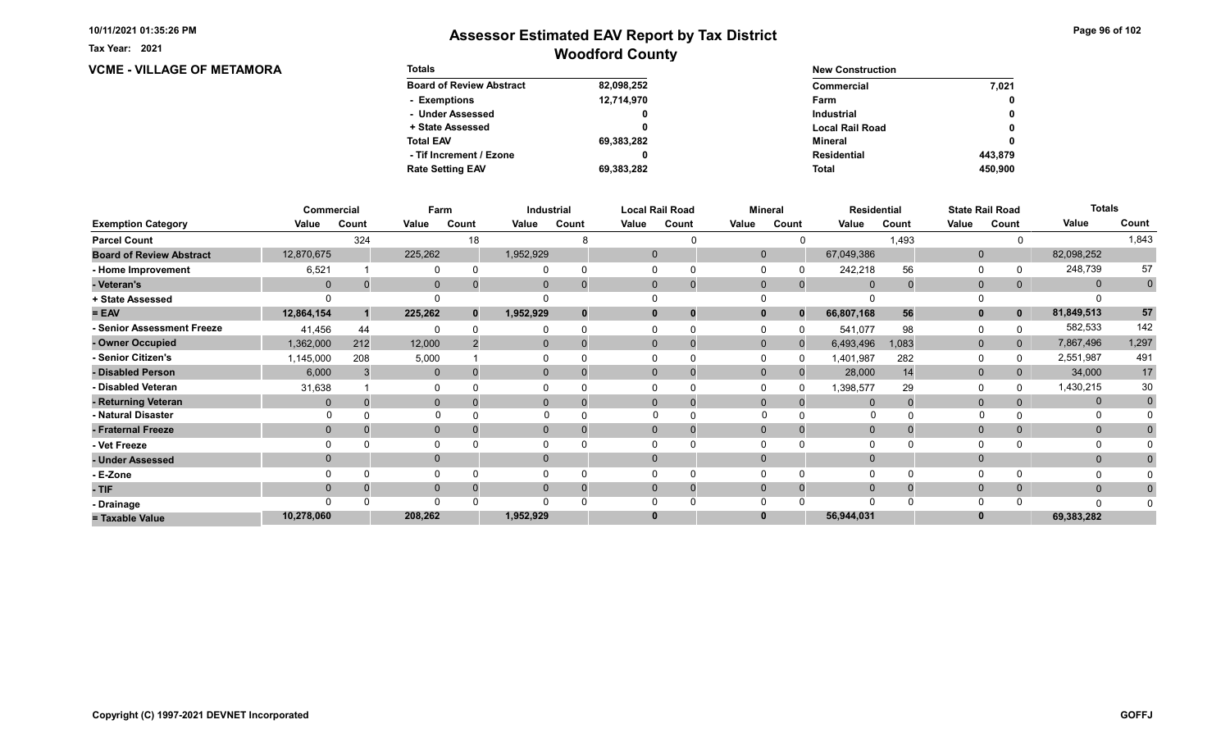**VCME - VILLAGE OF METAMORA** 

Tax Year: 2021

| <b>Totals</b>                   |            | <b>New Construction</b> |         |
|---------------------------------|------------|-------------------------|---------|
| <b>Board of Review Abstract</b> | 82,098,252 | Commercial              | 7.021   |
| - Exemptions                    | 12,714,970 | Farm                    | 0       |
| - Under Assessed                |            | <b>Industrial</b>       | 0       |
| + State Assessed                |            | <b>Local Rail Road</b>  | 0       |
| <b>Total EAV</b>                | 69,383,282 | Mineral                 | 0       |
| - Tif Increment / Ezone         |            | <b>Residential</b>      | 443.879 |
| <b>Rate Setting EAV</b>         | 69,383,282 | <b>Total</b>            | 450.900 |

|                                 | <b>Commercial</b> |       | Farm         |       |                | <b>Industrial</b> | <b>Local Rail Road</b><br>Mineral |                | <b>Residential</b> |              | <b>State Rail Road</b> |       | <b>Totals</b> |              |              |             |
|---------------------------------|-------------------|-------|--------------|-------|----------------|-------------------|-----------------------------------|----------------|--------------------|--------------|------------------------|-------|---------------|--------------|--------------|-------------|
| <b>Exemption Category</b>       | Value             | Count | Value        | Count | Value          | Count             | Value                             | Count          | Value              | Count        | Value                  | Count | Value         | Count        | Value        | Count       |
| <b>Parcel Count</b>             |                   | 324   |              | 18    |                |                   |                                   |                |                    |              |                        | 1,493 |               |              |              | 1,843       |
| <b>Board of Review Abstract</b> | 12,870,675        |       | 225,262      |       | 1,952,929      |                   | $\mathbf 0$                       |                | $\mathbf 0$        |              | 67,049,386             |       | $\mathbf 0$   |              | 82,098,252   |             |
| - Home Improvement              | 6,521             |       |              |       |                |                   | $\Omega$                          |                |                    |              | 242,218                | 56    | 0             |              | 248,739      | 57          |
| - Veteran's                     | $\mathbf 0$       | 0     | $\mathbf{0}$ |       | $\mathbf{0}$   |                   | $\mathbf{0}$                      | 0              | $\mathbf 0$        | $\mathbf{0}$ | $\mathbf{0}$           |       | $\mathbf 0$   | 0            | $\mathbf{0}$ | $\mathbf 0$ |
| + State Assessed                |                   |       |              |       |                |                   |                                   |                |                    |              |                        |       |               |              |              |             |
| $= EAV$                         | 12,864,154        |       | 225,262      | 0     | 1,952,929      |                   | $\bf{0}$                          |                | 0                  | $\Omega$     | 66,807,168             | 56    | $\mathbf{0}$  | $\mathbf{0}$ | 81,849,513   | 57          |
| - Senior Assessment Freeze      | 41,456            | 44    |              |       |                |                   |                                   |                |                    |              | 541,077                | 98    | $\Omega$      |              | 582,533      | 142         |
| - Owner Occupied                | 1,362,000         | 212   | 12,000       |       | $\mathbf{0}$   |                   | $\Omega$                          |                | $\Omega$           | $\Omega$     | 6,493,496              | 1,083 | $\mathbf{0}$  | $\mathbf{0}$ | 7,867,496    | 1,297       |
| - Senior Citizen's              | 1,145,000         | 208   | 5,000        |       |                |                   |                                   |                |                    |              | 1,401,987              | 282   | $\Omega$      |              | 2,551,987    | 491         |
| - Disabled Person               | 6,000             |       | $\mathbf{0}$ |       | $\mathbf{0}$   |                   | $\Omega$                          |                | $\Omega$           |              | 28,000                 | 14    | $\mathbf{0}$  | 0            | 34,000       | 17          |
| - Disabled Veteran              | 31,638            |       | 0            |       |                |                   | $\Omega$                          |                |                    |              | 1,398,577              | 29    | $\Omega$      |              | 1,430,215    | 30          |
| - Returning Veteran             | $\Omega$          |       | $\mathbf{0}$ |       | $\overline{0}$ |                   | $\Omega$                          | $\overline{0}$ | $\Omega$           | $\Omega$     |                        |       | $\mathbf{0}$  |              | $\mathbf{0}$ | $\mathbf 0$ |
| - Natural Disaster              |                   |       | $\Omega$     |       |                |                   |                                   |                | $\Omega$           |              | O                      |       |               |              |              |             |
| - Fraternal Freeze              | $\Omega$          |       | $\mathbf 0$  |       | $\mathbf{0}$   |                   | $\mathbf{0}$                      |                | $\Omega$           |              | $\Omega$               |       | $\mathbf 0$   | $\Omega$     | $\mathbf{0}$ |             |
| - Vet Freeze                    |                   |       | 0            |       |                |                   |                                   |                |                    |              |                        |       | $\Omega$      |              | $\Omega$     |             |
| - Under Assessed                | $\Omega$          |       | $\mathbf{0}$ |       | $\Omega$       |                   | $\mathbf{0}$                      |                | $\Omega$           |              |                        |       | $\mathbf{0}$  |              | $\mathbf{0}$ |             |
| - E-Zone                        |                   |       | $\Omega$     |       |                |                   |                                   |                |                    |              |                        |       | $\Omega$      |              |              |             |
| - TIF                           |                   |       | $\mathbf{0}$ |       |                |                   | $\Omega$                          |                | $\Omega$           |              |                        |       | $\mathbf{0}$  | $\mathbf{0}$ | $\mathbf{0}$ |             |
| - Drainage                      |                   |       | $\Omega$     |       |                |                   |                                   |                |                    |              |                        |       | $\Omega$      |              | $\Omega$     |             |
| = Taxable Value                 | 10,278,060        |       | 208,262      |       | 1,952,929      |                   | $\bf{0}$                          |                |                    |              | 56,944,031             |       | $\bf{0}$      |              | 69,383,282   |             |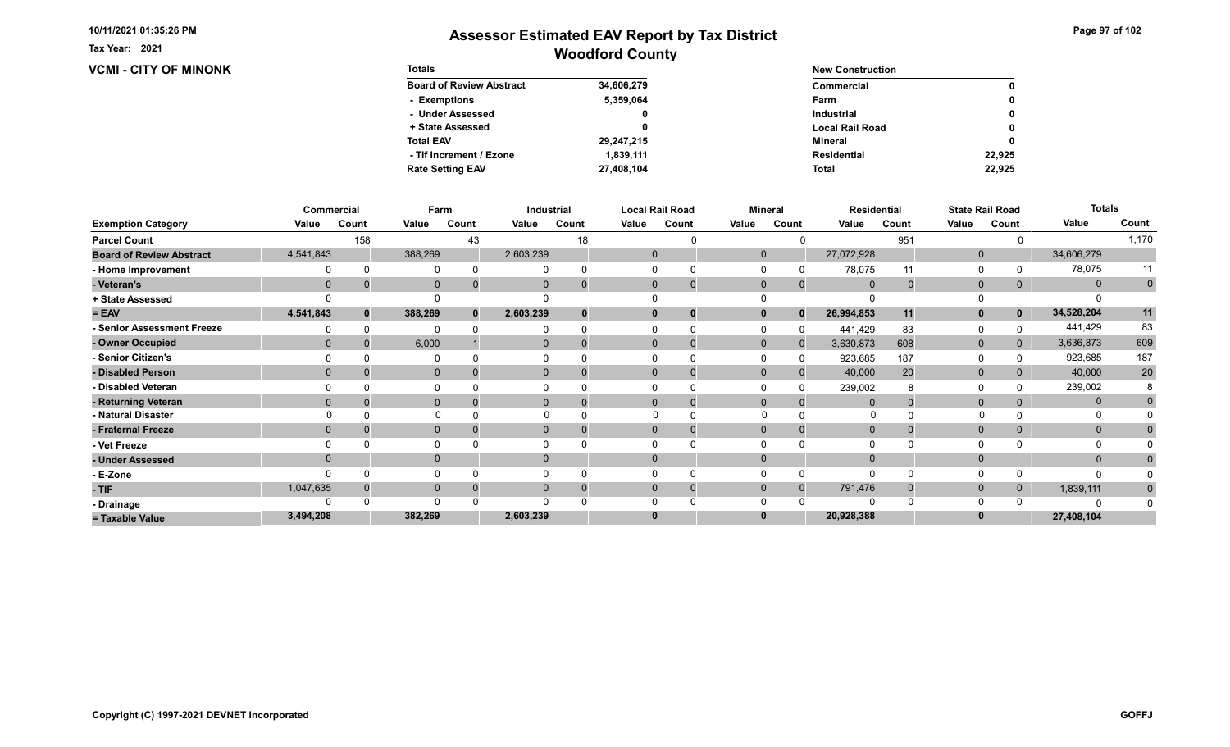#### Tax Year: 2021

### **VCMI - CITY OF MINONK**

| Page 97 of 102 |  |  |  |
|----------------|--|--|--|
|----------------|--|--|--|

| <b>Totals</b>                   |            | <b>New Construction</b> |              |
|---------------------------------|------------|-------------------------|--------------|
| <b>Board of Review Abstract</b> | 34,606,279 | Commercial              | 0            |
| - Exemptions                    | 5,359,064  | Farm                    | 0            |
| - Under Assessed                |            | <b>Industrial</b>       | $\mathbf{0}$ |
| + State Assessed                |            | <b>Local Rail Road</b>  | 0            |
| <b>Total EAV</b>                | 29,247,215 | Mineral                 | 0            |
| - Tif Increment / Ezone         | 1.839.111  | <b>Residential</b>      | 22.925       |
| <b>Rate Setting EAV</b>         | 27,408,104 | <b>Total</b>            | 22.925       |

|                                 |             | Commercial | Farm         |              |                | <b>Industrial</b> |              | <b>Local Rail Road</b> |             | <b>Mineral</b> |                | <b>Residential</b> |              | <b>State Rail Road</b> | <b>Totals</b> |             |
|---------------------------------|-------------|------------|--------------|--------------|----------------|-------------------|--------------|------------------------|-------------|----------------|----------------|--------------------|--------------|------------------------|---------------|-------------|
| <b>Exemption Category</b>       | Value       | Count      | Value        | Count        | Value          | Count             | Value        | Count                  | Value       | Count          | Value          | Count              | Value        | Count                  | Value         | Count       |
| <b>Parcel Count</b>             |             | 158        |              | 43           |                | 18                |              |                        |             |                |                | 951                |              |                        |               | 1,170       |
| <b>Board of Review Abstract</b> | 4,541,843   |            | 388,269      |              | 2,603,239      |                   | $\mathbf 0$  |                        | $\mathbf 0$ |                | 27,072,928     |                    | $\mathbf 0$  |                        | 34,606,279    |             |
| - Home Improvement              |             |            |              |              |                |                   | <sup>0</sup> |                        |             |                | 78,075         | 11                 | 0            |                        | 78,075        | 11          |
| - Veteran's                     | $\mathbf 0$ |            | $\mathbf 0$  |              | $\mathbf{0}$   |                   | $\mathbf 0$  | 0                      | $\mathbf 0$ | $\mathbf{0}$   | $\overline{0}$ | $\mathbf 0$        | $\mathbf 0$  | $\mathbf{0}$           | $\mathbf{0}$  | $\mathbf 0$ |
| + State Assessed                |             |            |              |              |                |                   |              |                        |             |                |                |                    |              |                        |               |             |
| $= EAV$                         | 4,541,843   | $\Omega$   | 388,269      | $\mathbf{0}$ | 2,603,239      |                   | $\bf{0}$     |                        |             | $\Omega$       | 26,994,853     | 11                 | $\mathbf{0}$ | $\mathbf{0}$           | 34,528,204    | 11          |
| - Senior Assessment Freeze      |             |            |              |              |                |                   |              |                        |             |                | 441,429        | 83                 | 0            |                        | 441,429       | 83          |
| - Owner Occupied                | $\Omega$    |            | 6,000        |              | $\Omega$       |                   | $\Omega$     |                        | $\Omega$    |                | 3,630,873      | 608                | $\mathbf 0$  | $\mathbf{0}$           | 3,636,873     | 609         |
| - Senior Citizen's              |             |            |              |              |                |                   |              |                        |             |                | 923,685        | 187                | $\Omega$     |                        | 923,685       | 187         |
| - Disabled Person               | $\Omega$    |            | $\mathbf{0}$ |              | $\mathbf{0}$   |                   | $\Omega$     |                        | $\Omega$    |                | 40,000         | 20                 | $\mathbf 0$  | 0                      | 40,000        | $20\,$      |
| - Disabled Veteran              |             |            | 0            |              |                |                   |              |                        |             |                | 239,002        |                    | $\Omega$     |                        | 239,002       |             |
| - Returning Veteran             | $\Omega$    |            | $\mathbf{0}$ |              | $\overline{0}$ |                   | $\Omega$     | 0                      | $\Omega$    | $\Omega$       |                |                    | $\mathbf{0}$ |                        | $\mathbf{0}$  |             |
| - Natural Disaster              |             |            | $\Omega$     |              |                |                   |              |                        | $\Omega$    |                | 0              |                    |              |                        | 0             |             |
| - Fraternal Freeze              | $\Omega$    |            | $\mathbf{0}$ |              | $\mathbf{0}$   |                   | $\mathbf{0}$ |                        | $\mathbf 0$ |                | $\mathbf 0$    |                    | $\mathbf 0$  | $\mathbf{0}$           | $\mathbf{0}$  |             |
| - Vet Freeze                    |             |            | $\Omega$     |              |                |                   |              |                        |             |                |                |                    | $\Omega$     |                        | 0             |             |
| - Under Assessed                | $\Omega$    |            | $\mathbf{0}$ |              | $\Omega$       |                   | $\Omega$     |                        | $\Omega$    |                |                |                    | $\mathbf{0}$ |                        | $\mathbf{0}$  |             |
| - E-Zone                        |             |            | $\Omega$     |              |                |                   |              |                        |             |                |                |                    | $\Omega$     |                        | n             |             |
| - TIF                           | 1,047,635   |            | $\mathbf{0}$ |              | 0              |                   | $\Omega$     |                        | $\Omega$    | $\Omega$       | 791,476        |                    | $\mathbf{0}$ | 0                      | 1,839,111     | $\bf{0}$    |
| - Drainage                      |             |            | $\Omega$     |              |                |                   |              |                        |             |                |                |                    | $\Omega$     |                        |               |             |
| = Taxable Value                 | 3,494,208   |            | 382,269      |              | 2,603,239      |                   | $\bf{0}$     |                        |             |                | 20,928,388     |                    | $\bf{0}$     |                        | 27,408,104    |             |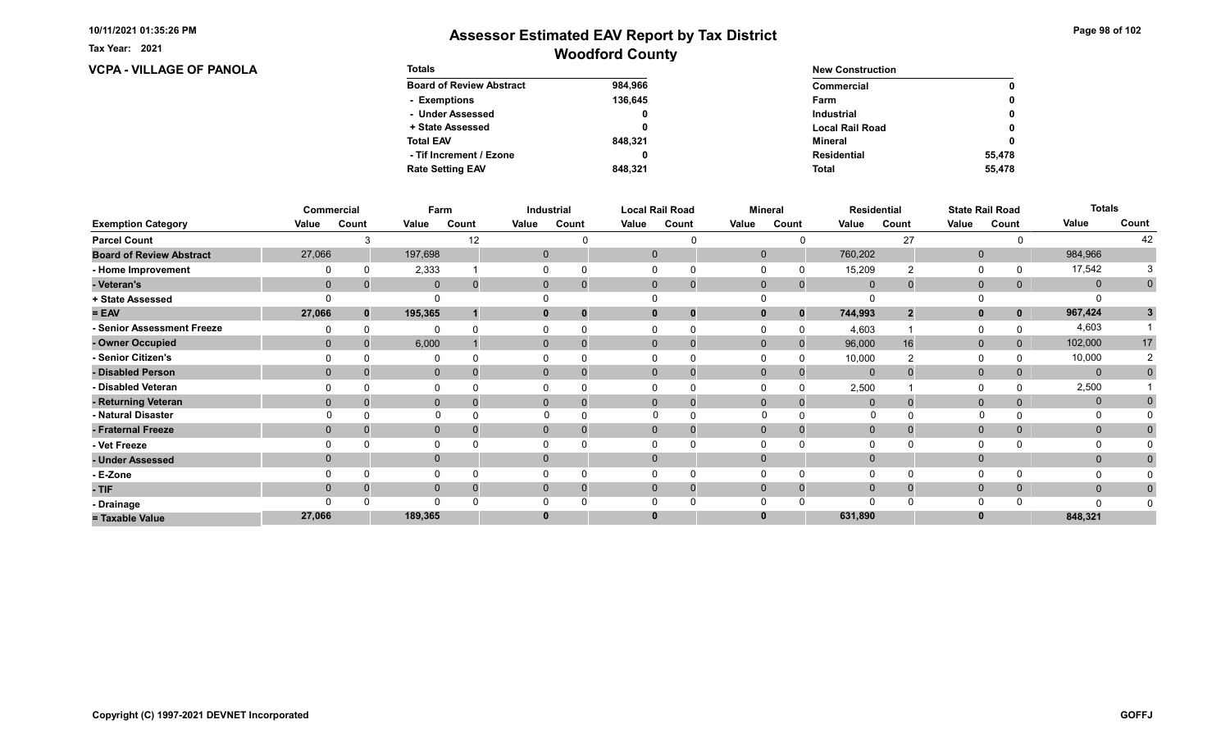**VCPA - VILLAGE OF PANOLA** 

Tax Year: 2021

| <b>Totals</b>                   |         | <b>New Construction</b> |        |
|---------------------------------|---------|-------------------------|--------|
| <b>Board of Review Abstract</b> | 984.966 | Commercial              | 0      |
| - Exemptions                    | 136.645 | Farm                    | 0      |
| - Under Assessed                | 0       | <b>Industrial</b>       | 0      |
| + State Assessed                |         | <b>Local Rail Road</b>  | 0      |
| <b>Total EAV</b>                | 848.321 | Mineral                 | 0      |
| - Tif Increment / Ezone         |         | <b>Residential</b>      | 55.478 |
| <b>Rate Setting EAV</b>         | 848.321 | <b>Total</b>            | 55,478 |

|                                 | Commercial   |              | Farm         |       |       | Industrial     |          | <b>Local Rail Road</b>        |              | <b>Mineral</b> |                | <b>Residential</b> |              | <b>State Rail Road</b> | <b>Totals</b> |                |
|---------------------------------|--------------|--------------|--------------|-------|-------|----------------|----------|-------------------------------|--------------|----------------|----------------|--------------------|--------------|------------------------|---------------|----------------|
| <b>Exemption Category</b>       | Value        | Count        | Value        | Count | Value | Count          | Value    | Count                         | Value        | Count          | Value          | Count              | Value        | Count                  | Value         | Count          |
| <b>Parcel Count</b>             |              |              |              | 12    |       |                |          |                               |              |                |                | 27                 |              |                        |               | 42             |
| <b>Board of Review Abstract</b> | 27,066       |              | 197,698      |       |       | $\mathbf{0}$   |          | $\mathbf 0$                   | $\mathbf 0$  |                | 760,202        |                    | $\mathbf 0$  |                        | 984,966       |                |
| - Home Improvement              |              |              | 2,333        |       |       |                |          | 0                             |              |                | 15,209         |                    | 0            |                        | 17,542        |                |
| - Veteran's                     | $\mathbf 0$  |              | $\mathbf 0$  | 0     |       | $\mathbf{0}$   |          | $\mathbf 0$<br>$\overline{0}$ | $\mathbf 0$  | $\mathbf 0$    | $\overline{0}$ | 0                  | $\mathbf{0}$ | $\mathbf{0}$           | $\mathbf{0}$  | $\mathbf 0$    |
| + State Assessed                |              |              |              |       |       |                |          |                               |              |                |                |                    |              |                        |               |                |
| $= EAV$                         | 27,066       | $\mathbf{0}$ | 195,365      |       |       |                |          | $\mathbf{0}$                  |              | $\bf{0}$       | 744,993        | $\boldsymbol{2}$   | $\mathbf{0}$ | $\mathbf{0}$           | 967,424       | 3              |
| - Senior Assessment Freeze      |              |              | $\Omega$     |       |       |                |          |                               |              | $\Omega$       | 4,603          |                    | 0            |                        | 4,603         |                |
| - Owner Occupied                | $\mathbf{0}$ | 0            | 6,000        |       |       | $\overline{0}$ |          | $\mathbf{0}$<br>$\mathbf{0}$  | $\mathbf{0}$ | $\mathbf{0}$   | 96,000         | 16                 | $\mathbf{0}$ | $\overline{0}$         | 102,000       | 17             |
| - Senior Citizen's              |              |              |              |       |       |                |          |                               |              |                | 10,000         |                    | $\Omega$     |                        | 10,000        |                |
| - Disabled Person               | $\mathbf{0}$ |              | $\mathbf{0}$ |       |       | $\overline{0}$ |          | $\Omega$                      | $\Omega$     |                | $\mathbf 0$    |                    | $\mathbf{0}$ | 0                      | $\mathbf{0}$  | $\mathbf{0}$   |
| - Disabled Veteran              |              |              | 0            |       |       |                |          | <sup>0</sup>                  |              |                | 2,500          |                    | 0            |                        | 2,500         |                |
| - Returning Veteran             | $\Omega$     |              | $\mathbf{0}$ |       |       | $\overline{0}$ |          | $\Omega$<br>0                 | $\Omega$     | $\Omega$       | $\Omega$       |                    | $\mathbf{0}$ | 0                      | $\mathbf 0$   |                |
| - Natural Disaster              |              |              | $\mathbf 0$  |       |       |                |          | $\Omega$                      | $\Omega$     |                | $\mathbf{0}$   |                    | $\Omega$     |                        | $\Omega$      |                |
| - Fraternal Freeze              | $\Omega$     |              | $\mathbf 0$  |       |       | $\mathbf{0}$   |          | $\mathbf{0}$                  | $\mathbf{0}$ | $\Omega$       | $\mathbf 0$    |                    | $\mathbf{0}$ | $\overline{0}$         | $\mathbf{0}$  | $\overline{0}$ |
| - Vet Freeze                    |              |              | $\Omega$     |       |       |                |          |                               |              |                |                |                    | 0            |                        | 0             |                |
| - Under Assessed                | $\Omega$     |              | $\mathbf{0}$ |       |       | $\Omega$       |          | $\Omega$                      | $\Omega$     |                |                |                    | $\mathbf{0}$ |                        | $\mathbf{0}$  |                |
| - E-Zone                        |              |              | $\Omega$     |       |       |                |          |                               |              |                |                |                    | $\Omega$     |                        | $\Omega$      |                |
| - TIF                           | $\Omega$     |              | $\mathbf 0$  |       |       | $\Omega$       |          | $\mathbf{0}$<br>0             | $\Omega$     |                | $\mathbf{0}$   |                    | $\mathbf{0}$ | $\mathbf{0}$           | $\mathbf{0}$  | $\bf{0}$       |
| - Drainage                      |              |              | $\Omega$     |       |       |                |          |                               |              |                |                |                    | $\Omega$     |                        | $\Omega$      |                |
| = Taxable Value                 | 27,066       |              | 189,365      |       |       |                | $\bf{0}$ |                               |              |                | 631,890        |                    | $\bf{0}$     |                        | 848,321       |                |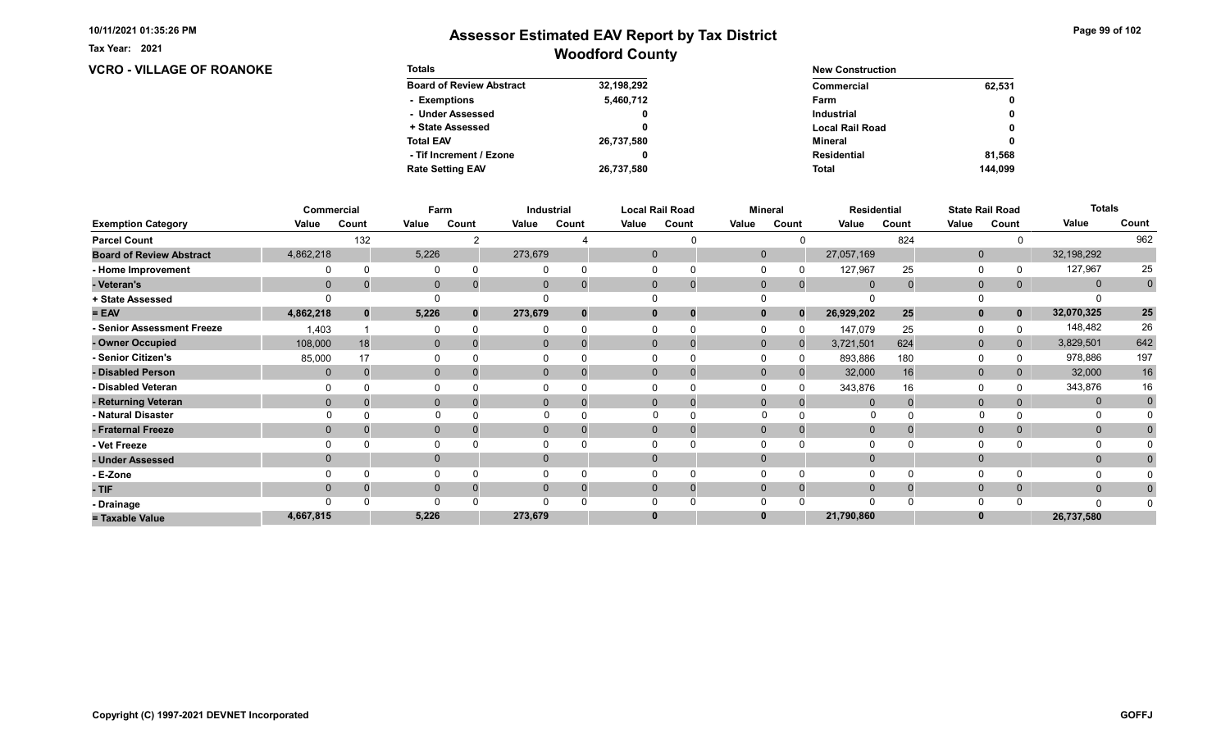**VCRO - VILLAGE OF ROANOKE** 

Tax Year: 2021

| <b>Totals</b>                   |            | <b>New Construction</b> |              |
|---------------------------------|------------|-------------------------|--------------|
| <b>Board of Review Abstract</b> | 32,198,292 | Commercial              | 62,531       |
| - Exemptions                    | 5,460,712  | Farm                    | 0            |
| - Under Assessed                | 0          | <b>Industrial</b>       | $\mathbf{0}$ |
| + State Assessed                |            | <b>Local Rail Road</b>  | 0            |
| <b>Total EAV</b>                | 26,737,580 | Mineral                 | 0            |
| - Tif Increment / Ezone         | 0          | Residential             | 81.568       |
| <b>Rate Setting EAV</b>         | 26,737,580 | <b>Total</b>            | 144.099      |

|                                 |                | Commercial | Farm         |       | <b>Local Rail Road</b><br>Industrial |          |       | <b>Mineral</b><br><b>Residential</b> |              |             |                | <b>State Rail Road</b> | <b>Totals</b> |                |              |             |
|---------------------------------|----------------|------------|--------------|-------|--------------------------------------|----------|-------|--------------------------------------|--------------|-------------|----------------|------------------------|---------------|----------------|--------------|-------------|
| <b>Exemption Category</b>       | Value          | Count      | Value        | Count | Value                                | Count    | Value | Count                                | Value        | Count       | Value          | Count                  | Value         | Count          | Value        | Count       |
| <b>Parcel Count</b>             |                | 132        |              |       |                                      |          |       |                                      |              |             |                | 824                    |               |                |              | 962         |
| <b>Board of Review Abstract</b> | 4,862,218      |            | 5,226        |       | 273,679                              |          |       | $\mathbf 0$                          | $\Omega$     |             | 27,057,169     |                        | $\mathbf 0$   |                | 32,198,292   |             |
| - Home Improvement              |                |            | $\Omega$     |       |                                      |          |       |                                      |              |             | 127,967        | 25                     | 0             |                | 127,967      | 25          |
| - Veteran's                     | $\overline{0}$ |            | $\mathbf 0$  |       |                                      | 0        |       | $\mathbf{0}$<br>$\mathbf 0$          | $\mathbf 0$  | $\mathbf 0$ | $\overline{0}$ |                        | $\mathbf{0}$  | 0              | $\mathbf{0}$ | $\pmb{0}$   |
| + State Assessed                |                |            |              |       |                                      |          |       |                                      |              |             |                |                        |               |                |              |             |
| $= EAV$                         | 4,862,218      | $\bf{0}$   | 5,226        |       | 273,679                              | $\bf{0}$ |       | $\bf{0}$<br>0                        |              | $\bf{0}$    | 26,929,202     | 25                     | $\mathbf{0}$  | $\mathbf 0$    | 32,070,325   | ${\bf 25}$  |
| - Senior Assessment Freeze      | 1,403          |            | $\Omega$     |       |                                      |          |       |                                      |              |             | 147,079        | 25                     | 0             |                | 148,482      | 26          |
| - Owner Occupied                | 108,000        | 18         | $\mathbf{0}$ |       | $\Omega$                             | $\Omega$ |       | $\Omega$<br>$\Omega$                 | $\mathbf{0}$ | $\Omega$    | 3,721,501      | 624                    | $\mathbf{0}$  | $\overline{0}$ | 3,829,501    | 642         |
| - Senior Citizen's              | 85,000         | 17         | $\Omega$     |       |                                      |          |       |                                      |              |             | 893,886        | 180                    | 0             |                | 978,886      | 197         |
| - Disabled Person               | $\mathbf{0}$   |            | $\mathbf{0}$ |       |                                      | 0        |       | $\Omega$<br>$\Omega$                 | $\Omega$     |             | 32,000         | 16                     | $\mathbf 0$   |                | 32,000       | $16\,$      |
| - Disabled Veteran              |                |            | $\Omega$     |       |                                      |          |       | 0                                    |              |             | 343,876        | 16                     | $\Omega$      |                | 343,876      | 16          |
| - Returning Veteran             | $\Omega$       |            | $\mathbf 0$  |       |                                      | $\Omega$ |       | $\Omega$<br>$\mathbf 0$              | $\Omega$     | $\Omega$    | $\Omega$       |                        | $\mathbf 0$   |                | $\mathbf{0}$ | $\mathbf 0$ |
| - Natural Disaster              |                |            | $\Omega$     |       |                                      |          |       | $\Omega$                             | $\Omega$     |             | 0              |                        |               |                | 0            |             |
| - Fraternal Freeze              | $\Omega$       |            | $\mathbf 0$  |       |                                      | 0        |       | $\mathbf{0}$                         | $\Omega$     |             | $\overline{0}$ |                        | $\mathbf{0}$  |                | $\mathbf{0}$ |             |
| - Vet Freeze                    |                |            | 0            |       |                                      |          |       |                                      |              |             |                |                        | $\Omega$      |                |              |             |
| - Under Assessed                |                |            | $\mathbf{0}$ |       |                                      | $\Omega$ |       | $\Omega$                             |              |             |                |                        | $\mathbf{0}$  |                | $\mathbf{0}$ |             |
| - E-Zone                        |                |            | $\Omega$     |       |                                      |          |       |                                      |              |             |                |                        | $\Omega$      |                |              |             |
| - TIF                           |                |            | $\mathbf{0}$ |       |                                      |          |       | 0<br>0                               |              |             |                |                        | $\mathbf{0}$  | 0              | $\mathbf{0}$ |             |
| - Drainage                      |                |            | $\Omega$     |       |                                      |          |       |                                      |              |             |                |                        | $\Omega$      |                | $\Omega$     |             |
| = Taxable Value                 | 4,667,815      |            | 5,226        |       | 273,679                              |          |       | 0                                    |              |             | 21,790,860     |                        | $\bf{0}$      |                | 26,737,580   |             |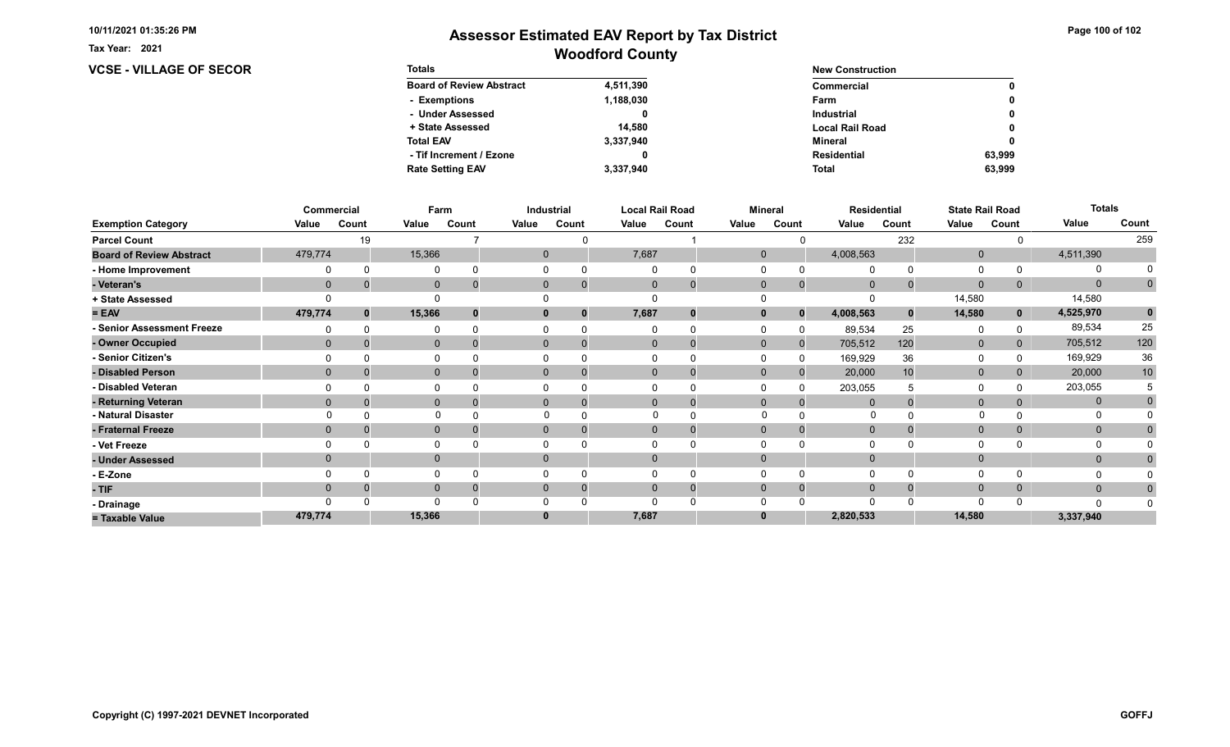Tax Year: 2021

### VCSE - VILLAGE OF SECOR Totals

| <b>Totals</b>                   |           | <b>New Construction</b> |        |  |  |  |
|---------------------------------|-----------|-------------------------|--------|--|--|--|
| <b>Board of Review Abstract</b> | 4,511,390 | Commercial              | 0      |  |  |  |
| - Exemptions                    | 1,188,030 | Farm                    | 0      |  |  |  |
| - Under Assessed                | 0         | <b>Industrial</b>       | 0      |  |  |  |
| + State Assessed                | 14.580    | <b>Local Rail Road</b>  | 0      |  |  |  |
| <b>Total EAV</b>                | 3,337,940 | Mineral                 | 0      |  |  |  |
| - Tif Increment / Ezone         | 0         | <b>Residential</b>      | 63.999 |  |  |  |
| <b>Rate Setting EAV</b>         | 3.337.940 | <b>Total</b>            | 63.999 |  |  |  |

|                                 |              | Commercial | Farm         |       |       | Industrial                 |             | <b>Local Rail Road</b> |              | <b>Mineral</b> |              | <b>Residential</b> | <b>State Rail Road</b> |             | <b>Totals</b> |                 |
|---------------------------------|--------------|------------|--------------|-------|-------|----------------------------|-------------|------------------------|--------------|----------------|--------------|--------------------|------------------------|-------------|---------------|-----------------|
| <b>Exemption Category</b>       | Value        | Count      | Value        | Count | Value | Count                      | Value       | Count                  | Value        | Count          | Value        | Count              | Value                  | Count       | Value         | Count           |
| <b>Parcel Count</b>             |              | 19         |              |       |       |                            |             |                        |              |                |              | 232                |                        |             |               | 259             |
| <b>Board of Review Abstract</b> | 479,774      |            | 15,366       |       |       | $\mathbf{0}$               | 7,687       |                        | $\mathbf{0}$ |                | 4,008,563    |                    | $\mathbf 0$            |             | 4,511,390     |                 |
| - Home Improvement              |              |            | 0            |       |       | 0<br>$\Omega$              |             |                        |              |                | $\Omega$     |                    | $\Omega$               |             | O             |                 |
| - Veteran's                     | $\mathbf{0}$ |            | $\mathbf 0$  |       |       | $\mathbf{0}$<br>$\Omega$   | $\mathbf 0$ | $\mathbf 0$            | $\mathbf{0}$ | $\mathbf{0}$   | $\mathbf{0}$ |                    | $\mathbf{0}$           | 0           | $\mathbf{0}$  | $\mathbf 0$     |
| + State Assessed                |              |            | $\Omega$     |       |       |                            |             |                        |              |                |              |                    | 14,580                 |             | 14,580        |                 |
| $= EAV$                         | 479,774      |            | 15,366       |       |       | 0<br>$\bf{0}$              | 7,687       | $\bf{0}$               | $\mathbf{0}$ | $\bf{0}$       | 4,008,563    | $\bf{0}$           | 14,580                 | $\mathbf 0$ | 4,525,970     |                 |
| - Senior Assessment Freeze      |              |            | 0            |       |       | $\Omega$                   |             | $\Omega$               |              |                | 89,534       | 25                 | 0                      |             | 89,534        | 25              |
| - Owner Occupied                | $\Omega$     |            | $\mathbf{0}$ |       |       | $\overline{0}$<br>$\Omega$ |             | $\mathbf 0$            | $\Omega$     | $\mathbf{0}$   | 705,512      | 120                | $\mathbf 0$            |             | 705,512       | 120             |
| - Senior Citizen's              |              |            | 0            |       |       |                            |             |                        |              | 0              | 169,929      | 36                 | $\Omega$               |             | 169,929       | 36              |
| - Disabled Person               | $\Omega$     |            | $\mathbf{0}$ |       |       | 0<br>$\Omega$              |             | $\Omega$               | $\Omega$     |                | 20,000       | 10                 | $\mathbf{0}$           |             | 20,000        | 10 <sup>°</sup> |
| - Disabled Veteran              |              |            | 0            |       |       |                            |             |                        |              |                | 203,055      |                    | $\Omega$               |             | 203,055       |                 |
| - Returning Veteran             | $\Omega$     |            | $\mathbf{0}$ |       |       | $\mathbf{0}$<br>$\Omega$   |             | $\mathbf 0$            | $\mathbf{0}$ | 0              | $\Omega$     |                    | $\mathbf{0}$           |             | $\mathbf{0}$  | 0               |
| - Natural Disaster              |              |            |              |       |       |                            |             |                        |              |                | $\Omega$     |                    |                        |             |               |                 |
| - Fraternal Freeze              | $\mathbf{0}$ |            | $\mathbf{0}$ |       |       | $\overline{0}$<br>0        | $\Omega$    | 0                      | $\Omega$     | 0              | $\mathbf{0}$ |                    | $\mathbf{0}$           | 0           | $\mathbf{0}$  |                 |
| - Vet Freeze                    |              |            | $\Omega$     |       |       |                            |             | $\Omega$               |              |                | $\Omega$     |                    | $\Omega$               |             | 0             |                 |
| - Under Assessed                | $\Omega$     |            | $\mathbf 0$  |       |       | $\overline{0}$             |             |                        |              |                |              |                    | $\mathbf 0$            |             | $\mathbf{0}$  |                 |
| - E-Zone                        |              |            | $\Omega$     |       |       |                            |             |                        |              |                | $\Omega$     |                    | $\Omega$               |             |               |                 |
| - TIF                           | $\Omega$     |            | $\mathbf{0}$ |       |       | 0<br>$\Omega$              |             | 0                      |              |                | $\Omega$     |                    | $\mathbf{0}$           |             | $\mathbf{0}$  |                 |
| - Drainage                      |              |            | $\Omega$     |       |       |                            |             |                        |              |                |              |                    | $\Omega$               |             | n             |                 |
| = Taxable Value                 | 479,774      |            | 15,366       |       |       | 0                          | 7,687       |                        |              |                | 2,820,533    |                    | 14,580                 |             | 3,337,940     |                 |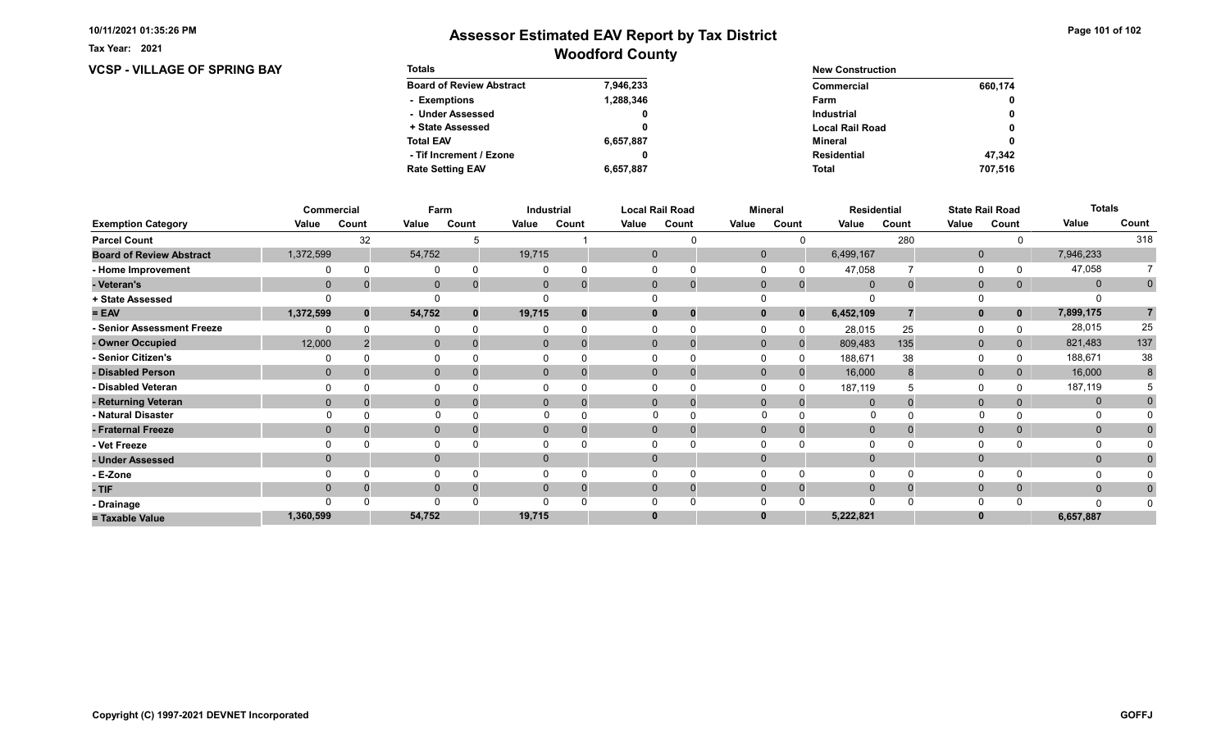**VCSP - VILLAGE OF SPRING BAY** 

Tax Year: 2021

| <b>Totals</b>                   |           | <b>New Construction</b> |         |  |  |  |
|---------------------------------|-----------|-------------------------|---------|--|--|--|
| <b>Board of Review Abstract</b> | 7,946,233 | Commercial              | 660,174 |  |  |  |
| - Exemptions                    | 1,288,346 | Farm                    | 0       |  |  |  |
| - Under Assessed                | 0         | <b>Industrial</b>       | 0       |  |  |  |
| + State Assessed                |           | <b>Local Rail Road</b>  | 0       |  |  |  |
| <b>Total EAV</b>                | 6,657,887 | Mineral                 | 0       |  |  |  |
| - Tif Increment / Ezone         | 0         | <b>Residential</b>      | 47.342  |  |  |  |
| <b>Rate Setting EAV</b>         | 6,657,887 | <b>Total</b>            | 707.516 |  |  |  |

|                                 |              | Commercial | Farm         |       |          | Industrial |          | <b>Local Rail Road</b>     | <b>Mineral</b> |              |                |          | <b>State Rail Road</b><br><b>Residential</b> |             | <b>Totals</b> |             |
|---------------------------------|--------------|------------|--------------|-------|----------|------------|----------|----------------------------|----------------|--------------|----------------|----------|----------------------------------------------|-------------|---------------|-------------|
| <b>Exemption Category</b>       | Value        | Count      | Value        | Count | Value    | Count      | Value    | Count                      | Value          | Count        | Value          | Count    | Value                                        | Count       | Value         | Count       |
| <b>Parcel Count</b>             |              | 32         |              |       |          |            |          |                            |                |              |                | 280      |                                              |             |               | 318         |
| <b>Board of Review Abstract</b> | 1,372,599    |            | 54,752       |       | 19,715   |            |          | $\mathbf 0$                | $\mathbf 0$    |              | 6,499,167      |          | $\mathbf 0$                                  |             | 7,946,233     |             |
| - Home Improvement              |              |            | $\Omega$     |       |          |            |          |                            |                |              | 47,058         |          | $\Omega$                                     |             | 47,058        |             |
| - Veteran's                     | $\mathbf 0$  |            | $\mathbf 0$  |       | 0        |            |          | $\mathbf 0$<br>$\mathbf 0$ | $\mathbf 0$    | $\mathbf{0}$ | $\overline{0}$ | $\Omega$ | $\mathbf{0}$                                 | 0           | $\mathbf{0}$  | $\mathbf 0$ |
| + State Assessed                |              |            |              |       |          |            |          |                            |                |              |                |          |                                              |             |               |             |
| $= EAV$                         | 1,372,599    | $\bf{0}$   | 54,752       |       | 19,715   |            | 0        | 0                          |                | $\bf{0}$     | 6,452,109      |          | $\mathbf{0}$                                 | $\mathbf 0$ | 7,899,175     | 7           |
| - Senior Assessment Freeze      |              |            | $\Omega$     |       |          |            |          |                            |                |              | 28,015         | 25       | 0                                            |             | 28,015        | 25          |
| - Owner Occupied                | 12,000       |            | $\mathbf 0$  |       | 0        | $\Omega$   |          | $\Omega$<br>$\mathbf 0$    | $\Omega$       | $\mathbf{0}$ | 809,483        | 135      | $\mathbf 0$                                  | 0           | 821,483       | 137         |
| - Senior Citizen's              |              |            | $\Omega$     |       |          |            |          |                            |                | <sup>0</sup> | 188,671        | 38       | 0                                            |             | 188,671       | 38          |
| - Disabled Person               | $\mathbf{0}$ |            | $\mathbf 0$  |       |          | 0          |          | $\Omega$<br>0              | $\Omega$       | $\Omega$     | 16,000         |          | $\mathbf 0$                                  |             | 16,000        | 8           |
| - Disabled Veteran              |              |            | $\Omega$     |       |          |            |          | 0                          |                |              | 187,119        |          | $\Omega$                                     |             | 187,119       |             |
| - Returning Veteran             | $\Omega$     |            | $\mathbf{0}$ |       |          | $\Omega$   |          | $\Omega$<br>-0             | $\Omega$       | $\Omega$     | $\Omega$       |          | $\mathbf{0}$                                 |             | $\mathbf 0$   |             |
| - Natural Disaster              |              |            | $\Omega$     |       |          |            |          | $\Omega$                   | $\Omega$       |              | 0              |          |                                              |             | 0             |             |
| - Fraternal Freeze              | $\mathbf 0$  |            | $\mathbf 0$  |       | 0        |            |          | $\mathbf{0}$<br>0          | $\mathbf 0$    | $\Omega$     | $\overline{0}$ |          | $\mathbf 0$                                  |             | $\mathbf{0}$  |             |
| - Vet Freeze                    |              |            | 0            |       |          |            |          |                            |                |              |                |          | 0                                            |             | 0             |             |
| - Under Assessed                |              |            | $\mathbf{0}$ |       | $\Omega$ |            | $\Omega$ |                            |                |              |                |          | $\mathbf{0}$                                 |             | $\mathbf{0}$  |             |
| - E-Zone                        |              |            | $\Omega$     |       |          |            |          |                            |                |              |                |          | $\Omega$                                     |             |               |             |
| - TIF                           | 0            |            | $\mathbf{0}$ |       |          |            |          | $\Omega$<br>0              | $\Omega$       |              | $\Omega$       |          | $\mathbf{0}$                                 | 0           | $\mathbf{0}$  | 0           |
| - Drainage                      |              |            | $\Omega$     |       |          |            |          |                            |                |              |                |          | $\Omega$                                     |             |               |             |
| = Taxable Value                 | 1,360,599    |            | 54,752       |       | 19,715   |            | 0        |                            |                |              | 5,222,821      |          | $\bf{0}$                                     |             | 6,657,887     |             |